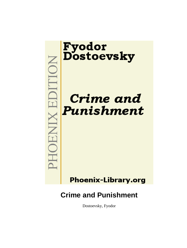

Dostoevsky, Fyodor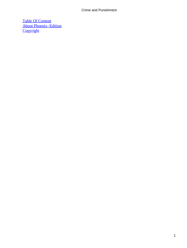[Table Of Content](#page-465-0) [About Phoenix−Edition](#page-468-0) **[Copyright](#page-471-0)**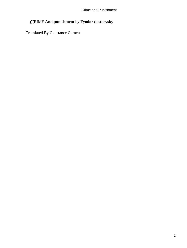# *C*RIME **And punishment** by **Fyodor dostoevsky**

Translated By Constance Garnett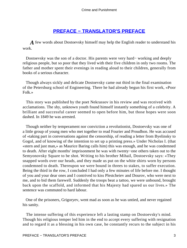# **[PREFACE − TRANSLATOR'S PREFACE](#page-465-0)**

*A* few words about Dostoevsky himself may help the English reader to understand his work.

 Dostoevsky was the son of a doctor. His parents were very hard− working and deeply religious people, but so poor that they lived with their five children in only two rooms. The father and mother spent their evenings in reading aloud to their children, generally from books of a serious character.

 Though always sickly and delicate Dostoevsky came out third in the final examination of the Petersburg school of Engineering. There he had already begun his first work, «Poor Folk.»

 This story was published by the poet Nekrassov in his review and was received with acclamations. The shy, unknown youth found himself instantly something of a celebrity. A brilliant and successful career seemed to open before him, but those hopes were soon dashed. In 1849 he was arrested.

 Though neither by temperament nor conviction a revolutionist, Dostoevsky was one of a little group of young men who met together to read Fourier and Proudhon. He was accused of «taking part in conversations against the censorship, of reading a letter from Byelinsky to Gogol, and of knowing of the intention to set up a printing press.» Under Nicholas I. (that «stern and just man,» as Maurice Baring calls him) this was enough, and he was condemned to death. After eight months' imprisonment he was with twenty−one others taken out to the Semyonovsky Square to be shot. Writing to his brother Mihail, Dostoevsky says: «They snapped words over our heads, and they made us put on the white shirts worn by persons condemned to death. Thereupon we were bound in threes to stakes, to suffer execution. Being the third in the row, I concluded I had only a few minutes of life before me. I thought of you and your dear ones and I contrived to kiss Plestcheiev and Dourov, who were next to me, and to bid them farewell. Suddenly the troops beat a tattoo, we were unbound, brought back upon the scaffold, and informed that his Majesty had spared us our lives.» The sentence was commuted to hard labour.

 One of the prisoners, Grigoryev, went mad as soon as he was untied, and never regained his sanity.

 The intense suffering of this experience left a lasting stamp on Dostoevsky's mind. Though his religious temper led him in the end to accept every suffering with resignation and to regard it as a blessing in his own case, he constantly recurs to the subject in his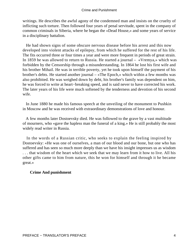writings. He describes the awful agony of the condemned man and insists on the cruelty of inflicting such torture. Then followed four years of penal servitude, spent in the company of common criminals in Siberia, where he began the «Dead House,» and some years of service in a disciplinary battalion.

 He had shown signs of some obscure nervous disease before his arrest and this now developed into violent attacks of epilepsy, from which he suffered for the rest of his life. The fits occurred three or four times a year and were more frequent in periods of great strain. In 1859 he was allowed to return to Russia. He started a journal – «Vremya,» which was forbidden by the Censorship through a misunderstanding. In 1864 he lost his first wife and his brother Mihail. He was in terrible poverty, yet he took upon himself the payment of his brother's debts. He started another journal – «The Epoch,» which within a few months was also prohibited. He was weighed down by debt, his brother's family was dependent on him, he was forced to write at heart−breaking speed, and is said never to have corrected his work. The later years of his life were much softened by the tenderness and devotion of his second wife.

 In June 1880 he made his famous speech at the unveiling of the monument to Pushkin in Moscow and he was received with extraordinary demonstrations of love and honour.

 A few months later Dostoevsky died. He was followed to the grave by a vast multitude of mourners, who «gave the hapless man the funeral of a king.» He is still probably the most widely read writer in Russia.

 In the words of a Russian critic, who seeks to explain the feeling inspired by Dostoevsky: «He was one of ourselves, a man of our blood and our bone, but one who has suffered and has seen so much more deeply than we have his insight impresses us as wisdom . . . that wisdom of the heart which we seek that we may learn from it how to live. All his other gifts came to him from nature, this he won for himself and through it he became great.»

#### **Crime And punishment**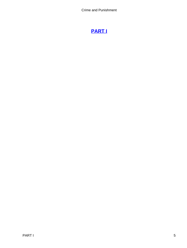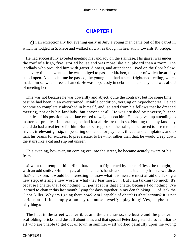## **[CHAPTER I](#page-465-0)**

*O*n an exceptionally hot evening early in July a young man came out of the garret in which he lodged in S. Place and walked slowly, as though in hesitation, towards K. bridge.

 He had successfully avoided meeting his landlady on the staircase. His garret was under the roof of a high, five−storied house and was more like a cupboard than a room. The landlady who provided him with garret, dinners, and attendance, lived on the floor below, and every time he went out he was obliged to pass her kitchen, the door of which invariably stood open. And each time he passed, the young man had a sick, frightened feeling, which made him scowl and feel ashamed. He was hopelessly in debt to his landlady, and was afraid of meeting her.

 This was not because he was cowardly and abject, quite the contrary; but for some time past he had been in an overstrained irritable condition, verging on hypochondria. He had become so completely absorbed in himself, and isolated from his fellows that he dreaded meeting, not only his landlady, but anyone at all. He was crushed by poverty, but the anxieties of his position had of late ceased to weigh upon him. He had given up attending to matters of practical importance; he had lost all desire to do so. Nothing that any landlady could do had a real terror for him. But to be stopped on the stairs, to be forced to listen to her trivial, irrelevant gossip, to pestering demands for payment, threats and complaints, and to rack his brains for excuses, to prevaricate, to lie – no, rather than that, he would creep down the stairs like a cat and slip out unseen.

 This evening, however, on coming out into the street, he became acutely aware of his fears.

 «I want to attempt a thing /like that/ and am frightened by these trifles,» he thought, with an odd smile. «Hm . . . yes, all is in a man's hands and he lets it all slip from cowardice, that's an axiom. It would be interesting to know what it is men are most afraid of. Taking a new step, uttering a new word is what they fear most. . . . But I am talking too much. It's because I chatter that I do nothing. Or perhaps it is that I chatter because I do nothing. I've learned to chatter this last month, lying for days together in my den thinking . . . of Jack the Giant−killer. Why am I going there now? Am I capable of /that/? Is /that/ serious? It is not serious at all. It's simply a fantasy to amuse myself; a plaything! Yes, maybe it is a plaything.»

 The heat in the street was terrible: and the airlessness, the bustle and the plaster, scaffolding, bricks, and dust all about him, and that special Petersburg stench, so familiar to all who are unable to get out of town in summer – all worked painfully upon the young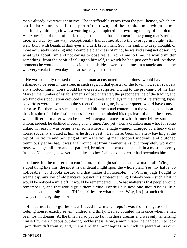man's already overwrought nerves. The insufferable stench from the pot− houses, which are particularly numerous in that part of the town, and the drunken men whom he met continually, although it was a working day, completed the revolting misery of the picture. An expression of the profoundest disgust gleamed for a moment in the young man's refined face. He was, by the way, exceptionally handsome, above the average in height, slim, well−built, with beautiful dark eyes and dark brown hair. Soon he sank into deep thought, or more accurately speaking into a complete blankness of mind; he walked along not observing what was about him and not caring to observe it. From time to time, he would mutter something, from the habit of talking to himself, to which he had just confessed. At these moments he would become conscious that his ideas were sometimes in a tangle and that he was very weak; for two days he had scarcely tasted food.

 He was so badly dressed that even a man accustomed to shabbiness would have been ashamed to be seen in the street in such rags. In that quarter of the town, however, scarcely any shortcoming in dress would have created surprise. Owing to the proximity of the Hay Market, the number of establishments of bad character, the preponderance of the trading and working class population crowded in these streets and alleys in the heart of Petersburg, types so various were to be seen in the streets that no figure, however queer, would have caused surprise. But there was such accumulated bitterness and contempt in the young man's heart, that, in spite of all the fastidiousness of youth, he minded his rags least of all in the street. It was a different matter when he met with acquaintances or with former fellow students, whom, indeed, he disliked meeting at any time. And yet when a drunken man who, for some unknown reason, was being taken somewhere in a huge waggon dragged by a heavy dray horse, suddenly shouted at him as he drove past: «Hey there, German hatter» bawling at the top of his voice and pointing at him – the young man stopped suddenly and clutched tremulously at his hat. It was a tall round hat from Zimmerman's, but completely worn out, rusty with age, all torn and bespattered, brimless and bent on one side in a most unseemly fashion. Not shame, however, but quite another feeling akin to terror had overtaken him.

 «I knew it,» he muttered in confusion, «I thought so! That's the worst of all! Why, a stupid thing like this, the most trivial detail might spoil the whole plan. Yes, my hat is too noticeable. . . . It looks absurd and that makes it noticeable. . . . With my rags I ought to wear a cap, any sort of old pancake, but not this grotesque thing. Nobody wears such a hat, it would be noticed a mile off, it would be remembered. . . . What matters is that people would remember it, and that would give them a clue. For this business one should be as little conspicuous as possible. . . . Trifles, trifles are what matter! Why, it's just such trifles that always ruin everything. . . .»

 He had not far to go; he knew indeed how many steps it was from the gate of his lodging house: exactly seven hundred and thirty. He had counted them once when he had been lost in dreams. At the time he had put no faith in those dreams and was only tantalising himself by their hideous but daring recklessness. Now, a month later, he had begun to look upon them differently, and, in spite of the monologues in which he jeered at his own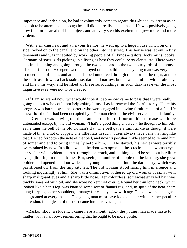impotence and indecision, he had involuntarily come to regard this «hideous» dream as an exploit to be attempted, although he still did not realise this himself. He was positively going now for a «rehearsal» of his project, and at every step his excitement grew more and more violent.

With a sinking heart and a nervous tremor, he went up to a huge house which on one side looked on to the canal, and on the other into the street. This house was let out in tiny tenements and was inhabited by working people of all kinds – tailors, locksmiths, cooks, Germans of sorts, girls picking up a living as best they could, petty clerks, etc. There was a continual coming and going through the two gates and in the two courtyards of the house. Three or four door–keepers were employed on the building. The young man was very glad to meet none of them, and at once slipped unnoticed through the door on the right, and up the staircase. It was a back staircase, dark and narrow, but he was familiar with it already, and knew his way, and he liked all these surroundings: in such darkness even the most inquisitive eyes were not to be dreaded.

 «If I am so scared now, what would it be if it somehow came to pass that I were really going to do it?» he could not help asking himself as he reached the fourth storey. There his progress was barred by some porters who were engaged in moving furniture out of a flat. He knew that the flat had been occupied by a German clerk in the civil service, and his family. This German was moving out then, and so the fourth floor on this staircase would be untenanted except by the old woman. «That's a good thing anyway,» he thought to himself, as he rang the bell of the old woman's flat. The bell gave a faint tinkle as though it were made of tin and not of copper. The little flats in such houses always have bells that ring like that. He had forgotten the note of that bell, and now its peculiar tinkle seemed to remind him of something and to bring it clearly before him. . . . He started, his nerves were terribly overstrained by now. In a little while, the door was opened a tiny crack: the old woman eyed her visitor with evident distrust through the crack, and nothing could be seen but her little eyes, glittering in the darkness. But, seeing a number of people on the landing, she grew bolder, and opened the door wide. The young man stepped into the dark entry, which was partitioned off from the tiny kitchen. The old woman stood facing him in silence and looking inquiringly at him. She was a diminutive, withered up old woman of sixty, with sharp malignant eyes and a sharp little nose. Her colourless, somewhat grizzled hair was thickly smeared with oil, and she wore no kerchief over it. Round her thin long neck, which looked like a hen's leg, was knotted some sort of flannel rag, and, in spite of the heat, there hung flapping on her shoulders, a mangy fur cape, yellow with age. The old woman coughed and groaned at every instant. The young man must have looked at her with a rather peculiar expression, for a gleam of mistrust came into her eyes again.

 «Raskolnikov, a student, I came here a month ago,» the young man made haste to mutter, with a half bow, remembering that he ought to be more polite.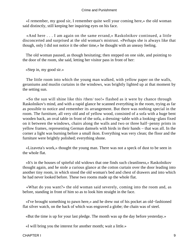«I remember, my good sir, I remember quite well your coming here,» the old woman said distinctly, still keeping her inquiring eyes on his face.

 «And here . . . I am again on the same errand,» Raskolnikov continued, a little disconcerted and surprised at the old woman's mistrust. «Perhaps she is always like that though, only I did not notice it the other time,» he thought with an uneasy feeling.

 The old woman paused, as though hesitating; then stepped on one side, and pointing to the door of the room, she said, letting her visitor pass in front of her:

«Step in, my good sir.»

 The little room into which the young man walked, with yellow paper on the walls, geraniums and muslin curtains in the windows, was brightly lighted up at that moment by the setting sun.

 «So the sun will shine like this /then/ too!» flashed as it were by chance through Raskolnikov's mind, and with a rapid glance he scanned everything in the room, trying as far as possible to notice and remember its arrangement. But there was nothing special in the room. The furniture, all very old and of yellow wood, consisted of a sofa with a huge bent wooden back, an oval table in front of the sofa, a dressing−table with a looking−glass fixed on it between the windows, chairs along the walls and two or three half−penny prints in yellow frames, representing German damsels with birds in their hands – that was all. In the corner a light was burning before a small ikon. Everything was very clean; the floor and the furniture were brightly polished; everything shone.

 «Lizaveta's work,» thought the young man. There was not a speck of dust to be seen in the whole flat.

 «It's in the houses of spiteful old widows that one finds such cleanliness,» Raskolnikov thought again, and he stole a curious glance at the cotton curtain over the door leading into another tiny room, in which stood the old woman's bed and chest of drawers and into which he had never looked before. These two rooms made up the whole flat.

 «What do you want?» the old woman said severely, coming into the room and, as before, standing in front of him so as to look him straight in the face.

 «I've brought something to pawn here,» and he drew out of his pocket an old−fashioned flat silver watch, on the back of which was engraved a globe; the chain was of steel.

«But the time is up for your last pledge. The month was up the day before yesterday.»

«I will bring you the interest for another month; wait a little.»

CHAPTER I 9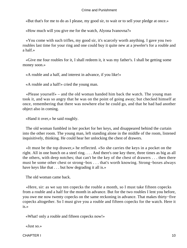«But that's for me to do as I please, my good sir, to wait or to sell your pledge at once.»

«How much will you give me for the watch, Alyona Ivanovna?»

 «You come with such trifles, my good sir, it's scarcely worth anything. I gave you two roubles last time for your ring and one could buy it quite new at a jeweler's for a rouble and a half.»

 «Give me four roubles for it, I shall redeem it, it was my father's. I shall be getting some money soon.»

«A rouble and a half, and interest in advance, if you like!»

«A rouble and a half!» cried the young man.

 «Please yourself» – and the old woman handed him back the watch. The young man took it, and was so angry that he was on the point of going away; but checked himself at once, remembering that there was nowhere else he could go, and that he had had another object also in coming.

«Hand it over,» he said roughly.

 The old woman fumbled in her pocket for her keys, and disappeared behind the curtain into the other room. The young man, left standing alone in the middle of the room, listened inquisitively, thinking. He could hear her unlocking the chest of drawers.

 «It must be the top drawer,» he reflected. «So she carries the keys in a pocket on the right. All in one bunch on a steel ring. . . . And there's one key there, three times as big as all the others, with deep notches; that can't be the key of the chest of drawers . . . then there must be some other chest or strong−box . . . that's worth knowing. Strong−boxes always have keys like that  $\dots$  but how degrading it all is.»

The old woman came back.

 «Here, sir: as we say ten copecks the rouble a month, so I must take fifteen copecks from a rouble and a half for the month in advance. But for the two roubles I lent you before, you owe me now twenty copecks on the same reckoning in advance. That makes thirty−five copecks altogether. So I must give you a rouble and fifteen copecks for the watch. Here it is.»

«What! only a rouble and fifteen copecks now!»

«Just so.»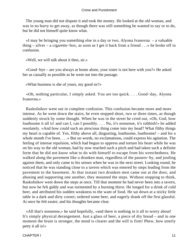The young man did not dispute it and took the money. He looked at the old woman, and was in no hurry to get away, as though there was still something he wanted to say or to do, but he did not himself quite know what.

 «I may be bringing you something else in a day or two, Alyona Ivanovna – a valuable thing – silver – a cigarette−box, as soon as I get it back from a friend . . .» he broke off in confusion.

«Well, we will talk about it then, sir.»

 «Good−bye – are you always at home alone, your sister is not here with you?» He asked her as casually as possible as he went out into the passage.

«What business is she of yours, my good sir?»

 «Oh, nothing particular, I simply asked. You are too quick. . . . Good−day, Alyona Ivanovna.»

 Raskolnikov went out in complete confusion. This confusion became more and more intense. As he went down the stairs, he even stopped short, two or three times, as though suddenly struck by some thought. When he was in the street he cried out, «Oh, God, how loathsome it all is! and can I, can I possibly. . . . No, it's nonsense, it's rubbish!» he added resolutely. «And how could such an atrocious thing come into my head? What filthy things my heart is capable of. Yes, filthy above all, disgusting, loathsome, loathsome! – and for a whole month I've been. . . .» But no words, no exclamations, could express his agitation. The feeling of intense repulsion, which had begun to oppress and torture his heart while he was on his way to the old woman, had by now reached such a pitch and had taken such a definite form that he did not know what to do with himself to escape from his wretchedness. He walked along the pavement like a drunken man, regardless of the passers−by, and jostling against them, and only came to his senses when he was in the next street. Looking round, he noticed that he was standing close to a tavern which was entered by steps leading from the pavement to the basement. At that instant two drunken men came out at the door, and abusing and supporting one another, they mounted the steps. Without stopping to think, Raskolnikov went down the steps at once. Till that moment he had never been into a tavern, but now he felt giddy and was tormented by a burning thirst. He longed for a drink of cold beer, and attributed his sudden weakness to the want of food. He sat down at a sticky little table in a dark and dirty corner; ordered some beer, and eagerly drank off the first glassful. At once he felt easier; and his thoughts became clear.

 «All that's nonsense,» he said hopefully, «and there is nothing in it all to worry about! It's simply physical derangement. Just a glass of beer, a piece of dry bread – and in one moment the brain is stronger, the mind is clearer and the will is firm! Phew, how utterly petty it all is!»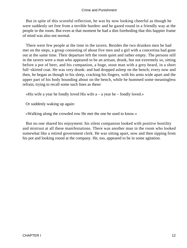But in spite of this scornful reflection, he was by now looking cheerful as though he were suddenly set free from a terrible burden: and he gazed round in a friendly way at the people in the room. But even at that moment he had a dim foreboding that this happier frame of mind was also not normal.

 There were few people at the time in the tavern. Besides the two drunken men he had met on the steps, a group consisting of about five men and a girl with a concertina had gone out at the same time. Their departure left the room quiet and rather empty. The persons still in the tavern were a man who appeared to be an artisan, drunk, but not extremely so, sitting before a pot of beer, and his companion, a huge, stout man with a grey beard, in a short full−skirted coat. He was very drunk: and had dropped asleep on the bench; every now and then, he began as though in his sleep, cracking his fingers, with his arms wide apart and the upper part of his body bounding about on the bench, while he hummed some meaningless refrain, trying to recall some such lines as these:

«His wife a year he fondly loved His wife  $a - a$  year he – fondly loved.»

Or suddenly waking up again:

«Walking along the crowded row He met the one he used to know.»

 But no one shared his enjoyment: his silent companion looked with positive hostility and mistrust at all these manifestations. There was another man in the room who looked somewhat like a retired government clerk. He was sitting apart, now and then sipping from his pot and looking round at the company. He, too, appeared to be in some agitation.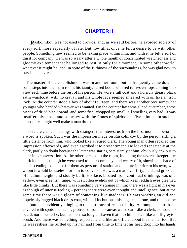### **[CHAPTER II](#page-465-0)**

*R*askolnikov was not used to crowds, and, as we said before, he avoided society of every sort, more especially of late. But now all at once he felt a desire to be with other people. Something new seemed to be taking place within him, and with it he felt a sort of thirst for company. He was so weary after a whole month of concentrated wretchedness and gloomy excitement that he longed to rest, if only for a moment, in some other world, whatever it might be; and, in spite of the filthiness of the surroundings, he was glad now to stay in the tavern.

 The master of the establishment was in another room, but he frequently came down some steps into the main room, his jaunty, tarred boots with red turn−over tops coming into view each time before the rest of his person. He wore a full coat and a horribly greasy black satin waistcoat, with no cravat, and his whole face seemed smeared with oil like an iron lock. At the counter stood a boy of about fourteen, and there was another boy somewhat younger who handed whatever was wanted. On the counter lay some sliced cucumber, some pieces of dried black bread, and some fish, chopped up small, all smelling very bad. It was insufferably close, and so heavy with the fumes of spirits that five minutes in such an atmosphere might well make a man drunk.

 There are chance meetings with strangers that interest us from the first moment, before a word is spoken. Such was the impression made on Raskolnikov by the person sitting a little distance from him, who looked like a retired clerk. The young man often recalled this impression afterwards, and even ascribed it to presentiment. He looked repeatedly at the clerk, partly no doubt because the latter was staring persistently at him, obviously anxious to enter into conversation. At the other persons in the room, including the tavern− keeper, the clerk looked as though he were used to their company, and weary of it, showing a shade of condescending contempt for them as persons of station and culture inferior to his own, with whom it would be useless for him to converse. He was a man over fifty, bald and grizzled, of medium height, and stoutly built. His face, bloated from continual drinking, was of a yellow, even greenish, tinge, with swollen eyelids out of which keen reddish eyes gleamed like little chinks. But there was something very strange in him; there was a light in his eyes as though of intense feeling – perhaps there were even thought and intelligence, but at the same time there was a gleam of something like madness. He was wearing an old and hopelessly ragged black dress coat, with all its buttons missing except one, and that one he had buttoned, evidently clinging to this last trace of respectability. A crumpled shirt front, covered with spots and stains, protruded from his canvas waistcoat. Like a clerk, he wore no beard, nor moustache, but had been so long unshaven that his chin looked like a stiff greyish brush. And there was something respectable and like an official about his manner too. But he was restless; he ruffled up his hair and from time to time let his head drop into his hands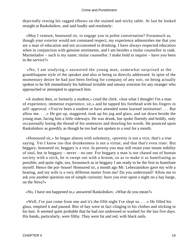dejectedly resting his ragged elbows on the stained and sticky table. At last he looked straight at Raskolnikov, and said loudly and resolutely:

 «May I venture, honoured sir, to engage you in polite conversation? Forasmuch as, though your exterior would not command respect, my experience admonishes me that you are a man of education and not accustomed to drinking. I have always respected education when in conjunction with genuine sentiments, and I am besides a titular counsellor in rank. Marmeladov – such is my name; titular counsellor. I make bold to inquire – have you been in the service?»

 «No, I am studying,» answered the young man, somewhat surprised at the grandiloquent style of the speaker and also at being so directly addressed. In spite of the momentary desire he had just been feeling for company of any sort, on being actually spoken to he felt immediately his habitual irritable and uneasy aversion for any stranger who approached or attempted to approach him.

 «A student then, or formerly a student,» cried the clerk. «Just what I thought! I'm a man of experience, immense experience, sir,» and he tapped his forehead with his fingers in self−approval. «You've been a student or have attended some learned institution! . . . But allow me. . . .» He got up, staggered, took up his jug and glass, and sat down beside the young man, facing him a little sideways. He was drunk, but spoke fluently and boldly, only occasionally losing the thread of his sentences and drawling his words. He pounced upon Raskolnikov as greedily as though he too had not spoken to a soul for a month.

 «Honoured sir,» he began almost with solemnity, «poverty is not a vice, that's a true saying. Yet I know too that drunkenness is not a virtue, and that that's even truer. But beggary, honoured sir, beggary is a vice. In poverty you may still retain your innate nobility of soul, but in beggary – never – no one. For beggary a man is not chased out of human society with a stick, he is swept out with a broom, so as to make it as humiliating as possible; and quite right, too, forasmuch as in beggary I am ready to be the first to humiliate myself. Hence the pot−house! Honoured sir, a month ago Mr. Lebeziatnikov gave my wife a beating, and my wife is a very different matter from me! Do you understand? Allow me to ask you another question out of simple curiosity: have you ever spent a night on a hay barge, on the Neva?»

«No, I have not happened to,» answered Raskolnikov. «What do you mean?»

 «Well, I've just come from one and it's the fifth night I've slept so. . . .» He filled his glass, emptied it and paused. Bits of hay were in fact clinging to his clothes and sticking to his hair. It seemed quite probable that he had not undressed or washed for the last five days. His hands, particularly, were filthy. They were fat and red, with black nails.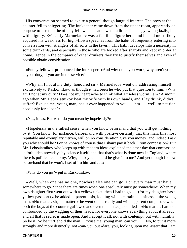His conversation seemed to excite a general though languid interest. The boys at the counter fell to sniggering. The innkeeper came down from the upper room, apparently on purpose to listen to the «funny fellow» and sat down at a little distance, yawning lazily, but with dignity. Evidently Marmeladov was a familiar figure here, and he had most likely acquired his weakness for high−flown speeches from the habit of frequently entering into conversation with strangers of all sorts in the tavern. This habit develops into a necessity in some drunkards, and especially in those who are looked after sharply and kept in order at home. Hence in the company of other drinkers they try to justify themselves and even if possible obtain consideration.

 «Funny fellow!» pronounced the innkeeper. «And why don't you work, why aren't you at your duty, if you are in the service?»

 «Why am I not at my duty, honoured sir,» Marmeladov went on, addressing himself exclusively to Raskolnikov, as though it had been he who put that question to him. «Why am I not at my duty? Does not my heart ache to think what a useless worm I am? A month ago when Mr. Lebeziatnikov beat my wife with his own hands, and I lay drunk, didn't I suffer? Excuse me, young man, has it ever happened to you . . . hm . . . well, to petition hopelessly for a loan?»

«Yes, it has. But what do you mean by hopelessly?»

 «Hopelessly in the fullest sense, when you know beforehand that you will get nothing by it. You know, for instance, beforehand with positive certainty that this man, this most reputable and exemplary citizen, will on no consideration give you money; and indeed I ask you why should he? For he knows of course that I shan't pay it back. From compassion? But Mr. Lebeziatnikov who keeps up with modern ideas explained the other day that compassion is forbidden nowadays by science itself, and that that's what is done now in England, where there is political economy. Why, I ask you, should he give it to me? And yet though I know beforehand that he won't, I set off to him and . . .»

«Why do you go?» put in Raskolnikov.

 «Well, when one has no one, nowhere else one can go! For every man must have somewhere to go. Since there are times when one absolutely must go somewhere! When my own daughter first went out with a yellow ticket, then I had to go . . . (for my daughter has a yellow passport),» he added in parenthesis, looking with a certain uneasiness at the young man. «No matter, sir, no matter!» he went on hurriedly and with apparent composure when both the boys at the counter guffawed and even the innkeeper smiled – «No matter, I am not confounded by the wagging of their heads; for everyone knows everything about it already, and all that is secret is made open. And I accept it all, not with contempt, but with humility. So be it! So be it! 'Behold the man!' Excuse me, young man, can you. . . . No, to put it more strongly and more distinctly; not /can/ you but /dare/ you, looking upon me, assert that I am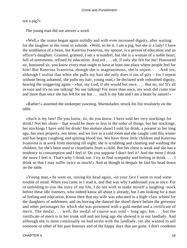not a pig?»

The young man did not answer a word.

 «Well,» the orator began again stolidly and with even increased dignity, after waiting for the laughter in the room to subside. «Well, so be it, I am a pig, but she is a lady! I have the semblance of a beast, but Katerina Ivanovna, my spouse, is a person of education and an officer's daughter. Granted, granted, I am a scoundrel, but she is a woman of a noble heart, full of sentiments, refined by education. And yet . . . oh, if only she felt for me! Honoured sir, honoured sir, you know every man ought to have at least one place where people feel for him! But Katerina Ivanovna, though she is magnanimous, she is unjust. . . . And yet, although I realise that when she pulls my hair she only does it out of pity – for I repeat without being ashamed, she pulls my hair, young man,» he declared with redoubled dignity, hearing the sniggering again – «but, my God, if she would but once... But no, no! It's all in vain and it's no use talking! No use talking! For more than once, my wish did come true and more than once she has felt for me but . . . such is my fate and I am a beast by nature!»

 «Rather!» assented the innkeeper yawning. Marmeladov struck his fist resolutely on the table.

 «Such is my fate! Do you know, sir, do you know, I have sold her very stockings for drink? Not her shoes – that would be more or less in the order of things, but her stockings, her stockings I have sold for drink! Her mohair shawl I sold for drink, a present to her long ago, her own property, not mine; and we live in a cold room and she caught cold this winter and has begun coughing and spitting blood too. We have three little children and Katerina Ivanovna is at work from morning till night; she is scrubbing and cleaning and washing the children, for she's been used to cleanliness from a child. But her chest is weak and she has a tendency to consumption and I feel it! Do you suppose I don't feel it? And the more I drink the more I feel it. That's why I drink too. I try to find sympathy and feeling in drink. . . . I drink so that I may suffer twice as much!» And as though in despair he laid his head down on the table.

 «Young man,» he went on, raising his head again, «in your face I seem to read some trouble of mind. When you came in I read it, and that was why I addressed you at once. For in unfolding to you the story of my life, I do not wish to make myself a laughing−stock before these idle listeners, who indeed know all about it already, but I am looking for a man of feeling and education. Know then that my wife was educated in a high−class school for the daughters of noblemen, and on leaving she danced the shawl dance before the governor and other personages for which she was presented with a gold medal and a certificate of merit. The medal . . . well, the medal of course was sold – long ago, hm . . . but the certificate of merit is in her trunk still and not long ago she showed it to our landlady. And although she is most continually on bad terms with the landlady, yet she wanted to tell someone or other of her past honours and of the happy days that are gone. I don't condemn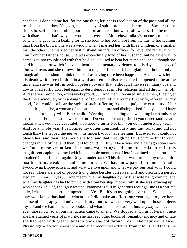her for it, I don't blame her, for the one thing left her is recollection of the past, and all the rest is dust and ashes. Yes, yes, she is a lady of spirit, proud and determined. She scrubs the floors herself and has nothing but black bread to eat, but won't allow herself to be treated with disrespect. That's why she would not overlook Mr. Lebeziatnikov's rudeness to her, and so when he gave her a beating for it, she took to her bed more from the hurt to her feelings than from the blows. She was a widow when I married her, with three children, one smaller than the other. She married her first husband, an infantry officer, for love, and ran away with him from her father's house. She was exceedingly fond of her husband; but he gave way to cards, got into trouble and with that he died. He used to beat her at the end: and although she paid him back, of which I have authentic documentary evidence, to this day she speaks of him with tears and she throws him up to me; and I am glad, I am glad that, though only in imagination, she should think of herself as having once been happy. . . . And she was left at his death with three children in a wild and remote district where I happened to be at the time; and she was left in such hopeless poverty that, although I have seen many ups and downs of all sort, I don't feel equal to describing it even. Her relations had all thrown her off. And she was proud, too, excessively proud. . . . And then, honoured sir, and then, I, being at the time a widower, with a daughter of fourteen left me by my first wife, offered her my hand, for I could not bear the sight of such suffering. You can judge the extremity of her calamities, that she, a woman of education and culture and distinguished family, should have consented to be my wife. But she did! Weeping and sobbing and wringing her hands, she married me! For she had nowhere to turn! Do you understand, sir, do you understand what it means when you have absolutely nowhere to turn? No, that you don't understand yet. . . . And for a whole year, I performed my duties conscientiously and faithfully, and did not touch this» (he tapped the jug with his finger), «for I have feelings. But even so, I could not please her; and then I lost my place too, and that through no fault of mine but through changes in the office; and then I did touch it! . . . It will be a year and a half ago soon since we found ourselves at last after many wanderings and numerous calamities in this magnificent capital, adorned with innumerable monuments. Here I obtained a situation. . . . I obtained it and I lost it again. Do you understand? This time it was through my own fault I lost it: for my weakness had come out. . . . We have now part of a room at Amalia Fyodorovna Lippevechsel's; and what we live upon and what we pay our rent with, I could not say. There are a lot of people living there besides ourselves. Dirt and disorder, a perfect Bedlam . . . hm . . . yes . . . And meanwhile my daughter by my first wife has grown up; and what my daughter has had to put up with from her step−mother whilst she was growing up, I won't speak of. For, though Katerina Ivanovna is full of generous feelings, she is a spirited lady, irritable and short – tempered. . . . Yes. But it's no use going over that! Sonia, as you may well fancy, has had no education. I did make an effort four years ago to give her a course of geography and universal history, but as I was not very well up in those subjects myself and we had no suitable books, and what books we had . . . hm, anyway we have not even those now, so all our instruction came to an end. We stopped at Cyrus of Persia. Since she has attained years of maturity, she has read other books of romantic tendency and of late she had read with great interest a book she got through Mr. Lebeziatnikov, Lewes' Physiology – do you know it? – and even recounted extracts from it to us: and that's the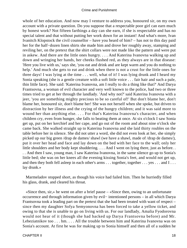whole of her education. And now may I venture to address you, honoured sir, on my own account with a private question. Do you suppose that a respectable poor girl can earn much by honest work? Not fifteen farthings a day can she earn, if she is respectable and has no special talent and that without putting her work down for an instant! And what's more, Ivan Ivanitch Klopstock the civil counsellor – have you heard of him? – has not to this day paid her for the half−dozen linen shirts she made him and drove her roughly away, stamping and reviling her, on the pretext that the shirt collars were not made like the pattern and were put in askew. And there are the little ones hungry. . . . And Katerina Ivanovna walking up and down and wringing her hands, her cheeks flushed red, as they always are in that disease: 'Here you live with us,' says she, 'you eat and drink and are kept warm and you do nothing to help.' And much she gets to eat and drink when there is not a crust for the little ones for three days! I was lying at the time . . . well, what of it! I was lying drunk and I heard my Sonia speaking (she is a gentle creature with a soft little voice . . . fair hair and such a pale, thin little face). She said: 'Katerina Ivanovna, am I really to do a thing like that?' And Darya Frantsovna, a woman of evil character and very well known to the police, had two or three times tried to get at her through the landlady. 'And why not?' said Katerina Ivanovna with a jeer, 'you are something mighty precious to be so careful of!' But don't blame her, don't blame her, honoured sir, don't blame her! She was not herself when she spoke, but driven to distraction by her illness and the crying of the hungry children; and it was said more to wound her than anything else. . . . For that's Katerina Ivanovna's character, and when children cry, even from hunger, she falls to beating them at once. At six o'clock I saw Sonia get up, put on her kerchief and her cape, and go out of the room and about nine o'clock she came back. She walked straight up to Katerina Ivanovna and she laid thirty roubles on the table before her in silence. She did not utter a word, she did not even look at her, she simply picked up our big green /drap de dames/ shawl (we have a shawl, made of /drap de dames/), put it over her head and face and lay down on the bed with her face to the wall; only her little shoulders and her body kept shuddering. . . . And I went on lying there, just as before. . . . And then I saw, young man, I saw Katerina Ivanovna, in the same silence go up to Sonia's little bed; she was on her knees all the evening kissing Sonia's feet, and would not get up, and then they both fell asleep in each other's arms . . . together, together . . . yes . . . and I . . . lay drunk.»

 Marmeladov stopped short, as though his voice had failed him. Then he hurriedly filled his glass, drank, and cleared his throat.

 «Since then, sir,» he went on after a brief pause – «Since then, owing to an unfortunate occurrence and through information given by evil− intentioned persons – in all which Darya Frantsovna took a leading part on the pretext that she had been treated with want of respect – since then my daughter Sofya Semyonovna has been forced to take a yellow ticket, and owing to that she is unable to go on living with us. For our landlady, Amalia Fyodorovna would not hear of it (though she had backed up Darya Frantsovna before) and Mr. Lebeziatnikov too . . . hm. . . . All the trouble between him and Katerina Ivanovna was on Sonia's account. At first he was for making up to Sonia himself and then all of a sudden he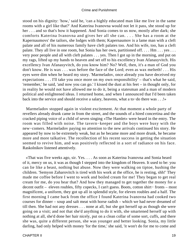stood on his dignity: 'how,' said he, 'can a highly educated man like me live in the same rooms with a girl like that?' And Katerina Ivanovna would not let it pass, she stood up for her . . . and so that's how it happened. And Sonia comes to us now, mostly after dark; she comforts Katerina Ivanovna and gives her all she can. . . . She has a room at the Kapernaumovs' the tailors, she lodges with them; Kapernaumov is a lame man with a cleft palate and all of his numerous family have cleft palates too. And his wife, too, has a cleft palate. They all live in one room, but Sonia has her own, partitioned off.... Hm... yes... very poor people and all with cleft palates . . . yes. Then I got up in the morning, and put on my rags, lifted up my hands to heaven and set off to his excellency Ivan Afanasyvitch. His excellency Ivan Afanasyvitch, do you know him? No? Well, then, it's a man of God you don't know. He is wax . . . wax before the face of the Lord; even as wax melteth! . . . His eyes were dim when he heard my story. 'Marmeladov, once already you have deceived my expectations . . . I'll take you once more on my own responsibility' – that's what he said, 'remember,' he said, 'and now you can go.' I kissed the dust at his feet – in thought only, for in reality he would not have allowed me to do it, being a statesman and a man of modern political and enlightened ideas. I returned home, and when I announced that I'd been taken back into the service and should receive a salary, heavens, what a to−do there was . . .!»

 Marmeladov stopped again in violent excitement. At that moment a whole party of revellers already drunk came in from the street, and the sounds of a hired concertina and the cracked piping voice of a child of seven singing «The Hamlet» were heard in the entry. The room was filled with noise. The tavern−keeper and the boys were busy with the new−comers. Marmeladov paying no attention to the new arrivals continued his story. He appeared by now to be extremely weak, but as he became more and more drunk, he became more and more talkative. The recollection of his recent success in getting the situation seemed to revive him, and was positively reflected in a sort of radiance on his face. Raskolnikov listened attentively.

 «That was five weeks ago, sir. Yes. . . . As soon as Katerina Ivanovna and Sonia heard of it, mercy on us, it was as though I stepped into the kingdom of Heaven. It used to be: you can lie like a beast, nothing but abuse. Now they were walking on tiptoe, hushing the children. 'Semyon Zaharovitch is tired with his work at the office, he is resting, shh!' They made me coffee before I went to work and boiled cream for me! They began to get real cream for me, do you hear that? And how they managed to get together the money for a decent outfit – eleven roubles, fifty copecks, I can't guess. Boots, cotton shirt− fronts – most magnificent, a uniform, they got up all in splendid style, for eleven roubles and a half. The first morning I came back from the office I found Katerina Ivanovna had cooked two courses for dinner – soup and salt meat with horse radish – which we had never dreamed of till then. She had not any dresses . . . none at all, but she got herself up as though she were going on a visit; and not that she'd anything to do it with, she smartened herself up with nothing at all, she'd done her hair nicely, put on a clean collar of some sort, cuffs, and there she was, quite a different person, she was younger and better looking. Sonia, my little darling, had only helped with money 'for the time,' she said, 'it won't do for me to come and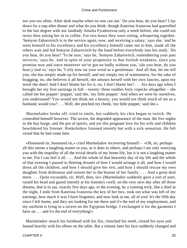see you too often. After dark maybe when no one can see.' Do you hear, do you hear? I lay down for a nap after dinner and what do you think: though Katerina Ivanovna had quarrelled to the last degree with our landlady Amalia Fyodorovna only a week before, she could not resist then asking her in to coffee. For two hours they were sitting, whispering together. 'Semyon Zaharovitch is in the service again, now, and receiving a salary,' says she, 'and he went himself to his excellency and his excellency himself came out to him, made all the others wait and led Semyon Zaharovitch by the hand before everybody into his study.' Do you hear, do you hear? 'To be sure,' says he, 'Semyon Zaharovitch, remembering your past services,' says he, 'and in spite of your propensity to that foolish weakness, since you promise now and since moreover we've got on badly without you,' (do you hear, do you hear;) 'and so,' says he, 'I rely now on your word as a gentleman.' And all that, let me tell you, she has simply made up for herself, and not simply out of wantonness, for the sake of bragging; no, she believes it all herself, she amuses herself with her own fancies, upon my word she does! And I don't blame her for it, no, I don't blame her! . . . Six days ago when I brought her my first earnings in full – twenty−three roubles forty copecks altogether – she called me her poppet: 'poppet,' said she, 'my little poppet.' And when we were by ourselves, you understand? You would not think me a beauty, you would not think much of me as a husband, would you? . . . Well, she pinched my cheek, 'my little poppet,' said she.»

 Marmeladov broke off, tried to smile, but suddenly his chin began to twitch. He controlled himself however. The tavern, the degraded appearance of the man, the five nights in the hay barge, and the pot of spirits, and yet this poignant love for his wife and children bewildered his listener. Raskolnikov listened intently but with a sick sensation. He felt vexed that he had come here.

 «Honoured sir, honoured sir,» cried Marmeladov recovering himself – «Oh, sir, perhaps all this seems a laughing matter to you, as it does to others, and perhaps I am only worrying you with the stupidity of all the trivial details of my home life, but it is not a laughing matter to me. For I can feel it all. . . . And the whole of that heavenly day of my life and the whole of that evening I passed in fleeting dreams of how I would arrange it all, and how I would dress all the children, and how I should give her rest, and how I should rescue my own daughter from dishonour and restore her to the bosom of her family. . . . And a great deal more. . . . Quite excusable, sir. Well, then, sir» (Marmeladov suddenly gave a sort of start, raised his head and gazed intently at his listener) «well, on the very next day after all those dreams, that is to say, exactly five days ago, in the evening, by a cunning trick, like a thief in the night, I stole from Katerina Ivanovna the key of her box, took out what was left of my earnings, how much it was I have forgotten, and now look at me, all of you! It's the fifth day since I left home, and they are looking for me there and it's the end of my employment, and my uniform is lying in a tavern on the Egyptian bridge. I exchanged it for the garments I have on . . . and it's the end of everything!»

 Marmeladov struck his forehead with his fist, clenched his teeth, closed his eyes and leaned heavily with his elbow on the table. But a minute later his face suddenly changed and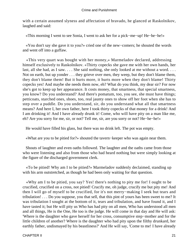with a certain assumed slyness and affectation of bravado, he glanced at Raskolnikov, laughed and said:

«This morning I went to see Sonia, I went to ask her for a pick−me−up! He−he−he!»

 «You don't say she gave it to you?» cried one of the new−comers; he shouted the words and went off into a guffaw.

 «This very quart was bought with her money,» Marmeladov declared, addressing himself exclusively to Raskolnikov. «Thirty copecks she gave me with her own hands, her last, all she had, as I saw. . . . She said nothing, she only looked at me without a word. . . . Not on earth, but up yonder . . . they grieve over men, they weep, but they don't blame them, they don't blame them! But it hurts more, it hurts more when they don't blame! Thirty copecks yes! And maybe she needs them now, eh? What do you think, my dear sir? For now she's got to keep up her appearance. It costs money, that smartness, that special smartness, you know? Do you understand? And there's pomatum, too, you see, she must have things; petticoats, starched ones, shoes, too, real jaunty ones to show off her foot when she has to step over a puddle. Do you understand, sir, do you understand what all that smartness means? And here I, her own father, here I took thirty copecks of that money for a drink! And I am drinking it! And I have already drunk it! Come, who will have pity on a man like me, eh? Are you sorry for me, sir, or not? Tell me, sir, are you sorry or not? He−he−he!»

He would have filled his glass, but there was no drink left. The pot was empty.

«What are you to be pitied for?» shouted the tavern−keeper who was again near them.

 Shouts of laughter and even oaths followed. The laughter and the oaths came from those who were listening and also from those who had heard nothing but were simply looking at the figure of the discharged government clerk.

 «To be pitied! Why am I to be pitied?» Marmeladov suddenly declaimed, standing up with his arm outstretched, as though he had been only waiting for that question.

 «Why am I to be pitied, you say? Yes! there's nothing to pity me for! I ought to be crucified, crucified on a cross, not pitied! Crucify me, oh judge, crucify me but pity me! And then I will go of myself to be crucified, for it's not merry−making I seek but tears and tribulation! . . . Do you suppose, you that sell, that this pint of yours has been sweet to me? It was tribulation I sought at the bottom of it, tears and tribulation, and have found it, and I have tasted it; but He will pity us Who has had pity on all men, Who has understood all men and all things, He is the One, He too is the judge. He will come in that day and He will ask: 'Where is the daughter who gave herself for her cross, consumptive step−mother and for the little children of another? Where is the daughter who had pity upon the filthy drunkard, her earthly father, undismayed by his beastliness?' And He will say, 'Come to me! I have already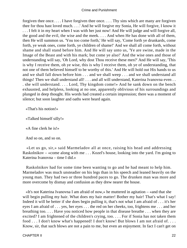forgiven thee once. . . . I have forgiven thee once. . . . Thy sins which are many are forgiven thee for thou hast loved much. . . .' And he will forgive my Sonia, He will forgive, I know it . . . I felt it in my heart when I was with her just now! And He will judge and will forgive all, the good and the evil, the wise and the meek. . . . And when He has done with all of them, then He will summon us. 'You too come forth,' He will say, 'Come forth ye drunkards, come forth, ye weak ones, come forth, ye children of shame!' And we shall all come forth, without shame and shall stand before him. And He will say unto us, 'Ye are swine, made in the Image of the Beast and with his mark; but come ye also!' And the wise ones and those of understanding will say, 'Oh Lord, why dost Thou receive these men?' And He will say, 'This is why I receive them, oh ye wise, this is why I receive them, oh ye of understanding, that not one of them believed himself to be worthy of this.' And He will hold out His hands to us and we shall fall down before him . . . and we shall weep . . . and we shall understand all things! Then we shall understand all! . . . and all will understand, Katerina Ivanovna even . . . she will understand. . . . Lord, Thy kingdom come!» And he sank down on the bench exhausted, and helpless, looking at no one, apparently oblivious of his surroundings and plunged in deep thought. His words had created a certain impression; there was a moment of silence; but soon laughter and oaths were heard again.

«That's his notion!»

«Talked himself silly!»

«A fine clerk he is!»

And so on, and so on.

 «Let us go, sir,» said Marmeladov all at once, raising his head and addressing Raskolnikov – «come along with me . . . Kozel's house, looking into the yard. I'm going to Katerina Ivanovna – time I did.»

 Raskolnikov had for some time been wanting to go and he had meant to help him. Marmeladov was much unsteadier on his legs than in his speech and leaned heavily on the young man. They had two or three hundred paces to go. The drunken man was more and more overcome by dismay and confusion as they drew nearer the house.

 «It's not Katerina Ivanovna I am afraid of now,» he muttered in agitation – «and that she will begin pulling my hair. What does my hair matter! Bother my hair! That's what I say! Indeed it will be better if she does begin pulling it, that's not what I am afraid of . . . it's her eyes I am afraid of . . . yes, her eyes . . . the red on her cheeks, too, frightens me . . . and her breathing too. . . . Have you noticed how people in that disease breathe . . . when they are excited? I am frightened of the children's crying, too. . . . For if Sonia has not taken them food . . . I don't know what's happened! I don't know! But blows I am not afraid of. . . . Know, sir, that such blows are not a pain to me, but even an enjoyment. In fact I can't get on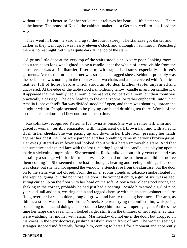without it. . . . It's better so. Let her strike me, it relieves her heart . . . it's better so . . . There is the house. The house of Kozel, the cabinet−maker . . . a German, well−to−do. Lead the way!»

 They went in from the yard and up to the fourth storey. The staircase got darker and darker as they went up. It was nearly eleven o'clock and although in summer in Petersburg there is no real night, yet it was quite dark at the top of the stairs.

 A grimy little door at the very top of the stairs stood ajar. A very poor−looking room about ten paces long was lighted up by a candle−end; the whole of it was visible from the entrance. It was all in disorder, littered up with rags of all sorts, especially children's garments. Across the furthest corner was stretched a ragged sheet. Behind it probably was the bed. There was nothing in the room except two chairs and a sofa covered with American leather, full of holes, before which stood an old deal kitchen−table, unpainted and uncovered. At the edge of the table stood a smoldering tallow−candle in an iron candlestick. It appeared that the family had a room to themselves, not part of a room, but their room was practically a passage. The door leading to the other rooms, or rather cupboards, into which Amalia Lippevechsel's flat was divided stood half open, and there was shouting, uproar and laughter within. People seemed to be playing cards and drinking tea there. Words of the most unceremonious kind flew out from time to time.

 Raskolnikov recognised Katerina Ivanovna at once. She was a rather tall, slim and graceful woman, terribly emaciated, with magnificent dark brown hair and with a hectic flush in her cheeks. She was pacing up and down in her little room, pressing her hands against her chest; her lips were parched and her breathing came in nervous broken gasps. Her eyes glittered as in fever and looked about with a harsh immovable stare. And that consumptive and excited face with the last flickering light of the candle−end playing upon it made a sickening impression. She seemed to Raskolnikov about thirty years old and was certainly a strange wife for Marmeladov. . . . She had not heard them and did not notice them coming in. She seemed to be lost in thought, hearing and seeing nothing. The room was close, but she had not opened the window; a stench rose from the staircase, but the door on to the stairs was not closed. From the inner rooms clouds of tobacco smoke floated in, she kept coughing, but did not close the door. The youngest child, a girl of six, was asleep, sitting curled up on the floor with her head on the sofa. A boy a year older stood crying and shaking in the corner, probably he had just had a beating. Beside him stood a girl of nine years old, tall and thin, wearing a thin and ragged chemise with an ancient cashmere pelisse flung over her bare shoulders, long outgrown and barely reaching her knees. Her arm, as thin as a stick, was round her brother's neck. She was trying to comfort him, whispering something to him, and doing all she could to keep him from whimpering again. At the same time her large dark eyes, which looked larger still from the thinness of her frightened face, were watching her mother with alarm. Marmeladov did not enter the door, but dropped on his knees in the very doorway, pushing Raskolnikov in front of him. The woman seeing a stranger stopped indifferently facing him, coming to herself for a moment and apparently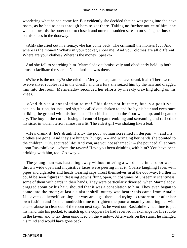wondering what he had come for. But evidently she decided that he was going into the next room, as he had to pass through hers to get there. Taking no further notice of him, she walked towards the outer door to close it and uttered a sudden scream on seeing her husband on his knees in the doorway.

 «Ah!» she cried out in a frenzy, «he has come back! The criminal! the monster! . . . And where is the money? What's in your pocket, show me! And your clothes are all different! Where are your clothes? Where is the money! Speak!»

 And she fell to searching him. Marmeladov submissively and obediently held up both arms to facilitate the search. Not a farthing was there.

 «Where is the money?» she cried – «Mercy on us, can he have drunk it all? There were twelve silver roubles left in the chest!» and in a fury she seized him by the hair and dragged him into the room. Marmeladov seconded her efforts by meekly crawling along on his knees.

 «And this is a consolation to me! This does not hurt me, but is a positive con−so−la−tion, ho−nou−red sir,» he called out, shaken to and fro by his hair and even once striking the ground with his forehead. The child asleep on the floor woke up, and began to cry. The boy in the corner losing all control began trembling and screaming and rushed to his sister in violent terror, almost in a fit. The eldest girl was shaking like a leaf.

 «He's drunk it! he's drunk it all,» the poor woman screamed in despair – «and his clothes are gone! And they are hungry, hungry!» – and wringing her hands she pointed to the children. «Oh, accursed life! And you, are you not ashamed?» – she pounced all at once upon Raskolnikov – «from the tavern! Have you been drinking with him? You have been drinking with him, too! Go away!»

 The young man was hastening away without uttering a word. The inner door was thrown wide open and inquisitive faces were peering in at it. Coarse laughing faces with pipes and cigarettes and heads wearing caps thrust themselves in at the doorway. Further in could be seen figures in dressing gowns flung open, in costumes of unseemly scantiness, some of them with cards in their hands. They were particularly diverted, when Marmeladov, dragged about by his hair, shouted that it was a consolation to him. They even began to come into the room; at last a sinister shrill outcry was heard: this came from Amalia Lippevechsel herself pushing her way amongst them and trying to restore order after her own fashion and for the hundredth time to frighten the poor woman by ordering her with coarse abuse to clear out of the room next day. As he went out, Raskolnikov had time to put his hand into his pocket, to snatch up the coppers he had received in exchange for his rouble in the tavern and to lay them unnoticed on the window. Afterwards on the stairs, he changed his mind and would have gone back.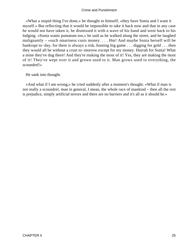«What a stupid thing I've done,» he thought to himself, «they have Sonia and I want it myself.» But reflecting that it would be impossible to take it back now and that in any case he would not have taken it, he dismissed it with a wave of his hand and went back to his lodging. «Sonia wants pomatum too,» he said as he walked along the street, and he laughed malignantly – «such smartness costs money. . . . Hm! And maybe Sonia herself will be bankrupt to−day, for there is always a risk, hunting big game . . . digging for gold . . . then they would all be without a crust to−morrow except for my money. Hurrah for Sonia! What a mine they've dug there! And they're making the most of it! Yes, they are making the most of it! They've wept over it and grown used to it. Man grows used to everything, the scoundrel!»

He sank into thought.

 «And what if I am wrong,» he cried suddenly after a moment's thought. «What if man is not really a scoundrel, man in general, I mean, the whole race of mankind – then all the rest is prejudice, simply artificial terrors and there are no barriers and it's all as it should be.»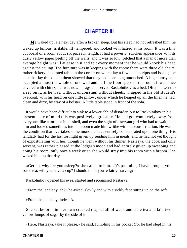### **[CHAPTER III](#page-465-0)**

*H*e waked up late next day after a broken sleep. But his sleep had not refreshed him; he waked up bilious, irritable, ill−tempered, and looked with hatred at his room. It was a tiny cupboard of a room about six paces in length. It had a poverty−stricken appearance with its dusty yellow paper peeling off the walls, and it was so low−pitched that a man of more than average height was ill at ease in it and felt every moment that he would knock his head against the ceiling. The furniture was in keeping with the room: there were three old chairs, rather rickety; a painted table in the corner on which lay a few manuscripts and books; the dust that lay thick upon them showed that they had been long untouched. A big clumsy sofa occupied almost the whole of one wall and half the floor space of the room; it was once covered with chintz, but was now in rags and served Raskolnikov as a bed. Often he went to sleep on it, as he was, without undressing, without sheets, wrapped in his old student's overcoat, with his head on one little pillow, under which he heaped up all the linen he had, clean and dirty, by way of a bolster. A little table stood in front of the sofa.

 It would have been difficult to sink to a lower ebb of disorder, but to Raskolnikov in his present state of mind this was positively agreeable. He had got completely away from everyone, like a tortoise in its shell, and even the sight of a servant girl who had to wait upon him and looked sometimes into his room made him writhe with nervous irritation. He was in the condition that overtakes some monomaniacs entirely concentrated upon one thing. His landlady had for the last fortnight given up sending him in meals, and he had not yet thought of expostulating with her, though he went without his dinner. Nastasya, the cook and only servant, was rather pleased at the lodger's mood and had entirely given up sweeping and doing his room, only once a week or so she would stray into his room with a broom. She waked him up that day.

 «Get up, why are you asleep?» she called to him. «It's past nine, I have brought you some tea; will you have a cup? I should think you're fairly starving?»

Raskolnikov opened his eyes, started and recognised Nastasya.

«From the landlady, eh?» he asked, slowly and with a sickly face sitting up on the sofa.

«From the landlady, indeed!»

 She set before him her own cracked teapot full of weak and stale tea and laid two yellow lumps of sugar by the side of it.

«Here, Nastasya, take it please,» he said, fumbling in his pocket (for he had slept in his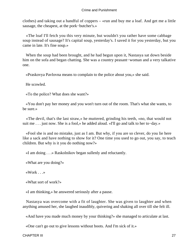clothes) and taking out a handful of coppers – «run and buy me a loaf. And get me a little sausage, the cheapest, at the pork−butcher's.»

 «The loaf I'll fetch you this very minute, but wouldn't you rather have some cabbage soup instead of sausage? It's capital soup, yesterday's. I saved it for you yesterday, but you came in late. It's fine soup.»

 When the soup had been brought, and he had begun upon it, Nastasya sat down beside him on the sofa and began chatting. She was a country peasant−woman and a very talkative one.

«Praskovya Pavlovna means to complain to the police about you,» she said.

He scowled.

«To the police? What does she want?»

 «You don't pay her money and you won't turn out of the room. That's what she wants, to be sure.»

 «The devil, that's the last straw,» he muttered, grinding his teeth, «no, that would not suit me . . . just now. She is a fool,» he added aloud. «I'll go and talk to her to−day.»

 «Fool she is and no mistake, just as I am. But why, if you are so clever, do you lie here like a sack and have nothing to show for it? One time you used to go out, you say, to teach children. But why is it you do nothing now?»

«I am doing . . .» Raskolnikov began sullenly and reluctantly.

«What are you doing?»

«Work . . .»

«What sort of work?»

«I am thinking,» he answered seriously after a pause.

 Nastasya was overcome with a fit of laughter. She was given to laughter and when anything amused her, she laughed inaudibly, quivering and shaking all over till she felt ill.

«And have you made much money by your thinking?» she managed to articulate at last.

«One can't go out to give lessons without boots. And I'm sick of it.»

CHAPTER III 27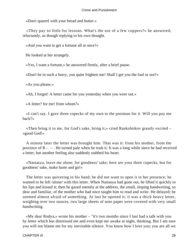«Don't quarrel with your bread and butter.»

 «They pay so little for lessons. What's the use of a few coppers?» he answered, reluctantly, as though replying to his own thought.

«And you want to get a fortune all at once?»

He looked at her strangely.

«Yes, I want a fortune,» he answered firmly, after a brief pause.

«Don't be in such a hurry, you quite frighten me! Shall I get you the loaf or not?»

«As you please.»

«Ah, I forgot! A letter came for you yesterday when you were out.»

«A letter? for me! from whom?»

 «I can't say. I gave three copecks of my own to the postman for it. Will you pay me back?»

 «Then bring it to me, for God's sake, bring it,» cried Raskolnikov greatly excited – «good God!»

 A minute later the letter was brought him. That was it: from his mother, from the province of  $R - -$ . He turned pale when he took it. It was a long while since he had received a letter, but another feeling also suddenly stabbed his heart.

 «Nastasya, leave me alone, for goodness' sake; here are your three copecks, but for goodness' sake, make haste and go!»

 The letter was quivering in his hand; he did not want to open it in her presence; he wanted to be left /alone/ with this letter. When Nastasya had gone out, he lifted it quickly to his lips and kissed it; then he gazed intently at the address, the small, sloping handwriting, so dear and familiar, of the mother who had once taught him to read and write. He delayed; he seemed almost afraid of something. At last he opened it; it was a thick heavy letter, weighing over two ounces, two large sheets of note paper were covered with very small handwriting.

 «My dear Rodya,» wrote his mother – "it's two months since I last had a talk with you by letter which has distressed me and even kept me awake at night, thinking. But I am sure you will not blame me for my inevitable silence. You know how I love you; you are all we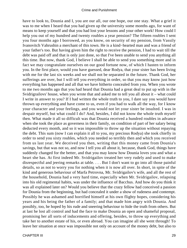have to look to, Dounia and I, you are our all, our one hope, our one stay. What a grief it was to me when I heard that you had given up the university some months ago, for want of means to keep yourself and that you had lost your lessons and your other work! How could I help you out of my hundred and twenty roubles a year pension? The fifteen roubles I sent you four months ago I borrowed, as you know, on security of my pension, from Vassily Ivanovitch Vahrushin a merchant of this town. He is a kind−hearted man and was a friend of your father's too. But having given him the right to receive the pension, I had to wait till the debt was paid off and that is only just done, so that I've been unable to send you anything all this time. But now, thank God, I believe I shall be able to send you something more and in fact we may congratulate ourselves on our good fortune now, of which I hasten to inform you. In the first place, would you have guessed, dear Rodya, that your sister has been living with me for the last six weeks and we shall not be separated in the future. Thank God, her sufferings are over, but I will tell you everything in order, so that you may know just how everything has happened and all that we have hitherto concealed from you. When you wrote to me two months ago that you had heard that Dounia had a great deal to put up with in the Svidrigrailovs' house, when you wrote that and asked me to tell you all about it – what could I write in answer to you? If I had written the whole truth to you, I dare say you would have thrown up everything and have come to us, even if you had to walk all the way, for I know your character and your feelings, and you would not let your sister be insulted. I was in despair myself, but what could I do? And, besides, I did not know the whole truth myself then. What made it all so difficult was that Dounia received a hundred roubles in advance when she took the place as governess in their family, on condition of part of her salary being deducted every month, and so it was impossible to throw up the situation without repaying the debt. This sum (now I can explain it all to you, my precious Rodya) she took chiefly in order to send you sixty roubles, which you needed so terribly then and which you received from us last year. We deceived you then, writing that this money came from Dounia's savings, but that was not so, and now I tell you all about it, because, thank God, things have suddenly changed for the better, and that you may know how Dounia loves you and what a heart she has. At first indeed Mr. Svidrigailov treated her very rudely and used to make disrespectful and jeering remarks at table. . . . But I don't want to go into all those painful details, so as not to worry you for nothing when it is now all over. In short, in spite of the kind and generous behaviour of Marfa Petrovna, Mr. Svidrigailov's wife, and all the rest of the household, Dounia had a very hard time, especially when Mr. Svidrigailov, relapsing into his old regimental habits, was under the influence of Bacchus. And how do you think it was all explained later on? Would you believe that the crazy fellow had conceived a passion for Dounia from the beginning, but had concealed it under a show of rudeness and contempt. Possibly he was ashamed and horrified himself at his own flighty hopes, considering his years and his being the father of a family; and that made him angry with Dounia. And possibly, too, he hoped by his rude and sneering behaviour to hide the truth from others. But at last he lost all control and had the face to make Dounia an open and shameful proposal, promising her all sorts of inducements and offering, besides, to throw up everything and take her to another estate of his, or even abroad. You can imagine all she went through! To leave her situation at once was impossible not only on account of the money debt, but also to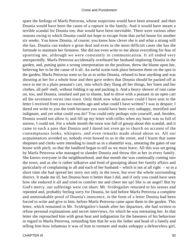spare the feelings of Marfa Petrovna, whose suspicions would have been aroused: and then Dounia would have been the cause of a rupture in the family. And it would have meant a terrible scandal for Dounia too; that would have been inevitable. There were various other reasons owing to which Dounia could not hope to escape from that awful house for another six weeks. You know Dounia, of course; you know how clever she is and what a strong will she has. Dounia can endure a great deal and even in the most difficult cases she has the fortitude to maintain her firmness. She did not even write to me about everything for fear of upsetting me, although we were constantly in communication. It all ended very unexpectedly. Marfa Petrovna accidentally overheard her husband imploring Dounia in the garden, and, putting quite a wrong interpretation on the position, threw the blame upon her, believing her to be the cause of it all. An awful scene took place between them on the spot in the garden; Marfa Petrovna went so far as to strike Dounia, refused to hear anything and was shouting at her for a whole hour and then gave orders that Dounia should be packed off at once to me in a plain peasant's cart, into which they flung all her things, her linen and her clothes, all pell−mell, without folding it up and packing it. And a heavy shower of rain came on, too, and Dounia, insulted and put to shame, had to drive with a peasant in an open cart all the seventeen versts into town. Only think now what answer could I have sent to the letter I received from you two months ago and what could I have written? I was in despair; I dared not write to you the truth because you would have been very unhappy, mortified and indignant, and yet what could you do? You could only perhaps ruin yourself, and, besides, Dounia would not allow it; and fill up my letter with trifles when my heart was so full of sorrow, I could not. For a whole month the town was full of gossip about this scandal, and it came to such a pass that Dounia and I dared not even go to church on account of the contemptuous looks, whispers, and even remarks made aloud about us. All our acquaintances avoided us, nobody even bowed to us in the street, and I learnt that some shopmen and clerks were intending to insult us in a shameful way, smearing the gates of our house with pitch, so that the landlord began to tell us we must leave. All this was set going by Marfa Petrovna who managed to slander Dounia and throw dirt at her in every family. She knows everyone in the neighbourhood, and that month she was continually coming into the town, and as she is rather talkative and fond of gossiping about her family affairs and particularly of complaining to all and each of her husband – which is not at all right – so in a short time she had spread her story not only in the town, but over the whole surrounding district. It made me ill, but Dounia bore it better than I did, and if only you could have seen how she endured it all and tried to comfort me and cheer me up! She is an angel! But by God's mercy, our sufferings were cut short: Mr. Svidrigailov returned to his senses and repented and, probably feeling sorry for Dounia, he laid before Marfa Petrovna a complete and unmistakable proof of Dounia's innocence, in the form of a letter Dounia had been forced to write and give to him, before Marfa Petrovna came upon them in the garden. This letter, which remained in Mr. Svidrigailov's hands after her departure, she had written to refuse personal explanations and secret interviews, for which he was entreating her. In that letter she reproached him with great heat and indignation for the baseness of his behaviour in regard to Marfa Petrovna, reminding him that he was the father and head of a family and telling him how infamous it was of him to torment and make unhappy a defenceless girl,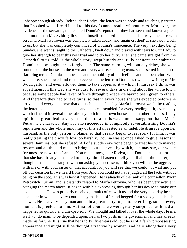unhappy enough already. Indeed, dear Rodya, the letter was so nobly and touchingly written that I sobbed when I read it and to this day I cannot read it without tears. Moreover, the evidence of the servants, too, cleared Dounia's reputation; they had seen and known a great deal more than Mr. Svidrigailov had himself supposed – as indeed is always the case with servants. Marfa Petrovna was completely taken aback, and 'again crushed' as she said herself to us, but she was completely convinced of Dounia's innocence. The very next day, being Sunday, she went straight to the Cathedral, knelt down and prayed with tears to Our Lady to give her strength to bear this new trial and to do her duty. Then she came straight from the Cathedral to us, told us the whole story, wept bitterly and, fully penitent, she embraced Dounia and besought her to forgive her. The same morning without any delay, she went round to all the houses in the town and everywhere, shedding tears, she asserted in the most flattering terms Dounia's innocence and the nobility of her feelings and her behavior. What was more, she showed and read to everyone the letter in Dounia's own handwriting to Mr. Svidrigailov and even allowed them to take copies of it – which I must say I think was superfluous. In this way she was busy for several days in driving about the whole town, because some people had taken offence through precedence having been given to others. And therefore they had to take turns, so that in every house she was expected before she arrived, and everyone knew that on such and such a day Marfa Petrovna would be reading the letter in such and such a place and people assembled for every reading of it, even many who had heard it several times already both in their own houses and in other people's. In my opinion a great deal, a very great deal of all this was unnecessary; but that's Marfa Petrovna's character. Anyway she succeeded in completely re−establishing Dounia's reputation and the whole ignominy of this affair rested as an indelible disgrace upon her husband, as the only person to blame, so that I really began to feel sorry for him; it was really treating the crazy fellow too harshly. Dounia was at once asked to give lessons in several families, but she refused. All of a sudden everyone began to treat her with marked respect and all this did much to bring about the event by which, one may say, our whole fortunes are now transformed. You must know, dear Rodya, that Dounia has a suitor and that she has already consented to marry him. I hasten to tell you all about the matter, and though it has been arranged without asking your consent, I think you will not be aggrieved with me or with your sister on that account, for you will see that we could not wait and put off our decision till we heard from you. And you could not have judged all the facts without being on the spot. This was how it happened. He is already of the rank of a counsellor, Pyotr Petrovitch Luzhin, and is distantly related to Marfa Petrovna, who has been very active in bringing the match about. It began with his expressing through her his desire to make our acquaintance. He was properly received, drank coffee with us and the very next day he sent us a letter in which he very courteously made an offer and begged for a speedy and decided answer. He is a very busy man and is in a great hurry to get to Petersburg, so that every moment is precious to him. At first, of course, we were greatly surprised, as it had all happened so quickly and unexpectedly. We thought and talked it over the whole day. He is a well−to−do man, to be depended upon, he has two posts in the government and has already made his fortune. It is true that he is forty−five years old, but he is of a fairly prepossessing appearance and might still be thought attractive by women, and he is altogether a very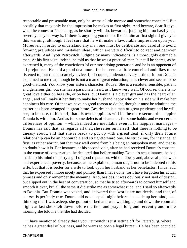respectable and presentable man, only he seems a little morose and somewhat conceited. But possibly that may only be the impression he makes at first sight. And beware, dear Rodya, when he comes to Petersburg, as he shortly will do, beware of judging him too hastily and severely, as your way is, if there is anything you do not like in him at first sight. I give you this warning, although I feel sure that he will make a favourable impression upon you. Moreover, in order to understand any man one must be deliberate and careful to avoid forming prejudices and mistaken ideas, which are very difficult to correct and get over afterwards. And Pyotr Petrovitch, judging by many indications, is a thoroughly estimable man. At his first visit, indeed, he told us that he was a practical man, but still he shares, as he expressed it, many of the convictions 'of our most rising generation' and he is an opponent of all prejudices. He said a good deal more, for he seems a little conceited and likes to be listened to, but this is scarcely a vice. I, of course, understood very little of it, but Dounia explained to me that, though he is not a man of great education, he is clever and seems to be good−natured. You know your sister's character, Rodya. She is a resolute, sensible, patient and generous girl, but she has a passionate heart, as I know very well. Of course, there is no great love either on his side, or on hers, but Dounia is a clever girl and has the heart of an angel, and will make it her duty to make her husband happy who on his side will make her happiness his care. Of that we have no good reason to doubt, though it must be admitted the matter has been arranged in great haste. Besides he is a man of great prudence and he will see, to be sure, of himself, that his own happiness will be the more secure, the happier Dounia is with him. And as for some defects of character, for some habits and even certain differences of opinion – which indeed are inevitable even in the happiest marriages – Dounia has said that, as regards all that, she relies on herself, that there is nothing to be uneasy about, and that she is ready to put up with a great deal, if only their future relationship can be an honourable and straightforward one. He struck me, for instance, at first, as rather abrupt, but that may well come from his being an outspoken man, and that is no doubt how it is. For instance, at his second visit, after he had received Dounia's consent, in the course of conversation, he declared that before making Dounia's acquaintance, he had made up his mind to marry a girl of good reputation, without dowry and, above all, one who had experienced poverty, because, as he explained, a man ought not to be indebted to his wife, but that it is better for a wife to look upon her husband as her benefactor. I must add that he expressed it more nicely and politely than I have done, for I have forgotten his actual phrases and only remember the meaning. And, besides, it was obviously not said of design, but slipped out in the heat of conversation, so that he tried afterwards to correct himself and smooth it over, but all the same it did strike me as somewhat rude, and I said so afterwards to Dounia. But Dounia was vexed, and answered that 'words are not deeds,' and that, of course, is perfectly true. Dounia did not sleep all night before she made up her mind, and, thinking that I was asleep, she got out of bed and was walking up and down the room all night; at last she knelt down before the ikon and prayed long and fervently and in the morning she told me that she had decided.

 "I have mentioned already that Pyotr Petrovitch is just setting off for Petersburg, where he has a great deal of business, and he wants to open a legal bureau. He has been occupied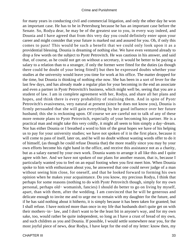for many years in conducting civil and commercial litigation, and only the other day he won an important case. He has to be in Petersburg because he has an important case before the Senate. So, Rodya dear, he may be of the greatest use to you, in every way indeed, and Dounia and I have agreed that from this very day you could definitely enter upon your career and might consider that your future is marked out and assured for you. Oh, if only this comes to pass! This would be such a benefit that we could only look upon it as a providential blessing. Dounia is dreaming of nothing else. We have even ventured already to drop a few words on the subject to Pyotr Petrovitch. He was cautious in his answer, and said that, of course, as he could not get on without a secretary, it would be better to be paying a salary to a relation than to a stranger, if only the former were fitted for the duties (as though there could be doubt of your being fitted!) but then he expressed doubts whether your studies at the university would leave you time for work at his office. The matter dropped for the time, but Dounia is thinking of nothing else now. She has been in a sort of fever for the last few days, and has already made a regular plan for your becoming in the end an associate and even a partner in Pyotr Petrovitch's business, which might well be, seeing that you are a student of law. I am in complete agreement with her, Rodya, and share all her plans and hopes, and think there is every probability of realising them. And in spite of Pyotr Petrovitch's evasiveness, very natural at present (since he does not know you), Dounia is firmly persuaded that she will gain everything by her good influence over her future husband; this she is reckoning upon. Of course we are careful not to talk of any of these more remote plans to Pyotr Petrovitch, especially of your becoming his partner. He is a practical man and might take this very coldly, it might all seem to him simply a day−dream. Nor has either Dounia or I breathed a word to him of the great hopes we have of his helping us to pay for your university studies; we have not spoken of it in the first place, because it will come to pass of itself, later on, and he will no doubt without wasting words offer to do it of himself, (as though he could refuse Dounia that) the more readily since you may by your own efforts become his right hand in the office, and receive this assistance not as a charity, but as a salary earned by your own work. Dounia wants to arrange it all like this and I quite agree with her. And we have not spoken of our plans for another reason, that is, because I particularly wanted you to feel on an equal footing when you first meet him. When Dounia spoke to him with enthusiasm about you, he answered that one could never judge of a man without seeing him close, for oneself, and that he looked forward to forming his own opinion when he makes your acquaintance. Do you know, my precious Rodya, I think that perhaps for some reasons (nothing to do with Pyotr Petrovitch though, simply for my own personal, perhaps old− womanish, fancies) I should do better to go on living by myself, apart, than with them, after the wedding. I am convinced that he will be generous and delicate enough to invite me and to urge me to remain with my daughter for the future, and if he has said nothing about it hitherto, it is simply because it has been taken for granted; but I shall refuse. I have noticed more than once in my life that husbands don't quite get on with their mothers−in− law, and I don't want to be the least bit in anyone's way, and for my own sake, too, would rather be quite independent, so long as I have a crust of bread of my own, and such children as you and Dounia. If possible, I would settle somewhere near you, for the most joyful piece of news, dear Rodya, I have kept for the end of my letter: know then, my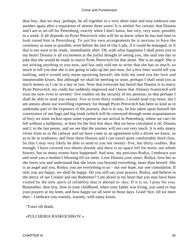dear boy, that we may, perhaps, be all together in a very short time and may embrace one another again after a separation of almost three years! It is settled /for certain/ that Dounia and I are to set off for Petersburg, exactly when I don't know, but very, very soon, possibly in a week. It all depends on Pyotr Petrovitch who will let us know when he has had time to look round him in Petersburg. To suit his own arrangements he is anxious to have the ceremony as soon as possible, even before the fast of Our Lady, if it could be managed, or if that is too soon to be ready, immediately after. Oh, with what happiness I shall press you to my heart! Dounia is all excitement at the joyful thought of seeing you, she said one day in joke that she would be ready to marry Pyotr Petrovitch for that alone. She is an angel! She is not writing anything to you now, and has only told me to write that she has so much, so much to tell you that she is not going to take up her pen now, for a few lines would tell you nothing, and it would only mean upsetting herself; she bids me send you her love and innumerable kisses. But although we shall be meeting so soon, perhaps I shall send you as much money as I can in a day or two. Now that everyone has heard that Dounia is to marry Pyotr Petrovitch, my credit has suddenly improved and I know that Afanasy Ivanovitch will trust me now even to seventy−five roubles on the security of my pension, so that perhaps I shall be able to send you twenty−five or even thirty roubles. I would send you more, but I am uneasy about our travelling expenses; for though Pyotr Petrovitch has been so kind as to undertake part of the expenses of the journey, that is to say, he has taken upon himself the conveyance of our bags and big trunk (which will be conveyed through some acquaintances of his), we must reckon upon some expense on our arrival in Petersburg, where we can't be left without a halfpenny, at least for the first few days. But we have calculated it all, Dounia and I, to the last penny, and we see that the journey will not cost very much. It is only ninety versts from us to the railway and we have come to an agreement with a driver we know, so as to be in readiness; and from there Dounia and I can travel quite comfortably third class. So that I may very likely be able to send to you not twenty−five, but thirty roubles. But enough; I have covered two sheets already and there is no space left for more; our whole history, but so many events have happened! And now, my precious Rodya, I embrace you and send you a mother's blessing till we meet. Love Dounia your sister, Rodya; love her as she loves you and understand that she loves you beyond everything, more than herself. She is an angel and you, Rodya, you are everything to us – our one hope, our one consolation. If only you are happy, we shall be happy. Do you still say your prayers, Rodya, and believe in the mercy of our Creator and our Redeemer? I am afraid in my heart that you may have been visited by the new spirit of infidelity that is abroad to−day; If it is so, I pray for you. Remember, dear boy, how in your childhood, when your father was living, you used to lisp your prayers at my knee, and how happy we all were in those days. Good−bye, till we meet then – I embrace you warmly, warmly, with many kisses.

"Yours till death,

#### «PULCHERIA RASKOLNIKOV.»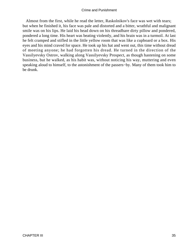Almost from the first, while he read the letter, Raskolnikov's face was wet with tears; but when he finished it, his face was pale and distorted and a bitter, wrathful and malignant smile was on his lips. He laid his head down on his threadbare dirty pillow and pondered, pondered a long time. His heart was beating violently, and his brain was in a turmoil. At last he felt cramped and stifled in the little yellow room that was like a cupboard or a box. His eyes and his mind craved for space. He took up his hat and went out, this time without dread of meeting anyone; he had forgotten his dread. He turned in the direction of the Vassilyevsky Ostrov, walking along Vassilyevsky Prospect, as though hastening on some business, but he walked, as his habit was, without noticing his way, muttering and even speaking aloud to himself, to the astonishment of the passers−by. Many of them took him to be drunk.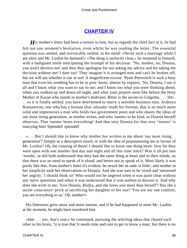### **[CHAPTER IV](#page-465-0)**

*H* is mother's letter had been a torture to him, but as regards the chief fact in it, he had felt not one moment's hesitation, even whilst he was reading the letter. The essential question was settled, and irrevocably settled, in his mind: «Never such a marriage while I am alive and Mr. Luzhin be damned!» «The thing is perfectly clear,» he muttered to himself, with a malignant smile anticipating the triumph of his decision. "No, mother, no, Dounia, you won't deceive me! and then they apologise for not asking my advice and for taking the decision without me! I dare say! They imagine it is arranged now and can't be broken off; but we will see whether it can or not! A magnificent excuse: 'Pyotr Petrovitch is such a busy man that even his wedding has to be in post−haste, almost by express.' No, Dounia, I see it all and I know what you want to say to me; and I know too what you were thinking about, when you walked up and down all night, and what your prayers were like before the Holy Mother of Kazan who stands in mother's bedroom. Bitter is the ascent to Golgotha. . . . Hm . . . so it is finally settled; you have determined to marry a sensible business man, Avdotya Romanovna, one who has a fortune (has /already/ made his fortune, that is so much more solid and impressive) a man who holds two government posts and who shares the ideas of our most rising generation, as mother writes, and who /seems/ to be kind, as Dounia herself observes. That /seems/ beats everything! And that very Dounia for that very '/seems/' is marrying him! Splendid! splendid!

 «. . . But I should like to know why mother has written to me about 'our most rising generation'? Simply as a descriptive touch, or with the idea of prepossessing me in favour of Mr. Luzhin? Oh, the cunning of them! I should like to know one thing more: how far they were open with one another that day and night and all this time since? Was it all put into /words/, or did both understand that they had the same thing at heart and in their minds, so that there was no need to speak of it aloud, and better not to speak of it. Most likely it was partly like that, from mother's letter it's evident: he struck her as rude /a little/, and mother in her simplicity took her observations to Dounia. And she was sure to be vexed and 'answered her angrily.' I should think so! Who would not be angered when it was quite clear without any naive questions and when it was understood that it was useless to discuss it. And why does she write to me, 'love Dounia, Rodya, and she loves you more than herself'? Has she a secret conscience−prick at sacrificing her daughter to her son? 'You are our one comfort, you are everything to us.' Oh, mother!»

 His bitterness grew more and more intense, and if he had happened to meet Mr. Luzhin at the moment, he might have murdered him.

 «Hm . . . yes, that's true,» he continued, pursuing the whirling ideas that chased each other in his brain, "it is true that 'it needs time and care to get to know a man,' but there is no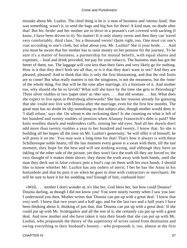mistake about Mr. Luzhin. The chief thing is he is 'a man of business and /seems/ kind,' that was something, wasn't it, to send the bags and big box for them! A kind man, no doubt after that! But his /bride/ and her mother are to drive in a peasant's cart covered with sacking (I know, I have been driven in it). No matter! It is only ninety versts and then they can 'travel very comfortably, third class,' for a thousand versts! Quite right, too. One must cut one's coat according to one's cloth, but what about you, Mr. Luzhin? She is your bride. . . . And you must be aware that her mother has to raise money on her pension for the journey. To be sure it's a matter of business, a partnership for mutual benefit, with equal shares and expenses; – food and drink provided, but pay for your tobacco. The business man has got the better of them, too. The luggage will cost less than their fares and very likely go for nothing. How is it that they don't both see all that, or is it that they don't want to see? And they are pleased, pleased! And to think that this is only the first blossoming, and that the real fruits are to come! But what really matters is not the stinginess, is not the meanness, but the /tone/ of the whole thing. For that will be the tone after marriage, it's a foretaste of it. And mother too, why should she be so lavish? What will she have by the time she gets to Petersburg? Three silver roubles or two 'paper ones' as /she/ says. . . . that old woman . . . hm. What does she expect to live upon in Petersburg afterwards? She has her reasons already for guessing that she /could not/ live with Dounia after the marriage, even for the first few months. The good man has no doubt let slip something on that subject also, though mother would deny it: 'I shall refuse,' says she. On whom is she reckoning then? Is she counting on what is left of her hundred and twenty roubles of pension when Afanasy Ivanovitch's debt is paid? She knits woollen shawls and embroiders cuffs, ruining her old eyes. And all her shawls don't add more than twenty roubles a year to her hundred and twenty, I know that. So she is building all her hopes all the time on Mr. Luzhin's generosity; 'he will offer it of himself, he will press it on me.' You may wait a long time for that! That's how it always is with these Schilleresque noble hearts; till the last moment every goose is a swan with them, till the last moment, they hope for the best and will see nothing wrong, and although they have an inkling of the other side of the picture, yet they won't face the truth till they are forced to; the very thought of it makes them shiver; they thrust the truth away with both hands, until the man they deck out in false colours puts a fool's cap on them with his own hands. I should like to know whether Mr. Luzhin has any orders of merit; I bet he has the Anna in his buttonhole and that he puts it on when he goes to dine with contractors or merchants. He will be sure to have it for his wedding, too! Enough of him, confound him!

 «Well, . . . mother I don't wonder at, it's like her, God bless her, but how could Dounia? Dounia darling, as though I did not know you! You were nearly twenty when I saw you last: I understood you then. Mother writes that 'Dounia can put up with a great deal.' I know that very well. I knew that two years and a half ago, and for the last two and a half years I have been thinking about it, thinking of just that, that 'Dounia can put up with a great deal.' If she could put up with Mr. Svidrigailov and all the rest of it, she certainly can put up with a great deal. And now mother and she have taken it into their heads that she can put up with Mr. Luzhin, who propounds the theory of the superiority of wives raised from destitution and owing everything to their husband's bounty – who propounds it, too, almost at the first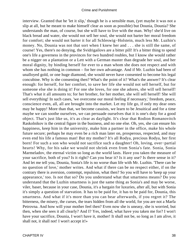interview. Granted that he 'let it slip,' though he is a sensible man, (yet maybe it was not a slip at all, but he meant to make himself clear as soon as possible) but Dounia, Dounia? She understands the man, of course, but she will have to live with the man. Why! she'd live on black bread and water, she would not sell her soul, she would not barter her moral freedom for comfort; she would not barter it for all Schleswig−Holstein, much less Mr. Luzhin's money. No, Dounia was not that sort when I knew her and . . . she is still the same, of course! Yes, there's no denying, the Svidrigailovs are a bitter pill! It's a bitter thing to spend one's life a governess in the provinces for two hundred roubles, but I know she would rather be a nigger on a plantation or a Lett with a German master than degrade her soul, and her moral dignity, by binding herself for ever to a man whom she does not respect and with whom she has nothing in common – for her own advantage. And if Mr. Luzhin had been of unalloyed gold, or one huge diamond, she would never have consented to become his legal concubine. Why is she consenting then? What's the point of it? What's the answer? It's clear enough: for herself, for her comfort, to save her life she would not sell herself, but for someone else she is doing it! For one she loves, for one she adores, she will sell herself! That's what it all amounts to; for her brother, for her mother, she will sell herself! She will sell everything! In such cases, 'we overcome our moral feeling if necessary,' freedom, peace, conscience even, all, all are brought into the market. Let my life go, if only my dear ones may be happy! More than that, we become casuists, we learn to be Jesuitical and for a time maybe we can soothe ourselves, we can persuade ourselves that it is one's duty for a good object. That's just like us, it's as clear as daylight. It's clear that Rodion Romanovitch Raskolnikov is the central figure in the business, and no one else. Oh, yes, she can ensure his happiness, keep him in the university, make him a partner in the office, make his whole future secure; perhaps he may even be a rich man later on, prosperous, respected, and may even end his life a famous man! But my mother? It's all Rodya, precious Rodya, her first born! For such a son who would not sacrifice such a daughter! Oh, loving, over−partial hearts! Why, for his sake we would not shrink even from Sonia's fate. Sonia, Sonia Marmeladov, the eternal victim so long as the world lasts. Have you taken the measure of your sacrifice, both of you? Is it right? Can you bear it? Is it any use? Is there sense in it? And let me tell you, Dounia, Sonia's life is no worse than life with Mr. Luzhin. 'There can be no question of love,' mother writes. And what if there can be no respect either, if on the contrary there is aversion, contempt, repulsion, what then? So you will have to 'keep up your appearance,' too. Is not that so? Do you understand what that smartness means? Do you understand that the Luzhin smartness is just the same thing as Sonia's and may be worse, viler, baser, because in your case, Dounia, it's a bargain for luxuries, after all, but with Sonia it's simply a question of starvation. It has to be paid for, it has to be paid for, Dounia, this smartness. And what if it's more than you can bear afterwards, if you regret it? The bitterness, the misery, the curses, the tears hidden from all the world, for you are not a Marfa Petrovna. And how will your mother feel then? Even now she is uneasy, she is worried, but then, when she sees it all clearly? And I? Yes, indeed, what have you taken me for? I won't have your sacrifice, Dounia, I won't have it, mother! It shall not be, so long as I am alive, it shall not, it shall not! I won't accept it!»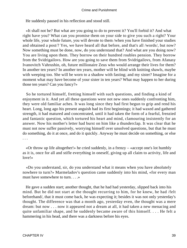He suddenly paused in his reflection and stood still.

 «It shall not be? But what are you going to do to prevent it? You'll forbid it? And what right have you? What can you promise them on your side to give you such a right? Your whole life, your whole future, you will devote to them /when you have finished your studies and obtained a post/? Yes, we have heard all that before, and that's all /words/, but now? Now something must be done, now, do you understand that? And what are you doing now? You are living upon them. They borrow on their hundred roubles pension. They borrow from the Svidrigailovs. How are you going to save them from Svidrigailovs, from Afanasy Ivanovitch Vahrushin, oh, future millionaire Zeus who would arrange their lives for them? In another ten years? In another ten years, mother will be blind with knitting shawls, maybe with weeping too. She will be worn to a shadow with fasting; and my sister? Imagine for a moment what may have become of your sister in ten years? What may happen to her during those ten years? Can you fancy?»

 So he tortured himself, fretting himself with such questions, and finding a kind of enjoyment in it. And yet all these questions were not new ones suddenly confronting him, they were old familiar aches. It was long since they had first begun to grip and rend his heart. Long, long ago his present anguish had its first beginnings; it had waxed and gathered strength, it had matured and concentrated, until it had taken the form of a fearful, frenzied and fantastic question, which tortured his heart and mind, clamouring insistently for an answer. Now his mother's letter had burst on him like a thunderclap. It was clear that he must not now suffer passively, worrying himself over unsolved questions, but that he must do something, do it at once, and do it quickly. Anyway he must decide on something, or else . . .

 «Or throw up life altogether!» he cried suddenly, in a frenzy – «accept one's lot humbly as it is, once for all and stifle everything in oneself, giving up all claim to activity, life and love!»

 «Do you understand, sir, do you understand what it means when you have absolutely nowhere to turn?» Marmeladov's question came suddenly into his mind, «for every man must have somewhere to turn. . . .»

 He gave a sudden start; another thought, that he had had yesterday, slipped back into his mind. But he did not start at the thought recurring to him, for he knew, he had /felt beforehand/, that it must come back, he was expecting it; besides it was not only yesterday's thought. The difference was that a month ago, yesterday even, the thought was a mere dream: but now . . . now it appeared not a dream at all, it had taken a new menacing and quite unfamiliar shape, and he suddenly became aware of this himself. . . . He felt a hammering in his head, and there was a darkness before his eyes.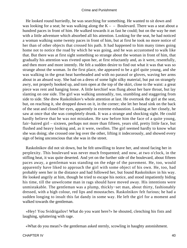He looked round hurriedly, he was searching for something. He wanted to sit down and was looking for a seat; he was walking along the  $K - -$  Boulevard. There was a seat about a hundred paces in front of him. He walked towards it as fast he could; but on the way he met with a little adventure which absorbed all his attention. Looking for the seat, he had noticed a woman walking some twenty paces in front of him, but at first he took no more notice of her than of other objects that crossed his path. It had happened to him many times going home not to notice the road by which he was going, and he was accustomed to walk like that. But there was at first sight something so strange about the woman in front of him, that gradually his attention was riveted upon her, at first reluctantly and, as it were, resentfully, and then more and more intently. He felt a sudden desire to find out what it was that was so strange about the woman. In the first place, she appeared to be a girl quite young, and she was walking in the great heat bareheaded and with no parasol or gloves, waving her arms about in an absurd way. She had on a dress of some light silky material, but put on strangely awry, not properly hooked up, and torn open at the top of the skirt, close to the waist: a great piece was rent and hanging loose. A little kerchief was flung about her bare throat, but lay slanting on one side. The girl was walking unsteadily, too, stumbling and staggering from side to side. She drew Raskolnikov's whole attention at last. He overtook the girl at the seat, but, on reaching it, she dropped down on it, in the corner; she let her head sink on the back of the seat and closed her eyes, apparently in extreme exhaustion. Looking at her closely, he saw at once that she was completely drunk. It was a strange and shocking sight. He could hardly believe that he was not mistaken. He saw before him the face of a quite young, fair−haired girl – sixteen, perhaps not more than fifteen, years old, pretty little face, but flushed and heavy looking and, as it were, swollen. The girl seemed hardly to know what she was doing; she crossed one leg over the other, lifting it indecorously, and showed every sign of being unconscious that she was in the street.

 Raskolnikov did not sit down, but he felt unwilling to leave her, and stood facing her in perplexity. This boulevard was never much frequented; and now, at two o'clock, in the stifling heat, it was quite deserted. And yet on the further side of the boulevard, about fifteen paces away, a gentleman was standing on the edge of the pavement. He, too, would apparently have liked to approach the girl with some object of his own. He, too, had probably seen her in the distance and had followed her, but found Raskolnikov in his way. He looked angrily at him, though he tried to escape his notice, and stood impatiently biding his time, till the unwelcome man in rags should have moved away. His intentions were unmistakable. The gentleman was a plump, thickly−set man, about thirty, fashionably dressed, with a high colour, red lips and moustaches. Raskolnikov felt furious; he had a sudden longing to insult this fat dandy in some way. He left the girl for a moment and walked towards the gentleman.

 «Hey! You Svidrigailov! What do you want here?» he shouted, clenching his fists and laughing, spluttering with rage.

«What do you mean?» the gentleman asked sternly, scowling in haughty astonishment.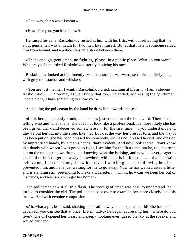«Get away, that's what I mean.»

«How dare you, you low fellow!»

 He raised his cane. Raskolnikov rushed at him with his fists, without reflecting that the stout gentleman was a match for two men like himself. But at that instant someone seized him from behind, and a police constable stood between them.

 «That's enough, gentlemen, no fighting, please, in a public place. What do you want? Who are you?» he asked Raskolnikov sternly, noticing his rags.

 Raskolnikov looked at him intently. He had a straight−forward, sensible, soldierly face, with grey moustaches and whiskers.

 «You are just the man I want,» Raskolnikov cried, catching at his arm. «I am a student, Raskolnikov. . . . You may as well know that too,» he added, addressing the gentleman, «come along, I have something to show you.»

And taking the policeman by the hand he drew him towards the seat.

 «Look here, hopelessly drunk, and she has just come down the boulevard. There is no telling who and what she is, she does not look like a professional. It's more likely she has been given drink and deceived somewhere . . . for the first time . . . you understand? and they've put her out into the street like that. Look at the way her dress is torn, and the way it has been put on: she has been dressed by somebody, she has not dressed herself, and dressed by unpractised hands, by a man's hands; that's evident. And now look there: I don't know that dandy with whom I was going to fight, I see him for the first time, but he, too, has seen her on the road, just now, drunk, not knowing what she is doing, and now he is very eager to get hold of her, to get her away somewhere while she is in this state . . . that's certain, believe me, I am not wrong. I saw him myself watching her and following her, but I prevented him, and he is just waiting for me to go away. Now he has walked away a little, and is standing still, pretending to make a cigarette. . . . Think how can we keep her out of his hands, and how are we to get her home?»

 The policeman saw it all in a flash. The stout gentleman was easy to understand, he turned to consider the girl. The policeman bent over to examine her more closely, and his face worked with genuine compassion.

 «Ah, what a pity!» he said, shaking his head – «why, she is quite a child! She has been deceived, you can see that at once. Listen, lady,» he began addressing her, «where do you live?» The girl opened her weary and sleepy−looking eyes, gazed blankly at the speaker and waved her hand.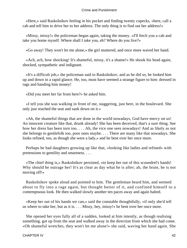«Here,» said Raskolnikov feeling in his pocket and finding twenty copecks, «here, call a cab and tell him to drive her to her address. The only thing is to find out her address!»

 «Missy, missy!» the policeman began again, taking the money. «I'll fetch you a cab and take you home myself. Where shall I take you, eh? Where do you live?»

«Go away! They won't let me alone,» the girl muttered, and once more waved her hand.

 «Ach, ach, how shocking! It's shameful, missy, it's a shame!» He shook his head again, shocked, sympathetic and indignant.

 «It's a difficult job,» the policeman said to Raskolnikov, and as he did so, he looked him up and down in a rapid glance. He, too, must have seemed a strange figure to him: dressed in rags and handing him money!

«Did you meet her far from here?» he asked him.

 «I tell you she was walking in front of me, staggering, just here, in the boulevard. She only just reached the seat and sank down on it.»

 «Ah, the shameful things that are done in the world nowadays, God have mercy on us! An innocent creature like that, drunk already! She has been deceived, that's a sure thing. See how her dress has been torn too. . . . Ah, the vice one sees nowadays! And as likely as not she belongs to gentlefolk too, poor ones maybe. . . . There are many like that nowadays. She looks refined, too, as though she were a lady,» and he bent over her once more.

 Perhaps he had daughters growing up like that, «looking like ladies and refined» with pretensions to gentility and smartness. . . .

 «The chief thing is,» Raskolnikov persisted, «to keep her out of this scoundrel's hands! Why should he outrage her! It's as clear as day what he is after; ah, the brute, he is not moving off!»

 Raskolnikov spoke aloud and pointed to him. The gentleman heard him, and seemed about to fly into a rage again, but thought better of it, and confined himself to a contemptuous look. He then walked slowly another ten paces away and again halted.

 «Keep her out of his hands we can,» said the constable thoughtfully, «if only she'd tell us where to take her, but as it is. . . . Missy, hey, missy!» he bent over her once more.

 She opened her eyes fully all of a sudden, looked at him intently, as though realising something, got up from the seat and walked away in the direction from which she had come. «Oh shameful wretches, they won't let me alone!» she said, waving her hand again. She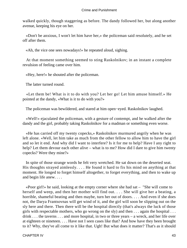walked quickly, though staggering as before. The dandy followed her, but along another avenue, keeping his eye on her.

 «Don't be anxious, I won't let him have her,» the policeman said resolutely, and he set off after them.

«Ah, the vice one sees nowadays!» he repeated aloud, sighing.

 At that moment something seemed to sting Raskolnikov; in an instant a complete revulsion of feeling came over him.

«Hey, here!» he shouted after the policeman.

The latter turned round.

 «Let them be! What is it to do with you? Let her go! Let him amuse himself.» He pointed at the dandy, «What is it to do with you?»

The policeman was bewildered, and stared at him open−eyed. Raskolnikov laughed.

 «Well!» ejaculated the policeman, with a gesture of contempt, and he walked after the dandy and the girl, probably taking Raskolnikov for a madman or something even worse.

 «He has carried off my twenty copecks,» Raskolnikov murmured angrily when he was left alone. «Well, let him take as much from the other fellow to allow him to have the girl and so let it end. And why did I want to interfere? Is it for me to help? Have I any right to help? Let them devour each other alive – what is to me? How did I dare to give him twenty copecks? Were they mine?»

 In spite of those strange words he felt very wretched. He sat down on the deserted seat. His thoughts strayed aimlessly. . . . He found it hard to fix his mind on anything at that moment. He longed to forget himself altogether, to forget everything, and then to wake up and begin life anew. . . .

 «Poor girl!» he said, looking at the empty corner where she had sat – "She will come to herself and weep, and then her mother will find out. . . . She will give her a beating, a horrible, shameful beating and then maybe, turn her out of doors. . . . And even if she does not, the Darya Frantsovnas will get wind of it, and the girl will soon be slipping out on the sly here and there. Then there will be the hospital directly (that's always the luck of those girls with respectable mothers, who go wrong on the sly) and then . . . again the hospital . . . drink . . . the taverns . . . and more hospital, in two or three years – a wreck, and her life over at eighteen or nineteen. . . . Have not I seen cases like that? And how have they been brought to it? Why, they've all come to it like that. Ugh! But what does it matter? That's as it should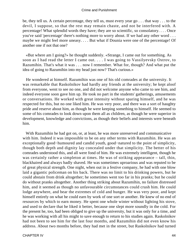be, they tell us. A certain percentage, they tell us, must every year go . . . that way . . . to the devil, I suppose, so that the rest may remain chaste, and not be interfered with. A percentage! What splendid words they have; they are so scientific, so consolatory. . . . Once you've said 'percentage' there's nothing more to worry about. If we had any other word . . . maybe we might feel more uneasy. . . . But what if Dounia were one of the percentage! Of another one if not that one?

 «But where am I going?» he thought suddenly. «Strange, I came out for something. As soon as I had read the letter I came out. . . . I was going to Vassilyevsky Ostrov, to Razumihin. That's what it was . . . now I remember. What for, though? And what put the idea of going to Razumihin into my head just now? That's curious.»

 He wondered at himself. Razumihin was one of his old comrades at the university. It was remarkable that Raskolnikov had hardly any friends at the university; he kept aloof from everyone, went to see no one, and did not welcome anyone who came to see him, and indeed everyone soon gave him up. He took no part in the students' gatherings, amusements or conversations. He worked with great intensity without sparing himself, and he was respected for this, but no one liked him. He was very poor, and there was a sort of haughty pride and reserve about him, as though he were keeping something to himself. He seemed to some of his comrades to look down upon them all as children, as though he were superior in development, knowledge and convictions, as though their beliefs and interests were beneath him.

 With Razumihin he had got on, or, at least, he was more unreserved and communicative with him. Indeed it was impossible to be on any other terms with Razumihin. He was an exceptionally good−humoured and candid youth, good−natured to the point of simplicity, though both depth and dignity lay concealed under that simplicity. The better of his comrades understood this, and all were fond of him. He was extremely intelligent, though he was certainly rather a simpleton at times. He was of striking appearance – tall, thin, blackhaired and always badly shaved. He was sometimes uproarious and was reputed to be of great physical strength. One night, when out in a festive company, he had with one blow laid a gigantic policeman on his back. There was no limit to his drinking powers, but he could abstain from drink altogether; he sometimes went too far in his pranks; but he could do without pranks altogether. Another thing striking about Razumihin, no failure distressed him, and it seemed as though no unfavourable circumstances could crush him. He could lodge anywhere, and bear the extremes of cold and hunger. He was very poor, and kept himself entirely on what he could earn by work of one sort or another. He knew of no end of resources by which to earn money. He spent one whole winter without lighting his stove, and used to declare that he liked it better, because one slept more soundly in the cold. For the present he, too, had been obliged to give up the university, but it was only for a time, and he was working with all his might to save enough to return to his studies again. Raskolnikov had not been to see him for the last four months, and Razumihin did not even know his address. About two months before, they had met in the street, but Raskolnikov had turned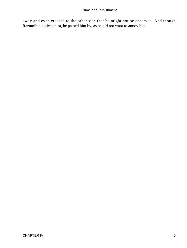away and even crossed to the other side that he might not be observed. And though Razumihin noticed him, he passed him by, as he did not want to annoy him.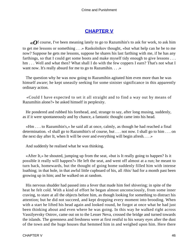## **[CHAPTER V](#page-465-0)**

*«O*f course, I've been meaning lately to go to Razumihin's to ask for work, to ask him to get me lessons or something . . .» Raskolnikov thought, «but what help can he be to me now? Suppose he gets me lessons, suppose he shares his last farthing with me, if he has any farthings, so that I could get some boots and make myself tidy enough to give lessons ... hm . . . Well and what then? What shall I do with the few coppers I earn? That's not what I want now. It's really absurd for me to go to Razumihin. . . .»

 The question why he was now going to Razumihin agitated him even more than he was himself aware; he kept uneasily seeking for some sinister significance in this apparently ordinary action.

 «Could I have expected to set it all straight and to find a way out by means of Razumihin alone?» he asked himself in perplexity.

 He pondered and rubbed his forehead, and, strange to say, after long musing, suddenly, as if it were spontaneously and by chance, a fantastic thought came into his head.

 «Hm . . . to Razumihin's,» he said all at once, calmly, as though he had reached a final determination. «I shall go to Razumihin's of course, but . . . not now. I shall go to him . . . on the next day after It, when It will be over and everything will begin afresh. . . .»

And suddenly he realised what he was thinking.

 «After It,» he shouted, jumping up from the seat, «but is It really going to happen? Is it possible it really will happen?» He left the seat, and went off almost at a run; he meant to turn back, homewards, but the thought of going home suddenly filled him with intense loathing; in that hole, in that awful little cupboard of his, all /this/ had for a month past been growing up in him; and he walked on at random.

 His nervous shudder had passed into a fever that made him feel shivering; in spite of the heat he felt cold. With a kind of effort he began almost unconsciously, from some inner craving, to stare at all the objects before him, as though looking for something to distract his attention; but he did not succeed, and kept dropping every moment into brooding. When with a start he lifted his head again and looked round, he forgot at once what he had just been thinking about and even where he was going. In this way he walked right across Vassilyevsky Ostrov, came out on to the Lesser Neva, crossed the bridge and turned towards the islands. The greenness and freshness were at first restful to his weary eyes after the dust of the town and the huge houses that hemmed him in and weighed upon him. Here there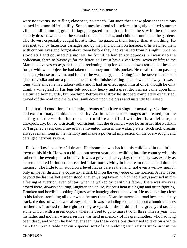were no taverns, no stifling closeness, no stench. But soon these new pleasant sensations passed into morbid irritability. Sometimes he stood still before a brightly painted summer villa standing among green foliage, he gazed through the fence, he saw in the distance smartly dressed women on the verandahs and balconies, and children running in the gardens. The flowers especially caught his attention; he gazed at them longer than at anything. He was met, too, by luxurious carriages and by men and women on horseback; he watched them with curious eyes and forgot about them before they had vanished from his sight. Once he stood still and counted his money; he found he had thirty copecks. «Twenty to the policeman, three to Nastasya for the letter, so I must have given forty−seven or fifty to the Marmeladovs yesterday,» he thought, reckoning it up for some unknown reason, but he soon forgot with what object he had taken the money out of his pocket. He recalled it on passing an eating−house or tavern, and felt that he was hungry. . . . Going into the tavern he drank a glass of vodka and ate a pie of some sort. He finished eating it as he walked away. It was a long while since he had taken vodka and it had an effect upon him at once, though he only drank a wineglassful. His legs felt suddenly heavy and a great drowsiness came upon him. He turned homewards, but reaching Petrovsky Ostrov he stopped completely exhausted, turned off the road into the bushes, sank down upon the grass and instantly fell asleep.

 In a morbid condition of the brain, dreams often have a singular actuality, vividness, and extraordinary semblance of reality. At times monstrous images are created, but the setting and the whole picture are so truthlike and filled with details so delicate, so unexpectedly, but so artistically consistent, that the dreamer, were he an artist like Pushkin or Turgenev even, could never have invented them in the waking state. Such sick dreams always remain long in the memory and make a powerful impression on the overwrought and deranged nervous system.

 Raskolnikov had a fearful dream. He dreamt he was back in his childhood in the little town of his birth. He was a child about seven years old, walking into the country with his father on the evening of a holiday. It was a grey and heavy day, the country was exactly as he remembered it; indeed he recalled it far more vividly in his dream than he had done in memory. The little town stood on a level flat as bare as the hand, not even a willow near it; only in the far distance, a copse lay, a dark blur on the very edge of the horizon. A few paces beyond the last market garden stood a tavern, a big tavern, which had always aroused in him a feeling of aversion, even of fear, when he walked by it with his father. There was always a crowd there, always shouting, laughter and abuse, hideous hoarse singing and often fighting. Drunken and horrible−looking figures were hanging about the tavern. He used to cling close to his father, trembling all over when he met them. Near the tavern the road became a dusty track, the dust of which was always black. It was a winding road, and about a hundred paces further on, it turned to the right to the graveyard. In the middle of the graveyard stood a stone church with a green cupola where he used to go to mass two or three times a year with his father and mother, when a service was held in memory of his grandmother, who had long been dead, and whom he had never seen. On these occasions they used to take on a white dish tied up in a table napkin a special sort of rice pudding with raisins stuck in it in the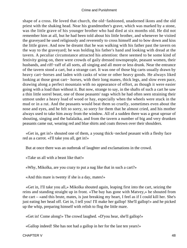shape of a cross. He loved that church, the old−fashioned, unadorned ikons and the old priest with the shaking head. Near his grandmother's grave, which was marked by a stone, was the little grave of his younger brother who had died at six months old. He did not remember him at all, but he had been told about his little brother, and whenever he visited the graveyard he used religiously and reverently to cross himself and to bow down and kiss the little grave. And now he dreamt that he was walking with his father past the tavern on the way to the graveyard; he was holding his father's hand and looking with dread at the tavern. A peculiar circumstance attracted his attention: there seemed to be some kind of festivity going on, there were crowds of gaily dressed townspeople, peasant women, their husbands, and riff−raff of all sorts, all singing and all more or less drunk. Near the entrance of the tavern stood a cart, but a strange cart. It was one of those big carts usually drawn by heavy cart−horses and laden with casks of wine or other heavy goods. He always liked looking at those great cart− horses, with their long manes, thick legs, and slow even pace, drawing along a perfect mountain with no appearance of effort, as though it were easier going with a load than without it. But now, strange to say, in the shafts of such a cart he saw a thin little sorrel beast, one of those peasants' nags which he had often seen straining their utmost under a heavy load of wood or hay, especially when the wheels were stuck in the mud or in a rut. And the peasants would beat them so cruelly, sometimes even about the nose and eyes, and he felt so sorry, so sorry for them that he almost cried, and his mother always used to take him away from the window. All of a sudden there was a great uproar of shouting, singing and the balalaika, and from the tavern a number of big and very drunken peasants came out, wearing red and blue shirts and coats thrown over their shoulders.

 «Get in, get in!» shouted one of them, a young thick−necked peasant with a fleshy face red as a carrot. «I'll take you all, get in!»

But at once there was an outbreak of laughter and exclamations in the crowd.

«Take us all with a beast like that!»

«Why, Mikolka, are you crazy to put a nag like that in such a cart?»

«And this mare is twenty if she is a day, mates!»

 «Get in, I'll take you all,» Mikolka shouted again, leaping first into the cart, seizing the reins and standing straight up in front. «The bay has gone with Matvey,» he shouted from the cart – «and this brute, mates, is just breaking my heart, I feel as if I could kill her. She's just eating her head off. Get in, I tell you! I'll make her gallop! She'll gallop!» and he picked up the whip, preparing himself with relish to flog the little mare.

«Get in! Come along!» The crowd laughed. «D'you hear, she'll gallop!»

«Gallop indeed! She has not had a gallop in her for the last ten years!»

CHAPTER V 48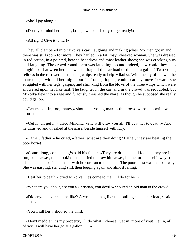«She'll jog along!»

«Don't you mind her, mates, bring a whip each of you, get ready!»

«All right! Give it to her!»

 They all clambered into Mikolka's cart, laughing and making jokes. Six men got in and there was still room for more. They hauled in a fat, rosy−cheeked woman. She was dressed in red cotton, in a pointed, beaded headdress and thick leather shoes; she was cracking nuts and laughing. The crowd round them was laughing too and indeed, how could they help laughing? That wretched nag was to drag all the cartload of them at a gallop! Two young fellows in the cart were just getting whips ready to help Mikolka. With the cry of «now,» the mare tugged with all her might, but far from galloping, could scarcely move forward; she struggled with her legs, gasping and shrinking from the blows of the three whips which were showered upon her like hail. The laughter in the cart and in the crowd was redoubled, but Mikolka flew into a rage and furiously thrashed the mare, as though he supposed she really could gallop.

 «Let me get in, too, mates,» shouted a young man in the crowd whose appetite was aroused.

 «Get in, all get in,» cried Mikolka, «she will draw you all. I'll beat her to death!» And he thrashed and thrashed at the mare, beside himself with fury.

 «Father, father,» he cried, «father, what are they doing? Father, they are beating the poor horse!»

 «Come along, come along!» said his father. «They are drunken and foolish, they are in fun; come away, don't look!» and he tried to draw him away, but he tore himself away from his hand, and, beside himself with horror, ran to the horse. The poor beast was in a bad way. She was gasping, standing still, then tugging again and almost falling.

«Beat her to death,» cried Mikolka, «it's come to that. I'll do for her!»

«What are you about, are you a Christian, you devil?» shouted an old man in the crowd.

 «Did anyone ever see the like? A wretched nag like that pulling such a cartload,» said another.

«You'll kill her,» shouted the third.

 «Don't meddle! It's my property, I'll do what I choose. Get in, more of you! Get in, all of you! I will have her go at a gallop! . . .»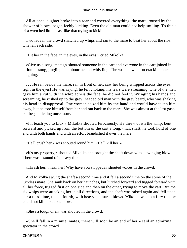All at once laughter broke into a roar and covered everything: the mare, roused by the shower of blows, began feebly kicking. Even the old man could not help smiling. To think of a wretched little beast like that trying to kick!

 Two lads in the crowd snatched up whips and ran to the mare to beat her about the ribs. One ran each side.

«Hit her in the face, in the eyes, in the eyes,» cried Mikolka.

 «Give us a song, mates,» shouted someone in the cart and everyone in the cart joined in a riotous song, jingling a tambourine and whistling. The woman went on cracking nuts and laughing.

 . . . He ran beside the mare, ran in front of her, saw her being whipped across the eyes, right in the eyes! He was crying, he felt choking, his tears were streaming. One of the men gave him a cut with the whip across the face, he did not feel it. Wringing his hands and screaming, he rushed up to the grey−headed old man with the grey beard, who was shaking his head in disapproval. One woman seized him by the hand and would have taken him away, but he tore himself from her and ran back to the mare. She was almost at the last gasp, but began kicking once more.

 «I'll teach you to kick,» Mikolka shouted ferociously. He threw down the whip, bent forward and picked up from the bottom of the cart a long, thick shaft, he took hold of one end with both hands and with an effort brandished it over the mare.

«He'll crush her,» was shouted round him. «He'll kill her!»

 «It's my property,» shouted Mikolka and brought the shaft down with a swinging blow. There was a sound of a heavy thud.

«Thrash her, thrash her! Why have you stopped?» shouted voices in the crowd.

 And Mikolka swung the shaft a second time and it fell a second time on the spine of the luckless mare. She sank back on her haunches, but lurched forward and tugged forward with all her force, tugged first on one side and then on the other, trying to move the cart. But the six whips were attacking her in all directions, and the shaft was raised again and fell upon her a third time, then a fourth, with heavy measured blows. Mikolka was in a fury that he could not kill her at one blow.

«She's a tough one,» was shouted in the crowd.

 «She'll fall in a minute, mates, there will soon be an end of her,» said an admiring spectator in the crowd.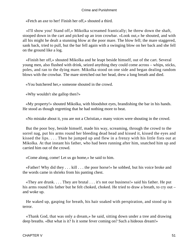«Fetch an axe to her! Finish her off,» shouted a third.

 «I'll show you! Stand off,» Mikolka screamed frantically; he threw down the shaft, stooped down in the cart and picked up an iron crowbar. «Look out,» he shouted, and with all his might he dealt a stunning blow at the poor mare. The blow fell; the mare staggered, sank back, tried to pull, but the bar fell again with a swinging blow on her back and she fell on the ground like a log.

 «Finish her off,» shouted Mikolka and he leapt beside himself, out of the cart. Several young men, also flushed with drink, seized anything they could come across – whips, sticks, poles, and ran to the dying mare. Mikolka stood on one side and began dealing random blows with the crowbar. The mare stretched out her head, drew a long breath and died.

«You butchered her,» someone shouted in the crowd.

«Why wouldn't she gallop then?»

 «My property!» shouted Mikolka, with bloodshot eyes, brandishing the bar in his hands. He stood as though regretting that he had nothing more to beat.

«No mistake about it, you are not a Christian,» many voices were shouting in the crowd.

 But the poor boy, beside himself, made his way, screaming, through the crowd to the sorrel nag, put his arms round her bleeding dead head and kissed it, kissed the eyes and kissed the lips. . . . Then he jumped up and flew in a frenzy with his little fists out at Mikolka. At that instant his father, who had been running after him, snatched him up and carried him out of the crowd.

«Come along, come! Let us go home,» he said to him.

 «Father! Why did they . . . kill . . . the poor horse!» he sobbed, but his voice broke and the words came in shrieks from his panting chest.

 «They are drunk. . . . They are brutal . . . it's not our business!» said his father. He put his arms round his father but he felt choked, choked. He tried to draw a breath, to cry out – and woke up.

 He waked up, gasping for breath, his hair soaked with perspiration, and stood up in terror.

 «Thank God, that was only a dream,» he said, sitting down under a tree and drawing deep breaths. «But what is it? Is it some fever coming on? Such a hideous dream!»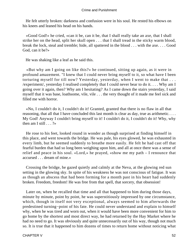He felt utterly broken: darkness and confusion were in his soul. He rested his elbows on his knees and leaned his head on his hands.

 «Good God!» he cried, «can it be, can it be, that I shall really take an axe, that I shall strike her on the head, split her skull open . . . that I shall tread in the sticky warm blood, break the lock, steal and tremble; hide, all spattered in the blood . . . with the axe. . . . Good God, can it be?»

He was shaking like a leaf as he said this.

 «But why am I going on like this?» he continued, sitting up again, as it were in profound amazement. "I knew that I could never bring myself to it, so what have I been torturing myself for till now? Yesterday, yesterday, when I went to make that . . . /experiment/, yesterday I realised completely that I could never bear to do it. . . . Why am I going over it again, then? Why am I hesitating? As I came down the stairs yesterday, I said myself that it was base, loathsome, vile, vile . . . the very thought of it made me feel sick and filled me with horror.

 «No, I couldn't do it, I couldn't do it! Granted, granted that there is no flaw in all that reasoning, that all that I have concluded this last month is clear as day, true as arithmetic. . . . My God! Anyway I couldn't bring myself to it! I couldn't do it, I couldn't do it! Why, why then am I still . . . ?»

 He rose to his feet, looked round in wonder as though surprised at finding himself in this place, and went towards the bridge. He was pale, his eyes glowed, he was exhausted in every limb, but he seemed suddenly to breathe more easily. He felt he had cast off that fearful burden that had so long been weighing upon him, and all at once there was a sense of relief and peace in his soul. «Lord,» he prayed, «show me my path – I renounce that accursed . . . dream of mine.»

 Crossing the bridge, he gazed quietly and calmly at the Neva, at the glowing red sun setting in the glowing sky. In spite of his weakness he was not conscious of fatigue. It was as though an abscess that had been forming for a month past in his heart had suddenly broken. Freedom, freedom! He was free from that spell, that sorcery, that obsession!

 Later on, when he recalled that time and all that happened to him during those days, minute by minute, point by point, he was superstitiously impressed by one circumstance, which, though in itself not very exceptional, always seemed to him afterwards the predestined turning−point of his fate. He could never understand and explain to himself why, when he was tired and worn out, when it would have been more convenient for him to go home by the shortest and most direct way, he had returned by the Hay Market where he had no need to go. It was obviously and quite unnecessarily out of his way, though not much so. It is true that it happened to him dozens of times to return home without noticing what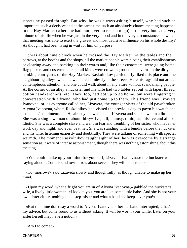streets he passed through. But why, he was always asking himself, why had such an important, such a decisive and at the same time such an absolutely chance meeting happened in the Hay Market (where he had moreover no reason to go) at the very hour, the very minute of his life when he was just in the very mood and in the very circumstances in which that meeting was able to exert the gravest and most decisive influence on his whole destiny? As though it had been lying in wait for him on purpose!

 It was about nine o'clock when he crossed the Hay Market. At the tables and the barrows, at the booths and the shops, all the market people were closing their establishments or clearing away and packing up their wares and, like their customers, were going home. Rag pickers and costermongers of all kinds were crowding round the taverns in the dirty and stinking courtyards of the Hay Market. Raskolnikov particularly liked this place and the neighbouring alleys, when he wandered aimlessly in the streets. Here his rags did not attract contemptuous attention, and one could walk about in any attire without scandalising people. At the corner of an alley a huckster and his wife had two tables set out with tapes, thread, cotton handkerchiefs, etc. They, too, had got up to go home, but were lingering in conversation with a friend, who had just come up to them. This friend was Lizaveta Ivanovna, or, as everyone called her, Lizaveta, the younger sister of the old pawnbroker, Alyona Ivanovna, whom Raskolnikov had visited the previous day to pawn his watch and make his /experiment/. . . . He already knew all about Lizaveta and she knew him a little too. She was a single woman of about thirty−five, tall, clumsy, timid, submissive and almost idiotic. She was a complete slave and went in fear and trembling of her sister, who made her work day and night, and even beat her. She was standing with a bundle before the huckster and his wife, listening earnestly and doubtfully. They were talking of something with special warmth. The moment Raskolnikov caught sight of her, he was overcome by a strange sensation as it were of intense astonishment, though there was nothing astonishing about this meeting.

 «You could make up your mind for yourself, Lizaveta Ivanovna,» the huckster was saying aloud. «Come round to−morrow about seven. They will be here too.»

 «To−morrow?» said Lizaveta slowly and thoughtfully, as though unable to make up her mind.

 «Upon my word, what a fright you are in of Alyona Ivanovna,» gabbled the huckster's wife, a lively little woman. «I look at you, you are like some little babe. And she is not your own sister either−nothing but a step−sister and what a hand she keeps over you!»

 «But this time don't say a word to Alyona Ivanovna,» her husband interrupted; «that's my advice, but come round to us without asking. It will be worth your while. Later on your sister herself may have a notion.»

«Am I to come?»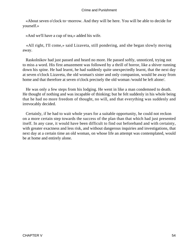«About seven o'clock to−morrow. And they will be here. You will be able to decide for yourself.»

«And we'll have a cup of tea,» added his wife.

 «All right, I'll come,» said Lizaveta, still pondering, and she began slowly moving away.

 Raskolnikov had just passed and heard no more. He passed softly, unnoticed, trying not to miss a word. His first amazement was followed by a thrill of horror, like a shiver running down his spine. He had learnt, he had suddenly quite unexpectedly learnt, that the next day at seven o'clock Lizaveta, the old woman's sister and only companion, would be away from home and that therefore at seven o'clock precisely the old woman /would be left alone/.

 He was only a few steps from his lodging. He went in like a man condemned to death. He thought of nothing and was incapable of thinking; but he felt suddenly in his whole being that he had no more freedom of thought, no will, and that everything was suddenly and irrevocably decided.

 Certainly, if he had to wait whole years for a suitable opportunity, he could not reckon on a more certain step towards the success of the plan than that which had just presented itself. In any case, it would have been difficult to find out beforehand and with certainty, with greater exactness and less risk, and without dangerous inquiries and investigations, that next day at a certain time an old woman, on whose life an attempt was contemplated, would be at home and entirely alone.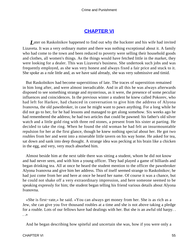## **[CHAPTER VI](#page-465-0)**

*L*ater on Raskolnikov happened to find out why the huckster and his wife had invited Lizaveta. It was a very ordinary matter and there was nothing exceptional about it. A family who had come to the town and been reduced to poverty were selling their household goods and clothes, all women's things. As the things would have fetched little in the market, they were looking for a dealer. This was Lizaveta's business. She undertook such jobs and was frequently employed, as she was very honest and always fixed a fair price and stuck to it. She spoke as a rule little and, as we have said already, she was very submissive and timid.

 But Raskolnikov had become superstitious of late. The traces of superstition remained in him long after, and were almost ineradicable. And in all this he was always afterwards disposed to see something strange and mysterious, as it were, the presence of some peculiar influences and coincidences. In the previous winter a student he knew called Pokorev, who had left for Harkov, had chanced in conversation to give him the address of Alyona Ivanovna, the old pawnbroker, in case he might want to pawn anything. For a long while he did not go to her, for he had lessons and managed to get along somehow. Six weeks ago he had remembered the address; he had two articles that could be pawned: his father's old silver watch and a little gold ring with three red stones, a present from his sister at parting. He decided to take the ring. When he found the old woman he had felt an insurmountable repulsion for her at the first glance, though he knew nothing special about her. He got two roubles from her and went into a miserable little tavern on his way home. He asked for tea, sat down and sank into deep thought. A strange idea was pecking at his brain like a chicken in the egg, and very, very much absorbed him.

 Almost beside him at the next table there was sitting a student, whom he did not know and had never seen, and with him a young officer. They had played a game of billiards and began drinking tea. All at once he heard the student mention to the officer the pawnbroker Alyona Ivanovna and give him her address. This of itself seemed strange to Raskolnikov; he had just come from her and here at once he heard her name. Of course it was a chance, but he could not shake off a very extraordinary impression, and here someone seemed to be speaking expressly for him; the student began telling his friend various details about Alyona Ivanovna.

 «She is first−rate,» he said. «You can always get money from her. She is as rich as a Jew, she can give you five thousand roubles at a time and she is not above taking a pledge for a rouble. Lots of our fellows have had dealings with her. But she is an awful old harpy. . . .»

And he began describing how spiteful and uncertain she was, how if you were only a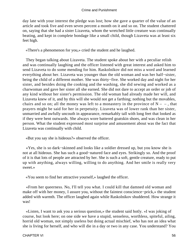day late with your interest the pledge was lost; how she gave a quarter of the value of an article and took five and even seven percent a month on it and so on. The student chattered on, saying that she had a sister Lizaveta, whom the wretched little creature was continually beating, and kept in complete bondage like a small child, though Lizaveta was at least six feet high.

«There's a phenomenon for you,» cried the student and he laughed.

 They began talking about Lizaveta. The student spoke about her with a peculiar relish and was continually laughing and the officer listened with great interest and asked him to send Lizaveta to do some mending for him. Raskolnikov did not miss a word and learned everything about her. Lizaveta was younger than the old woman and was her half−sister, being the child of a different mother. She was thirty−five. She worked day and night for her sister, and besides doing the cooking and the washing, she did sewing and worked as a charwoman and gave her sister all she earned. She did not dare to accept an order or job of any kind without her sister's permission. The old woman had already made her will, and Lizaveta knew of it, and by this will she would not get a farthing; nothing but the movables, chairs and so on; all the money was left to a monastery in the province of  $N - -$ , that prayers might be said for her in perpetuity. Lizaveta was of lower rank than her sister, unmarried and awfully uncouth in appearance, remarkably tall with long feet that looked as if they were bent outwards. She always wore battered goatskin shoes, and was clean in her person. What the student expressed most surprise and amusement about was the fact that Lizaveta was continually with child.

«But you say she is hideous?» observed the officer.

 «Yes, she is so dark−skinned and looks like a soldier dressed up, but you know she is not at all hideous. She has such a good−natured face and eyes. Strikingly so. And the proof of it is that lots of people are attracted by her. She is such a soft, gentle creature, ready to put up with anything, always willing, willing to do anything. And her smile is really very sweet.»

«You seem to find her attractive yourself,» laughed the officer.

 «From her queerness. No, I'll tell you what. I could kill that damned old woman and make off with her money, I assure you, without the faintest conscience−prick,» the student added with warmth. The officer laughed again while Raskolnikov shuddered. How strange it was!

 «Listen, I want to ask you a serious question,» the student said hotly. «I was joking of course, but look here; on one side we have a stupid, senseless, worthless, spiteful, ailing, horrid old woman, not simply useless but doing actual mischief, who has not an idea what she is living for herself, and who will die in a day or two in any case. You understand? You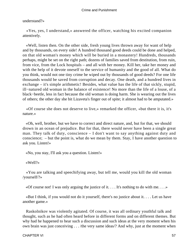### understand?»

 «Yes, yes, I understand,» answered the officer, watching his excited companion attentively.

 «Well, listen then. On the other side, fresh young lives thrown away for want of help and by thousands, on every side! A hundred thousand good deeds could be done and helped, on that old woman's money which will be buried in a monastery! Hundreds, thousands perhaps, might be set on the right path; dozens of families saved from destitution, from ruin, from vice, from the Lock hospitals – and all with her money. Kill her, take her money and with the help of it devote oneself to the service of humanity and the good of all. What do you think, would not one tiny crime be wiped out by thousands of good deeds? For one life thousands would be saved from corruption and decay. One death, and a hundred lives in exchange – it's simple arithmetic! Besides, what value has the life of that sickly, stupid, ill−natured old woman in the balance of existence! No more than the life of a louse, of a black−beetle, less in fact because the old woman is doing harm. She is wearing out the lives of others; the other day she bit Lizaveta's finger out of spite; it almost had to be amputated.»

 «Of course she does not deserve to live,» remarked the officer, «but there it is, it's nature.»

 «Oh, well, brother, but we have to correct and direct nature, and, but for that, we should drown in an ocean of prejudice. But for that, there would never have been a single great man. They talk of duty, conscience – I don't want to say anything against duty and conscience; – but the point is, what do we mean by them. Stay, I have another question to ask you. Listen!»

«No, you stay, I'll ask you a question. Listen!»

«Well?»

 «You are talking and speechifying away, but tell me, would you kill the old woman /yourself/?»

«Of course not! I was only arguing the justice of it.  $\dots$  It's nothing to do with me.  $\dots$ »

 «But I think, if you would not do it yourself, there's no justice about it. . . . Let us have another game.»

 Raskolnikov was violently agitated. Of course, it was all ordinary youthful talk and thought, such as he had often heard before in different forms and on different themes. But why had he happened to hear such a discussion and such ideas at the very moment when his own brain was just conceiving . . . /the very same ideas/? And why, just at the moment when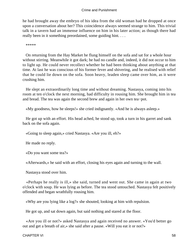he had brought away the embryo of his idea from the old woman had he dropped at once upon a conversation about her? This coincidence always seemed strange to him. This trivial talk in a tavern had an immense influence on him in his later action; as though there had really been in it something preordained, some guiding hint....

\*\*\*\*\*

 On returning from the Hay Market he flung himself on the sofa and sat for a whole hour without stirring. Meanwhile it got dark; he had no candle and, indeed, it did not occur to him to light up. He could never recollect whether he had been thinking about anything at that time. At last he was conscious of his former fever and shivering, and he realised with relief that he could lie down on the sofa. Soon heavy, leaden sleep came over him, as it were crushing him.

 He slept an extraordinarily long time and without dreaming. Nastasya, coming into his room at ten o'clock the next morning, had difficulty in rousing him. She brought him in tea and bread. The tea was again the second brew and again in her own tea−pot.

«My goodness, how he sleeps!» she cried indignantly. «And he is always asleep.»

 He got up with an effort. His head ached, he stood up, took a turn in his garret and sank back on the sofa again.

«Going to sleep again,» cried Nastasya. «Are you ill, eh?»

He made no reply.

«Do you want some tea?»

«Afterwards,» he said with an effort, closing his eyes again and turning to the wall.

Nastasya stood over him.

 «Perhaps he really is ill,» she said, turned and went out. She came in again at two o'clock with soup. He was lying as before. The tea stood untouched. Nastasya felt positively offended and began wrathfully rousing him.

«Why are you lying like a log?» she shouted, looking at him with repulsion.

He got up, and sat down again, but said nothing and stared at the floor.

 «Are you ill or not?» asked Nastasya and again received no answer. «You'd better go out and get a breath of air,» she said after a pause. «Will you eat it or not?»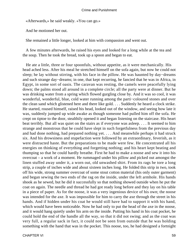«Afterwards,» he said weakly. «You can go.»

And he motioned her out.

She remained a little longer, looked at him with compassion and went out.

 A few minutes afterwards, he raised his eyes and looked for a long while at the tea and the soup. Then he took the bread, took up a spoon and began to eat.

 He ate a little, three or four spoonfuls, without appetite, as it were mechanically. His head ached less. After his meal he stretched himself on the sofa again, but now he could not sleep; he lay without stirring, with his face in the pillow. He was haunted by day−dreams and such strange day−dreams; in one, that kept recurring, he fancied that he was in Africa, in Egypt, in some sort of oasis. The caravan was resting, the camels were peacefully lying down; the palms stood all around in a complete circle; all the party were at dinner. But he was drinking water from a spring which flowed gurgling close by. And it was so cool, it was wonderful, wonderful, blue, cold water running among the parti−coloured stones and over the clean sand which glistened here and there like gold. . . . Suddenly he heard a clock strike. He started, roused himself, raised his head, looked out of the window, and seeing how late it was, suddenly jumped up wide awake as though someone had pulled him off the sofa. He crept on tiptoe to the door, stealthily opened it and began listening on the staircase. His heart beat terribly. But all was quiet on the stairs as if everyone was asleep. . . . It seemed to him strange and monstrous that he could have slept in such forgetfulness from the previous day and had done nothing, had prepared nothing yet. . . . And meanwhile perhaps it had struck six. And his drowsiness and stupefaction were followed by an extraordinary, feverish, as it were distracted haste. But the preparations to be made were few. He concentrated all his energies on thinking of everything and forgetting nothing; and his heart kept beating and thumping so that he could hardly breathe. First he had to make a noose and sew it into his overcoat – a work of a moment. He rummaged under his pillow and picked out amongst the linen stuffed away under it, a worn out, old unwashed shirt. From its rags he tore a long strip, a couple of inches wide and about sixteen inches long. He folded this strip in two, took off his wide, strong summer overcoat of some stout cotton material (his only outer garment) and began sewing the two ends of the rag on the inside, under the left armhole. His hands shook as he sewed, but he did it successfully so that nothing showed outside when he put the coat on again. The needle and thread he had got ready long before and they lay on his table in a piece of paper. As for the noose, it was a very ingenious device of his own; the noose was intended for the axe. It was impossible for him to carry the axe through the street in his hands. And if hidden under his coat he would still have had to support it with his hand, which would have been noticeable. Now he had only to put the head of the axe in the noose, and it would hang quietly under his arm on the inside. Putting his hand in his coat pocket, he could hold the end of the handle all the way, so that it did not swing; and as the coat was very full, a regular sack in fact, it could not be seen from outside that he was holding something with the hand that was in the pocket. This noose, too, he had designed a fortnight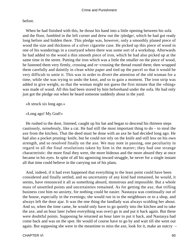before.

 When he had finished with this, he thrust his hand into a little opening between his sofa and the floor, fumbled in the left corner and drew out the /pledge/, which he had got ready long before and hidden there. This pledge was, however, only a smoothly planed piece of wood the size and thickness of a silver cigarette case. He picked up this piece of wood in one of his wanderings in a courtyard where there was some sort of a workshop. Afterwards he had added to the wood a thin smooth piece of iron, which he had also picked up at the same time in the street. Putting the iron which was a little the smaller on the piece of wood, he fastened them very firmly, crossing and re−crossing the thread round them; then wrapped them carefully and daintily in clean white paper and tied up the parcel so that it would be very difficult to untie it. This was in order to divert the attention of the old woman for a time, while she was trying to undo the knot, and so to gain a moment. The iron strip was added to give weight, so that the woman might not guess the first minute that the «thing» was made of wood. All this had been stored by him beforehand under the sofa. He had only just got the pledge out when he heard someone suddenly about in the yard.

«It struck six long ago.»

«Long ago! My God!»

 He rushed to the door, listened, caught up his hat and began to descend his thirteen steps cautiously, noiselessly, like a cat. He had still the most important thing to do – to steal the axe from the kitchen. That the deed must be done with an axe he had decided long ago. He had also a pocket pruning−knife, but he could not rely on the knife and still less on his own strength, and so resolved finally on the axe. We may note in passing, one peculiarity in regard to all the final resolutions taken by him in the matter; they had one strange characteristic: the more final they were, the more hideous and the more absurd they at once became in his eyes. In spite of all his agonising inward struggle, he never for a single instant all that time could believe in the carrying out of his plans.

 And, indeed, if it had ever happened that everything to the least point could have been considered and finally settled, and no uncertainty of any kind had remained, he would, it seems, have renounced it all as something absurd, monstrous and impossible. But a whole mass of unsettled points and uncertainties remained. As for getting the axe, that trifling business cost him no anxiety, for nothing could be easier. Nastasya was continually out of the house, especially in the evenings; she would run in to the neighbours or to a shop, and always left the door ajar. It was the one thing the landlady was always scolding her about. And so, when the time came, he would only have to go quietly into the kitchen and to take the axe, and an hour later (when everything was over) go in and put it back again. But these were doubtful points. Supposing he returned an hour later to put it back, and Nastasya had come back and was on the spot. He would of course have to go by and wait till she went out again. But supposing she were in the meantime to miss the axe, look for it, make an outcry –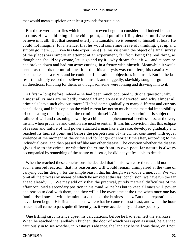that would mean suspicion or at least grounds for suspicion.

 But those were all trifles which he had not even begun to consider, and indeed he had no time. He was thinking of the chief point, and put off trifling details, until /he could believe in it all/. But that seemed utterly unattainable. So it seemed to himself at least. He could not imagine, for instance, that he would sometime leave off thinking, get up and simply go there. . . . Even his late experiment (i.e. his visit with the object of a final survey of the place) was simply an attempt at an experiment, far from being the real thing, as though one should say «come, let us go and try it – why dream about it!» – and at once he had broken down and had run away cursing, in a frenzy with himself. Meanwhile it would seem, as regards the moral question, that his analysis was complete; his casuistry had become keen as a razor, and he could not find rational objections in himself. But in the last resort he simply ceased to believe in himself, and doggedly, slavishly sought arguments in all directions, fumbling for them, as though someone were forcing and drawing him to it.

 At first – long before indeed – he had been much occupied with one question; why almost all crimes are so badly concealed and so easily detected, and why almost all criminals leave such obvious traces? He had come gradually to many different and curious conclusions, and in his opinion the chief reason lay not so much in the material impossibility of concealing the crime, as in the criminal himself. Almost every criminal is subject to a failure of will and reasoning power by a childish and phenomenal heedlessness, at the very instant when prudence and caution are most essential. It was his conviction that this eclipse of reason and failure of will power attacked a man like a disease, developed gradually and reached its highest point just before the perpetration of the crime, continued with equal violence at the moment of the crime and for longer or shorter time after, according to the individual case, and then passed off like any other disease. The question whether the disease gives rise to the crime, or whether the crime from its own peculiar nature is always accompanied by something of the nature of disease, he did not yet feel able to decide.

 When he reached these conclusions, he decided that in his own case there could not be such a morbid reaction, that his reason and will would remain unimpaired at the time of carrying out his design, for the simple reason that his design was «not a crime. . . .» We will omit all the process by means of which he arrived at this last conclusion; we have run too far ahead already. . . . We may add only that the practical, purely material difficulties of the affair occupied a secondary position in his mind. «One has but to keep all one's will−power and reason to deal with them, and they will all be overcome at the time when once one has familiarised oneself with the minutest details of the business. . . .» But this preparation had never been begun. His final decisions were what he came to trust least, and when the hour struck, it all came to pass quite differently, as it were accidentally and unexpectedly.

 One trifling circumstance upset his calculations, before he had even left the staircase. When he reached the landlady's kitchen, the door of which was open as usual, he glanced cautiously in to see whether, in Nastasya's absence, the landlady herself was there, or if not,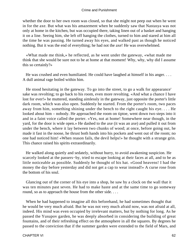whether the door to her own room was closed, so that she might not peep out when he went in for the axe. But what was his amazement when he suddenly saw that Nastasya was not only at home in the kitchen, but was occupied there, taking linen out of a basket and hanging it on a line. Seeing him, she left off hanging the clothes, turned to him and stared at him all the time he was passing. He turned away his eyes, and walked past as though he noticed nothing. But it was the end of everything; he had not the axe! He was overwhelmed.

 «What made me think,» he reflected, as he went under the gateway, «what made me think that she would be sure not to be at home at that moment! Why, why, why did I assume this so certainly?»

 He was crushed and even humiliated. He could have laughed at himself in his anger. . . . A dull animal rage boiled within him.

 He stood hesitating in the gateway. To go into the street, to go a walk for appearance' sake was revolting; to go back to his room, even more revolting. «And what a chance I have lost for ever!» he muttered, standing aimlessly in the gateway, just opposite the porter's little dark room, which was also open. Suddenly he started. From the porter's room, two paces away from him, something shining under the bench to the right caught his eye. . . . He looked about him – nobody. He approached the room on tiptoe, went down two steps into it and in a faint voice called the porter. «Yes, not at home! Somewhere near though, in the yard, for the door is wide open.» He dashed to the axe (it was an axe) and pulled it out from under the bench, where it lay between two chunks of wood; at once, before going out, he made it fast in the noose, he thrust both hands into his pockets and went out of the room; no one had noticed him! «When reason fails, the devil helps!» he thought with a strange grin. This chance raised his spirits extraordinarily.

 He walked along quietly and sedately, without hurry, to avoid awakening suspicion. He scarcely looked at the passers−by, tried to escape looking at their faces at all, and to be as little noticeable as possible. Suddenly he thought of his hat. «Good heavens! I had the money the day before yesterday and did not get a cap to wear instead!» A curse rose from the bottom of his soul.

 Glancing out of the corner of his eye into a shop, he saw by a clock on the wall that it was ten minutes past seven. He had to make haste and at the same time to go someway round, so as to approach the house from the other side....

 When he had happened to imagine all this beforehand, he had sometimes thought that he would be very much afraid. But he was not very much afraid now, was not afraid at all, indeed. His mind was even occupied by irrelevant matters, but by nothing for long. As he passed the Yusupov garden, he was deeply absorbed in considering the building of great fountains, and of their refreshing effect on the atmosphere in all the squares. By degrees he passed to the conviction that if the summer garden were extended to the field of Mars, and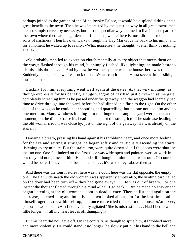perhaps joined to the garden of the Mihailovsky Palace, it would be a splendid thing and a great benefit to the town. Then he was interested by the question why in all great towns men are not simply driven by necessity, but in some peculiar way inclined to live in those parts of the town where there are no gardens nor fountains; where there is most dirt and smell and all sorts of nastiness. Then his own walks through the Hay Market came back to his mind, and for a moment he waked up to reality. «What nonsense!» he thought, «better think of nothing at all!»

 «So probably men led to execution clutch mentally at every object that meets them on the way,» flashed through his mind, but simply flashed, like lightning; he made haste to dismiss this thought. . . . And by now he was near; here was the house, here was the gate. Suddenly a clock somewhere struck once. «What! can it be half−past seven? Impossible, it must be fast!»

 Luckily for him, everything went well again at the gates. At that very moment, as though expressly for his benefit, a huge waggon of hay had just driven in at the gate, completely screening him as he passed under the gateway, and the waggon had scarcely had time to drive through into the yard, before he had slipped in a flash to the right. On the other side of the waggon he could hear shouting and quarrelling; but no one noticed him and no one met him. Many windows looking into that huge quadrangular yard were open at that moment, but he did not raise his head – he had not the strength to. The staircase leading to the old woman's room was close by, just on the right of the gateway. He was already on the stairs. . . .

 Drawing a breath, pressing his hand against his throbbing heart, and once more feeling for the axe and setting it straight, he began softly and cautiously ascending the stairs, listening every minute. But the stairs, too, were quite deserted; all the doors were shut; he met no one. One flat indeed on the first floor was wide open and painters were at work in it, but they did not glance at him. He stood still, thought a minute and went on. «Of course it would be better if they had not been here, but . . . it's two storeys above them.»

 And there was the fourth storey, here was the door, here was the flat opposite, the empty one. The flat underneath the old woman's was apparently empty also; the visiting card nailed on the door had been torn off – they had gone away! . . . He was out of breath. For one instant the thought floated through his mind «Shall I go back?» But he made no answer and began listening at the old woman's door, a dead silence. Then he listened again on the staircase, listened long and intently . . . then looked about him for the last time, pulled himself together, drew himself up, and once more tried the axe in the noose. «Am I very pale?» he wondered. «Am I not evidently agitated? She is mistrustful. . . . Had I better wait a little longer . . . till my heart leaves off thumping?»

 But his heart did not leave off. On the contrary, as though to spite him, it throbbed more and more violently. He could stand it no longer, he slowly put out his hand to the bell and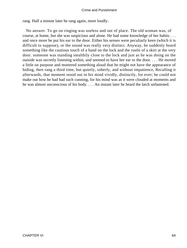rang. Half a minute later he rang again, more loudly.

 No answer. To go on ringing was useless and out of place. The old woman was, of course, at home, but she was suspicious and alone. He had some knowledge of her habits . . . and once more he put his ear to the door. Either his senses were peculiarly keen (which it is difficult to suppose), or the sound was really very distinct. Anyway, he suddenly heard something like the cautious touch of a hand on the lock and the rustle of a skirt at the very door. someone was standing stealthily close to the lock and just as he was doing on the outside was secretly listening within, and seemed to have her ear to the door. . . . He moved a little on purpose and muttered something aloud that he might not have the appearance of hiding, then rang a third time, but quietly, soberly, and without impatience, Recalling it afterwards, that moment stood out in his mind vividly, distinctly, for ever; he could not make out how he had had such cunning, for his mind was as it were clouded at moments and he was almost unconscious of his body. . . . An instant later he heard the latch unfastened.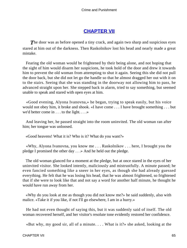# **[CHAPTER VII](#page-465-0)**

**The door was as before opened a tiny crack, and again two sharp and suspicious eyes** stared at him out of the darkness. Then Raskolnikov lost his head and nearly made a great mistake.

 Fearing the old woman would be frightened by their being alone, and not hoping that the sight of him would disarm her suspicions, he took hold of the door and drew it towards him to prevent the old woman from attempting to shut it again. Seeing this she did not pull the door back, but she did not let go the handle so that he almost dragged her out with it on to the stairs. Seeing that she was standing in the doorway not allowing him to pass, he advanced straight upon her. She stepped back in alarm, tried to say something, but seemed unable to speak and stared with open eyes at him.

 «Good evening, Alyona Ivanovna,» he began, trying to speak easily, but his voice would not obey him, it broke and shook. «I have come . . . I have brought something . . . but we'd better come in . . . to the light. . . .»

 And leaving her, he passed straight into the room uninvited. The old woman ran after him; her tongue was unloosed.

«Good heavens! What it is? Who is it? What do you want?»

 «Why, Alyona Ivanovna, you know me . . . Raskolnikov . . . here, I brought you the pledge I promised the other day . . .» And he held out the pledge.

 The old woman glanced for a moment at the pledge, but at once stared in the eyes of her uninvited visitor. She looked intently, maliciously and mistrustfully. A minute passed; he even fancied something like a sneer in her eyes, as though she had already guessed everything. He felt that he was losing his head, that he was almost frightened, so frightened that if she were to look like that and not say a word for another half minute, he thought he would have run away from her.

 «Why do you look at me as though you did not know me?» he said suddenly, also with malice. «Take it if you like, if not I'll go elsewhere, I am in a hurry.»

 He had not even thought of saying this, but it was suddenly said of itself. The old woman recovered herself, and her visitor's resolute tone evidently restored her confidence.

«But why, my good sir, all of a minute. . . . What is it?» she asked, looking at the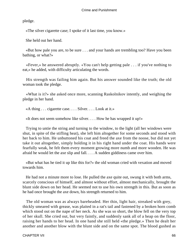pledge.

«The silver cigarette case; I spoke of it last time, you know.»

She held out her hand.

 «But how pale you are, to be sure . . . and your hands are trembling too? Have you been bathing, or what?»

 «Fever,» he answered abruptly. «You can't help getting pale . . . if you've nothing to eat,» he added, with difficulty articulating the words.

 His strength was failing him again. But his answer sounded like the truth; the old woman took the pledge.

 «What is it?» she asked once more, scanning Raskolnikov intently, and weighing the pledge in her hand.

«A thing . . . cigarette case. . . . Silver. . . . Look at it.»

«It does not seem somehow like silver. . . . How he has wrapped it up!»

 Trying to untie the string and turning to the window, to the light (all her windows were shut, in spite of the stifling heat), she left him altogether for some seconds and stood with her back to him. He unbuttoned his coat and freed the axe from the noose, but did not yet take it out altogether, simply holding it in his right hand under the coat. His hands were fearfully weak, he felt them every moment growing more numb and more wooden. He was afraid he would let the axe slip and fall. . . . A sudden giddiness came over him.

 «But what has he tied it up like this for?» the old woman cried with vexation and moved towards him.

 He had not a minute more to lose. He pulled the axe quite out, swung it with both arms, scarcely conscious of himself, and almost without effort, almost mechanically, brought the blunt side down on her head. He seemed not to use his own strength in this. But as soon as he had once brought the axe down, his strength returned to him.

 The old woman was as always bareheaded. Her thin, light hair, streaked with grey, thickly smeared with grease, was plaited in a rat's tail and fastened by a broken horn comb which stood out on the nape of her neck. As she was so short, the blow fell on the very top of her skull. She cried out, but very faintly, and suddenly sank all of a heap on the floor, raising her hands to her head. In one hand she still held «the pledge.» Then he dealt her another and another blow with the blunt side and on the same spot. The blood gushed as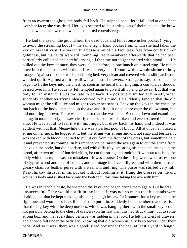from an overturned glass, the body fell back. He stepped back, let it fall, and at once bent over her face; she was dead. Her eyes seemed to be starting out of their sockets, the brow and the whole face were drawn and contorted convulsively.

 He laid the axe on the ground near the dead body and felt at once in her pocket (trying to avoid the streaming body) – the same right−hand pocket from which she had taken the key on his last visit. He was in full possession of his faculties, free from confusion or giddiness, but his hands were still trembling. He remembered afterwards that he had been particularly collected and careful, trying all the time not to get smeared with blood. . . . He pulled out the keys at once, they were all, as before, in one bunch on a steel ring. He ran at once into the bedroom with them. It was a very small room with a whole shrine of holy images. Against the other wall stood a big bed, very clean and covered with a silk patchwork wadded quilt. Against a third wall was a chest of drawers. Strange to say, so soon as he began to fit the keys into the chest, so soon as he heard their jingling, a convulsive shudder passed over him. He suddenly felt tempted again to give it all up and go away. But that was only for an instant; it was too late to go back. He positively smiled at himself, when suddenly another terrifying idea occurred to his mind. He suddenly fancied that the old woman might be still alive and might recover her senses. Leaving the keys in the chest, he ran back to the body, snatched up the axe and lifted it once more over the old woman, but did not bring it down. There was no doubt that she was dead. Bending down and examining her again more closely, he saw clearly that the skull was broken and even battered in on one side. He was about to feel it with his finger, but drew back his hand and indeed it was evident without that. Meanwhile there was a perfect pool of blood. All at once he noticed a string on her neck; he tugged at it, but the string was strong and did not snap and besides, it was soaked with blood. He tried to pull it out from the front of the dress, but something held it and prevented its coming. In his impatience he raised the axe again to cut the string from above on the body, but did not dare, and with difficulty, smearing his hand and the axe in the blood, after two minutes' hurried effort, he cut the string and took it off without touching the body with the axe; he was not mistaken – it was a purse. On the string were two crosses, one of Cyprus wood and one of copper, and an image in silver filigree, and with them a small greasy chamois leather purse with a steel rim and ring. The purse was stuffed very full; Raskolnikov thrust it in his pocket without looking at it, flung the crosses on the old woman's body and rushed back into the bedroom, this time taking the axe with him.

 He was in terrible haste, he snatched the keys, and began trying them again. But he was unsuccessful. They would not fit in the locks. It was not so much that his hands were shaking, but that he kept making mistakes; though he saw for instance that a key was not the right one and would not fit, still he tried to put it in. Suddenly he remembered and realised that the big key with the deep notches, which was hanging there with the small keys could not possibly belong to the chest of drawers (on his last visit this had struck him), but to some strong box, and that everything perhaps was hidden in that box. He left the chest of drawers, and at once felt under the bedstead, knowing that old women usually keep boxes under their beds. And so it was; there was a good−sized box under the bed, at least a yard in length,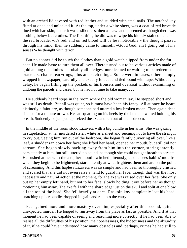with an arched lid covered with red leather and studded with steel nails. The notched key fitted at once and unlocked it. At the top, under a white sheet, was a coat of red brocade lined with hareskin; under it was a silk dress, then a shawl and it seemed as though there was nothing below but clothes. The first thing he did was to wipe his blood− stained hands on the red brocade. «It's red, and on red blood will be less noticeable,» the thought passed through his mind; then he suddenly came to himself. «Good God, am I going out of my senses?» he thought with terror.

 But no sooner did he touch the clothes than a gold watch slipped from under the fur coat. He made haste to turn them all over. There turned out to be various articles made of gold among the clothes – probably all pledges, unredeemed or waiting to be redeemed – bracelets, chains, ear−rings, pins and such things. Some were in cases, others simply wrapped in newspaper, carefully and exactly folded, and tied round with tape. Without any delay, he began filling up the pockets of his trousers and overcoat without examining or undoing the parcels and cases; but he had not time to take many....

 He suddenly heard steps in the room where the old woman lay. He stopped short and was still as death. But all was quiet, so it must have been his fancy. All at once he heard distinctly a faint cry, as though someone had uttered a low broken moan. Then again dead silence for a minute or two. He sat squatting on his heels by the box and waited holding his breath. Suddenly he jumped up, seized the axe and ran out of the bedroom.

 In the middle of the room stood Lizaveta with a big bundle in her arms. She was gazing in stupefaction at her murdered sister, white as a sheet and seeming not to have the strength to cry out. Seeing him run out of the bedroom, she began faintly quivering all over, like a leaf, a shudder ran down her face; she lifted her hand, opened her mouth, but still did not scream. She began slowly backing away from him into the corner, staring intently, persistently at him, but still uttered no sound, as though she could not get breath to scream. He rushed at her with the axe; her mouth twitched piteously, as one sees babies' mouths, when they begin to be frightened, stare intently at what frightens them and are on the point of screaming. And this hapless Lizaveta was so simple and had been so thoroughly crushed and scared that she did not even raise a hand to guard her face, though that was the most necessary and natural action at the moment, for the axe was raised over her face. She only put up her empty left hand, but not to her face, slowly holding it out before her as though motioning him away. The axe fell with the sharp edge just on the skull and split at one blow all the top of the head. She fell heavily at once. Raskolnikov completely lost his head, snatching up her bundle, dropped it again and ran into the entry.

 Fear gained more and more mastery over him, especially after this second, quite unexpected murder. He longed to run away from the place as fast as possible. And if at that moment he had been capable of seeing and reasoning more correctly, if he had been able to realise all the difficulties of his position, the hopelessness, the hideousness and the absurdity of it, if he could have understood how many obstacles and, perhaps, crimes he had still to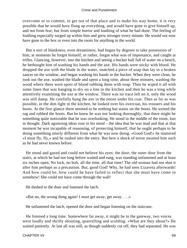overcome or to commit, to get out of that place and to make his way home, it is very possible that he would have flung up everything, and would have gone to give himself up, and not from fear, but from simple horror and loathing of what he had done. The feeling of loathing especially surged up within him and grew stronger every minute. He would not now have gone to the box or even into the room for anything in the world.

 But a sort of blankness, even dreaminess, had begun by degrees to take possession of him; at moments he forgot himself, or rather, forgot what was of importance, and caught at trifles. Glancing, however, into the kitchen and seeing a bucket half full of water on a bench, he bethought him of washing his hands and the axe. His hands were sticky with blood. He dropped the axe with the blade in the water, snatched a piece of soap that lay in a broken saucer on the window, and began washing his hands in the bucket. When they were clean, he took out the axe, washed the blade and spent a long time, about three minutes, washing the wood where there were spots of blood rubbing them with soap. Then he wiped it all with some linen that was hanging to dry on a line in the kitchen and then he was a long while attentively examining the axe at the window. There was no trace left on it, only the wood was still damp. He carefully hung the axe in the noose under his coat. Then as far as was possible, in the dim light in the kitchen, he looked over his overcoat, his trousers and his boots. At the first glance there seemed to be nothing but stains on the boots. He wetted the rag and rubbed the boots. But he knew he was not looking thoroughly, that there might be something quite noticeable that he was overlooking. He stood in the middle of the room, lost in thought. Dark agonising ideas rose in his mind – the idea that he was mad and that at that moment he was incapable of reasoning, of protecting himself, that he ought perhaps to be doing something utterly different from what he was now doing. «Good God!» he muttered «I must fly, fly,» and he rushed into the entry. But here a shock of terror awaited him such as he had never known before.

 He stood and gazed and could not believe his eyes: the door, the outer door from the stairs, at which he had not long before waited and rung, was standing unfastened and at least six inches open. No lock, no bolt, all the time, all that time! The old woman had not shut it after him perhaps as a precaution. But, good God! Why, he had seen Lizaveta afterwards! And how could he, how could he have failed to reflect that she must have come in somehow! She could not have come through the wall!

He dashed to the door and fastened the latch.

«But no, the wrong thing again! I must get away, get away. . . .»

He unfastened the latch, opened the door and began listening on the staircase.

 He listened a long time. Somewhere far away, it might be in the gateway, two voices were loudly and shrilly shouting, quarrelling and scolding. «What are they about?» He waited patiently. At last all was still, as though suddenly cut off; they had separated. He was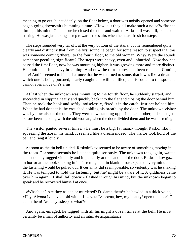meaning to go out, but suddenly, on the floor below, a door was noisily opened and someone began going downstairs humming a tune. «How is it they all make such a noise?» flashed through his mind. Once more he closed the door and waited. At last all was still, not a soul stirring. He was just taking a step towards the stairs when he heard fresh footsteps.

 The steps sounded very far off, at the very bottom of the stairs, but he remembered quite clearly and distinctly that from the first sound he began for some reason to suspect that this was someone coming /there/, to the fourth floor, to the old woman. Why? Were the sounds somehow peculiar, significant? The steps were heavy, even and unhurried. Now /he/ had passed the first floor, now he was mounting higher, it was growing more and more distinct! He could hear his heavy breathing. And now the third storey had been reached. Coming here! And it seemed to him all at once that he was turned to stone, that it was like a dream in which one is being pursued, nearly caught and will be killed, and is rooted to the spot and cannot even move one's arms.

 At last when the unknown was mounting to the fourth floor, he suddenly started, and succeeded in slipping neatly and quickly back into the flat and closing the door behind him. Then he took the hook and softly, noiselessly, fixed it in the catch. Instinct helped him. When he had done this, he crouched holding his breath, by the door. The unknown visitor was by now also at the door. They were now standing opposite one another, as he had just before been standing with the old woman, when the door divided them and he was listening.

 The visitor panted several times. «He must be a big, fat man,» thought Raskolnikov, squeezing the axe in his hand. It seemed like a dream indeed. The visitor took hold of the bell and rang it loudly.

 As soon as the tin bell tinkled, Raskolnikov seemed to be aware of something moving in the room. For some seconds he listened quite seriously. The unknown rang again, waited and suddenly tugged violently and impatiently at the handle of the door. Raskolnikov gazed in horror at the hook shaking in its fastening, and in blank terror expected every minute that the fastening would be pulled out. It certainly did seem possible, so violently was he shaking it. He was tempted to hold the fastening, but /he/ might be aware of it. A giddiness came over him again. «I shall fall down!» flashed through his mind, but the unknown began to speak and he recovered himself at once.

 «What's up? Are they asleep or murdered? D−damn them!» he bawled in a thick voice, «Hey, Alyona Ivanovna, old witch! Lizaveta Ivanovna, hey, my beauty! open the door! Oh, damn them! Are they asleep or what?»

 And again, enraged, he tugged with all his might a dozen times at the bell. He must certainly be a man of authority and an intimate acquaintance.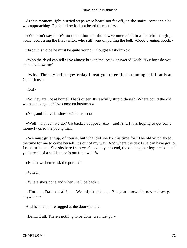At this moment light hurried steps were heard not far off, on the stairs. someone else was approaching. Raskolnikov had not heard them at first.

 «You don't say there's no one at home,» the new−comer cried in a cheerful, ringing voice, addressing the first visitor, who still went on pulling the bell. «Good evening, Koch.»

«From his voice he must be quite young,» thought Raskolnikov.

 «Who the devil can tell? I've almost broken the lock,» answered Koch. "But how do you come to know me?

 «Why! The day before yesterday I beat you three times running at billiards at Gambrinus'.»

«Oh!»

 «So they are not at home? That's queer. It's awfully stupid though. Where could the old woman have gone? I've come on business.»

«Yes; and I have business with her, too.»

 «Well, what can we do? Go back, I suppose, Aie – aie! And I was hoping to get some money!» cried the young man.

 «We must give it up, of course, but what did she fix this time for? The old witch fixed the time for me to come herself. It's out of my way. And where the devil she can have got to, I can't make out. She sits here from year's end to year's end, the old hag; her legs are bad and yet here all of a sudden she is out for a walk!»

«Hadn't we better ask the porter?»

«What?»

«Where she's gone and when she'll be back.»

 «Hm. . . . Damn it all! . . . We might ask. . . . But you know she never does go anywhere.»

And he once more tugged at the door−handle.

«Damn it all. There's nothing to be done, we must go!»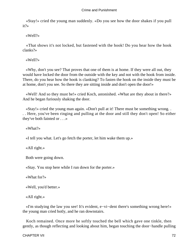«Stay!» cried the young man suddenly. «Do you see how the door shakes if you pull it?»

«Well?»

 «That shows it's not locked, but fastened with the hook! Do you hear how the hook clanks?»

«Well?»

 «Why, don't you see? That proves that one of them is at home. If they were all out, they would have locked the door from the outside with the key and not with the hook from inside. There, do you hear how the hook is clanking? To fasten the hook on the inside they must be at home, don't you see. So there they are sitting inside and don't open the door!»

 «Well! And so they must be!» cried Koch, astonished. «What are they about in there?» And he began furiously shaking the door.

 «Stay!» cried the young man again. «Don't pull at it! There must be something wrong. . . . Here, you've been ringing and pulling at the door and still they don't open! So either they've both fainted or . . .»

«What?»

«I tell you what. Let's go fetch the porter, let him wake them up.»

«All right.»

Both were going down.

«Stay. You stop here while I run down for the porter.»

«What for?»

«Well, you'd better.»

«All right.»

 «I'm studying the law you see! It's evident, e−vi−dent there's something wrong here!» the young man cried hotly, and he ran downstairs.

 Koch remained. Once more he softly touched the bell which gave one tinkle, then gently, as though reflecting and looking about him, began touching the door−handle pulling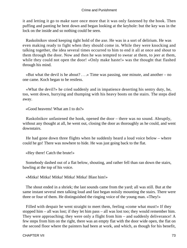it and letting it go to make sure once more that it was only fastened by the hook. Then puffing and panting he bent down and began looking at the keyhole: but the key was in the lock on the inside and so nothing could be seen.

 Raskolnikov stood keeping tight hold of the axe. He was in a sort of delirium. He was even making ready to fight when they should come in. While they were knocking and talking together, the idea several times occurred to him to end it all at once and shout to them through the door. Now and then he was tempted to swear at them, to jeer at them, while they could not open the door! «Only make haste!» was the thought that flashed through his mind.

«But what the devil is he about?  $\ldots$ » Time was passing, one minute, and another – no one came. Koch began to be restless.

 «What the devil?» he cried suddenly and in impatience deserting his sentry duty, he, too, went down, hurrying and thumping with his heavy boots on the stairs. The steps died away.

«Good heavens! What am I to do?»

 Raskolnikov unfastened the hook, opened the door – there was no sound. Abruptly, without any thought at all, he went out, closing the door as thoroughly as he could, and went downstairs.

 He had gone down three flights when he suddenly heard a loud voice below – where could he go! There was nowhere to hide. He was just going back to the flat.

«Hey there! Catch the brute!»

 Somebody dashed out of a flat below, shouting, and rather fell than ran down the stairs, bawling at the top of his voice.

«Mitka! Mitka! Mitka! Mitka! Mitka! Blast him!»

 The shout ended in a shriek; the last sounds came from the yard; all was still. But at the same instant several men talking loud and fast began noisily mounting the stairs. There were three or four of them. He distinguished the ringing voice of the young man. «They!»

 Filled with despair he went straight to meet them, feeling «come what must!» If they stopped him – all was lost; if they let him pass – all was lost too; they would remember him. They were approaching; they were only a flight from him – and suddenly deliverance! A few steps from him on the right, there was an empty flat with the door wide open, the flat on the second floor where the painters had been at work, and which, as though for his benefit,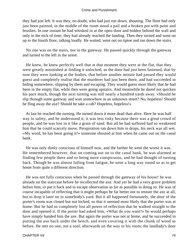they had just left. It was they, no doubt, who had just run down, shouting. The floor had only just been painted, in the middle of the room stood a pail and a broken pot with paint and brushes. In one instant he had whisked in at the open door and hidden behind the wall and only in the nick of time; they had already reached the landing. Then they turned and went on up to the fourth floor, talking loudly. He waited, went out on tiptoe and ran down the stairs.

 No one was on the stairs, nor in the gateway. He passed quickly through the gateway and turned to the left in the street.

 He knew, he knew perfectly well that at that moment they were at the flat, that they were greatly astonished at finding it unlocked, as the door had just been fastened, that by now they were looking at the bodies, that before another minute had passed they would guess and completely realise that the murderer had just been there, and had succeeded in hiding somewhere, slipping by them and escaping. They would guess most likely that he had been in the empty flat, while they were going upstairs. And meanwhile he dared not quicken his pace much, though the next turning was still nearly a hundred yards away. «Should he slip through some gateway and wait somewhere in an unknown street? No, hopeless! Should he fling away the axe? Should he take a cab? Hopeless, hopeless!»

 At last he reached the turning. He turned down it more dead than alive. Here he was half way to safety, and he understood it; it was less risky because there was a great crowd of people, and he was lost in it like a grain of sand. But all he had suffered had so weakened him that he could scarcely move. Perspiration ran down him in drops, his neck was all wet. «My word, he has been going it!» someone shouted at him when he came out on the canal bank.

 He was only dimly conscious of himself now, and the farther he went the worse it was. He remembered however, that on coming out on to the canal bank, he was alarmed at finding few people there and so being more conspicuous, and he had thought of turning back. Though he was almost falling from fatigue, he went a long way round so as to get home from quite a different direction.

 He was not fully conscious when he passed through the gateway of his house! he was already on the staircase before he recollected the axe. And yet he had a very grave problem before him, to put it back and to escape observation as far as possible in doing so. He was of course incapable of reflecting that it might perhaps be far better not to restore the axe at all, but to drop it later on in somebody's yard. But it all happened fortunately, the door of the porter's room was closed but not locked, so that it seemed most likely that the porter was at home. But he had so completely lost all power of reflection that he walked straight to the door and opened it. If the porter had asked him, «What do you want?» he would perhaps have simply handed him the axe. But again the porter was not at home, and he succeeded in putting the axe back under the bench, and even covering it with the chunk of wood as before. He met no one, not a soul, afterwards on the way to his room; the landlady's door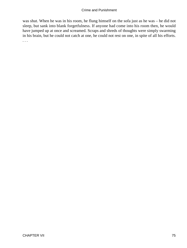was shut. When he was in his room, he flung himself on the sofa just as he was – he did not sleep, but sank into blank forgetfulness. If anyone had come into his room then, he would have jumped up at once and screamed. Scraps and shreds of thoughts were simply swarming in his brain, but he could not catch at one, he could not rest on one, in spite of all his efforts. . . .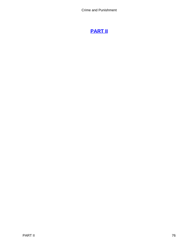# **[PART II](#page-465-0)**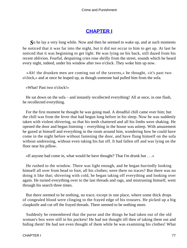## **[CHAPTER I](#page-465-0)**

*S*o he lay a very long while. Now and then he seemed to wake up, and at such moments he noticed that it was far into the night, but it did not occur to him to get up. At last he noticed that it was beginning to get light. He was lying on his back, still dazed from his recent oblivion. Fearful, despairing cries rose shrilly from the street, sounds which he heard every night, indeed, under his window after two o'clock. They woke him up now.

 «Ah! the drunken men are coming out of the taverns,» he thought, «it's past two o'clock,» and at once he leaped up, as though someone had pulled him from the sofa.

«What! Past two o'clock!»

 He sat down on the sofa – and instantly recollected everything! All at once, in one flash, he recollected everything.

 For the first moment he thought he was going mad. A dreadful chill came over him; but the chill was from the fever that had begun long before in his sleep. Now he was suddenly taken with violent shivering, so that his teeth chattered and all his limbs were shaking. He opened the door and began listening – everything in the house was asleep. With amazement he gazed at himself and everything in the room around him, wondering how he could have come in the night before without fastening the door, and have flung himself on the sofa without undressing, without even taking his hat off. It had fallen off and was lying on the floor near his pillow.

«If anyone had come in, what would he have thought? That I'm drunk but . . .»

 He rushed to the window. There was light enough, and he began hurriedly looking himself all over from head to foot, all his clothes; were there no traces? But there was no doing it like that; shivering with cold, he began taking off everything and looking over again. He turned everything over to the last threads and rags, and mistrusting himself, went through his search three times.

 But there seemed to be nothing, no trace, except in one place, where some thick drops of congealed blood were clinging to the frayed edge of his trousers. He picked up a big claspknife and cut off the frayed threads. There seemed to be nothing more.

 Suddenly he remembered that the purse and the things he had taken out of the old woman's box were still in his pockets! He had not thought till then of taking them out and hiding them! He had not even thought of them while he was examining his clothes! What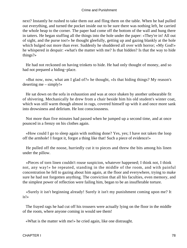next? Instantly he rushed to take them out and fling them on the table. When he had pulled out everything, and turned the pocket inside out to be sure there was nothing left, he carried the whole heap to the corner. The paper had come off the bottom of the wall and hung there in tatters. He began stuffing all the things into the hole under the paper: «They're in! All out of sight, and the purse too!» he thought gleefully, getting up and gazing blankly at the hole which bulged out more than ever. Suddenly he shuddered all over with horror; «My God!» he whispered in despair: «what's the matter with me? Is that hidden? Is that the way to hide things?»

 He had not reckoned on having trinkets to hide. He had only thought of money, and so had not prepared a hiding−place.

 «But now, now, what am I glad of?» he thought, «Is that hiding things? My reason's deserting me – simply!»

 He sat down on the sofa in exhaustion and was at once shaken by another unbearable fit of shivering. Mechanically he drew from a chair beside him his old student's winter coat, which was still warm though almost in rags, covered himself up with it and once more sank into drowsiness and delirium. He lost consciousness.

 Not more than five minutes had passed when he jumped up a second time, and at once pounced in a frenzy on his clothes again.

 «How could I go to sleep again with nothing done? Yes, yes; I have not taken the loop off the armhole! I forgot it, forgot a thing like that! Such a piece of evidence!»

 He pulled off the noose, hurriedly cut it to pieces and threw the bits among his linen under the pillow.

 «Pieces of torn linen couldn't rouse suspicion, whatever happened; I think not, I think not, any way!» he repeated, standing in the middle of the room, and with painful concentration he fell to gazing about him again, at the floor and everywhere, trying to make sure he had not forgotten anything. The conviction that all his faculties, even memory, and the simplest power of reflection were failing him, began to be an insufferable torture.

 «Surely it isn't beginning already! Surely it isn't my punishment coming upon me? It is!»

 The frayed rags he had cut off his trousers were actually lying on the floor in the middle of the room, where anyone coming in would see them!

«What is the matter with me!» he cried again, like one distraught.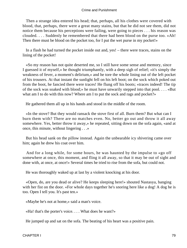Then a strange idea entered his head; that, perhaps, all his clothes were covered with blood, that, perhaps, there were a great many stains, but that he did not see them, did not notice them because his perceptions were failing, were going to pieces . . . his reason was clouded. . . . Suddenly he remembered that there had been blood on the purse too. «Ah! Then there must be blood on the pocket too, for I put the wet purse in my pocket!»

 In a flash he had turned the pocket inside out and, yes! – there were traces, stains on the lining of the pocket!

 «So my reason has not quite deserted me, so I still have some sense and memory, since I guessed it of myself,» he thought triumphantly, with a deep sigh of relief; «it's simply the weakness of fever, a moment's delirium,» and he tore the whole lining out of the left pocket of his trousers. At that instant the sunlight fell on his left boot; on the sock which poked out from the boot, he fancied there were traces! He flung off his boots; «traces indeed! The tip of the sock was soaked with blood;» he must have unwarily stepped into that pool. . . . «But what am I to do with this now? Where am I to put the sock and rags and pocket?»

He gathered them all up in his hands and stood in the middle of the room.

 «In the stove? But they would ransack the stove first of all. Burn them? But what can I burn them with? There are no matches even. No, better go out and throw it all away somewhere. Yes, better throw it away,» he repeated, sitting down on the sofa again, «and at once, this minute, without lingering . . .»

 But his head sank on the pillow instead. Again the unbearable icy shivering came over him; again he drew his coat over him.

 And for a long while, for some hours, he was haunted by the impulse to «go off somewhere at once, this moment, and fling it all away, so that it may be out of sight and done with, at once, at once!» Several times he tried to rise from the sofa, but could not.

He was thoroughly waked up at last by a violent knocking at his door.

 «Open, do, are you dead or alive? He keeps sleeping here!» shouted Nastasya, banging with her fist on the door. «For whole days together he's snoring here like a dog! A dog he is too. Open I tell you. It's past ten.»

«Maybe he's not at home,» said a man's voice.

«Ha! that's the porter's voice. . . . What does he want?»

He jumped up and sat on the sofa. The beating of his heart was a positive pain.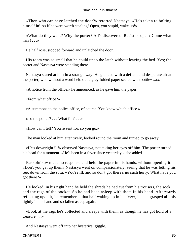«Then who can have latched the door?» retorted Nastasya. «He's taken to bolting himself in! As if he were worth stealing! Open, you stupid, wake up!»

 «What do they want? Why the porter? All's discovered. Resist or open? Come what  $may! \dots$ 

He half rose, stooped forward and unlatched the door.

 His room was so small that he could undo the latch without leaving the bed. Yes; the porter and Nastasya were standing there.

 Nastasya stared at him in a strange way. He glanced with a defiant and desperate air at the porter, who without a word held out a grey folded paper sealed with bottle−wax.

«A notice from the office,» he announced, as he gave him the paper.

«From what office?»

«A summons to the police office, of course. You know which office.»

«To the police? . . . What for? . . .»

«How can I tell? You're sent for, so you go.»

The man looked at him attentively, looked round the room and turned to go away.

 «He's downright ill!» observed Nastasya, not taking her eyes off him. The porter turned his head for a moment. «He's been in a fever since yesterday,» she added.

 Raskolnikov made no response and held the paper in his hands, without opening it. «Don't you get up then,» Nastasya went on compassionately, seeing that he was letting his feet down from the sofa. «You're ill, and so don't go; there's no such hurry. What have you got there?»

 He looked; in his right hand he held the shreds he had cut from his trousers, the sock, and the rags of the pocket. So he had been asleep with them in his hand. Afterwards reflecting upon it, he remembered that half waking up in his fever, he had grasped all this tightly in his hand and so fallen asleep again.

 «Look at the rags he's collected and sleeps with them, as though he has got hold of a treasure . . .»

And Nastasya went off into her hysterical giggle.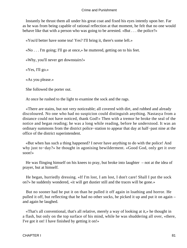Instantly he thrust them all under his great coat and fixed his eyes intently upon her. Far as he was from being capable of rational reflection at that moment, he felt that no one would behave like that with a person who was going to be arrested. «But . . . the police?»

«You'd better have some tea! Yes? I'll bring it, there's some left.»

«No . . . I'm going; I'll go at once,» he muttered, getting on to his feet.

«Why, you'll never get downstairs!»

«Yes, I'll go.»

«As you please.»

She followed the porter out.

At once he rushed to the light to examine the sock and the rags.

 «There are stains, but not very noticeable; all covered with dirt, and rubbed and already discoloured. No one who had no suspicion could distinguish anything. Nastasya from a distance could not have noticed, thank God!» Then with a tremor he broke the seal of the notice and began reading; he was a long while reading, before he understood. It was an ordinary summons from the district police−station to appear that day at half−past nine at the office of the district superintendent.

 «But when has such a thing happened? I never have anything to do with the police! And why just to−day?» he thought in agonising bewilderment. «Good God, only get it over soon!»

 He was flinging himself on his knees to pray, but broke into laughter – not at the idea of prayer, but at himself.

 He began, hurriedly dressing. «If I'm lost, I am lost, I don't care! Shall I put the sock on?» he suddenly wondered, «it will get dustier still and the traces will be gone.»

 But no sooner had he put it on than he pulled it off again in loathing and horror. He pulled it off, but reflecting that he had no other socks, he picked it up and put it on again – and again he laughed.

 «That's all conventional, that's all relative, merely a way of looking at it,» he thought in a flash, but only on the top surface of his mind, while he was shuddering all over, «there, I've got it on! I have finished by getting it on!»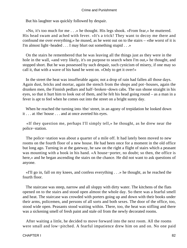But his laughter was quickly followed by despair.

 «No, it's too much for me . . .» he thought. His legs shook. «From fear,» he muttered. His head swam and ached with fever. «It's a trick! They want to decoy me there and confound me over everything,» he mused, as he went out on to the stairs – «the worst of it is I'm almost light−headed . . . I may blurt out something stupid . . .»

 On the stairs he remembered that he was leaving all the things just as they were in the hole in the wall, «and very likely, it's on purpose to search when I'm out,» he thought, and stopped short. But he was possessed by such despair, such cynicism of misery, if one may so call it, that with a wave of his hand he went on. «Only to get it over!»

 In the street the heat was insufferable again; not a drop of rain had fallen all those days. Again dust, bricks and mortar, again the stench from the shops and pot−houses, again the drunken men, the Finnish pedlars and half−broken−down cabs. The sun shone straight in his eyes, so that it hurt him to look out of them, and he felt his head going round – as a man in a fever is apt to feel when he comes out into the street on a bright sunny day.

When he reached the turning into /the/ street, in an agony of trepidation he looked down it . . . at /the/ house . . . and at once averted his eyes.

 «If they question me, perhaps I'll simply tell,» he thought, as he drew near the police−station.

 The police−station was about a quarter of a mile off. It had lately been moved to new rooms on the fourth floor of a new house. He had been once for a moment in the old office but long ago. Turning in at the gateway, he saw on the right a flight of stairs which a peasant was mounting with a book in his hand. «A house−porter, no doubt; so then, the office is here,» and he began ascending the stairs on the chance. He did not want to ask questions of anyone.

 «I'll go in, fall on my knees, and confess everything . . .» he thought, as he reached the fourth floor.

 The staircase was steep, narrow and all sloppy with dirty water. The kitchens of the flats opened on to the stairs and stood open almost the whole day. So there was a fearful smell and heat. The staircase was crowded with porters going up and down with their books under their arms, policemen, and persons of all sorts and both sexes. The door of the office, too, stood wide open. Peasants stood waiting within. There, too, the heat was stifling and there was a sickening smell of fresh paint and stale oil from the newly decorated rooms.

 After waiting a little, he decided to move forward into the next room. All the rooms were small and low−pitched. A fearful impatience drew him on and on. No one paid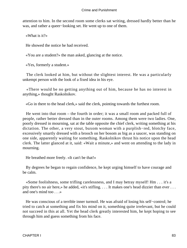attention to him. In the second room some clerks sat writing, dressed hardly better than he was, and rather a queer−looking set. He went up to one of them.

«What is it?»

He showed the notice he had received.

«You are a student?» the man asked, glancing at the notice.

«Yes, formerly a student.»

 The clerk looked at him, but without the slightest interest. He was a particularly unkempt person with the look of a fixed idea in his eye.

 «There would be no getting anything out of him, because he has no interest in anything,» thought Raskolnikov.

«Go in there to the head clerk,» said the clerk, pointing towards the furthest room.

 He went into that room – the fourth in order; it was a small room and packed full of people, rather better dressed than in the outer rooms. Among them were two ladies. One, poorly dressed in mourning, sat at the table opposite the chief clerk, writing something at his dictation. The other, a very stout, buxom woman with a purplish−red, blotchy face, excessively smartly dressed with a brooch on her bosom as big as a saucer, was standing on one side, apparently waiting for something. Raskolnikov thrust his notice upon the head clerk. The latter glanced at it, said: «Wait a minute,» and went on attending to the lady in mourning.

He breathed more freely. «It can't be that!»

 By degrees he began to regain confidence, he kept urging himself to have courage and be calm.

 «Some foolishness, some trifling carelessness, and I may betray myself! Hm . . . it's a pity there's no air here,» he added, «it's stifling. . . . It makes one's head dizzier than ever . . . and one's mind too . . .»

 He was conscious of a terrible inner turmoil. He was afraid of losing his self−control; he tried to catch at something and fix his mind on it, something quite irrelevant, but he could not succeed in this at all. Yet the head clerk greatly interested him, he kept hoping to see through him and guess something from his face.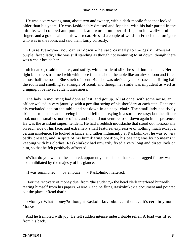He was a very young man, about two and twenty, with a dark mobile face that looked older than his years. He was fashionably dressed and foppish, with his hair parted in the middle, well combed and pomaded, and wore a number of rings on his well−scrubbed fingers and a gold chain on his waistcoat. He said a couple of words in French to a foreigner who was in the room, and said them fairly correctly.

 «Luise Ivanovna, you can sit down,» he said casually to the gaily− dressed, purple−faced lady, who was still standing as though not venturing to sit down, though there was a chair beside her.

 «Ich danke,» said the latter, and softly, with a rustle of silk she sank into the chair. Her light blue dress trimmed with white lace floated about the table like an air−balloon and filled almost half the room. She smelt of scent. But she was obviously embarrassed at filling half the room and smelling so strongly of scent; and though her smile was impudent as well as cringing, it betrayed evident uneasiness.

 The lady in mourning had done at last, and got up. All at once, with some noise, an officer walked in very jauntily, with a peculiar swing of his shoulders at each step. He tossed his cockaded cap on the table and sat down in an easy−chair. The small lady positively skipped from her seat on seeing him, and fell to curtsying in a sort of ecstasy; but the officer took not the smallest notice of her, and she did not venture to sit down again in his presence. He was the assistant superintendent. He had a reddish moustache that stood out horizontally on each side of his face, and extremely small features, expressive of nothing much except a certain insolence. He looked askance and rather indignantly at Raskolnikov; he was so very badly dressed, and in spite of his humiliating position, his bearing was by no means in keeping with his clothes. Raskolnikov had unwarily fixed a very long and direct look on him, so that he felt positively affronted.

 «What do you want?» he shouted, apparently astonished that such a ragged fellow was not annihilated by the majesty of his glance.

«I was summoned . . . by a notice . . .» Raskolnikov faltered.

 «For the recovery of money due, from /the student/,» the head clerk interfered hurriedly, tearing himself from his papers. «Here!» and he flung Raskolnikov a document and pointed out the place. «Read that!»

 «Money? What money?» thought Raskolnikov, «but . . . then . . . it's certainly not /that/.»

 And he trembled with joy. He felt sudden intense indescribable relief. A load was lifted from his back.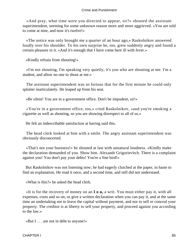«And pray, what time were you directed to appear, sir?» shouted the assistant superintendent, seeming for some unknown reason more and more aggrieved. «You are told to come at nine, and now it's twelve!»

 «The notice was only brought me a quarter of an hour ago,» Raskolnikov answered loudly over his shoulder. To his own surprise he, too, grew suddenly angry and found a certain pleasure in it. «And it's enough that I have come here ill with fever.»

«Kindly refrain from shouting!»

 «I'm not shouting, I'm speaking very quietly, it's you who are shouting at me. I'm a student, and allow no one to shout at me.»

 The assistant superintendent was so furious that for the first minute he could only splutter inarticulately. He leaped up from his seat.

«Be silent! You are in a government office. Don't be impudent, sir!»

 «You're in a government office, too,» cried Raskolnikov, «and you're smoking a cigarette as well as shouting, so you are showing disrespect to all of us.»

He felt an indescribable satisfaction at having said this.

 The head clerk looked at him with a smile. The angry assistant superintendent was obviously disconcerted.

 «That's not your business!» he shouted at last with unnatural loudness. «Kindly make the declaration demanded of you. Show him. Alexandr Grigorievitch. There is a complaint against you! You don't pay your debts! You're a fine bird!»

 But Raskolnikov was not listening now; he had eagerly clutched at the paper, in haste to find an explanation. He read it once, and a second time, and still did not understand.

«What is this?» he asked the head clerk.

 «It is for the recovery of money on an **I o u,** a writ. You must either pay it, with all expenses, costs and so on, or give a written declaration when you can pay it, and at the same time an undertaking not to leave the capital without payment, and nor to sell or conceal your property. The creditor is at liberty to sell your property, and proceed against you according to the law.»

«But I . . . am not in debt to anyone!»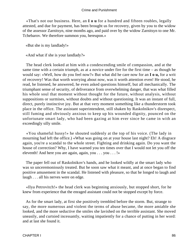«That's not our business. Here, an **I o u** for a hundred and fifteen roubles, legally attested, and due for payment, has been brought us for recovery, given by you to the widow of the assessor Zarnitsyn, nine months ago, and paid over by the widow Zarnitsyn to one Mr. Tchebarov. We therefore summon you, hereupon.»

«But she is my landlady!»

«And what if she is your landlady?»

 The head clerk looked at him with a condescending smile of compassion, and at the same time with a certain triumph, as at a novice under fire for the first time – as though he would say: «Well, how do you feel now?» But what did he care now for an **I o u,** for a writ of recovery! Was that worth worrying about now, was it worth attention even! He stood, he read, he listened, he answered, he even asked questions himself, but all mechanically. The triumphant sense of security, of deliverance from overwhelming danger, that was what filled his whole soul that moment without thought for the future, without analysis, without suppositions or surmises, without doubts and without questioning. It was an instant of full, direct, purely instinctive joy. But at that very moment something like a thunderstorm took place in the office. The assistant superintendent, still shaken by Raskolnikov's disrespect, still fuming and obviously anxious to keep up his wounded dignity, pounced on the unfortunate smart lady, who had been gazing at him ever since he came in with an exceedingly silly smile.

 «You shameful hussy!» he shouted suddenly at the top of his voice. (The lady in mourning had left the office.) «What was going on at your house last night? Eh! A disgrace again, you're a scandal to the whole street. Fighting and drinking again. Do you want the house of correction? Why, I have warned you ten times over that I would not let you off the eleventh! And here you are again, again, you . . . you . . . !»

 The paper fell out of Raskolnikov's hands, and he looked wildly at the smart lady who was so unceremoniously treated. But he soon saw what it meant, and at once began to find positive amusement in the scandal. He listened with pleasure, so that he longed to laugh and laugh . . . all his nerves were on edge.

 «Ilya Petrovitch!» the head clerk was beginning anxiously, but stopped short, for he knew from experience that the enraged assistant could not be stopped except by force.

 As for the smart lady, at first she positively trembled before the storm. But, strange to say, the more numerous and violent the terms of abuse became, the more amiable she looked, and the more seductive the smiles she lavished on the terrible assistant. She moved uneasily, and curtsied incessantly, waiting impatiently for a chance of putting in her word: and at last she found it.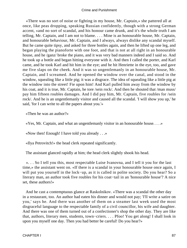«There was no sort of noise or fighting in my house, Mr. Captain,» she pattered all at once, like peas dropping, speaking Russian confidently, though with a strong German accent, «and no sort of scandal, and his honour came drunk, and it's the whole truth I am telling, Mr. Captain, and I am not to blame. . . . Mine is an honourable house, Mr. Captain, and honourable behaviour, Mr. Captain, and I always, always dislike any scandal myself. But he came quite tipsy, and asked for three bottles again, and then he lifted up one leg, and began playing the pianoforte with one foot, and that is not at all right in an honourable house, and he /ganz/ broke the piano, and it was very bad manners indeed and I said so. And he took up a bottle and began hitting everyone with it. And then I called the porter, and Karl came, and he took Karl and hit him in the eye; and he hit Henriette in the eye, too, and gave me five slaps on the cheek. And it was so ungentlemanly in an honourable house, Mr. Captain, and I screamed. And he opened the window over the canal, and stood in the window, squealing like a little pig; it was a disgrace. The idea of squealing like a little pig at the window into the street! Fie upon him! And Karl pulled him away from the window by his coat, and it is true, Mr. Captain, he tore /sein rock/. And then he shouted that /man muss/ pay him fifteen roubles damages. And I did pay him, Mr. Captain, five roubles for /sein rock/. And he is an ungentlemanly visitor and caused all the scandal. 'I will show you up,' he said, 'for I can write to all the papers about you.'»

«Then he was an author?»

«Yes, Mr. Captain, and what an ungentlemanly visitor in an honourable house. . . .»

«Now then! Enough! I have told you already . . .»

«Ilya Petrovitch!» the head clerk repeated significantly.

The assistant glanced rapidly at him; the head clerk slightly shook his head.

 «. . . So I tell you this, most respectable Luise Ivanovna, and I tell it you for the last time,» the assistant went on. «If there is a scandal in your honourable house once again, I will put you yourself in the lock−up, as it is called in polite society. Do you hear? So a literary man, an author took five roubles for his coat−tail in an 'honourable house'? A nice set, these authors!»

 And he cast a contemptuous glance at Raskolnikov. «There was a scandal the other day in a restaurant, too. An author had eaten his dinner and would not pay; 'I'll write a satire on you,' says he. And there was another of them on a steamer last week used the most disgraceful language to the respectable family of a civil councillor, his wife and daughter. And there was one of them turned out of a confectioner's shop the other day. They are like that, authors, literary men, students, town−criers. . . . Pfoo! You get along! I shall look in upon you myself one day. Then you had better be careful! Do you hear?»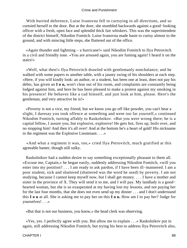With hurried deference, Luise Ivanovna fell to curtsying in all directions, and so curtsied herself to the door. But at the door, she stumbled backwards against a good−looking officer with a fresh, open face and splendid thick fair whiskers. This was the superintendent of the district himself, Nikodim Fomitch. Luise Ivanovna made haste to curtsy almost to the ground, and with mincing little steps, she fluttered out of the office.

 «Again thunder and lightning – a hurricane!» said Nikodim Fomitch to Ilya Petrovitch in a civil and friendly tone. «You are aroused again, you are fuming again! I heard it on the stairs!»

 «Well, what then!» Ilya Petrovitch drawled with gentlemanly nonchalance; and he walked with some papers to another table, with a jaunty swing of his shoulders at each step. «Here, if you will kindly look: an author, or a student, has been one at least, does not pay his debts, has given an **I o u,** won't clear out of his room, and complaints are constantly being lodged against him, and here he has been pleased to make a protest against my smoking in his presence! He behaves like a cad himself, and just look at him, please. Here's the gentleman, and very attractive he is!»

 «Poverty is not a vice, my friend, but we know you go off like powder, you can't bear a slight, I daresay you took offence at something and went too far yourself,» continued Nikodim Fomitch, turning affably to Raskolnikov. «But you were wrong there; he is a capital fellow, I assure you, but explosive, explosive! He gets hot, fires up, boils over, and no stopping him! And then it's all over! And at the bottom he's a heart of gold! His nickname in the regiment was the Explosive Lieutenant. . . .»

 «And what a regiment it was, too,» cried Ilya Petrovitch, much gratified at this agreeable banter, though still sulky.

 Raskolnikov had a sudden desire to say something exceptionally pleasant to them all. «Excuse me, Captain,» he began easily, suddenly addressing Nikodim Fomitch, «will you enter into my position? . . . I am ready to ask pardon, if I have been ill−mannered. I am a poor student, sick and shattered (shattered was the word he used) by poverty. I am not studying, because I cannot keep myself now, but I shall get money. . . . I have a mother and sister in the province of X. They will send it to me, and I will pay. My landlady is a good– hearted woman, but she is so exasperated at my having lost my lessons, and not paying her for the last four months, that she does not even send up my dinner . . . and I don't understand this **I o u** at all. She is asking me to pay her on this **I o u.** How am I to pay her? Judge for yourselves! . . .»

«But that is not our business, you know,» the head clerk was observing.

 «Yes, yes. I perfectly agree with you. But allow me to explain . . .» Raskolnikov put in again, still addressing Nikodim Fomitch, but trying his best to address Ilya Petrovitch also,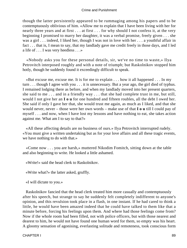though the latter persistently appeared to be rummaging among his papers and to be contemptuously oblivious of him. «Allow me to explain that I have been living with her for nearly three years and at first . . . at first . . . for why should I not confess it, at the very beginning I promised to marry her daughter, it was a verbal promise, freely given . . . she was a girl . . . indeed, I liked her, though I was not in love with her . . . a youthful affair in fact . . . that is, I mean to say, that my landlady gave me credit freely in those days, and I led a life of . . . I was very heedless . . .»

 «Nobody asks you for these personal details, sir, we've no time to waste,» Ilya Petrovitch interposed roughly and with a note of triumph; but Raskolnikov stopped him hotly, though he suddenly found it exceedingly difficult to speak.

 «But excuse me, excuse me. It is for me to explain . . . how it all happened . . . In my turn . . . though I agree with you . . . it is unnecessary. But a year ago, the girl died of typhus. I remained lodging there as before, and when my landlady moved into her present quarters, she said to me . . . and in a friendly way . . . that she had complete trust in me, but still, would I not give her an **I o u** for one hundred and fifteen roubles, all the debt I owed her. She said if only I gave her that, she would trust me again, as much as I liked, and that she would never, never – those were her own words – make use of that **I o u** till I could pay of myself . . . and now, when I have lost my lessons and have nothing to eat, she takes action against me. What am I to say to that?»

 «All these affecting details are no business of ours.» Ilya Petrovitch interrupted rudely. «You must give a written undertaking but as for your love affairs and all these tragic events, we have nothing to do with that.»

 «Come now . . . you are harsh,» muttered Nikodim Fomitch, sitting down at the table and also beginning to write. He looked a little ashamed.

«Write!» said the head clerk to Raskolnikov.

«Write what?» the latter asked, gruffly.

«I will dictate to you.»

 Raskolnikov fancied that the head clerk treated him more casually and contemptuously after his speech, but strange to say he suddenly felt completely indifferent to anyone's opinion, and this revulsion took place in a flash, in one instant. If he had cared to think a little, he would have been amazed indeed that he could have talked to them like that a minute before, forcing his feelings upon them. And where had those feelings come from? Now if the whole room had been filled, not with police officers, but with those nearest and dearest to him, he would not have found one human word for them, so empty was his heart. A gloomy sensation of agonising, everlasting solitude and remoteness, took conscious form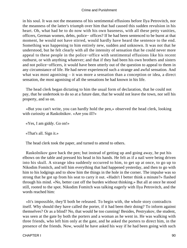in his soul. It was not the meanness of his sentimental effusions before Ilya Petrovitch, nor the meanness of the latter's triumph over him that had caused this sudden revulsion in his heart. Oh, what had he to do now with his own baseness, with all these petty vanities, officers, German women, debts, police− offices? If he had been sentenced to be burnt at that moment, he would not have stirred, would hardly have heard the sentence to the end. Something was happening to him entirely new, sudden and unknown. It was not that he understood, but he felt clearly with all the intensity of sensation that he could never more appeal to these people in the police−office with sentimental effusions like his recent outburst, or with anything whatever; and that if they had been his own brothers and sisters and not police−officers, it would have been utterly out of the question to appeal to them in any circumstance of life. He had never experienced such a strange and awful sensation. And what was most agonising – it was more a sensation than a conception or idea, a direct sensation, the most agonising of all the sensations he had known in his life.

 The head clerk began dictating to him the usual form of declaration, that he could not pay, that he undertook to do so at a future date, that he would not leave the town, nor sell his property, and so on.

 «But you can't write, you can hardly hold the pen,» observed the head clerk, looking with curiosity at Raskolnikov. «Are you ill?»

«Yes, I am giddy. Go on!»

«That's all. Sign it.»

The head clerk took the paper, and turned to attend to others.

 Raskolnikov gave back the pen; but instead of getting up and going away, he put his elbows on the table and pressed his head in his hands. He felt as if a nail were being driven into his skull. A strange idea suddenly occurred to him, to get up at once, to go up to Nikodim Fomitch, and tell him everything that had happened yesterday, and then to go with him to his lodgings and to show him the things in the hole in the corner. The impulse was so strong that he got up from his seat to carry it out. «Hadn't I better think a minute?» flashed through his mind. «No, better cast off the burden without thinking.» But all at once he stood still, rooted to the spot. Nikodim Fomitch was talking eagerly with Ilya Petrovitch, and the words reached him:

 «It's impossible, they'll both be released. To begin with, the whole story contradicts itself. Why should they have called the porter, if it had been their doing? To inform against themselves? Or as a blind? No, that would be too cunning! Besides, Pestryakov, the student, was seen at the gate by both the porters and a woman as he went in. He was walking with three friends, who left him only at the gate, and he asked the porters to direct him, in the presence of the friends. Now, would he have asked his way if he had been going with such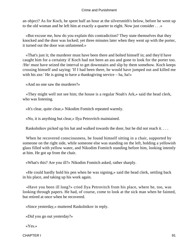an object? As for Koch, he spent half an hour at the silversmith's below, before he went up to the old woman and he left him at exactly a quarter to eight. Now just consider . . .»

 «But excuse me, how do you explain this contradiction? They state themselves that they knocked and the door was locked; yet three minutes later when they went up with the porter, it turned out the door was unfastened.»

 «That's just it; the murderer must have been there and bolted himself in; and they'd have caught him for a certainty if Koch had not been an ass and gone to look for the porter too. /He/ must have seized the interval to get downstairs and slip by them somehow. Koch keeps crossing himself and saying: 'If I had been there, he would have jumped out and killed me with his axe.' He is going to have a thanksgiving service – ha, ha!»

«And no one saw the murderer?»

 «They might well not see him; the house is a regular Noah's Ark,» said the head clerk, who was listening.

«It's clear, quite clear,» Nikodim Fomitch repeated warmly.

«No, it is anything but clear,» Ilya Petrovitch maintained.

Raskolnikov picked up his hat and walked towards the door, but he did not reach it. . . .

 When he recovered consciousness, he found himself sitting in a chair, supported by someone on the right side, while someone else was standing on the left, holding a yellowish glass filled with yellow water, and Nikodim Fomitch standing before him, looking intently at him. He got up from the chair.

«What's this? Are you ill?» Nikodim Fomitch asked, rather sharply.

 «He could hardly hold his pen when he was signing,» said the head clerk, settling back in his place, and taking up his work again.

 «Have you been ill long?» cried Ilya Petrovitch from his place, where he, too, was looking through papers. He had, of course, come to look at the sick man when he fainted, but retired at once when he recovered.

«Since yesterday,» muttered Raskolnikov in reply.

«Did you go out yesterday?»

«Yes.»

CHAPTER I 91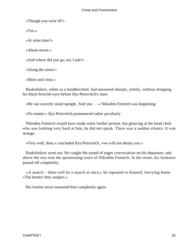«Though you were ill?»

«Yes.»

«At what time?»

«About seven.»

«And where did you go, my I ask?»

«Along the street.»

«Short and clear.»

 Raskolnikov, white as a handkerchief, had answered sharply, jerkily, without dropping his black feverish eyes before Ilya Petrovitch's stare.

«He can scarcely stand upright. And you . . .» Nikodim Fomitch was beginning.

«No matter,» Ilya Petrovitch pronounced rather peculiarly.

 Nikodim Fomitch would have made some further protest, but glancing at the head clerk who was looking very hard at him, he did not speak. There was a sudden silence. It was strange.

«Very well, then,» concluded Ilya Petrovitch, «we will not detain you.»

 Raskolnikov went out. He caught the sound of eager conversation on his departure, and above the rest rose the questioning voice of Nikodim Fomitch. In the street, his faintness passed off completely.

 «A search – there will be a search at once,» he repeated to himself, hurrying home. «The brutes! they suspect.»

His former terror mastered him completely again.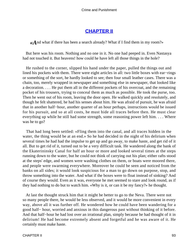### **[CHAPTER II](#page-465-0)**

*«A*nd what if there has been a search already? What if I find them in my room?»

 But here was his room. Nothing and no one in it. No one had peeped in. Even Nastasya had not touched it. But heavens! how could he have left all those things in the hole?

 He rushed to the corner, slipped his hand under the paper, pulled the things out and lined his pockets with them. There were eight articles in all: two little boxes with ear−rings or something of the sort, he hardly looked to see; then four small leather cases. There was a chain, too, merely wrapped in newspaper and something else in newspaper, that looked like a decoration. . . . He put them all in the different pockets of his overcoat, and the remaining pocket of his trousers, trying to conceal them as much as possible. He took the purse, too. Then he went out of his room, leaving the door open. He walked quickly and resolutely, and though he felt shattered, he had his senses about him. He was afraid of pursuit, he was afraid that in another half−hour, another quarter of an hour perhaps, instructions would be issued for his pursuit, and so at all costs, he must hide all traces before then. He must clear everything up while he still had some strength, some reasoning power left him. . . . Where was he to go?

 That had long been settled: «Fling them into the canal, and all traces hidden in the water, the thing would be at an end.» So he had decided in the night of his delirium when several times he had had the impulse to get up and go away, to make haste, and get rid of it all. But to get rid of it, turned out to be a very difficult task. He wandered along the bank of the Ekaterininsky Canal for half an hour or more and looked several times at the steps running down to the water, but he could not think of carrying out his plan; either rafts stood at the steps' edge, and women were washing clothes on them, or boats were moored there, and people were swarming everywhere. Moreover he could be seen and noticed from the banks on all sides; it would look suspicious for a man to go down on purpose, stop, and throw something into the water. And what if the boxes were to float instead of sinking? And of course they would. Even as it was, everyone he met seemed to stare and look round, as if they had nothing to do but to watch him. «Why is it, or can it be my fancy?» he thought.

 At last the thought struck him that it might be better to go to the Neva. There were not so many people there, he would be less observed, and it would be more convenient in every way, above all it was further off. He wondered how he could have been wandering for a good half− hour, worried and anxious in this dangerous past without thinking of it before. And that half−hour he had lost over an irrational plan, simply because he had thought of it in delirium! He had become extremely absent and forgetful and he was aware of it. He certainly must make haste.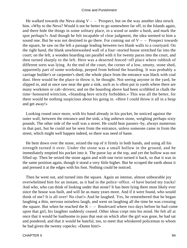He walked towards the Neva along  $V -$  – Prospect, but on the way another idea struck him. «Why to the Neva? Would it not be better to go somewhere far off, to the Islands again, and there hide the things in some solitary place, in a wood or under a bush, and mark the spot perhaps?» And though he felt incapable of clear judgment, the idea seemed to him a sound one. But he was not destined to go there. For coming out of  $V -$  – Prospect towards the square, he saw on the left a passage leading between two blank walls to a courtyard. On the right hand, the blank unwhitewashed wall of a four−storied house stretched far into the court; on the left, a wooden hoarding ran parallel with it for twenty paces into the court, and then turned sharply to the left. Here was a deserted fenced−off place where rubbish of different sorts was lying. At the end of the court, the corner of a low, smutty, stone shed, apparently part of some workshop, peeped from behind the hoarding. It was probably a carriage builder's or carpenter's shed; the whole place from the entrance was black with coal dust. Here would be the place to throw it, he thought. Not seeing anyone in the yard, he slipped in, and at once saw near the gate a sink, such as is often put in yards where there are many workmen or cab−drivers; and on the hoarding above had been scribbled in chalk the time−honoured witticism, «Standing here strictly forbidden.» This was all the better, for there would be nothing suspicious about his going in. «Here I could throw it all in a heap and get away!»

 Looking round once more, with his hand already in his pocket, he noticed against the outer wall, between the entrance and the sink, a big unhewn stone, weighing perhaps sixty pounds. The other side of the wall was a street. He could hear passers−by, always numerous in that part, but he could not be seen from the entrance, unless someone came in from the street, which might well happen indeed, so there was need of haste.

 He bent down over the stone, seized the top of it firmly in both hands, and using all his strength turned it over. Under the stone was a small hollow in the ground, and he immediately emptied his pocket into it. The purse lay at the top, and yet the hollow was not filled up. Then he seized the stone again and with one twist turned it back, so that it was in the same position again, though it stood a very little higher. But he scraped the earth about it and pressed it at the edges with his foot. Nothing could be noticed.

 Then he went out, and turned into the square. Again an intense, almost unbearable joy overwhelmed him for an instant, as it had in the police−office. «I have buried my tracks! And who, who can think of looking under that stone? It has been lying there most likely ever since the house was built, and will lie as many years more. And if it were found, who would think of me? It is all over! No clue!» And he laughed. Yes, he remembered that he began laughing a thin, nervous noiseless laugh, and went on laughing all the time he was crossing the square. But when he reached the  $K - -$  Boulevard where two days before he had come upon that girl, his laughter suddenly ceased. Other ideas crept into his mind. He felt all at once that it would be loathsome to pass that seat on which after the girl was gone, he had sat and pondered, and that it would be hateful, too, to meet that whiskered policeman to whom he had given the twenty copecks: «Damn him!»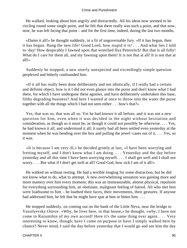He walked, looking about him angrily and distractedly. All his ideas now seemed to be circling round some single point, and he felt that there really was such a point, and that now, now, he was left facing that point – and for the first time, indeed, during the last two months.

 «Damn it all!» he thought suddenly, in a fit of ungovernable fury. «If it has begun, then it has begun. Hang the new life! Good Lord, how stupid it is! . . . And what lies I told to−day! How despicably I fawned upon that wretched Ilya Petrovitch! But that is all folly! What do I care for them all, and my fawning upon them! It is not that at all! It is not that at all!»

 Suddenly he stopped; a new utterly unexpected and exceedingly simple question perplexed and bitterly confounded him.

 «If it all has really been done deliberately and not idiotically, if I really had a certain and definite object, how is it I did not even glance into the purse and don't know what I had there, for which I have undergone these agonies, and have deliberately undertaken this base, filthy degrading business? And here I wanted at once to throw into the water the purse together with all the things which I had not seen either . . . how's that?»

 Yes, that was so, that was all so. Yet he had known it all before, and it was not a new question for him, even when it was decided in the night without hesitation and consideration, as though so it must be, as though it could not possibly be otherwise. . . . Yes, he had known it all, and understood it all; it surely had all been settled even yesterday at the moment when he was bending over the box and pulling the jewel−cases out of it. . . . Yes, so it was.

 «It is because I am very ill,» he decided grimly at last, «I have been worrying and fretting myself, and I don't know what I am doing. . . . Yesterday and the day before yesterday and all this time I have been worrying myself. . . . I shall get well and I shall not worry. . . . But what if I don't get well at all? Good God, how sick I am of it all!»

 He walked on without resting. He had a terrible longing for some distraction, but he did not know what to do, what to attempt. A new overwhelming sensation was gaining more and more mastery over him every moment; this was an immeasurable, almost physical, repulsion for everything surrounding him, an obstinate, malignant feeling of hatred. All who met him were loathsome to him – he loathed their faces, their movements, their gestures. If anyone had addressed him, he felt that he might have spat at him or bitten him....

 He stopped suddenly, on coming out on the bank of the Little Neva, near the bridge to Vassilyevsky Ostrov. «Why, he lives here, in that house,» he thought, «why, I have not come to Razumihin of my own accord! Here it's the same thing over again. . . . Very interesting to know, though; have I come on purpose or have I simply walked here by chance? Never mind, I said the day before yesterday that I would go and see him the day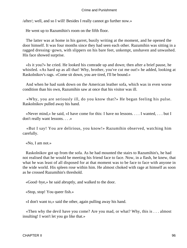/after/; well, and so I will! Besides I really cannot go further now.»

He went up to Razumihin's room on the fifth floor.

 The latter was at home in his garret, busily writing at the moment, and he opened the door himself. It was four months since they had seen each other. Razumihin was sitting in a ragged dressing−gown, with slippers on his bare feet, unkempt, unshaven and unwashed. His face showed surprise.

 «Is it you?» he cried. He looked his comrade up and down; then after a brief pause, he whistled. «As hard up as all that! Why, brother, you've cut me out!» he added, looking at Raskolnikov's rags. «Come sit down, you are tired, I'll be bound.»

 And when he had sunk down on the American leather sofa, which was in even worse condition than his own, Razumihin saw at once that his visitor was ill.

 «Why, you are seriously ill, do you know that?» He began feeling his pulse. Raskolnikov pulled away his hand.

 «Never mind,» he said, «I have come for this: I have no lessons. . . . I wanted, . . . but I don't really want lessons. . . .»

 «But I say! You are delirious, you know!» Razumihin observed, watching him carefully.

«No, I am not.»

 Raskolnikov got up from the sofa. As he had mounted the stairs to Razumihin's, he had not realised that he would be meeting his friend face to face. Now, in a flash, he knew, that what he was least of all disposed for at that moment was to be face to face with anyone in the wide world. His spleen rose within him. He almost choked with rage at himself as soon as he crossed Razumihin's threshold.

«Good−bye,» he said abruptly, and walked to the door.

«Stop, stop! You queer fish.»

«I don't want to,» said the other, again pulling away his hand.

 «Then why the devil have you come? Are you mad, or what? Why, this is . . . almost insulting! I won't let you go like that.»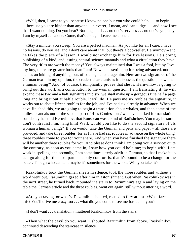«Well, then, I came to you because I know no one but you who could help . . . to begin . . . because you are kinder than anyone – cleverer, I mean, and can judge . . . and now I see that I want nothing. Do you hear? Nothing at all . . . no one's services . . . no one's sympathy. I am by myself . . . alone. Come, that's enough. Leave me alone.»

 «Stay a minute, you sweep! You are a perfect madman. As you like for all I care. I have no lessons, do you see, and I don't care about that, but there's a bookseller, Heruvimov – and he takes the place of a lesson. I would not exchange him for five lessons. He's doing publishing of a kind, and issuing natural science manuals and what a circulation they have! The very titles are worth the money! You always maintained that I was a fool, but by Jove, my boy, there are greater fools than I am! Now he is setting up for being advanced, not that he has an inkling of anything, but, of course, I encourage him. Here are two signatures of the German text – in my opinion, the crudest charlatanism; it discusses the question, 'Is woman a human being?' And, of course, triumphantly proves that she is. Heruvimov is going to bring out this work as a contribution to the woman question; I am translating it; he will expand these two and a half signatures into six, we shall make up a gorgeous title half a page long and bring it out at half a rouble. It will do! He pays me six roubles the signature, it works out to about fifteen roubles for the job, and I've had six already in advance. When we have finished this, we are going to begin a translation about whales, and then some of the dullest scandals out of the second part of */Les Confessions/* we have marked for translation; somebody has told Heruvimov, that Rousseau was a kind of Radishchev. You may be sure I don't contradict him, hang him! Well, would you like to do the second signature of '/Is woman a human being?/' If you would, take the German and pens and paper – all those are provided, and take three roubles; for as I have had six roubles in advance on the whole thing, three roubles come to you for your share. And when you have finished the signature there will be another three roubles for you. And please don't think I am doing you a service; quite the contrary, as soon as you came in, I saw how you could help me; to begin with, I am weak in spelling, and secondly, I am sometimes utterly adrift in German, so that I make it up as I go along for the most part. The only comfort is, that it's bound to be a change for the better. Though who can tell, maybe it's sometimes for the worse. Will you take it?»

 Raskolnikov took the German sheets in silence, took the three roubles and without a word went out. Razumihin gazed after him in astonishment. But when Raskolnikov was in the next street, he turned back, mounted the stairs to Razumihin's again and laying on the table the German article and the three roubles, went out again, still without uttering a word.

 «Are you raving, or what?» Razumihin shouted, roused to fury at last. «What farce is this? You'll drive me crazy too . . . what did you come to see me for, damn you?»

«I don't want . . . translation,» muttered Raskolnikov from the stairs.

 «Then what the devil do you want?» shouted Razumihin from above. Raskolnikov continued descending the staircase in silence.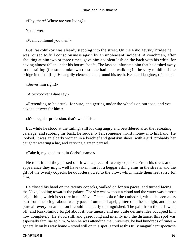«Hey, there! Where are you living?»

No answer.

«Well, confound you then!»

 But Raskolnikov was already stepping into the street. On the Nikolaevsky Bridge he was roused to full consciousness again by an unpleasant incident. A coachman, after shouting at him two or three times, gave him a violent lash on the back with his whip, for having almost fallen under his horses' hoofs. The lash so infuriated him that he dashed away to the railing (for some unknown reason he had been walking in the very middle of the bridge in the traffic). He angrily clenched and ground his teeth. He heard laughter, of course.

«Serves him right!»

«A pickpocket I dare say.»

 «Pretending to be drunk, for sure, and getting under the wheels on purpose; and you have to answer for him.»

«It's a regular profession, that's what it is.»

 But while he stood at the railing, still looking angry and bewildered after the retreating carriage, and rubbing his back, he suddenly felt someone thrust money into his hand. He looked. It was an elderly woman in a kerchief and goatskin shoes, with a girl, probably her daughter wearing a hat, and carrying a green parasol.

«Take it, my good man, in Christ's name.»

 He took it and they passed on. It was a piece of twenty copecks. From his dress and appearance they might well have taken him for a beggar asking alms in the streets, and the gift of the twenty copecks he doubtless owed to the blow, which made them feel sorry for him.

 He closed his hand on the twenty copecks, walked on for ten paces, and turned facing the Neva, looking towards the palace. The sky was without a cloud and the water was almost bright blue, which is so rare in the Neva. The cupola of the cathedral, which is seen at its best from the bridge about twenty paces from the chapel, glittered in the sunlight, and in the pure air every ornament on it could be clearly distinguished. The pain from the lash went off, and Raskolnikov forgot about it; one uneasy and not quite definite idea occupied him now completely. He stood still, and gazed long and intently into the distance; this spot was especially familiar to him. When he was attending the university, he had hundreds of times – generally on his way home – stood still on this spot, gazed at this truly magnificent spectacle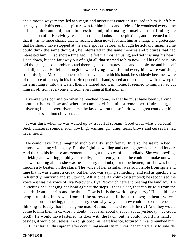and almost always marvelled at a vague and mysterious emotion it roused in him. It left him strangely cold; this gorgeous picture was for him blank and lifeless. He wondered every time at his sombre and enigmatic impression and, mistrusting himself, put off finding the explanation of it. He vividly recalled those old doubts and perplexities, and it seemed to him that it was no mere chance that he recalled them now. It struck him as strange and grotesque, that he should have stopped at the same spot as before, as though he actually imagined he could think the same thoughts, be interested in the same theories and pictures that had interested him . . . so short a time ago. He felt it almost amusing, and yet it wrung his heart. Deep down, hidden far away out of sight all that seemed to him now – all his old past, his old thoughts, his old problems and theories, his old impressions and that picture and himself and all, all. . . . He felt as though he were flying upwards, and everything were vanishing from his sight. Making an unconscious movement with his hand, he suddenly became aware of the piece of money in his fist. He opened his hand, stared at the coin, and with a sweep of his arm flung it into the water; then he turned and went home. It seemed to him, he had cut himself off from everyone and from everything at that moment.

 Evening was coming on when he reached home, so that he must have been walking about six hours. How and where he came back he did not remember. Undressing, and quivering like an overdriven horse, he lay down on the sofa, drew his greatcoat over him, and at once sank into oblivion. . . .

 It was dusk when he was waked up by a fearful scream. Good God, what a scream! Such unnatural sounds, such howling, wailing, grinding, tears, blows and curses he had never heard.

 He could never have imagined such brutality, such frenzy. In terror he sat up in bed, almost swooning with agony. But the fighting, wailing and cursing grew louder and louder. And then to his intense amazement he caught the voice of his landlady. She was howling, shrieking and wailing, rapidly, hurriedly, incoherently, so that he could not make out what she was talking about; she was beseeching, no doubt, not to be beaten, for she was being mercilessly beaten on the stairs. The voice of her assailant was so horrible from spite and rage that it was almost a croak; but he, too, was saying something, and just as quickly and indistinctly, hurrying and spluttering. All at once Raskolnikov trembled; he recognised the voice – it was the voice of Ilya Petrovitch. Ilya Petrovitch here and beating the landlady! He is kicking her, banging her head against the steps – that's clear, that can be told from the sounds, from the cries and the thuds. How is it, is the world topsy−turvy? He could hear people running in crowds from all the storeys and all the staircases; he heard voices, exclamations, knocking, doors banging. «But why, why, and how could it be?» he repeated, thinking seriously that he had gone mad. But no, he heard too distinctly! And they would come to him then next, «for no doubt . . . it's all about that . . . about yesterday. . . . Good God!» He would have fastened his door with the latch, but he could not lift his hand ... besides, it would be useless. Terror gripped his heart like ice, tortured him and numbed him. . . . But at last all this uproar, after continuing about ten minutes, began gradually to subside.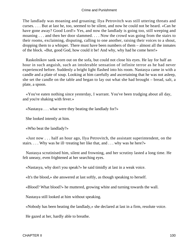The landlady was moaning and groaning; Ilya Petrovitch was still uttering threats and curses. . . . But at last he, too, seemed to be silent, and now he could not be heard. «Can he have gone away? Good Lord!» Yes, and now the landlady is going too, still weeping and moaning . . . and then her door slammed. . . . Now the crowd was going from the stairs to their rooms, exclaiming, disputing, calling to one another, raising their voices to a shout, dropping them to a whisper. There must have been numbers of them – almost all the inmates of the block. «But, good God, how could it be! And why, why had he come here!»

 Raskolnikov sank worn out on the sofa, but could not close his eyes. He lay for half an hour in such anguish, such an intolerable sensation of infinite terror as he had never experienced before. Suddenly a bright light flashed into his room. Nastasya came in with a candle and a plate of soup. Looking at him carefully and ascertaining that he was not asleep, she set the candle on the table and began to lay out what she had brought – bread, salt, a plate, a spoon.

 «You've eaten nothing since yesterday, I warrant. You've been trudging about all day, and you're shaking with fever.»

«Nastasya . . . what were they beating the landlady for?»

She looked intently at him.

«Who beat the landlady?»

 «Just now . . . half an hour ago, Ilya Petrovitch, the assistant superintendent, on the stairs. . . . Why was he ill−treating her like that, and . . . why was he here?»

 Nastasya scrutinised him, silent and frowning, and her scrutiny lasted a long time. He felt uneasy, even frightened at her searching eyes.

«Nastasya, why don't you speak?» he said timidly at last in a weak voice.

«It's the blood,» she answered at last softly, as though speaking to herself.

«Blood? What blood?» he muttered, growing white and turning towards the wall.

Nastasya still looked at him without speaking.

«Nobody has been beating the landlady,» she declared at last in a firm, resolute voice.

He gazed at her, hardly able to breathe.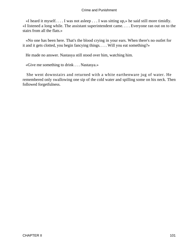«I heard it myself. . . . I was not asleep . . . I was sitting up,» he said still more timidly. «I listened a long while. The assistant superintendent came. . . . Everyone ran out on to the stairs from all the flats.»

 «No one has been here. That's the blood crying in your ears. When there's no outlet for it and it gets clotted, you begin fancying things. . . . Will you eat something?»

He made no answer. Nastasya still stood over him, watching him.

«Give me something to drink . . . Nastasya.»

 She went downstairs and returned with a white earthenware jug of water. He remembered only swallowing one sip of the cold water and spilling some on his neck. Then followed forgetfulness.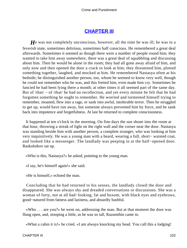### **[CHAPTER III](#page-465-0)**

*H*e was not completely unconscious, however, all the time he was ill; he was in a feverish state, sometimes delirious, sometimes half conscious. He remembered a great deal afterwards. Sometimes it seemed as though there were a number of people round him; they wanted to take him away somewhere, there was a great deal of squabbling and discussing about him. Then he would be alone in the room; they had all gone away afraid of him, and only now and then opened the door a crack to look at him; they threatened him, plotted something together, laughed, and mocked at him. He remembered Nastasya often at his bedside; he distinguished another person, too, whom he seemed to know very well, though he could not remember who he was, and this fretted him, even made him cry. Sometimes he fancied he had been lying there a month; at other times it all seemed part of the same day. But of /that/ – of /that/ he had no recollection, and yet every minute he felt that he had forgotten something he ought to remember. He worried and tormented himself trying to remember, moaned, flew into a rage, or sank into awful, intolerable terror. Then he struggled to get up, would have run away, but someone always prevented him by force, and he sank back into impotence and forgetfulness. At last he returned to complete consciousness.

 It happened at ten o'clock in the morning. On fine days the sun shone into the room at that hour, throwing a streak of light on the right wall and the corner near the door. Nastasya was standing beside him with another person, a complete stranger, who was looking at him very inquisitively. He was a young man with a beard, wearing a full, short− waisted coat, and looked like a messenger. The landlady was peeping in at the half−opened door. Raskolnikov sat up.

«Who is this, Nastasya?» he asked, pointing to the young man.

«I say, he's himself again!» she said.

«He is himself,» echoed the man.

 Concluding that he had returned to his senses, the landlady closed the door and disappeared. She was always shy and dreaded conversations or discussions. She was a woman of forty, not at all bad−looking, fat and buxom, with black eyes and eyebrows, good−natured from fatness and laziness, and absurdly bashful.

 «Who . . . are you?» he went on, addressing the man. But at that moment the door was flung open, and, stooping a little, as he was so tall, Razumihin came in.

«What a cabin it is!» he cried. «I am always knocking my head. You call this a lodging!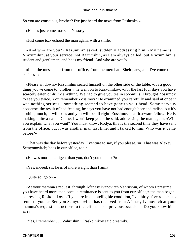So you are conscious, brother? I've just heard the news from Pashenka.»

«He has just come to,» said Nastasya.

«Just come to,» echoed the man again, with a smile.

 «And who are you?» Razumihin asked, suddenly addressing him. «My name is Vrazumihin, at your service; not Razumihin, as I am always called, but Vrazumihin, a student and gentleman; and he is my friend. And who are you?»

 «I am the messenger from our office, from the merchant Shelopaev, and I've come on business.»

 «Please sit down.» Razumihin seated himself on the other side of the table. «It's a good thing you've come to, brother,» he went on to Raskolnikov. «For the last four days you have scarcely eaten or drunk anything. We had to give you tea in spoonfuls. I brought Zossimov to see you twice. You remember Zossimov? He examined you carefully and said at once it was nothing serious – something seemed to have gone to your head. Some nervous nonsense, the result of bad feeding, he says you have not had enough beer and radish, but it's nothing much, it will pass and you will be all right. Zossimov is a first−rate fellow! He is making quite a name. Come, I won't keep you,» he said, addressing the man again. «Will you explain what you want? You must know, Rodya, this is the second time they have sent from the office; but it was another man last time, and I talked to him. Who was it came before?»

 «That was the day before yesterday, I venture to say, if you please, sir. That was Alexey Semyonovitch; he is in our office, too.»

«He was more intelligent than you, don't you think so?»

«Yes, indeed, sir, he is of more weight than I am.»

«Quite so; go on.»

 «At your mamma's request, through Afanasy Ivanovitch Vahrushin, of whom I presume you have heard more than once, a remittance is sent to you from our office,» the man began, addressing Raskolnikov. «If you are in an intelligible condition, I've thirty−five roubles to remit to you, as Semyon Semyonovitch has received from Afanasy Ivanovitch at your mamma's request instructions to that effect, as on previous occasions. Do you know him, sir?»

«Yes, I remember . . . Vahrushin,» Raskolnikov said dreamily.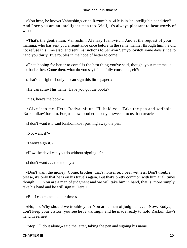«You hear, he knows Vahrushin,» cried Razumihin. «He is in 'an intelligible condition'! And I see you are an intelligent man too. Well, it's always pleasant to hear words of wisdom.»

 «That's the gentleman, Vahrushin, Afanasy Ivanovitch. And at the request of your mamma, who has sent you a remittance once before in the same manner through him, he did not refuse this time also, and sent instructions to Semyon Semyonovitch some days since to hand you thirty−five roubles in the hope of better to come.»

 «That 'hoping for better to come' is the best thing you've said, though 'your mamma' is not bad either. Come then, what do you say? Is he fully conscious, eh?»

«That's all right. If only he can sign this little paper.»

«He can scrawl his name. Have you got the book?»

«Yes, here's the book.»

 «Give it to me. Here, Rodya, sit up. I'll hold you. Take the pen and scribble 'Raskolnikov' for him. For just now, brother, money is sweeter to us than treacle.»

«I don't want it,» said Raskolnikov, pushing away the pen.

«Not want it?»

«I won't sign it.»

«How the devil can you do without signing it?»

«I don't want . . . the money.»

 «Don't want the money! Come, brother, that's nonsense, I bear witness. Don't trouble, please, it's only that he is on his travels again. But that's pretty common with him at all times though. . . . You are a man of judgment and we will take him in hand, that is, more simply, take his hand and he will sign it. Here.»

«But I can come another time.»

 «No, no. Why should we trouble you? You are a man of judgment. . . . Now, Rodya, don't keep your visitor, you see he is waiting,» and he made ready to hold Raskolnikov's hand in earnest.

«Stop, I'll do it alone,» said the latter, taking the pen and signing his name.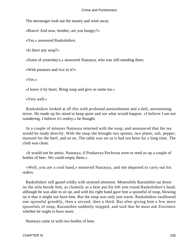The messenger took out the money and went away.

«Bravo! And now, brother, are you hungry?»

«Yes,» answered Raskolnikov.

«Is there any soup?»

«Some of yesterday's,» answered Nastasya, who was still standing there.

«With potatoes and rice in it?»

«Yes.»

«I know it by heart. Bring soup and give us some tea.»

«Very well.»

 Raskolnikov looked at all this with profound astonishment and a dull, unreasoning terror. He made up his mind to keep quiet and see what would happen. «I believe I am not wandering. I believe it's reality,» he thought.

 In a couple of minutes Nastasya returned with the soup, and announced that the tea would be ready directly. With the soup she brought two spoons, two plates, salt, pepper, mustard for the beef, and so on. The table was set as it had not been for a long time. The cloth was clean.

 «It would not be amiss, Nastasya, if Praskovya Pavlovna were to send us up a couple of bottles of beer. We could empty them.»

 «Well, you are a cool hand,» muttered Nastasya, and she departed to carry out his orders.

 Raskolnikov still gazed wildly with strained attention. Meanwhile Razumihin sat down on the sofa beside him, as clumsily as a bear put his left arm round Raskolnikov's head, although he was able to sit up, and with his right hand gave him a spoonful of soup, blowing on it that it might not burn him. But the soup was only just warm. Raskolnikov swallowed one spoonful greedily, then a second, then a third. But after giving him a few more spoonfuls of soup, Razumihin suddenly stopped, and said that he must ask Zossimov whether he ought to have more.

Nastasya came in with two bottles of beer.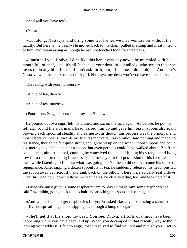«And will you have tea?»

«Yes.»

 «Cut along, Nastasya, and bring some tea, for tea we may venture on without the faculty. But here is the beer!» He moved back to his chair, pulled the soup and meat in front of him, and began eating as though he had not touched food for three days.

 «I must tell you, Rodya, I dine like this here every day now,» he mumbled with his mouth full of beef, «and it's all Pashenka, your dear little landlady, who sees to that; she loves to do anything for me. I don't ask for it, but, of course, I don't object. And here's Nastasya with the tea. She is a quick girl. Nastasya, my dear, won't you have some beer?»

```
 «Get along with your nonsense!»
```
«A cup of tea, then?»

«A cup of tea, maybe.»

«Pour it out. Stay, I'll pour it out myself. Sit down.»

 He poured out two cups, left his dinner, and sat on the sofa again. As before, he put his left arm round the sick man's head, raised him up and gave him tea in spoonfuls, again blowing each spoonful steadily and earnestly, as though this process was the principal and most effective means towards his friend's recovery. Raskolnikov said nothing and made no resistance, though he felt quite strong enough to sit up on the sofa without support and could not merely have held a cup or a spoon, but even perhaps could have walked about. But from some queer, almost animal, cunning he conceived the idea of hiding his strength and lying low for a time, pretending if necessary not to be yet in full possession of his faculties, and meanwhile listening to find out what was going on. Yet he could not overcome his sense of repugnance. After sipping a dozen spoonfuls of tea, he suddenly released his head, pushed the spoon away capriciously, and sank back on the pillow. There were actually real pillows under his head now, down pillows in clean cases, he observed that, too, and took note of it.

 «Pashenka must give us some raspberry jam to−day to make him some raspberry tea,» said Razumihin, going back to his chair and attacking his soup and beer again.

 «And where is she to get raspberries for you?» asked Nastasya, balancing a saucer on her five outspread fingers and sipping tea through a lump of sugar.

 «She'll get it at the shop, my dear. You see, Rodya, all sorts of things have been happening while you have been laid up. When you decamped in that rascally way without leaving your address, I felt so angry that I resolved to find you out and punish you. I set to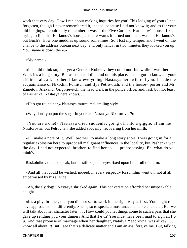work that very day. How I ran about making inquiries for you! This lodging of yours I had forgotten, though I never remembered it, indeed, because I did not know it; and as for your old lodgings, I could only remember it was at the Five Corners, Harlamov's house. I kept trying to find that Harlamov's house, and afterwards it turned out that it was not Harlamov's, but Buch's. How one muddles up sound sometimes! So I lost my temper, and I went on the chance to the address bureau next day, and only fancy, in two minutes they looked you up! Your name is down there.»

«My name!»

 «I should think so; and yet a General Kobelev they could not find while I was there. Well, it's a long story. But as soon as I did land on this place, I soon got to know all your affairs – all, all, brother, I know everything; Nastasya here will tell you. I made the acquaintance of Nikodim Fomitch and Ilya Petrovitch, and the house− porter and Mr. Zametov, Alexandr Grigorievitch, the head clerk in the police office, and, last, but not least, of Pashenka; Nastasya here knows. . . .»

«He's got round her,» Nastasya murmured, smiling slyly.

«Why don't you put the sugar in your tea, Nastasya Nikiforovna?»

 «You are a one!» Nastasya cried suddenly, going off into a giggle. «I am not Nikiforovna, but Petrovna,» she added suddenly, recovering from her mirth.

 «I'll make a note of it. Well, brother, to make a long story short, I was going in for a regular explosion here to uproot all malignant influences in the locality, but Pashenka won the day. I had not expected, brother, to find her so . . . prepossessing. Eh, what do you think?»

Raskolnikov did not speak, but he still kept his eyes fixed upon him, full of alarm.

 «And all that could be wished, indeed, in every respect,» Razumihin went on, not at all embarrassed by his silence.

 «Ah, the sly dog!» Nastasya shrieked again. This conversation afforded her unspeakable delight.

 «It's a pity, brother, that you did not set to work in the right way at first. You ought to have approached her differently. She is, so to speak, a most unaccountable character. But we will talk about her character later. . . . How could you let things come to such a pass that she gave up sending you your dinner? And that **I o u?** You must have been mad to sign an **I o u.** And that promise of marriage when her daughter, Natalya Yegorovna, was alive? . . . I know all about it! But I see that's a delicate matter and I am an ass; forgive me. But, talking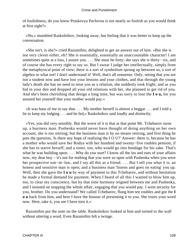of foolishness, do you know Praskovya Pavlovna is not nearly so foolish as you would think at first sight?»

 «No,» mumbled Raskolnikov, looking away, but feeling that it was better to keep up the conversation.

 «She isn't, is she?» cried Razumihin, delighted to get an answer out of him. «But she is not very clever either, eh? She is essentially, essentially an unaccountable character! I am sometimes quite at a loss, I assure you. . . . She must be forty; she says she is thirty– six, and of course she has every right to say so. But I swear I judge her intellectually, simply from the metaphysical point of view; there is a sort of symbolism sprung up between us, a sort of algebra or what not! I don't understand it! Well, that's all nonsense. Only, seeing that you are not a student now and have lost your lessons and your clothes, and that through the young lady's death she has no need to treat you as a relation, she suddenly took fright; and as you hid in your den and dropped all your old relations with her, she planned to get rid of you. And she's been cherishing that design a long time, but was sorry to lose the **I o u,** for you assured her yourself that your mother would pay.»

 «It was base of me to say that. . . . My mother herself is almost a beggar . . . and I told a lie to keep my lodging . . . and be fed,» Raskolnikov said loudly and distinctly.

 «Yes, you did very sensibly. But the worst of it is that at that point Mr. Tchebarov turns up, a business man. Pashenka would never have thought of doing anything on her own account, she is too retiring; but the business man is by no means retiring, and first thing he puts the question, 'Is there any hope of realising the I O U?' Answer: there is, because he has a mother who would save her Rodya with her hundred and twenty−five roubles pension, if she has to starve herself; and a sister, too, who would go into bondage for his sake. That's what he was building upon. . . . Why do you start? I know all the ins and outs of your affairs now, my dear boy – it's not for nothing that you were so open with Pashenka when you were her prospective son−in−law, and I say all this as a friend. . . . But I tell you what it is; an honest and sensitive man is open; and a business man 'listens and goes on eating' you up. Well, then she gave the **I** o **u** by way of payment to this Tchebarov, and without hesitation he made a formal demand for payment. When I heard of all this I wanted to blow him up, too, to clear my conscience, but by that time harmony reigned between me and Pashenka, and I insisted on stopping the whole affair, engaging that you would pay. I went security for you, brother. Do you understand? We called Tchebarov, flung him ten roubles and got the **I o u** back from him, and here I have the honour of presenting it to you. She trusts your word now. Here, take it, you see I have torn it.»

 Razumihin put the note on the table. Raskolnikov looked at him and turned to the wall without uttering a word. Even Razumihin felt a twinge.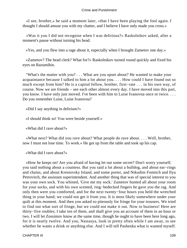«I see, brother,» he said a moment later, «that I have been playing the fool again. I thought I should amuse you with my chatter, and I believe I have only made you cross.»

 «Was it you I did not recognise when I was delirious?» Raskolnikov asked, after a moment's pause without turning his head.

«Yes, and you flew into a rage about it, especially when I brought Zametov one day.»

 «Zametov? The head clerk? What for?» Raskolnikov turned round quickly and fixed his eyes on Razumihin.

 "What's the matter with you? . . . What are you upset about? He wanted to make your acquaintance because I talked to him a lot about you. . . . How could I have found out so much except from him? He is a capital fellow, brother, first−rate . . . in his own way, of course. Now we are friends – see each other almost every day. I have moved into this part, you know. I have only just moved. I've been with him to Luise Ivanovna once or twice. . . . Do you remember Luise, Luise Ivanovna?

«Did I say anything in delirium?»

«I should think so! You were beside yourself.»

«What did I rave about?»

 «What next? What did you rave about? What people do rave about. . . . Well, brother, now I must not lose time. To work.» He got up from the table and took up his cap.

«What did I rave about?»

 «How he keeps on! Are you afraid of having let out some secret? Don't worry yourself; you said nothing about a countess. But you said a lot about a bulldog, and about ear−rings and chains, and about Krestovsky Island, and some porter, and Nikodim Fomitch and Ilya Petrovitch, the assistant superintendent. And another thing that was of special interest to you was your own sock. You whined, 'Give me my sock.' Zametov hunted all about your room for your socks, and with his own scented, ring−bedecked fingers he gave you the rag. And only then were you comforted, and for the next twenty−four hours you held the wretched thing in your hand; we could not get it from you. It is most likely somewhere under your quilt at this moment. And then you asked so piteously for fringe for your trousers. We tried to find out what sort of fringe, but we could not make it out. Now to business! Here are thirty−five roubles; I take ten of them, and shall give you an account of them in an hour or two. I will let Zossimov know at the same time, though he ought to have been here long ago, for it is nearly twelve. And you, Nastasya, look in pretty often while I am away, to see whether he wants a drink or anything else. And I will tell Pashenka what is wanted myself.

CHAPTER III 109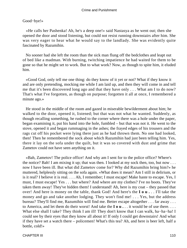# Good−bye!»

 «He calls her Pashenka! Ah, he's a deep one!» said Nastasya as he went out; then she opened the door and stood listening, but could not resist running downstairs after him. She was very eager to hear what he would say to the landlady. She was evidently quite fascinated by Razumihin.

 No sooner had she left the room than the sick man flung off the bedclothes and leapt out of bed like a madman. With burning, twitching impatience he had waited for them to be gone so that he might set to work. But to what work? Now, as though to spite him, it eluded him.

 «Good God, only tell me one thing: do they know of it yet or not? What if they know it and are only pretending, mocking me while I am laid up, and then they will come in and tell me that it's been discovered long ago and that they have only . . . What am I to do now? That's what I've forgotten, as though on purpose; forgotten it all at once, I remembered a minute ago.»

 He stood in the middle of the room and gazed in miserable bewilderment about him; he walked to the door, opened it, listened; but that was not what he wanted. Suddenly, as though recalling something, he rushed to the corner where there was a hole under the paper, began examining it, put his hand into the hole, fumbled – but that was not it. He went to the stove, opened it and began rummaging in the ashes; the frayed edges of his trousers and the rags cut off his pocket were lying there just as he had thrown them. No one had looked, then! Then he remembered the sock about which Razumihin had just been telling him. Yes, there it lay on the sofa under the quilt, but it was so covered with dust and grime that Zametov could not have seen anything on it.

 «Bah, Zametov! The police office! And why am I sent for to the police office? Where's the notice? Bah! I am mixing it up; that was then. I looked at my sock then, too, but now . . . now I have been ill. But what did Zametov come for? Why did Razumihin bring him?» he muttered, helplessly sitting on the sofa again. «What does it mean? Am I still in delirium, or is it real? I believe it is real. . . . Ah, I remember; I must escape! Make haste to escape. Yes, I must, I must escape! Yes . . . but where? And where are my clothes? I've no boots. They've taken them away! They've hidden them! I understand! Ah, here is my coat – they passed that over! And here is money on the table, thank God! And here's the **I o u .** . . I'll take the money and go and take another lodging. They won't find me! . . . Yes, but the address bureau? They'll find me, Razumihin will find me. Better escape altogether . . . far away . . . to America, and let them do their worst! And take the **I o u .** . . it would be of use there. . . . What else shall I take? They think I am ill! They don't know that I can walk, ha−ha−ha! I could see by their eyes that they know all about it! If only I could get downstairs! And what if they have set a watch there – policemen! What's this tea? Ah, and here is beer left, half a bottle, cold!»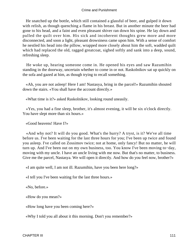He snatched up the bottle, which still contained a glassful of beer, and gulped it down with relish, as though quenching a flame in his breast. But in another minute the beer had gone to his head, and a faint and even pleasant shiver ran down his spine. He lay down and pulled the quilt over him. His sick and incoherent thoughts grew more and more disconnected, and soon a light, pleasant drowsiness came upon him. With a sense of comfort he nestled his head into the pillow, wrapped more closely about him the soft, wadded quilt which had replaced the old, ragged greatcoat, sighed softly and sank into a deep, sound, refreshing sleep.

 He woke up, hearing someone come in. He opened his eyes and saw Razumihin standing in the doorway, uncertain whether to come in or not. Raskolnikov sat up quickly on the sofa and gazed at him, as though trying to recall something.

 «Ah, you are not asleep! Here I am! Nastasya, bring in the parcel!» Razumihin shouted down the stairs. «You shall have the account directly.»

«What time is it?» asked Raskolnikov, looking round uneasily.

 «Yes, you had a fine sleep, brother, it's almost evening, it will be six o'clock directly. You have slept more than six hours.»

«Good heavens! Have I?»

 «And why not? It will do you good. What's the hurry? A tryst, is it? We've all time before us. I've been waiting for the last three hours for you; I've been up twice and found you asleep. I've called on Zossimov twice; not at home, only fancy! But no matter, he will turn up. And I've been out on my own business, too. You know I've been moving to−day, moving with my uncle. I have an uncle living with me now. But that's no matter, to business. Give me the parcel, Nastasya. We will open it directly. And how do you feel now, brother?»

«I am quite well, I am not ill. Razumihin, have you been here long?»

«I tell you I've been waiting for the last three hours.»

«No, before.»

«How do you mean?»

«How long have you been coming here?»

«Why I told you all about it this morning. Don't you remember?»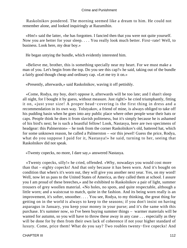Raskolnikov pondered. The morning seemed like a dream to him. He could not remember alone, and looked inquiringly at Razumihin.

 «Hm!» said the latter, «he has forgotten. I fancied then that you were not quite yourself. Now you are better for your sleep. . . . You really look much better. First−rate! Well, to business. Look here, my dear boy.»

He began untying the bundle, which evidently interested him.

 «Believe me, brother, this is something specially near my heart. For we must make a man of you. Let's begin from the top. Do you see this cap?» he said, taking out of the bundle a fairly good though cheap and ordinary cap. «Let me try it on.»

«Presently, afterwards,» said Raskolnikov, waving it off pettishly.

 «Come, Rodya, my boy, don't oppose it, afterwards will be too late; and I shan't sleep all night, for I bought it by guess, without measure. Just right!» he cried triumphantly, fitting it on, «just your size! A proper head−covering is the first thing in dress and a recommendation in its own way. Tolstyakov, a friend of mine, is always obliged to take off his pudding basin when he goes into any public place where other people wear their hats or caps. People think he does it from slavish politeness, but it's simply because he is ashamed of his bird's nest; he is such a boastful fellow! Look, Nastasya, here are two specimens of headgear: this Palmerston» – he took from the corner Raskolnikov's old, battered hat, which for some unknown reason, he called a Palmerston – «or this jewel! Guess the price, Rodya, what do you suppose I paid for it, Nastasya!» he said, turning to her, seeing that Raskolnikov did not speak.

«Twenty copecks, no more, I dare say,» answered Nastasya.

 «Twenty copecks, silly!» he cried, offended. «Why, nowadays you would cost more than that – eighty copecks! And that only because it has been worn. And it's bought on condition that when's it's worn out, they will give you another next year. Yes, on my word! Well, now let us pass to the United States of America, as they called them at school. I assure you I am proud of these breeches,» and he exhibited to Raskolnikov a pair of light, summer trousers of grey woollen material. «No holes, no spots, and quite respectable, although a little worn; and a waistcoat to match, quite in the fashion. And its being worn really is an improvement, it's softer, smoother. . . . You see, Rodya, to my thinking, the great thing for getting on in the world is always to keep to the seasons; if you don't insist on having asparagus in January, you keep your money in your purse; and it's the same with this purchase. It's summer now, so I've been buying summer things – warmer materials will be wanted for autumn, so you will have to throw these away in any case . . . especially as they will be done for by then from their own lack of coherence if not your higher standard of luxury. Come, price them! What do you say? Two roubles twenty−five copecks! And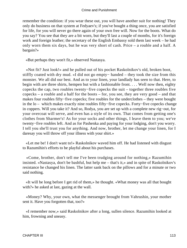remember the condition: if you wear these out, you will have another suit for nothing! They only do business on that system at Fedyaev's; if you've bought a thing once, you are satisfied for life, for you will never go there again of your own free will. Now for the boots. What do you say? You see that they are a bit worn, but they'll last a couple of months, for it's foreign work and foreign leather; the secretary of the English Embassy sold them last week – he had only worn them six days, but he was very short of cash. Price – a rouble and a half. A bargain?»

«But perhaps they won't fit,» observed Nastasya.

 «Not fit? Just look!» and he pulled out of his pocket Raskolnikov's old, broken boot, stiffly coated with dry mud. «I did not go empty− handed – they took the size from this monster. We all did our best. And as to your linen, your landlady has seen to that. Here, to begin with are three shirts, hempen but with a fashionable front. . . . Well now then, eighty copecks the cap, two roubles twenty−five copecks the suit – together three roubles five copecks – a rouble and a half for the boots – for, you see, they are very good – and that makes four roubles fifty−five copecks; five roubles for the underclothes – they were bought in the lo – which makes exactly nine roubles fifty−five copecks. Forty−five copecks change in coppers. Will you take it? And so, Rodya, you are set up with a complete new rig−out, for your overcoat will serve, and even has a style of its own. That comes from getting one's clothes from Sharmer's! As for your socks and other things, I leave them to you; we've twenty−five roubles left. And as for Pashenka and paying for your lodging, don't you worry. I tell you she'll trust you for anything. And now, brother, let me change your linen, for I daresay you will throw off your illness with your shirt.»

 «Let me be! I don't want to!» Raskolnikov waved him off. He had listened with disgust to Razumihin's efforts to be playful about his purchases.

 «Come, brother, don't tell me I've been trudging around for nothing,» Razumihin insisted. «Nastasya, don't be bashful, but help me – that's it,» and in spite of Raskolnikov's resistance he changed his linen. The latter sank back on the pillows and for a minute or two said nothing.

 «It will be long before I get rid of them,» he thought. «What money was all that bought with?» he asked at last, gazing at the wall.

 «Money? Why, your own, what the messenger brought from Vahrushin, your mother sent it. Have you forgotten that, too?»

 «I remember now,» said Raskolnikov after a long, sullen silence. Razumihin looked at him, frowning and uneasy.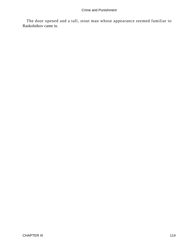The door opened and a tall, stout man whose appearance seemed familiar to Raskolnikov came in.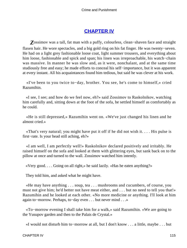# **[CHAPTER IV](#page-465-0)**

*Z*ossimov was a tall, fat man with a puffy, colourless, clean−shaven face and straight flaxen hair. He wore spectacles, and a big gold ring on his fat finger. He was twenty−seven. He had on a light grey fashionable loose coat, light summer trousers, and everything about him loose, fashionable and spick and span; his linen was irreproachable, his watch−chain was massive. In manner he was slow and, as it were, nonchalant, and at the same time studiously free and easy; he made efforts to conceal his self−importance, but it was apparent at every instant. All his acquaintances found him tedious, but said he was clever at his work.

 «I've been to you twice to−day, brother. You see, he's come to himself,» cried Razumihin.

 «I see, I see; and how do we feel now, eh?» said Zossimov to Raskolnikov, watching him carefully and, sitting down at the foot of the sofa, he settled himself as comfortably as he could.

 «He is still depressed,» Razumihin went on. «We've just changed his linen and he almost cried.»

 «That's very natural; you might have put it off if he did not wish it. . . . His pulse is first−rate. Is your head still aching, eh?»

 «I am well, I am perfectly well!» Raskolnikov declared positively and irritably. He raised himself on the sofa and looked at them with glittering eyes, but sank back on to the pillow at once and turned to the wall. Zossimov watched him intently.

«Very good. . . . Going on all right,» he said lazily. «Has he eaten anything?»

They told him, and asked what he might have.

 «He may have anything . . . soup, tea . . . mushrooms and cucumbers, of course, you must not give him; he'd better not have meat either, and . . . but no need to tell you that!» Razumihin and he looked at each other. «No more medicine or anything. I'll look at him again to−morrow. Perhaps, to−day even . . . but never mind . . .»

 «To−morrow evening I shall take him for a walk,» said Razumihin. «We are going to the Yusupov garden and then to the Palais de Crystal.»

«I would not disturb him to−morrow at all, but I don't know . . . a little, maybe . . . but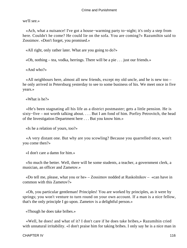we'll see.»

 «Ach, what a nuisance! I've got a house−warming party to−night; it's only a step from here. Couldn't he come? He could lie on the sofa. You are coming?» Razumihin said to Zossimov. «Don't forget, you promised.»

«All right, only rather later. What are you going to do?»

«Oh, nothing – tea, vodka, herrings. There will be a pie . . . just our friends.»

«And who?»

 «All neighbours here, almost all new friends, except my old uncle, and he is new too – he only arrived in Petersburg yesterday to see to some business of his. We meet once in five years.»

«What is he?»

 «He's been stagnating all his life as a district postmaster; gets a little pension. He is sixty−five – not worth talking about. . . . But I am fond of him. Porfiry Petrovitch, the head of the Investigation Department here . . . But you know him.»

«Is he a relation of yours, too?»

 «A very distant one. But why are you scowling? Because you quarrelled once, won't you come then?»

«I don't care a damn for him.»

 «So much the better. Well, there will be some students, a teacher, a government clerk, a musician, an officer and Zametov.»

 «Do tell me, please, what you or he» – Zossimov nodded at Raskolnikov – «can have in common with this Zametov?»

 «Oh, you particular gentleman! Principles! You are worked by principles, as it were by springs; you won't venture to turn round on your own account. If a man is a nice fellow, that's the only principle I go upon. Zametov is a delightful person.»

«Though he does take bribes.»

 «Well, he does! and what of it? I don't care if he does take bribes,» Razumihin cried with unnatural irritability. «I don't praise him for taking bribes. I only say he is a nice man in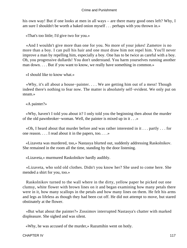his own way! But if one looks at men in all ways – are there many good ones left? Why, I am sure I shouldn't be worth a baked onion myself . . . perhaps with you thrown in.»

«That's too little; I'd give two for you.»

 «And I wouldn't give more than one for you. No more of your jokes! Zametov is no more than a boy. I can pull his hair and one must draw him not repel him. You'll never improve a man by repelling him, especially a boy. One has to be twice as careful with a boy. Oh, you progressive dullards! You don't understand. You harm yourselves running another man down. . . . But if you want to know, we really have something in common.»

«I should like to know what.»

 «Why, it's all about a house−painter. . . . We are getting him out of a mess! Though indeed there's nothing to fear now. The matter is absolutely self−evident. We only put on steam.»

«A painter?»

 «Why, haven't I told you about it? I only told you the beginning then about the murder of the old pawnbroker−woman. Well, the painter is mixed up in it . . .»

 «Oh, I heard about that murder before and was rather interested in it . . . partly . . . for one reason. . . . I read about it in the papers, too. . . .»

 «Lizaveta was murdered, too,» Nastasya blurted out, suddenly addressing Raskolnikov. She remained in the room all the time, standing by the door listening.

«Lizaveta,» murmured Raskolnikov hardly audibly.

 «Lizaveta, who sold old clothes. Didn't you know her? She used to come here. She mended a shirt for you, too.»

 Raskolnikov turned to the wall where in the dirty, yellow paper he picked out one clumsy, white flower with brown lines on it and began examining how many petals there were in it, how many scallops in the petals and how many lines on them. He felt his arms and legs as lifeless as though they had been cut off. He did not attempt to move, but stared obstinately at the flower.

 «But what about the painter?» Zossimov interrupted Nastasya's chatter with marked displeasure. She sighed and was silent.

«Why, he was accused of the murder,» Razumihin went on hotly.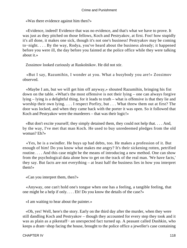«Was there evidence against him then?»

 «Evidence, indeed! Evidence that was no evidence, and that's what we have to prove. It was just as they pitched on those fellows, Koch and Pestryakov, at first. Foo! how stupidly it's all done, it makes one sick, though it's not one's business! Pestryakov may be coming to−night. . . . By the way, Rodya, you've heard about the business already; it happened before you were ill, the day before you fainted at the police office while they were talking about it.»

Zossimov looked curiously at Raskolnikov. He did not stir.

 «But I say, Razumihin, I wonder at you. What a busybody you are!» Zossimov observed.

 «Maybe I am, but we will get him off anyway,» shouted Razumihin, bringing his fist down on the table. «What's the most offensive is not their lying – one can always forgive lying – lying is a delightful thing, for it leads to truth – what is offensive is that they lie and worship their own lying. . . . I respect Porfiry, but . . . What threw them out at first? The door was locked, and when they came back with the porter it was open. So it followed that Koch and Pestryakov were the murderers – that was their logic!»

 «But don't excite yourself; they simply detained them, they could not help that. . . . And, by the way, I've met that man Koch. He used to buy unredeemed pledges from the old woman? Eh?»

 «Yes, he is a swindler. He buys up bad debts, too. He makes a profession of it. But enough of him! Do you know what makes me angry? It's their sickening rotten, petrified routine. . . . And this case might be the means of introducing a new method. One can show from the psychological data alone how to get on the track of the real man. 'We have facts,' they say. But facts are not everything – at least half the business lies in how you interpret them!»

«Can you interpret them, then?»

 «Anyway, one can't hold one's tongue when one has a feeling, a tangible feeling, that one might be a help if only. . . . Eh! Do you know the details of the case?»

«I am waiting to hear about the painter.»

 «Oh, yes! Well, here's the story. Early on the third day after the murder, when they were still dandling Koch and Pestryakov – though they accounted for every step they took and it was as plain as a pikestaff− an unexpected fact turned up. A peasant called Dushkin, who keeps a dram−shop facing the house, brought to the police office a jeweller's case containing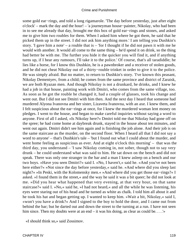some gold ear−rings, and told a long rigamarole. 'The day before yesterday, just after eight o'clock' – mark the day and the hour! – 'a journeyman house−painter, Nikolay, who had been in to see me already that day, brought me this box of gold ear−rings and stones, and asked me to give him two roubles for them. When I asked him where he got them, he said that he picked them up in the street. I did not ask him anything more.' I am telling you Dushkin's story. 'I gave him a note' – a rouble that is – 'for I thought if he did not pawn it with me he would with another. It would all come to the same thing – he'd spend it on drink, so the thing had better be with me. The further you hide it the quicker you will find it, and if anything turns up, if I hear any rumours, I'll take it to the police.' Of course, that's all taradiddle; he lies like a horse, for I know this Dushkin, he is a pawnbroker and a receiver of stolen goods, and he did not cheat Nikolay out of a thirty−rouble trinket in order to give it to the police. He was simply afraid. But no matter, to return to Dushkin's story. 'I've known this peasant, Nikolay Dementyev, from a child; he comes from the same province and district of Zaraisk, we are both Ryazan men. And though Nikolay is not a drunkard, he drinks, and I knew he had a job in that house, painting work with Dmitri, who comes from the same village, too. As soon as he got the rouble he changed it, had a couple of glasses, took his change and went out. But I did not see Dmitri with him then. And the next day I heard that someone had murdered Alyona Ivanovna and her sister, Lizaveta Ivanovna, with an axe. I knew them, and I felt suspicious about the ear−rings at once, for I knew the murdered woman lent money on pledges. I went to the house, and began to make careful inquiries without saying a word to anyone. First of all I asked, »Is Nikolay here?« Dmitri told me that Nikolay had gone off on the spree; he had come home at daybreak drunk, stayed in the house about ten minutes, and went out again. Dmitri didn't see him again and is finishing the job alone. And their job is on the same staircase as the murder, on the second floor. When I heard all that I did not say a word to anyone' – that's Dushkin's tale – 'but I found out what I could about the murder, and went home feeling as suspicious as ever. And at eight o'clock this morning' – that was the third day, you understand – 'I saw Nikolay coming in, not sober, though not to say very drunk – he could understand what was said to him. He sat down on the bench and did not speak. There was only one stranger in the bar and a man I knew asleep on a bench and our two boys. »Have you seen Dmitri?« said I. »No, I haven't,« said he. »And you've not been here either?« »Not since the day before yesterday,« said he. »And where did you sleep last night?« »In Peski, with the Kolomensky men.« »And where did you get those ear−rings?« I asked. »I found them in the street,« and the way he said it was a bit queer; he did not look at me. »Did you hear what happened that very evening, at that very hour, on that same staircase?« said I. »No,« said he, »I had not heard,« and all the while he was listening, his eyes were staring out of his head and he turned as white as chalk. I told him all about it and he took his hat and began getting up. I wanted to keep him. »Wait a bit, Nikolay,« said I, »won't you have a drink?« And I signed to the boy to hold the door, and I came out from behind the bar; but he darted out and down the street to the turning at a run. I have not seen him since. Then my doubts were at an end – it was his doing, as clear as could be. . . .'»

«I should think so,» said Zossimov.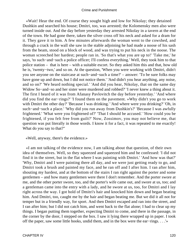«Wait! Hear the end. Of course they sought high and low for Nikolay; they detained Dushkin and searched his house; Dmitri, too, was arrested; the Kolomensky men also were turned inside out. And the day before yesterday they arrested Nikolay in a tavern at the end of the town. He had gone there, taken the silver cross off his neck and asked for a dram for it. They gave it to him. A few minutes afterwards the woman went to the cowshed, and through a crack in the wall she saw in the stable adjoining he had made a noose of his sash from the beam, stood on a block of wood, and was trying to put his neck in the noose. The woman screeched her hardest; people ran in. 'So that's what you are up to!' 'Take me,' he says, 'to such−and−such a police officer; I'll confess everything.' Well, they took him to that police station – that is here – with a suitable escort. So they asked him this and that, how old he is, 'twenty−two,' and so on. At the question, 'When you were working with Dmitri, didn't you see anyone on the staircase at such−and−such a time?' – answer: 'To be sure folks may have gone up and down, but I did not notice them.' 'And didn't you hear anything, any noise, and so on?' 'We heard nothing special.' 'And did you hear, Nikolay, that on the same day Widow So−and−so and her sister were murdered and robbed?' 'I never knew a thing about it. The first I heard of it was from Afanasy Pavlovitch the day before yesterday.' 'And where did you find the ear−rings?' 'I found them on the pavement. »Why didn't you go to work with Dmitri the other day?' 'Because I was drinking.' 'And where were you drinking?' 'Oh, in such−and−such a place.' 'Why did you run away from Dushkin's?' 'Because I was awfully frightened.' 'What were you frightened of?' 'That I should be accused.' 'How could you be frightened, if you felt free from guilt?' Now, Zossimov, you may not believe me, that question was put literally in those words. I know it for a fact, it was repeated to me exactly! What do you say to that?"

«Well, anyway, there's the evidence.»

 «I am not talking of the evidence now, I am talking about that question, of their own idea of themselves. Well, so they squeezed and squeezed him and he confessed: 'I did not find it in the street, but in the flat where I was painting with Dmitri.' 'And how was that?' 'Why, Dmitri and I were painting there all day, and we were just getting ready to go, and Dmitri took a brush and painted my face, and he ran off and I after him. I ran after him, shouting my hardest, and at the bottom of the stairs I ran right against the porter and some gentlemen – and how many gentlemen were there I don't remember. And the porter swore at me, and the other porter swore, too, and the porter's wife came out, and swore at us, too; and a gentleman came into the entry with a lady, and he swore at us, too, for Dmitri and I lay right across the way. I got hold of Dmitri's hair and knocked him down and began beating him. And Dmitri, too, caught me by the hair and began beating me. But we did it all not for temper but in a friendly way, for sport. And then Dmitri escaped and ran into the street, and I ran after him; but I did not catch him, and went back to the flat alone; I had to clear up my things. I began putting them together, expecting Dmitri to come, and there in the passage, in the corner by the door, I stepped on the box. I saw it lying there wrapped up in paper. I took off the paper, saw some little hooks, undid them, and in the box were the ear−rings. . . .'»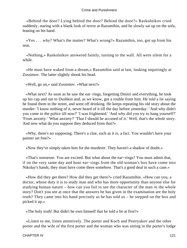«Behind the door? Lying behind the door? Behind the door?» Raskolnikov cried suddenly, staring with a blank look of terror at Razumihin, and he slowly sat up on the sofa, leaning on his hand.

 «Yes . . . why? What's the matter? What's wrong?» Razumihin, too, got up from his seat.

 «Nothing,» Raskolnikov answered faintly, turning to the wall. All were silent for a while.

 «He must have waked from a dream,» Razumihin said at last, looking inquiringly at Zossimov. The latter slightly shook his head.

«Well, go on,» said Zossimov. «What next?»

 «What next? As soon as he saw the ear−rings, forgetting Dmitri and everything, he took up his cap and ran to Dushkin and, as we know, got a rouble from him. He told a lie saying he found them in the street, and went off drinking. He keeps repeating his old story about the murder: 'I know nothing of it, never heard of it till the day before yesterday.' 'And why didn't you come to the police till now?' 'I was frightened.' 'And why did you try to hang yourself?' 'From anxiety.' 'What anxiety?' 'That I should be accused of it.' Well, that's the whole story. And now what do you suppose they deduced from that?»

 «Why, there's no supposing. There's a clue, such as it is, a fact. You wouldn't have your painter set free?»

«Now they've simply taken him for the murderer. They haven't a shadow of doubt.»

 «That's nonsense. You are excited. But what about the ear−rings? You must admit that, if on the very same day and hour ear−rings from the old woman's box have come into Nikolay's hands, they must have come there somehow. That's a good deal in such a case.»

 «How did they get there? How did they get there?» cried Razumihin. «How can you, a doctor, whose duty it is to study man and who has more opportunity than anyone else for studying human nature – how can you fail to see the character of the man in the whole story? Don't you see at once that the answers he has given in the examination are the holy truth? They came into his hand precisely as he has told us – he stepped on the box and picked it up.»

«The holy truth! But didn't he own himself that he told a lie at first?»

 «Listen to me, listen attentively. The porter and Koch and Pestryakov and the other porter and the wife of the first porter and the woman who was sitting in the porter's lodge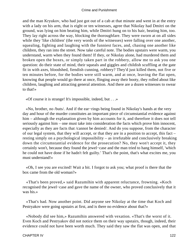and the man Kryukov, who had just got out of a cab at that minute and went in at the entry with a lady on his arm, that is eight or ten witnesses, agree that Nikolay had Dmitri on the ground, was lying on him beating him, while Dmitri hung on to his hair, beating him, too. They lay right across the way, blocking the thoroughfare. They were sworn at on all sides while they 'like children' (the very words of the witnesses) were falling over one another, squealing, fighting and laughing with the funniest faces, and, chasing one another like children, they ran into the street. Now take careful note. The bodies upstairs were warm, you understand, warm when they found them! If they, or Nikolay alone, had murdered them and broken open the boxes, or simply taken part in the robbery, allow me to ask you one question: do their state of mind, their squeals and giggles and childish scuffling at the gate fit in with axes, bloodshed, fiendish cunning, robbery? They'd just killed them, not five or ten minutes before, for the bodies were still warm, and at once, leaving the flat open, knowing that people would go there at once, flinging away their booty, they rolled about like children, laughing and attracting general attention. And there are a dozen witnesses to swear to that!»

«Of course it is strange! It's impossible, indeed, but . . .»

 «No, brother, no /buts/. And if the ear−rings being found in Nikolay's hands at the very day and hour of the murder constitutes an important piece of circumstantial evidence against him – although the explanation given by him accounts for it, and therefore it does not tell seriously against him – one must take into consideration the facts which prove him innocent, especially as they are facts that /cannot be denied/. And do you suppose, from the character of our legal system, that they will accept, or that they are in a position to accept, this fact – resting simply on a psychological impossibility – as irrefutable and conclusively breaking down the circumstantial evidence for the prosecution? No, they won't accept it, they certainly won't, because they found the jewel−case and the man tried to hang himself, 'which he could not have done if he hadn't felt guilty.' That's the point, that's what excites me, you must understand!»

 «Oh, I see you are excited! Wait a bit. I forgot to ask you; what proof is there that the box came from the old woman?»

 «That's been proved,» said Razumihin with apparent reluctance, frowning. «Koch recognised the jewel−case and gave the name of the owner, who proved conclusively that it was his.»

 «That's bad. Now another point. Did anyone see Nikolay at the time that Koch and Pestryakov were going upstairs at first, and is there no evidence about that?»

 «Nobody did see him,» Razumihin answered with vexation. «That's the worst of it. Even Koch and Pestryakov did not notice them on their way upstairs, though, indeed, their evidence could not have been worth much. They said they saw the flat was open, and that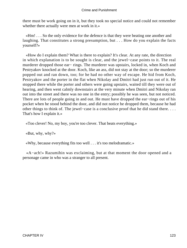there must be work going on in it, but they took no special notice and could not remember whether there actually were men at work in it.»

 «Hm! . . . So the only evidence for the defence is that they were beating one another and laughing. That constitutes a strong presumption, but . . . How do you explain the facts yourself?»

 «How do I explain them? What is there to explain? It's clear. At any rate, the direction in which explanation is to be sought is clear, and the jewel−case points to it. The real murderer dropped those ear− rings. The murderer was upstairs, locked in, when Koch and Pestryakov knocked at the door. Koch, like an ass, did not stay at the door; so the murderer popped out and ran down, too; for he had no other way of escape. He hid from Koch, Pestryakov and the porter in the flat when Nikolay and Dmitri had just run out of it. He stopped there while the porter and others were going upstairs, waited till they were out of hearing, and then went calmly downstairs at the very minute when Dmitri and Nikolay ran out into the street and there was no one in the entry; possibly he was seen, but not noticed. There are lots of people going in and out. He must have dropped the ear−rings out of his pocket when he stood behind the door, and did not notice he dropped them, because he had other things to think of. The jewel−case is a conclusive proof that he did stand there. . . . That's how I explain it.»

«Too clever! No, my boy, you're too clever. That beats everything.»

«But, why, why?»

«Why, because everything fits too well . . . it's too melodramatic.»

 «A−ach!» Razumihin was exclaiming, but at that moment the door opened and a personage came in who was a stranger to all present.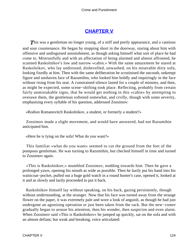# **[CHAPTER V](#page-465-0)**

**This was a gentleman no longer young, of a stiff and portly appearance, and a cautious** and sour countenance. He began by stopping short in the doorway, staring about him with offensive and undisguised astonishment, as though asking himself what sort of place he had come to. Mistrustfully and with an affectation of being alarmed and almost affronted, he scanned Raskolnikov's low and narrow «cabin.» With the same amazement he stared at Raskolnikov, who lay undressed, dishevelled, unwashed, on his miserable dirty sofa, looking fixedly at him. Then with the same deliberation he scrutinised the uncouth, unkempt figure and unshaven face of Razumihin, who looked him boldly and inquiringly in the face without rising from his seat. A constrained silence lasted for a couple of minutes, and then, as might be expected, some scene−shifting took place. Reflecting, probably from certain fairly unmistakable signs, that he would get nothing in this «cabin» by attempting to overawe them, the gentleman softened somewhat, and civilly, though with some severity, emphasising every syllable of his question, addressed Zossimov:

«Rodion Romanovitch Raskolnikov, a student, or formerly a student?»

 Zossimov made a slight movement, and would have answered, had not Razumihin anticipated him.

«Here he is lying on the sofa! What do you want?»

 This familiar «what do you want» seemed to cut the ground from the feet of the pompous gentleman. He was turning to Razumihin, but checked himself in time and turned to Zossimov again.

 «This is Raskolnikov,» mumbled Zossimov, nodding towards him. Then he gave a prolonged yawn, opening his mouth as wide as possible. Then he lazily put his hand into his waistcoat−pocket, pulled out a huge gold watch in a round hunter's case, opened it, looked at it and as slowly and lazily proceeded to put it back.

 Raskolnikov himself lay without speaking, on his back, gazing persistently, though without understanding, at the stranger. Now that his face was turned away from the strange flower on the paper, it was extremely pale and wore a look of anguish, as though he had just undergone an agonising operation or just been taken from the rack. But the new−comer gradually began to arouse his attention, then his wonder, then suspicion and even alarm. When Zossimov said «This is Raskolnikov» he jumped up quickly, sat on the sofa and with an almost defiant, but weak and breaking, voice articulated: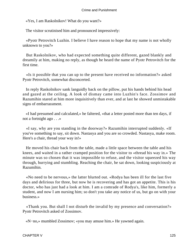«Yes, I am Raskolnikov! What do you want?»

The visitor scrutinised him and pronounced impressively:

 «Pyotr Petrovitch Luzhin. I believe I have reason to hope that my name is not wholly unknown to you?»

 But Raskolnikov, who had expected something quite different, gazed blankly and dreamily at him, making no reply, as though he heard the name of Pyotr Petrovitch for the first time.

 «Is it possible that you can up to the present have received no information?» asked Pyotr Petrovitch, somewhat disconcerted.

 In reply Raskolnikov sank languidly back on the pillow, put his hands behind his head and gazed at the ceiling. A look of dismay came into Luzhin's face. Zossimov and Razumihin stared at him more inquisitively than ever, and at last he showed unmistakable signs of embarrassment.

 «I had presumed and calculated,» he faltered, «that a letter posted more than ten days, if not a fortnight ago . . .»

 «I say, why are you standing in the doorway?» Razumihin interrupted suddenly. «If you've something to say, sit down. Nastasya and you are so crowded. Nastasya, make room. Here's a chair, thread your way in!»

 He moved his chair back from the table, made a little space between the table and his knees, and waited in a rather cramped position for the visitor to «thread his way in.» The minute was so chosen that it was impossible to refuse, and the visitor squeezed his way through, hurrying and stumbling. Reaching the chair, he sat down, looking suspiciously at Razumihin.

 «No need to be nervous,» the latter blurted out. «Rodya has been ill for the last five days and delirious for three, but now he is recovering and has got an appetite. This is his doctor, who has just had a look at him. I am a comrade of Rodya's, like him, formerly a student, and now I am nursing him; so don't you take any notice of us, but go on with your business.»

 «Thank you. But shall I not disturb the invalid by my presence and conversation?» Pyotr Petrovitch asked of Zossimov.

«N−no,» mumbled Zossimov; «you may amuse him.» He yawned again.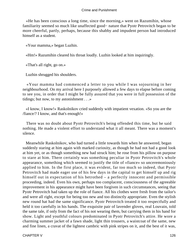«He has been conscious a long time, since the morning,» went on Razumihin, whose familiarity seemed so much like unaffected good− nature that Pyotr Petrovitch began to be more cheerful, partly, perhaps, because this shabby and impudent person had introduced himself as a student.

«Your mamma,» began Luzhin.

«Hm!» Razumihin cleared his throat loudly. Luzhin looked at him inquiringly.

«That's all right, go on.»

Luzhin shrugged his shoulders.

 «Your mamma had commenced a letter to you while I was sojourning in her neighbourhood. On my arrival here I purposely allowed a few days to elapse before coming to see you, in order that I might be fully assured that you were in full possession of the tidings; but now, to my astonishment . . .»

 «I know, I know!» Raskolnikov cried suddenly with impatient vexation. «So you are the /fiance/? I know, and that's enough!»

 There was no doubt about Pyotr Petrovitch's being offended this time, but he said nothing. He made a violent effort to understand what it all meant. There was a moment's silence.

 Meanwhile Raskolnikov, who had turned a little towards him when he answered, began suddenly staring at him again with marked curiosity, as though he had not had a good look at him yet, or as though something new had struck him; he rose from his pillow on purpose to stare at him. There certainly was something peculiar in Pyotr Petrovitch's whole appearance, something which seemed to justify the title of «fiance» so unceremoniously applied to him. In the first place, it was evident, far too much so indeed, that Pyotr Petrovitch had made eager use of his few days in the capital to get himself up and rig himself out in expectation of his betrothed – a perfectly innocent and permissible proceeding, indeed. Even his own, perhaps too complacent, consciousness of the agreeable improvement in his appearance might have been forgiven in such circumstances, seeing that Pyotr Petrovitch had taken up the role of fiance. All his clothes were fresh from the tailor's and were all right, except for being too new and too distinctly appropriate. Even the stylish new round hat had the same significance. Pyotr Petrovitch treated it too respectfully and held it too carefully in his hands. The exquisite pair of lavender gloves, real Louvain, told the same tale, if only from the fact of his not wearing them, but carrying them in his hand for show. Light and youthful colours predominated in Pyotr Petrovitch's attire. He wore a charming summer jacket of a fawn shade, light thin trousers, a waistcoat of the same, new and fine linen, a cravat of the lightest cambric with pink stripes on it, and the best of it was,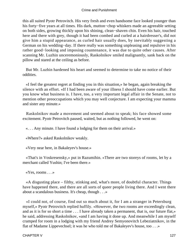this all suited Pyotr Petrovitch. His very fresh and even handsome face looked younger than his forty−five years at all times. His dark, mutton−chop whiskers made an agreeable setting on both sides, growing thickly upon his shining, clean−shaven chin. Even his hair, touched here and there with grey, though it had been combed and curled at a hairdresser's, did not give him a stupid appearance, as curled hair usually does, by inevitably suggesting a German on his wedding−day. If there really was something unpleasing and repulsive in his rather good−looking and imposing countenance, it was due to quite other causes. After scanning Mr. Luzhin unceremoniously, Raskolnikov smiled malignantly, sank back on the pillow and stared at the ceiling as before.

 But Mr. Luzhin hardened his heart and seemed to determine to take no notice of their oddities.

 «I feel the greatest regret at finding you in this situation,» he began, again breaking the silence with an effort. «If I had been aware of your illness I should have come earlier. But you know what business is. I have, too, a very important legal affair in the Senate, not to mention other preoccupations which you may well conjecture. I am expecting your mamma and sister any minute.»

 Raskolnikov made a movement and seemed about to speak; his face showed some excitement. Pyotr Petrovitch paused, waited, but as nothing followed, he went on:

«. . . Any minute. I have found a lodging for them on their arrival.»

«Where?» asked Raskolnikov weakly.

«Very near here, in Bakaleyev's house.»

 «That's in Voskresensky,» put in Razumihin. «There are two storeys of rooms, let by a merchant called Yushin; I've been there.»

«Yes, rooms . . .»

 «A disgusting place – filthy, stinking and, what's more, of doubtful character. Things have happened there, and there are all sorts of queer people living there. And I went there about a scandalous business. It's cheap, though . . .»

 «I could not, of course, find out so much about it, for I am a stranger in Petersburg myself,» Pyotr Petrovitch replied huffily. «However, the two rooms are exceedingly clean, and as it is for so short a time . . . I have already taken a permanent, that is, our future flat,» he said, addressing Raskolnikov, «and I am having it done up. And meanwhile I am myself cramped for room in a lodging with my friend Andrey Semyonovitch Lebeziatnikov, in the flat of Madame Lippevechsel; it was he who told me of Bakaleyev's house, too . . .»

CHAPTER V 127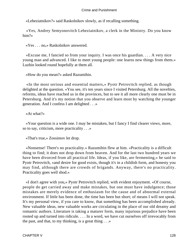«Lebeziatnikov?» said Raskolnikov slowly, as if recalling something.

 «Yes, Andrey Semyonovitch Lebeziatnikov, a clerk in the Ministry. Do you know him?»

«Yes . . . no,» Raskolnikov answered.

 «Excuse me, I fancied so from your inquiry. I was once his guardian. . . . A very nice young man and advanced. I like to meet young people: one learns new things from them.» Luzhin looked round hopefully at them all.

«How do you mean?» asked Razumihin.

 «In the most serious and essential matters,» Pyotr Petrovitch replied, as though delighted at the question. «You see, it's ten years since I visited Petersburg. All the novelties, reforms, ideas have reached us in the provinces, but to see it all more clearly one must be in Petersburg. And it's my notion that you observe and learn most by watching the younger generation. And I confess I am delighted . . .»

«At what?»

 «Your question is a wide one. I may be mistaken, but I fancy I find clearer views, more, so to say, criticism, more practicality . . .»

«That's true,» Zossimov let drop.

 «Nonsense! There's no practicality.» Razumihin flew at him. «Practicality is a difficult thing to find; it does not drop down from heaven. And for the last two hundred years we have been divorced from all practical life. Ideas, if you like, are fermenting,» he said to Pyotr Petrovitch, «and desire for good exists, though it's in a childish form, and honesty you may find, although there are crowds of brigands. Anyway, there's no practicality. Practicality goes well shod.»

 «I don't agree with you,» Pyotr Petrovitch replied, with evident enjoyment. «Of course, people do get carried away and make mistakes, but one must have indulgence; those mistakes are merely evidence of enthusiasm for the cause and of abnormal external environment. If little has been done, the time has been but short; of means I will not speak. It's my personal view, if you care to know, that something has been accomplished already. New valuable ideas, new valuable works are circulating in the place of our old dreamy and romantic authors. Literature is taking a maturer form, many injurious prejudice have been rooted up and turned into ridicule. . . . In a word, we have cut ourselves off irrevocably from the past, and that, to my thinking, is a great thing  $\ldots$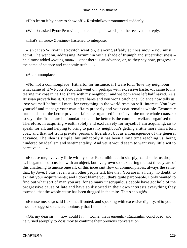«He's learnt it by heart to show off!» Raskolnikov pronounced suddenly.

«What?» asked Pyotr Petrovitch, not catching his words; but he received no reply.

«That's all true,» Zossimov hastened to interpose.

 «Isn't it so?» Pyotr Petrovitch went on, glancing affably at Zossimov. «You must admit,» he went on, addressing Razumihin with a shade of triumph and superciliousness – he almost added «young man» – «that there is an advance, or, as they say now, progress in the name of science and economic truth . . .»

«A commonplace.»

 «No, not a commonplace! Hitherto, for instance, if I were told, 'love thy neighbour,' what came of it?» Pyotr Petrovitch went on, perhaps with excessive haste. «It came to my tearing my coat in half to share with my neighbour and we both were left half naked. As a Russian proverb has it, 'Catch several hares and you won't catch one.' Science now tells us, love yourself before all men, for everything in the world rests on self−interest. You love yourself and manage your own affairs properly and your coat remains whole. Economic truth adds that the better private affairs are organised in society – the more whole coats, so to say – the firmer are its foundations and the better is the common welfare organised too. Therefore, in acquiring wealth solely and exclusively for myself, I am acquiring, so to speak, for all, and helping to bring to pass my neighbour's getting a little more than a torn coat; and that not from private, personal liberality, but as a consequence of the general advance. The idea is simple, but unhappily it has been a long time reaching us, being hindered by idealism and sentimentality. And yet it would seem to want very little wit to perceive it . . .»

 «Excuse me, I've very little wit myself,» Razumihin cut in sharply, «and so let us drop it. I began this discussion with an object, but I've grown so sick during the last three years of this chattering to amuse oneself, of this incessant flow of commonplaces, always the same, that, by Jove, I blush even when other people talk like that. You are in a hurry, no doubt, to exhibit your acquirements; and I don't blame you, that's quite pardonable. I only wanted to find out what sort of man you are, for so many unscrupulous people have got hold of the progressive cause of late and have so distorted in their own interests everything they touched, that the whole cause has been dragged in the mire. That's enough!»

 «Excuse me, sir,» said Luzhin, affronted, and speaking with excessive dignity. «Do you mean to suggest so unceremoniously that I too . . .»

 «Oh, my dear sir . . . how could I? . . . Come, that's enough,» Razumihin concluded, and he turned abruptly to Zossimov to continue their previous conversation.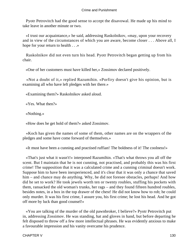Pyotr Petrovitch had the good sense to accept the disavowal. He made up his mind to take leave in another minute or two.

 «I trust our acquaintance,» he said, addressing Raskolnikov, «may, upon your recovery and in view of the circumstances of which you are aware, become closer . . . Above all, I hope for your return to health . . .»

 Raskolnikov did not even turn his head. Pyotr Petrovitch began getting up from his chair.

«One of her customers must have killed her,» Zossimov declared positively.

 «Not a doubt of it,» replied Razumihin. «Porfiry doesn't give his opinion, but is examining all who have left pledges with her there.»

«Examining them?» Raskolnikov asked aloud.

«Yes. What then?»

«Nothing.»

«How does he get hold of them?» asked Zossimov.

 «Koch has given the names of some of them, other names are on the wrappers of the pledges and some have come forward of themselves.»

«It must have been a cunning and practised ruffian! The boldness of it! The coolness!»

 «That's just what it wasn't!» interposed Razumihin. «That's what throws you all off the scent. But I maintain that he is not cunning, not practised, and probably this was his first crime! The supposition that it was a calculated crime and a cunning criminal doesn't work. Suppose him to have been inexperienced, and it's clear that it was only a chance that saved him – and chance may do anything. Why, he did not foresee obstacles, perhaps! And how did he set to work? He took jewels worth ten or twenty roubles, stuffing his pockets with them, ransacked the old woman's trunks, her rags – and they found fifteen hundred roubles, besides notes, in a box in the top drawer of the chest! He did not know how to rob; he could only murder. It was his first crime, I assure you, his first crime; he lost his head. And he got off more by luck than good counsel!»

 «You are talking of the murder of the old pawnbroker, I believe?» Pyotr Petrovitch put in, addressing Zossimov. He was standing, hat and gloves in hand, but before departing he felt disposed to throw off a few more intellectual phrases. He was evidently anxious to make a favourable impression and his vanity overcame his prudence.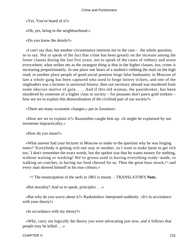«Yes. You've heard of it?»

«Oh, yes, being in the neighbourhood.»

«Do you know the details?»

 «I can't say that; but another circumstance interests me in the case – the whole question, so to say. Not to speak of the fact that crime has been greatly on the increase among the lower classes during the last five years, not to speak of the cases of robbery and arson everywhere, what strikes me as the strangest thing is that in the higher classes, too, crime is increasing proportionately. In one place one hears of a student's robbing the mail on the high road; in another place people of good social position forge false banknotes; in Moscow of late a whole gang has been captured who used to forge lottery tickets, and one of the ringleaders was a lecturer in universal history; then our secretary abroad was murdered from some obscure motive of gain. . . . And if this old woman, the pawnbroker, has been murdered by someone of a higher class in society – for peasants don't pawn gold trinkets – how are we to explain this demoralisation of the civilised part of our society?»

«There are many economic changes,» put in Zossimov.

 «How are we to explain it?» Razumihin caught him up. «It might be explained by our inveterate impracticality.»

«How do you mean?»

 «What answer had your lecturer in Moscow to make to the question why he was forging notes? 'Everybody is getting rich one way or another, so I want to make haste to get rich too.' I don't remember the exact words, but the upshot was that he wants money for nothing, without waiting or working! We've grown used to having everything ready−made, to walking on crutches, to having our food chewed for us. Then the great hour struck,[\*] and every man showed himself in his true colours.»

[\*] The emancipation of the serfs in 1861 is meant. – TRANSLATOR'S **Note.**

«But morality? And so to speak, principles . . .»

 «But why do you worry about it?» Raskolnikov interposed suddenly. «It's in accordance with your theory!»

«In accordance with my theory?»

 «Why, carry out logically the theory you were advocating just now, and it follows that people may be killed . . .»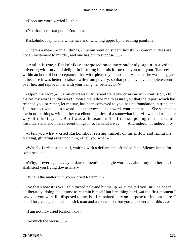«Upon my word!» cried Luzhin.

«No, that's not so,» put in Zossimov.

Raskolnikov lay with a white face and twitching upper lip, breathing painfully.

 «There's a measure in all things,» Luzhin went on superciliously. «Economic ideas are not an incitement to murder, and one has but to suppose . . .»

 «And is it true,» Raskolnikov interposed once more suddenly, again in a voice quivering with fury and delight in insulting him, «is it true that you told your /fiancee/ . . . within an hour of her acceptance, that what pleased you most . . . was that she was a beggar. . . because it was better to raise a wife from poverty, so that you may have complete control over her, and reproach her with your being her benefactor?»

 «Upon my word,» Luzhin cried wrathfully and irritably, crimson with confusion, «to distort my words in this way! Excuse me, allow me to assure you that the report which has reached you, or rather, let me say, has been conveyed to you, has no foundation in truth, and I . . . suspect who . . . in a word . . . this arrow . . . in a word, your mamma . . . She seemed to me in other things, with all her excellent qualities, of a somewhat high−flown and romantic way of thinking. . . . But I was a thousand miles from supposing that she would misunderstand and misrepresent things in so fanciful a way. . . . And indeed . . . indeed . . .»

 «I tell you what,» cried Raskolnikov, raising himself on his pillow and fixing his piercing, glittering eyes upon him, «I tell you what.»

 «What?» Luzhin stood still, waiting with a defiant and offended face. Silence lasted for some seconds.

 «Why, if ever again . . . you dare to mention a single word . . . about my mother . . . I shall send you flying downstairs!»

«What's the matter with you?» cried Razumihin.

 «So that's how it is?» Luzhin turned pale and bit his lip. «Let me tell you, sir,» he began deliberately, doing his utmost to restrain himself but breathing hard, «at the first moment I saw you you were ill−disposed to me, but I remained here on purpose to find out more. I could forgive a great deal in a sick man and a connection, but you . . . never after this . . .»

«I am not ill,» cried Raskolnikov.

«So much the worse . . .»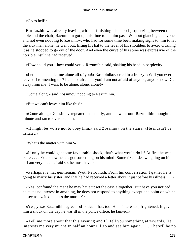«Go to hell!»

 But Luzhin was already leaving without finishing his speech, squeezing between the table and the chair; Razumihin got up this time to let him pass. Without glancing at anyone, and not even nodding to Zossimov, who had for some time been making signs to him to let the sick man alone, he went out, lifting his hat to the level of his shoulders to avoid crushing it as he stooped to go out of the door. And even the curve of his spine was expressive of the horrible insult he had received.

«How could you – how could you!» Razumihin said, shaking his head in perplexity.

 «Let me alone – let me alone all of you!» Raskolnikov cried in a frenzy. «Will you ever leave off tormenting me? I am not afraid of you! I am not afraid of anyone, anyone now! Get away from me! I want to be alone, alone, alone!»

«Come along,» said Zossimov, nodding to Razumihin.

«But we can't leave him like this!»

 «Come along,» Zossimov repeated insistently, and he went out. Razumihin thought a minute and ran to overtake him.

 «It might be worse not to obey him,» said Zossimov on the stairs. «He mustn't be irritated.»

«What's the matter with him?»

 «If only he could get some favourable shock, that's what would do it! At first he was better. . . . You know he has got something on his mind! Some fixed idea weighing on him.. . . I am very much afraid so; he must have!»

 «Perhaps it's that gentleman, Pyotr Petrovitch. From his conversation I gather he is going to marry his sister, and that he had received a letter about it just before his illness. . . .»

 «Yes, confound the man! he may have upset the case altogether. But have you noticed, he takes no interest in anything, he does not respond to anything except one point on which he seems excited – that's the murder?»

 «Yes, yes,» Razumihin agreed, «I noticed that, too. He is interested, frightened. It gave him a shock on the day he was ill in the police office; he fainted.»

 «Tell me more about that this evening and I'll tell you something afterwards. He interests me very much! In half an hour I'll go and see him again. . . . There'll be no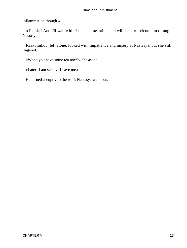inflammation though.»

 «Thanks! And I'll wait with Pashenka meantime and will keep watch on him through Nastasya. . . .»

 Raskolnikov, left alone, looked with impatience and misery at Nastasya, but she still lingered.

«Won't you have some tea now?» she asked.

«Later! I am sleepy! Leave me.»

He turned abruptly to the wall; Nastasya went out.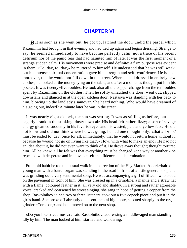# **[CHAPTER VI](#page-465-0)**

*But as soon as she went out, he got up, latched the door, undid the parcel which* Razumihin had brought in that evening and had tied up again and began dressing. Strange to say, he seemed immediately to have become perfectly calm; not a trace of his recent delirium nor of the panic fear that had haunted him of late. It was the first moment of a strange sudden calm. His movements were precise and definite; a firm purpose was evident in them. «To−day, to−day,» he muttered to himself. He understood that he was still weak, but his intense spiritual concentration gave him strength and self−confidence. He hoped, moreover, that he would not fall down in the street. When he had dressed in entirely new clothes, he looked at the money lying on the table, and after a moment's thought put it in his pocket. It was twenty−five roubles. He took also all the copper change from the ten roubles spent by Razumihin on the clothes. Then he softly unlatched the door, went out, slipped downstairs and glanced in at the open kitchen door. Nastasya was standing with her back to him, blowing up the landlady's samovar. She heard nothing. Who would have dreamed of his going out, indeed? A minute later he was in the street.

 It was nearly eight o'clock, the sun was setting. It was as stifling as before, but he eagerly drank in the stinking, dusty town air. His head felt rather dizzy; a sort of savage energy gleamed suddenly in his feverish eyes and his wasted, pale and yellow face. He did not know and did not think where he was going, he had one thought only: «that all /this/ must be ended to−day, once for all, immediately; that he would not return home without it, because he /would not go on living like that/.» How, with what to make an end? He had not an idea about it, he did not even want to think of it. He drove away thought; thought tortured him. All he knew, all he felt was that everything must be changed «one way or another,» he repeated with desperate and immovable self−confidence and determination.

 From old habit he took his usual walk in the direction of the Hay Market. A dark−haired young man with a barrel organ was standing in the road in front of a little general shop and was grinding out a very sentimental song. He was accompanying a girl of fifteen, who stood on the pavement in front of him. She was dressed up in a crinoline, a mantle and a straw hat with a flame−coloured feather in it, all very old and shabby. In a strong and rather agreeable voice, cracked and coarsened by street singing, she sang in hope of getting a copper from the shop. Raskolnikov joined two or three listeners, took out a five copeck piece and put it in the girl's hand. She broke off abruptly on a sentimental high note, shouted sharply to the organ grinder «Come on,» and both moved on to the next shop.

 «Do you like street music?» said Raskolnikov, addressing a middle−aged man standing idly by him. The man looked at him, startled and wondering.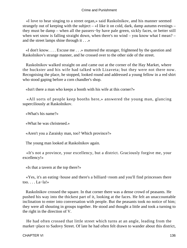«I love to hear singing to a street organ,» said Raskolnikov, and his manner seemed strangely out of keeping with the subject – «I like it on cold, dark, damp autumn evenings – they must be damp – when all the passers−by have pale green, sickly faces, or better still when wet snow is falling straight down, when there's no wind – you know what I mean? – and the street lamps shine through it . . .»

 «I don't know. . . . Excuse me . . .» muttered the stranger, frightened by the question and Raskolnikov's strange manner, and he crossed over to the other side of the street.

 Raskolnikov walked straight on and came out at the corner of the Hay Market, where the huckster and his wife had talked with Lizaveta; but they were not there now. Recognising the place, he stopped, looked round and addressed a young fellow in a red shirt who stood gaping before a corn chandler's shop.

«Isn't there a man who keeps a booth with his wife at this corner?»

 «All sorts of people keep booths here,» answered the young man, glancing superciliously at Raskolnikov.

«What's his name?»

«What he was christened.»

«Aren't you a Zaraisky man, too? Which province?»

The young man looked at Raskolnikov again.

 «It's not a province, your excellency, but a district. Graciously forgive me, your excellency!»

«Is that a tavern at the top there?»

 «Yes, it's an eating−house and there's a billiard−room and you'll find princesses there too. . . . La−la!»

 Raskolnikov crossed the square. In that corner there was a dense crowd of peasants. He pushed his way into the thickest part of it, looking at the faces. He felt an unaccountable inclination to enter into conversation with people. But the peasants took no notice of him; they were all shouting in groups together. He stood and thought a little and took a turning to the right in the direction of V.

 He had often crossed that little street which turns at an angle, leading from the market−place to Sadovy Street. Of late he had often felt drawn to wander about this district,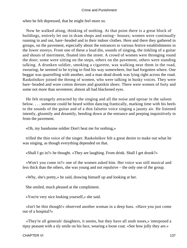when he felt depressed, that he might feel more so.

 Now he walked along, thinking of nothing. At that point there is a great block of buildings, entirely let out in dram shops and eating− houses; women were continually running in and out, bare−headed and in their indoor clothes. Here and there they gathered in groups, on the pavement, especially about the entrances to various festive establishments in the lower storeys. From one of these a loud din, sounds of singing, the tinkling of a guitar and shouts of merriment, floated into the street. A crowd of women were thronging round the door; some were sitting on the steps, others on the pavement, others were standing talking. A drunken soldier, smoking a cigarette, was walking near them in the road, swearing; he seemed to be trying to find his way somewhere, but had forgotten where. One beggar was quarrelling with another, and a man dead drunk was lying right across the road. Raskolnikov joined the throng of women, who were talking in husky voices. They were bare−headed and wore cotton dresses and goatskin shoes. There were women of forty and some not more than seventeen; almost all had blackened eyes.

 He felt strangely attracted by the singing and all the noise and uproar in the saloon below. . . . someone could be heard within dancing frantically, marking time with his heels to the sounds of the guitar and of a thin falsetto voice singing a jaunty air. He listened intently, gloomily and dreamily, bending down at the entrance and peeping inquisitively in from the pavement.

«Oh, my handsome soldier Don't beat me for nothing,»

 trilled the thin voice of the singer. Raskolnikov felt a great desire to make out what he was singing, as though everything depended on that.

«Shall I go in?» he thought. «They are laughing. From drink. Shall I get drunk?»

 «Won't you come in?» one of the women asked him. Her voice was still musical and less thick than the others, she was young and not repulsive – the only one of the group.

«Why, she's pretty,» he said, drawing himself up and looking at her.

She smiled, much pleased at the compliment.

«You're very nice looking yourself,» she said.

 «Isn't he thin though!» observed another woman in a deep bass. «Have you just come out of a hospital?»

 «They're all generals' daughters, it seems, but they have all snub noses,» interposed a tipsy peasant with a sly smile on his face, wearing a loose coat. «See how jolly they are.»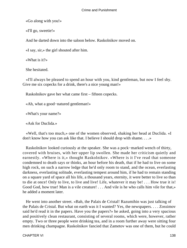«Go along with you!»

«I'll go, sweetie!»

And he darted down into the saloon below. Raskolnikov moved on.

«I say, sir,» the girl shouted after him.

«What is it?»

She hesitated.

 «I'll always be pleased to spend an hour with you, kind gentleman, but now I feel shy. Give me six copecks for a drink, there's a nice young man!»

Raskolnikov gave her what came first – fifteen copecks.

«Ah, what a good−natured gentleman!»

«What's your name?»

«Ask for Duclida.»

 «Well, that's too much,» one of the women observed, shaking her head at Duclida. «I don't know how you can ask like that. I believe I should drop with shame. . . .»

 Raskolnikov looked curiously at the speaker. She was a pock−marked wench of thirty, covered with bruises, with her upper lip swollen. She made her criticism quietly and earnestly. «Where is it,» thought Raskolnikov. «Where is it I've read that someone condemned to death says or thinks, an hour before his death, that if he had to live on some high rock, on such a narrow ledge that he'd only room to stand, and the ocean, everlasting darkness, everlasting solitude, everlasting tempest around him, if he had to remain standing on a square yard of space all his life, a thousand years, eternity, it were better to live so than to die at once! Only to live, to live and live! Life, whatever it may be! . . . How true it is! Good God, how true! Man is a vile creature! . . . And vile is he who calls him vile for that,» he added a moment later.

 He went into another street. «Bah, the Palais de Cristal! Razumihin was just talking of the Palais de Cristal. But what on earth was it I wanted? Yes, the newspapers. . . . Zossimov said he'd read it in the papers. Have you the papers?» he asked, going into a very spacious and positively clean restaurant, consisting of several rooms, which were, however, rather empty. Two or three people were drinking tea, and in a room further away were sitting four men drinking champagne. Raskolnikov fancied that Zametov was one of them, but he could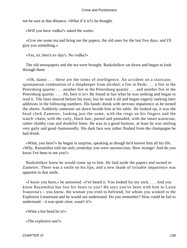not be sure at that distance. «What if it is?» he thought.

«Will you have vodka?» asked the waiter.

 «Give me some tea and bring me the papers, the old ones for the last five days, and I'll give you something.»

«Yes, sir, here's to−day's. No vodka?»

 The old newspapers and the tea were brought. Raskolnikov sat down and began to look through them.

 «Oh, damn . . . these are the items of intelligence. An accident on a staircase, spontaneous combustion of a shopkeeper from alcohol, a fire in Peski . . . a fire in the Petersburg quarter . . . another fire in the Petersburg quarter . . . and another fire in the Petersburg quarter. . . . Ah, here it is!» He found at last what he was seeking and began to read it. The lines danced before his eyes, but he read it all and began eagerly seeking later additions in the following numbers. His hands shook with nervous impatience as he turned the sheets. Suddenly someone sat down beside him at his table. He looked up, it was the head clerk Zametov, looking just the same, with the rings on his fingers and the watch−chain, with the curly, black hair, parted and pomaded, with the smart waistcoat, rather shabby coat and doubtful linen. He was in a good humour, at least he was smiling very gaily and good−humouredly. His dark face was rather flushed from the champagne he had drunk.

 «What, you here?» he began in surprise, speaking as though he'd known him all his life. «Why, Razumihin told me only yesterday you were unconscious. How strange! And do you know I've been to see you?»

 Raskolnikov knew he would come up to him. He laid aside the papers and turned to Zametov. There was a smile on his lips, and a new shade of irritable impatience was apparent in that smile.

 «I know you have,» he answered. «I've heard it. You looked for my sock. . . . And you know Razumihin has lost his heart to you? He says you've been with him to Luise Ivanovna's – you know, the woman you tried to befriend, for whom you winked to the Explosive Lieutenant and he would not understand. Do you remember? How could he fail to understand – it was quite clear, wasn't it?»

«What a hot head he is!»

«The explosive one?»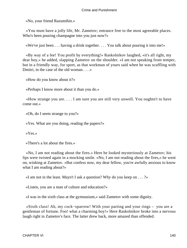«No, your friend Razumihin.»

 «You must have a jolly life, Mr. Zametov; entrance free to the most agreeable places. Who's been pouring champagne into you just now?»

«We've just been . . . having a drink together. . . . You talk about pouring it into me!»

 «By way of a fee! You profit by everything!» Raskolnikov laughed, «it's all right, my dear boy,» he added, slapping Zametov on the shoulder. «I am not speaking from temper, but in a friendly way, for sport, as that workman of yours said when he was scuffling with Dmitri, in the case of the old woman. . . .»

«How do you know about it?»

«Perhaps I know more about it than you do.»

 «How strange you are. . . . I am sure you are still very unwell. You oughtn't to have come out.»

«Oh, do I seem strange to you?»

«Yes. What are you doing, reading the papers?»

«Yes.»

«There's a lot about the fires.»

 «No, I am not reading about the fires.» Here he looked mysteriously at Zametov; his lips were twisted again in a mocking smile. «No, I am not reading about the fires,» he went on, winking at Zametov. «But confess now, my dear fellow, you're awfully anxious to know what I am reading about?»

«I am not in the least. Mayn't I ask a question? Why do you keep on  $\dots$ ?»

«Listen, you are a man of culture and education?»

«I was in the sixth class at the gymnasium,» said Zametov with some dignity.

 «Sixth class! Ah, my cock−sparrow! With your parting and your rings – you are a gentleman of fortune. Foo! what a charming boy!» Here Raskolnikov broke into a nervous laugh right in Zametov's face. The latter drew back, more amazed than offended.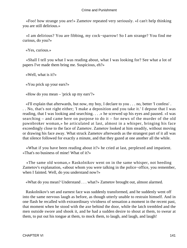«Foo! how strange you are!» Zametov repeated very seriously. «I can't help thinking you are still delirious.»

 «I am delirious? You are fibbing, my cock−sparrow! So I am strange? You find me curious, do you?»

«Yes, curious.»

 «Shall I tell you what I was reading about, what I was looking for? See what a lot of papers I've made them bring me. Suspicious, eh?»

«Well, what is it?»

«You prick up your ears?»

«How do you mean – 'prick up my ears'?»

 «I'll explain that afterwards, but now, my boy, I declare to you . . . no, better 'I confess' . . . No, that's not right either; 'I make a deposition and you take it.' I depose that I was reading, that I was looking and searching. . . .» he screwed up his eyes and paused. «I was searching – and came here on purpose to do it – for news of the murder of the old pawnbroker woman,» he articulated at last, almost in a whisper, bringing his face exceedingly close to the face of Zametov. Zametov looked at him steadily, without moving or drawing his face away. What struck Zametov afterwards as the strangest part of it all was that silence followed for exactly a minute, and that they gazed at one another all the while.

 «What if you have been reading about it?» he cried at last, perplexed and impatient. «That's no business of mine! What of it?»

 «The same old woman,» Raskolnikov went on in the same whisper, not heeding Zametov's explanation, «about whom you were talking in the police−office, you remember, when I fainted. Well, do you understand now?»

«What do you mean? Understand . . . what?» Zametov brought out, almost alarmed.

 Raskolnikov's set and earnest face was suddenly transformed, and he suddenly went off into the same nervous laugh as before, as though utterly unable to restrain himself. And in one flash he recalled with extraordinary vividness of sensation a moment in the recent past, that moment when he stood with the axe behind the door, while the latch trembled and the men outside swore and shook it, and he had a sudden desire to shout at them, to swear at them, to put out his tongue at them, to mock them, to laugh, and laugh, and laugh!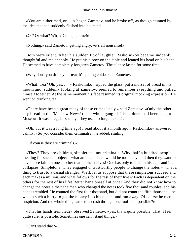«You are either mad, or . . .» began Zametov, and he broke off, as though stunned by the idea that had suddenly flashed into his mind.

«Or? Or what? What? Come, tell me!»

«Nothing,» said Zametov, getting angry, «it's all nonsense!»

 Both were silent. After his sudden fit of laughter Raskolnikov became suddenly thoughtful and melancholy. He put his elbow on the table and leaned his head on his hand. He seemed to have completely forgotten Zametov. The silence lasted for some time.

«Why don't you drink your tea? It's getting cold,» said Zametov.

 «What! Tea? Oh, yes. . . .» Raskolnikov sipped the glass, put a morsel of bread in his mouth and, suddenly looking at Zametov, seemed to remember everything and pulled himself together. At the same moment his face resumed its original mocking expression. He went on drinking tea.

 «There have been a great many of these crimes lately,» said Zametov. «Only the other day I read in the /Moscow News/ that a whole gang of false coiners had been caught in Moscow. It was a regular society. They used to forge tickets!»

 «Oh, but it was a long time ago! I read about it a month ago,» Raskolnikov answered calmly. «So you consider them criminals?» he added, smiling.

«Of course they are criminals.»

 «They? They are children, simpletons, not criminals! Why, half a hundred people meeting for such an object – what an idea! Three would be too many, and then they want to have more faith in one another than in themselves! One has only to blab in his cups and it all collapses. Simpletons! They engaged untrustworthy people to change the notes – what a thing to trust to a casual stranger! Well, let us suppose that these simpletons succeed and each makes a million, and what follows for the rest of their lives? Each is dependent on the others for the rest of his life! Better hang oneself at once! And they did not know how to change the notes either; the man who changed the notes took five thousand roubles, and his hands trembled. He counted the first four thousand, but did not count the fifth thousand – he was in such a hurry to get the money into his pocket and run away. Of course he roused suspicion. And the whole thing came to a crash through one fool! Is it possible?»

 «That his hands trembled?» observed Zametov, «yes, that's quite possible. That, I feel quite sure, is possible. Sometimes one can't stand things.»

«Can't stand that?»

CHAPTER VI 142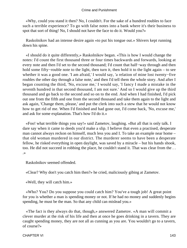«Why, could you stand it then? No, I couldn't. For the sake of a hundred roubles to face such a terrible experience? To go with false notes into a bank where it's their business to spot that sort of thing! No, I should not have the face to do it. Would you?»

 Raskolnikov had an intense desire again «to put his tongue out.» Shivers kept running down his spine.

 «I should do it quite differently,» Raskolnikov began. «This is how I would change the notes: I'd count the first thousand three or four times backwards and forwards, looking at every note and then I'd set to the second thousand; I'd count that half−way through and then hold some fifty−rouble note to the light, then turn it, then hold it to the light again – to see whether it was a good one. 'I am afraid,' I would say, 'a relation of mine lost twenty−five roubles the other day through a false note,' and then I'd tell them the whole story. And after I began counting the third, 'No, excuse me,' I would say, 'I fancy I made a mistake in the seventh hundred in that second thousand, I am not sure.' And so I would give up the third thousand and go back to the second and so on to the end. And when I had finished, I'd pick out one from the fifth and one from the second thousand and take them again to the light and ask again, 'Change them, please,' and put the clerk into such a stew that he would not know how to get rid of me. When I'd finished and had gone out, I'd come back, 'No, excuse me,' and ask for some explanation. That's how I'd do it.»

 «Foo! what terrible things you say!» said Zametov, laughing. «But all that is only talk. I dare say when it came to deeds you'd make a slip. I believe that even a practised, desperate man cannot always reckon on himself, much less you and I. To take an example near home – that old woman murdered in our district. The murderer seems to have been a desperate fellow, he risked everything in open daylight, was saved by a miracle – but his hands shook, too. He did not succeed in robbing the place, he couldn't stand it. That was clear from the . . .»

Raskolnikov seemed offended.

«Clear? Why don't you catch him then?» he cried, maliciously gibing at Zametov.

«Well, they will catch him.»

 «Who? You? Do you suppose you could catch him? You've a tough job! A great point for you is whether a man is spending money or not. If he had no money and suddenly begins spending, he must be the man. So that any child can mislead you.»

 «The fact is they always do that, though,» answered Zametov. «A man will commit a clever murder at the risk of his life and then at once he goes drinking in a tavern. They are caught spending money, they are not all as cunning as you are. You wouldn't go to a tavern, of course?»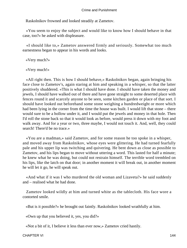Raskolnikov frowned and looked steadily at Zametov.

 «You seem to enjoy the subject and would like to know how I should behave in that case, too?» he asked with displeasure.

 «I should like to,» Zametov answered firmly and seriously. Somewhat too much earnestness began to appear in his words and looks.

«Very much?»

«Very much!»

 «All right then. This is how I should behave,» Raskolnikov began, again bringing his face close to Zametov's, again staring at him and speaking in a whisper, so that the latter positively shuddered. «This is what I should have done. I should have taken the money and jewels, I should have walked out of there and have gone straight to some deserted place with fences round it and scarcely anyone to be seen, some kitchen garden or place of that sort. I should have looked out beforehand some stone weighing a hundredweight or more which had been lying in the corner from the time the house was built. I would lift that stone – there would sure to be a hollow under it, and I would put the jewels and money in that hole. Then I'd roll the stone back so that it would look as before, would press it down with my foot and walk away. And for a year or two, three maybe, I would not touch it. And, well, they could search! There'd be no trace.»

 «You are a madman,» said Zametov, and for some reason he too spoke in a whisper, and moved away from Raskolnikov, whose eyes were glittering. He had turned fearfully pale and his upper lip was twitching and quivering. He bent down as close as possible to Zametov, and his lips began to move without uttering a word. This lasted for half a minute; he knew what he was doing, but could not restrain himself. The terrible word trembled on his lips, like the latch on that door; in another moment it will break out, in another moment he will let it go, he will speak out.

 «And what if it was I who murdered the old woman and Lizaveta?» he said suddenly and – realised what he had done.

 Zametov looked wildly at him and turned white as the tablecloth. His face wore a contorted smile.

«But is it possible?» he brought out faintly. Raskolnikov looked wrathfully at him.

«Own up that you believed it, yes, you did?»

«Not a bit of it, I believe it less than ever now,» Zametov cried hastily.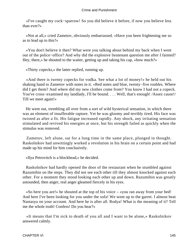«I've caught my cock−sparrow! So you did believe it before, if now you believe less than ever?»

 «Not at all,» cried Zametov, obviously embarrassed. «Have you been frightening me so as to lead up to this?»

 «You don't believe it then? What were you talking about behind my back when I went out of the police−office? And why did the explosive lieutenant question me after I fainted? Hey, there,» he shouted to the waiter, getting up and taking his cap, «how much?»

«Thirty copecks,» the latter replied, running up.

 «And there is twenty copecks for vodka. See what a lot of money!» he held out his shaking hand to Zametov with notes in it. «Red notes and blue, twenty−five roubles. Where did I get them? And where did my new clothes come from? You know I had not a copeck. You've cross−examined my landlady, I'll be bound. . . . Well, that's enough! /Assez cause!/ Till we meet again!»

 He went out, trembling all over from a sort of wild hysterical sensation, in which there was an element of insufferable rapture. Yet he was gloomy and terribly tired. His face was twisted as after a fit. His fatigue increased rapidly. Any shock, any irritating sensation stimulated and revived his energies at once, but his strength failed as quickly when the stimulus was removed.

 Zametov, left alone, sat for a long time in the same place, plunged in thought. Raskolnikov had unwittingly worked a revolution in his brain on a certain point and had made up his mind for him conclusively.

«Ilya Petrovitch is a blockhead,» he decided.

 Raskolnikov had hardly opened the door of the restaurant when he stumbled against Razumihin on the steps. They did not see each other till they almost knocked against each other. For a moment they stood looking each other up and down. Razumihin was greatly astounded, then anger, real anger gleamed fiercely in his eyes.

 «So here you are!» he shouted at the top of his voice – «you ran away from your bed! And here I've been looking for you under the sofa! We went up to the garret. I almost beat Nastasya on your account. And here he is after all. Rodya! What is the meaning of it? Tell me the whole truth! Confess! Do you hear?»

 «It means that I'm sick to death of you all and I want to be alone,» Raskolnikov answered calmly.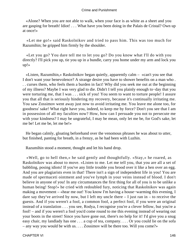«Alone? When you are not able to walk, when your face is as white as a sheet and you are gasping for breath! Idiot! . . . What have you been doing in the Palais de Cristal? Own up at once!»

 «Let me go!» said Raskolnikov and tried to pass him. This was too much for Razumihin; he gripped him firmly by the shoulder.

 «Let you go? You dare tell me to let you go? Do you know what I'll do with you directly? I'll pick you up, tie you up in a bundle, carry you home under my arm and lock you up!»

 «Listen, Razumihin,» Raskolnikov began quietly, apparently calm – «can't you see that I don't want your benevolence? A strange desire you have to shower benefits on a man who . . . curses them, who feels them a burden in fact! Why did you seek me out at the beginning of my illness? Maybe I was very glad to die. Didn't I tell you plainly enough to−day that you were torturing me, that I was . . . sick of you! You seem to want to torture people! I assure you that all that is seriously hindering my recovery, because it's continually irritating me. You saw Zossimov went away just now to avoid irritating me. You leave me alone too, for goodness' sake! What right have you, indeed, to keep me by force? Don't you see that I am in possession of all my faculties now? How, how can I persuade you not to persecute me with your kindness? I may be ungrateful, I may be mean, only let me be, for God's sake, let me be! Let me be, let me be!»

 He began calmly, gloating beforehand over the venomous phrases he was about to utter, but finished, panting for breath, in a frenzy, as he had been with Luzhin.

Razumihin stood a moment, thought and let his hand drop.

 «Well, go to hell then,» he said gently and thoughtfully. «Stay,» he roared, as Raskolnikov was about to move. «Listen to me. Let me tell you, that you are all a set of babbling, posing idiots! If you've any little trouble you brood over it like a hen over an egg. And you are plagiarists even in that! There isn't a sign of independent life in you! You are made of spermaceti ointment and you've lymph in your veins instead of blood. I don't believe in anyone of you! In any circumstances the first thing for all of you is to be unlike a human being! Stop!» he cried with redoubled fury, noticing that Raskolnikov was again making a movement – «hear me out! You know I'm having a house−warming this evening, I dare say they've arrived by now, but I left my uncle there  $-$  I just ran in  $-$  to receive the guests. And if you weren't a fool, a common fool, a perfect fool, if you were an original instead of a translation . . . you see, Rodya, I recognise you're a clever fellow, but you're a fool! – and if you weren't a fool you'd come round to me this evening instead of wearing out your boots in the street! Since you have gone out, there's no help for it! I'd give you a snug easy chair, my landlady has one . . . a cup of tea, company. . . . Or you could lie on the sofa – any way you would be with us. . . . Zossimov will be there too. Will you come?»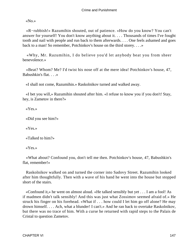«No.»

 «R−rubbish!» Razumihin shouted, out of patience. «How do you know? You can't answer for yourself! You don't know anything about it. . . . Thousands of times I've fought tooth and nail with people and run back to them afterwards. . . . One feels ashamed and goes back to a man! So remember, Potchinkov's house on the third storey. . . .»

 «Why, Mr. Razumihin, I do believe you'd let anybody beat you from sheer benevolence.»

 «Beat? Whom? Me? I'd twist his nose off at the mere idea! Potchinkov's house, 47, Babushkin's flat. . . .»

«I shall not come, Razumihin.» Raskolnikov turned and walked away.

 «I bet you will,» Razumihin shouted after him. «I refuse to know you if you don't! Stay, hey, is Zametov in there?»

«Yes.»

«Did you see him?»

«Yes.»

«Talked to him?»

«Yes.»

 «What about? Confound you, don't tell me then. Potchinkov's house, 47, Babushkin's flat, remember!»

 Raskolnikov walked on and turned the corner into Sadovy Street. Razumihin looked after him thoughtfully. Then with a wave of his hand he went into the house but stopped short of the stairs.

 «Confound it,» he went on almost aloud. «He talked sensibly but yet . . . I am a fool! As if madmen didn't talk sensibly! And this was just what Zossimov seemed afraid of.» He struck his finger on his forehead. «What if . . . how could I let him go off alone? He may drown himself. . . . Ach, what a blunder! I can't.» And he ran back to overtake Raskolnikov, but there was no trace of him. With a curse he returned with rapid steps to the Palais de Cristal to question Zametov.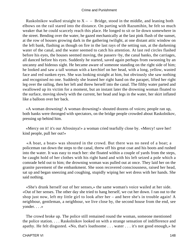Raskolnikov walked straight to  $X - -$  Bridge, stood in the middle, and leaning both elbows on the rail stared into the distance. On parting with Razumihin, he felt so much weaker that he could scarcely reach this place. He longed to sit or lie down somewhere in the street. Bending over the water, he gazed mechanically at the last pink flush of the sunset, at the row of houses growing dark in the gathering twilight, at one distant attic window on the left bank, flashing as though on fire in the last rays of the setting sun, at the darkening water of the canal, and the water seemed to catch his attention. At last red circles flashed before his eyes, the houses seemed moving, the passers−by, the canal banks, the carriages, all danced before his eyes. Suddenly he started, saved again perhaps from swooning by an uncanny and hideous sight. He became aware of someone standing on the right side of him; he looked and saw a tall woman with a kerchief on her head, with a long, yellow, wasted face and red sunken eyes. She was looking straight at him, but obviously she saw nothing and recognised no one. Suddenly she leaned her right hand on the parapet, lifted her right leg over the railing, then her left and threw herself into the canal. The filthy water parted and swallowed up its victim for a moment, but an instant later the drowning woman floated to the surface, moving slowly with the current, her head and legs in the water, her skirt inflated like a balloon over her back.

 «A woman drowning! A woman drowning!» shouted dozens of voices; people ran up, both banks were thronged with spectators, on the bridge people crowded about Raskolnikov, pressing up behind him.

 «Mercy on it! it's our Afrosinya!» a woman cried tearfully close by. «Mercy! save her! kind people, pull her out!»

 «A boat, a boat» was shouted in the crowd. But there was no need of a boat; a policeman ran down the steps to the canal, threw off his great coat and his boots and rushed into the water. It was easy to reach her: she floated within a couple of yards from the steps, he caught hold of her clothes with his right hand and with his left seized a pole which a comrade held out to him; the drowning woman was pulled out at once. They laid her on the granite pavement of the embankment. She soon recovered consciousness, raised her head, sat up and began sneezing and coughing, stupidly wiping her wet dress with her hands. She said nothing.

 «She's drunk herself out of her senses,» the same woman's voice wailed at her side. «Out of her senses. The other day she tried to hang herself, we cut her down. I ran out to the shop just now, left my little girl to look after her – and here she's in trouble again! A neighbour, gentleman, a neighbour, we live close by, the second house from the end, see yonder. . . .»

 The crowd broke up. The police still remained round the woman, someone mentioned the police station. . . . Raskolnikov looked on with a strange sensation of indifference and apathy. He felt disgusted. «No, that's loathsome . . . water . . . it's not good enough,» he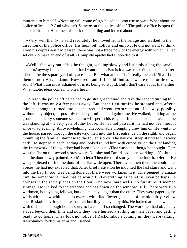muttered to himself. «Nothing will come of it,» he added, «no use to wait. What about the police office . . . ? And why isn't Zametov at the police office? The police office is open till ten o'clock. . . .» He turned his back to the railing and looked about him.

 «Very well then!» he said resolutely; he moved from the bridge and walked in the direction of the police office. His heart felt hollow and empty. He did not want to think. Even his depression had passed, there was not a trace now of the energy with which he had set out «to make an end of it all.» Complete apathy had succeeded to it.

 «Well, it's a way out of it,» he thought, walking slowly and listlessly along the canal bank. «Anyway I'll make an end, for I want to. . . . But is it a way out? What does it matter! There'll be the square yard of space – ha! But what an end! Is it really the end? Shall I tell them or not? Ah . . . damn! How tired I am! If I could find somewhere to sit or lie down soon! What I am most ashamed of is its being so stupid. But I don't care about that either! What idiotic ideas come into one's head.»

 To reach the police office he had to go straight forward and take the second turning to the left. It was only a few paces away. But at the first turning he stopped and, after a minute's thought, turned into a side street and went two streets out of his way, possibly without any object, or possibly to delay a minute and gain time. He walked, looking at the ground; suddenly someone seemed to whisper in his ear; he lifted his head and saw that he was standing at the very gate of /the/ house. He had not passed it, he had not been near it since /that/ evening. An overwhelming, unaccountable prompting drew him on. He went into the house, passed through the gateway, then into the first entrance on the right, and began mounting the familiar staircase to the fourth storey. The narrow, steep staircase was very dark. He stopped at each landing and looked round him with curiosity; on the first landing the framework of the window had been taken out. «That wasn't so then,» he thought. Here was the flat on the second storey where Nikolay and Dmitri had been working. «It's shut up and the door newly painted. So it's to let.» Then the third storey and the fourth. «Here!» He was perplexed to find the door of the flat wide open. There were men there, he could hear voices; he had not expected that. After brief hesitation he mounted the last stairs and went into the flat. It, too, was being done up; there were workmen in it. This seemed to amaze him; he somehow fancied that he would find everything as he left it, even perhaps the corpses in the same places on the floor. And now, bare walls, no furniture; it seemed strange. He walked to the window and sat down on the window−sill. There were two workmen, both young fellows, but one much younger than the other. They were papering the walls with a new white paper covered with lilac flowers, instead of the old, dirty, yellow one. Raskolnikov for some reason felt horribly annoyed by this. He looked at the new paper with dislike, as though he felt sorry to have it all so changed. The workmen had obviously stayed beyond their time and now they were hurriedly rolling up their paper and getting ready to go home. They took no notice of Raskolnikov's coming in; they were talking. Raskolnikov folded his arms and listened.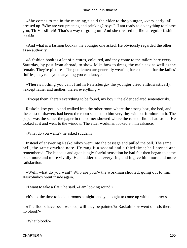«She comes to me in the morning,» said the elder to the younger, «very early, all dressed up. 'Why are you preening and prinking?' says I. 'I am ready to do anything to please you, Tit Vassilitch!' That's a way of going on! And she dressed up like a regular fashion book!»

 «And what is a fashion book?» the younger one asked. He obviously regarded the other as an authority.

 «A fashion book is a lot of pictures, coloured, and they come to the tailors here every Saturday, by post from abroad, to show folks how to dress, the male sex as well as the female. They're pictures. The gentlemen are generally wearing fur coats and for the ladies' fluffles, they're beyond anything you can fancy.»

 «There's nothing you can't find in Petersburg,» the younger cried enthusiastically, «except father and mother, there's everything!»

«Except them, there's everything to be found, my boy,» the elder declared sententiously.

 Raskolnikov got up and walked into the other room where the strong box, the bed, and the chest of drawers had been; the room seemed to him very tiny without furniture in it. The paper was the same; the paper in the corner showed where the case of ikons had stood. He looked at it and went to the window. The elder workman looked at him askance.

«What do you want?» he asked suddenly.

 Instead of answering Raskolnikov went into the passage and pulled the bell. The same bell, the same cracked note. He rang it a second and a third time; he listened and remembered. The hideous and agonisingly fearful sensation he had felt then began to come back more and more vividly. He shuddered at every ring and it gave him more and more satisfaction.

 «Well, what do you want? Who are you?» the workman shouted, going out to him. Raskolnikov went inside again.

«I want to take a flat,» he said. «I am looking round.»

«It's not the time to look at rooms at night! and you ought to come up with the porter.»

 «The floors have been washed, will they be painted?» Raskolnikov went on. «Is there no blood?»

«What blood?»

CHAPTER VI 150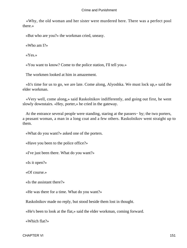«Why, the old woman and her sister were murdered here. There was a perfect pool there.»

«But who are you?» the workman cried, uneasy.

«Who am I?»

«Yes.»

«You want to know? Come to the police station, I'll tell you.»

The workmen looked at him in amazement.

 «It's time for us to go, we are late. Come along, Alyoshka. We must lock up,» said the elder workman.

 «Very well, come along,» said Raskolnikov indifferently, and going out first, he went slowly downstairs. «Hey, porter,» he cried in the gateway.

 At the entrance several people were standing, staring at the passers− by; the two porters, a peasant woman, a man in a long coat and a few others. Raskolnikov went straight up to them.

«What do you want?» asked one of the porters.

«Have you been to the police office?»

«I've just been there. What do you want?»

«Is it open?»

«Of course.»

«Is the assistant there?»

«He was there for a time. What do you want?»

Raskolnikov made no reply, but stood beside them lost in thought.

«He's been to look at the flat,» said the elder workman, coming forward.

«Which flat?»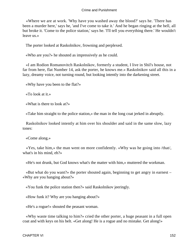«Where we are at work. 'Why have you washed away the blood?' says he. 'There has been a murder here,' says he, 'and I've come to take it.' And he began ringing at the bell, all but broke it. 'Come to the police station,' says he. 'I'll tell you everything there.' He wouldn't leave us.»

The porter looked at Raskolnikov, frowning and perplexed.

«Who are you?» he shouted as impressively as he could.

 «I am Rodion Romanovitch Raskolnikov, formerly a student, I live in Shil's house, not far from here, flat Number 14, ask the porter, he knows me.» Raskolnikov said all this in a lazy, dreamy voice, not turning round, but looking intently into the darkening street.

«Why have you been to the flat?»

«To look at it.»

«What is there to look at?»

«Take him straight to the police station,» the man in the long coat jerked in abruptly.

 Raskolnikov looked intently at him over his shoulder and said in the same slow, lazy tones:

«Come along.»

 «Yes, take him,» the man went on more confidently. «Why was he going into /that/, what's in his mind, eh?»

«He's not drunk, but God knows what's the matter with him,» muttered the workman.

 «But what do you want?» the porter shouted again, beginning to get angry in earnest – «Why are you hanging about?»

«You funk the police station then?» said Raskolnikov jeeringly.

«How funk it? Why are you hanging about?»

«He's a rogue!» shouted the peasant woman.

 «Why waste time talking to him?» cried the other porter, a huge peasant in a full open coat and with keys on his belt. «Get along! He is a rogue and no mistake. Get along!»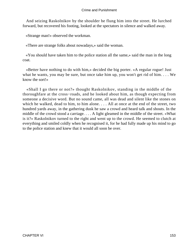And seizing Raskolnikov by the shoulder he flung him into the street. He lurched forward, but recovered his footing, looked at the spectators in silence and walked away.

«Strange man!» observed the workman.

«There are strange folks about nowadays,» said the woman.

 «You should have taken him to the police station all the same,» said the man in the long coat.

 «Better have nothing to do with him,» decided the big porter. «A regular rogue! Just what he wants, you may be sure, but once take him up, you won't get rid of him. . . . We know the sort!»

 «Shall I go there or not?» thought Raskolnikov, standing in the middle of the thoroughfare at the cross−roads, and he looked about him, as though expecting from someone a decisive word. But no sound came, all was dead and silent like the stones on which he walked, dead to him, to him alone. . . . All at once at the end of the street, two hundred yards away, in the gathering dusk he saw a crowd and heard talk and shouts. In the middle of the crowd stood a carriage. . . . A light gleamed in the middle of the street. «What is it?» Raskolnikov turned to the right and went up to the crowd. He seemed to clutch at everything and smiled coldly when he recognised it, for he had fully made up his mind to go to the police station and knew that it would all soon be over.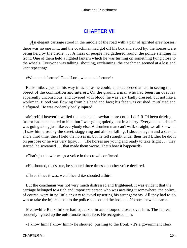# **[CHAPTER VII](#page-465-0)**

An elegant carriage stood in the middle of the road with a pair of spirited grey horses; there was no one in it, and the coachman had got off his box and stood by; the horses were being held by the bridle. . . . A mass of people had gathered round, the police standing in front. One of them held a lighted lantern which he was turning on something lying close to the wheels. Everyone was talking, shouting, exclaiming; the coachman seemed at a loss and kept repeating:

«What a misfortune! Good Lord, what a misfortune!»

 Raskolnikov pushed his way in as far as he could, and succeeded at last in seeing the object of the commotion and interest. On the ground a man who had been run over lay apparently unconscious, and covered with blood; he was very badly dressed, but not like a workman. Blood was flowing from his head and face; his face was crushed, mutilated and disfigured. He was evidently badly injured.

 «Merciful heaven!» wailed the coachman, «what more could I do? If I'd been driving fast or had not shouted to him, but I was going quietly, not in a hurry. Everyone could see I was going along just like everybody else. A drunken man can't walk straight, we all know... . I saw him crossing the street, staggering and almost falling. I shouted again and a second and a third time, then I held the horses in, but he fell straight under their feet! Either he did it on purpose or he was very tipsy. . . . The horses are young and ready to take fright . . . they started, he screamed . . . that made them worse. That's how it happened!»

«That's just how it was,» a voice in the crowd confirmed.

«He shouted, that's true, he shouted three times,» another voice declared.

«Three times it was, we all heard it,» shouted a third.

 But the coachman was not very much distressed and frightened. It was evident that the carriage belonged to a rich and important person who was awaiting it somewhere; the police, of course, were in no little anxiety to avoid upsetting his arrangements. All they had to do was to take the injured man to the police station and the hospital. No one knew his name.

 Meanwhile Raskolnikov had squeezed in and stooped closer over him. The lantern suddenly lighted up the unfortunate man's face. He recognised him.

«I know him! I know him!» he shouted, pushing to the front. «It's a government clerk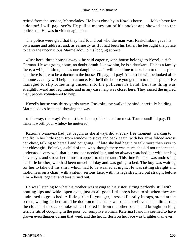retired from the service, Marmeladov. He lives close by in Kozel's house. . . . Make haste for a doctor! I will pay, see?» He pulled money out of his pocket and showed it to the policeman. He was in violent agitation.

 The police were glad that they had found out who the man was. Raskolnikov gave his own name and address, and, as earnestly as if it had been his father, he besought the police to carry the unconscious Marmeladov to his lodging at once.

 «Just here, three houses away,» he said eagerly, «the house belongs to Kozel, a rich German. He was going home, no doubt drunk. I know him, he is a drunkard. He has a family there, a wife, children, he has one daughter. . . . It will take time to take him to the hospital, and there is sure to be a doctor in the house. I'll pay, I'll pay! At least he will be looked after at home . . . they will help him at once. But he'll die before you get him to the hospital.» He managed to slip something unseen into the policeman's hand. But the thing was straightforward and legitimate, and in any case help was closer here. They raised the injured man; people volunteered to help.

 Kozel's house was thirty yards away. Raskolnikov walked behind, carefully holding Marmeladov's head and showing the way.

 «This way, this way! We must take him upstairs head foremost. Turn round! I'll pay, I'll make it worth your while,» he muttered.

 Katerina Ivanovna had just begun, as she always did at every free moment, walking to and fro in her little room from window to stove and back again, with her arms folded across her chest, talking to herself and coughing. Of late she had begun to talk more than ever to her eldest girl, Polenka, a child of ten, who, though there was much she did not understand, understood very well that her mother needed her, and so always watched her with her big clever eyes and strove her utmost to appear to understand. This time Polenka was undressing her little brother, who had been unwell all day and was going to bed. The boy was waiting for her to take off his shirt, which had to be washed at night. He was sitting straight and motionless on a chair, with a silent, serious face, with his legs stretched out straight before him – heels together and toes turned out.

 He was listening to what his mother was saying to his sister, sitting perfectly still with pouting lips and wide−open eyes, just as all good little boys have to sit when they are undressed to go to bed. A little girl, still younger, dressed literally in rags, stood at the screen, waiting for her turn. The door on to the stairs was open to relieve them a little from the clouds of tobacco smoke which floated in from the other rooms and brought on long terrible fits of coughing in the poor, consumptive woman. Katerina Ivanovna seemed to have grown even thinner during that week and the hectic flush on her face was brighter than ever.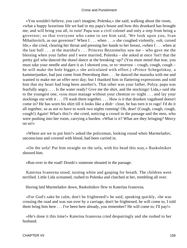«You wouldn't believe, you can't imagine, Polenka,» she said, walking about the room, «what a happy luxurious life we had in my papa's house and how this drunkard has brought me, and will bring you all, to ruin! Papa was a civil colonel and only a step from being a governor; so that everyone who came to see him said, 'We look upon you, Ivan Mihailovitch, as our governor!' When I . . . when . . . » she coughed violently, «oh, cursed life,» she cried, clearing her throat and pressing her hands to her breast, «when I . . . when at the last ball . . . at the marshal's . . . Princess Bezzemelny saw me – who gave me the blessing when your father and I were married, Polenka – she asked at once 'Isn't that the pretty girl who danced the shawl dance at the breaking−up?' (You must mend that tear, you must take your needle and darn it as I showed you, or to−morrow – cough, cough, cough – he will make the hole bigger,» she articulated with effort.) «Prince Schegolskoy, a kammerjunker, had just come from Petersburg then . . . he danced the mazurka with me and wanted to make me an offer next day; but I thanked him in flattering expressions and told him that my heart had long been another's. That other was your father, Polya; papa was fearfully angry. . . . Is the water ready? Give me the shirt, and the stockings! Lida,» said she to the youngest one, «you must manage without your chemise to−night . . . and lay your stockings out with it . . . I'll wash them together. . . . How is it that drunken vagabond doesn't come in? He has worn his shirt till it looks like a dish− clout, he has torn it to rags! I'd do it all together, so as not to have to work two nights running! Oh, dear! (Cough, cough, cough, cough!) Again! What's this?» she cried, noticing a crowd in the passage and the men, who were pushing into her room, carrying a burden. «What is it? What are they bringing? Mercy on us!»

 «Where are we to put him?» asked the policeman, looking round when Marmeladov, unconscious and covered with blood, had been carried in.

 «On the sofa! Put him straight on the sofa, with his head this way,» Raskolnikov showed him.

«Run over in the road! Drunk!» someone shouted in the passage.

 Katerina Ivanovna stood, turning white and gasping for breath. The children were terrified. Little Lida screamed, rushed to Polenka and clutched at her, trembling all over.

Having laid Marmeladov down, Raskolnikov flew to Katerina Ivanovna.

 «For God's sake be calm, don't be frightened!» he said, speaking quickly, «he was crossing the road and was run over by a carriage, don't be frightened, he will come to, I told them bring him here . . . I've been here already, you remember? He will come to; I'll pay!»

 «He's done it this time!» Katerina Ivanovna cried despairingly and she rushed to her husband.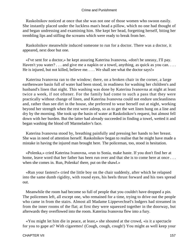Raskolnikov noticed at once that she was not one of those women who swoon easily. She instantly placed under the luckless man's head a pillow, which no one had thought of and began undressing and examining him. She kept her head, forgetting herself, biting her trembling lips and stifling the screams which were ready to break from her.

 Raskolnikov meanwhile induced someone to run for a doctor. There was a doctor, it appeared, next door but one.

 «I've sent for a doctor,» he kept assuring Katerina Ivanovna, «don't be uneasy, I'll pay. Haven't you water? . . . and give me a napkin or a towel, anything, as quick as you can. . . . He is injured, but not killed, believe me. . . . We shall see what the doctor says!»

 Katerina Ivanovna ran to the window; there, on a broken chair in the corner, a large earthenware basin full of water had been stood, in readiness for washing her children's and husband's linen that night. This washing was done by Katerina Ivanovna at night at least twice a week, if not oftener. For the family had come to such a pass that they were practically without change of linen, and Katerina Ivanovna could not endure uncleanliness and, rather than see dirt in the house, she preferred to wear herself out at night, working beyond her strength when the rest were asleep, so as to get the wet linen hung on a line and dry by the morning. She took up the basin of water at Raskolnikov's request, but almost fell down with her burden. But the latter had already succeeded in finding a towel, wetted it and began washing the blood off Marmeladov's face.

 Katerina Ivanovna stood by, breathing painfully and pressing her hands to her breast. She was in need of attention herself. Raskolnikov began to realise that he might have made a mistake in having the injured man brought here. The policeman, too, stood in hesitation.

 «Polenka,» cried Katerina Ivanovna, «run to Sonia, make haste. If you don't find her at home, leave word that her father has been run over and that she is to come here at once ... when she comes in. Run, Polenka! there, put on the shawl.»

 «Run your fastest!» cried the little boy on the chair suddenly, after which he relapsed into the same dumb rigidity, with round eyes, his heels thrust forward and his toes spread out.

 Meanwhile the room had become so full of people that you couldn't have dropped a pin. The policemen left, all except one, who remained for a time, trying to drive out the people who came in from the stairs. Almost all Madame Lippevechsel's lodgers had streamed in from the inner rooms of the flat; at first they were squeezed together in the doorway, but afterwards they overflowed into the room. Katerina Ivanovna flew into a fury.

 «You might let him die in peace, at least,» she shouted at the crowd, «is it a spectacle for you to gape at? With cigarettes! (Cough, cough, cough!) You might as well keep your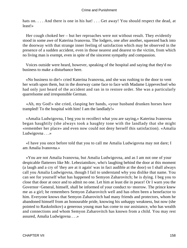hats on. . . . And there is one in his hat! . . . Get away! You should respect the dead, at least!»

 Her cough choked her – but her reproaches were not without result. They evidently stood in some awe of Katerina Ivanovna. The lodgers, one after another, squeezed back into the doorway with that strange inner feeling of satisfaction which may be observed in the presence of a sudden accident, even in those nearest and dearest to the victim, from which no living man is exempt, even in spite of the sincerest sympathy and compassion.

 Voices outside were heard, however, speaking of the hospital and saying that they'd no business to make a disturbance here.

 «No business to die!» cried Katerina Ivanovna, and she was rushing to the door to vent her wrath upon them, but in the doorway came face to face with Madame Lippevechsel who had only just heard of the accident and ran in to restore order. She was a particularly quarrelsome and irresponsible German.

 «Ah, my God!» she cried, clasping her hands, «your husband drunken horses have trampled! To the hospital with him! I am the landlady!»

 «Amalia Ludwigovna, I beg you to recollect what you are saying,» Katerina Ivanovna began haughtily (she always took a haughty tone with the landlady that she might «remember her place» and even now could not deny herself this satisfaction). «Amalia Ludwigovna . . .»

 «I have you once before told that you to call me Amalia Ludwigovna may not dare; I am Amalia Ivanovna.»

 «You are not Amalia Ivanovna, but Amalia Ludwigovna, and as I am not one of your despicable flatterers like Mr. Lebeziatnikov, who's laughing behind the door at this moment (a laugh and a cry of 'they are at it again' was in fact audible at the door) so I shall always call you Amalia Ludwigovna, though I fail to understand why you dislike that name. You can see for yourself what has happened to Semyon Zaharovitch; he is dying. I beg you to close that door at once and to admit no one. Let him at least die in peace! Or I warn you the Governor−General, himself, shall be informed of your conduct to−morrow. The prince knew me as a girl; he remembers Semyon Zaharovitch well and has often been a benefactor to him. Everyone knows that Semyon Zaharovitch had many friends and protectors, whom he abandoned himself from an honourable pride, knowing his unhappy weakness, but now (she pointed to Raskolnikov) a generous young man has come to our assistance, who has wealth and connections and whom Semyon Zaharovitch has known from a child. You may rest assured, Amalia Ludwigovna . . .»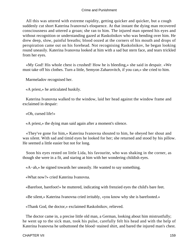All this was uttered with extreme rapidity, getting quicker and quicker, but a cough suddenly cut short Katerina Ivanovna's eloquence. At that instant the dying man recovered consciousness and uttered a groan; she ran to him. The injured man opened his eyes and without recognition or understanding gazed at Raskolnikov who was bending over him. He drew deep, slow, painful breaths; blood oozed at the corners of his mouth and drops of perspiration came out on his forehead. Not recognising Raskolnikov, he began looking round uneasily. Katerina Ivanovna looked at him with a sad but stern face, and tears trickled from her eyes.

 «My God! His whole chest is crushed! How he is bleeding,» she said in despair. «We must take off his clothes. Turn a little, Semyon Zaharovitch, if you can,» she cried to him.

Marmeladov recognised her.

«A priest,» he articulated huskily.

 Katerina Ivanovna walked to the window, laid her head against the window frame and exclaimed in despair:

«Oh, cursed life!»

«A priest,» the dying man said again after a moment's silence.

 «They've gone for him,» Katerina Ivanovna shouted to him, he obeyed her shout and was silent. With sad and timid eyes he looked for her; she returned and stood by his pillow. He seemed a little easier but not for long.

 Soon his eyes rested on little Lida, his favourite, who was shaking in the corner, as though she were in a fit, and staring at him with her wondering childish eyes.

«A−ah,» he signed towards her uneasily. He wanted to say something.

«What now?» cried Katerina Ivanovna.

«Barefoot, barefoot!» he muttered, indicating with frenzied eyes the child's bare feet.

«Be silent,» Katerina Ivanovna cried irritably, «you know why she is barefooted.»

«Thank God, the doctor,» exclaimed Raskolnikov, relieved.

 The doctor came in, a precise little old man, a German, looking about him mistrustfully; he went up to the sick man, took his pulse, carefully felt his head and with the help of Katerina Ivanovna he unbuttoned the blood−stained shirt, and bared the injured man's chest.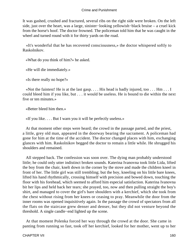It was gashed, crushed and fractured, several ribs on the right side were broken. On the left side, just over the heart, was a large, sinister−looking yellowish−black bruise – a cruel kick from the horse's hoof. The doctor frowned. The policeman told him that he was caught in the wheel and turned round with it for thirty yards on the road.

 «It's wonderful that he has recovered consciousness,» the doctor whispered softly to Raskolnikov.

«What do you think of him?» he asked.

«He will die immediately.»

«Is there really no hope?»

 «Not the faintest! He is at the last gasp. . . . His head is badly injured, too . . . Hm . . . I could bleed him if you like, but . . . it would be useless. He is bound to die within the next five or ten minutes.»

«Better bleed him then.»

«If you like. . . . But I warn you it will be perfectly useless.»

 At that moment other steps were heard; the crowd in the passage parted, and the priest, a little, grey old man, appeared in the doorway bearing the sacrament. A policeman had gone for him at the time of the accident. The doctor changed places with him, exchanging glances with him. Raskolnikov begged the doctor to remain a little while. He shrugged his shoulders and remained.

 All stepped back. The confession was soon over. The dying man probably understood little; he could only utter indistinct broken sounds. Katerina Ivanovna took little Lida, lifted the boy from the chair, knelt down in the corner by the stove and made the children kneel in front of her. The little girl was still trembling; but the boy, kneeling on his little bare knees, lifted his hand rhythmically, crossing himself with precision and bowed down, touching the floor with his forehead, which seemed to afford him especial satisfaction. Katerina Ivanovna bit her lips and held back her tears; she prayed, too, now and then pulling straight the boy's shirt, and managed to cover the girl's bare shoulders with a kerchief, which she took from the chest without rising from her knees or ceasing to pray. Meanwhile the door from the inner rooms was opened inquisitively again. In the passage the crowd of spectators from all the flats on the staircase grew denser and denser, but they did not venture beyond the threshold. A single candle−end lighted up the scene.

 At that moment Polenka forced her way through the crowd at the door. She came in panting from running so fast, took off her kerchief, looked for her mother, went up to her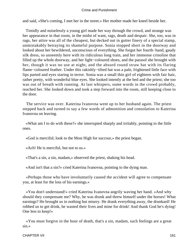and said, «She's coming, I met her in the street.» Her mother made her kneel beside her.

 Timidly and noiselessly a young girl made her way through the crowd, and strange was her appearance in that room, in the midst of want, rags, death and despair. She, too, was in rags, her attire was all of the cheapest, but decked out in gutter finery of a special stamp, unmistakably betraying its shameful purpose. Sonia stopped short in the doorway and looked about her bewildered, unconscious of everything. She forgot her fourth−hand, gaudy silk dress, so unseemly here with its ridiculous long train, and her immense crinoline that filled up the whole doorway, and her light−coloured shoes, and the parasol she brought with her, though it was no use at night, and the absurd round straw hat with its flaring flame−coloured feather. Under this rakishly−tilted hat was a pale, frightened little face with lips parted and eyes staring in terror. Sonia was a small thin girl of eighteen with fair hair, rather pretty, with wonderful blue eyes. She looked intently at the bed and the priest; she too was out of breath with running. At last whispers, some words in the crowd probably, reached her. She looked down and took a step forward into the room, still keeping close to the door.

 The service was over. Katerina Ivanovna went up to her husband again. The priest stepped back and turned to say a few words of admonition and consolation to Katerina Ivanovna on leaving.

 «What am I to do with these?» she interrupted sharply and irritably, pointing to the little ones.

«God is merciful; look to the Most High for succour,» the priest began.

«Ach! He is merciful, but not to us.»

«That's a sin, a sin, madam,» observed the priest, shaking his head.

«And isn't that a sin?» cried Katerina Ivanovna, pointing to the dying man.

 «Perhaps those who have involuntarily caused the accident will agree to compensate you, at least for the loss of his earnings.»

 «You don't understand!» cried Katerina Ivanovna angrily waving her hand. «And why should they compensate me? Why, he was drunk and threw himself under the horses! What earnings? He brought us in nothing but misery. He drank everything away, the drunkard! He robbed us to get drink, he wasted their lives and mine for drink! And thank God he's dying! One less to keep!»

 «You must forgive in the hour of death, that's a sin, madam, such feelings are a great sin.»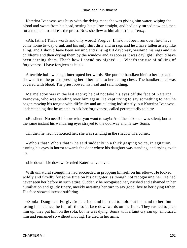Katerina Ivanovna was busy with the dying man; she was giving him water, wiping the blood and sweat from his head, setting his pillow straight, and had only turned now and then for a moment to address the priest. Now she flew at him almost in a frenzy.

 «Ah, father! That's words and only words! Forgive! If he'd not been run over, he'd have come home to−day drunk and his only shirt dirty and in rags and he'd have fallen asleep like a log, and I should have been sousing and rinsing till daybreak, washing his rags and the children's and then drying them by the window and as soon as it was daylight I should have been darning them. That's how I spend my nights! . . . What's the use of talking of forgiveness! I have forgiven as it is!»

 A terrible hollow cough interrupted her words. She put her handkerchief to her lips and showed it to the priest, pressing her other hand to her aching chest. The handkerchief was covered with blood. The priest bowed his head and said nothing.

 Marmeladov was in the last agony; he did not take his eyes off the face of Katerina Ivanovna, who was bending over him again. He kept trying to say something to her; he began moving his tongue with difficulty and articulating indistinctly, but Katerina Ivanovna, understanding that he wanted to ask her forgiveness, called peremptorily to him:

 «Be silent! No need! I know what you want to say!» And the sick man was silent, but at the same instant his wandering eyes strayed to the doorway and he saw Sonia.

Till then he had not noticed her: she was standing in the shadow in a corner.

 «Who's that? Who's that?» he said suddenly in a thick gasping voice, in agitation, turning his eyes in horror towards the door where his daughter was standing, and trying to sit up.

«Lie down! Lie do−own!» cried Katerina Ivanovna.

 With unnatural strength he had succeeded in propping himself on his elbow. He looked wildly and fixedly for some time on his daughter, as though not recognising her. He had never seen her before in such attire. Suddenly he recognised her, crushed and ashamed in her humiliation and gaudy finery, meekly awaiting her turn to say good−bye to her dying father. His face showed intense suffering.

 «Sonia! Daughter! Forgive!» he cried, and he tried to hold out his hand to her, but losing his balance, he fell off the sofa, face downwards on the floor. They rushed to pick him up, they put him on the sofa; but he was dying. Sonia with a faint cry ran up, embraced him and remained so without moving. He died in her arms.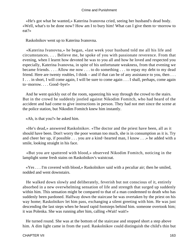«He's got what he wanted,» Katerina Ivanovna cried, seeing her husband's dead body. «Well, what's to be done now? How am I to bury him! What can I give them to−morrow to eat?»

Raskolnikov went up to Katerina Ivanovna.

 «Katerina Ivanovna,» he began, «last week your husband told me all his life and circumstances. . . . Believe me, he spoke of you with passionate reverence. From that evening, when I learnt how devoted he was to you all and how he loved and respected you especially, Katerina Ivanovna, in spite of his unfortunate weakness, from that evening we became friends. . . . Allow me now . . . to do something . . . to repay my debt to my dead friend. Here are twenty roubles, I think – and if that can be of any assistance to you, then  $\dots$ I . . . in short, I will come again, I will be sure to come again . . . I shall, perhaps, come again to−morrow. . . . Good−bye!»

 And he went quickly out of the room, squeezing his way through the crowd to the stairs. But in the crowd he suddenly jostled against Nikodim Fomitch, who had heard of the accident and had come to give instructions in person. They had not met since the scene at the police station, but Nikodim Fomitch knew him instantly.

«Ah, is that you?» he asked him.

 «He's dead,» answered Raskolnikov. «The doctor and the priest have been, all as it should have been. Don't worry the poor woman too much, she is in consumption as it is. Try and cheer her up, if possible . . . you are a kind−hearted man, I know . . .» he added with a smile, looking straight in his face.

 «But you are spattered with blood,» observed Nikodim Fomitch, noticing in the lamplight some fresh stains on Raskolnikov's waistcoat.

 «Yes . . . I'm covered with blood,» Raskolnikov said with a peculiar air; then he smiled, nodded and went downstairs.

 He walked down slowly and deliberately, feverish but not conscious of it, entirely absorbed in a new overwhelming sensation of life and strength that surged up suddenly within him. This sensation might be compared to that of a man condemned to death who has suddenly been pardoned. Halfway down the staircase he was overtaken by the priest on his way home; Raskolnikov let him pass, exchanging a silent greeting with him. He was just descending the last steps when he heard rapid footsteps behind him. someone overtook him; it was Polenka. She was running after him, calling «Wait! wait!»

 He turned round. She was at the bottom of the staircase and stopped short a step above him. A dim light came in from the yard. Raskolnikov could distinguish the child's thin but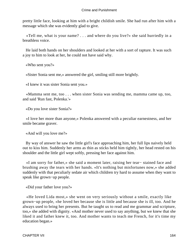pretty little face, looking at him with a bright childish smile. She had run after him with a message which she was evidently glad to give.

 «Tell me, what is your name? . . . and where do you live?» she said hurriedly in a breathless voice.

 He laid both hands on her shoulders and looked at her with a sort of rapture. It was such a joy to him to look at her, he could not have said why.

«Who sent you?»

«Sister Sonia sent me,» answered the girl, smiling still more brightly.

«I knew it was sister Sonia sent you.»

 «Mamma sent me, too . . . when sister Sonia was sending me, mamma came up, too, and said 'Run fast, Polenka.'»

«Do you love sister Sonia?»

 «I love her more than anyone,» Polenka answered with a peculiar earnestness, and her smile became graver.

«And will you love me?»

 By way of answer he saw the little girl's face approaching him, her full lips naively held out to kiss him. Suddenly her arms as thin as sticks held him tightly, her head rested on his shoulder and the little girl wept softly, pressing her face against him.

 «I am sorry for father,» she said a moment later, raising her tear− stained face and brushing away the tears with her hands. «It's nothing but misfortunes now,» she added suddenly with that peculiarly sedate air which children try hard to assume when they want to speak like grown−up people.

«Did your father love you?»

 «He loved Lida most,» she went on very seriously without a smile, exactly like grown−up people, «he loved her because she is little and because she is ill, too. And he always used to bring her presents. But he taught us to read and me grammar and scripture, too,» she added with dignity. «And mother never used to say anything, but we knew that she liked it and father knew it, too. And mother wants to teach me French, for it's time my education began.»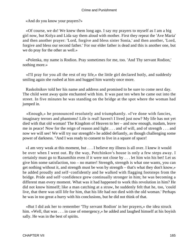«And do you know your prayers?»

 «Of course, we do! We knew them long ago. I say my prayers to myself as I am a big girl now, but Kolya and Lida say them aloud with mother. First they repeat the 'Ave Maria' and then another prayer: 'Lord, forgive and bless sister Sonia,' and then another, 'Lord, forgive and bless our second father.' For our elder father is dead and this is another one, but we do pray for the other as well.»

 «Polenka, my name is Rodion. Pray sometimes for me, too. 'And Thy servant Rodion,' nothing more.»

 «I'll pray for you all the rest of my life,» the little girl declared hotly, and suddenly smiling again she rushed at him and hugged him warmly once more.

 Raskolnikov told her his name and address and promised to be sure to come next day. The child went away quite enchanted with him. It was past ten when he came out into the street. In five minutes he was standing on the bridge at the spot where the woman had jumped in.

 «Enough,» he pronounced resolutely and triumphantly. «I've done with fancies, imaginary terrors and phantoms! Life is real! haven't I lived just now? My life has not yet died with that old woman! The Kingdom of Heaven to her – and now enough, madam, leave me in peace! Now for the reign of reason and light . . . and of will, and of strength . . . and now we will see! We will try our strength!» he added defiantly, as though challenging some power of darkness. "And I was ready to consent to live in a square of space!

 «I am very weak at this moment, but . . . I believe my illness is all over. I knew it would be over when I went out. By the way, Potchinkov's house is only a few steps away. I certainly must go to Razumihin even if it were not close by . . . let him win his bet! Let us give him some satisfaction, too – no matter! Strength, strength is what one wants, you can get nothing without it, and strength must be won by strength – that's what they don't know,» he added proudly and self−confidently and he walked with flagging footsteps from the bridge. Pride and self−confidence grew continually stronger in him; he was becoming a different man every moment. What was it had happened to work this revolution in him? He did not know himself; like a man catching at a straw, he suddenly felt that he, too, 'could live, that there was still life for him, that his life had not died with the old woman.' Perhaps he was in too great a hurry with his conclusions, but he did not think of that.

 «But I did ask her to remember 'Thy servant Rodion' in her prayers,» the idea struck him. «Well, that was . . . in case of emergency,» he added and laughed himself at his boyish sally. He was in the best of spirits.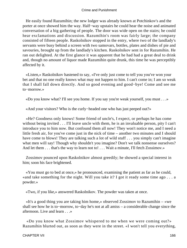He easily found Razumihin; the new lodger was already known at Potchinkov's and the porter at once showed him the way. Half−way upstairs he could hear the noise and animated conversation of a big gathering of people. The door was wide open on the stairs; he could hear exclamations and discussion. Razumihin's room was fairly large; the company consisted of fifteen people. Raskolnikov stopped in the entry, where two of the landlady's servants were busy behind a screen with two samovars, bottles, plates and dishes of pie and savouries, brought up from the landlady's kitchen. Raskolnikov sent in for Razumihin. He ran out delighted. At the first glance it was apparent that he had had a great deal to drink and, though no amount of liquor made Razumihin quite drunk, this time he was perceptibly affected by it.

 «Listen,» Raskolnikov hastened to say, «I've only just come to tell you you've won your bet and that no one really knows what may not happen to him. I can't come in; I am so weak that I shall fall down directly. And so good evening and good−bye! Come and see me to−morrow.»

«Do you know what? I'll see you home. If you say you're weak yourself, you must . . .»

«And your visitors? Who is the curly−headed one who has just peeped out?»

 «He? Goodness only knows! Some friend of uncle's, I expect, or perhaps he has come without being invited . . . I'll leave uncle with them, he is an invaluable person, pity I can't introduce you to him now. But confound them all now! They won't notice me, and I need a little fresh air, for you've come just in the nick of time – another two minutes and I should have come to blows! They are talking such a lot of wild stuff . . . you simply can't imagine what men will say! Though why shouldn't you imagine? Don't we talk nonsense ourselves? And let them . . . that's the way to learn not to! . . . Wait a minute, I'll fetch Zossimov.»

 Zossimov pounced upon Raskolnikov almost greedily; he showed a special interest in him; soon his face brightened.

 «You must go to bed at once,» he pronounced, examining the patient as far as he could, «and take something for the night. Will you take it? I got it ready some time ago . . . a powder.»

«Two, if you like,» answered Raskolnikov. The powder was taken at once.

 «It's a good thing you are taking him home,» observed Zossimov to Razumihin – «we shall see how he is to−morrow, to−day he's not at all amiss – a considerable change since the afternoon. Live and learn . . .»

 «Do you know what Zossimov whispered to me when we were coming out?» Razumihin blurted out, as soon as they were in the street. «I won't tell you everything,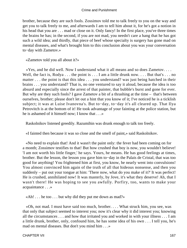brother, because they are such fools. Zossimov told me to talk freely to you on the way and get you to talk freely to me, and afterwards I am to tell him about it, for he's got a notion in his head that you are . . . mad or close on it. Only fancy! In the first place, you've three times the brains he has; in the second, if you are not mad, you needn't care a hang that he has got such a wild idea; and thirdly, that piece of beef whose specialty is surgery has gone mad on mental diseases, and what's brought him to this conclusion about you was your conversation to−day with Zametov.»

«Zametov told you all about it?»

 «Yes, and he did well. Now I understand what it all means and so does Zametov. . . . Well, the fact is, Rodya . . . the point is . . . I am a little drunk now. . . . But that's . . . no matter . . . the point is that this idea . . . you understand? was just being hatched in their brains . . . you understand? That is, no one ventured to say it aloud, because the idea is too absurd and especially since the arrest of that painter, that bubble's burst and gone for ever. But why are they such fools? I gave Zametov a bit of a thrashing at the time – that's between ourselves, brother; please don't let out a hint that you know of it; I've noticed he is a ticklish subject; it was at Luise Ivanovna's. But to−day, to−day it's all cleared up. That Ilya Petrovitch is at the bottom of it! He took advantage of your fainting at the police station, but he is ashamed of it himself now; I know that . . .»

Raskolnikov listened greedily. Razumihin was drunk enough to talk too freely.

«I fainted then because it was so close and the smell of paint,» said Raskolnikov.

 «No need to explain that! And it wasn't the paint only: the fever had been coming on for a month; Zossimov testifies to that! But how crushed that boy is now, you wouldn't believe! 'I am not worth his little finger,' he says. Yours, he means. He has good feelings at times, brother. But the lesson, the lesson you gave him to−day in the Palais de Cristal, that was too good for anything! You frightened him at first, you know, he nearly went into convulsions! You almost convinced him again of the truth of all that hideous nonsense, and then you suddenly – put out your tongue at him: 'There now, what do you make of it?' It was perfect! He is crushed, annihilated now! It was masterly, by Jove, it's what they deserve! Ah, that I wasn't there! He was hoping to see you awfully. Porfiry, too, wants to make your acquaintance . . .»

«Ah! . . . he too . . . but why did they put me down as mad?»

 «Oh, not mad. I must have said too much, brother. . . . What struck him, you see, was that only that subject seemed to interest you; now it's clear why it did interest you; knowing all the circumstances . . . and how that irritated you and worked in with your illness . . . I am a little drunk, brother, only, confound him, he has some idea of his own . . . I tell you, he's mad on mental diseases. But don't you mind him . . .»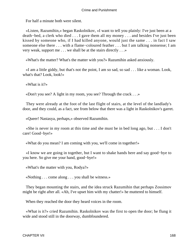For half a minute both were silent.

 «Listen, Razumihin,» began Raskolnikov, «I want to tell you plainly: I've just been at a death−bed, a clerk who died . . . I gave them all my money . . . and besides I've just been kissed by someone who, if I had killed anyone, would just the same . . . in fact I saw someone else there . . . with a flame−coloured feather . . . but I am talking nonsense; I am very weak, support me . . . we shall be at the stairs directly . . .»

«What's the matter? What's the matter with you?» Razumihin asked anxiously.

 «I am a little giddy, but that's not the point, I am so sad, so sad . . . like a woman. Look, what's that? Look, look!»

«What is it?»

«Don't you see? A light in my room, you see? Through the crack . . .»

 They were already at the foot of the last flight of stairs, at the level of the landlady's door, and they could, as a fact, see from below that there was a light in Raskolnikov's garret.

«Queer! Nastasya, perhaps,» observed Razumihin.

 «She is never in my room at this time and she must be in bed long ago, but . . . I don't care! Good−bye!»

«What do you mean? I am coming with you, we'll come in together!»

 «I know we are going in together, but I want to shake hands here and say good−bye to you here. So give me your hand, good−bye!»

«What's the matter with you, Rodya?»

«Nothing . . . come along . . . you shall be witness.»

 They began mounting the stairs, and the idea struck Razumihin that perhaps Zossimov might be right after all. «Ah, I've upset him with my chatter!» he muttered to himself.

When they reached the door they heard voices in the room.

 «What is it?» cried Razumihin. Raskolnikov was the first to open the door; he flung it wide and stood still in the doorway, dumbfoundered.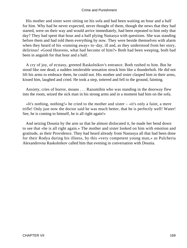His mother and sister were sitting on his sofa and had been waiting an hour and a half for him. Why had he never expected, never thought of them, though the news that they had started, were on their way and would arrive immediately, had been repeated to him only that day? They had spent that hour and a half plying Nastasya with questions. She was standing before them and had told them everything by now. They were beside themselves with alarm when they heard of his «running away» to−day, ill and, as they understood from her story, delirious! «Good Heavens, what had become of him?» Both had been weeping, both had been in anguish for that hour and a half.

 A cry of joy, of ecstasy, greeted Raskolnikov's entrance. Both rushed to him. But he stood like one dead; a sudden intolerable sensation struck him like a thunderbolt. He did not lift his arms to embrace them, he could not. His mother and sister clasped him in their arms, kissed him, laughed and cried. He took a step, tottered and fell to the ground, fainting.

 Anxiety, cries of horror, moans . . . Razumihin who was standing in the doorway flew into the room, seized the sick man in his strong arms and in a moment had him on the sofa.

 $\ll$ It's nothing, nothing!» he cried to the mother and sister –  $\ll$ it's only a faint, a mere trifle! Only just now the doctor said he was much better, that he is perfectly well! Water! See, he is coming to himself, he is all right again!»

 And seizing Dounia by the arm so that he almost dislocated it, he made her bend down to see that «he is all right again.» The mother and sister looked on him with emotion and gratitude, as their Providence. They had heard already from Nastasya all that had been done for their Rodya during his illness, by this «very competent young man,» as Pulcheria Alexandrovna Raskolnikov called him that evening in conversation with Dounia.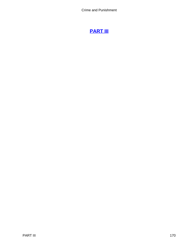# **[PART III](#page-465-0)**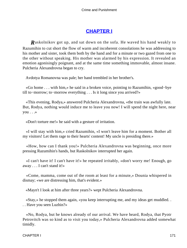# **[CHAPTER I](#page-465-0)**

*R*askolnikov got up, and sat down on the sofa. He waved his hand weakly to Razumihin to cut short the flow of warm and incoherent consolations he was addressing to his mother and sister, took them both by the hand and for a minute or two gazed from one to the other without speaking. His mother was alarmed by his expression. It revealed an emotion agonisingly poignant, and at the same time something immovable, almost insane. Pulcheria Alexandrovna began to cry.

Avdotya Romanovna was pale; her hand trembled in her brother's.

 «Go home . . . with him,» he said in a broken voice, pointing to Razumihin, «good−bye till to−morrow; to−morrow everything . . . Is it long since you arrived?»

 «This evening, Rodya,» answered Pulcheria Alexandrovna, «the train was awfully late. But, Rodya, nothing would induce me to leave you now! I will spend the night here, near you . . .»

«Don't torture me!» he said with a gesture of irritation.

 «I will stay with him,» cried Razumihin, «I won't leave him for a moment. Bother all my visitors! Let them rage to their hearts' content! My uncle is presiding there.»

 «How, how can I thank you!» Pulcheria Alexandrovna was beginning, once more pressing Razumihin's hands, but Raskolnikov interrupted her again.

 «I can't have it! I can't have it!» he repeated irritably, «don't worry me! Enough, go away . . . I can't stand it!»

 «Come, mamma, come out of the room at least for a minute,» Dounia whispered in dismay; «we are distressing him, that's evident.»

«Mayn't I look at him after three years?» wept Pulcheria Alexandrovna.

 «Stay,» he stopped them again, «you keep interrupting me, and my ideas get muddled. . . . Have you seen Luzhin?»

 «No, Rodya, but he knows already of our arrival. We have heard, Rodya, that Pyotr Petrovitch was so kind as to visit you today,» Pulcheria Alexandrovna added somewhat timidly.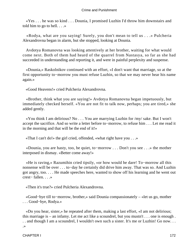«Yes . . . he was so kind . . . Dounia, I promised Luzhin I'd throw him downstairs and told him to go to hell. . . .»

 «Rodya, what are you saying! Surely, you don't mean to tell us . . .» Pulcheria Alexandrovna began in alarm, but she stopped, looking at Dounia.

 Avdotya Romanovna was looking attentively at her brother, waiting for what would come next. Both of them had heard of the quarrel from Nastasya, so far as she had succeeded in understanding and reporting it, and were in painful perplexity and suspense.

 «Dounia,» Raskolnikov continued with an effort, «I don't want that marriage, so at the first opportunity to−morrow you must refuse Luzhin, so that we may never hear his name again.»

«Good Heavens!» cried Pulcheria Alexandrovna.

 «Brother, think what you are saying!» Avdotya Romanovna began impetuously, but immediately checked herself. «You are not fit to talk now, perhaps; you are tired,» she added gently.

 «You think I am delirious? No . . . You are marrying Luzhin for /my/ sake. But I won't accept the sacrifice. And so write a letter before to−morrow, to refuse him . . . Let me read it in the morning and that will be the end of it!»

«That I can't do!» the girl cried, offended, «what right have you . . .»

 «Dounia, you are hasty, too, be quiet, to−morrow . . . Don't you see . . .» the mother interposed in dismay. «Better come away!»

 «He is raving,» Razumihin cried tipsily, «or how would he dare! To−morrow all this nonsense will be over . . . to−day he certainly did drive him away. That was so. And Luzhin got angry, too. . . . He made speeches here, wanted to show off his learning and he went out crest− fallen. . . .»

«Then it's true?» cried Pulcheria Alexandrovna.

 «Good−bye till to−morrow, brother,» said Dounia compassionately – «let us go, mother . . . Good−bye, Rodya.»

 «Do you hear, sister,» he repeated after them, making a last effort, «I am not delirious; this marriage is – an infamy. Let me act like a scoundrel, but you mustn't . . . one is enough . . . and though I am a scoundrel, I wouldn't own such a sister. It's me or Luzhin! Go now. . . .»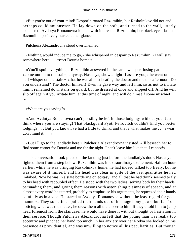«But you're out of your mind! Despot!» roared Razumihin; but Raskolnikov did not and perhaps could not answer. He lay down on the sofa, and turned to the wall, utterly exhausted. Avdotya Romanovna looked with interest at Razumihin; her black eyes flashed; Razumihin positively started at her glance.

Pulcheria Alexandrovna stood overwhelmed.

 «Nothing would induce me to go,» she whispered in despair to Razumihin. «I will stay somewhere here . . . escort Dounia home.»

 «You'll spoil everything,» Razumihin answered in the same whisper, losing patience – «come out on to the stairs, anyway. Nastasya, show a light! I assure you,» he went on in a half whisper on the stairs− «that he was almost beating the doctor and me this afternoon! Do you understand? The doctor himself! Even he gave way and left him, so as not to irritate him. I remained downstairs on guard, but he dressed at once and slipped off. And he will slip off again if you irritate him, at this time of night, and will do himself some mischief... .»

«What are you saying?»

 «And Avdotya Romanovna can't possibly be left in those lodgings without you. Just think where you are staying! That blackguard Pyotr Petrovitch couldn't find you better lodgings . . . But you know I've had a little to drink, and that's what makes me . . . swear; don't mind it. . . .»

 «But I'll go to the landlady here,» Pulcheria Alexandrovna insisted, «Ill beseech her to find some corner for Dounia and me for the night. I can't leave him like that, I cannot!»

 This conversation took place on the landing just before the landlady's door. Nastasya lighted them from a step below. Razumihin was in extraordinary excitement. Half an hour earlier, while he was bringing Raskolnikov home, he had indeed talked too freely, but he was aware of it himself, and his head was clear in spite of the vast quantities he had imbibed. Now he was in a state bordering on ecstasy, and all that he had drunk seemed to fly to his head with redoubled effect. He stood with the two ladies, seizing both by their hands, persuading them, and giving them reasons with astonishing plainness of speech, and at almost every word he uttered, probably to emphasise his arguments, he squeezed their hands painfully as in a vise. He stared at Avdotya Romanovna without the least regard for good manners. They sometimes pulled their hands out of his huge bony paws, but far from noticing what was the matter, he drew them all the closer to him. If they'd told him to jump head foremost from the staircase, he would have done it without thought or hesitation in their service. Though Pulcheria Alexandrovna felt that the young man was really too eccentric and pinched her hand too much, in her anxiety over her Rodya she looked on his presence as providential, and was unwilling to notice all his peculiarities. But though

CHAPTER I 173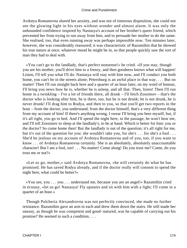Avdotya Romanovna shared her anxiety, and was not of timorous disposition, she could not see the glowing light in his eyes without wonder and almost alarm. It was only the unbounded confidence inspired by Nastasya's account of her brother's queer friend, which prevented her from trying to run away from him, and to persuade her mother to do the same. She realised, too, that even running away was perhaps impossible now. Ten minutes later, however, she was considerably reassured; it was characteristic of Razumihin that he showed his true nature at once, whatever mood he might be in, so that people quickly saw the sort of man they had to deal with.

 «You can't go to the landlady, that's perfect nonsense!» he cried. «If you stay, though you are his mother, you'll drive him to a frenzy, and then goodness knows what will happen! Listen, I'll tell you what I'll do: Nastasya will stay with him now, and I'll conduct you both home, you can't be in the streets alone; Petersburg is an awful place in that way. . . . But no matter! Then I'll run straight back here and a quarter of an hour later, on my word of honour, I'll bring you news how he is, whether he is asleep, and all that. Then, listen! Then I'll run home in a twinkling – I've a lot of friends there, all drunk – I'll fetch Zossimov – that's the doctor who is looking after him, he is there, too, but he is not drunk; he is not drunk, he is never drunk! I'll drag him to Rodya, and then to you, so that you'll get two reports in the hour – from the doctor, you understand, from the doctor himself, that's a very different thing from my account of him! If there's anything wrong, I swear I'll bring you here myself, but, if it's all right, you go to bed. And I'll spend the night here, in the passage, he won't hear me, and I'll tell Zossimov to sleep at the landlady's, to be at hand. Which is better for him: you or the doctor? So come home then! But the landlady is out of the question; it's all right for me, but it's out of the question for you: she wouldn't take you, for she's . . . for she's a fool . . . She'd be jealous on my account of Avdotya Romanovna and of you, too, if you want to know . . . of Avdotya Romanovna certainly. She is an absolutely, absolutely unaccountable character! But I am a fool, too! . . . No matter! Come along! Do you trust me? Come, do you trust me or not?»

 «Let us go, mother,» said Avdotya Romanovna, «he will certainly do what he has promised. He has saved Rodya already, and if the doctor really will consent to spend the night here, what could be better?»

 «You see, you . . . you . . . understand me, because you are an angel!» Razumihin cried in ecstasy, «let us go! Nastasya! Fly upstairs and sit with him with a light; I'll come in a quarter of an hour.»

 Though Pulcheria Alexandrovna was not perfectly convinced, she made no further resistance. Razumihin gave an arm to each and drew them down the stairs. He still made her uneasy, as though he was competent and good−natured, was he capable of carrying out his promise? He seemed in such a condition. . . .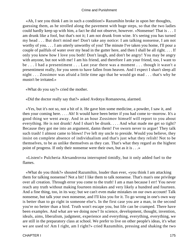«Ah, I see you think I am in such a condition!» Razumihin broke in upon her thoughts, guessing them, as he strolled along the pavement with huge steps, so that the two ladies could hardly keep up with him, a fact he did not observe, however. «Nonsense! That is . . . I am drunk like a fool, but that's not it; I am not drunk from wine. It's seeing you has turned my head . . . But don't mind me! Don't take any notice: I am talking nonsense, I am not worthy of you. . . . I am utterly unworthy of you! The minute I've taken you home, I'll pour a couple of pailfuls of water over my head in the gutter here, and then I shall be all right. . . . If only you knew how I love you both! Don't laugh, and don't be angry! You may be angry with anyone, but not with me! I am his friend, and therefore I am your friend, too, I want to be . . . I had a presentiment . . . Last year there was a moment . . . though it wasn't a presentiment really, for you seem to have fallen from heaven. And I expect I shan't sleep all night . . . Zossimov was afraid a little time ago that he would go mad . . . that's why he mustn't be irritated.»

«What do you say?» cried the mother.

«Did the doctor really say that?» asked Avdotya Romanovna, alarmed.

 «Yes, but it's not so, not a bit of it. He gave him some medicine, a powder, I saw it, and then your coming here. . . . Ah! It would have been better if you had come to−morrow. It's a good thing we went away. And in an hour Zossimov himself will report to you about everything. He is not drunk! And I shan't be drunk. . . . And what made me get so tight? Because they got me into an argument, damn them! I've sworn never to argue! They talk such trash! I almost came to blows! I've left my uncle to preside. Would you believe, they insist on complete absence of individualism and that's just what they relish! Not to be themselves, to be as unlike themselves as they can. That's what they regard as the highest point of progress. If only their nonsense were their own, but as it is . . .»

 «Listen!» Pulcheria Alexandrovna interrupted timidly, but it only added fuel to the flames.

 «What do you think?» shouted Razumihin, louder than ever, «you think I am attacking them for talking nonsense? Not a bit! I like them to talk nonsense. That's man's one privilege over all creation. Through error you come to the truth! I am a man because I err! You never reach any truth without making fourteen mistakes and very likely a hundred and fourteen. And a fine thing, too, in its way; but we can't even make mistakes on our own account! Talk nonsense, but talk your own nonsense, and I'll kiss you for it. To go wrong in one's own way is better than to go right in someone else's. In the first case you are a man, in the second you're no better than a bird. Truth won't escape you, but life can be cramped. There have been examples. And what are we doing now? In science, development, thought, invention, ideals, aims, liberalism, judgment, experience and everything, everything, everything, we are still in the preparatory class at school. We prefer to live on other people's ideas, it's what we are used to! Am I right, am I right?» cried Razumihin, pressing and shaking the two

CHAPTER I 175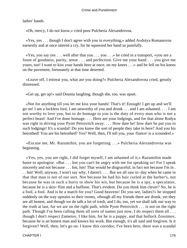ladies' hands.

«Oh, mercy, I do not know,» cried poor Pulcheria Alexandrovna.

 «Yes, yes . . . though I don't agree with you in everything,» added Avdotya Romanovna earnestly and at once uttered a cry, for he squeezed her hand so painfully.

 $\langle x \rangle$   $\langle x \rangle$   $\langle y \rangle$  as  $\langle x \rangle$  . . . . well after that you . . . you . . . » he cried in a transport,  $\langle x \rangle$   $\langle y \rangle$  are a fount of goodness, purity, sense . . . and perfection. Give me your hand . . . you give me yours, too! I want to kiss your hands here at once, on my knees . . .» and he fell on his knees on the pavement, fortunately at that time deserted.

 «Leave off, I entreat you, what are you doing?» Pulcheria Alexandrovna cried, greatly distressed.

«Get up, get up!» said Dounia laughing, though she, too, was upset.

 «Not for anything till you let me kiss your hands! That's it! Enough! I get up and we'll go on! I am a luckless fool, I am unworthy of you and drunk . . . and I am ashamed. . . . I am not worthy to love you, but to do homage to you is the duty of every man who is not a perfect beast! And I've done homage. . . . Here are your lodgings, and for that alone Rodya was right in driving your Pyotr Petrovitch away.... How dare he! how dare he put you in such lodgings! It's a scandal! Do you know the sort of people they take in here? And you his betrothed! You are his betrothed? Yes? Well, then, I'll tell you, your /fiance/ is a scoundrel.»

 «Excuse me, Mr. Razumihin, you are forgetting . . .» Pulcheria Alexandrovna was beginning.

 «Yes, yes, you are right, I did forget myself, I am ashamed of it,» Razumihin made haste to apologise. «But . . . but you can't be angry with me for speaking so! For I speak sincerely and not because . . . hm, hm! That would be disgraceful; in fact not because I'm in . . . hm! Well, anyway, I won't say why, I daren't. . . . But we all saw to−day when he came in that that man is not of our sort. Not because he had his hair curled at the barber's, not because he was in such a hurry to show his wit, but because he is a spy, a speculator, because he is a skin−flint and a buffoon. That's evident. Do you think him clever? No, he is a fool, a fool. And is he a match for you? Good heavens! Do you see, ladies?» he stopped suddenly on the way upstairs to their rooms, «though all my friends there are drunk, yet they are all honest, and though we do talk a lot of trash, and I do, too, yet we shall talk our way to the truth at last, for we are on the right path, while Pyotr Petrovitch . . . is not on the right path. Though I've been calling them all sorts of names just now, I do respect them all . . . though I don't respect Zametov, I like him, for he is a puppy, and that bullock Zossimov, because he is an honest man and knows his work. But enough, it's all said and forgiven. Is it forgiven? Well, then, let's go on. I know this corridor, I've been here, there was a scandal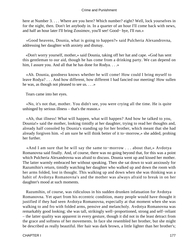here at Number 3. . . . Where are you here? Which number? eight? Well, lock yourselves in for the night, then. Don't let anybody in. In a quarter of an hour I'll come back with news, and half an hour later I'll bring Zossimov, you'll see! Good− bye, I'll run.»

 «Good heavens, Dounia, what is going to happen?» said Pulcheria Alexandrovna, addressing her daughter with anxiety and dismay.

 «Don't worry yourself, mother,» said Dounia, taking off her hat and cape. «God has sent this gentleman to our aid, though he has come from a drinking party. We can depend on him, I assure you. And all that he has done for Rodya. . . .»

 «Ah. Dounia, goodness knows whether he will come! How could I bring myself to leave Rodya? . . . And how different, how different I had fancied our meeting! How sullen he was, as though not pleased to see us. . . .»

Tears came into her eyes.

 «No, it's not that, mother. You didn't see, you were crying all the time. He is quite unhinged by serious illness – that's the reason.»

 «Ah, that illness! What will happen, what will happen? And how he talked to you, Dounia!» said the mother, looking timidly at her daughter, trying to read her thoughts and, already half consoled by Dounia's standing up for her brother, which meant that she had already forgiven him. «I am sure he will think better of it to−morrow,» she added, probing her further.

 «And I am sure that he will say the same to−morrow . . . about that,» Avdotya Romanovna said finally. And, of course, there was no going beyond that, for this was a point which Pulcheria Alexandrovna was afraid to discuss. Dounia went up and kissed her mother. The latter warmly embraced her without speaking. Then she sat down to wait anxiously for Razumihin's return, timidly watching her daughter who walked up and down the room with her arms folded, lost in thought. This walking up and down when she was thinking was a habit of Avdotya Romanovna's and the mother was always afraid to break in on her daughter's mood at such moments.

 Razumihin, of course, was ridiculous in his sudden drunken infatuation for Avdotya Romanovna. Yet apart from his eccentric condition, many people would have thought it justified if they had seen Avdotya Romanovna, especially at that moment when she was walking to and fro with folded arms, pensive and melancholy. Avdotya Romanovna was remarkably good looking; she was tall, strikingly well−proportioned, strong and self−reliant – the latter quality was apparent in every gesture, though it did not in the least detract from the grace and softness of her movements. In face she resembled her brother, but she might be described as really beautiful. Her hair was dark brown, a little lighter than her brother's;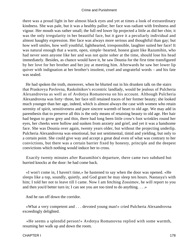there was a proud light in her almost black eyes and yet at times a look of extraordinary kindness. She was pale, but it was a healthy pallor; her face was radiant with freshness and vigour. Her mouth was rather small; the full red lower lip projected a little as did her chin; it was the only irregularity in her beautiful face, but it gave it a peculiarly individual and almost haughty expression. Her face was always more serious and thoughtful than gay; but how well smiles, how well youthful, lighthearted, irresponsible, laughter suited her face! It was natural enough that a warm, open, simple−hearted, honest giant like Razumihin, who had never seen anyone like her and was not quite sober at the time, should lose his head immediately. Besides, as chance would have it, he saw Dounia for the first time transfigured by her love for her brother and her joy at meeting him. Afterwards he saw her lower lip quiver with indignation at her brother's insolent, cruel and ungrateful words – and his fate was sealed.

 He had spoken the truth, moreover, when he blurted out in his drunken talk on the stairs that Praskovya Pavlovna, Raskolnikov's eccentric landlady, would be jealous of Pulcheria Alexandrovna as well as of Avdotya Romanovna on his account. Although Pulcheria Alexandrovna was forty−three, her face still retained traces of her former beauty; she looked much younger than her age, indeed, which is almost always the case with women who retain serenity of spirit, sensitiveness and pure sincere warmth of heart to old age. We may add in parenthesis that to preserve all this is the only means of retaining beauty to old age. Her hair had begun to grow grey and thin, there had long been little crow's foot wrinkles round her eyes, her cheeks were hollow and sunken from anxiety and grief, and yet it was a handsome face. She was Dounia over again, twenty years older, but without the projecting underlip. Pulcheria Alexandrovna was emotional, but not sentimental, timid and yielding, but only to a certain point. She could give way and accept a great deal even of what was contrary to her convictions, but there was a certain barrier fixed by honesty, principle and the deepest convictions which nothing would induce her to cross.

 Exactly twenty minutes after Razumihin's departure, there came two subdued but hurried knocks at the door: he had come back.

 «I won't come in, I haven't time,» he hastened to say when the door was opened. «He sleeps like a top, soundly, quietly, and God grant he may sleep ten hours. Nastasya's with him; I told her not to leave till I came. Now I am fetching Zossimov, he will report to you and then you'd better turn in; I can see you are too tired to do anything. . . .»

And he ran off down the corridor.

 «What a very competent and . . . devoted young man!» cried Pulcheria Alexandrovna exceedingly delighted.

 «He seems a splendid person!» Avdotya Romanovna replied with some warmth, resuming her walk up and down the room.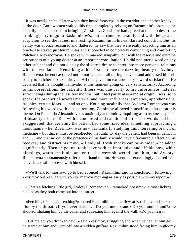It was nearly an hour later when they heard footsteps in the corridor and another knock at the door. Both women waited this time completely relying on Razumihin's promise; he actually had succeeded in bringing Zossimov. Zossimov had agreed at once to desert the drinking party to go to Raskolnikov's, but he came reluctantly and with the greatest suspicion to see the ladies, mistrusting Razumihin in his exhilarated condition. But his vanity was at once reassured and flattered; he saw that they were really expecting him as an oracle. He stayed just ten minutes and succeeded in completely convincing and comforting Pulcheria Alexandrovna. He spoke with marked sympathy, but with the reserve and extreme seriousness of a young doctor at an important consultation. He did not utter a word on any other subject and did not display the slightest desire to enter into more personal relations with the two ladies. Remarking at his first entrance the dazzling beauty of Avdotya Romanovna, he endeavoured not to notice her at all during his visit and addressed himself solely to Pulcheria Alexandrovna. All this gave him extraordinary inward satisfaction. He declared that he thought the invalid at this moment going on very satisfactorily. According to his observations the patient's illness was due partly to his unfortunate material surroundings during the last few months, but it had partly also a moral origin, «was, so to speak, the product of several material and moral influences, anxieties, apprehensions, troubles, certain ideas . . . and so on.» Noticing stealthily that Avdotya Romanovna was following his words with close attention, Zossimov allowed himself to enlarge on this theme. On Pulcheria Alexandrovna's anxiously and timidly inquiring as to «some suspicion of insanity,» he replied with a composed and candid smile that his words had been exaggerated; that certainly the patient had some fixed idea, something approaching a monomania – he, Zossimov, was now particularly studying this interesting branch of medicine – but that it must be recollected that until to−day the patient had been in delirium and . . . and that no doubt the presence of his family would have a favourable effect on his recovery and distract his mind, «if only all fresh shocks can be avoided,» he added significantly. Then he got up, took leave with an impressive and affable bow, while blessings, warm gratitude, and entreaties were showered upon him, and Avdotya Romanovna spontaneously offered her hand to him. He went out exceedingly pleased with his visit and still more so with himself.

 «We'll talk to−morrow; go to bed at once!» Razumihin said in conclusion, following Zossimov out. «I'll be with you to−morrow morning as early as possible with my report.»

 «That's a fetching little girl, Avdotya Romanovna,» remarked Zossimov, almost licking his lips as they both came out into the street.

 «Fetching? You said fetching?» roared Razumihin and he flew at Zossimov and seized him by the throat. «If you ever dare. . . . Do you understand? Do you understand?» he shouted, shaking him by the collar and squeezing him against the wall. «Do you hear?»

 «Let me go, you drunken devil,» said Zossimov, struggling and when he had let him go, he stared at him and went off into a sudden guffaw. Razumihin stood facing him in gloomy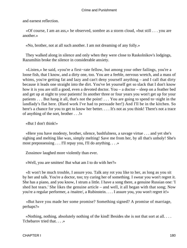and earnest reflection.

 «Of course, I am an ass,» he observed, sombre as a storm cloud, «but still . . . you are another.»

«No, brother, not at all such another. I am not dreaming of any folly.»

 They walked along in silence and only when they were close to Raskolnikov's lodgings, Razumihin broke the silence in considerable anxiety.

 «Listen,» he said, «you're a first−rate fellow, but among your other failings, you're a loose fish, that I know, and a dirty one, too. You are a feeble, nervous wretch, and a mass of whims, you're getting fat and lazy and can't deny yourself anything – and I call that dirty because it leads one straight into the dirt. You've let yourself get so slack that I don't know how it is you are still a good, even a devoted doctor. You – a doctor – sleep on a feather bed and get up at night to your patients! In another three or four years you won't get up for your patients . . . But hang it all, that's not the point! . . . You are going to spend to−night in the landlady's flat here. (Hard work I've had to persuade her!) And I'll be in the kitchen. So here's a chance for you to get to know her better. . . . It's not as you think! There's not a trace of anything of the sort, brother . . .!»

«But I don't think!»

 «Here you have modesty, brother, silence, bashfulness, a savage virtue . . . and yet she's sighing and melting like wax, simply melting! Save me from her, by all that's unholy! She's most prepossessing . . . I'll repay you, I'll do anything. . . .»

Zossimov laughed more violently than ever.

«Well, you are smitten! But what am I to do with her?»

 «It won't be much trouble, I assure you. Talk any rot you like to her, as long as you sit by her and talk. You're a doctor, too; try curing her of something. I swear you won't regret it. She has a piano, and you know, I strum a little. I have a song there, a genuine Russian one: 'I shed hot tears.' She likes the genuine article – and well, it all began with that song; Now you're a regular performer, a /maitre/, a Rubinstein. . . . I assure you, you won't regret it!»

 «But have you made her some promise? Something signed? A promise of marriage, perhaps?»

 «Nothing, nothing, absolutely nothing of the kind! Besides she is not that sort at all. . . . Tchebarov tried that. . . .»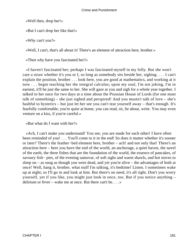«Well then, drop her!»

«But I can't drop her like that!»

«Why can't you?»

«Well, I can't, that's all about it! There's an element of attraction here, brother.»

«Then why have you fascinated her?»

 «I haven't fascinated her; perhaps I was fascinated myself in my folly. But she won't care a straw whether it's you or I, so long as somebody sits beside her, sighing. . . . I can't explain the position, brother . . . look here, you are good at mathematics, and working at it now . . . begin teaching her the integral calculus; upon my soul, I'm not joking, I'm in earnest, it'll be just the same to her. She will gaze at you and sigh for a whole year together. I talked to her once for two days at a time about the Prussian House of Lords (for one must talk of something) – she just sighed and perspired! And you mustn't talk of love – she's bashful to hysterics – but just let her see you can't tear yourself away – that's enough. It's fearfully comfortable; you're quite at home, you can read, sit, lie about, write. You may even venture on a kiss, if you're careful.»

«But what do I want with her?»

 «Ach, I can't make you understand! You see, you are made for each other! I have often been reminded of you! . . . You'll come to it in the end! So does it matter whether it's sooner or later? There's the feather−bed element here, brother – ach! and not only that! There's an attraction here – here you have the end of the world, an anchorage, a quiet haven, the navel of the earth, the three fishes that are the foundation of the world, the essence of pancakes, of savoury fish− pies, of the evening samovar, of soft sighs and warm shawls, and hot stoves to sleep on – as snug as though you were dead, and yet you're alive – the advantages of both at once! Well, hang it, brother, what stuff I'm talking, it's bedtime! Listen. I sometimes wake up at night; so I'll go in and look at him. But there's no need, it's all right. Don't you worry yourself, yet if you like, you might just look in once, too. But if you notice anything – delirium or fever – wake me at once. But there can't be. . . .»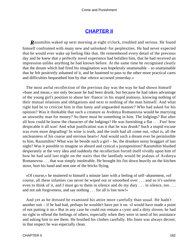# **[CHAPTER II](#page-465-0)**

*R*azumihin waked up next morning at eight o'clock, troubled and serious. He found himself confronted with many new and unlooked−for perplexities. He had never expected that he would ever wake up feeling like that. He remembered every detail of the previous day and he knew that a perfectly novel experience had befallen him, that he had received an impression unlike anything he had known before. At the same time he recognised clearly that the dream which had fired his imagination was hopelessly unattainable – so unattainable that he felt positively ashamed of it, and he hastened to pass to the other more practical cares and difficulties bequeathed him by that «thrice accursed yesterday.»

 The most awful recollection of the previous day was the way he had shown himself «base and mean,» not only because he had been drunk, but because he had taken advantage of the young girl's position to abuse her /fiance/ in his stupid jealousy, knowing nothing of their mutual relations and obligations and next to nothing of the man himself. And what right had he to criticise him in that hasty and unguarded manner? Who had asked for his opinion? Was it thinkable that such a creature as Avdotya Romanovna would be marrying an unworthy man for money? So there must be something in him. The lodgings? But after all how could he know the character of the lodgings? He was furnishing a flat . . . Foo! how despicable it all was! And what justification was it that he was drunk? Such a stupid excuse was even more degrading! In wine is truth, and the truth had all come out, «that is, all the uncleanness of his coarse and envious heart»! And would such a dream ever be permissible to him, Razumihin? What was he beside such a girl – he, the drunken noisy braggart of last night? Was it possible to imagine so absurd and cynical a juxtaposition? Razumihin blushed desperately at the very idea and suddenly the recollection forced itself vividly upon him of how he had said last night on the stairs that the landlady would be jealous of Avdotya Romanovna . . . that was simply intolerable. He brought his fist down heavily on the kitchen stove, hurt his hand and sent one of the bricks flying.

 «Of course,» he muttered to himself a minute later with a feeling of self−abasement, «of course, all these infamies can never be wiped out or smoothed over . . . and so it's useless even to think of it, and I must go to them in silence and do my duty . . . in silence, too . . . and not ask forgiveness, and say nothing . . . for all is lost now!»

 And yet as he dressed he examined his attire more carefully than usual. He hadn't another suit – if he had had, perhaps he wouldn't have put it on. «I would have made a point of not putting it on.» But in any case he could not remain a cynic and a dirty sloven; he had no right to offend the feelings of others, especially when they were in need of his assistance and asking him to see them. He brushed his clothes carefully. His linen was always decent; in that respect he was especially clean.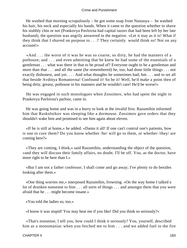He washed that morning scrupulously – he got some soap from Nastasya – he washed his hair, his neck and especially his hands. When it came to the question whether to shave his stubbly chin or not (Praskovya Pavlovna had capital razors that had been left by her late husband), the question was angrily answered in the negative. «Let it stay as it is! What if they think that I shaved on purpose to . . .? They certainly would think so! Not on any account!»

 «And . . . the worst of it was he was so coarse, so dirty, he had the manners of a pothouse; and . . . and even admitting that he knew he had some of the essentials of a gentleman . . . what was there in that to be proud of? Everyone ought to be a gentleman and more than that . . . and all the same (he remembered) he, too, had done little things . . . not exactly dishonest, and yet. . . . And what thoughts he sometimes had; hm . . . and to set all that beside Avdotya Romanovna! Confound it! So be it! Well, he'd make a point then of being dirty, greasy, pothouse in his manners and he wouldn't care! He'd be worse!»

 He was engaged in such monologues when Zossimov, who had spent the night in Praskovya Pavlovna's parlour, came in.

 He was going home and was in a hurry to look at the invalid first. Razumihin informed him that Raskolnikov was sleeping like a dormouse. Zossimov gave orders that they shouldn't wake him and promised to see him again about eleven.

 «If he is still at home,» he added. «Damn it all! If one can't control one's patients, how is one to cure them? Do you know whether /he/ will go to them, or whether /they/ are coming here?»

 «They are coming, I think,» said Razumihin, understanding the object of the question, «and they will discuss their family affairs, no doubt. I'll be off. You, as the doctor, have more right to be here than I.»

 «But I am not a father confessor; I shall come and go away; I've plenty to do besides looking after them.»

 «One thing worries me,» interposed Razumihin, frowning. «On the way home I talked a lot of drunken nonsense to him . . . all sorts of things . . . and amongst them that you were afraid that he . . . might become insane.»

«You told the ladies so, too.»

«I know it was stupid! You may beat me if you like! Did you think so seriously?»

 «That's nonsense, I tell you, how could I think it seriously? You, yourself, described him as a monomaniac when you fetched me to him . . . and we added fuel to the fire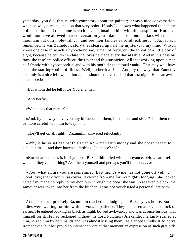yesterday, you did, that is, with your story about the painter; it was a nice conversation, when he was, perhaps, mad on that very point! If only I'd known what happened then at the police station and that some wretch . . . had insulted him with this suspicion! Hm . . . I would not have allowed that conversation yesterday. These monomaniacs will make a mountain out of a mole−hill . . . and see their fancies as solid realities. . . . As far as I remember, it was Zametov's story that cleared up half the mystery, to my mind. Why, I know one case in which a hypochondriac, a man of forty, cut the throat of a little boy of eight, because he couldn't endure the jokes he made every day at table! And in this case his rags, the insolent police officer, the fever and this suspicion! All that working upon a man half frantic with hypochondria, and with his morbid exceptional vanity! That may well have been the starting−point of illness. Well, bother it all! . . . And, by the way, that Zametov certainly is a nice fellow, but hm . . . he shouldn't have told all that last night. He is an awful chatterbox!»

«But whom did he tell it to? You and me?»

«And Porfiry.»

«What does that matter?»

 «And, by the way, have you any influence on them, his mother and sister? Tell them to be more careful with him to−day. . . .»

«They'll get on all right!» Razumihin answered reluctantly.

 «Why is he so set against this Luzhin? A man with money and she doesn't seem to dislike him . . . and they haven't a farthing, I suppose? eh?»

 «But what business is it of yours?» Razumihin cried with annoyance. «How can I tell whether they've a farthing? Ask them yourself and perhaps you'll find out. . . . »

 «Foo! what an ass you are sometimes! Last night's wine has not gone off yet. . . . Good−bye; thank your Praskovya Pavlovna from me for my night's lodging. She locked herself in, made no reply to my /bonjour/ through the door; she was up at seven o'clock, the samovar was taken into her from the kitchen. I was not vouchsafed a personal interview. . . .»

 At nine o'clock precisely Razumihin reached the lodgings at Bakaleyev's house. Both ladies were waiting for him with nervous impatience. They had risen at seven o'clock or earlier. He entered looking as black as night, bowed awkwardly and was at once furious with himself for it. He had reckoned without his host: Pulcheria Alexandrovna fairly rushed at him, seized him by both hands and was almost kissing them. He glanced timidly at Avdotya Romanovna, but her proud countenance wore at that moment an expression of such gratitude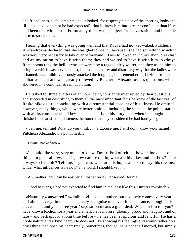and friendliness, such complete and unlooked−for respect (in place of the sneering looks and ill−disguised contempt he had expected), that it threw him into greater confusion than if he had been met with abuse. Fortunately there was a subject for conversation, and he made haste to snatch at it.

 Hearing that everything was going well and that Rodya had not yet waked, Pulcheria Alexandrovna declared that she was glad to hear it, because «she had something which it was very, very necessary to talk over beforehand.» Then followed an inquiry about breakfast and an invitation to have it with them; they had waited to have it with him. Avdotya Romanovna rang the bell: it was answered by a ragged dirty waiter, and they asked him to bring tea which was served at last, but in such a dirty and disorderly way that the ladies were ashamed. Razumihin vigorously attacked the lodgings, but, remembering Luzhin, stopped in embarrassment and was greatly relieved by Pulcheria Alexandrovna's questions, which showered in a continual stream upon him.

 He talked for three quarters of an hour, being constantly interrupted by their questions, and succeeded in describing to them all the most important facts he knew of the last year of Raskolnikov's life, concluding with a circumstantial account of his illness. He omitted, however, many things, which were better omitted, including the scene at the police station with all its consequences. They listened eagerly to his story, and, when he thought he had finished and satisfied his listeners, he found that they considered he had hardly begun.

 «Tell me, tell me! What do you think . . . ? Excuse me, I still don't know your name!» Pulcheria Alexandrovna put in hastily.

«Dmitri Prokofitch.»

 «I should like very, very much to know, Dmitri Prokofitch . . . how he looks . . . on things in general now, that is, how can I explain, what are his likes and dislikes? Is he always so irritable? Tell me, if you can, what are his hopes and, so to say, his dreams? Under what influences is he now? In a word, I should like . . . »

«Ah, mother, how can he answer all that at once?» observed Dounia.

«Good heavens, I had not expected to find him in the least like this, Dmitri Prokofitch!»

 «Naturally,» answered Razumihin. «I have no mother, but my uncle comes every year and almost every time he can scarcely recognise me, even in appearance, though he is a clever man; and your three years' separation means a great deal. What am I to tell you? I have known Rodion for a year and a half; he is morose, gloomy, proud and haughty, and of late – and perhaps for a long time before – he has been suspicious and fanciful. He has a noble nature and a kind heart. He does not like showing his feelings and would rather do a cruel thing than open his heart freely. Sometimes, though, he is not at all morbid, but simply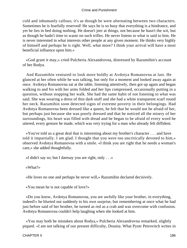cold and inhumanly callous; it's as though he were alternating between two characters. Sometimes he is fearfully reserved! He says he is so busy that everything is a hindrance, and yet he lies in bed doing nothing. He doesn't jeer at things, not because he hasn't the wit, but as though he hadn't time to waste on such trifles. He never listens to what is said to him. He is never interested in what interests other people at any given moment. He thinks very highly of himself and perhaps he is right. Well, what more? I think your arrival will have a most beneficial influence upon him.»

 «God grant it may,» cried Pulcheria Alexandrovna, distressed by Razumihin's account of her Rodya.

 And Razumihin ventured to look more boldly at Avdotya Romanovna at last. He glanced at her often while he was talking, but only for a moment and looked away again at once. Avdotya Romanovna sat at the table, listening attentively, then got up again and began walking to and fro with her arms folded and her lips compressed, occasionally putting in a question, without stopping her walk. She had the same habit of not listening to what was said. She was wearing a dress of thin dark stuff and she had a white transparent scarf round her neck. Razumihin soon detected signs of extreme poverty in their belongings. Had Avdotya Romanovna been dressed like a queen, he felt that he would not be afraid of her, but perhaps just because she was poorly dressed and that he noticed all the misery of her surroundings, his heart was filled with dread and he began to be afraid of every word he uttered, every gesture he made, which was very trying for a man who already felt diffident.

 «You've told us a great deal that is interesting about my brother's character . . . and have told it impartially. I am glad. I thought that you were too uncritically devoted to him,» observed Avdotya Romanovna with a smile. «I think you are right that he needs a woman's care,» she added thoughtfully.

«I didn't say so; but I daresay you are right, only . . .»

«What?»

«He loves no one and perhaps he never will,» Razumihin declared decisively.

«You mean he is not capable of love?»

 «Do you know, Avdotya Romanovna, you are awfully like your brother, in everything, indeed!» he blurted out suddenly to his own surprise, but remembering at once what he had just before said of her brother, he turned as red as a crab and was overcome with confusion. Avdotya Romanovna couldn't help laughing when she looked at him.

 «You may both be mistaken about Rodya,» Pulcheria Alexandrovna remarked, slightly piqued. «I am not talking of our present difficulty, Dounia. What Pyotr Petrovitch writes in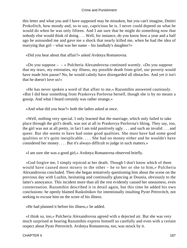this letter and what you and I have supposed may be mistaken, but you can't imagine, Dmitri Prokofitch, how moody and, so to say, capricious he is. I never could depend on what he would do when he was only fifteen. And I am sure that he might do something now that nobody else would think of doing . . . Well, for instance, do you know how a year and a half ago he astounded me and gave me a shock that nearly killed me, when he had the idea of marrying that girl – what was her name – his landlady's daughter?»

«Did you hear about that affair?» asked Avdotya Romanovna.

«Do you suppose  $- \rightarrow$  Pulcheria Alexandrovna continued warmly. «Do you suppose that my tears, my entreaties, my illness, my possible death from grief, our poverty would have made him pause? No, he would calmly have disregarded all obstacles. And yet it isn't that he doesn't love us!»

 «He has never spoken a word of that affair to me,» Razumihin answered cautiously. «But I did hear something from Praskovya Pavlovna herself, though she is by no means a gossip. And what I heard certainly was rather strange.»

«And what did you hear?» both the ladies asked at once.

 «Well, nothing very special. I only learned that the marriage, which only failed to take place through the girl's death, was not at all to Praskovya Pavlovna's liking. They say, too, the girl was not at all pretty, in fact I am told positively ugly . . . and such an invalid . . . and queer. But she seems to have had some good qualities. She must have had some good qualities or it's quite inexplicable. . . . She had no money either and he wouldn't have considered her money. . . . But it's always difficult to judge in such matters.»

«I am sure she was a good girl,» Avdotya Romanovna observed briefly.

 «God forgive me, I simply rejoiced at her death. Though I don't know which of them would have caused most misery to the other – he to her or she to him,» Pulcheria Alexandrovna concluded. Then she began tentatively questioning him about the scene on the previous day with Luzhin, hesitating and continually glancing at Dounia, obviously to the latter's annoyance. This incident more than all the rest evidently caused her uneasiness, even consternation. Razumihin described it in detail again, but this time he added his own conclusions: he openly blamed Raskolnikov for intentionally insulting Pyotr Petrovitch, not seeking to excuse him on the score of his illness.

«He had planned it before his illness,» he added.

 «I think so, too,» Pulcheria Alexandrovna agreed with a dejected air. But she was very much surprised at hearing Razumihin express himself so carefully and even with a certain respect about Pyotr Petrovitch. Avdotya Romanovna, too, was struck by it.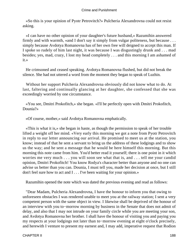«So this is your opinion of Pyotr Petrovitch?» Pulcheria Alexandrovna could not resist asking.

 «I can have no other opinion of your daughter's future husband,» Razumihin answered firmly and with warmth, «and I don't say it simply from vulgar politeness, but because . . . simply because Avdotya Romanovna has of her own free will deigned to accept this man. If I spoke so rudely of him last night, it was because I was disgustingly drunk and . . . mad besides; yes, mad, crazy, I lost my head completely . . . and this morning I am ashamed of it.»

 He crimsoned and ceased speaking. Avdotya Romanovna flushed, but did not break the silence. She had not uttered a word from the moment they began to speak of Luzhin.

 Without her support Pulcheria Alexandrovna obviously did not know what to do. At last, faltering and continually glancing at her daughter, she confessed that she was exceedingly worried by one circumstance.

 «You see, Dmitri Prokofitch,» she began. «I'll be perfectly open with Dmitri Prokofitch, Dounia?»

«Of course, mother,» said Avdotya Romanovna emphatically.

 «This is what it is,» she began in haste, as though the permission to speak of her trouble lifted a weight off her mind. «Very early this morning we got a note from Pyotr Petrovitch in reply to our letter announcing our arrival. He promised to meet us at the station, you know; instead of that he sent a servant to bring us the address of these lodgings and to show us the way; and he sent a message that he would be here himself this morning. But this morning this note came from him. You'd better read it yourself; there is one point in it which worries me very much . . . you will soon see what that is, and . . . tell me your candid opinion, Dmitri Prokofitch! You know Rodya's character better than anyone and no one can advise us better than you can. Dounia, I must tell you, made her decision at once, but I still don't feel sure how to act and I . . . I've been waiting for your opinion.»

Razumihin opened the note which was dated the previous evening and read as follows:

 "Dear Madam, Pulcheria Alexandrovna, I have the honour to inform you that owing to unforeseen obstacles I was rendered unable to meet you at the railway station; I sent a very competent person with the same object in view. I likewise shall be deprived of the honour of an interview with you to−morrow morning by business in the Senate that does not admit of delay, and also that I may not intrude on your family circle while you are meeting your son, and Avdotya Romanovna her brother. I shall have the honour of visiting you and paying you my respects at your lodgings not later than to−morrow evening at eight o'clock precisely, and herewith I venture to present my earnest and, I may add, imperative request that Rodion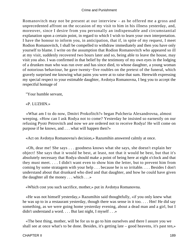Romanovitch may not be present at our interview – as he offered me a gross and unprecedented affront on the occasion of my visit to him in his illness yesterday, and, moreover, since I desire from you personally an indispensable and circumstantial explanation upon a certain point, in regard to which I wish to learn your own interpretation. I have the honour to inform you, in anticipation, that if, in spite of my request, I meet Rodion Romanovitch, I shall be compelled to withdraw immediately and then you have only yourself to blame. I write on the assumption that Rodion Romanovitch who appeared so ill at my visit, suddenly recovered two hours later and so, being able to leave the house, may visit you also. I was confirmed in that belief by the testimony of my own eyes in the lodging of a drunken man who was run over and has since died, to whose daughter, a young woman of notorious behaviour, he gave twenty−five roubles on the pretext of the funeral, which gravely surprised me knowing what pains you were at to raise that sum. Herewith expressing my special respect to your estimable daughter, Avdotya Romanovna, I beg you to accept the respectful homage of

"Your humble servant,

# «P. LUZHIN.»

 «What am I to do now, Dmitri Prokofitch?» began Pulcheria Alexandrovna, almost weeping. «How can I ask Rodya not to come? Yesterday he insisted so earnestly on our refusing Pyotr Petrovitch and now we are ordered not to receive Rodya! He will come on purpose if he knows, and . . . what will happen then?»

«Act on Avdotya Romanovna's decision,» Razumihin answered calmly at once.

 «Oh, dear me! She says . . . goodness knows what she says, she doesn't explain her object! She says that it would be best, at least, not that it would be best, but that it's absolutely necessary that Rodya should make a point of being here at eight o'clock and that they must meet. . . . I didn't want even to show him the letter, but to prevent him from coming by some stratagem with your help . . . because he is so irritable. . . . Besides I don't understand about that drunkard who died and that daughter, and how he could have given the daughter all the money . . . which . . .»

«Which cost you such sacrifice, mother,» put in Avdotya Romanovna.

 «He was not himself yesterday,» Razumihin said thoughtfully, «if you only knew what he was up to in a restaurant yesterday, though there was sense in it too. . . . Hm! He did say something, as we were going home yesterday evening, about a dead man and a girl, but I didn't understand a word. . . . But last night, I myself . . .»

 «The best thing, mother, will be for us to go to him ourselves and there I assure you we shall see at once what's to be done. Besides, it's getting late – good heavens, it's past ten,»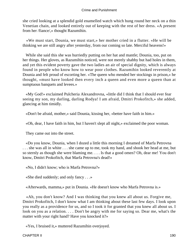she cried looking at a splendid gold enamelled watch which hung round her neck on a thin Venetian chain, and looked entirely out of keeping with the rest of her dress. «A present from her /fiance/,» thought Razumihin.

 «We must start, Dounia, we must start,» her mother cried in a flutter. «He will be thinking we are still angry after yesterday, from our coming so late. Merciful heavens!»

 While she said this she was hurriedly putting on her hat and mantle; Dounia, too, put on her things. Her gloves, as Razumihin noticed, were not merely shabby but had holes in them, and yet this evident poverty gave the two ladies an air of special dignity, which is always found in people who know how to wear poor clothes. Razumihin looked reverently at Dounia and felt proud of escorting her. «The queen who mended her stockings in prison,» he thought, «must have looked then every inch a queen and even more a queen than at sumptuous banquets and levees.»

 «My God!» exclaimed Pulcheria Alexandrovna, «little did I think that I should ever fear seeing my son, my darling, darling Rodya! I am afraid, Dmitri Prokofitch,» she added, glancing at him timidly.

«Don't be afraid, mother,» said Dounia, kissing her, «better have faith in him.»

«Oh, dear, I have faith in him, but I haven't slept all night,» exclaimed the poor woman.

They came out into the street.

 «Do you know, Dounia, when I dozed a little this morning I dreamed of Marfa Petrovna . . . she was all in white . . . she came up to me, took my hand, and shook her head at me, but so sternly as though she were blaming me. . . . Is that a good omen? Oh, dear me! You don't know, Dmitri Prokofitch, that Marfa Petrovna's dead!»

«No, I didn't know; who is Marfa Petrovna?»

«She died suddenly; and only fancy . . .»

«Afterwards, mamma,» put in Dounia. «He doesn't know who Marfa Petrovna is.»

 «Ah, you don't know? And I was thinking that you knew all about us. Forgive me, Dmitri Prokofitch, I don't know what I am thinking about these last few days. I look upon you really as a providence for us, and so I took it for granted that you knew all about us. I look on you as a relation. . . . Don't be angry with me for saying so. Dear me, what's the matter with your right hand? Have you knocked it?»

«Yes, I bruised it,» muttered Razumihin overjoyed.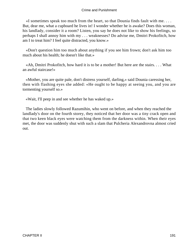«I sometimes speak too much from the heart, so that Dounia finds fault with me. . . . But, dear me, what a cupboard he lives in! I wonder whether he is awake? Does this woman, his landlady, consider it a room? Listen, you say he does not like to show his feelings, so perhaps I shall annoy him with my . . . weaknesses? Do advise me, Dmitri Prokofitch, how am I to treat him? I feel quite distracted, you know.»

 «Don't question him too much about anything if you see him frown; don't ask him too much about his health; he doesn't like that.»

 «Ah, Dmitri Prokofitch, how hard it is to be a mother! But here are the stairs. . . . What an awful staircase!»

 «Mother, you are quite pale, don't distress yourself, darling,» said Dounia caressing her, then with flashing eyes she added: «He ought to be happy at seeing you, and you are tormenting yourself so.»

«Wait, I'll peep in and see whether he has waked up.»

 The ladies slowly followed Razumihin, who went on before, and when they reached the landlady's door on the fourth storey, they noticed that her door was a tiny crack open and that two keen black eyes were watching them from the darkness within. When their eyes met, the door was suddenly shut with such a slam that Pulcheria Alexandrovna almost cried out.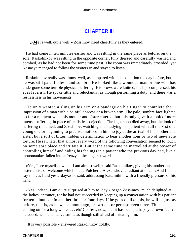# **[CHAPTER III](#page-466-0)**

*«H*e is well, quite well!» Zossimov cried cheerfully as they entered.

 He had come in ten minutes earlier and was sitting in the same place as before, on the sofa. Raskolnikov was sitting in the opposite corner, fully dressed and carefully washed and combed, as he had not been for some time past. The room was immediately crowded, yet Nastasya managed to follow the visitors in and stayed to listen.

 Raskolnikov really was almost well, as compared with his condition the day before, but he was still pale, listless, and sombre. He looked like a wounded man or one who has undergone some terrible physical suffering. His brows were knitted, his lips compressed, his eyes feverish. He spoke little and reluctantly, as though performing a duty, and there was a restlessness in his movements.

 He only wanted a sling on his arm or a bandage on his finger to complete the impression of a man with a painful abscess or a broken arm. The pale, sombre face lighted up for a moment when his mother and sister entered, but this only gave it a look of more intense suffering, in place of its listless dejection. The light soon died away, but the look of suffering remained, and Zossimov, watching and studying his patient with all the zest of a young doctor beginning to practise, noticed in him no joy at the arrival of his mother and sister, but a sort of bitter, hidden determination to bear another hour or two of inevitable torture. He saw later that almost every word of the following conversation seemed to touch on some sore place and irritate it. But at the same time he marvelled at the power of controlling himself and hiding his feelings in a patient who the previous day had, like a monomaniac, fallen into a frenzy at the slightest word.

 «Yes, I see myself now that I am almost well,» said Raskolnikov, giving his mother and sister a kiss of welcome which made Pulcheria Alexandrovna radiant at once. «And I don't say this /as I did yesterday/,» he said, addressing Razumihin, with a friendly pressure of his hand.

 «Yes, indeed, I am quite surprised at him to−day,» began Zossimov, much delighted at the ladies' entrance, for he had not succeeded in keeping up a conversation with his patient for ten minutes. «In another three or four days, if he goes on like this, he will be just as before, that is, as he was a month ago, or two . . . or perhaps even three. This has been coming on for a long while. . . . eh? Confess, now, that it has been perhaps your own fault?» he added, with a tentative smile, as though still afraid of irritating him.

«It is very possible,» answered Raskolnikov coldly.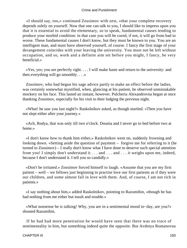«I should say, too,» continued Zossimov with zest, «that your complete recovery depends solely on yourself. Now that one can talk to you, I should like to impress upon you that it is essential to avoid the elementary, so to speak, fundamental causes tending to produce your morbid condition: in that case you will be cured, if not, it will go from bad to worse. These fundamental causes I don't know, but they must be known to you. You are an intelligent man, and must have observed yourself, of course. I fancy the first stage of your derangement coincides with your leaving the university. You must not be left without occupation, and so, work and a definite aim set before you might, I fancy, be very beneficial.»

 «Yes, yes; you are perfectly right. . . . I will make haste and return to the university: and then everything will go smoothly. . . .»

 Zossimov, who had begun his sage advice partly to make an effect before the ladies, was certainly somewhat mystified, when, glancing at his patient, he observed unmistakable mockery on his face. This lasted an instant, however. Pulcheria Alexandrovna began at once thanking Zossimov, especially for his visit to their lodging the previous night.

 «What! he saw you last night?» Raskolnikov asked, as though startled. «Then you have not slept either after your journey.»

 «Ach, Rodya, that was only till two o'clock. Dounia and I never go to bed before two at home.»

 «I don't know how to thank him either,» Raskolnikov went on, suddenly frowning and looking down. «Setting aside the question of payment – forgive me for referring to it (he turned to Zossimov) – I really don't know what I have done to deserve such special attention from you! I simply don't understand it . . . and . . . and . . . it weighs upon me, indeed, because I don't understand it. I tell you so candidly.»

 «Don't be irritated.» Zossimov forced himself to laugh. «Assume that you are my first patient – well – we fellows just beginning to practise love our first patients as if they were our children, and some almost fall in love with them. And, of course, I am not rich in patients.»

 «I say nothing about him,» added Raskolnikov, pointing to Razumihin, «though he has had nothing from me either but insult and trouble.»

 «What nonsense he is talking! Why, you are in a sentimental mood to−day, are you?» shouted Razumihin.

 If he had had more penetration he would have seen that there was no trace of sentimentality in him, but something indeed quite the opposite. But Avdotya Romanovna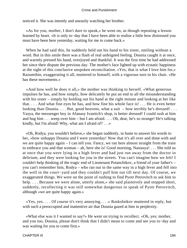noticed it. She was intently and uneasily watching her brother.

 «As for you, mother, I don't dare to speak,» he went on, as though repeating a lesson learned by heart. «It is only to−day that I have been able to realise a little how distressed you must have been here yesterday, waiting for me to come back.»

 When he had said this, he suddenly held out his hand to his sister, smiling without a word. But in this smile there was a flash of real unfeigned feeling. Dounia caught it at once, and warmly pressed his hand, overjoyed and thankful. It was the first time he had addressed her since their dispute the previous day. The mother's face lighted up with ecstatic happiness at the sight of this conclusive unspoken reconciliation. «Yes, that is what I love him for,» Razumihin, exaggerating it all, muttered to himself, with a vigorous turn in his chair. «He has these movements.»

 «And how well he does it all,» the mother was thinking to herself. «What generous impulses he has, and how simply, how delicately he put an end to all the misunderstanding with his sister – simply by holding out his hand at the right minute and looking at her like that. . . . And what fine eyes he has, and how fine his whole face is! . . . He is even better looking than Dounia. . . . But, good heavens, what a suit – how terribly he's dressed! . . . Vasya, the messenger boy in Afanasy Ivanitch's shop, is better dressed! I could rush at him and hug him . . . weep over him – but I am afraid. . . . Oh, dear, he's so strange! He's talking kindly, but I'm afraid! Why, what am I afraid of? . . .»

 «Oh, Rodya, you wouldn't believe,» she began suddenly, in haste to answer his words to her, «how unhappy Dounia and I were yesterday! Now that it's all over and done with and we are quite happy again – I can tell you. Fancy, we ran here almost straight from the train to embrace you and that woman – ah, here she is! Good morning, Nastasya! . . . She told us at once that you were lying in a high fever and had just run away from the doctor in delirium, and they were looking for you in the streets. You can't imagine how we felt! I couldn't help thinking of the tragic end of Lieutenant Potanchikov, a friend of your father's – you can't remember him, Rodya – who ran out in the same way in a high fever and fell into the well in the court−yard and they couldn't pull him out till next day. Of course, we exaggerated things. We were on the point of rushing to find Pyotr Petrovitch to ask him to help. . . . Because we were alone, utterly alone,» she said plaintively and stopped short, suddenly, recollecting it was still somewhat dangerous to speak of Pyotr Petrovitch, although «we are quite happy again.»

 «Yes, yes. . . . Of course it's very annoying. . . .» Raskolnikov muttered in reply, but with such a preoccupied and inattentive air that Dounia gazed at him in perplexity.

 «What else was it I wanted to say?» He went on trying to recollect. «Oh, yes; mother, and you too, Dounia, please don't think that I didn't mean to come and see you to−day and was waiting for you to come first.»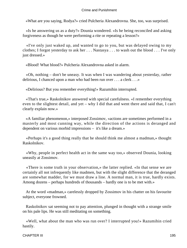«What are you saying, Rodya?» cried Pulcheria Alexandrovna. She, too, was surprised.

 «Is he answering us as a duty?» Dounia wondered. «Is he being reconciled and asking forgiveness as though he were performing a rite or repeating a lesson?»

 «I've only just waked up, and wanted to go to you, but was delayed owing to my clothes; I forgot yesterday to ask her . . . Nastasya . . . to wash out the blood . . . I've only just dressed.»

«Blood! What blood?» Pulcheria Alexandrovna asked in alarm.

 «Oh, nothing – don't be uneasy. It was when I was wandering about yesterday, rather delirious, I chanced upon a man who had been run over . . . a clerk . . .»

«Delirious? But you remember everything!» Razumihin interrupted.

 «That's true,» Raskolnikov answered with special carefulness. «I remember everything even to the slightest detail, and yet – why I did that and went there and said that, I can't clearly explain now.»

 «A familiar phenomenon,» interposed Zossimov, «actions are sometimes performed in a masterly and most cunning way, while the direction of the actions is deranged and dependent on various morbid impressions – it's like a dream.»

 «Perhaps it's a good thing really that he should think me almost a madman,» thought Raskolnikov.

 «Why, people in perfect health act in the same way too,» observed Dounia, looking uneasily at Zossimov.

 «There is some truth in your observation,» the latter replied. «In that sense we are certainly all not infrequently like madmen, but with the slight difference that the deranged are somewhat madder, for we must draw a line. A normal man, it is true, hardly exists. Among dozens – perhaps hundreds of thousands – hardly one is to be met with.»

 At the word «madman,» carelessly dropped by Zossimov in his chatter on his favourite subject, everyone frowned.

 Raskolnikov sat seeming not to pay attention, plunged in thought with a strange smile on his pale lips. He was still meditating on something.

 «Well, what about the man who was run over? I interrupted you!» Razumihin cried hastily.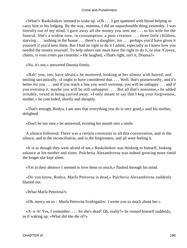«What?» Raskolnikov seemed to wake up. «Oh . . . I got spattered with blood helping to carry him to his lodging. By the way, mamma, I did an unpardonable thing yesterday. I was literally out of my mind. I gave away all the money you sent me . . . to his wife for the funeral. She's a widow now, in consumption, a poor creature . . . three little children, starving . . . nothing in the house . . . there's a daughter, too . . . perhaps you'd have given it yourself if you'd seen them. But I had no right to do it I admit, especially as I knew how you needed the money yourself. To help others one must have the right to do it, or else /Crevez, chiens, si vous n'etes pas contents/.» He laughed, «That's right, isn't it, Dounia?»

«No, it's not,» answered Dounia firmly.

 «Bah! you, too, have ideals,» he muttered, looking at her almost with hatred, and smiling sarcastically. «I ought to have considered that. . . . Well, that's praiseworthy, and it's better for you . . . and if you reach a line you won't overstep, you will be unhappy . . . and if you overstep it, maybe you will be still unhappier. . . . But all that's nonsense,» he added irritably, vexed at being carried away. «I only meant to say that I beg your forgiveness, mother,» he concluded, shortly and abruptly.

 «That's enough, Rodya, I am sure that everything you do is very good,» said his mother, delighted.

«Don't be too sure,» he answered, twisting his mouth into a smile.

 A silence followed. There was a certain constraint in all this conversation, and in the silence, and in the reconciliation, and in the forgiveness, and all were feeling it.

 «It is as though they were afraid of me,» Raskolnikov was thinking to himself, looking askance at his mother and sister. Pulcheria Alexandrovna was indeed growing more timid the longer she kept silent.

«Yet in their absence I seemed to love them so much,» flashed through his mind.

 «Do you know, Rodya, Marfa Petrovna is dead,» Pulcheria Alexandrovna suddenly blurted out.

«What Marfa Petrovna?»

«Oh, mercy on us – Marfa Petrovna Svidrigailov. I wrote you so much about her.»

 «A−a−h! Yes, I remember. . . . So she's dead! Oh, really?» he roused himself suddenly, as if waking up. «What did she die of?»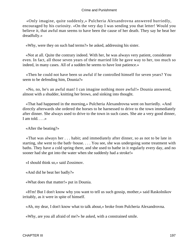«Only imagine, quite suddenly,» Pulcheria Alexandrovna answered hurriedly, encouraged by his curiosity. «On the very day I was sending you that letter! Would you believe it, that awful man seems to have been the cause of her death. They say he beat her dreadfully.»

«Why, were they on such bad terms?» he asked, addressing his sister.

 «Not at all. Quite the contrary indeed. With her, he was always very patient, considerate even. In fact, all those seven years of their married life he gave way to her, too much so indeed, in many cases. All of a sudden he seems to have lost patience.»

 «Then he could not have been so awful if he controlled himself for seven years? You seem to be defending him, Dounia?»

 «No, no, he's an awful man! I can imagine nothing more awful!» Dounia answered, almost with a shudder, knitting her brows, and sinking into thought.

 «That had happened in the morning,» Pulcheria Alexandrovna went on hurriedly. «And directly afterwards she ordered the horses to be harnessed to drive to the town immediately after dinner. She always used to drive to the town in such cases. She ate a very good dinner, I am told. . . .»

«After the beating?»

 «That was always her . . . habit; and immediately after dinner, so as not to be late in starting, she went to the bath−house. . . . You see, she was undergoing some treatment with baths. They have a cold spring there, and she used to bathe in it regularly every day, and no sooner had she got into the water when she suddenly had a stroke!»

«I should think so,» said Zossimov.

«And did he beat her badly?»

«What does that matter!» put in Dounia.

 «H'm! But I don't know why you want to tell us such gossip, mother,» said Raskolnikov irritably, as it were in spite of himself.

«Ah, my dear, I don't know what to talk about,» broke from Pulcheria Alexandrovna.

«Why, are you all afraid of me?» he asked, with a constrained smile.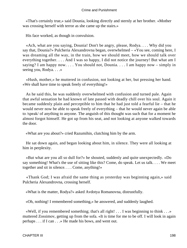«That's certainly true,» said Dounia, looking directly and sternly at her brother. «Mother was crossing herself with terror as she came up the stairs.»

His face worked, as though in convulsion.

 «Ach, what are you saying, Dounia! Don't be angry, please, Rodya. . . . Why did you say that, Dounia?» Pulcheria Alexandrovna began, overwhelmed – «You see, coming here, I was dreaming all the way, in the train, how we should meet, how we should talk over everything together. . . . And I was so happy, I did not notice the journey! But what am I saying? I am happy now. . . . You should not, Dounia. . . . I am happy now – simply in seeing you, Rodya. . . .»

 «Hush, mother,» he muttered in confusion, not looking at her, but pressing her hand. «We shall have time to speak freely of everything!»

 As he said this, he was suddenly overwhelmed with confusion and turned pale. Again that awful sensation he had known of late passed with deadly chill over his soul. Again it became suddenly plain and perceptible to him that he had just told a fearful lie – that he would never now be able to speak freely of everything – that he would never again be able to /speak/ of anything to anyone. The anguish of this thought was such that for a moment he almost forgot himself. He got up from his seat, and not looking at anyone walked towards the door.

«What are you about?» cried Razumihin, clutching him by the arm.

 He sat down again, and began looking about him, in silence. They were all looking at him in perplexity.

 «But what are you all so dull for?» he shouted, suddenly and quite unexpectedly. «Do say something! What's the use of sitting like this? Come, do speak. Let us talk. . . . We meet together and sit in silence. . . . Come, anything!»

 «Thank God; I was afraid the same thing as yesterday was beginning again,» said Pulcheria Alexandrovna, crossing herself.

«What is the matter, Rodya?» asked Avdotya Romanovna, distrustfully.

«Oh, nothing! I remembered something,» he answered, and suddenly laughed.

 «Well, if you remembered something; that's all right! . . . I was beginning to think . . .» muttered Zossimov, getting up from the sofa. «It is time for me to be off. I will look in again perhaps . . . if I can . . .» He made his bows, and went out.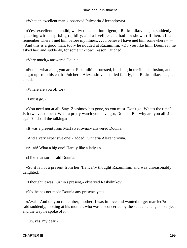«What an excellent man!» observed Pulcheria Alexandrovna.

 «Yes, excellent, splendid, well−educated, intelligent,» Raskolnikov began, suddenly speaking with surprising rapidity, and a liveliness he had not shown till then. «I can't remember where I met him before my illness. . . . I believe I have met him somewhere  $- -$  . . . And this is a good man, too,» he nodded at Razumihin. «Do you like him, Dounia?» he asked her; and suddenly, for some unknown reason, laughed.

«Very much,» answered Dounia.

 «Foo! – what a pig you are!» Razumihin protested, blushing in terrible confusion, and he got up from his chair. Pulcheria Alexandrovna smiled faintly, but Raskolnikov laughed aloud.

«Where are you off to?»

«I must go.»

 «You need not at all. Stay. Zossimov has gone, so you must. Don't go. What's the time? Is it twelve o'clock? What a pretty watch you have got, Dounia. But why are you all silent again? I do all the talking.»

«It was a present from Marfa Petrovna,» answered Dounia.

«And a very expensive one!» added Pulcheria Alexandrovna.

«A−ah! What a big one! Hardly like a lady's.»

«I like that sort,» said Dounia.

 «So it is not a present from her /fiance/,» thought Razumihin, and was unreasonably delighted.

«I thought it was Luzhin's present,» observed Raskolnikov.

«No, he has not made Dounia any presents yet.»

 «A−ah! And do you remember, mother, I was in love and wanted to get married?» he said suddenly, looking at his mother, who was disconcerted by the sudden change of subject and the way he spoke of it.

«Oh, yes, my dear.»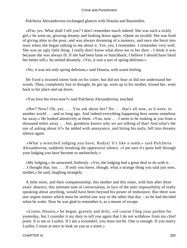Pulcheria Alexandrovna exchanged glances with Dounia and Razumihin.

 «H'm, yes. What shall I tell you? I don't remember much indeed. She was such a sickly girl,» he went on, growing dreamy and looking down again. «Quite an invalid. She was fond of giving alms to the poor, and was always dreaming of a nunnery, and once she burst into tears when she began talking to me about it. Yes, yes, I remember. I remember very well. She was an ugly little thing. I really don't know what drew me to her then – I think it was because she was always ill. If she had been lame or hunchback, I believe I should have liked her better still,» he smiled dreamily. «Yes, it was a sort of spring delirium.»

«No, it was not only spring delirium,» said Dounia, with warm feeling.

 He fixed a strained intent look on his sister, but did not hear or did not understand her words. Then, completely lost in thought, he got up, went up to his mother, kissed her, went back to his place and sat down.

«You love her even now?» said Pulcheria Alexandrovna, touched.

 «Her? Now? Oh, yes. . . . You ask about her? No . . . that's all now, as it were, in another world . . . and so long ago. And indeed everything happening here seems somehow far away.» He looked attentively at them. «You, now . . . I seem to be looking at you from a thousand miles away . . . but, goodness knows why we are talking of that! And what's the use of asking about it?» he added with annoyance, and biting his nails, fell into dreamy silence again.

 «What a wretched lodging you have, Rodya! It's like a tomb,» said Pulcheria Alexandrovna, suddenly breaking the oppressive silence. «I am sure it's quite half through your lodging you have become so melancholy.»

 «My lodging,» he answered, listlessly. «Yes, the lodging had a great deal to do with it. . . . I thought that, too. . . . If only you knew, though, what a strange thing you said just now, mother,» he said, laughing strangely.

 A little more, and their companionship, this mother and this sister, with him after three years' absence, this intimate tone of conversation, in face of the utter impossibility of really speaking about anything, would have been beyond his power of endurance. But there was one urgent matter which must be settled one way or the other that day – so he had decided when he woke. Now he was glad to remember it, as a means of escape.

 «Listen, Dounia,» he began, gravely and drily, «of course I beg your pardon for yesterday, but I consider it my duty to tell you again that I do not withdraw from my chief point. It is me or Luzhin. If I am a scoundrel, you must not be. One is enough. If you marry Luzhin, I cease at once to look on you as a sister.»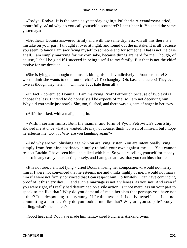«Rodya, Rodya! It is the same as yesterday again,» Pulcheria Alexandrovna cried, mournfully. «And why do you call yourself a scoundrel? I can't bear it. You said the same yesterday.»

 «Brother,» Dounia answered firmly and with the same dryness. «In all this there is a mistake on your part. I thought it over at night, and found out the mistake. It is all because you seem to fancy I am sacrificing myself to someone and for someone. That is not the case at all. I am simply marrying for my own sake, because things are hard for me. Though, of course, I shall be glad if I succeed in being useful to my family. But that is not the chief motive for my decision. . . .»

 «She is lying,» he thought to himself, biting his nails vindictively. «Proud creature! She won't admit she wants to do it out of charity! Too haughty! Oh, base characters! They even love as though they hate. . . . Oh, how I . . . hate them all!»

 «In fact,» continued Dounia, «I am marrying Pyotr Petrovitch because of two evils I choose the less. I intend to do honestly all he expects of me, so I am not deceiving him. . . . Why did you smile just now?» She, too, flushed, and there was a gleam of anger in her eyes.

«All?» he asked, with a malignant grin.

 «Within certain limits. Both the manner and form of Pyotr Petrovitch's courtship showed me at once what he wanted. He may, of course, think too well of himself, but I hope he esteems me, too. . . . Why are you laughing again?»

 «And why are you blushing again? You are lying, sister. You are intentionally lying, simply from feminine obstinacy, simply to hold your own against me. . . . You cannot respect Luzhin. I have seen him and talked with him. So you are selling yourself for money, and so in any case you are acting basely, and I am glad at least that you can blush for it.»

 «It is not true. I am not lying,» cried Dounia, losing her composure. «I would not marry him if I were not convinced that he esteems me and thinks highly of me. I would not marry him if I were not firmly convinced that I can respect him. Fortunately, I can have convincing proof of it this very day . . . and such a marriage is not a vileness, as you say! And even if you were right, if I really had determined on a vile action, is it not merciless on your part to speak to me like that? Why do you demand of me a heroism that perhaps you have not either? It is despotism; it is tyranny. If I ruin anyone, it is only myself. . . . I am not committing a murder. Why do you look at me like that? Why are you so pale? Rodya, darling, what's the matter?»

«Good heavens! You have made him faint,» cried Pulcheria Alexandrovna.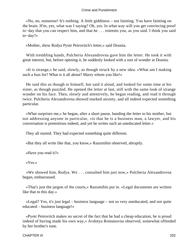«No, no, nonsense! It's nothing. A little giddiness – not fainting. You have fainting on the brain. H'm, yes, what was I saying? Oh, yes. In what way will you get convincing proof to−day that you can respect him, and that he . . . esteems you, as you said. I think you said to−day?»

«Mother, show Rodya Pyotr Petrovitch's letter,» said Dounia.

 With trembling hands, Pulcheria Alexandrovna gave him the letter. He took it with great interest, but, before opening it, he suddenly looked with a sort of wonder at Dounia.

 «It is strange,» he said, slowly, as though struck by a new idea. «What am I making such a fuss for? What is it all about? Marry whom you like!»

 He said this as though to himself, but said it aloud, and looked for some time at his sister, as though puzzled. He opened the letter at last, still with the same look of strange wonder on his face. Then, slowly and attentively, he began reading, and read it through twice. Pulcheria Alexandrovna showed marked anxiety, and all indeed expected something particular.

 «What surprises me,» he began, after a short pause, handing the letter to his mother, but not addressing anyone in particular, «is that he is a business man, a lawyer, and his conversation is pretentious indeed, and yet he writes such an uneducated letter.»

They all started. They had expected something quite different.

«But they all write like that, you know,» Razumihin observed, abruptly.

«Have you read it?»

«Yes.»

 «We showed him, Rodya. We . . . consulted him just now,» Pulcheria Alexandrovna began, embarrassed.

 «That's just the jargon of the courts,» Razumihin put in. «Legal documents are written like that to this day.»

 «Legal? Yes, it's just legal – business language – not so very uneducated, and not quite educated – business language!»

 «Pyotr Petrovitch makes no secret of the fact that he had a cheap education, he is proud indeed of having made his own way,» Avdotya Romanovna observed, somewhat offended by her brother's tone.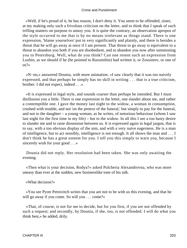«Well, if he's proud of it, he has reason, I don't deny it. You seem to be offended, sister, at my making only such a frivolous criticism on the letter, and to think that I speak of such trifling matters on purpose to annoy you. It is quite the contrary, an observation apropos of the style occurred to me that is by no means irrelevant as things stand. There is one expression, 'blame yourselves' put in very significantly and plainly, and there is besides a threat that he will go away at once if I am present. That threat to go away is equivalent to a threat to abandon you both if you are disobedient, and to abandon you now after summoning you to Petersburg. Well, what do you think? Can one resent such an expression from Luzhin, as we should if he (he pointed to Razumihin) had written it, or Zossimov, or one of us?»

 «N−no,» answered Dounia, with more animation. «I saw clearly that it was too naively expressed, and that perhaps he simply has no skill in writing . . . that is a true criticism, brother. I did not expect, indeed . . .»

 «It is expressed in legal style, and sounds coarser than perhaps he intended. But I must disillusion you a little. There is one expression in the letter, one slander about me, and rather a contemptible one. I gave the money last night to the widow, a woman in consumption, crushed with trouble, and not 'on the pretext of the funeral,' but simply to pay for the funeral, and not to the daughter – a young woman, as he writes, of notorious behaviour (whom I saw last night for the first time in my life) – but to the widow. In all this I see a too hasty desire to slander me and to raise dissension between us. It is expressed again in legal jargon, that is to say, with a too obvious display of the aim, and with a very naive eagerness. He is a man of intelligence, but to act sensibly, intelligence is not enough. It all shows the man and . . . I don't think he has a great esteem for you. I tell you this simply to warn you, because I sincerely wish for your good . . .»

 Dounia did not reply. Her resolution had been taken. She was only awaiting the evening.

 «Then what is your decision, Rodya?» asked Pulcheria Alexandrovna, who was more uneasy than ever at the sudden, new businesslike tone of his talk.

«What decision?»

 «You see Pyotr Petrovitch writes that you are not to be with us this evening, and that he will go away if you come. So will you . . . come?»

 «That, of course, is not for me to decide, but for you first, if you are not offended by such a request; and secondly, by Dounia, if she, too, is not offended. I will do what you think best,» he added, drily.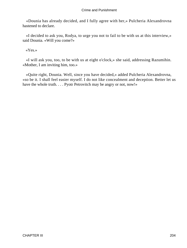«Dounia has already decided, and I fully agree with her,» Pulcheria Alexandrovna hastened to declare.

 «I decided to ask you, Rodya, to urge you not to fail to be with us at this interview,» said Dounia. «Will you come?»

«Yes.»

 «I will ask you, too, to be with us at eight o'clock,» she said, addressing Razumihin. «Mother, I am inviting him, too.»

 «Quite right, Dounia. Well, since you have decided,» added Pulcheria Alexandrovna, «so be it. I shall feel easier myself. I do not like concealment and deception. Better let us have the whole truth. . . . Pyotr Petrovitch may be angry or not, now!»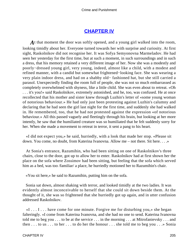# **[CHAPTER IV](#page-466-0)**

A t that moment the door was softly opened, and a young girl walked into the room, looking timidly about her. Everyone turned towards her with surprise and curiosity. At first sight, Raskolnikov did not recognise her. It was Sofya Semyonovna Marmeladov. He had seen her yesterday for the first time, but at such a moment, in such surroundings and in such a dress, that his memory retained a very different image of her. Now she was a modestly and poorly−dressed young girl, very young, indeed, almost like a child, with a modest and refined manner, with a candid but somewhat frightened−looking face. She was wearing a very plain indoor dress, and had on a shabby old− fashioned hat, but she still carried a parasol. Unexpectedly finding the room full of people, she was not so much embarrassed as completely overwhelmed with shyness, like a little child. She was even about to retreat. «Oh . . . it's you!» said Raskolnikov, extremely astonished, and he, too, was confused. He at once recollected that his mother and sister knew through Luzhin's letter of «some young woman of notorious behaviour.» He had only just been protesting against Luzhin's calumny and declaring that he had seen the girl last night for the first time, and suddenly she had walked in. He remembered, too, that he had not protested against the expression «of notorious behaviour.» All this passed vaguely and fleetingly through his brain, but looking at her more intently, he saw that the humiliated creature was so humiliated that he felt suddenly sorry for her. When she made a movement to retreat in terror, it sent a pang to his heart.

 «I did not expect you,» he said, hurriedly, with a look that made her stop. «Please sit down. You come, no doubt, from Katerina Ivanovna. Allow me – not there. Sit here. . . .»

 At Sonia's entrance, Razumihin, who had been sitting on one of Raskolnikov's three chairs, close to the door, got up to allow her to enter. Raskolnikov had at first shown her the place on the sofa where Zossimov had been sitting, but feeling that the sofa which served him as a bed, was too /familiar/ a place, he hurriedly motioned her to Razumihin's chair.

«You sit here,» he said to Razumihin, putting him on the sofa.

 Sonia sat down, almost shaking with terror, and looked timidly at the two ladies. It was evidently almost inconceivable to herself that she could sit down beside them. At the thought of it, she was so frightened that she hurriedly got up again, and in utter confusion addressed Raskolnikov.

 $\ll 1$ ... I... have come for one minute. Forgive me for disturbing you,  $\gg$  she began falteringly. «I come from Katerina Ivanovna, and she had no one to send. Katerina Ivanovna told me to beg you . . . to be at the service . . . in the morning . . . at Mitrofanievsky . . . and then . . . to us . . . to her . . . to do her the honour . . . she told me to beg you . . .» Sonia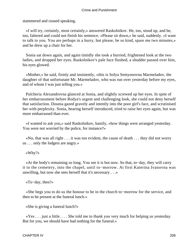stammered and ceased speaking.

 «I will try, certainly, most certainly,» answered Raskolnikov. He, too, stood up, and he, too, faltered and could not finish his sentence. «Please sit down,» he said, suddenly. «I want to talk to you. You are perhaps in a hurry, but please, be so kind, spare me two minutes,» and he drew up a chair for her.

 Sonia sat down again, and again timidly she took a hurried, frightened look at the two ladies, and dropped her eyes. Raskolnikov's pale face flushed, a shudder passed over him, his eyes glowed.

 «Mother,» he said, firmly and insistently, «this is Sofya Semyonovna Marmeladov, the daughter of that unfortunate Mr. Marmeladov, who was run over yesterday before my eyes, and of whom I was just telling you.»

 Pulcheria Alexandrovna glanced at Sonia, and slightly screwed up her eyes. In spite of her embarrassment before Rodya's urgent and challenging look, she could not deny herself that satisfaction. Dounia gazed gravely and intently into the poor girl's face, and scrutinised her with perplexity. Sonia, hearing herself introduced, tried to raise her eyes again, but was more embarrassed than ever.

 «I wanted to ask you,» said Raskolnikov, hastily, «how things were arranged yesterday. You were not worried by the police, for instance?»

 «No, that was all right . . . it was too evident, the cause of death . . . they did not worry us . . . only the lodgers are angry.»

«Why?»

 «At the body's remaining so long. You see it is hot now. So that, to−day, they will carry it to the cemetery, into the chapel, until to−morrow. At first Katerina Ivanovna was unwilling, but now she sees herself that it's necessary . . .»

«To−day, then?»

 «She begs you to do us the honour to be in the church to−morrow for the service, and then to be present at the funeral lunch.»

«She is giving a funeral lunch?»

 «Yes . . . just a little. . . . She told me to thank you very much for helping us yesterday. But for you, we should have had nothing for the funeral.»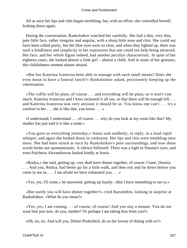All at once her lips and chin began trembling, but, with an effort, she controlled herself, looking down again.

 During the conversation, Raskolnikov watched her carefully. She had a thin, very thin, pale little face, rather irregular and angular, with a sharp little nose and chin. She could not have been called pretty, but her blue eyes were so clear, and when they lighted up, there was such a kindliness and simplicity in her expression that one could not help being attracted. Her face, and her whole figure indeed, had another peculiar characteristic. In spite of her eighteen years, she looked almost a little girl – almost a child. And in some of her gestures, this childishness seemed almost absurd.

 «But has Katerina Ivanovna been able to manage with such small means? Does she even mean to have a funeral lunch?» Raskolnikov asked, persistently keeping up the conversation.

 «The coffin will be plain, of course . . . and everything will be plain, so it won't cost much. Katerina Ivanovna and I have reckoned it all out, so that there will be enough left . . . and Katerina Ivanovna was very anxious it should be so. You know one can't . . . it's a comfort to her . . . she is like that, you know. . . .»

 «I understand, I understand . . . of course . . . why do you look at my room like that? My mother has just said it is like a tomb.»

 «You gave us everything yesterday,» Sonia said suddenly, in reply, in a loud rapid whisper; and again she looked down in confusion. Her lips and chin were trembling once more. She had been struck at once by Raskolnikov's poor surroundings, and now these words broke out spontaneously. A silence followed. There was a light in Dounia's eyes, and even Pulcheria Alexandrovna looked kindly at Sonia.

 «Rodya,» she said, getting up, «we shall have dinner together, of course. Come, Dounia. . . . And you, Rodya, had better go for a little walk, and then rest and lie down before you come to see us. . . . I am afraid we have exhausted you. . . .»

«Yes, yes, I'll come,» he answered, getting up fussily. «But I have something to see to.»

 «But surely you will have dinner together?» cried Razumihin, looking in surprise at Raskolnikov. «What do you mean?»

 «Yes, yes, I am coming . . . of course, of course! And you stay a minute. You do not want him just now, do you, mother? Or perhaps I am taking him from you?»

«Oh, no, no. And will you, Dmitri Prokofitch, do us the favour of dining with us?»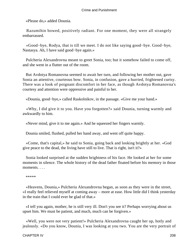«Please do,» added Dounia.

 Razumihin bowed, positively radiant. For one moment, they were all strangely embarrassed.

 «Good−bye, Rodya, that is till we meet. I do not like saying good−bye. Good−bye, Nastasya. Ah, I have said good−bye again.»

 Pulcheria Alexandrovna meant to greet Sonia, too; but it somehow failed to come off, and she went in a flutter out of the room.

 But Avdotya Romanovna seemed to await her turn, and following her mother out, gave Sonia an attentive, courteous bow. Sonia, in confusion, gave a hurried, frightened curtsy. There was a look of poignant discomfort in her face, as though Avdotya Romanovna's courtesy and attention were oppressive and painful to her.

«Dounia, good−bye,» called Raskolnikov, in the passage. «Give me your hand.»

 «Why, I did give it to you. Have you forgotten?» said Dounia, turning warmly and awkwardly to him.

«Never mind, give it to me again.» And he squeezed her fingers warmly.

Dounia smiled, flushed, pulled her hand away, and went off quite happy.

 «Come, that's capital,» he said to Sonia, going back and looking brightly at her. «God give peace to the dead, the living have still to live. That is right, isn't it?»

 Sonia looked surprised at the sudden brightness of his face. He looked at her for some moments in silence. The whole history of the dead father floated before his memory in those moments. . . .

\*\*\*\*\*

 «Heavens, Dounia,» Pulcheria Alexandrovna began, as soon as they were in the street, «I really feel relieved myself at coming away – more at ease. How little did I think yesterday in the train that I could ever be glad of that.»

 «I tell you again, mother, he is still very ill. Don't you see it? Perhaps worrying about us upset him. We must be patient, and much, much can be forgiven.»

 «Well, you were not very patient!» Pulcheria Alexandrovna caught her up, hotly and jealously. «Do you know, Dounia, I was looking at you two. You are the very portrait of

CHAPTER IV 208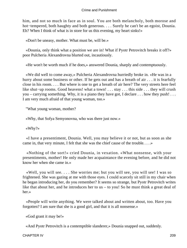him, and not so much in face as in soul. You are both melancholy, both morose and hot−tempered, both haughty and both generous. . . . Surely he can't be an egoist, Dounia. Eh? When I think of what is in store for us this evening, my heart sinks!»

«Don't be uneasy, mother. What must be, will be.»

 «Dounia, only think what a position we are in! What if Pyotr Petrovitch breaks it off?» poor Pulcheria Alexandrovna blurted out, incautiously.

«He won't be worth much if he does,» answered Dounia, sharply and contemptuously.

 «We did well to come away,» Pulcheria Alexandrovna hurriedly broke in. «He was in a hurry about some business or other. If he gets out and has a breath of air . . . it is fearfully close in his room. . . . But where is one to get a breath of air here? The very streets here feel like shut−up rooms. Good heavens! what a town! . . . stay . . . this side . . . they will crush you – carrying something. Why, it is a piano they have got, I declare . . . how they push! . . . I am very much afraid of that young woman, too.»

"What young woman, mother?

«Why, that Sofya Semyonovna, who was there just now.»

«Why?»

 «I have a presentiment, Dounia. Well, you may believe it or not, but as soon as she came in, that very minute, I felt that she was the chief cause of the trouble. . . .»

 «Nothing of the sort!» cried Dounia, in vexation. «What nonsense, with your presentiments, mother! He only made her acquaintance the evening before, and he did not know her when she came in.»

 «Well, you will see. . . . She worries me; but you will see, you will see! I was so frightened. She was gazing at me with those eyes. I could scarcely sit still in my chair when he began introducing her, do you remember? It seems so strange, but Pyotr Petrovitch writes like that about her, and he introduces her to us – to you! So he must think a great deal of her.»

 «People will write anything. We were talked about and written about, too. Have you forgotten? I am sure that she is a good girl, and that it is all nonsense.»

«God grant it may be!»

«And Pyotr Petrovitch is a contemptible slanderer,» Dounia snapped out, suddenly.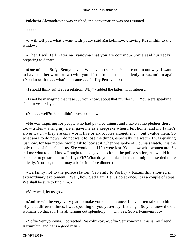Pulcheria Alexandrovna was crushed; the conversation was not resumed.

\*\*\*\*\*

 «I will tell you what I want with you,» said Raskolnikov, drawing Razumihin to the window.

 «Then I will tell Katerina Ivanovna that you are coming,» Sonia said hurriedly, preparing to depart.

 «One minute, Sofya Semyonovna. We have no secrets. You are not in our way. I want to have another word or two with you. Listen!» he turned suddenly to Razumihin again. «You know that . . . what's his name . . . Porfiry Petrovitch?»

«I should think so! He is a relation. Why?» added the latter, with interest.

 «Is not he managing that case . . . you know, about that murder? . . . You were speaking about it yesterday.»

«Yes . . . well?» Razumihin's eyes opened wide.

 «He was inquiring for people who had pawned things, and I have some pledges there, too – trifles – a ring my sister gave me as a keepsake when I left home, and my father's silver watch – they are only worth five or six roubles altogether . . . but I value them. So what am I to do now? I do not want to lose the things, especially the watch. I was quaking just now, for fear mother would ask to look at it, when we spoke of Dounia's watch. It is the only thing of father's left us. She would be ill if it were lost. You know what women are. So tell me what to do. I know I ought to have given notice at the police station, but would it not be better to go straight to Porfiry? Eh? What do you think? The matter might be settled more quickly. You see, mother may ask for it before dinner.»

 «Certainly not to the police station. Certainly to Porfiry,» Razumihin shouted in extraordinary excitement. «Well, how glad I am. Let us go at once. It is a couple of steps. We shall be sure to find him.»

«Very well, let us go.»

 «And he will be very, very glad to make your acquaintance. I have often talked to him of you at different times. I was speaking of you yesterday. Let us go. So you knew the old woman? So that's it! It is all turning out splendidly. . . . Oh, yes, Sofya Ivanovna . . .»

 «Sofya Semyonovna,» corrected Raskolnikov. «Sofya Semyonovna, this is my friend Razumihin, and he is a good man.»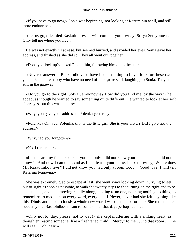«If you have to go now,» Sonia was beginning, not looking at Razumihin at all, and still more embarrassed.

 «Let us go,» decided Raskolnikov. «I will come to you to−day, Sofya Semyonovna. Only tell me where you live.»

 He was not exactly ill at ease, but seemed hurried, and avoided her eyes. Sonia gave her address, and flushed as she did so. They all went out together.

«Don't you lock up?» asked Razumihin, following him on to the stairs.

 «Never,» answered Raskolnikov. «I have been meaning to buy a lock for these two years. People are happy who have no need of locks,» he said, laughing, to Sonia. They stood still in the gateway.

 «Do you go to the right, Sofya Semyonovna? How did you find me, by the way?» he added, as though he wanted to say something quite different. He wanted to look at her soft clear eyes, but this was not easy.

«Why, you gave your address to Polenka yesterday.»

 «Polenka? Oh, yes; Polenka, that is the little girl. She is your sister? Did I give her the address?»

«Why, had you forgotten?»

«No, I remember.»

 «I had heard my father speak of you . . . only I did not know your name, and he did not know it. And now I came . . . and as I had learnt your name, I asked to−day, 'Where does Mr. Raskolnikov live?' I did not know you had only a room too. . . . Good−bye, I will tell Katerina Ivanovna.»

 She was extremely glad to escape at last; she went away looking down, hurrying to get out of sight as soon as possible, to walk the twenty steps to the turning on the right and to be at last alone, and then moving rapidly along, looking at no one, noticing nothing, to think, to remember, to meditate on every word, every detail. Never, never had she felt anything like this. Dimly and unconsciously a whole new world was opening before her. She remembered suddenly that Raskolnikov meant to come to her that day, perhaps at once!

 «Only not to−day, please, not to−day!» she kept muttering with a sinking heart, as though entreating someone, like a frightened child. «Mercy! to me . . . to that room . . . he will see . . . oh, dear!»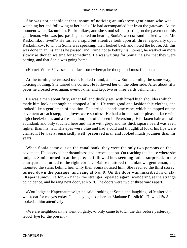She was not capable at that instant of noticing an unknown gentleman who was watching her and following at her heels. He had accompanied her from the gateway. At the moment when Razumihin, Raskolnikov, and she stood still at parting on the pavement, this gentleman, who was just passing, started on hearing Sonia's words: «and I asked where Mr. Raskolnikov lived?» He turned a rapid but attentive look upon all three, especially upon Raskolnikov, to whom Sonia was speaking; then looked back and noted the house. All this was done in an instant as he passed, and trying not to betray his interest, he walked on more slowly as though waiting for something. He was waiting for Sonia; he saw that they were parting, and that Sonia was going home.

«Home? Where? I've seen that face somewhere,» he thought. «I must find out.»

 At the turning he crossed over, looked round, and saw Sonia coming the same way, noticing nothing. She turned the corner. He followed her on the other side. After about fifty paces he crossed over again, overtook her and kept two or three yards behind her.

 He was a man about fifty, rather tall and thickly set, with broad high shoulders which made him look as though he stooped a little. He wore good and fashionable clothes, and looked like a gentleman of position. He carried a handsome cane, which he tapped on the pavement at each step; his gloves were spotless. He had a broad, rather pleasant face with high cheek−bones and a fresh colour, not often seen in Petersburg. His flaxen hair was still abundant, and only touched here and there with grey, and his thick square beard was even lighter than his hair. His eyes were blue and had a cold and thoughtful look; his lips were crimson. He was a remarkedly well−preserved man and looked much younger than his years.

 When Sonia came out on the canal bank, they were the only two persons on the pavement. He observed her dreaminess and preoccupation. On reaching the house where she lodged, Sonia turned in at the gate; he followed her, seeming rather surprised. In the courtyard she turned to the right corner. «Bah!» muttered the unknown gentleman, and mounted the stairs behind her. Only then Sonia noticed him. She reached the third storey, turned down the passage, and rang at No. 9. On the door was inscribed in chalk, «Kapernaumov, Tailor.» «Bah!» the stranger repeated again, wondering at the strange coincidence, and he rang next door, at No. 8. The doors were two or three yards apart.

 «You lodge at Kapernaumov's,» he said, looking at Sonia and laughing. «He altered a waistcoat for me yesterday. I am staying close here at Madame Resslich's. How odd!» Sonia looked at him attentively.

 «We are neighbours,» he went on gaily. «I only came to town the day before yesterday. Good−bye for the present.»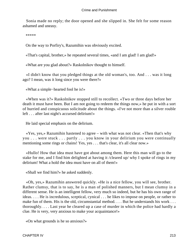Sonia made no reply; the door opened and she slipped in. She felt for some reason ashamed and uneasy.

\*\*\*\*\*

On the way to Porfiry's, Razumihin was obviously excited.

«That's capital, brother,» he repeated several times, «and I am glad! I am glad!»

«What are you glad about?» Raskolnikov thought to himself.

 «I didn't know that you pledged things at the old woman's, too. And . . . was it long ago? I mean, was it long since you were there?»

«What a simple−hearted fool he is!»

 «When was it?» Raskolnikov stopped still to recollect. «Two or three days before her death it must have been. But I am not going to redeem the things now,» he put in with a sort of hurried and conspicuous solicitude about the things. «I've not more than a silver rouble left . . . after last night's accursed delirium!»

He laid special emphasis on the delirium.

 «Yes, yes,» Razumihin hastened to agree – with what was not clear. «Then that's why you . . . were stuck . . . partly . . . you know in your delirium you were continually mentioning some rings or chains! Yes, yes . . . that's clear, it's all clear now.»

 «Hullo! How that idea must have got about among them. Here this man will go to the stake for me, and I find him delighted at having it /cleared up/ why I spoke of rings in my delirium! What a hold the idea must have on all of them!»

«Shall we find him?» he asked suddenly.

 «Oh, yes,» Razumihin answered quickly. «He is a nice fellow, you will see, brother. Rather clumsy, that is to say, he is a man of polished manners, but I mean clumsy in a different sense. He is an intelligent fellow, very much so indeed, but he has his own range of ideas. . . . He is incredulous, sceptical, cynical . . . he likes to impose on people, or rather to make fun of them. His is the old, circumstantial method. . . . But he understands his work . . . thoroughly. . . . Last year he cleared up a case of murder in which the police had hardly a clue. He is very, very anxious to make your acquaintance!»

«On what grounds is he so anxious?»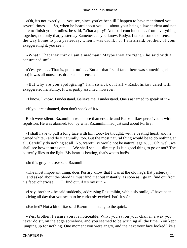«Oh, it's not exactly . . . you see, since you've been ill I happen to have mentioned you several times. . . . So, when he heard about you . . . about your being a law student and not able to finish your studies, he said, 'What a pity!' And so I concluded . . . from everything together, not only that; yesterday Zametov . . . you know, Rodya, I talked some nonsense on the way home to you yesterday, when I was drunk . . . I am afraid, brother, of your exaggerating it, you see.»

 «What? That they think I am a madman? Maybe they are right,» he said with a constrained smile.

 $\langle Yes, yes. \ldots$  That is, pooh, no!  $\ldots$  But all that I said (and there was something else too) it was all nonsense, drunken nonsense.»

 «But why are you apologising? I am so sick of it all!» Raskolnikov cried with exaggerated irritability. It was partly assumed, however.

«I know, I know, I understand. Believe me, I understand. One's ashamed to speak of it.»

«If you are ashamed, then don't speak of it.»

 Both were silent. Razumihin was more than ecstatic and Raskolnikov perceived it with repulsion. He was alarmed, too, by what Razumihin had just said about Porfiry.

 «I shall have to pull a long face with him too,» he thought, with a beating heart, and he turned white, «and do it naturally, too. But the most natural thing would be to do nothing at all. Carefully do nothing at all! No, /carefully/ would not be natural again. . . . Oh, well, we shall see how it turns out. . . . We shall see . . . directly. Is it a good thing to go or not? The butterfly flies to the light. My heart is beating, that's what's bad!»

«In this grey house,» said Razumihin.

 «The most important thing, does Porfiry know that I was at the old hag's flat yesterday . . . and asked about the blood? I must find that out instantly, as soon as I go in, find out from his face; otherwise . . . I'll find out, if it's my ruin.»

 «I say, brother,» he said suddenly, addressing Razumihin, with a sly smile, «I have been noticing all day that you seem to be curiously excited. Isn't it so?»

«Excited? Not a bit of it,» said Razumihin, stung to the quick.

 «Yes, brother, I assure you it's noticeable. Why, you sat on your chair in a way you never do sit, on the edge somehow, and you seemed to be writhing all the time. You kept jumping up for nothing. One moment you were angry, and the next your face looked like a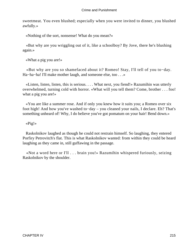sweetmeat. You even blushed; especially when you were invited to dinner, you blushed awfully.»

«Nothing of the sort, nonsense! What do you mean?»

 «But why are you wriggling out of it, like a schoolboy? By Jove, there he's blushing again.»

«What a pig you are!»

 «But why are you so shamefaced about it? Romeo! Stay, I'll tell of you to−day. Ha−ha−ha! I'll make mother laugh, and someone else, too . . .»

 «Listen, listen, listen, this is serious. . . . What next, you fiend!» Razumihin was utterly overwhelmed, turning cold with horror. «What will you tell them? Come, brother . . . foo! what a pig you are!»

 «You are like a summer rose. And if only you knew how it suits you; a Romeo over six foot high! And how you've washed to−day – you cleaned your nails, I declare. Eh? That's something unheard of! Why, I do believe you've got pomatum on your hair! Bend down.»

«Pig!»

 Raskolnikov laughed as though he could not restrain himself. So laughing, they entered Porfiry Petrovitch's flat. This is what Raskolnikov wanted: from within they could be heard laughing as they came in, still guffawing in the passage.

 «Not a word here or I'll . . . brain you!» Razumihin whispered furiously, seizing Raskolnikov by the shoulder.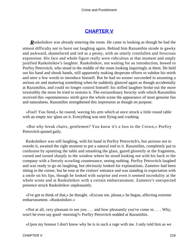## **[CHAPTER V](#page-466-0)**

*R*askolnikov was already entering the room. He came in looking as though he had the utmost difficulty not to burst out laughing again. Behind him Razumihin strode in gawky and awkward, shamefaced and red as a peony, with an utterly crestfallen and ferocious expression. His face and whole figure really were ridiculous at that moment and amply justified Raskolnikov's laughter. Raskolnikov, not waiting for an introduction, bowed to Porfiry Petrovitch, who stood in the middle of the room looking inquiringly at them. He held out his hand and shook hands, still apparently making desperate efforts to subdue his mirth and utter a few words to introduce himself. But he had no sooner succeeded in assuming a serious air and muttering something when he suddenly glanced again as though accidentally at Razumihin, and could no longer control himself: his stifled laughter broke out the more irresistibly the more he tried to restrain it. The extraordinary ferocity with which Razumihin received this «spontaneous» mirth gave the whole scene the appearance of most genuine fun and naturalness. Razumihin strengthened this impression as though on purpose.

 «Fool! You fiend,» he roared, waving his arm which at once struck a little round table with an empty tea−glass on it. Everything was sent flying and crashing.

 «But why break chairs, gentlemen? You know it's a loss to the Crown,» Porfiry Petrovitch quoted gaily.

 Raskolnikov was still laughing, with his hand in Porfiry Petrovitch's, but anxious not to overdo it, awaited the right moment to put a natural end to it. Razumihin, completely put to confusion by upsetting the table and smashing the glass, gazed gloomily at the fragments, cursed and turned sharply to the window where he stood looking out with his back to the company with a fiercely scowling countenance, seeing nothing. Porfiry Petrovitch laughed and was ready to go on laughing, but obviously looked for explanations. Zametov had been sitting in the corner, but he rose at the visitors' entrance and was standing in expectation with a smile on his lips, though he looked with surprise and even it seemed incredulity at the whole scene and at Raskolnikov with a certain embarrassment. Zametov's unexpected presence struck Raskolnikov unpleasantly.

 «I've got to think of that,» he thought. «Excuse me, please,» he began, affecting extreme embarrassment. «Raskolnikov.»

 «Not at all, very pleasant to see you . . . and how pleasantly you've come in. . . . Why, won't he even say good−morning?» Porfiry Petrovitch nodded at Razumihin.

«Upon my honour I don't know why he is in such a rage with me. I only told him as we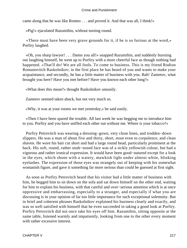came along that he was like Romeo . . . and proved it. And that was all, I think!»

«Pig!» ejaculated Razumihin, without turning round.

 «There must have been very grave grounds for it, if he is so furious at the word,» Porfiry laughed.

 «Oh, you sharp lawyer! . . . Damn you all!» snapped Razumihin, and suddenly bursting out laughing himself, he went up to Porfiry with a more cheerful face as though nothing had happened. «That'll do! We are all fools. To come to business. This is my friend Rodion Romanovitch Raskolnikov; in the first place he has heard of you and wants to make your acquaintance, and secondly, he has a little matter of business with you. Bah! Zametov, what brought you here? Have you met before? Have you known each other long?»

«What does this mean?» thought Raskolnikov uneasily.

Zametov seemed taken aback, but not very much so.

«Why, it was at your rooms we met yesterday,» he said easily.

 «Then I have been spared the trouble. All last week he was begging me to introduce him to you. Porfiry and you have sniffed each other out without me. Where is your tobacco?»

 Porfiry Petrovitch was wearing a dressing−gown, very clean linen, and trodden−down slippers. He was a man of about five and thirty, short, stout even to corpulence, and clean shaven. He wore his hair cut short and had a large round head, particularly prominent at the back. His soft, round, rather snub−nosed face was of a sickly yellowish colour, but had a vigorous and rather ironical expression. It would have been good−natured except for a look in the eyes, which shone with a watery, mawkish light under almost white, blinking eyelashes. The expression of those eyes was strangely out of keeping with his somewhat womanish figure, and gave it something far more serious than could be guessed at first sight.

 As soon as Porfiry Petrovitch heard that his visitor had a little matter of business with him, he begged him to sit down on the sofa and sat down himself on the other end, waiting for him to explain his business, with that careful and over−serious attention which is at once oppressive and embarrassing, especially to a stranger, and especially if what you are discussing is in your opinion of far too little importance for such exceptional solemnity. But in brief and coherent phrases Raskolnikov explained his business clearly and exactly, and was so well satisfied with himself that he even succeeded in taking a good look at Porfiry. Porfiry Petrovitch did not once take his eyes off him. Razumihin, sitting opposite at the same table, listened warmly and impatiently, looking from one to the other every moment with rather excessive interest.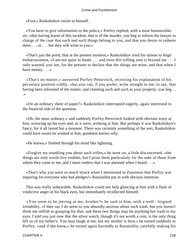«Fool,» Raskolnikov swore to himself.

 «You have to give information to the police,» Porfiry replied, with a most businesslike air, «that having learnt of this incident, that is of the murder, you beg to inform the lawyer in charge of the case that such and such things belong to you, and that you desire to redeem them . . . or . . . but they will write to you.»

 «That's just the point, that at the present moment,» Raskolnikov tried his utmost to feign embarrassment, «I am not quite in funds . . . and even this trifling sum is beyond me . . . I only wanted, you see, for the present to declare that the things are mine, and that when I have money.  $\dots$  »

 «That's no matter,» answered Porfiry Petrovitch, receiving his explanation of his pecuniary position coldly, «but you can, if you prefer, write straight to me, to say, that having been informed of the matter, and claiming such and such as your property, you beg... .»

 «On an ordinary sheet of paper?» Raskolnikov interrupted eagerly, again interested in the financial side of the question.

 «Oh, the most ordinary,» and suddenly Porfiry Petrovitch looked with obvious irony at him, screwing up his eyes and, as it were, winking at him. But perhaps it was Raskolnikov's fancy, for it all lasted but a moment. There was certainly something of the sort, Raskolnikov could have sworn he winked at him, goodness knows why.

«He knows,» flashed through his mind like lightning.

 «Forgive my troubling you about such trifles,» he went on, a little disconcerted, «the things are only worth five roubles, but I prize them particularly for the sake of those from whom they came to me, and I must confess that I was alarmed when I heard . . . »

 «That's why you were so much struck when I mentioned to Zossimov that Porfiry was inquiring for everyone who had pledges!» Razumihin put in with obvious intention.

 This was really unbearable. Raskolnikov could not help glancing at him with a flash of vindictive anger in his black eyes, but immediately recollected himself.

 «You seem to be jeering at me, brother?» he said to him, with a well− feigned irritability. «I dare say I do seem to you absurdly anxious about such trash; but you mustn't think me selfish or grasping for that, and these two things may be anything but trash in my eyes. I told you just now that the silver watch, though it's not worth a cent, is the only thing left us of my father's. You may laugh at me, but my mother is here,» he turned suddenly to Porfiry, «and if she knew,» he turned again hurriedly to Razumihin, carefully making his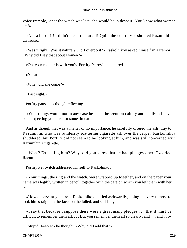voice tremble, «that the watch was lost, she would be in despair! You know what women are!»

 «Not a bit of it! I didn't mean that at all! Quite the contrary!» shouted Razumihin distressed.

 «Was it right? Was it natural? Did I overdo it?» Raskolnikov asked himself in a tremor. «Why did I say that about women?»

«Oh, your mother is with you?» Porfiry Petrovitch inquired.

«Yes.»

«When did she come?»

«Last night.»

Porfiry paused as though reflecting.

 «Your things would not in any case be lost,» he went on calmly and coldly. «I have been expecting you here for some time.»

 And as though that was a matter of no importance, he carefully offered the ash−tray to Razumihin, who was ruthlessly scattering cigarette ash over the carpet. Raskolnikov shuddered, but Porfiry did not seem to be looking at him, and was still concerned with Razumihin's cigarette.

 «What? Expecting him? Why, did you know that he had pledges /there/?» cried Razumihin.

Porfiry Petrovitch addressed himself to Raskolnikov.

 «Your things, the ring and the watch, were wrapped up together, and on the paper your name was legibly written in pencil, together with the date on which you left them with her ... .»

 «How observant you are!» Raskolnikov smiled awkwardly, doing his very utmost to look him straight in the face, but he failed, and suddenly added:

 «I say that because I suppose there were a great many pledges . . . that it must be difficult to remember them all. . . . But you remember them all so clearly, and . . . and . . . »

«Stupid! Feeble!» he thought. «Why did I add that?»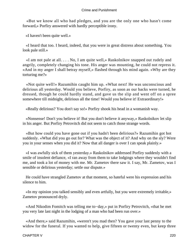«But we know all who had pledges, and you are the only one who hasn't come forward,» Porfiry answered with hardly perceptible irony.

«I haven't been quite well.»

 «I heard that too. I heard, indeed, that you were in great distress about something. You look pale still.»

 «I am not pale at all. . . . No, I am quite well,» Raskolnikov snapped out rudely and angrily, completely changing his tone. His anger was mounting, he could not repress it. «And in my anger I shall betray myself,» flashed through his mind again. «Why are they torturing me?»

 «Not quite well!» Razumihin caught him up. «What next! He was unconscious and delirious all yesterday. Would you believe, Porfiry, as soon as our backs were turned, he dressed, though he could hardly stand, and gave us the slip and went off on a spree somewhere till midnight, delirious all the time! Would you believe it! Extraordinary!»

«Really delirious? You don't say so!» Porfiry shook his head in a womanish way.

 «Nonsense! Don't you believe it! But you don't believe it anyway,» Raskolnikov let slip in his anger. But Porfiry Petrovitch did not seem to catch those strange words.

 «But how could you have gone out if you hadn't been delirious?» Razumihin got hot suddenly. «What did you go out for? What was the object of it? And why on the sly? Were you in your senses when you did it? Now that all danger is over I can speak plainly.»

 «I was awfully sick of them yesterday.» Raskolnikov addressed Porfiry suddenly with a smile of insolent defiance, «I ran away from them to take lodgings where they wouldn't find me, and took a lot of money with me. Mr. Zametov there saw it. I say, Mr. Zametov, was I sensible or delirious yesterday; settle our dispute.»

 He could have strangled Zametov at that moment, so hateful were his expression and his silence to him.

 «In my opinion you talked sensibly and even artfully, but you were extremely irritable,» Zametov pronounced dryly.

 «And Nikodim Fomitch was telling me to−day,» put in Porfiry Petrovitch, «that he met you very late last night in the lodging of a man who had been run over.»

 «And there,» said Razumihin, «weren't you mad then? You gave your last penny to the widow for the funeral. If you wanted to help, give fifteen or twenty even, but keep three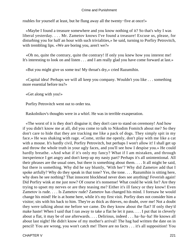roubles for yourself at least, but he flung away all the twenty−five at once!»

 «Maybe I found a treasure somewhere and you know nothing of it? So that's why I was liberal yesterday. . . . Mr. Zametov knows I've found a treasure! Excuse us, please, for disturbing you for half an hour with such trivialities,» he said, turning to Porfiry Petrovitch, with trembling lips. «We are boring you, aren't we?»

 «Oh no, quite the contrary, quite the contrary! If only you knew how you interest me! It's interesting to look on and listen . . . and I am really glad you have come forward at last.»

«But you might give us some tea! My throat's dry,» cried Razumihin.

 «Capital idea! Perhaps we will all keep you company. Wouldn't you like . . . something more essential before tea?»

«Get along with you!»

Porfiry Petrovitch went out to order tea.

Raskolnikov's thoughts were in a whirl. He was in terrible exasperation.

 «The worst of it is they don't disguise it; they don't care to stand on ceremony! And how if you didn't know me at all, did you come to talk to Nikodim Fomitch about me? So they don't care to hide that they are tracking me like a pack of dogs. They simply spit in my face.» He was shaking with rage. «Come, strike me openly, don't play with me like a cat with a mouse. It's hardly civil, Porfiry Petrovitch, but perhaps I won't allow it! I shall get up and throw the whole truth in your ugly faces, and you'll see how I despise you.» He could hardly breathe. «And what if it's only my fancy? What if I am mistaken, and through inexperience I get angry and don't keep up my nasty part? Perhaps it's all unintentional. All their phrases are the usual ones, but there is something about them. . . . It all might be said, but there is something. Why did he say bluntly, 'With her'? Why did Zametov add that I spoke artfully? Why do they speak in that tone? Yes, the tone. . . . Razumihin is sitting here, why does he see nothing? That innocent blockhead never does see anything! Feverish again! Did Porfiry wink at me just now? Of course it's nonsense! What could he wink for? Are they trying to upset my nerves or are they teasing me? Either it's ill fancy or they know! Even Zametov is rude. . . . Is Zametov rude? Zametov has changed his mind. I foresaw he would change his mind! He is at home here, while it's my first visit. Porfiry does not consider him a visitor; sits with his back to him. They're as thick as thieves, no doubt, over me! Not a doubt they were talking about me before we came. Do they know about the flat? If only they'd make haste! When I said that I ran away to take a flat he let it pass. . . . I put that in cleverly about a flat, it may be of use afterwards. . . . Delirious, indeed . . . ha−ha−ha! He knows all about last night! He didn't know of my mother's arrival! The hag had written the date on in pencil! You are wrong, you won't catch me! There are no facts . . . it's all supposition! You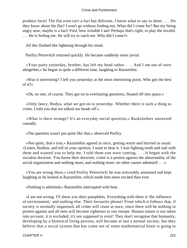produce facts! The flat even isn't a fact but delirium. I know what to say to them. . . . Do they know about the flat? I won't go without finding out. What did I come for? But my being angry now, maybe is a fact! Fool, how irritable I am! Perhaps that's right; to play the invalid. . . . He is feeling me. He will try to catch me. Why did I come?»

All this flashed like lightning through his mind.

Porfiry Petrovitch returned quickly. He became suddenly more jovial.

 «Your party yesterday, brother, has left my head rather. . . . And I am out of sorts altogether,» he began in quite a different tone, laughing to Razumihin.

 «Was it interesting? I left you yesterday at the most interesting point. Who got the best of it?»

«Oh, no one, of course. They got on to everlasting questions, floated off into space.»

 «Only fancy, Rodya, what we got on to yesterday. Whether there is such a thing as crime. I told you that we talked our heads off.»

 «What is there strange? It's an everyday social question,» Raskolnikov answered casually.

«The question wasn't put quite like that,» observed Porfiry.

 «Not quite, that's true,» Razumihin agreed at once, getting warm and hurried as usual. «Listen, Rodion, and tell us your opinion, I want to hear it. I was fighting tooth and nail with them and wanted you to help me. I told them you were coming. . . . It began with the socialist doctrine. You know their doctrine; crime is a protest against the abnormality of the social organisation and nothing more, and nothing more; no other causes admitted! . . .»

 «You are wrong there,» cried Porfiry Petrovitch; he was noticeably animated and kept laughing as he looked at Razumihin, which made him more excited than ever.

«Nothing is admitted,» Razumihin interrupted with heat.

 «I am not wrong. I'll show you their pamphlets. Everything with them is 'the influence of environment,' and nothing else. Their favourite phrase! From which it follows that, if society is normally organised, all crime will cease at once, since there will be nothing to protest against and all men will become righteous in one instant. Human nature is not taken into account, it is excluded, it's not supposed to exist! They don't recognise that humanity, developing by a historical living process, will become at last a normal society, but they believe that a social system that has come out of some mathematical brain is going to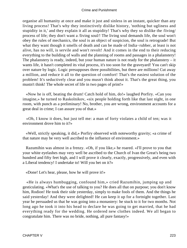organise all humanity at once and make it just and sinless in an instant, quicker than any living process! That's why they instinctively dislike history, 'nothing but ugliness and stupidity in it,' and they explain it all as stupidity! That's why they so dislike the /living/ process of life; they don't want a /living soul/! The living soul demands life, the soul won't obey the rules of mechanics, the soul is an object of suspicion, the soul is retrograde! But what they want though it smells of death and can be made of India−rubber, at least is not alive, has no will, is servile and won't revolt! And it comes in the end to their reducing everything to the building of walls and the planning of rooms and passages in a phalanstery! The phalanstery is ready, indeed, but your human nature is not ready for the phalanstery  $-$  it wants life, it hasn't completed its vital process, it's too soon for the graveyard! You can't skip over nature by logic. Logic presupposes three possibilities, but there are millions! Cut away a million, and reduce it all to the question of comfort! That's the easiest solution of the problem! It's seductively clear and you musn't think about it. That's the great thing, you mustn't think! The whole secret of life in two pages of print!»

 «Now he is off, beating the drum! Catch hold of him, do!» laughed Porfiry. «Can you imagine,» he turned to Raskolnikov, «six people holding forth like that last night, in one room, with punch as a preliminary! No, brother, you are wrong, environment accounts for a great deal in crime; I can assure you of that.»

 «Oh, I know it does, but just tell me: a man of forty violates a child of ten; was it environment drove him to it?»

 «Well, strictly speaking, it did,» Porfiry observed with noteworthy gravity; «a crime of that nature may be very well ascribed to the influence of environment.»

 Razumihin was almost in a frenzy. «Oh, if you like,» he roared. «I'll prove to you that your white eyelashes may very well be ascribed to the Church of Ivan the Great's being two hundred and fifty feet high, and I will prove it clearly, exactly, progressively, and even with a Liberal tendency! I undertake to! Will you bet on it?»

«Done! Let's hear, please, how he will prove it!»

 «He is always humbugging, confound him,» cried Razumihin, jumping up and gesticulating. «What's the use of talking to you? He does all that on purpose; you don't know him, Rodion! He took their side yesterday, simply to make fools of them. And the things he said yesterday! And they were delighted! He can keep it up for a fortnight together. Last year he persuaded us that he was going into a monastery: he stuck to it for two months. Not long ago he took it into his head to declare he was going to get married, that he had everything ready for the wedding. He ordered new clothes indeed. We all began to congratulate him. There was no bride, nothing, all pure fantasy!»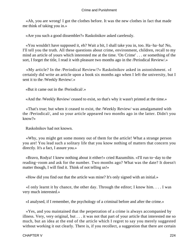«Ah, you are wrong! I got the clothes before. It was the new clothes in fact that made me think of taking you in.»

«Are you such a good dissembler?» Raskolnikov asked carelessly.

 «You wouldn't have supposed it, eh? Wait a bit, I shall take you in, too. Ha−ha−ha! No, I'll tell you the truth. All these questions about crime, environment, children, recall to my mind an article of yours which interested me at the time. 'On Crime' . . . or something of the sort, I forget the title, I read it with pleasure two months ago in the /Periodical Review/.»

 «My article? In the /Periodical Review/?» Raskolnikov asked in astonishment. «I certainly did write an article upon a book six months ago when I left the university, but I sent it to the /Weekly Review/.»

«But it came out in the /Periodical/.»

«And the /Weekly Review/ ceased to exist, so that's why it wasn't printed at the time.»

 «That's true; but when it ceased to exist, the /Weekly Review/ was amalgamated with the /Periodical/, and so your article appeared two months ago in the latter. Didn't you know?»

Raskolnikov had not known.

 «Why, you might get some money out of them for the article! What a strange person you are! You lead such a solitary life that you know nothing of matters that concern you directly. It's a fact, I assure you.»

 «Bravo, Rodya! I knew nothing about it either!» cried Razumihin. «I'll run to−day to the reading−room and ask for the number. Two months ago? What was the date? It doesn't matter though, I will find it. Think of not telling us!»

«How did you find out that the article was mine? It's only signed with an initial.»

 «I only learnt it by chance, the other day. Through the editor; I know him. . . . I was very much interested.»

«I analysed, if I remember, the psychology of a criminal before and after the crime.»

 «Yes, and you maintained that the perpetration of a crime is always accompanied by illness. Very, very original, but . . . it was not that part of your article that interested me so much, but an idea at the end of the article which I regret to say you merely suggested without working it out clearly. There is, if you recollect, a suggestion that there are certain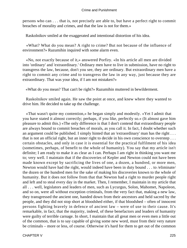persons who can . . . that is, not precisely are able to, but have a perfect right to commit breaches of morality and crimes, and that the law is not for them.»

Raskolnikov smiled at the exaggerated and intentional distortion of his idea.

 «What? What do you mean? A right to crime? But not because of the influence of environment?» Razumihin inquired with some alarm even.

 «No, not exactly because of it,» answered Porfiry. «In his article all men are divided into 'ordinary' and 'extraordinary.' Ordinary men have to live in submission, have no right to transgress the law, because, don't you see, they are ordinary. But extraordinary men have a right to commit any crime and to transgress the law in any way, just because they are extraordinary. That was your idea, if I am not mistaken?»

«What do you mean? That can't be right?» Razumihin muttered in bewilderment.

 Raskolnikov smiled again. He saw the point at once, and knew where they wanted to drive him. He decided to take up the challenge.

 «That wasn't quite my contention,» he began simply and modestly. «Yet I admit that you have stated it almost correctly; perhaps, if you like, perfectly so.» (It almost gave him pleasure to admit this.) «The only difference is that I don't contend that extraordinary people are always bound to commit breaches of morals, as you call it. In fact, I doubt whether such an argument could be published. I simply hinted that an 'extraordinary' man has the right . . . that is not an official right, but an inner right to decide in his own conscience to overstep . . . certain obstacles, and only in case it is essential for the practical fulfilment of his idea (sometimes, perhaps, of benefit to the whole of humanity). You say that my article isn't definite; I am ready to make it as clear as I can. Perhaps I am right in thinking you want me to; very well. I maintain that if the discoveries of Kepler and Newton could not have been made known except by sacrificing the lives of one, a dozen, a hundred, or more men, Newton would have had the right, would indeed have been in duty bound . . . to /eliminate/ the dozen or the hundred men for the sake of making his discoveries known to the whole of humanity. But it does not follow from that that Newton had a right to murder people right and left and to steal every day in the market. Then, I remember, I maintain in my article that all . . . well, legislators and leaders of men, such as Lycurgus, Solon, Mahomet, Napoleon, and so on, were all without exception criminals, from the very fact that, making a new law, they transgressed the ancient one, handed down from their ancestors and held sacred by the people, and they did not stop short at bloodshed either, if that bloodshed – often of innocent persons fighting bravely in defence of ancient law – were of use to their cause. It's remarkable, in fact, that the majority, indeed, of these benefactors and leaders of humanity were guilty of terrible carnage. In short, I maintain that all great men or even men a little out of the common, that is to say capable of giving some new word, must from their very nature be criminals – more or less, of course. Otherwise it's hard for them to get out of the common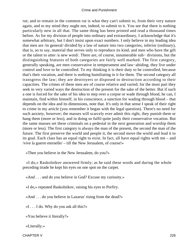rut; and to remain in the common rut is what they can't submit to, from their very nature again, and to my mind they ought not, indeed, to submit to it. You see that there is nothing particularly new in all that. The same thing has been printed and read a thousand times before. As for my division of people into ordinary and extraordinary, I acknowledge that it's somewhat arbitrary, but I don't insist upon exact numbers. I only believe in my leading idea that men are /in general/ divided by a law of nature into two categories, inferior (ordinary), that is, so to say, material that serves only to reproduce its kind, and men who have the gift or the talent to utter /a new word/. There are, of course, innumerable sub− divisions, but the distinguishing features of both categories are fairly well marked. The first category, generally speaking, are men conservative in temperament and law−abiding; they live under control and love to be controlled. To my thinking it is their duty to be controlled, because that's their vocation, and there is nothing humiliating in it for them. The second category all transgress the law; they are destroyers or disposed to destruction according to their capacities. The crimes of these men are of course relative and varied; for the most part they seek in very varied ways the destruction of the present for the sake of the better. But if such a one is forced for the sake of his idea to step over a corpse or wade through blood, he can, I maintain, find within himself, in his conscience, a sanction for wading through blood – that depends on the idea and its dimensions, note that. It's only in that sense I speak of their right to crime in my article (you remember it began with the legal question). There's no need for such anxiety, however; the masses will scarcely ever admit this right, they punish them or hang them (more or less), and in doing so fulfil quite justly their conservative vocation. But the same masses set these criminals on a pedestal in the next generation and worship them (more or less). The first category is always the man of the present, the second the man of the future. The first preserve the world and people it, the second move the world and lead it to its goal. Each class has an equal right to exist. In fact, all have equal rights with me – and /vive la guerre eternelle/ – till the New Jerusalem, of course!»

«Then you believe in the New Jerusalem, do you?»

 «I do,» Raskolnikov answered firmly; as he said these words and during the whole preceding tirade he kept his eyes on one spot on the carpet.

«And . . . and do you believe in God? Excuse my curiosity.»

«I do,» repeated Raskolnikov, raising his eyes to Porfiry.

«And . . . do you believe in Lazarus' rising from the dead?»

«I  $\dots$  I do. Why do you ask all this?»

«You believe it literally?»

«Literally.»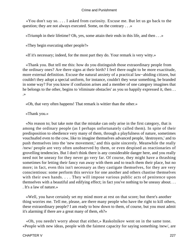«You don't say so. . . . I asked from curiosity. Excuse me. But let us go back to the question; they are not always executed. Some, on the contrary . . .»

«Triumph in their lifetime? Oh, yes, some attain their ends in this life, and then . . .»

«They begin executing other people?»

«If it's necessary; indeed, for the most part they do. Your remark is very witty.»

 «Thank you. But tell me this: how do you distinguish those extraordinary people from the ordinary ones? Are there signs at their birth? I feel there ought to be more exactitude, more external definition. Excuse the natural anxiety of a practical law−abiding citizen, but couldn't they adopt a special uniform, for instance, couldn't they wear something, be branded in some way? For you know if confusion arises and a member of one category imagines that he belongs to the other, begins to 'eliminate obstacles' as you so happily expressed it, then . . .»

«Oh, that very often happens! That remark is wittier than the other.»

«Thank you.»

 «No reason to; but take note that the mistake can only arise in the first category, that is among the ordinary people (as I perhaps unfortunately called them). In spite of their predisposition to obedience very many of them, through a playfulness of nature, sometimes vouchsafed even to the cow, like to imagine themselves advanced people, 'destroyers,' and to push themselves into the 'new movement,' and this quite sincerely. Meanwhile the really /new/ people are very often unobserved by them, or even despised as reactionaries of grovelling tendencies. But I don't think there is any considerable danger here, and you really need not be uneasy for they never go very far. Of course, they might have a thrashing sometimes for letting their fancy run away with them and to teach them their place, but no more; in fact, even this isn't necessary as they castigate themselves, for they are very conscientious: some perform this service for one another and others chastise themselves with their own hands. . . . They will impose various public acts of penitence upon themselves with a beautiful and edifying effect; in fact you've nothing to be uneasy about. . . . It's a law of nature.»

 «Well, you have certainly set my mind more at rest on that score; but there's another thing worries me. Tell me, please, are there many people who have the right to kill others, these extraordinary people? I am ready to bow down to them, of course, but you must admit it's alarming if there are a great many of them, eh?»

 «Oh, you needn't worry about that either,» Raskolnikov went on in the same tone. «People with new ideas, people with the faintest capacity for saying something /new/, are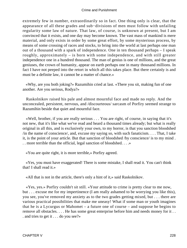extremely few in number, extraordinarily so in fact. One thing only is clear, that the appearance of all these grades and sub−divisions of men must follow with unfailing regularity some law of nature. That law, of course, is unknown at present, but I am convinced that it exists, and one day may become known. The vast mass of mankind is mere material, and only exists in order by some great effort, by some mysterious process, by means of some crossing of races and stocks, to bring into the world at last perhaps one man out of a thousand with a spark of independence. One in ten thousand perhaps – I speak roughly, approximately – is born with some independence, and with still greater independence one in a hundred thousand. The man of genius is one of millions, and the great geniuses, the crown of humanity, appear on earth perhaps one in many thousand millions. In fact I have not peeped into the retort in which all this takes place. But there certainly is and must be a definite law, it cannot be a matter of chance.»

 «Why, are you both joking?» Razumihin cried at last. «There you sit, making fun of one another. Are you serious, Rodya?»

 Raskolnikov raised his pale and almost mournful face and made no reply. And the unconcealed, persistent, nervous, and /discourteous/ sarcasm of Porfiry seemed strange to Razumihin beside that quiet and mournful face.

 «Well, brother, if you are really serious . . . You are right, of course, in saying that it's not new, that it's like what we've read and heard a thousand times already; but what is really original in all this, and is exclusively your own, to my horror, is that you sanction bloodshed  $\gamma$  /in the name of conscience/, and, excuse my saying so, with such fanaticism. . . . That, I take it, is the point of your article. But that sanction of bloodshed /by conscience/ is to my mind . . . more terrible than the official, legal sanction of bloodshed. . . .»

«You are quite right, it is more terrible,» Porfiry agreed.

 «Yes, you must have exaggerated! There is some mistake, I shall read it. You can't think that! I shall read it.»

«All that is not in the article, there's only a hint of it,» said Raskolnikov.

 «Yes, yes.» Porfiry couldn't sit still. «Your attitude to crime is pretty clear to me now, but . . . excuse me for my impertinence (I am really ashamed to be worrying you like this), you see, you've removed my anxiety as to the two grades getting mixed, but . . . there are various practical possibilities that make me uneasy! What if some man or youth imagines that he is a Lycurgus or Mahomet – a future one of course – and suppose he begins to remove all obstacles. . . . He has some great enterprise before him and needs money for it . . . and tries to get it . . . do you see?»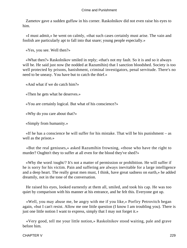Zametov gave a sudden guffaw in his corner. Raskolnikov did not even raise his eyes to him.

 «I must admit,» he went on calmly, «that such cases certainly must arise. The vain and foolish are particularly apt to fall into that snare; young people especially.»

«Yes, you see. Well then?»

 «What then?» Raskolnikov smiled in reply; «that's not my fault. So it is and so it always will be. He said just now (he nodded at Razumihin) that I sanction bloodshed. Society is too well protected by prisons, banishment, criminal investigators, penal servitude. There's no need to be uneasy. You have but to catch the thief.»

«And what if we do catch him?»

«Then he gets what he deserves.»

«You are certainly logical. But what of his conscience?»

«Why do you care about that?»

«Simply from humanity.»

 «If he has a conscience he will suffer for his mistake. That will be his punishment – as well as the prison.»

 «But the real geniuses,» asked Razumihin frowning, «those who have the right to murder? Oughtn't they to suffer at all even for the blood they've shed?»

 «Why the word /ought/? It's not a matter of permission or prohibition. He will suffer if he is sorry for his victim. Pain and suffering are always inevitable for a large intelligence and a deep heart. The really great men must, I think, have great sadness on earth,» he added dreamily, not in the tone of the conversation.

 He raised his eyes, looked earnestly at them all, smiled, and took his cap. He was too quiet by comparison with his manner at his entrance, and he felt this. Everyone got up.

 «Well, you may abuse me, be angry with me if you like,» Porfiry Petrovitch began again, «but I can't resist. Allow me one little question (I know I am troubling you). There is just one little notion I want to express, simply that I may not forget it.»

 «Very good, tell me your little notion,» Raskolnikov stood waiting, pale and grave before him.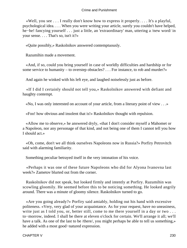«Well, you see . . . I really don't know how to express it properly. . . . It's a playful, psychological idea. . . . When you were writing your article, surely you couldn't have helped, he−he! fancying yourself . . . just a little, an 'extraordinary' man, uttering a /new word/ in your sense. . . . That's so, isn't it?»

«Quite possibly,» Raskolnikov answered contemptuously.

Razumihin made a movement.

 «And, if so, could you bring yourself in case of worldly difficulties and hardship or for some service to humanity – to overstep obstacles? . . . For instance, to rob and murder?»

And again he winked with his left eye, and laughed noiselessly just as before.

 «If I did I certainly should not tell you,» Raskolnikov answered with defiant and haughty contempt.

«No, I was only interested on account of your article, from a literary point of view . . .»

«Foo! how obvious and insolent that is!» Raskolnikov thought with repulsion.

 «Allow me to observe,» he answered dryly, «that I don't consider myself a Mahomet or a Napoleon, nor any personage of that kind, and not being one of them I cannot tell you how I should act.»

 «Oh, come, don't we all think ourselves Napoleons now in Russia?» Porfiry Petrovitch said with alarming familiarity.

Something peculiar betrayed itself in the very intonation of his voice.

 «Perhaps it was one of these future Napoleons who did for Alyona Ivanovna last week?» Zametov blurted out from the corner.

 Raskolnikov did not speak, but looked firmly and intently at Porfiry. Razumihin was scowling gloomily. He seemed before this to be noticing something. He looked angrily around. There was a minute of gloomy silence. Raskolnikov turned to go.

 «Are you going already?» Porfiry said amiably, holding out his hand with excessive politeness. «Very, very glad of your acquaintance. As for your request, have no uneasiness, write just as I told you, or, better still, come to me there yourself in a day or two . . . to−morrow, indeed. I shall be there at eleven o'clock for certain. We'll arrange it all; we'll have a talk. As one of the last to be /there/, you might perhaps be able to tell us something,» he added with a most good−natured expression.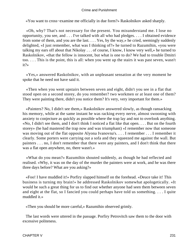«You want to cross−examine me officially in due form?» Raskolnikov asked sharply.

 «Oh, why? That's not necessary for the present. You misunderstand me. I lose no opportunity, you see, and . . . I've talked with all who had pledges. . . . I obtained evidence from some of them, and you are the last. . . . Yes, by the way,» he cried, seemingly suddenly delighted, «I just remember, what was I thinking of?» he turned to Razumihin, «you were talking my ears off about that Nikolay . . . of course, I know, I know very well,» he turned to Raskolnikov, «that the fellow is innocent, but what is one to do? We had to trouble Dmitri too. . . . This is the point, this is all: when you went up the stairs it was past seven, wasn't it?»

 «Yes,» answered Raskolnikov, with an unpleasant sensation at the very moment he spoke that he need not have said it.

 «Then when you went upstairs between seven and eight, didn't you see in a flat that stood open on a second storey, do you remember? two workmen or at least one of them? They were painting there, didn't you notice them? It's very, very important for them.»

 «Painters? No, I didn't see them,» Raskolnikov answered slowly, as though ransacking his memory, while at the same instant he was racking every nerve, almost swooning with anxiety to conjecture as quickly as possible where the trap lay and not to overlook anything. «No, I didn't see them, and I don't think I noticed a flat like that open. . . . But on the fourth storey» (he had mastered the trap now and was triumphant) «I remember now that someone was moving out of the flat opposite Alyona Ivanovna's. . . . I remember . . . I remember it clearly. Some porters were carrying out a sofa and they squeezed me against the wall. But painters . . . no, I don't remember that there were any painters, and I don't think that there was a flat open anywhere, no, there wasn't.»

 «What do you mean?» Razumihin shouted suddenly, as though he had reflected and realised. «Why, it was on the day of the murder the painters were at work, and he was there three days before? What are you asking?»

 «Foo! I have muddled it!» Porfiry slapped himself on the forehead. «Deuce take it! This business is turning my brain!» he addressed Raskolnikov somewhat apologetically. «It would be such a great thing for us to find out whether anyone had seen them between seven and eight at the flat, so I fancied you could perhaps have told us something. . . . I quite muddled it.»

«Then you should be more careful,» Razumihin observed grimly.

 The last words were uttered in the passage. Porfiry Petrovitch saw them to the door with excessive politeness.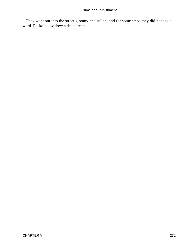They went out into the street gloomy and sullen, and for some steps they did not say a word. Raskolnikov drew a deep breath.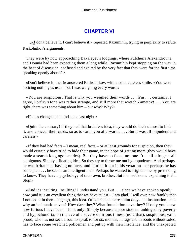# **[CHAPTER VI](#page-466-0)**

*«I* don't believe it, I can't believe it!» repeated Razumihin, trying in perplexity to refute Raskolnikov's arguments.

 They were by now approaching Bakaleyev's lodgings, where Pulcheria Alexandrovna and Dounia had been expecting them a long while. Razumihin kept stopping on the way in the heat of discussion, confused and excited by the very fact that they were for the first time speaking openly about /it/.

 «Don't believe it, then!» answered Raskolnikov, with a cold, careless smile. «You were noticing nothing as usual, but I was weighing every word.»

 «You are suspicious. That is why you weighed their words . . . h'm . . . certainly, I agree, Porfiry's tone was rather strange, and still more that wretch Zametov! . . . You are right, there was something about him – but why? Why?»

«He has changed his mind since last night.»

 «Quite the contrary! If they had that brainless idea, they would do their utmost to hide it, and conceal their cards, so as to catch you afterwards. . . . But it was all impudent and careless.»

 $\ll$ If they had had facts – I mean, real facts – or at least grounds for suspicion, then they would certainly have tried to hide their game, in the hope of getting more (they would have made a search long ago besides). But they have no facts, not one. It is all mirage – all ambiguous. Simply a floating idea. So they try to throw me out by impudence. And perhaps, he was irritated at having no facts, and blurted it out in his vexation – or perhaps he has some plan . . . he seems an intelligent man. Perhaps he wanted to frighten me by pretending to know. They have a psychology of their own, brother. But it is loathsome explaining it all. Stop!»

 «And it's insulting, insulting! I understand you. But . . . since we have spoken openly now (and it is an excellent thing that we have at last – I am glad) I will own now frankly that I noticed it in them long ago, this idea. Of course the merest hint only – an insinuation – but why an insinuation even? How dare they? What foundation have they? If only you knew how furious I have been. Think only! Simply because a poor student, unhinged by poverty and hypochondria, on the eve of a severe delirious illness (note that), suspicious, vain, proud, who has not seen a soul to speak to for six months, in rags and in boots without soles, has to face some wretched policemen and put up with their insolence; and the unexpected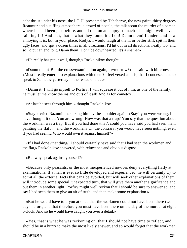debt thrust under his nose, the I.O.U. presented by Tchebarov, the new paint, thirty degrees Reaumur and a stifling atmosphere, a crowd of people, the talk about the murder of a person where he had been just before, and all that on an empty stomach – he might well have a fainting fit! And that, that is what they found it all on! Damn them! I understand how annoying it is, but in your place, Rodya, I would laugh at them, or better still, spit in their ugly faces, and spit a dozen times in all directions. I'd hit out in all directions, neatly too, and so I'd put an end to it. Damn them! Don't be downhearted. It's a shame!»

«He really has put it well, though,» Raskolnikov thought.

 «Damn them? But the cross−examination again, to−morrow?» he said with bitterness. «Must I really enter into explanations with them? I feel vexed as it is, that I condescended to speak to Zametov yesterday in the restaurant. . . .»

 «Damn it! I will go myself to Porfiry. I will squeeze it out of him, as one of the family: he must let me know the ins and outs of it all! And as for Zametov . . .»

«At last he sees through him!» thought Raskolnikov.

 «Stay!» cried Razumihin, seizing him by the shoulder again. «Stay! you were wrong. I have thought it out. You are wrong! How was that a trap? You say that the question about the workmen was a trap. But if you had done /that/, could you have said you had seen them painting the flat . . . and the workmen? On the contrary, you would have seen nothing, even if you had seen it. Who would own it against himself?»

 «If I had done /that thing/, I should certainly have said that I had seen the workmen and the flat,» Raskolnikov answered, with reluctance and obvious disgust.

«But why speak against yourself?»

 «Because only peasants, or the most inexperienced novices deny everything flatly at examinations. If a man is ever so little developed and experienced, he will certainly try to admit all the external facts that can't be avoided, but will seek other explanations of them, will introduce some special, unexpected turn, that will give them another significance and put them in another light. Porfiry might well reckon that I should be sure to answer so, and say I had seen them to give an air of truth, and then make some explanation.»

 «But he would have told you at once that the workmen could not have been there two days before, and that therefore you must have been there on the day of the murder at eight o'clock. And so he would have caught you over a detail.»

 «Yes, that is what he was reckoning on, that I should not have time to reflect, and should be in a hurry to make the most likely answer, and so would forget that the workmen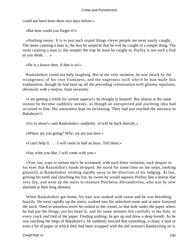could not have been there two days before.»

«But how could you forget it?»

 «Nothing easier. It is in just such stupid things clever people are most easily caught. The more cunning a man is, the less he suspects that he will be caught in a simple thing. The more cunning a man is, the simpler the trap he must be caught in. Porfiry is not such a fool as you think. . . .»

«He is a knave then, if that is so!»

 Raskolnikov could not help laughing. But at the very moment, he was struck by the strangeness of his own frankness, and the eagerness with which he had made this explanation, though he had kept up all the preceding conversation with gloomy repulsion, obviously with a motive, from necessity.

 «I am getting a relish for certain aspects!» he thought to himself. But almost at the same instant he became suddenly uneasy, as though an unexpected and alarming idea had occurred to him. His uneasiness kept on increasing. They had just reached the entrance to Bakaleyev's.

«Go in alone!» said Raskolnikov suddenly. «I will be back directly.»

«Where are you going? Why, we are just here.»

«I can't help it. . . . I will come in half an hour. Tell them.»

«Say what you like, I will come with you.»

 «You, too, want to torture me!» he screamed, with such bitter irritation, such despair in his eyes that Razumihin's hands dropped. He stood for some time on the steps, looking gloomily at Raskolnikov striding rapidly away in the direction of his lodging. At last, gritting his teeth and clenching his fist, he swore he would squeeze Porfiry like a lemon that very day, and went up the stairs to reassure Pulcheria Alexandrovna, who was by now alarmed at their long absence.

 When Raskolnikov got home, his hair was soaked with sweat and he was breathing heavily. He went rapidly up the stairs, walked into his unlocked room and at once fastened the latch. Then in senseless terror he rushed to the corner, to that hole under the paper where he had put the things; put his hand in, and for some minutes felt carefully in the hole, in every crack and fold of the paper. Finding nothing, he got up and drew a deep breath. As he was reaching the steps of Bakaleyev's, he suddenly fancied that something, a chain, a stud or even a bit of paper in which they had been wrapped with the old woman's handwriting on it,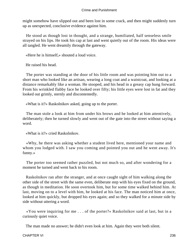might somehow have slipped out and been lost in some crack, and then might suddenly turn up as unexpected, conclusive evidence against him.

 He stood as though lost in thought, and a strange, humiliated, half senseless smile strayed on his lips. He took his cap at last and went quietly out of the room. His ideas were all tangled. He went dreamily through the gateway.

«Here he is himself,» shouted a loud voice.

He raised his head.

 The porter was standing at the door of his little room and was pointing him out to a short man who looked like an artisan, wearing a long coat and a waistcoat, and looking at a distance remarkably like a woman. He stooped, and his head in a greasy cap hung forward. From his wrinkled flabby face he looked over fifty; his little eyes were lost in fat and they looked out grimly, sternly and discontentedly.

«What is it?» Raskolnikov asked, going up to the porter.

 The man stole a look at him from under his brows and he looked at him attentively, deliberately; then he turned slowly and went out of the gate into the street without saying a word.

«What is it?» cried Raskolnikov.

 «Why, he there was asking whether a student lived here, mentioned your name and whom you lodged with. I saw you coming and pointed you out and he went away. It's funny.»

 The porter too seemed rather puzzled, but not much so, and after wondering for a moment he turned and went back to his room.

 Raskolnikov ran after the stranger, and at once caught sight of him walking along the other side of the street with the same even, deliberate step with his eyes fixed on the ground, as though in meditation. He soon overtook him, but for some time walked behind him. At last, moving on to a level with him, he looked at his face. The man noticed him at once, looked at him quickly, but dropped his eyes again; and so they walked for a minute side by side without uttering a word.

 «You were inquiring for me . . . of the porter?» Raskolnikov said at last, but in a curiously quiet voice.

The man made no answer; he didn't even look at him. Again they were both silent.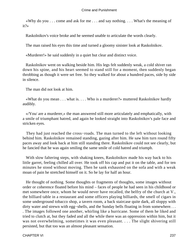«Why do you . . . come and ask for me . . . and say nothing. . . . What's the meaning of it?»

Raskolnikov's voice broke and he seemed unable to articulate the words clearly.

The man raised his eyes this time and turned a gloomy sinister look at Raskolnikov.

«Murderer!» he said suddenly in a quiet but clear and distinct voice.

 Raskolnikov went on walking beside him. His legs felt suddenly weak, a cold shiver ran down his spine, and his heart seemed to stand still for a moment, then suddenly began throbbing as though it were set free. So they walked for about a hundred paces, side by side in silence.

The man did not look at him.

 «What do you mean . . . what is. . . . Who is a murderer?» muttered Raskolnikov hardly audibly.

 «/You/ are a murderer,» the man answered still more articulately and emphatically, with a smile of triumphant hatred, and again he looked straight into Raskolnikov's pale face and stricken eyes.

 They had just reached the cross−roads. The man turned to the left without looking behind him. Raskolnikov remained standing, gazing after him. He saw him turn round fifty paces away and look back at him still standing there. Raskolnikov could not see clearly, but he fancied that he was again smiling the same smile of cold hatred and triumph.

 With slow faltering steps, with shaking knees, Raskolnikov made his way back to his little garret, feeling chilled all over. He took off his cap and put it on the table, and for ten minutes he stood without moving. Then he sank exhausted on the sofa and with a weak moan of pain he stretched himself on it. So he lay for half an hour.

 He thought of nothing. Some thoughts or fragments of thoughts, some images without order or coherence floated before his mind – faces of people he had seen in his childhood or met somewhere once, whom he would never have recalled, the belfry of the church at V., the billiard table in a restaurant and some officers playing billiards, the smell of cigars in some underground tobacco shop, a tavern room, a back staircase quite dark, all sloppy with dirty water and strewn with egg−shells, and the Sunday bells floating in from somewhere. . . . The images followed one another, whirling like a hurricane. Some of them he liked and tried to clutch at, but they faded and all the while there was an oppression within him, but it was not overwhelming, sometimes it was even pleasant. . . . The slight shivering still persisted, but that too was an almost pleasant sensation.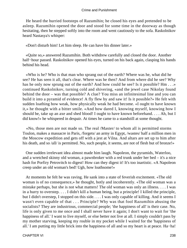He heard the hurried footsteps of Razumihin; he closed his eyes and pretended to be asleep. Razumihin opened the door and stood for some time in the doorway as though hesitating, then he stepped softly into the room and went cautiously to the sofa. Raskolnikov heard Nastasya's whisper:

«Don't disturb him! Let him sleep. He can have his dinner later.»

 «Quite so,» answered Razumihin. Both withdrew carefully and closed the door. Another half−hour passed. Raskolnikov opened his eyes, turned on his back again, clasping his hands behind his head.

 «Who is he? Who is that man who sprang out of the earth? Where was he, what did he see? He has seen it all, that's clear. Where was he then? And from where did he see? Why has he only now sprung out of the earth? And how could he see? Is it possible? Hm . . . » continued Raskolnikov, turning cold and shivering, «and the jewel case Nikolay found behind the door – was that possible? A clue? You miss an infinitesimal line and you can build it into a pyramid of evidence! A fly flew by and saw it! Is it possible?» He felt with sudden loathing how weak, how physically weak he had become. «I ought to have known it,» he thought with a bitter smile. «And how dared I, knowing myself, knowing how I should be, take up an axe and shed blood! I ought to have known beforehand. . . . Ah, but I did know!» he whispered in despair. At times he came to a standstill at some thought.

 «No, those men are not made so. The real /Master/ to whom all is permitted storms Toulon, makes a massacre in Paris, /forgets/ an army in Egypt, /wastes/ half a million men in the Moscow expedition and gets off with a jest at Vilna. And altars are set up to him after his death, and so /all/ is permitted. No, such people, it seems, are not of flesh but of bronze!»

 One sudden irrelevant idea almost made him laugh. Napoleon, the pyramids, Waterloo, and a wretched skinny old woman, a pawnbroker with a red trunk under her bed – it's a nice hash for Porfiry Petrovitch to digest! How can they digest it! It's too inartistic. «A Napoleon creep under an old woman's bed! Ugh, how loathsome!»

 At moments he felt he was raving. He sank into a state of feverish excitement. «The old woman is of no consequence,» he thought, hotly and incoherently. «The old woman was a mistake perhaps, but she is not what matters! The old woman was only an illness. . . . I was in a hurry to overstep. . . . I didn't kill a human being, but a principle! I killed the principle, but I didn't overstep, I stopped on this side. . . . I was only capable of killing. And it seems I wasn't even capable of that . . . Principle? Why was that fool Razumihin abusing the socialists? They are industrious, commercial people; 'the happiness of all' is their case. No, life is only given to me once and I shall never have it again; I don't want to wait for 'the happiness of all.' I want to live myself, or else better not live at all. I simply couldn't pass by my mother starving, keeping my rouble in my pocket while I waited for the 'happiness of all.' I am putting my little brick into the happiness of all and so my heart is at peace. Ha−ha!

CHAPTER VI 238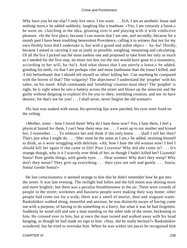Why have you let me slip? I only live once, I too want. . . . Ech, I am an aesthetic louse and nothing more,» he added suddenly, laughing like a madman. «Yes, I am certainly a louse,» he went on, clutching at the idea, gloating over it and playing with it with vindictive pleasure. «In the first place, because I can reason that I am one, and secondly, because for a month past I have been troubling benevolent Providence, calling it to witness that not for my own fleshly lusts did I undertake it, but with a grand and noble object – ha−ha! Thirdly, because I aimed at carrying it out as justly as possible, weighing, measuring and calculating. Of all the lice I picked out the most useless one and proposed to take from her only as much as I needed for the first step, no more nor less (so the rest would have gone to a monastery, according to her will, ha−ha!). And what shows that I am utterly a louse,» he added, grinding his teeth, «is that I am perhaps viler and more loathsome than the louse I killed, and /I felt beforehand/ that I should tell myself so /after/ killing her. Can anything be compared with the horror of that? The vulgarity! The abjectness! I understand the 'prophet' with his sabre, on his steed: Allah commands and 'trembling' creation must obey! The 'prophet' is right, he is right when he sets a battery across the street and blows up the innocent and the guilty without deigning to explain! It's for you to obey, trembling creation, and not /to have desires/, for that's not for you! . . . I shall never, never forgive the old woman!»

 His hair was soaked with sweat, his quivering lips were parched, his eyes were fixed on the ceiling.

 «Mother, sister – how I loved them! Why do I hate them now? Yes, I hate them, I feel a physical hatred for them, I can't bear them near me. . . . I went up to my mother and kissed her, I remember. . . . To embrace her and think if she only knew . . . shall I tell her then? That's just what I might do. . . . /She/ must be the same as I am,» he added, straining himself to think, as it were struggling with delirium. «Ah, how I hate the old woman now! I feel I should kill her again if she came to life! Poor Lizaveta! Why did she come in? . . . It's strange though, why is it I scarcely ever think of her, as though I hadn't killed her? Lizaveta! Sonia! Poor gentle things, with gentle eyes. . . . Dear women! Why don't they weep? Why don't they moan? They give up everything . . . their eyes are soft and gentle. . . . Sonia, Sonia! Gentle Sonia!»

 He lost consciousness; it seemed strange to him that he didn't remember how he got into the street. It was late evening. The twilight had fallen and the full moon was shining more and more brightly; but there was a peculiar breathlessness in the air. There were crowds of people in the street; workmen and business people were making their way home; other people had come out for a walk; there was a smell of mortar, dust and stagnant water. Raskolnikov walked along, mournful and anxious; he was distinctly aware of having come out with a purpose, of having to do something in a hurry, but what it was he had forgotten. Suddenly he stood still and saw a man standing on the other side of the street, beckoning to him. He crossed over to him, but at once the man turned and walked away with his head hanging, as though he had made no sign to him. «Stay, did he really beckon?» Raskolnikov wondered, but he tried to overtake him. When he was within ten paces he recognised him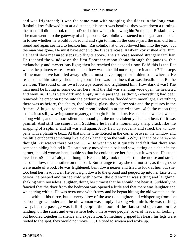and was frightened; it was the same man with stooping shoulders in the long coat. Raskolnikov followed him at a distance; his heart was beating; they went down a turning; the man still did not look round. «Does he know I am following him?» thought Raskolnikov. The man went into the gateway of a big house. Raskolnikov hastened to the gate and looked in to see whether he would look round and sign to him. In the court−yard the man did turn round and again seemed to beckon him. Raskolnikov at once followed him into the yard, but the man was gone. He must have gone up the first staircase. Raskolnikov rushed after him. He heard slow measured steps two flights above. The staircase seemed strangely familiar. He reached the window on the first floor; the moon shone through the panes with a melancholy and mysterious light; then he reached the second floor. Bah! this is the flat where the painters were at work . . . but how was it he did not recognise it at once? The steps of the man above had died away. «So he must have stopped or hidden somewhere.» He reached the third storey, should he go on? There was a stillness that was dreadful. . . . But he went on. The sound of his own footsteps scared and frightened him. How dark it was! The man must be hiding in some corner here. Ah! the flat was standing wide open, he hesitated and went in. It was very dark and empty in the passage, as though everything had been removed; he crept on tiptoe into the parlour which was flooded with moonlight. Everything there was as before, the chairs, the looking−glass, the yellow sofa and the pictures in the frames. A huge, round, copper−red moon looked in at the windows. «It's the moon that makes it so still, weaving some mystery,» thought Raskolnikov. He stood and waited, waited a long while, and the more silent the moonlight, the more violently his heart beat, till it was painful. And still the same hush. Suddenly he heard a momentary sharp crack like the snapping of a splinter and all was still again. A fly flew up suddenly and struck the window pane with a plaintive buzz. At that moment he noticed in the corner between the window and the little cupboard something like a cloak hanging on the wall. «Why is that cloak here?» he thought, «it wasn't there before. . . .» He went up to it quietly and felt that there was someone hiding behind it. He cautiously moved the cloak and saw, sitting on a chair in the corner, the old woman bent double so that he couldn't see her face; but it was she. He stood over her. «She is afraid,» he thought. He stealthily took the axe from the noose and struck her one blow, then another on the skull. But strange to say she did not stir, as though she were made of wood. He was frightened, bent down nearer and tried to look at her; but she, too, bent her head lower. He bent right down to the ground and peeped up into her face from below, he peeped and turned cold with horror: the old woman was sitting and laughing, shaking with noiseless laughter, doing her utmost that he should not hear it. Suddenly he fancied that the door from the bedroom was opened a little and that there was laughter and whispering within. He was overcome with frenzy and he began hitting the old woman on the head with all his force, but at every blow of the axe the laughter and whispering from the bedroom grew louder and the old woman was simply shaking with mirth. He was rushing away, but the passage was full of people, the doors of the flats stood open and on the landing, on the stairs and everywhere below there were people, rows of heads, all looking, but huddled together in silence and expectation. Something gripped his heart, his legs were rooted to the spot, they would not move. . . . He tried to scream and woke up.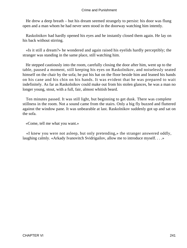He drew a deep breath – but his dream seemed strangely to persist: his door was flung open and a man whom he had never seen stood in the doorway watching him intently.

 Raskolnikov had hardly opened his eyes and he instantly closed them again. He lay on his back without stirring.

 «Is it still a dream?» he wondered and again raised his eyelids hardly perceptibly; the stranger was standing in the same place, still watching him.

 He stepped cautiously into the room, carefully closing the door after him, went up to the table, paused a moment, still keeping his eyes on Raskolnikov, and noiselessly seated himself on the chair by the sofa; he put his hat on the floor beside him and leaned his hands on his cane and his chin on his hands. It was evident that he was prepared to wait indefinitely. As far as Raskolnikov could make out from his stolen glances, he was a man no longer young, stout, with a full, fair, almost whitish beard.

 Ten minutes passed. It was still light, but beginning to get dusk. There was complete stillness in the room. Not a sound came from the stairs. Only a big fly buzzed and fluttered against the window pane. It was unbearable at last. Raskolnikov suddenly got up and sat on the sofa.

«Come, tell me what you want.»

 «I knew you were not asleep, but only pretending,» the stranger answered oddly, laughing calmly. «Arkady Ivanovitch Svidrigailov, allow me to introduce myself. . . .»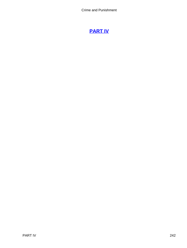# **[PART IV](#page-466-0)**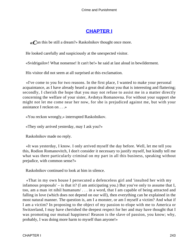# **[CHAPTER I](#page-466-0)**

*«C*an this be still a dream?» Raskolnikov thought once more.

He looked carefully and suspiciously at the unexpected visitor.

«Svidrigailov! What nonsense! It can't be!» he said at last aloud in bewilderment.

His visitor did not seem at all surprised at this exclamation.

 «I've come to you for two reasons. In the first place, I wanted to make your personal acquaintance, as I have already heard a great deal about you that is interesting and flattering; secondly, I cherish the hope that you may not refuse to assist me in a matter directly concerning the welfare of your sister, Avdotya Romanovna. For without your support she might not let me come near her now, for she is prejudiced against me, but with your assistance I reckon on . . .»

«You reckon wrongly,» interrupted Raskolnikov.

«They only arrived yesterday, may I ask you?»

Raskolnikov made no reply.

 «It was yesterday, I know. I only arrived myself the day before. Well, let me tell you this, Rodion Romanovitch, I don't consider it necessary to justify myself, but kindly tell me what was there particularly criminal on my part in all this business, speaking without prejudice, with common sense?»

Raskolnikov continued to look at him in silence.

 «That in my own house I persecuted a defenceless girl and 'insulted her with my infamous proposals' – is that it? (I am anticipating you.) But you've only to assume that I, too, am a man /et nihil humanum/ . . . in a word, that I am capable of being attracted and falling in love (which does not depend on our will), then everything can be explained in the most natural manner. The question is, am I a monster, or am I myself a victim? And what if I am a victim? In proposing to the object of my passion to elope with me to America or Switzerland, I may have cherished the deepest respect for her and may have thought that I was promoting our mutual happiness! Reason is the slave of passion, you know; why, probably, I was doing more harm to myself than anyone!»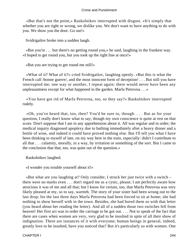«But that's not the point,» Raskolnikov interrupted with disgust. «It's simply that whether you are right or wrong, we dislike you. We don't want to have anything to do with you. We show you the door. Go out!»

Svidrigailov broke into a sudden laugh.

 «But you're . . . but there's no getting round you,» he said, laughing in the frankest way. «I hoped to get round you, but you took up the right line at once!»

«But you are trying to get round me still!»

 «What of it? What of it?» cried Svidrigailov, laughing openly. «But this is what the French call /bonne guerre/, and the most innocent form of deception! . . . But still you have interrupted me; one way or another, I repeat again: there would never have been any unpleasantness except for what happened in the garden. Marfa Petrovna . . .»

 «You have got rid of Marfa Petrovna, too, so they say?» Raskolnikov interrupted rudely.

 «Oh, you've heard that, too, then? You'd be sure to, though. . . . But as for your question, I really don't know what to say, though my own conscience is quite at rest on that score. Don't suppose that I am in any apprehension about it. All was regular and in order; the medical inquiry diagnosed apoplexy due to bathing immediately after a heavy dinner and a bottle of wine, and indeed it could have proved nothing else. But I'll tell you what I have been thinking to myself of late, on my way here in the train, especially: didn't I contribute to all that . . . calamity, morally, in a way, by irritation or something of the sort. But I came to the conclusion that that, too, was quite out of the question.»

Raskolnikov laughed.

«I wonder you trouble yourself about it!»

 «But what are you laughing at? Only consider, I struck her just twice with a switch – there were no marks even . . . don't regard me as a cynic, please; I am perfectly aware how atrocious it was of me and all that; but I know for certain, too, that Marfa Petrovna was very likely pleased at my, so to say, warmth. The story of your sister had been wrung out to the last drop; for the last three days Marfa Petrovna had been forced to sit at home; she had nothing to show herself with in the town. Besides, she had bored them so with that letter (you heard about her reading the letter). And all of a sudden those two switches fell from heaven! Her first act was to order the carriage to be got out. . . . Not to speak of the fact that there are cases when women are very, very glad to be insulted in spite of all their show of indignation. There are instances of it with everyone; human beings in general, indeed, greatly love to be insulted, have you noticed that? But it's particularly so with women. One

CHAPTER I 244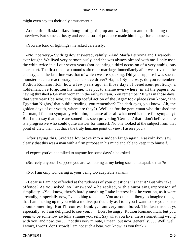might even say it's their only amusement.»

 At one time Raskolnikov thought of getting up and walking out and so finishing the interview. But some curiosity and even a sort of prudence made him linger for a moment.

«You are fond of fighting?» he asked carelessly.

 «No, not very,» Svidrigailov answered, calmly. «And Marfa Petrovna and I scarcely ever fought. We lived very harmoniously, and she was always pleased with me. I only used the whip twice in all our seven years (not counting a third occasion of a very ambiguous character). The first time, two months after our marriage, immediately after we arrived in the country, and the last time was that of which we are speaking. Did you suppose I was such a monster, such a reactionary, such a slave driver? Ha, ha! By the way, do you remember, Rodion Romanovitch, how a few years ago, in those days of beneficent publicity, a nobleman, I've forgotten his name, was put to shame everywhere, in all the papers, for having thrashed a German woman in the railway train. You remember? It was in those days, that very year I believe, the 'disgraceful action of the /Age/' took place (you know, 'The Egyptian Nights,' that public reading, you remember? The dark eyes, you know! Ah, the golden days of our youth, where are they?). Well, as for the gentleman who thrashed the German, I feel no sympathy with him, because after all what need is there for sympathy? But I must say that there are sometimes such provoking 'Germans' that I don't believe there is a progressive who could quite answer for himself. No one looked at the subject from that point of view then, but that's the truly humane point of view, I assure you.»

 After saying this, Svidrigailov broke into a sudden laugh again. Raskolnikov saw clearly that this was a man with a firm purpose in his mind and able to keep it to himself.

«I expect you've not talked to anyone for some days?» he asked.

«Scarcely anyone. I suppose you are wondering at my being such an adaptable man?»

«No, I am only wondering at your being too adaptable a man.»

 «Because I am not offended at the rudeness of your questions? Is that it? But why take offence? As you asked, so I answered,» he replied, with a surprising expression of simplicity. «You know, there's hardly anything I take interest in,» he went on, as it were dreamily, «especially now, I've nothing to do. . . . You are quite at liberty to imagine though that I am making up to you with a motive, particularly as I told you I want to see your sister about something. But I'll confess frankly, I am very much bored. The last three days especially, so I am delighted to see you. . . . Don't be angry, Rodion Romanovitch, but you seem to be somehow awfully strange yourself. Say what you like, there's something wrong with you, and now, too . . . not this very minute, I mean, but now, generally. . . . Well, well, I won't, I won't, don't scowl! I am not such a bear, you know, as you think.»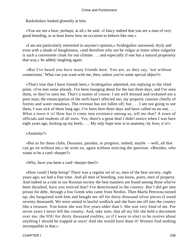Raskolnikov looked gloomily at him.

 «You are not a bear, perhaps, at all,» he said. «I fancy indeed that you are a man of very good breeding, or at least know how on occasion to behave like one.»

 «I am not particularly interested in anyone's opinion,» Svidrigailov answered, dryly and even with a shade of haughtiness, «and therefore why not be vulgar at times when vulgarity is such a convenient cloak for our climate . . . and especially if one has a natural propensity that way,» he added, laughing again.

 «But I've heard you have many friends here. You are, as they say, 'not without connections.' What can you want with me, then, unless you've some special object?»

 «That's true that I have friends here,» Svidrigailov admitted, not replying to the chief point. «I've met some already. I've been lounging about for the last three days, and I've seen them, or they've seen me. That's a matter of course. I am well dressed and reckoned not a poor man; the emancipation of the serfs hasn't affected me; my property consists chiefly of forests and water meadows. The revenue has not fallen off; but . . . I am not going to see them, I was sick of them long ago. I've been here three days and have called on no one. . . . What a town it is! How has it come into existence among us, tell me that? A town of officials and students of all sorts. Yes, there's a great deal I didn't notice when I was here eight years ago, kicking up my heels. . . . My only hope now is in anatomy, by Jove, it is!»

## «Anatomy?»

 «But as for these clubs, Dussauts, parades, or progress, indeed, maybe – well, all that can go on without me,» he went on, again without noticing the question. «Besides, who wants to be a card−sharper?»

«Why, have you been a card−sharper then?»

 «How could I help being? There was a regular set of us, men of the best society, eight years ago; we had a fine time. And all men of breeding, you know, poets, men of property. And indeed as a rule in our Russian society the best manners are found among those who've been thrashed, have you noticed that? I've deteriorated in the country. But I did get into prison for debt, through a low Greek who came from Nezhin. Then Marfa Petrovna turned up; she bargained with him and bought me off for thirty thousand silver pieces (I owed seventy thousand). We were united in lawful wedlock and she bore me off into the country like a treasure. You know she was five years older than I. She was very fond of me. For seven years I never left the country. And, take note, that all my life she held a document over me, the IOU for thirty thousand roubles, so if I were to elect to be restive about anything I should be trapped at once! And she would have done it! Women find nothing incompatible in that.»

CHAPTER I 246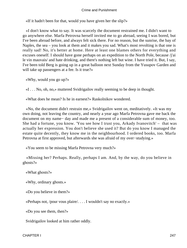«If it hadn't been for that, would you have given her the slip?»

 «I don't know what to say. It was scarcely the document restrained me. I didn't want to go anywhere else. Marfa Petrovna herself invited me to go abroad, seeing I was bored, but I've been abroad before, and always felt sick there. For no reason, but the sunrise, the bay of Naples, the sea – you look at them and it makes you sad. What's most revolting is that one is really sad! No, it's better at home. Here at least one blames others for everything and excuses oneself. I should have gone perhaps on an expedition to the North Pole, because /j'ai le vin mauvais/ and hate drinking, and there's nothing left but wine. I have tried it. But, I say, I've been told Berg is going up in a great balloon next Sunday from the Yusupov Garden and will take up passengers at a fee. Is it true?»

«Why, would you go up?»

«I . . . No, oh, no,» muttered Svidrigailov really seeming to be deep in thought.

«What does he mean? Is he in earnest?» Raskolnikov wondered.

 «No, the document didn't restrain me,» Svidrigailov went on, meditatively. «It was my own doing, not leaving the country, and nearly a year ago Marfa Petrovna gave me back the document on my name− day and made me a present of a considerable sum of money, too. She had a fortune, you know. 'You see how I trust you, Arkady Ivanovitch' – that was actually her expression. You don't believe she used it? But do you know I managed the estate quite decently, they know me in the neighbourhood. I ordered books, too. Marfa Petrovna at first approved, but afterwards she was afraid of my over−studying.»

«You seem to be missing Marfa Petrovna very much?»

 «Missing her? Perhaps. Really, perhaps I am. And, by the way, do you believe in ghosts?»

«What ghosts?»

«Why, ordinary ghosts.»

«Do you believe in them?»

«Perhaps not, /pour vous plaire/. . . . I wouldn't say no exactly.»

«Do you see them, then?»

Svidrigailov looked at him rather oddly.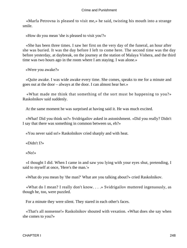«Marfa Petrovna is pleased to visit me,» he said, twisting his mouth into a strange smile.

«How do you mean 'she is pleased to visit you'?»

 «She has been three times. I saw her first on the very day of the funeral, an hour after she was buried. It was the day before I left to come here. The second time was the day before yesterday, at daybreak, on the journey at the station of Malaya Vishera, and the third time was two hours ago in the room where I am staying. I was alone.»

«Were you awake?»

 «Quite awake. I was wide awake every time. She comes, speaks to me for a minute and goes out at the door – always at the door. I can almost hear her.»

 «What made me think that something of the sort must be happening to you?» Raskolnikov said suddenly.

At the same moment he was surprised at having said it. He was much excited.

 «What! Did you think so?» Svidrigailov asked in astonishment. «Did you really? Didn't I say that there was something in common between us, eh?»

«You never said so!» Raskolnikov cried sharply and with heat.

«Didn't I?»

«No!»

 «I thought I did. When I came in and saw you lying with your eyes shut, pretending, I said to myself at once, 'Here's the man.'»

«What do you mean by 'the man?' What are you talking about?» cried Raskolnikov.

 «What do I mean? I really don't know. . . .» Svidrigailov muttered ingenuously, as though he, too, were puzzled.

For a minute they were silent. They stared in each other's faces.

 «That's all nonsense!» Raskolnikov shouted with vexation. «What does she say when she comes to you?»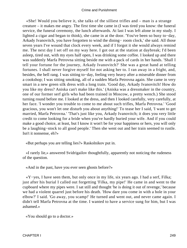«She! Would you believe it, she talks of the silliest trifles and – man is a strange creature – it makes me angry. The first time she came in (I was tired you know: the funeral service, the funeral ceremony, the lunch afterwards. At last I was left alone in my study. I lighted a cigar and began to think), she came in at the door. 'You've been so busy to−day, Arkady Ivanovitch, you have forgotten to wind the dining− room clock,' she said. All those seven years I've wound that clock every week, and if I forgot it she would always remind me. The next day I set off on my way here. I got out at the station at daybreak; I'd been asleep, tired out, with my eyes half open, I was drinking some coffee. I looked up and there was suddenly Marfa Petrovna sitting beside me with a pack of cards in her hands. 'Shall I tell your fortune for the journey, Arkady Ivanovitch?' She was a great hand at telling fortunes. I shall never forgive myself for not asking her to. I ran away in a fright, and, besides, the bell rang. I was sitting to−day, feeling very heavy after a miserable dinner from a cookshop; I was sitting smoking, all of a sudden Marfa Petrovna again. She came in very smart in a new green silk dress with a long train. 'Good day, Arkady Ivanovitch! How do you like my dress? Aniska can't make like this.' (Aniska was a dressmaker in the country, one of our former serf girls who had been trained in Moscow, a pretty wench.) She stood turning round before me. I looked at the dress, and then I looked carefully, very carefully, at her face. 'I wonder you trouble to come to me about such trifles, Marfa Petrovna.' 'Good gracious, you won't let one disturb you about anything!' To tease her I said, 'I want to get married, Marfa Petrovna.' 'That's just like you, Arkady Ivanovitch; it does you very little credit to come looking for a bride when you've hardly buried your wife. And if you could make a good choice, at least, but I know it won't be for your happiness or hers, you will only be a laughing−stock to all good people.' Then she went out and her train seemed to rustle. Isn't it nonsense, eh?»

«But perhaps you are telling lies?» Raskolnikov put in.

 «I rarely lie,» answered Svidrigailov thoughtfully, apparently not noticing the rudeness of the question.

«And in the past, have you ever seen ghosts before?»

 «Y−yes, I have seen them, but only once in my life, six years ago. I had a serf, Filka; just after his burial I called out forgetting 'Filka, my pipe!' He came in and went to the cupboard where my pipes were. I sat still and thought 'he is doing it out of revenge,' because we had a violent quarrel just before his death. 'How dare you come in with a hole in your elbow?' I said. 'Go away, you scamp!' He turned and went out, and never came again. I didn't tell Marfa Petrovna at the time. I wanted to have a service sung for him, but I was ashamed.»

«You should go to a doctor.»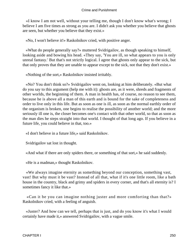«I know I am not well, without your telling me, though I don't know what's wrong; I believe I am five times as strong as you are. I didn't ask you whether you believe that ghosts are seen, but whether you believe that they exist.»

«No, I won't believe it!» Raskolnikov cried, with positive anger.

 «What do people generally say?» muttered Svidrigailov, as though speaking to himself, looking aside and bowing his head. «They say, 'You are ill, so what appears to you is only unreal fantasy.' But that's not strictly logical. I agree that ghosts only appear to the sick, but that only proves that they are unable to appear except to the sick, not that they don't exist.»

«Nothing of the sort,» Raskolnikov insisted irritably.

 «No? You don't think so?» Svidrigailov went on, looking at him deliberately. «But what do you say to this argument (help me with it): ghosts are, as it were, shreds and fragments of other worlds, the beginning of them. A man in health has, of course, no reason to see them, because he is above all a man of this earth and is bound for the sake of completeness and order to live only in this life. But as soon as one is ill, as soon as the normal earthly order of the organism is broken, one begins to realise the possibility of another world; and the more seriously ill one is, the closer becomes one's contact with that other world, so that as soon as the man dies he steps straight into that world. I thought of that long ago. If you believe in a future life, you could believe in that, too.»

«I don't believe in a future life,» said Raskolnikov.

Svidrigailov sat lost in thought.

«And what if there are only spiders there, or something of that sort,» he said suddenly.

«He is a madman,» thought Raskolnikov.

 «We always imagine eternity as something beyond our conception, something vast, vast! But why must it be vast? Instead of all that, what if it's one little room, like a bath house in the country, black and grimy and spiders in every corner, and that's all eternity is? I sometimes fancy it like that.»

 «Can it be you can imagine nothing juster and more comforting than that?» Raskolnikov cried, with a feeling of anguish.

 «Juster? And how can we tell, perhaps that is just, and do you know it's what I would certainly have made it,» answered Svidrigailov, with a vague smile.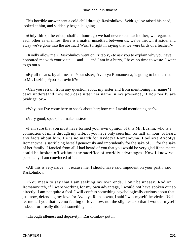This horrible answer sent a cold chill through Raskolnikov. Svidrigailov raised his head, looked at him, and suddenly began laughing.

 «Only think,» he cried, «half an hour ago we had never seen each other, we regarded each other as enemies; there is a matter unsettled between us; we've thrown it aside, and away we've gone into the abstract! Wasn't I right in saying that we were birds of a feather?»

 «Kindly allow me,» Raskolnikov went on irritably, «to ask you to explain why you have honoured me with your visit . . . and . . . and I am in a hurry, I have no time to waste. I want to go out.»

 «By all means, by all means. Your sister, Avdotya Romanovna, is going to be married to Mr. Luzhin, Pyotr Petrovitch?»

 «Can you refrain from any question about my sister and from mentioning her name? I can't understand how you dare utter her name in my presence, if you really are Svidrigailov.»

«Why, but I've come here to speak about her; how can I avoid mentioning her?»

«Very good, speak, but make haste.»

 «I am sure that you must have formed your own opinion of this Mr. Luzhin, who is a connection of mine through my wife, if you have only seen him for half an hour, or heard any facts about him. He is no match for Avdotya Romanovna. I believe Avdotya Romanovna is sacrificing herself generously and imprudently for the sake of . . . for the sake of her family. I fancied from all I had heard of you that you would be very glad if the match could be broken off without the sacrifice of worldly advantages. Now I know you personally, I am convinced of it.»

 «All this is very naive . . . excuse me, I should have said impudent on your part,» said Raskolnikov.

 «You mean to say that I am seeking my own ends. Don't be uneasy, Rodion Romanovitch, if I were working for my own advantage, I would not have spoken out so directly. I am not quite a fool. I will confess something psychologically curious about that: just now, defending my love for Avdotya Romanovna, I said I was myself the victim. Well, let me tell you that I've no feeling of love now, not the slightest, so that I wonder myself indeed, for I really did feel something . . .»

«Through idleness and depravity,» Raskolnikov put in.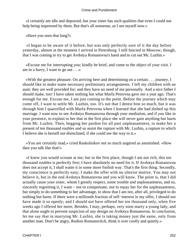«I certainly am idle and depraved, but your sister has such qualities that even I could not help being impressed by them. But that's all nonsense, as I see myself now.»

«Have you seen that long?»

 «I began to be aware of it before, but was only perfectly sure of it the day before yesterday, almost at the moment I arrived in Petersburg. I still fancied in Moscow, though, that I was coming to try to get Avdotya Romanovna's hand and to cut out Mr. Luzhin.»

 «Excuse me for interrupting you; kindly be brief, and come to the object of your visit. I am in a hurry, I want to go out . . .»

 «With the greatest pleasure. On arriving here and determining on a certain . . . journey, I should like to make some necessary preliminary arrangements. I left my children with an aunt; they are well provided for; and they have no need of me personally. And a nice father I should make, too! I have taken nothing but what Marfa Petrovna gave me a year ago. That's enough for me. Excuse me, I am just coming to the point. Before the journey which may come off, I want to settle Mr. Luzhin, too. It's not that I detest him so much, but it was through him I quarrelled with Marfa Petrovna when I learned that she had dished up this marriage. I want now to see Avdotya Romanovna through your mediation, and if you like in your presence, to explain to her that in the first place she will never gain anything but harm from Mr. Luzhin. Then, begging her pardon for all past unpleasantness, to make her a present of ten thousand roubles and so assist the rupture with Mr. Luzhin, a rupture to which I believe she is herself not disinclined, if she could see the way to it.»

 «You are certainly mad,» cried Raskolnikov not so much angered as astonished. «How dare you talk like that!»

 «I knew you would scream at me; but in the first place, though I am not rich, this ten thousand roubles is perfectly free; I have absolutely no need for it. If Avdotya Romanovna does not accept it, I shall waste it in some more foolish way. That's the first thing. Secondly, my conscience is perfectly easy; I make the offer with no ulterior motive. You may not believe it, but in the end Avdotya Romanovna and you will know. The point is, that I did actually cause your sister, whom I greatly respect, some trouble and unpleasantness, and so, sincerely regretting it, I want – not to compensate, not to repay her for the unpleasantness, but simply to do something to her advantage, to show that I am not, after all, privileged to do nothing but harm. If there were a millionth fraction of self−interest in my offer, I should not have made it so openly; and I should not have offered her ten thousand only, when five weeks ago I offered her more, Besides, I may, perhaps, very soon marry a young lady, and that alone ought to prevent suspicion of any design on Avdotya Romanovna. In conclusion, let me say that in marrying Mr. Luzhin, she is taking money just the same, only from another man. Don't be angry, Rodion Romanovitch, think it over coolly and quietly.»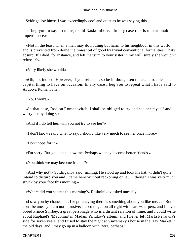Svidrigailov himself was exceedingly cool and quiet as he was saying this.

 «I beg you to say no more,» said Raskolnikov. «In any case this is unpardonable impertinence.»

 «Not in the least. Then a man may do nothing but harm to his neighbour in this world, and is prevented from doing the tiniest bit of good by trivial conventional formalities. That's absurd. If I died, for instance, and left that sum to your sister in my will, surely she wouldn't refuse it?»

«Very likely she would.»

 «Oh, no, indeed. However, if you refuse it, so be it, though ten thousand roubles is a capital thing to have on occasion. In any case I beg you to repeat what I have said to Avdotya Romanovna.»

«No, I won't.»

 «In that case, Rodion Romanovitch, I shall be obliged to try and see her myself and worry her by doing so.»

«And if I do tell her, will you not try to see her?»

«I don't know really what to say. I should like very much to see her once more.»

«Don't hope for it.»

«I'm sorry. But you don't know me. Perhaps we may become better friends.»

«You think we may become friends?»

 «And why not?» Svidrigailov said, smiling. He stood up and took his hat. «I didn't quite intend to disturb you and I came here without reckoning on it . . . though I was very much struck by your face this morning.»

«Where did you see me this morning?» Raskolnikov asked uneasily.

 «I saw you by chance. . . . I kept fancying there is something about you like me. . . . But don't be uneasy. I am not intrusive; I used to get on all right with card−sharpers, and I never bored Prince Svirbey, a great personage who is a distant relation of mine, and I could write about Raphael's /Madonna/ in Madam Prilukov's album, and I never left Marfa Petrovna's side for seven years, and I used to stay the night at Viazemsky's house in the Hay Market in the old days, and I may go up in a balloon with Berg, perhaps.»

CHAPTER I 253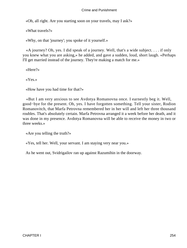«Oh, all right. Are you starting soon on your travels, may I ask?»

«What travels?»

«Why, on that 'journey'; you spoke of it yourself.»

 «A journey? Oh, yes. I did speak of a journey. Well, that's a wide subject. . . . if only you knew what you are asking,» he added, and gave a sudden, loud, short laugh. «Perhaps I'll get married instead of the journey. They're making a match for me.»

«Here?»

«Yes.»

«How have you had time for that?»

 «But I am very anxious to see Avdotya Romanovna once. I earnestly beg it. Well, good−bye for the present. Oh, yes. I have forgotten something. Tell your sister, Rodion Romanovitch, that Marfa Petrovna remembered her in her will and left her three thousand roubles. That's absolutely certain. Marfa Petrovna arranged it a week before her death, and it was done in my presence. Avdotya Romanovna will be able to receive the money in two or three weeks.»

«Are you telling the truth?»

«Yes, tell her. Well, your servant. I am staying very near you.»

As he went out, Svidrigailov ran up against Razumihin in the doorway.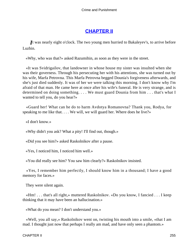# **[CHAPTER II](#page-466-0)**

*I*t was nearly eight o'clock. The two young men hurried to Bakaleyev's, to arrive before Luzhin.

«Why, who was that?» asked Razumihin, as soon as they were in the street.

 «It was Svidrigailov, that landowner in whose house my sister was insulted when she was their governess. Through his persecuting her with his attentions, she was turned out by his wife, Marfa Petrovna. This Marfa Petrovna begged Dounia's forgiveness afterwards, and she's just died suddenly. It was of her we were talking this morning. I don't know why I'm afraid of that man. He came here at once after his wife's funeral. He is very strange, and is determined on doing something. . . . We must guard Dounia from him . . . that's what I wanted to tell you, do you hear?»

 «Guard her! What can he do to harm Avdotya Romanovna? Thank you, Rodya, for speaking to me like that. . . . We will, we will guard her. Where does he live?»

«I don't know.»

«Why didn't you ask? What a pity! I'll find out, though.»

«Did you see him?» asked Raskolnikov after a pause.

«Yes, I noticed him, I noticed him well.»

«You did really see him? You saw him clearly?» Raskolnikov insisted.

 «Yes, I remember him perfectly, I should know him in a thousand; I have a good memory for faces.»

They were silent again.

 «Hm! . . . that's all right,» muttered Raskolnikov. «Do you know, I fancied . . . I keep thinking that it may have been an hallucination.»

«What do you mean? I don't understand you.»

 «Well, you all say,» Raskolnikov went on, twisting his mouth into a smile, «that I am mad. I thought just now that perhaps I really am mad, and have only seen a phantom.»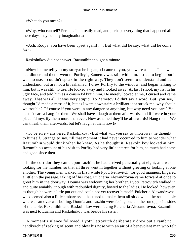«What do you mean?»

 «Why, who can tell? Perhaps I am really mad, and perhaps everything that happened all these days may be only imagination.»

 «Ach, Rodya, you have been upset again! . . . But what did he say, what did he come for?»

Raskolnikov did not answer. Razumihin thought a minute.

 «Now let me tell you my story,» he began, «I came to you, you were asleep. Then we had dinner and then I went to Porfiry's, Zametov was still with him. I tried to begin, but it was no use. I couldn't speak in the right way. They don't seem to understand and can't understand, but are not a bit ashamed. I drew Porfiry to the window, and began talking to him, but it was still no use. He looked away and I looked away. At last I shook my fist in his ugly face, and told him as a cousin I'd brain him. He merely looked at me, I cursed and came away. That was all. It was very stupid. To Zametov I didn't say a word. But, you see, I thought I'd made a mess of it, but as I went downstairs a brilliant idea struck me: why should we trouble? Of course if you were in any danger or anything, but why need you care? You needn't care a hang for them. We shall have a laugh at them afterwards, and if I were in your place I'd mystify them more than ever. How ashamed they'll be afterwards! Hang them! We can thrash them afterwards, but let's laugh at them now!»

 «To be sure,» answered Raskolnikov. «But what will you say to−morrow?» he thought to himself. Strange to say, till that moment it had never occurred to him to wonder what Razumihin would think when he knew. As he thought it, Raskolnikov looked at him. Razumihin's account of his visit to Porfiry had very little interest for him, so much had come and gone since then.

 In the corridor they came upon Luzhin; he had arrived punctually at eight, and was looking for the number, so that all three went in together without greeting or looking at one another. The young men walked in first, while Pyotr Petrovitch, for good manners, lingered a little in the passage, taking off his coat. Pulcheria Alexandrovna came forward at once to greet him in the doorway, Dounia was welcoming her brother. Pyotr Petrovitch walked in and quite amiably, though with redoubled dignity, bowed to the ladies. He looked, however, as though he were a little put out and could not yet recover himself. Pulcheria Alexandrovna, who seemed also a little embarrassed, hastened to make them all sit down at the round table where a samovar was boiling. Dounia and Luzhin were facing one another on opposite sides of the table. Razumihin and Raskolnikov were facing Pulcheria Alexandrovna, Razumihin was next to Luzhin and Raskolnikov was beside his sister.

 A moment's silence followed. Pyotr Petrovitch deliberately drew out a cambric handkerchief reeking of scent and blew his nose with an air of a benevolent man who felt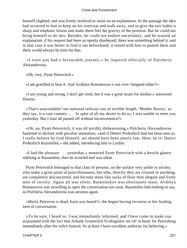himself slighted, and was firmly resolved to insist on an explanation. In the passage the idea had occurred to him to keep on his overcoat and walk away, and so give the two ladies a sharp and emphatic lesson and make them feel the gravity of the position. But he could not bring himself to do this. Besides, he could not endure uncertainty, and he wanted an explanation: if his request had been so openly disobeyed, there was something behind it, and in that case it was better to find it out beforehand; it rested with him to punish them and there would always be time for that.

 «I trust you had a favourable journey,» he inquired officially of Pulcheria Alexandrovna.

«Oh, very, Pyotr Petrovitch.»

«I am gratified to hear it. And Avdotya Romanovna is not over−fatigued either?»

 «I am young and strong, I don't get tired, but it was a great strain for mother,» answered Dounia.

 «That's unavoidable! our national railways are of terrible length. 'Mother Russia,' as they say, is a vast country. . . . In spite of all my desire to do so, I was unable to meet you yesterday. But I trust all passed off without inconvenience?»

 «Oh, no, Pyotr Petrovitch, it was all terribly disheartening,» Pulcheria Alexandrovna hastened to declare with peculiar intonation, «and if Dmitri Prokofitch had not been sent us, I really believe by God Himself, we should have been utterly lost. Here, he is! Dmitri Prokofitch Razumihin,» she added, introducing him to Luzhin.

 «I had the pleasure . . . yesterday,» muttered Pyotr Petrovitch with a hostile glance sidelong at Razumihin; then he scowled and was silent.

 Pyotr Petrovitch belonged to that class of persons, on the surface very polite in society, who make a great point of punctiliousness, but who, directly they are crossed in anything, are completely disconcerted, and become more like sacks of flour than elegant and lively men of society. Again all was silent; Raskolnikov was obstinately mute, Avdotya Romanovna was unwilling to open the conversation too soon. Razumihin had nothing to say, so Pulcheria Alexandrovna was anxious again.

 «Marfa Petrovna is dead, have you heard?» she began having recourse to her leading item of conversation.

 «To be sure, I heard so. I was immediately informed, and I have come to make you acquainted with the fact that Arkady Ivanovitch Svidrigailov set off in haste for Petersburg immediately after his wife's funeral. So at least I have excellent authority for believing.»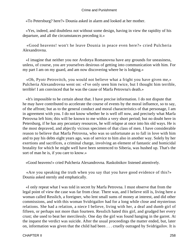«To Petersburg? here?» Dounia asked in alarm and looked at her mother.

 «Yes, indeed, and doubtless not without some design, having in view the rapidity of his departure, and all the circumstances preceding it.»

 «Good heavens! won't he leave Dounia in peace even here?» cried Pulcheria Alexandrovna.

 «I imagine that neither you nor Avdotya Romanovna have any grounds for uneasiness, unless, of course, you are yourselves desirous of getting into communication with him. For my part I am on my guard, and am now discovering where he is lodging.»

 «Oh, Pyotr Petrovitch, you would not believe what a fright you have given me,» Pulcheria Alexandrovna went on: «I've only seen him twice, but I thought him terrible, terrible! I am convinced that he was the cause of Marfa Petrovna's death.»

 «It's impossible to be certain about that. I have precise information. I do not dispute that he may have contributed to accelerate the course of events by the moral influence, so to say, of the affront; but as to the general conduct and moral characteristics of that personage, I am in agreement with you. I do not know whether he is well off now, and precisely what Marfa Petrovna left him; this will be known to me within a very short period; but no doubt here in Petersburg, if he has any pecuniary resources, he will relapse at once into his old ways. He is the most depraved, and abjectly vicious specimen of that class of men. I have considerable reason to believe that Marfa Petrovna, who was so unfortunate as to fall in love with him and to pay his debts eight years ago, was of service to him also in another way. Solely by her exertions and sacrifices, a criminal charge, involving an element of fantastic and homicidal brutality for which he might well have been sentenced to Siberia, was hushed up. That's the sort of man he is, if you care to know.»

«Good heavens!» cried Pulcheria Alexandrovna. Raskolnikov listened attentively.

 «Are you speaking the truth when you say that you have good evidence of this?» Dounia asked sternly and emphatically.

 «I only repeat what I was told in secret by Marfa Petrovna. I must observe that from the legal point of view the case was far from clear. There was, and I believe still is, living here a woman called Resslich, a foreigner, who lent small sums of money at interest, and did other commissions, and with this woman Svidrigailov had for a long while close and mysterious relations. She had a relation, a niece I believe, living with her, a deaf and dumb girl of fifteen, or perhaps not more than fourteen. Resslich hated this girl, and grudged her every crust; she used to beat her mercilessly. One day the girl was found hanging in the garret. At the inquest the verdict was suicide. After the usual proceedings the matter ended, but, later on, information was given that the child had been . . . cruelly outraged by Svidrigailov. It is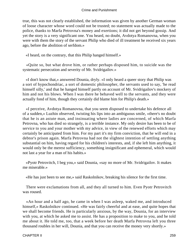true, this was not clearly established, the information was given by another German woman of loose character whose word could not be trusted; no statement was actually made to the police, thanks to Marfa Petrovna's money and exertions; it did not get beyond gossip. And yet the story is a very significant one. You heard, no doubt, Avdotya Romanovna, when you were with them the story of the servant Philip who died of ill treatment he received six years ago, before the abolition of serfdom.»

«I heard, on the contrary, that this Philip hanged himself.»

 «Quite so, but what drove him, or rather perhaps disposed him, to suicide was the systematic persecution and severity of Mr. Svidrigailov.»

 «I don't know that,» answered Dounia, dryly. «I only heard a queer story that Philip was a sort of hypochondriac, a sort of domestic philosopher, the servants used to say, 'he read himself silly,' and that he hanged himself partly on account of Mr. Svidrigailov's mockery of him and not his blows. When I was there he behaved well to the servants, and they were actually fond of him, though they certainly did blame him for Philip's death.»

 «I perceive, Avdotya Romanovna, that you seem disposed to undertake his defence all of a sudden,» Luzhin observed, twisting his lips into an ambiguous smile, «there's no doubt that he is an astute man, and insinuating where ladies are concerned, of which Marfa Petrovna, who has died so strangely, is a terrible instance. My only desire has been to be of service to you and your mother with my advice, in view of the renewed efforts which may certainly be anticipated from him. For my part it's my firm conviction, that he will end in a debtor's prison again. Marfa Petrovna had not the slightest intention of settling anything substantial on him, having regard for his children's interests, and, if she left him anything, it would only be the merest sufficiency, something insignificant and ephemeral, which would not last a year for a man of his habits.»

 «Pyotr Petrovitch, I beg you,» said Dounia, «say no more of Mr. Svidrigailov. It makes me miserable.»

«He has just been to see me,» said Raskolnikov, breaking his silence for the first time.

 There were exclamations from all, and they all turned to him. Even Pyotr Petrovitch was roused.

 «An hour and a half ago, he came in when I was asleep, waked me, and introduced himself,» Raskolnikov continued. «He was fairly cheerful and at ease, and quite hopes that we shall become friends. He is particularly anxious, by the way, Dounia, for an interview with you, at which he asked me to assist. He has a proposition to make to you, and he told me about it. He told me, too, that a week before her death Marfa Petrovna left you three thousand roubles in her will, Dounia, and that you can receive the money very shortly.»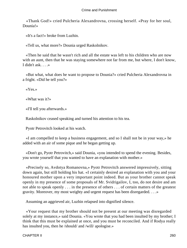«Thank God!» cried Pulcheria Alexandrovna, crossing herself. «Pray for her soul, Dounia!»

«It's a fact!» broke from Luzhin.

«Tell us, what more?» Dounia urged Raskolnikov.

 «Then he said that he wasn't rich and all the estate was left to his children who are now with an aunt, then that he was staying somewhere not far from me, but where, I don't know, I didn't ask. . . .»

 «But what, what does he want to propose to Dounia?» cried Pulcheria Alexandrovna in a fright. «Did he tell you?»

«Yes.»

«What was it?»

«I'll tell you afterwards.»

Raskolnikov ceased speaking and turned his attention to his tea.

Pyotr Petrovitch looked at his watch.

 «I am compelled to keep a business engagement, and so I shall not be in your way,» he added with an air of some pique and he began getting up.

 «Don't go, Pyotr Petrovitch,» said Dounia, «you intended to spend the evening. Besides, you wrote yourself that you wanted to have an explanation with mother.»

 «Precisely so, Avdotya Romanovna,» Pyotr Petrovitch answered impressively, sitting down again, but still holding his hat. «I certainly desired an explanation with you and your honoured mother upon a very important point indeed. But as your brother cannot speak openly in my presence of some proposals of Mr. Svidrigailov, I, too, do not desire and am not able to speak openly . . . in the presence of others . . . of certain matters of the greatest gravity. Moreover, my most weighty and urgent request has been disregarded. . . .»

Assuming an aggrieved air, Luzhin relapsed into dignified silence.

 «Your request that my brother should not be present at our meeting was disregarded solely at my instance,» said Dounia. «You wrote that you had been insulted by my brother; I think that this must be explained at once, and you must be reconciled. And if Rodya really has insulted you, then he /should/ and /will/ apologise.»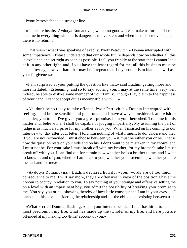Pyotr Petrovitch took a stronger line.

 «There are insults, Avdotya Romanovna, which no goodwill can make us forget. There is a line in everything which it is dangerous to overstep; and when it has been overstepped, there is no return.»

 «That wasn't what I was speaking of exactly, Pyotr Petrovitch,» Dounia interrupted with some impatience. «Please understand that our whole future depends now on whether all this is explained and set right as soon as possible. I tell you frankly at the start that I cannot look at it in any other light, and if you have the least regard for me, all this business must be ended to−day, however hard that may be. I repeat that if my brother is to blame he will ask your forgiveness.»

 «I am surprised at your putting the question like that,» said Luzhin, getting more and more irritated. «Esteeming, and so to say, adoring you, I may at the same time, very well indeed, be able to dislike some member of your family. Though I lay claim to the happiness of your hand, I cannot accept duties incompatible with . . .»

 «Ah, don't be so ready to take offence, Pyotr Petrovitch,» Dounia interrupted with feeling, «and be the sensible and generous man I have always considered, and wish to consider, you to be. I've given you a great promise, I am your betrothed. Trust me in this matter and, believe me, I shall be capable of judging impartially. My assuming the part of judge is as much a surprise for my brother as for you. When I insisted on his coming to our interview to−day after your letter, I told him nothing of what I meant to do. Understand that, if you are not reconciled, I must choose between you – it must be either you or he. That is how the question rests on your side and on his. I don't want to be mistaken in my choice, and I must not be. For your sake I must break off with my brother, for my brother's sake I must break off with you. I can find out for certain now whether he is a brother to me, and I want to know it; and of you, whether I am dear to you, whether you esteem me, whether you are the husband for me.»

 «Avdotya Romanovna,» Luzhin declared huffily, «your words are of too much consequence to me; I will say more, they are offensive in view of the position I have the honour to occupy in relation to you. To say nothing of your strange and offensive setting me on a level with an impertinent boy, you admit the possibility of breaking your promise to me. You say 'you or he,' showing thereby of how little consequence I am in your eyes . . . I cannot let this pass considering the relationship and . . . the obligations existing between us.»

 «What!» cried Dounia, flushing. «I set your interest beside all that has hitherto been most precious in my life, what has made up the /whole/ of my life, and here you are offended at my making too /little/ account of you.»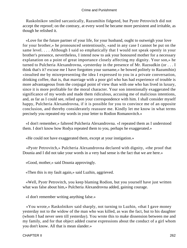Raskolnikov smiled sarcastically, Razumihin fidgeted, but Pyotr Petrovitch did not accept the reproof; on the contrary, at every word he became more persistent and irritable, as though he relished it.

 «Love for the future partner of your life, for your husband, ought to outweigh your love for your brother,» he pronounced sententiously, «and in any case I cannot be put on the same level. . . . Although I said so emphatically that I would not speak openly in your brother's presence, nevertheless, I intend now to ask your honoured mother for a necessary explanation on a point of great importance closely affecting my dignity. Your son,» he turned to Pulcheria Alexandrovna, «yesterday in the presence of Mr. Razsudkin (or . . . I think that's it? excuse me I have forgotten your surname,» he bowed politely to Razumihin) «insulted me by misrepresenting the idea I expressed to you in a private conversation, drinking coffee, that is, that marriage with a poor girl who has had experience of trouble is more advantageous from the conjugal point of view than with one who has lived in luxury, since it is more profitable for the moral character. Your son intentionally exaggerated the significance of my words and made them ridiculous, accusing me of malicious intentions, and, as far as I could see, relied upon your correspondence with him. I shall consider myself happy, Pulcheria Alexandrovna, if it is possible for you to convince me of an opposite conclusion, and thereby considerately reassure me. Kindly let me know in what terms precisely you repeated my words in your letter to Rodion Romanovitch.»

 «I don't remember,» faltered Pulcheria Alexandrovna. «I repeated them as I understood them. I don't know how Rodya repeated them to you, perhaps he exaggerated.»

«He could not have exaggerated them, except at your instigation.»

 «Pyotr Petrovitch,» Pulcheria Alexandrovna declared with dignity, «the proof that Dounia and I did not take your words in a very bad sense is the fact that we are here.»

«Good, mother,» said Dounia approvingly.

«Then this is my fault again,» said Luzhin, aggrieved.

 «Well, Pyotr Petrovitch, you keep blaming Rodion, but you yourself have just written what was false about him,» Pulcheria Alexandrovna added, gaining courage.

«I don't remember writing anything false.»

 «You wrote,» Raskolnikov said sharply, not turning to Luzhin, «that I gave money yesterday not to the widow of the man who was killed, as was the fact, but to his daughter (whom I had never seen till yesterday). You wrote this to make dissension between me and my family, and for that object added coarse expressions about the conduct of a girl whom you don't know. All that is mean slander.»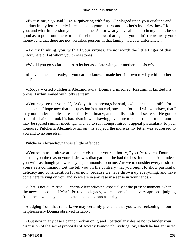«Excuse me, sir,» said Luzhin, quivering with fury. «I enlarged upon your qualities and conduct in my letter solely in response to your sister's and mother's inquiries, how I found you, and what impression you made on me. As for what you've alluded to in my letter, be so good as to point out one word of falsehood, show, that is, that you didn't throw away your money, and that there are not worthless persons in that family, however unfortunate.»

 «To my thinking, you, with all your virtues, are not worth the little finger of that unfortunate girl at whom you throw stones.»

«Would you go so far then as to let her associate with your mother and sister?»

 «I have done so already, if you care to know. I made her sit down to−day with mother and Dounia.»

 «Rodya!» cried Pulcheria Alexandrovna. Dounia crimsoned, Razumihin knitted his brows. Luzhin smiled with lofty sarcasm.

 «You may see for yourself, Avdotya Romanovna,» he said, «whether it is possible for us to agree. I hope now that this question is at an end, once and for all. I will withdraw, that I may not hinder the pleasures of family intimacy, and the discussion of secrets.» He got up from his chair and took his hat. «But in withdrawing, I venture to request that for the future I may be spared similar meetings, and, so to say, compromises. I appeal particularly to you, honoured Pulcheria Alexandrovna, on this subject, the more as my letter was addressed to you and to no one else.»

Pulcheria Alexandrovna was a little offended.

 «You seem to think we are completely under your authority, Pyotr Petrovitch. Dounia has told you the reason your desire was disregarded, she had the best intentions. And indeed you write as though you were laying commands upon me. Are we to consider every desire of yours as a command? Let me tell you on the contrary that you ought to show particular delicacy and consideration for us now, because we have thrown up everything, and have come here relying on you, and so we are in any case in a sense in your hands.»

 «That is not quite true, Pulcheria Alexandrovna, especially at the present moment, when the news has come of Marfa Petrovna's legacy, which seems indeed very apropos, judging from the new tone you take to me,» he added sarcastically.

 «Judging from that remark, we may certainly presume that you were reckoning on our helplessness,» Dounia observed irritably.

 «But now in any case I cannot reckon on it, and I particularly desire not to hinder your discussion of the secret proposals of Arkady Ivanovitch Svidrigailov, which he has entrusted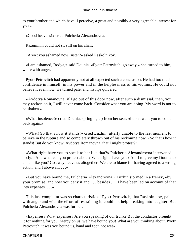to your brother and which have, I perceive, a great and possibly a very agreeable interest for you.»

«Good heavens!» cried Pulcheria Alexandrovna.

Razumihin could not sit still on his chair.

«Aren't you ashamed now, sister?» asked Raskolnikov.

 «I am ashamed, Rodya,» said Dounia. «Pyotr Petrovitch, go away,» she turned to him, white with anger.

 Pyotr Petrovitch had apparently not at all expected such a conclusion. He had too much confidence in himself, in his power and in the helplessness of his victims. He could not believe it even now. He turned pale, and his lips quivered.

 «Avdotya Romanovna, if I go out of this door now, after such a dismissal, then, you may reckon on it, I will never come back. Consider what you are doing. My word is not to be shaken.»

 «What insolence!» cried Dounia, springing up from her seat. «I don't want you to come back again.»

 «What! So that's how it stands!» cried Luzhin, utterly unable to the last moment to believe in the rupture and so completely thrown out of his reckoning now. «So that's how it stands! But do you know, Avdotya Romanovna, that I might protest?»

 «What right have you to speak to her like that?» Pulcheria Alexandrovna intervened hotly. «And what can you protest about? What rights have you? Am I to give my Dounia to a man like you? Go away, leave us altogether! We are to blame for having agreed to a wrong action, and I above all. . . .»

 «But you have bound me, Pulcheria Alexandrovna,» Luzhin stormed in a frenzy, «by your promise, and now you deny it and . . . besides . . . I have been led on account of that into expenses. . . .»

 This last complaint was so characteristic of Pyotr Petrovitch, that Raskolnikov, pale with anger and with the effort of restraining it, could not help breaking into laughter. But Pulcheria Alexandrovna was furious.

 «Expenses? What expenses? Are you speaking of our trunk? But the conductor brought it for nothing for you. Mercy on us, we have bound you! What are you thinking about, Pyotr Petrovitch, it was you bound us, hand and foot, not we!»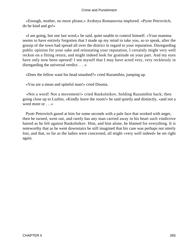«Enough, mother, no more please,» Avdotya Romanovna implored. «Pyotr Petrovitch, do be kind and go!»

 «I am going, but one last word,» he said, quite unable to control himself. «Your mamma seems to have entirely forgotten that I made up my mind to take you, so to speak, after the gossip of the town had spread all over the district in regard to your reputation. Disregarding public opinion for your sake and reinstating your reputation, I certainly might very well reckon on a fitting return, and might indeed look for gratitude on your part. And my eyes have only now been opened! I see myself that I may have acted very, very recklessly in disregarding the universal verdict. . . .»

«Does the fellow want his head smashed?» cried Razumihin, jumping up.

«You are a mean and spiteful man!» cried Dounia.

 «Not a word! Not a movement!» cried Raskolnikov, holding Razumihin back; then going close up to Luzhin, «Kindly leave the room!» he said quietly and distinctly, «and not a word more or  $\ldots$  »

 Pyotr Petrovitch gazed at him for some seconds with a pale face that worked with anger, then he turned, went out, and rarely has any man carried away in his heart such vindictive hatred as he felt against Raskolnikov. Him, and him alone, he blamed for everything. It is noteworthy that as he went downstairs he still imagined that his case was perhaps not utterly lost, and that, so far as the ladies were concerned, all might «very well indeed» be set right again.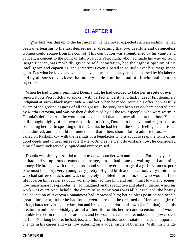# **[CHAPTER III](#page-466-0)**

**The fact was that up to the last moment he had never expected such an ending; he had** been overbearing to the last degree, never dreaming that two destitute and defenceless women could escape from his control. This conviction was strengthened by his vanity and conceit, a conceit to the point of fatuity. Pyotr Petrovitch, who had made his way up from insignificance, was morbidly given to self−admiration, had the highest opinion of his intelligence and capacities, and sometimes even gloated in solitude over his image in the glass. But what he loved and valued above all was the money he had amassed by his labour, and by all sorts of devices: that money made him the equal of all who had been his superiors.

 When he had bitterly reminded Dounia that he had decided to take her in spite of evil report, Pyotr Petrovitch had spoken with perfect sincerity and had, indeed, felt genuinely indignant at such «black ingratitude.» And yet, when he made Dounia his offer, he was fully aware of the groundlessness of all the gossip. The story had been everywhere contradicted by Marfa Petrovna, and was by then disbelieved by all the townspeople, who were warm in Dounia'a defence. And he would not have denied that he knew all that at the time. Yet he still thought highly of his own resolution in lifting Dounia to his level and regarded it as something heroic. In speaking of it to Dounia, he had let out the secret feeling he cherished and admired, and he could not understand that others should fail to admire it too. He had called on Raskolnikov with the feelings of a benefactor who is about to reap the fruits of his good deeds and to hear agreeable flattery. And as he went downstairs now, he considered himself most undeservedly injured and unrecognised.

 Dounia was simply essential to him; to do without her was unthinkable. For many years he had had voluptuous dreams of marriage, but he had gone on waiting and amassing money. He brooded with relish, in profound secret, over the image of a girl – virtuous, poor (she must be poor), very young, very pretty, of good birth and education, very timid, one who had suffered much, and was completely humbled before him, one who would all her life look on him as her saviour, worship him, admire him and only him. How many scenes, how many amorous episodes he had imagined on this seductive and playful theme, when his work was over! And, behold, the dream of so many years was all but realised; the beauty and education of Avdotya Romanovna had impressed him; her helpless position had been a great allurement; in her he had found even more than he dreamed of. Here was a girl of pride, character, virtue, of education and breeding superior to his own (he felt that), and this creature would be slavishly grateful all her life for his heroic condescension, and would humble herself in the dust before him, and he would have absolute, unbounded power over her! . . . Not long before, he had, too, after long reflection and hesitation, made an important change in his career and was now entering on a wider circle of business. With this change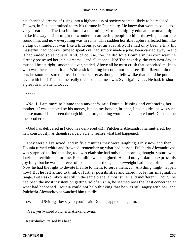his cherished dreams of rising into a higher class of society seemed likely to be realised. . . . He was, in fact, determined to try his fortune in Petersburg. He knew that women could do a very great deal. The fascination of a charming, virtuous, highly educated woman might make his way easier, might do wonders in attracting people to him, throwing an aureole round him, and now everything was in ruins! This sudden horrible rupture affected him like a clap of thunder; it was like a hideous joke, an absurdity. He had only been a tiny bit masterful, had not even time to speak out, had simply made a joke, been carried away – and it had ended so seriously. And, of course, too, he did love Dounia in his own way; he already possessed her in his dreams – and all at once! No! The next day, the very next day, it must all be set right, smoothed over, settled. Above all he must crush that conceited milksop who was the cause of it all. With a sick feeling he could not help recalling Razumihin too, but, he soon reassured himself on that score; as though a fellow like that could be put on a level with him! The man he really dreaded in earnest was Svidrigailov. . . . He had, in short, a great deal to attend to. . . .

\*\*\*\*\*

 «No, I, I am more to blame than anyone!» said Dounia, kissing and embracing her mother. «I was tempted by his money, but on my honour, brother, I had no idea he was such a base man. If I had seen through him before, nothing would have tempted me! Don't blame me, brother!»

 «God has delivered us! God has delivered us!» Pulcheria Alexandrovna muttered, but half consciously, as though scarcely able to realise what had happened.

 They were all relieved, and in five minutes they were laughing. Only now and then Dounia turned white and frowned, remembering what had passed. Pulcheria Alexandrovna was surprised to find that she, too, was glad: she had only that morning thought rupture with Luzhin a terrible misfortune. Razumihin was delighted. He did not yet dare to express his joy fully, but he was in a fever of excitement as though a ton−weight had fallen off his heart. Now he had the right to devote his life to them, to serve them. . . . Anything might happen now! But he felt afraid to think of further possibilities and dared not let his imagination range. But Raskolnikov sat still in the same place, almost sullen and indifferent. Though he had been the most insistent on getting rid of Luzhin, he seemed now the least concerned at what had happened. Dounia could not help thinking that he was still angry with her, and Pulcheria Alexandrovna watched him timidly.

«What did Svidrigailov say to you?» said Dounia, approaching him.

«Yes, yes!» cried Pulcheria Alexandrovna.

Raskolnikov raised his head.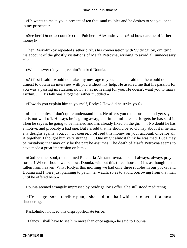«He wants to make you a present of ten thousand roubles and he desires to see you once in my presence.»

 «See her! On no account!» cried Pulcheria Alexandrovna. «And how dare he offer her money!»

 Then Raskolnikov repeated (rather dryly) his conversation with Svidrigailov, omitting his account of the ghostly visitations of Marfa Petrovna, wishing to avoid all unnecessary talk.

«What answer did you give him?» asked Dounia.

 «At first I said I would not take any message to you. Then he said that he would do his utmost to obtain an interview with you without my help. He assured me that his passion for you was a passing infatuation, now he has no feeling for you. He doesn't want you to marry Luzhin. . . . His talk was altogether rather muddled.»

«How do you explain him to yourself, Rodya? How did he strike you?»

 «I must confess I don't quite understand him. He offers you ten thousand, and yet says he is not well off. He says he is going away, and in ten minutes he forgets he has said it. Then he says is he going to be married and has already fixed on the girl. . . . No doubt he has a motive, and probably a bad one. But it's odd that he should be so clumsy about it if he had any designs against you. . . . Of course, I refused this money on your account, once for all. Altogether, I thought him very strange. . . . One might almost think he was mad. But I may be mistaken; that may only be the part he assumes. The death of Marfa Petrovna seems to have made a great impression on him.»

 «God rest her soul,» exclaimed Pulcheria Alexandrovna. «I shall always, always pray for her! Where should we be now, Dounia, without this three thousand! It's as though it had fallen from heaven! Why, Rodya, this morning we had only three roubles in our pocket and Dounia and I were just planning to pawn her watch, so as to avoid borrowing from that man until he offered help.»

Dounia seemed strangely impressed by Svidrigailov's offer. She still stood meditating.

 «He has got some terrible plan,» she said in a half whisper to herself, almost shuddering.

Raskolnikov noticed this disproportionate terror.

«I fancy I shall have to see him more than once again,» he said to Dounia.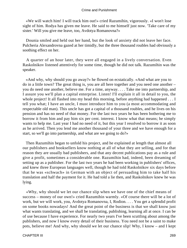«We will watch him! I will track him out!» cried Razumihin, vigorously. «I won't lose sight of him. Rodya has given me leave. He said to me himself just now. 'Take care of my sister.' Will you give me leave, too, Avdotya Romanovna?»

 Dounia smiled and held out her hand, but the look of anxiety did not leave her face. Pulcheria Alexandrovna gazed at her timidly, but the three thousand roubles had obviously a soothing effect on her.

 A quarter of an hour later, they were all engaged in a lively conversation. Even Raskolnikov listened attentively for some time, though he did not talk. Razumihin was the speaker.

 «And why, why should you go away?» he flowed on ecstatically. «And what are you to do in a little town? The great thing is, you are all here together and you need one another – you do need one another, believe me. For a time, anyway. . . . Take me into partnership, and I assure you we'll plan a capital enterprise. Listen! I'll explain it all in detail to you, the whole project! It all flashed into my head this morning, before anything had happened . . . I tell you what; I have an uncle, I must introduce him to you (a most accommodating and respectable old man). This uncle has got a capital of a thousand roubles, and he lives on his pension and has no need of that money. For the last two years he has been bothering me to borrow it from him and pay him six per cent. interest. I know what that means; he simply wants to help me. Last year I had no need of it, but this year I resolved to borrow it as soon as he arrived. Then you lend me another thousand of your three and we have enough for a start, so we'll go into partnership, and what are we going to do?»

 Then Razumihin began to unfold his project, and he explained at length that almost all our publishers and booksellers know nothing at all of what they are selling, and for that reason they are usually bad publishers, and that any decent publications pay as a rule and give a profit, sometimes a considerable one. Razumihin had, indeed, been dreaming of setting up as a publisher. For the last two years he had been working in publishers' offices, and knew three European languages well, though he had told Raskolnikov six days before that he was «schwach» in German with an object of persuading him to take half his translation and half the payment for it. He had told a lie then, and Raskolnikov knew he was lying.

 «Why, why should we let our chance slip when we have one of the chief means of success – money of our own!» cried Razumihin warmly. «Of course there will be a lot of work, but we will work, you, Avdotya Romanovna, I, Rodion. . . . You get a splendid profit on some books nowadays! And the great point of the business is that we shall know just what wants translating, and we shall be translating, publishing, learning all at once. I can be of use because I have experience. For nearly two years I've been scuttling about among the publishers, and now I know every detail of their business. You need not be a saint to make pots, believe me! And why, why should we let our chance slip! Why, I know – and I kept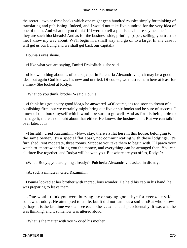the secret – two or three books which one might get a hundred roubles simply for thinking of translating and publishing. Indeed, and I would not take five hundred for the very idea of one of them. And what do you think? If I were to tell a publisher, I dare say he'd hesitate – they are such blockheads! And as for the business side, printing, paper, selling, you trust to me, I know my way about. We'll begin in a small way and go on to a large. In any case it will get us our living and we shall get back our capital.»

Dounia's eyes shone.

«I like what you are saying, Dmitri Prokofitch!» she said.

 «I know nothing about it, of course,» put in Pulcheria Alexandrovna, «it may be a good idea, but again God knows. It's new and untried. Of course, we must remain here at least for a time.» She looked at Rodya.

«What do you think, brother?» said Dounia.

 «I think he's got a very good idea,» he answered. «Of course, it's too soon to dream of a publishing firm, but we certainly might bring out five or six books and be sure of success. I know of one book myself which would be sure to go well. And as for his being able to manage it, there's no doubt about that either. He knows the business. . . . But we can talk it over later. . . .»

 «Hurrah!» cried Razumihin. «Now, stay, there's a flat here in this house, belonging to the same owner. It's a special flat apart, not communicating with these lodgings. It's furnished, rent moderate, three rooms. Suppose you take them to begin with. I'll pawn your watch to−morrow and bring you the money, and everything can be arranged then. You can all three live together, and Rodya will be with you. But where are you off to, Rodya?»

«What, Rodya, you are going already?» Pulcheria Alexandrovna asked in dismay.

«At such a minute?» cried Razumihin.

 Dounia looked at her brother with incredulous wonder. He held his cap in his hand, he was preparing to leave them.

 «One would think you were burying me or saying good−bye for ever,» he said somewhat oddly. He attempted to smile, but it did not turn out a smile. «But who knows, perhaps it is the last time we shall see each other . . .» he let slip accidentally. It was what he was thinking, and it somehow was uttered aloud.

«What is the matter with you?» cried his mother.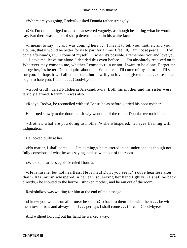«Where are you going, Rodya?» asked Dounia rather strangely.

 «Oh, I'm quite obliged to . . .» he answered vaguely, as though hesitating what he would say. But there was a look of sharp determination in his white face.

 «I meant to say . . . as I was coming here . . . I meant to tell you, mother, and you, Dounia, that it would be better for us to part for a time. I feel ill, I am not at peace. . . . I will come afterwards, I will come of myself . . . when it's possible. I remember you and love you. . . . Leave me, leave me alone. I decided this even before . . . I'm absolutely resolved on it. Whatever may come to me, whether I come to ruin or not, I want to be alone. Forget me altogether, it's better. Don't inquire about me. When I can, I'll come of myself or . . . I'll send for you. Perhaps it will all come back, but now if you love me, give me up . . . else I shall begin to hate you, I feel it. . . . Good−bye!»

 «Good God!» cried Pulcheria Alexandrovna. Both his mother and his sister were terribly alarmed. Razumihin was also.

«Rodya, Rodya, be reconciled with us! Let us be as before!» cried his poor mother.

He turned slowly to the door and slowly went out of the room. Dounia overtook him.

 «Brother, what are you doing to mother?» she whispered, her eyes flashing with indignation.

He looked dully at her.

 «No matter, I shall come. . . . I'm coming,» he muttered in an undertone, as though not fully conscious of what he was saying, and he went out of the room.

«Wicked, heartless egoist!» cried Dounia.

 «He is insane, but not heartless. He is mad! Don't you see it? You're heartless after that!» Razumihin whispered in her ear, squeezing her hand tightly. «I shall be back directly,» he shouted to the horror− stricken mother, and he ran out of the room.

Raskolnikov was waiting for him at the end of the passage.

 «I knew you would run after me,» he said. «Go back to them – be with them . . . be with them to−morrow and always. . . . I . . . perhaps I shall come . . . if I can. Good−bye.»

And without holding out his hand he walked away.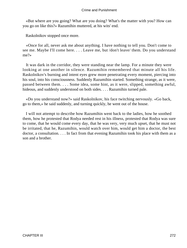«But where are you going? What are you doing? What's the matter with you? How can you go on like this?» Razumihin muttered, at his wits' end.

Raskolnikov stopped once more.

 «Once for all, never ask me about anything. I have nothing to tell you. Don't come to see me. Maybe I'll come here. . . . Leave me, but /don't leave/ them. Do you understand me?»

 It was dark in the corridor, they were standing near the lamp. For a minute they were looking at one another in silence. Razumihin remembered that minute all his life. Raskolnikov's burning and intent eyes grew more penetrating every moment, piercing into his soul, into his consciousness. Suddenly Razumihin started. Something strange, as it were, passed between them. . . . Some idea, some hint, as it were, slipped, something awful, hideous, and suddenly understood on both sides. . . . Razumihin turned pale.

 «Do you understand now?» said Raskolnikov, his face twitching nervously. «Go back, go to them,» he said suddenly, and turning quickly, he went out of the house.

 I will not attempt to describe how Razumihin went back to the ladies, how he soothed them, how he protested that Rodya needed rest in his illness, protested that Rodya was sure to come, that he would come every day, that he was very, very much upset, that he must not be irritated, that he, Razumihin, would watch over him, would get him a doctor, the best doctor, a consultation. . . . In fact from that evening Razumihin took his place with them as a son and a brother.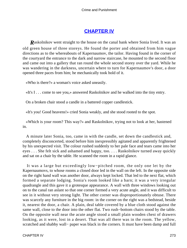# **[CHAPTER IV](#page-466-0)**

*Raskolnikov went straight to the house on the canal bank where Sonia lived. It was an* old green house of three storeys. He found the porter and obtained from him vague directions as to the whereabouts of Kapernaumov, the tailor. Having found in the corner of the courtyard the entrance to the dark and narrow staircase, he mounted to the second floor and came out into a gallery that ran round the whole second storey over the yard. While he was wandering in the darkness, uncertain where to turn for Kapernaumov's door, a door opened three paces from him; he mechanically took hold of it.

«Who is there?» a woman's voice asked uneasily.

«It's I . . . come to see you,» answered Raskolnikov and he walked into the tiny entry.

On a broken chair stood a candle in a battered copper candlestick.

«It's you! Good heavens!» cried Sonia weakly, and she stood rooted to the spot.

 «Which is your room? This way?» and Raskolnikov, trying not to look at her, hastened in.

 A minute later Sonia, too, came in with the candle, set down the candlestick and, completely disconcerted, stood before him inexpressibly agitated and apparently frightened by his unexpected visit. The colour rushed suddenly to her pale face and tears came into her eyes . . . She felt sick and ashamed and happy, too. . . . Raskolnikov turned away quickly and sat on a chair by the table. He scanned the room in a rapid glance.

 It was a large but exceedingly low−pitched room, the only one let by the Kapernaumovs, to whose rooms a closed door led in the wall on the left. In the opposite side on the right hand wall was another door, always kept locked. That led to the next flat, which formed a separate lodging. Sonia's room looked like a barn; it was a very irregular quadrangle and this gave it a grotesque appearance. A wall with three windows looking out on to the canal ran aslant so that one corner formed a very acute angle, and it was difficult to see in it without very strong light. The other corner was disproportionately obtuse. There was scarcely any furniture in the big room: in the corner on the right was a bedstead, beside it, nearest the door, a chair. A plain, deal table covered by a blue cloth stood against the same wall, close to the door into the other flat. Two rush−bottom chairs stood by the table. On the opposite wall near the acute angle stood a small plain wooden chest of drawers looking, as it were, lost in a desert. That was all there was in the room. The yellow, scratched and shabby wall− paper was black in the corners. It must have been damp and full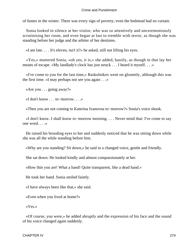of fumes in the winter. There was every sign of poverty; even the bedstead had no curtain.

 Sonia looked in silence at her visitor, who was so attentively and unceremoniously scrutinising her room, and even began at last to tremble with terror, as though she was standing before her judge and the arbiter of her destinies.

«I am late. . . . It's eleven, isn't it?» he asked, still not lifting his eyes.

 «Yes,» muttered Sonia, «oh yes, it is,» she added, hastily, as though in that lay her means of escape. «My landlady's clock has just struck . . . I heard it myself. . . .»

 «I've come to you for the last time,» Raskolnikov went on gloomily, although this was the first time. «I may perhaps not see you again . . .»

«Are you . . . going away?»

«I don't know . . . to−morrow. . . .»

«Then you are not coming to Katerina Ivanovna to−morrow?» Sonia's voice shook.

 «I don't know. I shall know to−morrow morning. . . . Never mind that: I've come to say one word. . . .»

 He raised his brooding eyes to her and suddenly noticed that he was sitting down while she was all the while standing before him.

«Why are you standing? Sit down,» he said in a changed voice, gentle and friendly.

She sat down. He looked kindly and almost compassionately at her.

«How thin you are! What a hand! Quite transparent, like a dead hand.»

He took her hand. Sonia smiled faintly.

«I have always been like that,» she said.

«Even when you lived at home?»

«Yes.»

 «Of course, you were,» he added abruptly and the expression of his face and the sound of his voice changed again suddenly.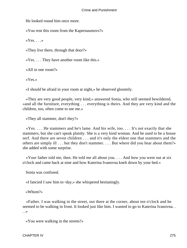He looked round him once more.

«You rent this room from the Kapernaumovs?»

 $\langle Yes. \ldots \rangle$ 

«They live there, through that door?»

«Yes. . . . They have another room like this.»

«All in one room?»

«Yes.»

«I should be afraid in your room at night,» he observed gloomily.

 «They are very good people, very kind,» answered Sonia, who still seemed bewildered, «and all the furniture, everything . . . everything is theirs. And they are very kind and the children, too, often come to see me.»

«They all stammer, don't they?»

 $\langle Y$ es.... He stammers and he's lame. And his wife, too.... It's not exactly that she stammers, but she can't speak plainly. She is a very kind woman. And he used to be a house serf. And there are seven children . . . and it's only the eldest one that stammers and the others are simply ill . . . but they don't stammer. . . . But where did you hear about them?» she added with some surprise.

 «Your father told me, then. He told me all about you. . . . And how you went out at six o'clock and came back at nine and how Katerina Ivanovna knelt down by your bed.»

Sonia was confused.

«I fancied I saw him to−day,» she whispered hesitatingly.

«Whom?»

 «Father. I was walking in the street, out there at the corner, about ten o'clock and he seemed to be walking in front. It looked just like him. I wanted to go to Katerina Ivanovna. . . .»

«You were walking in the streets?»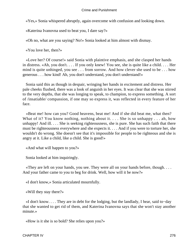«Yes,» Sonia whispered abruptly, again overcome with confusion and looking down.

«Katerina Ivanovna used to beat you, I dare say?»

«Oh no, what are you saying? No!» Sonia looked at him almost with dismay.

«You love her, then?»

 «Love her? Of course!» said Sonia with plaintive emphasis, and she clasped her hands in distress. «Ah, you don't. . . . If you only knew! You see, she is quite like a child. . . . Her mind is quite unhinged, you see . . . from sorrow. And how clever she used to be . . . how generous . . . how kind! Ah, you don't understand, you don't understand!»

 Sonia said this as though in despair, wringing her hands in excitement and distress. Her pale cheeks flushed, there was a look of anguish in her eyes. It was clear that she was stirred to the very depths, that she was longing to speak, to champion, to express something. A sort of /insatiable/ compassion, if one may so express it, was reflected in every feature of her face.

 «Beat me! how can you? Good heavens, beat me! And if she did beat me, what then? What of it? You know nothing, nothing about it. . . . She is so unhappy . . . ah, how unhappy! And ill. . . . She is seeking righteousness, she is pure. She has such faith that there must be righteousness everywhere and she expects it. . . . And if you were to torture her, she wouldn't do wrong. She doesn't see that it's impossible for people to be righteous and she is angry at it. Like a child, like a child. She is good!»

«And what will happen to you?»

Sonia looked at him inquiringly.

 «They are left on your hands, you see. They were all on your hands before, though. . . . And your father came to you to beg for drink. Well, how will it be now?»

«I don't know,» Sonia articulated mournfully.

«Will they stay there?»

 «I don't know. . . . They are in debt for the lodging, but the landlady, I hear, said to−day that she wanted to get rid of them, and Katerina Ivanovna says that she won't stay another minute.»

«How is it she is so bold? She relies upon you?»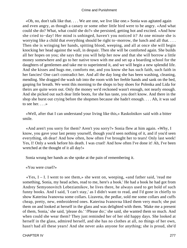«Oh, no, don't talk like that. . . . We are one, we live like one.» Sonia was agitated again and even angry, as though a canary or some other little bird were to be angry. «And what could she do? What, what could she do?» she persisted, getting hot and excited. «And how she cried to−day! Her mind is unhinged, haven't you noticed it? At one minute she is worrying like a child that everything should be right to−morrow, the lunch and all that. . . . Then she is wringing her hands, spitting blood, weeping, and all at once she will begin knocking her head against the wall, in despair. Then she will be comforted again. She builds all her hopes on you; she says that you will help her now and that she will borrow a little money somewhere and go to her native town with me and set up a boarding school for the daughters of gentlemen and take me to superintend it, and we will begin a new splendid life. And she kisses and hugs me, comforts me, and you know she has such faith, such faith in her fancies! One can't contradict her. And all the day long she has been washing, cleaning, mending. She dragged the wash tub into the room with her feeble hands and sank on the bed, gasping for breath. We went this morning to the shops to buy shoes for Polenka and Lida for theirs are quite worn out. Only the money we'd reckoned wasn't enough, not nearly enough. And she picked out such dear little boots, for she has taste, you don't know. And there in the shop she burst out crying before the shopmen because she hadn't enough. . . . Ah, it was sad to see her. . . .»

 «Well, after that I can understand your living like this,» Raskolnikov said with a bitter smile.

 «And aren't you sorry for them? Aren't you sorry?» Sonia flew at him again. «Why, I know, you gave your last penny yourself, though you'd seen nothing of it, and if you'd seen everything, oh dear! And how often, how often I've brought her to tears! Only last week! Yes, I! Only a week before his death. I was cruel! And how often I've done it! Ah, I've been wretched at the thought of it all day!»

Sonia wrung her hands as she spoke at the pain of remembering it.

«You were cruel?»

 $\langle Y \rangle$ es, I – I. I went to see them,» she went on, weeping, «and father said, 'read me something, Sonia, my head aches, read to me, here's a book.' He had a book he had got from Andrey Semyonovitch Lebeziatnikov, he lives there, he always used to get hold of such funny books. And I said, 'I can't stay,' as I didn't want to read, and I'd gone in chiefly to show Katerina Ivanovna some collars. Lizaveta, the pedlar, sold me some collars and cuffs cheap, pretty, new, embroidered ones. Katerina Ivanovna liked them very much; she put them on and looked at herself in the glass and was delighted with them. 'Make me a present of them, Sonia,' she said, 'please do.' '/Please do/,' she said, she wanted them so much. And when could she wear them? They just reminded her of her old happy days. She looked at herself in the glass, admired herself, and she has no clothes at all, no things of her own, hasn't had all these years! And she never asks anyone for anything; she is proud, she'd

CHAPTER IV 277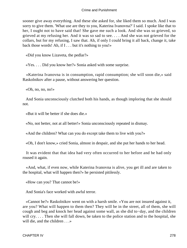sooner give away everything. And these she asked for, she liked them so much. And I was sorry to give them. 'What use are they to you, Katerina Ivanovna?' I said. I spoke like that to her, I ought not to have said that! She gave me such a look. And she was so grieved, so grieved at my refusing her. And it was so sad to see. . . . And she was not grieved for the collars, but for my refusing, I saw that. Ah, if only I could bring it all back, change it, take back those words! Ah, if I . . . but it's nothing to you!»

«Did you know Lizaveta, the pedlar?»

«Yes. . . . Did you know her?» Sonia asked with some surprise.

 «Katerina Ivanovna is in consumption, rapid consumption; she will soon die,» said Raskolnikov after a pause, without answering her question.

«Oh, no, no, no!»

 And Sonia unconsciously clutched both his hands, as though imploring that she should not.

«But it will be better if she does die.»

«No, not better, not at all better!» Sonia unconsciously repeated in dismay.

«And the children? What can you do except take them to live with you?»

«Oh, I don't know,» cried Sonia, almost in despair, and she put her hands to her head.

 It was evident that that idea had very often occurred to her before and he had only roused it again.

 «And, what, if even now, while Katerina Ivanovna is alive, you get ill and are taken to the hospital, what will happen then?» he persisted pitilessly.

«How can you? That cannot be!»

And Sonia's face worked with awful terror.

 «Cannot be?» Raskolnikov went on with a harsh smile. «You are not insured against it, are you? What will happen to them then? They will be in the street, all of them, she will cough and beg and knock her head against some wall, as she did to−day, and the children will cry. . . . Then she will fall down, be taken to the police station and to the hospital, she will die, and the children . . . »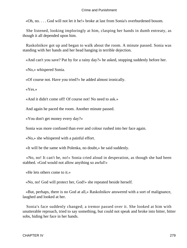«Oh, no. . . . God will not let it be!» broke at last from Sonia's overburdened bosom.

 She listened, looking imploringly at him, clasping her hands in dumb entreaty, as though it all depended upon him.

 Raskolnikov got up and began to walk about the room. A minute passed. Sonia was standing with her hands and her head hanging in terrible dejection.

«And can't you save? Put by for a rainy day?» he asked, stopping suddenly before her.

«No,» whispered Sonia.

«Of course not. Have you tried?» he added almost ironically.

«Yes.»

«And it didn't come off! Of course not! No need to ask.»

And again he paced the room. Another minute passed.

«You don't get money every day?»

Sonia was more confused than ever and colour rushed into her face again.

«No,» she whispered with a painful effort.

«It will be the same with Polenka, no doubt,» he said suddenly.

 «No, no! It can't be, no!» Sonia cried aloud in desperation, as though she had been stabbed. «God would not allow anything so awful!»

«He lets others come to it.»

«No, no! God will protect her, God!» she repeated beside herself.

 «But, perhaps, there is no God at all,» Raskolnikov answered with a sort of malignance, laughed and looked at her.

 Sonia's face suddenly changed; a tremor passed over it. She looked at him with unutterable reproach, tried to say something, but could not speak and broke into bitter, bitter sobs, hiding her face in her hands.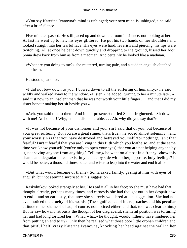«You say Katerina Ivanovna's mind is unhinged; your own mind is unhinged,» he said after a brief silence.

 Five minutes passed. He still paced up and down the room in silence, not looking at her. At last he went up to her; his eyes glittered. He put his two hands on her shoulders and looked straight into her tearful face. His eyes were hard, feverish and piercing, his lips were twitching. All at once he bent down quickly and dropping to the ground, kissed her foot. Sonia drew back from him as from a madman. And certainly he looked like a madman.

 «What are you doing to me?» she muttered, turning pale, and a sudden anguish clutched at her heart.

He stood up at once.

 «I did not bow down to you, I bowed down to all the suffering of humanity,» he said wildly and walked away to the window. «Listen,» he added, turning to her a minute later. «I said just now to an insolent man that he was not worth your little finger . . . and that I did my sister honour making her sit beside you.»

 «Ach, you said that to them! And in her presence?» cried Sonia, frightened. «Sit down with me! An honour! Why, I'm . . . dishonourable. . . . Ah, why did you say that?»

 «It was not because of your dishonour and your sin I said that of you, but because of your great suffering. But you are a great sinner, that's true,» he added almost solemnly, «and your worst sin is that you have destroyed and betrayed yourself /for nothing/. Isn't that fearful? Isn't it fearful that you are living in this filth which you loathe so, and at the same time you know yourself (you've only to open your eyes) that you are not helping anyone by it, not saving anyone from anything? Tell me,» he went on almost in a frenzy, «how this shame and degradation can exist in you side by side with other, opposite, holy feelings? It would be better, a thousand times better and wiser to leap into the water and end it all!»

 «But what would become of them?» Sonia asked faintly, gazing at him with eyes of anguish, but not seeming surprised at his suggestion.

 Raskolnikov looked strangely at her. He read it all in her face; so she must have had that thought already, perhaps many times, and earnestly she had thought out in her despair how to end it and so earnestly, that now she scarcely wondered at his suggestion. She had not even noticed the cruelty of his words. (The significance of his reproaches and his peculiar attitude to her shame she had, of course, not noticed either, and that, too, was clear to him.) But he saw how monstrously the thought of her disgraceful, shameful position was torturing her and had long tortured her. «What, what,» he thought, «could hitherto have hindered her from putting an end to it?» Only then he realised what those poor little orphan children and that pitiful half−crazy Katerina Ivanovna, knocking her head against the wall in her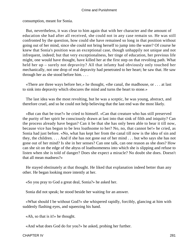consumption, meant for Sonia.

 But, nevertheless, it was clear to him again that with her character and the amount of education she had after all received, she could not in any case remain so. He was still confronted by the question, how could she have remained so long in that position without going out of her mind, since she could not bring herself to jump into the water? Of course he knew that Sonia's position was an exceptional case, though unhappily not unique and not infrequent, indeed; but that very exceptionalness, her tinge of education, her previous life might, one would have thought, have killed her at the first step on that revolting path. What held her up – surely not depravity? All that infamy had obviously only touched her mechanically, not one drop of real depravity had penetrated to her heart; he saw that. He saw through her as she stood before him. . . .

 «There are three ways before her,» he thought, «the canal, the madhouse, or . . . at last to sink into depravity which obscures the mind and turns the heart to stone.»

 The last idea was the most revolting, but he was a sceptic, he was young, abstract, and therefore cruel, and so he could not help believing that the last end was the most likely.

 «But can that be true?» he cried to himself. «Can that creature who has still preserved the purity of her spirit be consciously drawn at last into that sink of filth and iniquity? Can the process already have begun? Can it be that she has only been able to bear it till now, because vice has begun to be less loathsome to her? No, no, that cannot be!» he cried, as Sonia had just before. «No, what has kept her from the canal till now is the idea of sin and they, the children. . . . And if she has not gone out of her mind . . . but who says she has not gone out of her mind? Is she in her senses? Can one talk, can one reason as she does? How can she sit on the edge of the abyss of loathsomeness into which she is slipping and refuse to listen when she is told of danger? Does she expect a miracle? No doubt she does. Doesn't that all mean madness?»

 He stayed obstinately at that thought. He liked that explanation indeed better than any other. He began looking more intently at her.

«So you pray to God a great deal, Sonia?» he asked her.

Sonia did not speak; he stood beside her waiting for an answer.

 «What should I be without God?» she whispered rapidly, forcibly, glancing at him with suddenly flashing eyes, and squeezing his hand.

«Ah, so that is it!» he thought.

«And what does God do for you?» he asked, probing her further.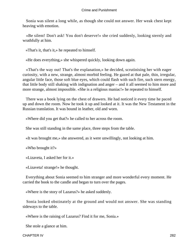Sonia was silent a long while, as though she could not answer. Her weak chest kept heaving with emotion.

 «Be silent! Don't ask! You don't deserve!» she cried suddenly, looking sternly and wrathfully at him.

«That's it, that's it,» he repeated to himself.

«He does everything,» she whispered quickly, looking down again.

 «That's the way out! That's the explanation,» he decided, scrutinising her with eager curiosity, with a new, strange, almost morbid feeling. He gazed at that pale, thin, irregular, angular little face, those soft blue eyes, which could flash with such fire, such stern energy, that little body still shaking with indignation and anger – and it all seemed to him more and more strange, almost impossible. «She is a religious maniac!» he repeated to himself.

 There was a book lying on the chest of drawers. He had noticed it every time he paced up and down the room. Now he took it up and looked at it. It was the New Testament in the Russian translation. It was bound in leather, old and worn.

«Where did you get that?» he called to her across the room.

She was still standing in the same place, three steps from the table.

«It was brought me,» she answered, as it were unwillingly, not looking at him.

«Who brought it?»

«Lizaveta, I asked her for it.»

«Lizaveta! strange!» he thought.

 Everything about Sonia seemed to him stranger and more wonderful every moment. He carried the book to the candle and began to turn over the pages.

«Where is the story of Lazarus?» he asked suddenly.

 Sonia looked obstinately at the ground and would not answer. She was standing sideways to the table.

«Where is the raising of Lazarus? Find it for me, Sonia.»

She stole a glance at him.

CHAPTER IV 282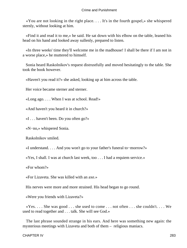«You are not looking in the right place. . . . It's in the fourth gospel,» she whispered sternly, without looking at him.

 «Find it and read it to me,» he said. He sat down with his elbow on the table, leaned his head on his hand and looked away sullenly, prepared to listen.

 «In three weeks' time they'll welcome me in the madhouse! I shall be there if I am not in a worse place,» he muttered to himself.

 Sonia heard Raskolnikov's request distrustfully and moved hesitatingly to the table. She took the book however.

«Haven't you read it?» she asked, looking up at him across the table.

Her voice became sterner and sterner.

«Long ago. . . . When I was at school. Read!»

«And haven't you heard it in church?»

«I . . . haven't been. Do you often go?»

«N−no,» whispered Sonia.

Raskolnikov smiled.

«I understand. . . . And you won't go to your father's funeral to−morrow?»

«Yes, I shall. I was at church last week, too . . . I had a requiem service.»

«For whom?»

«For Lizaveta. She was killed with an axe.»

His nerves were more and more strained. His head began to go round.

«Were you friends with Lizaveta?»

 $\langle x \rangle$   $\langle x \rangle$   $\langle x \rangle$   $\langle x \rangle$  are set to  $\langle x \rangle$  are  $\langle x \rangle$  are  $\langle x \rangle$  are  $\langle x \rangle$  are  $\langle x \rangle$  are  $\langle x \rangle$  are  $\langle x \rangle$  are  $\langle x \rangle$  are  $\langle x \rangle$  are  $\langle x \rangle$  are  $\langle x \rangle$  are  $\langle x \rangle$  are  $\langle x \rangle$  are  $\langle x \rangle$  are  $\langle x \rangle$  ar used to read together and . . . talk. She will see God.»

 The last phrase sounded strange in his ears. And here was something new again: the mysterious meetings with Lizaveta and both of them – religious maniacs.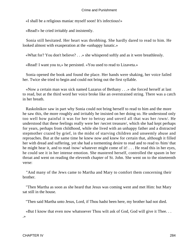«I shall be a religious maniac myself soon! It's infectious!»

«Read!» he cried irritably and insistently.

 Sonia still hesitated. Her heart was throbbing. She hardly dared to read to him. He looked almost with exasperation at the «unhappy lunatic.»

«What for? You don't believe? . . .» she whispered softly and as it were breathlessly.

«Read! I want you to,» he persisted. «You used to read to Lizaveta.»

 Sonia opened the book and found the place. Her hands were shaking, her voice failed her. Twice she tried to begin and could not bring out the first syllable.

 «Now a certain man was sick named Lazarus of Bethany . . .» she forced herself at last to read, but at the third word her voice broke like an overstrained string. There was a catch in her breath.

 Raskolnikov saw in part why Sonia could not bring herself to read to him and the more he saw this, the more roughly and irritably he insisted on her doing so. He understood only too well how painful it was for her to betray and unveil all that was her /own/. He understood that these feelings really were her /secret treasure/, which she had kept perhaps for years, perhaps from childhood, while she lived with an unhappy father and a distracted stepmother crazed by grief, in the midst of starving children and unseemly abuse and reproaches. But at the same time he knew now and knew for certain that, although it filled her with dread and suffering, yet she had a tormenting desire to read and to read to /him/ that he might hear it, and to read /now/ whatever might come of it! . . . He read this in her eyes, he could see it in her intense emotion. She mastered herself, controlled the spasm in her throat and went on reading the eleventh chapter of St. John. She went on to the nineteenth verse:

 "And many of the Jews came to Martha and Mary to comfort them concerning their brother.

 "Then Martha as soon as she heard that Jesus was coming went and met Him: but Mary sat still in the house.

"Then said Martha unto Jesus, Lord, if Thou hadst been here, my brother had not died.

 «But I know that even now whatsoever Thou wilt ask of God, God will give it Thee. . . .»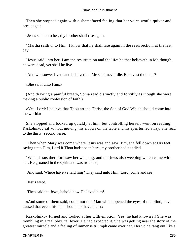Then she stopped again with a shamefaced feeling that her voice would quiver and break again.

"Jesus said unto her, thy brother shall rise again.

 "Martha saith unto Him, I know that he shall rise again in the resurrection, at the last day.

 "Jesus said unto her, I am the resurrection and the life: he that believeth in Me though he were dead, yet shall he live.

"And whosoever liveth and believeth in Me shall never die. Believest thou this?

«She saith unto Him,»

 (And drawing a painful breath, Sonia read distinctly and forcibly as though she were making a public confession of faith.)

 «Yea, Lord: I believe that Thou art the Christ, the Son of God Which should come into the world.»

 She stopped and looked up quickly at him, but controlling herself went on reading. Raskolnikov sat without moving, his elbows on the table and his eyes turned away. She read to the thirty−second verse.

 "Then when Mary was come where Jesus was and saw Him, she fell down at His feet, saying unto Him, Lord if Thou hadst been here, my brother had not died.

 "When Jesus therefore saw her weeping, and the Jews also weeping which came with her, He groaned in the spirit and was troubled,

"And said, Where have ye laid him? They said unto Him, Lord, come and see.

"Jesus wept.

"Then said the Jews, behold how He loved him!

 «And some of them said, could not this Man which opened the eyes of the blind, have caused that even this man should not have died?»

 Raskolnikov turned and looked at her with emotion. Yes, he had known it! She was trembling in a real physical fever. He had expected it. She was getting near the story of the greatest miracle and a feeling of immense triumph came over her. Her voice rang out like a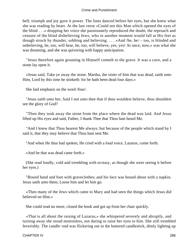bell; triumph and joy gave it power. The lines danced before her eyes, but she knew what she was reading by heart. At the last verse «Could not this Man which opened the eyes of the blind . . .» dropping her voice she passionately reproduced the doubt, the reproach and censure of the blind disbelieving Jews, who in another moment would fall at His feet as though struck by thunder, sobbing and believing. . . . «And /he, he/ – too, is blinded and unbelieving, he, too, will hear, he, too, will believe, yes, yes! At once, now,» was what she was dreaming, and she was quivering with happy anticipation.

 "Jesus therefore again groaning in Himself cometh to the grave. It was a cave, and a stone lay upon it.

 «Jesus said, Take ye away the stone. Martha, the sister of him that was dead, saith unto Him, Lord by this time he stinketh: for he hath been dead four days.»

She laid emphasis on the word /four/.

 "Jesus saith unto her, Said I not unto thee that if thou wouldest believe, thou shouldest see the glory of God?

 "Then they took away the stone from the place where the dead was laid. And Jesus lifted up His eyes and said, Father, I thank Thee that Thou hast heard Me.

 "And I knew that Thou hearest Me always; but because of the people which stand by I said it, that they may believe that Thou hast sent Me.

"And when He thus had spoken, He cried with a loud voice, Lazarus, come forth.

«And he that was dead came forth.»

 (She read loudly, cold and trembling with ecstasy, as though she were seeing it before her eyes.)

 "Bound hand and foot with graveclothes; and his face was bound about with a napkin. Jesus saith unto them, Loose him and let him go.

 «Then many of the Jews which came to Mary and had seen the things which Jesus did believed on Him.»

She could read no more, closed the book and got up from her chair quickly.

 «That is all about the raising of Lazarus,» she whispered severely and abruptly, and turning away she stood motionless, not daring to raise her eyes to him. She still trembled feverishly. The candle−end was flickering out in the battered candlestick, dimly lighting up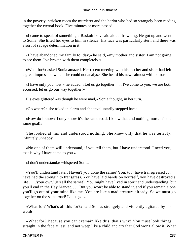in the poverty−stricken room the murderer and the harlot who had so strangely been reading together the eternal book. Five minutes or more passed.

 «I came to speak of something,» Raskolnikov said aloud, frowning. He got up and went to Sonia. She lifted her eyes to him in silence. His face was particularly stern and there was a sort of savage determination in it.

 «I have abandoned my family to−day,» he said, «my mother and sister. I am not going to see them. I've broken with them completely.»

 «What for?» asked Sonia amazed. Her recent meeting with his mother and sister had left a great impression which she could not analyse. She heard his news almost with horror.

 «I have only you now,» he added. «Let us go together. . . . I've come to you, we are both accursed, let us go our way together!»

His eyes glittered «as though he were mad,» Sonia thought, in her turn.

«Go where?» she asked in alarm and she involuntarily stepped back.

 «How do I know? I only know it's the same road, I know that and nothing more. It's the same goal!»

 She looked at him and understood nothing. She knew only that he was terribly, infinitely unhappy.

 «No one of them will understand, if you tell them, but I have understood. I need you, that is why I have come to you.»

«I don't understand,» whispered Sonia.

 «You'll understand later. Haven't you done the same? You, too, have transgressed . . . have had the strength to transgress. You have laid hands on yourself, you have destroyed a life . . . /your own/ (it's all the same!). You might have lived in spirit and understanding, but you'll end in the Hay Market. . . . But you won't be able to stand it, and if you remain alone you'll go out of your mind like me. You are like a mad creature already. So we must go together on the same road! Let us go!»

 «What for? What's all this for?» said Sonia, strangely and violently agitated by his words.

 «What for? Because you can't remain like this, that's why! You must look things straight in the face at last, and not weep like a child and cry that God won't allow it. What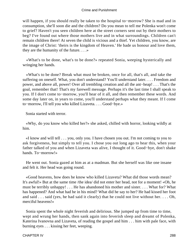will happen, if you should really be taken to the hospital to−morrow? She is mad and in consumption, she'll soon die and the children? Do you mean to tell me Polenka won't come to grief? Haven't you seen children here at the street corners sent out by their mothers to beg? I've found out where those mothers live and in what surroundings. Children can't remain children there! At seven the child is vicious and a thief. Yet children, you know, are the image of Christ: 'theirs is the kingdom of Heaven.' He bade us honour and love them, they are the humanity of the future. . . .»

 «What's to be done, what's to be done?» repeated Sonia, weeping hysterically and wringing her hands.

 «What's to be done? Break what must be broken, once for all, that's all, and take the suffering on oneself. What, you don't understand? You'll understand later. . . . Freedom and power, and above all, power! Over all trembling creation and all the ant−heap! . . . That's the goal, remember that! That's my farewell message. Perhaps it's the last time I shall speak to you. If I don't come to−morrow, you'll hear of it all, and then remember these words. And some day later on, in years to come, you'll understand perhaps what they meant. If I come to−morrow, I'll tell you who killed Lizaveta. . . . Good−bye.»

Sonia started with terror.

 «Why, do you know who killed her?» she asked, chilled with horror, looking wildly at him.

 «I know and will tell . . . you, only you. I have chosen you out. I'm not coming to you to ask forgiveness, but simply to tell you. I chose you out long ago to hear this, when your father talked of you and when Lizaveta was alive, I thought of it. Good−bye, don't shake hands. To−morrow!»

 He went out. Sonia gazed at him as at a madman. But she herself was like one insane and felt it. Her head was going round.

 «Good heavens, how does he know who killed Lizaveta? What did those words mean? It's awful!» But at the same time /the idea/ did not enter her head, not for a moment! «Oh, he must be terribly unhappy! . . . He has abandoned his mother and sister. . . . What for? What has happened? And what had he in his mind? What did he say to her? He had kissed her foot and said . . . said (yes, he had said it clearly) that he could not live without her. . . . Oh, merciful heavens!»

 Sonia spent the whole night feverish and delirious. She jumped up from time to time, wept and wrung her hands, then sank again into feverish sleep and dreamt of Polenka, Katerina Ivanovna and Lizaveta, of reading the gospel and him . . . him with pale face, with burning eyes . . . kissing her feet, weeping.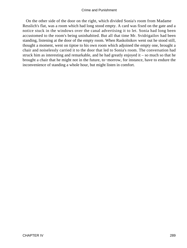On the other side of the door on the right, which divided Sonia's room from Madame Resslich's flat, was a room which had long stood empty. A card was fixed on the gate and a notice stuck in the windows over the canal advertising it to let. Sonia had long been accustomed to the room's being uninhabited. But all that time Mr. Svidrigailov had been standing, listening at the door of the empty room. When Raskolnikov went out he stood still, thought a moment, went on tiptoe to his own room which adjoined the empty one, brought a chair and noiselessly carried it to the door that led to Sonia's room. The conversation had struck him as interesting and remarkable, and he had greatly enjoyed it – so much so that he brought a chair that he might not in the future, to−morrow, for instance, have to endure the inconvenience of standing a whole hour, but might listen in comfort.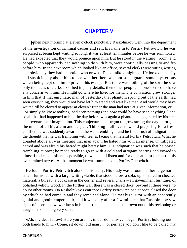# **[CHAPTER V](#page-466-0)**

*W*hen next morning at eleven o'clock punctually Raskolnikov went into the department of the investigation of criminal causes and sent his name in to Porfiry Petrovitch, he was surprised at being kept waiting so long: it was at least ten minutes before he was summoned. He had expected that they would pounce upon him. But he stood in the waiting– room, and people, who apparently had nothing to do with him, were continually passing to and fro before him. In the next room which looked like an office, several clerks were sitting writing and obviously they had no notion who or what Raskolnikov might be. He looked uneasily and suspiciously about him to see whether there was not some guard, some mysterious watch being kept on him to prevent his escape. But there was nothing of the sort: he saw only the faces of clerks absorbed in petty details, then other people, no one seemed to have any concern with him. He might go where he liked for them. The conviction grew stronger in him that if that enigmatic man of yesterday, that phantom sprung out of the earth, had seen everything, they would not have let him stand and wait like that. And would they have waited till he elected to appear at eleven? Either the man had not yet given information, or . . . or simply he knew nothing, had seen nothing (and how could he have seen anything?) and so all that had happened to him the day before was again a phantom exaggerated by his sick and overstrained imagination. This conjecture had begun to grow strong the day before, in the midst of all his alarm and despair. Thinking it all over now and preparing for a fresh conflict, he was suddenly aware that he was trembling – and he felt a rush of indignation at the thought that he was trembling with fear at facing that hateful Porfiry Petrovitch. What he dreaded above all was meeting that man again; he hated him with an intense, unmitigated hatred and was afraid his hatred might betray him. His indignation was such that he ceased trembling at once; he made ready to go in with a cold and arrogant bearing and vowed to himself to keep as silent as possible, to watch and listen and for once at least to control his overstrained nerves. At that moment he was summoned to Porfiry Petrovitch.

 He found Porfiry Petrovitch alone in his study. His study was a room neither large nor small, furnished with a large writing–table, that stood before a sofa, upholstered in checked material, a bureau, a bookcase in the corner and several chairs – all government furniture, of polished yellow wood. In the further wall there was a closed door, beyond it there were no doubt other rooms. On Raskolnikov's entrance Porfiry Petrovitch had at once closed the door by which he had come in and they remained alone. He met his visitor with an apparently genial and good−tempered air, and it was only after a few minutes that Raskolnikov saw signs of a certain awkwardness in him, as though he had been thrown out of his reckoning or caught in something very secret.

 «Ah, my dear fellow! Here you are . . . in our domain» . . . began Porfiry, holding out both hands to him. «Come, sit down, old man . . . or perhaps you don't like to be called 'my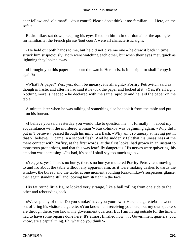dear fellow' and 'old man!' – /tout court/? Please don't think it too familiar. . . . Here, on the sofa.»

 Raskolnikov sat down, keeping his eyes fixed on him. «In our domain,» the apologies for familiarity, the French phrase /tout court/, were all characteristic signs.

 «He held out both hands to me, but he did not give me one – he drew it back in time,» struck him suspiciously. Both were watching each other, but when their eyes met, quick as lightning they looked away.

 «I brought you this paper . . . about the watch. Here it is. Is it all right or shall I copy it again?»

 «What? A paper? Yes, yes, don't be uneasy, it's all right,» Porfiry Petrovitch said as though in haste, and after he had said it he took the paper and looked at it. «Yes, it's all right. Nothing more is needed,» he declared with the same rapidity and he laid the paper on the table.

 A minute later when he was talking of something else he took it from the table and put it on his bureau.

 «I believe you said yesterday you would like to question me . . . formally . . . about my acquaintance with the murdered woman?» Raskolnikov was beginning again. «Why did I put in 'I believe'» passed through his mind in a flash. «Why am I so uneasy at having put in that '/I believe/'?» came in a second flash. And he suddenly felt that his uneasiness at the mere contact with Porfiry, at the first words, at the first looks, had grown in an instant to monstrous proportions, and that this was fearfully dangerous. His nerves were quivering, his emotion was increasing. «It's bad, it's bad! I shall say too much again.»

 «Yes, yes, yes! There's no hurry, there's no hurry,» muttered Porfiry Petrovitch, moving to and fro about the table without any apparent aim, as it were making dashes towards the window, the bureau and the table, at one moment avoiding Raskolnikov's suspicious glance, then again standing still and looking him straight in the face.

 His fat round little figure looked very strange, like a ball rolling from one side to the other and rebounding back.

 «We've plenty of time. Do you smoke? have you your own? Here, a cigarette!» he went on, offering his visitor a cigarette. «You know I am receiving you here, but my own quarters are through there, you know, my government quarters. But I am living outside for the time, I had to have some repairs done here. It's almost finished now.... Government quarters, you know, are a capital thing. Eh, what do you think?»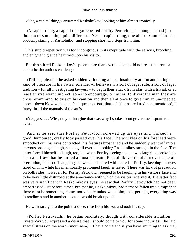«Yes, a capital thing,» answered Raskolnikov, looking at him almost ironically.

 «A capital thing, a capital thing,» repeated Porfiry Petrovitch, as though he had just thought of something quite different. «Yes, a capital thing,» he almost shouted at last, suddenly staring at Raskolnikov and stopping short two steps from him.

 This stupid repetition was too incongruous in its ineptitude with the serious, brooding and enigmatic glance he turned upon his visitor.

 But this stirred Raskolnikov's spleen more than ever and he could not resist an ironical and rather incautious challenge.

 «Tell me, please,» he asked suddenly, looking almost insolently at him and taking a kind of pleasure in his own insolence. «I believe it's a sort of legal rule, a sort of legal tradition – for all investigating lawyers – to begin their attack from afar, with a trivial, or at least an irrelevant subject, so as to encourage, or rather, to divert the man they are cross−examining, to disarm his caution and then all at once to give him an unexpected knock−down blow with some fatal question. Isn't that so? It's a sacred tradition, mentioned, I fancy, in all the manuals of the art?»

 «Yes, yes. . . . Why, do you imagine that was why I spoke about government quarters . . . eh?»

 And as he said this Porfiry Petrovitch screwed up his eyes and winked; a good−humoured, crafty look passed over his face. The wrinkles on his forehead were smoothed out, his eyes contracted, his features broadened and he suddenly went off into a nervous prolonged laugh, shaking all over and looking Raskolnikov straight in the face. The latter forced himself to laugh, too, but when Porfiry, seeing that he was laughing, broke into such a guffaw that he turned almost crimson, Raskolnikov's repulsion overcame all precaution; he left off laughing, scowled and stared with hatred at Porfiry, keeping his eyes fixed on him while his intentionally prolonged laughter lasted. There was lack of precaution on both sides, however, for Porfiry Petrovitch seemed to be laughing in his visitor's face and to be very little disturbed at the annoyance with which the visitor received it. The latter fact was very significant in Raskolnikov's eyes: he saw that Porfiry Petrovitch had not been embarrassed just before either, but that he, Raskolnikov, had perhaps fallen into a trap; that there must be something, some motive here unknown to him; that, perhaps, everything was in readiness and in another moment would break upon him . . .

He went straight to the point at once, rose from his seat and took his cap.

 «Porfiry Petrovitch,» he began resolutely, though with considerable irritation, «yesterday you expressed a desire that I should come to you for some inquiries» (he laid special stress on the word «inquiries»). «I have come and if you have anything to ask me,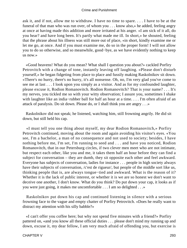ask it, and if not, allow me to withdraw. I have no time to spare. . . . I have to be at the funeral of that man who was run over, of whom you . . . know also,» he added, feeling angry at once at having made this addition and more irritated at his anger. «I am sick of it all, do you hear? and have long been. It's partly what made me ill. In short,» he shouted, feeling that the phrase about his illness was still more out of place, «in short, kindly examine me or let me go, at once. And if you must examine me, do so in the proper form! I will not allow you to do so otherwise, and so meanwhile, good−bye, as we have evidently nothing to keep us now.»

 «Good heavens! What do you mean? What shall I question you about?» cackled Porfiry Petrovitch with a change of tone, instantly leaving off laughing. «Please don't disturb yourself,» he began fidgeting from place to place and fussily making Raskolnikov sit down. «There's no hurry, there's no hurry, it's all nonsense. Oh, no, I'm very glad you've come to see me at last . . . I look upon you simply as a visitor. And as for my confounded laughter, please excuse it, Rodion Romanovitch. Rodion Romanovitch? That is your name? . . . It's my nerves, you tickled me so with your witty observation; I assure you, sometimes I shake with laughter like an india−rubber ball for half an hour at a time. . . . I'm often afraid of an attack of paralysis. Do sit down. Please do, or I shall think you are angry . . .»

 Raskolnikov did not speak; he listened, watching him, still frowning angrily. He did sit down, but still held his cap.

 «I must tell you one thing about myself, my dear Rodion Romanovitch,» Porfiry Petrovitch continued, moving about the room and again avoiding his visitor's eyes. «You see, I'm a bachelor, a man of no consequence and not used to society; besides, I have nothing before me, I'm set, I'm running to seed and . . . and have you noticed, Rodion Romanovitch, that in our Petersburg circles, if two clever men meet who are not intimate, but respect each other, like you and me, it takes them half an hour before they can find a subject for conversation – they are dumb, they sit opposite each other and feel awkward. Everyone has subjects of conversation, ladies for instance . . . people in high society always have their subjects of conversation, /c'est de rigueur/, but people of the middle sort like us, thinking people that is, are always tongue−tied and awkward. What is the reason of it? Whether it is the lack of public interest, or whether it is we are so honest we don't want to deceive one another, I don't know. What do you think? Do put down your cap, it looks as if you were just going, it makes me uncomfortable . . . I am so delighted . . .»

 Raskolnikov put down his cap and continued listening in silence with a serious frowning face to the vague and empty chatter of Porfiry Petrovitch. «Does he really want to distract my attention with his silly babble?»

 «I can't offer you coffee here; but why not spend five minutes with a friend?» Porfiry pattered on, «and you know all these official duties . . . please don't mind my running up and down, excuse it, my dear fellow, I am very much afraid of offending you, but exercise is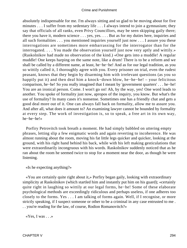absolutely indispensable for me. I'm always sitting and so glad to be moving about for five minutes . . . I suffer from my sedentary life . . . I always intend to join a gymnasium; they say that officials of all ranks, even Privy Councillors, may be seen skipping gaily there; there you have it, modern science . . . yes, yes. . . . But as for my duties here, inquiries and all such formalities . . . you mentioned inquiries yourself just now . . . I assure you these interrogations are sometimes more embarrassing for the interrogator than for the interrogated. . . . You made the observation yourself just now very aptly and wittily.» (Raskolnikov had made no observation of the kind.) «One gets into a muddle! A regular muddle! One keeps harping on the same note, like a drum! There is to be a reform and we shall be called by a different name, at least, he−he−he! And as for our legal tradition, as you so wittily called it, I thoroughly agree with you. Every prisoner on trial, even the rudest peasant, knows that they begin by disarming him with irrelevant questions (as you so happily put it) and then deal him a knock−down blow, he−he−he! – your felicitous comparison, he−he! So you really imagined that I meant by 'government quarters' . . . he−he! You are an ironical person. Come. I won't go on! Ah, by the way, yes! One word leads to another. You spoke of formality just now, apropos of the inquiry, you know. But what's the use of formality? In many cases it's nonsense. Sometimes one has a friendly chat and gets a good deal more out of it. One can always fall back on formality, allow me to assure you. And after all, what does it amount to? An examining lawyer cannot be bounded by formality at every step. The work of investigation is, so to speak, a free art in its own way, he−he−he!»

 Porfiry Petrovitch took breath a moment. He had simply babbled on uttering empty phrases, letting slip a few enigmatic words and again reverting to incoherence. He was almost running about the room, moving his fat little legs quicker and quicker, looking at the ground, with his right hand behind his back, while with his left making gesticulations that were extraordinarily incongruous with his words. Raskolnikov suddenly noticed that as he ran about the room he seemed twice to stop for a moment near the door, as though he were listening.

«Is he expecting anything?»

 «You are certainly quite right about it,» Porfiry began gaily, looking with extraordinary simplicity at Raskolnikov (which startled him and instantly put him on his guard); «certainly quite right in laughing so wittily at our legal forms, he−he! Some of these elaborate psychological methods are exceedingly ridiculous and perhaps useless, if one adheres too closely to the forms. Yes . . . I am talking of forms again. Well, if I recognise, or more strictly speaking, if I suspect someone or other to be a criminal in any case entrusted to me . . . you're reading for the law, of course, Rodion Romanovitch?»

«Yes, I was  $\ldots$ »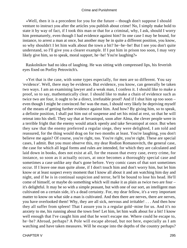«Well, then it is a precedent for you for the future – though don't suppose I should venture to instruct you after the articles you publish about crime! No, I simply make bold to state it by way of fact, if I took this man or that for a criminal, why, I ask, should I worry him prematurely, even though I had evidence against him? In one case I may be bound, for instance, to arrest a man at once, but another may be in quite a different position, you know, so why shouldn't I let him walk about the town a bit? he−he−he! But I see you don't quite understand, so I'll give you a clearer example. If I put him in prison too soon, I may very likely give him, so to speak, moral support, he−he! You're laughing?»

 Raskolnikov had no idea of laughing. He was sitting with compressed lips, his feverish eyes fixed on Porfiry Petrovitch's.

 «Yet that is the case, with some types especially, for men are so different. You say 'evidence'. Well, there may be evidence. But evidence, you know, can generally be taken two ways. I am an examining lawyer and a weak man, I confess it. I should like to make a proof, so to say, mathematically clear. I should like to make a chain of evidence such as twice two are four, it ought to be a direct, irrefutable proof! And if I shut him up too soon – even though I might be convinced /he/ was the man, I should very likely be depriving myself of the means of getting further evidence against him. And how? By giving him, so to speak, a definite position, I shall put him out of suspense and set his mind at rest, so that he will retreat into his shell. They say that at Sevastopol, soon after Alma, the clever people were in a terrible fright that the enemy would attack openly and take Sevastopol at once. But when they saw that the enemy preferred a regular siege, they were delighted, I am told and reassured, for the thing would drag on for two months at least. You're laughing, you don't believe me again? Of course, you're right, too. You're right, you're right. These are special cases, I admit. But you must observe this, my dear Rodion Romanovitch, the general case, the case for which all legal forms and rules are intended, for which they are calculated and laid down in books, does not exist at all, for the reason that every case, every crime, for instance, so soon as it actually occurs, at once becomes a thoroughly special case and sometimes a case unlike any that's gone before. Very comic cases of that sort sometimes occur. If I leave one man quite alone, if I don't touch him and don't worry him, but let him know or at least suspect every moment that I know all about it and am watching him day and night, and if he is in continual suspicion and terror, he'll be bound to lose his head. He'll come of himself, or maybe do something which will make it as plain as twice two are four – it's delightful. It may be so with a simple peasant, but with one of our sort, an intelligent man cultivated on a certain side, it's a dead certainty. For, my dear fellow, it's a very important matter to know on what side a man is cultivated. And then there are nerves, there are nerves, you have overlooked them! Why, they are all sick, nervous and irritable! . . . And then how they all suffer from spleen! That I assure you is a regular gold−mine for us. And it's no anxiety to me, his running about the town free! Let him, let him walk about for a bit! I know well enough that I've caught him and that he won't escape me. Where could he escape to, he−he? Abroad, perhaps? A Pole will escape abroad, but not here, especially as I am watching and have taken measures. Will he escape into the depths of the country perhaps?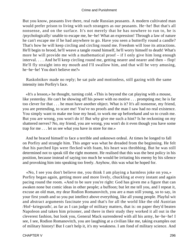But you know, peasants live there, real rude Russian peasants. A modern cultivated man would prefer prison to living with such strangers as our peasants. He−he! But that's all nonsense, and on the surface. It's not merely that he has nowhere to run to, he is /psychologically/ unable to escape me, he−he! What an expression! Through a law of nature he can't escape me if he had anywhere to go. Have you seen a butterfly round a candle? That's how he will keep circling and circling round me. Freedom will lose its attractions. He'll begin to brood, he'll weave a tangle round himself, he'll worry himself to death! What's more he will provide me with a mathematical proof – if I only give him long enough interval. . . . And he'll keep circling round me, getting nearer and nearer and then – flop! He'll fly straight into my mouth and I'll swallow him, and that will be very amusing, he−he−he! You don't believe me?»

 Raskolnikov made no reply; he sat pale and motionless, still gazing with the same intensity into Porfiry's face.

 «It's a lesson,» he thought, turning cold. «This is beyond the cat playing with a mouse, like yesterday. He can't be showing off his power with no motive . . . prompting me; he is far too clever for that . . . he must have another object. What is it? It's all nonsense, my friend, you are pretending, to scare me! You've no proofs and the man I saw had no real existence. You simply want to make me lose my head, to work me up beforehand and so to crush me. But you are wrong, you won't do it! But why give me such a hint? Is he reckoning on my shattered nerves? No, my friend, you are wrong, you won't do it even though you have some trap for me . . . let us see what you have in store for me.»

 And he braced himself to face a terrible and unknown ordeal. At times he longed to fall on Porfiry and strangle him. This anger was what he dreaded from the beginning. He felt that his parched lips were flecked with foam, his heart was throbbing. But he was still determined not to speak till the right moment. He realised that this was the best policy in his position, because instead of saying too much he would be irritating his enemy by his silence and provoking him into speaking too freely. Anyhow, this was what he hoped for.

 «No, I see you don't believe me, you think I am playing a harmless joke on you,» Porfiry began again, getting more and more lively, chuckling at every instant and again pacing round the room. «And to be sure you're right: God has given me a figure that can awaken none but comic ideas in other people; a buffoon; but let me tell you, and I repeat it, excuse an old man, my dear Rodion Romanovitch, you are a man still young, so to say, in your first youth and so you put intellect above everything, like all young people. Playful wit and abstract arguments fascinate you and that's for all the world like the old Austrian /Hof−kriegsrath/, as far as I can judge of military matters, that is: on paper they'd beaten Napoleon and taken him prisoner, and there in their study they worked it all out in the cleverest fashion, but look you, General Mack surrendered with all his army, he−he−he! I see, I see, Rodion Romanovitch, you are laughing at a civilian like me, taking examples out of military history! But I can't help it, it's my weakness. I am fond of military science. And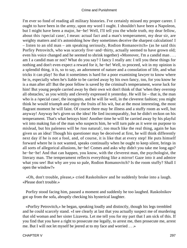I'm ever so fond of reading all military histories. I've certainly missed my proper career. I ought to have been in the army, upon my word I ought. I shouldn't have been a Napoleon, but I might have been a major, he−he! Well, I'll tell you the whole truth, my dear fellow, about this /special case/, I mean: actual fact and a man's temperament, my dear sir, are weighty matters and it's astonishing how they sometimes deceive the sharpest calculation! I – listen to an old man – am speaking seriously, Rodion Romanovitch» (as he said this Porfiry Petrovitch, who was scarcely five−and−thirty, actually seemed to have grown old; even his voice changed and he seemed to shrink together) «Moreover, I'm a candid man . . . am I a candid man or not? What do you say? I fancy I really am: I tell you these things for nothing and don't even expect a reward for it, he−he! Well, to proceed, wit in my opinion is a splendid thing, it is, so to say, an adornment of nature and a consolation of life, and what tricks it can play! So that it sometimes is hard for a poor examining lawyer to know where he is, especially when he's liable to be carried away by his own fancy, too, for you know he is a man after all! But the poor fellow is saved by the criminal's temperament, worse luck for him! But young people carried away by their own wit don't think of that 'when they overstep all obstacles,' as you wittily and cleverly expressed it yesterday. He will lie – that is, the man who is a /special case/, the incognito, and he will lie well, in the cleverest fashion; you might think he would triumph and enjoy the fruits of his wit, but at the most interesting, the most flagrant moment he will faint. Of course there may be illness and a stuffy room as well, but anyway! Anyway he's given us the idea! He lied incomparably, but he didn't reckon on his temperament. That's what betrays him! Another time he will be carried away by his playful wit into making fun of the man who suspects him, he will turn pale as it were on purpose to mislead, but his paleness will be /too natural/, too much like the real thing, again he has given us an idea! Though his questioner may be deceived at first, he will think differently next day if he is not a fool, and, of course, it is like that at every step! He puts himself forward where he is not wanted, speaks continually when he ought to keep silent, brings in all sorts of allegorical allusions, he−he! Comes and asks why didn't you take me long ago? he−he−he! And that can happen, you know, with the cleverest man, the psychologist, the literary man. The temperament reflects everything like a mirror! Gaze into it and admire what you see! But why are you so pale, Rodion Romanovitch? Is the room stuffy? Shall I open the window?»

 «Oh, don't trouble, please,» cried Raskolnikov and he suddenly broke into a laugh. «Please don't trouble.»

 Porfiry stood facing him, paused a moment and suddenly he too laughed. Raskolnikov got up from the sofa, abruptly checking his hysterical laughter.

 «Porfiry Petrovitch,» he began, speaking loudly and distinctly, though his legs trembled and he could scarcely stand. «I see clearly at last that you actually suspect me of murdering that old woman and her sister Lizaveta. Let me tell you for my part that I am sick of this. If you find that you have a right to prosecute me legally, to arrest me, then prosecute me, arrest me. But I will not let myself be jeered at to my face and worried . . .»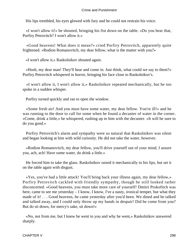His lips trembled, his eyes glowed with fury and he could not restrain his voice.

 «I won't allow it!» he shouted, bringing his fist down on the table. «Do you hear that, Porfiry Petrovitch? I won't allow it.»

 «Good heavens! What does it mean?» cried Porfiry Petrovitch, apparently quite frightened. «Rodion Romanovitch, my dear fellow, what is the matter with you?»

«I won't allow it,» Raskolnikov shouted again.

 «Hush, my dear man! They'll hear and come in. Just think, what could we say to them?» Porfiry Petrovitch whispered in horror, bringing his face close to Raskolnikov's.

 «I won't allow it, I won't allow it,» Raskolnikov repeated mechanically, but he too spoke in a sudden whisper.

Porfiry turned quickly and ran to open the window.

 «Some fresh air! And you must have some water, my dear fellow. You're ill!» and he was running to the door to call for some when he found a decanter of water in the corner. «Come, drink a little,» he whispered, rushing up to him with the decanter. «It will be sure to do you good.»

 Porfiry Petrovitch's alarm and sympathy were so natural that Raskolnikov was silent and began looking at him with wild curiosity. He did not take the water, however.

 «Rodion Romanovitch, my dear fellow, you'll drive yourself out of your mind, I assure you, ach, ach! Have some water, do drink a little.»

 He forced him to take the glass. Raskolnikov raised it mechanically to his lips, but set it on the table again with disgust.

 «Yes, you've had a little attack! You'll bring back your illness again, my dear fellow,» Porfiry Petrovitch cackled with friendly sympathy, though he still looked rather disconcerted. «Good heavens, you must take more care of yourself! Dmitri Prokofitch was here, came to see me yesterday – I know, I know, I've a nasty, ironical temper, but what they made of it! . . . Good heavens, he came yesterday after you'd been. We dined and he talked and talked away, and I could only throw up my hands in despair! Did he come from you? But do sit down, for mercy's sake, sit down!»

 «No, not from me, but I knew he went to you and why he went,» Raskolnikov answered sharply.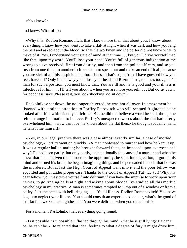### «You knew?»

«I knew. What of it?»

 «Why this, Rodion Romanovitch, that I know more than that about you; I know about everything. I know how you went /to take a flat/ at night when it was dark and how you rang the bell and asked about the blood, so that the workmen and the porter did not know what to make of it. Yes, I understand your state of mind at that time . . . but you'll drive yourself mad like that, upon my word! You'll lose your head! You're full of generous indignation at the wrongs you've received, first from destiny, and then from the police officers, and so you rush from one thing to another to force them to speak out and make an end of it all, because you are sick of all this suspicion and foolishness. That's so, isn't it? I have guessed how you feel, haven't I? Only in that way you'll lose your head and Razumihin's, too; he's too /good/ a man for such a position, you must know that. You are ill and he is good and your illness is infectious for him . . . I'll tell you about it when you are more yourself. . . . But do sit down, for goodness' sake. Please rest, you look shocking, do sit down.»

 Raskolnikov sat down; he no longer shivered, he was hot all over. In amazement he listened with strained attention to Porfiry Petrovitch who still seemed frightened as he looked after him with friendly solicitude. But he did not believe a word he said, though he felt a strange inclination to believe. Porfiry's unexpected words about the flat had utterly overwhelmed him. «How can it be, he knows about the flat then,» he thought suddenly, «and he tells it me himself!»

 «Yes, in our legal practice there was a case almost exactly similar, a case of morbid psychology,» Porfiry went on quickly. «A man confessed to murder and how he kept it up! It was a regular hallucination; he brought forward facts, he imposed upon everyone and why? He had been partly, but only partly, unintentionally the cause of a murder and when he knew that he had given the murderers the opportunity, he sank into dejection, it got on his mind and turned his brain, he began imagining things and he persuaded himself that he was the murderer. But at last the High Court of Appeal went into it and the poor fellow was acquitted and put under proper care. Thanks to the Court of Appeal! Tut−tut−tut! Why, my dear fellow, you may drive yourself into delirium if you have the impulse to work upon your nerves, to go ringing bells at night and asking about blood! I've studied all this morbid psychology in my practice. A man is sometimes tempted to jump out of a window or from a belfry. Just the same with bell−ringing. . . . It's all illness, Rodion Romanovitch! You have begun to neglect your illness. You should consult an experienced doctor, what's the good of that fat fellow? You are lightheaded! You were delirious when you did all this!»

For a moment Raskolnikov felt everything going round.

 «Is it possible, is it possible,» flashed through his mind, «that he is still lying? He can't be, he can't be.» He rejected that idea, feeling to what a degree of fury it might drive him,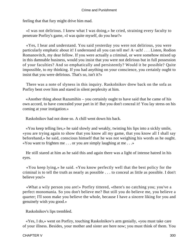feeling that that fury might drive him mad.

 «I was not delirious. I knew what I was doing,» he cried, straining every faculty to penetrate Porfiry's game, «I was quite myself, do you hear?»

 «Yes, I hear and understand. You said yesterday you were not delirious, you were particularly emphatic about it! I understand all you can tell me! A−ach! . . . Listen, Rodion Romanovitch, my dear fellow. If you were actually a criminal, or were somehow mixed up in this damnable business, would you insist that you were not delirious but in full possession of your faculties? And so emphatically and persistently? Would it be possible? Quite impossible, to my thinking. If you had anything on your conscience, you certainly ought to insist that you were delirious. That's so, isn't it?»

 There was a note of slyness in this inquiry. Raskolnikov drew back on the sofa as Porfiry bent over him and stared in silent perplexity at him.

 «Another thing about Razumihin – you certainly ought to have said that he came of his own accord, to have concealed your part in it! But you don't conceal it! You lay stress on his coming at your instigation.»

Raskolnikov had not done so. A chill went down his back.

 «You keep telling lies,» he said slowly and weakly, twisting his lips into a sickly smile, «you are trying again to show that you know all my game, that you know all I shall say beforehand,» he said, conscious himself that he was not weighing his words as he ought. «You want to frighten me . . . or you are simply laughing at me . . .»

 He still stared at him as he said this and again there was a light of intense hatred in his eyes.

 «You keep lying,» he said. «You know perfectly well that the best policy for the criminal is to tell the truth as nearly as possible . . . to conceal as little as possible. I don't believe you!»

 «What a wily person you are!» Porfiry tittered, «there's no catching you; you've a perfect monomania. So you don't believe me? But still you do believe me, you believe a quarter; I'll soon make you believe the whole, because I have a sincere liking for you and genuinely wish you good.»

Raskolnikov's lips trembled.

 «Yes, I do,» went on Porfiry, touching Raskolnikov's arm genially, «you must take care of your illness. Besides, your mother and sister are here now; you must think of them. You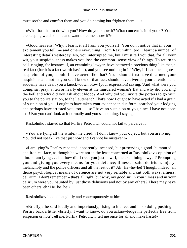must soothe and comfort them and you do nothing but frighten them . . .»

 «What has that to do with you? How do you know it? What concern is it of yours? You are keeping watch on me and want to let me know it?»

 «Good heavens! Why, I learnt it all from you yourself! You don't notice that in your excitement you tell me and others everything. From Razumihin, too, I learnt a number of interesting details yesterday. No, you interrupted me, but I must tell you that, for all your wit, your suspiciousness makes you lose the common−sense view of things. To return to bell−ringing, for instance. I, an examining lawyer, have betrayed a precious thing like that, a real fact (for it is a fact worth having), and you see nothing in it! Why, if I had the slightest suspicion of you, should I have acted like that? No, I should first have disarmed your suspicions and not let you see I knew of that fact, should have diverted your attention and suddenly have dealt you a knock−down blow (your expression) saying: 'And what were you doing, sir, pray, at ten or nearly eleven at the murdered woman's flat and why did you ring the bell and why did you ask about blood? And why did you invite the porters to go with you to the police station, to the lieutenant?' That's how I ought to have acted if I had a grain of suspicion of you. I ought to have taken your evidence in due form, searched your lodging and perhaps have arrested you, too . . . so I have no suspicion of you, since I have not done that! But you can't look at it normally and you see nothing, I say again.»

Raskolnikov started so that Porfiry Petrovitch could not fail to perceive it.

 «You are lying all the while,» he cried, «I don't know your object, but you are lying. You did not speak like that just now and I cannot be mistaken!»

 «I am lying?» Porfiry repeated, apparently incensed, but preserving a good−humoured and ironical face, as though he were not in the least concerned at Raskolnikov's opinion of him. «I am lying . . . but how did I treat you just now, I, the examining lawyer? Prompting you and giving you every means for your defence; illness, I said, delirium, injury, melancholy and the police officers and all the rest of it? Ah! He−he−he! Though, indeed, all those psychological means of defence are not very reliable and cut both ways: illness, delirium, I don't remember – that's all right, but why, my good sir, in your illness and in your delirium were you haunted by just those delusions and not by any others? There may have been others, eh? He−he−he!»

Raskolnikov looked haughtily and contemptuously at him.

 «Briefly,» he said loudly and imperiously, rising to his feet and in so doing pushing Porfiry back a little, «briefly, I want to know, do you acknowledge me perfectly free from suspicion or not? Tell me, Porfiry Petrovitch, tell me once for all and make haste!»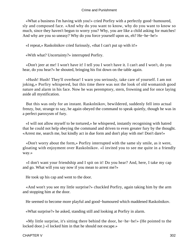«What a business I'm having with you!» cried Porfiry with a perfectly good−humoured, sly and composed face. «And why do you want to know, why do you want to know so much, since they haven't begun to worry you? Why, you are like a child asking for matches! And why are you so uneasy? Why do you force yourself upon us, eh? He−he−he!»

«I repeat,» Raskolnikov cried furiously, «that I can't put up with it!»

«With what? Uncertainty?» interrupted Porfiry.

 «Don't jeer at me! I won't have it! I tell you I won't have it. I can't and I won't, do you hear, do you hear?» he shouted, bringing his fist down on the table again.

 «Hush! Hush! They'll overhear! I warn you seriously, take care of yourself. I am not joking,» Porfiry whispered, but this time there was not the look of old womanish good nature and alarm in his face. Now he was peremptory, stern, frowning and for once laying aside all mystification.

 But this was only for an instant. Raskolnikov, bewildered, suddenly fell into actual frenzy, but, strange to say, he again obeyed the command to speak quietly, though he was in a perfect paroxysm of fury.

 «I will not allow myself to be tortured,» he whispered, instantly recognising with hatred that he could not help obeying the command and driven to even greater fury by the thought. «Arrest me, search me, but kindly act in due form and don't play with me! Don't dare!»

 «Don't worry about the form,» Porfiry interrupted with the same sly smile, as it were, gloating with enjoyment over Raskolnikov. «I invited you to see me quite in a friendly way.»

 «I don't want your friendship and I spit on it! Do you hear? And, here, I take my cap and go. What will you say now if you mean to arrest me?»

He took up his cap and went to the door.

 «And won't you see my little surprise?» chuckled Porfiry, again taking him by the arm and stopping him at the door.

He seemed to become more playful and good−humoured which maddened Raskolnikov.

«What surprise?» he asked, standing still and looking at Porfiry in alarm.

 «My little surprise, it's sitting there behind the door, he−he−he!» (He pointed to the locked door.) «I locked him in that he should not escape.»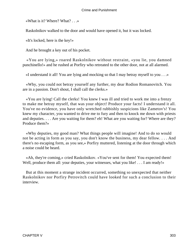«What is it? Where? What? . . .»

Raskolnikov walked to the door and would have opened it, but it was locked.

«It's locked, here is the key!»

And he brought a key out of his pocket.

 «You are lying,» roared Raskolnikov without restraint, «you lie, you damned punchinello!» and he rushed at Porfiry who retreated to the other door, not at all alarmed.

«I understand it all! You are lying and mocking so that I may betray myself to you . . .»

 «Why, you could not betray yourself any further, my dear Rodion Romanovitch. You are in a passion. Don't shout, I shall call the clerks.»

 «You are lying! Call the clerks! You knew I was ill and tried to work me into a frenzy to make me betray myself, that was your object! Produce your facts! I understand it all. You've no evidence, you have only wretched rubbishly suspicions like Zametov's! You knew my character, you wanted to drive me to fury and then to knock me down with priests and deputies. . . . Are you waiting for them? eh! What are you waiting for? Where are they? Produce them?»

 «Why deputies, my good man? What things people will imagine! And to do so would not be acting in form as you say, you don't know the business, my dear fellow. . . . And there's no escaping form, as you see,» Porfiry muttered, listening at the door through which a noise could be heard.

 «Ah, they're coming,» cried Raskolnikov. «You've sent for them! You expected them! Well, produce them all: your deputies, your witnesses, what you like! . . . I am ready!»

 But at this moment a strange incident occurred, something so unexpected that neither Raskolnikov nor Porfiry Petrovitch could have looked for such a conclusion to their interview.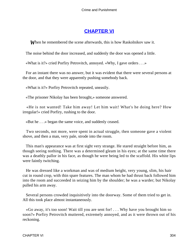# **[CHAPTER VI](#page-466-0)**

*W*hen he remembered the scene afterwards, this is how Raskolnikov saw it.

The noise behind the door increased, and suddenly the door was opened a little.

«What is it?» cried Porfiry Petrovitch, annoyed. «Why, I gave orders . . .»

 For an instant there was no answer, but it was evident that there were several persons at the door, and that they were apparently pushing somebody back.

«What is it?» Porfiry Petrovitch repeated, uneasily.

«The prisoner Nikolay has been brought,» someone answered.

 «He is not wanted! Take him away! Let him wait! What's he doing here? How irregular!» cried Porfiry, rushing to the door.

«But he . . .» began the same voice, and suddenly ceased.

 Two seconds, not more, were spent in actual struggle, then someone gave a violent shove, and then a man, very pale, strode into the room.

 This man's appearance was at first sight very strange. He stared straight before him, as though seeing nothing. There was a determined gleam in his eyes; at the same time there was a deathly pallor in his face, as though he were being led to the scaffold. His white lips were faintly twitching.

 He was dressed like a workman and was of medium height, very young, slim, his hair cut in round crop, with thin spare features. The man whom he had thrust back followed him into the room and succeeded in seizing him by the shoulder; he was a warder; but Nikolay pulled his arm away.

 Several persons crowded inquisitively into the doorway. Some of them tried to get in. All this took place almost instantaneously.

 «Go away, it's too soon! Wait till you are sent for! . . . Why have you brought him so soon?» Porfiry Petrovitch muttered, extremely annoyed, and as it were thrown out of his reckoning.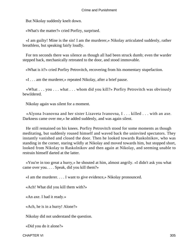But Nikolay suddenly knelt down.

«What's the matter?» cried Porfiry, surprised.

 «I am guilty! Mine is the sin! I am the murderer,» Nikolay articulated suddenly, rather breathless, but speaking fairly loudly.

 For ten seconds there was silence as though all had been struck dumb; even the warder stepped back, mechanically retreated to the door, and stood immovable.

«What is it?» cried Porfiry Petrovitch, recovering from his momentary stupefaction.

«I . . . am the murderer,» repeated Nikolay, after a brief pause.

 «What . . . you . . . what . . . whom did you kill?» Porfiry Petrovitch was obviously bewildered.

Nikolay again was silent for a moment.

 «Alyona Ivanovna and her sister Lizaveta Ivanovna, I . . . killed . . . with an axe. Darkness came over me,» he added suddenly, and was again silent.

 He still remained on his knees. Porfiry Petrovitch stood for some moments as though meditating, but suddenly roused himself and waved back the uninvited spectators. They instantly vanished and closed the door. Then he looked towards Raskolnikov, who was standing in the corner, staring wildly at Nikolay and moved towards him, but stopped short, looked from Nikolay to Raskolnikov and then again at Nikolay, and seeming unable to restrain himself darted at the latter.

 «You're in too great a hurry,» he shouted at him, almost angrily. «I didn't ask you what came over you. . . . Speak, did you kill them?»

«I am the murderer. . . . I want to give evidence,» Nikolay pronounced.

«Ach! What did you kill them with?»

«An axe. I had it ready.»

«Ach, he is in a hurry! Alone?»

Nikolay did not understand the question.

«Did you do it alone?»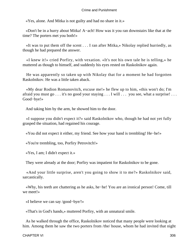«Yes, alone. And Mitka is not guilty and had no share in it.»

 «Don't be in a hurry about Mitka! A−ach! How was it you ran downstairs like that at the time? The porters met you both!»

 «It was to put them off the scent . . . I ran after Mitka,» Nikolay replied hurriedly, as though he had prepared the answer.

 «I knew it!» cried Porfiry, with vexation. «It's not his own tale he is telling,» he muttered as though to himself, and suddenly his eyes rested on Raskolnikov again.

 He was apparently so taken up with Nikolay that for a moment he had forgotten Raskolnikov. He was a little taken aback.

 «My dear Rodion Romanovitch, excuse me!» he flew up to him, «this won't do; I'm afraid you must go . . . it's no good your staying . . . I will . . . you see, what a surprise! . . . Good−bye!»

And taking him by the arm, he showed him to the door.

 «I suppose you didn't expect it?» said Raskolnikov who, though he had not yet fully grasped the situation, had regained his courage.

«You did not expect it either, my friend. See how your hand is trembling! He−he!»

«You're trembling, too, Porfiry Petrovitch!»

«Yes, I am; I didn't expect it.»

They were already at the door; Porfiry was impatient for Raskolnikov to be gone.

 «And your little surprise, aren't you going to show it to me?» Raskolnikov said, sarcastically.

 «Why, his teeth are chattering as he asks, he−he! You are an ironical person! Come, till we meet!»

«I believe we can say /good−bye/!»

«That's in God's hands,» muttered Porfiry, with an unnatural smile.

 As he walked through the office, Raskolnikov noticed that many people were looking at him. Among them he saw the two porters from /the/ house, whom he had invited that night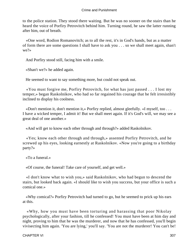to the police station. They stood there waiting. But he was no sooner on the stairs than he heard the voice of Porfiry Petrovitch behind him. Turning round, he saw the latter running after him, out of breath.

 «One word, Rodion Romanovitch; as to all the rest, it's in God's hands, but as a matter of form there are some questions I shall have to ask you . . . so we shall meet again, shan't we?»

And Porfiry stood still, facing him with a smile.

«Shan't we?» he added again.

He seemed to want to say something more, but could not speak out.

 «You must forgive me, Porfiry Petrovitch, for what has just passed . . . I lost my temper,» began Raskolnikov, who had so far regained his courage that he felt irresistibly inclined to display his coolness.

 «Don't mention it, don't mention it,» Porfiry replied, almost gleefully. «I myself, too . . . I have a wicked temper, I admit it! But we shall meet again. If it's God's will, we may see a great deal of one another.»

«And will get to know each other through and through?» added Raskolnikov.

 «Yes; know each other through and through,» assented Porfiry Petrovitch, and he screwed up his eyes, looking earnestly at Raskolnikov. «Now you're going to a birthday party?»

«To a funeral.»

«Of course, the funeral! Take care of yourself, and get well.»

 «I don't know what to wish you,» said Raskolnikov, who had begun to descend the stairs, but looked back again. «I should like to wish you success, but your office is such a comical one.»

 «Why comical?» Porfiry Petrovitch had turned to go, but he seemed to prick up his ears at this.

 «Why, how you must have been torturing and harassing that poor Nikolay psychologically, after your fashion, till he confessed! You must have been at him day and night, proving to him that he was the murderer, and now that he has confessed, you'll begin vivisecting him again. 'You are lying,' you'll say. 'You are not the murderer! You can't be!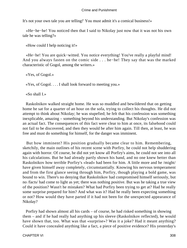It's not your own tale you are telling!' You must admit it's a comical business!»

 «He−he−he! You noticed then that I said to Nikolay just now that it was not his own tale he was telling?»

«How could I help noticing it!»

 «He−he! You are quick−witted. You notice everything! You've really a playful mind! And you always fasten on the comic side . . . he−he! They say that was the marked characteristic of Gogol, among the writers.»

«Yes, of Gogol.»

«Yes, of Gogol. . . . I shall look forward to meeting you.»

«So shall I.»

 Raskolnikov walked straight home. He was so muddled and bewildered that on getting home he sat for a quarter of an hour on the sofa, trying to collect his thoughts. He did not attempt to think about Nikolay; he was stupefied; he felt that his confession was something inexplicable, amazing – something beyond his understanding. But Nikolay's confession was an actual fact. The consequences of this fact were clear to him at once, its falsehood could not fail to be discovered, and then they would be after him again. Till then, at least, he was free and must do something for himself, for the danger was imminent.

 But how imminent? His position gradually became clear to him. Remembering, sketchily, the main outlines of his recent scene with Porfiry, he could not help shuddering again with horror. Of course, he did not yet know all Porfiry's aims, he could not see into all his calculations. But he had already partly shown his hand, and no one knew better than Raskolnikov how terrible Porfiry's «lead» had been for him. A little more and he /might/ have given himself away completely, circumstantially. Knowing his nervous temperament and from the first glance seeing through him, Porfiry, though playing a bold game, was bound to win. There's no denying that Raskolnikov had compromised himself seriously, but no /facts/ had come to light as yet; there was nothing positive. But was he taking a true view of the position? Wasn't he mistaken? What had Porfiry been trying to get at? Had he really some surprise prepared for him? And what was it? Had he really been expecting something or not? How would they have parted if it had not been for the unexpected appearance of Nikolay?

 Porfiry had shown almost all his cards – of course, he had risked something in showing them – and if he had really had anything up his sleeve (Raskolnikov reflected), he would have shown that, too. What was that «surprise»? Was it a joke? Had it meant anything? Could it have concealed anything like a fact, a piece of positive evidence? His yesterday's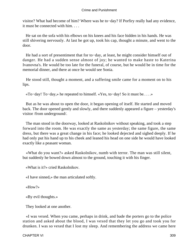visitor? What had become of him? Where was he to−day? If Porfiry really had any evidence, it must be connected with him.

 He sat on the sofa with his elbows on his knees and his face hidden in his hands. He was still shivering nervously. At last he got up, took his cap, thought a minute, and went to the door.

 He had a sort of presentiment that for to−day, at least, he might consider himself out of danger. He had a sudden sense almost of joy; he wanted to make haste to Katerina Ivanovna's. He would be too late for the funeral, of course, but he would be in time for the memorial dinner, and there at once he would see Sonia.

 He stood still, thought a moment, and a suffering smile came for a moment on to his lips.

«To−day! To−day,» he repeated to himself. «Yes, to−day! So it must be. . . .»

 But as he was about to open the door, it began opening of itself. He started and moved back. The door opened gently and slowly, and there suddenly appeared a figure – yesterday's visitor /from underground/.

 The man stood in the doorway, looked at Raskolnikov without speaking, and took a step forward into the room. He was exactly the same as yesterday; the same figure, the same dress, but there was a great change in his face; he looked dejected and sighed deeply. If he had only put his hand up to his cheek and leaned his head on one side he would have looked exactly like a peasant woman.

 «What do you want?» asked Raskolnikov, numb with terror. The man was still silent, but suddenly he bowed down almost to the ground, touching it with his finger.

«What is it?» cried Raskolnikov.

«I have sinned,» the man articulated softly.

«How?»

«By evil thoughts.»

They looked at one another.

 «I was vexed. When you came, perhaps in drink, and bade the porters go to the police station and asked about the blood, I was vexed that they let you go and took you for drunken. I was so vexed that I lost my sleep. And remembering the address we came here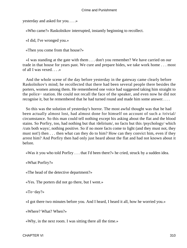yesterday and asked for you. . . .»

«Who came?» Raskolnikov interrupted, instantly beginning to recollect.

«I did, I've wronged you.»

«Then you come from that house?»

 «I was standing at the gate with them . . . don't you remember? We have carried on our trade in that house for years past. We cure and prepare hides, we take work home . . . most of all I was vexed. . . .»

 And the whole scene of the day before yesterday in the gateway came clearly before Raskolnikov's mind; he recollected that there had been several people there besides the porters, women among them. He remembered one voice had suggested taking him straight to the police− station. He could not recall the face of the speaker, and even now he did not recognise it, but he remembered that he had turned round and made him some answer. . . .

 So this was the solution of yesterday's horror. The most awful thought was that he had been actually almost lost, had almost done for himself on account of such a /trivial/ circumstance. So this man could tell nothing except his asking about the flat and the blood stains. So Porfiry, too, had nothing but that /delirium/, no facts but this /psychology/ which /cuts both ways/, nothing positive. So if no more facts come to light (and they must not, they must not!) then . . . then what can they do to him? How can they convict him, even if they arrest him? And Porfiry then had only just heard about the flat and had not known about it before.

«Was it you who told Porfiry . . . that I'd been there?» he cried, struck by a sudden idea.

«What Porfiry?»

«The head of the detective department?»

«Yes. The porters did not go there, but I went.»

«To−day?»

«I got there two minutes before you. And I heard, I heard it all, how he worried you.»

«Where? What? When?»

«Why, in the next room. I was sitting there all the time.»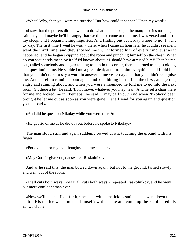«What? Why, then you were the surprise? But how could it happen? Upon my word!»

 «I saw that the porters did not want to do what I said,» began the man; «for it's too late, said they, and maybe he'll be angry that we did not come at the time. I was vexed and I lost my sleep, and I began making inquiries. And finding out yesterday where to go, I went to−day. The first time I went he wasn't there, when I came an hour later he couldn't see me. I went the third time, and they showed me in. I informed him of everything, just as it happened, and he began skipping about the room and punching himself on the chest. 'What do you scoundrels mean by it? If I'd known about it I should have arrested him!' Then he ran out, called somebody and began talking to him in the corner, then he turned to me, scolding and questioning me. He scolded me a great deal; and I told him everything, and I told him that you didn't dare to say a word in answer to me yesterday and that you didn't recognise me. And he fell to running about again and kept hitting himself on the chest, and getting angry and running about, and when you were announced he told me to go into the next room. 'Sit there a bit,' he said. 'Don't move, whatever you may hear.' And he set a chair there for me and locked me in. 'Perhaps,' he said, 'I may call you.' And when Nikolay'd been brought he let me out as soon as you were gone. 'I shall send for you again and question you,' he said.»

«And did he question Nikolay while you were there?»

«He got rid of me as he did of you, before he spoke to Nikolay.»

 The man stood still, and again suddenly bowed down, touching the ground with his finger.

«Forgive me for my evil thoughts, and my slander.»

«May God forgive you,» answered Raskolnikov.

 And as he said this, the man bowed down again, but not to the ground, turned slowly and went out of the room.

 «It all cuts both ways, now it all cuts both ways,» repeated Raskolnikov, and he went out more confident than ever.

 «Now we'll make a fight for it,» he said, with a malicious smile, as he went down the stairs. His malice was aimed at himself; with shame and contempt he recollected his «cowardice.»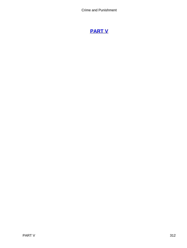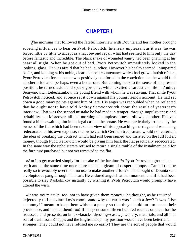## **[CHAPTER I](#page-466-0)**

**The morning that followed the fateful interview with Dounia and her mother brought** sobering influences to bear on Pyotr Petrovitch. Intensely unpleasant as it was, he was forced little by little to accept as a fact beyond recall what had seemed to him only the day before fantastic and incredible. The black snake of wounded vanity had been gnawing at his heart all night. When he got out of bed, Pyotr Petrovitch immediately looked in the looking−glass. He was afraid that he had jaundice. However his health seemed unimpaired so far, and looking at his noble, clear−skinned countenance which had grown fattish of late, Pyotr Petrovitch for an instant was positively comforted in the conviction that he would find another bride and, perhaps, even a better one. But coming back to the sense of his present position, he turned aside and spat vigorously, which excited a sarcastic smile in Andrey Semyonovitch Lebeziatnikov, the young friend with whom he was staying. That smile Pyotr Petrovitch noticed, and at once set it down against his young friend's account. He had set down a good many points against him of late. His anger was redoubled when he reflected that he ought not to have told Andrey Semyonovitch about the result of yesterday's interview. That was the second mistake he had made in temper, through impulsiveness and irritability. . . . Moreover, all that morning one unpleasantness followed another. He even found a hitch awaiting him in his legal case in the senate. He was particularly irritated by the owner of the flat which had been taken in view of his approaching marriage and was being redecorated at his own expense; the owner, a rich German tradesman, would not entertain the idea of breaking the contract which had just been signed and insisted on the full forfeit money, though Pyotr Petrovitch would be giving him back the flat practically redecorated. In the same way the upholsterers refused to return a single rouble of the instalment paid for the furniture purchased but not yet removed to the flat.

 «Am I to get married simply for the sake of the furniture?» Pyotr Petrovitch ground his teeth and at the same time once more he had a gleam of desperate hope. «Can all that be really so irrevocably over? Is it no use to make another effort?» The thought of Dounia sent a voluptuous pang through his heart. He endured anguish at that moment, and if it had been possible to slay Raskolnikov instantly by wishing it, Pyotr Petrovitch would promptly have uttered the wish.

 «It was my mistake, too, not to have given them money,» he thought, as he returned dejectedly to Lebeziatnikov's room, «and why on earth was I such a Jew? It was false economy! I meant to keep them without a penny so that they should turn to me as their providence, and look at them! foo! If I'd spent some fifteen hundred roubles on them for the trousseau and presents, on knick−knacks, dressing−cases, jewellery, materials, and all that sort of trash from Knopp's and the English shop, my position would have been better and . . . stronger! They could not have refused me so easily! They are the sort of people that would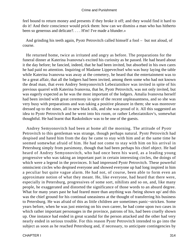feel bound to return money and presents if they broke it off; and they would find it hard to do it! And their conscience would prick them: how can we dismiss a man who has hitherto been so generous and delicate?. . . . H'm! I've made a blunder.»

 And grinding his teeth again, Pyotr Petrovitch called himself a fool – but not aloud, of course.

 He returned home, twice as irritated and angry as before. The preparations for the funeral dinner at Katerina Ivanovna's excited his curiosity as he passed. He had heard about it the day before; he fancied, indeed, that he had been invited, but absorbed in his own cares he had paid no attention. Inquiring of Madame Lippevechsel who was busy laying the table while Katerina Ivanovna was away at the cemetery, he heard that the entertainment was to be a great affair, that all the lodgers had been invited, among them some who had not known the dead man, that even Andrey Semyonovitch Lebeziatnikov was invited in spite of his previous quarrel with Katerina Ivanovna, that he, Pyotr Petrovitch, was not only invited, but was eagerly expected as he was the most important of the lodgers. Amalia Ivanovna herself had been invited with great ceremony in spite of the recent unpleasantness, and so she was very busy with preparations and was taking a positive pleasure in them; she was moreover dressed up to the nines, all in new black silk, and she was proud of it. All this suggested an idea to Pyotr Petrovitch and he went into his room, or rather Lebeziatnikov's, somewhat thoughtful. He had learnt that Raskolnikov was to be one of the guests.

 Andrey Semyonovitch had been at home all the morning. The attitude of Pyotr Petrovitch to this gentleman was strange, though perhaps natural. Pyotr Petrovitch had despised and hated him from the day he came to stay with him and at the same time he seemed somewhat afraid of him. He had not come to stay with him on his arrival in Petersburg simply from parsimony, though that had been perhaps his chief object. He had heard of Andrey Semyonovitch, who had once been his ward, as a leading young progressive who was taking an important part in certain interesting circles, the doings of which were a legend in the provinces. It had impressed Pyotr Petrovitch. These powerful omniscient circles who despised everyone and showed everyone up had long inspired in him a peculiar but quite vague alarm. He had not, of course, been able to form even an approximate notion of what they meant. He, like everyone, had heard that there were, especially in Petersburg, progressives of some sort, nihilists and so on, and, like many people, he exaggerated and distorted the significance of those words to an absurd degree. What for many years past he had feared more than anything was */being shown up/ and this* was the chief ground for his continual uneasiness at the thought of transferring his business to Petersburg. He was afraid of this as little children are sometimes panic−stricken. Some years before, when he was just entering on his own career, he had come upon two cases in which rather important personages in the province, patrons of his, had been cruelly shown up. One instance had ended in great scandal for the person attacked and the other had very nearly ended in serious trouble. For this reason Pyotr Petrovitch intended to go into the subject as soon as he reached Petersburg and, if necessary, to anticipate contingencies by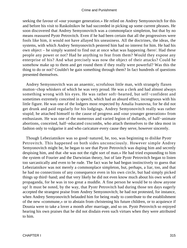seeking the favour of «our younger generation.» He relied on Andrey Semyonovitch for this and before his visit to Raskolnikov he had succeeded in picking up some current phrases. He soon discovered that Andrey Semyonovitch was a commonplace simpleton, but that by no means reassured Pyotr Petrovitch. Even if he had been certain that all the progressives were fools like him, it would not have allayed his uneasiness. All the doctrines, the ideas, the systems, with which Andrey Semyonovitch pestered him had no interest for him. He had his own object – he simply wanted to find out at once what was happening /here/. Had these people any power or not? Had he anything to fear from them? Would they expose any enterprise of his? And what precisely was now the object of their attacks? Could he somehow make up to them and get round them if they really were powerful? Was this the thing to do or not? Couldn't he gain something through them? In fact hundreds of questions presented themselves.

 Andrey Semyonovitch was an anaemic, scrofulous little man, with strangely flaxen mutton−chop whiskers of which he was very proud. He was a clerk and had almost always something wrong with his eyes. He was rather soft−hearted, but self−confident and sometimes extremely conceited in speech, which had an absurd effect, incongruous with his little figure. He was one of the lodgers most respected by Amalia Ivanovna, for he did not get drunk and paid regularly for his lodgings. Andrey Semyonovitch really was rather stupid; he attached himself to the cause of progress and «our younger generation» from enthusiasm. He was one of the numerous and varied legion of dullards, of half−animate abortions, conceited, half−educated coxcombs, who attach themselves to the idea most in fashion only to vulgarise it and who caricature every cause they serve, however sincerely.

 Though Lebeziatnikov was so good−natured, he, too, was beginning to dislike Pyotr Petrovitch. This happened on both sides unconsciously. However simple Andrey Semyonovitch might be, he began to see that Pyotr Petrovitch was duping him and secretly despising him, and that «he was not the right sort of man.» He had tried expounding to him the system of Fourier and the Darwinian theory, but of late Pyotr Petrovitch began to listen too sarcastically and even to be rude. The fact was he had begun instinctively to guess that Lebeziatnikov was not merely a commonplace simpleton, but, perhaps, a liar, too, and that he had no connections of any consequence even in his own circle, but had simply picked things up third−hand; and that very likely he did not even know much about his own work of propaganda, for he was in too great a muddle. A fine person he would be to show anyone up! It must be noted, by the way, that Pyotr Petrovitch had during those ten days eagerly accepted the strangest praise from Andrey Semyonovitch; he had not protested, for instance, when Andrey Semyonovitch belauded him for being ready to contribute to the establishment of the new «commune,» or to abstain from christening his future children, or to acquiesce if Dounia were to take a lover a month after marriage, and so on. Pyotr Petrovitch so enjoyed hearing his own praises that he did not disdain even such virtues when they were attributed to him.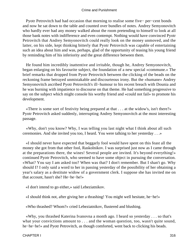Pyotr Petrovitch had had occasion that morning to realise some five− per−cent bonds and now he sat down to the table and counted over bundles of notes. Andrey Semyonovitch who hardly ever had any money walked about the room pretending to himself to look at all those bank notes with indifference and even contempt. Nothing would have convinced Pyotr Petrovitch that Andrey Semyonovitch could really look on the money unmoved, and the latter, on his side, kept thinking bitterly that Pyotr Petrovitch was capable of entertaining such an idea about him and was, perhaps, glad of the opportunity of teasing his young friend by reminding him of his inferiority and the great difference between them.

 He found him incredibly inattentive and irritable, though he, Andrey Semyonovitch, began enlarging on his favourite subject, the foundation of a new special «commune.» The brief remarks that dropped from Pyotr Petrovitch between the clicking of the beads on the reckoning frame betrayed unmistakable and discourteous irony. But the «humane» Andrey Semyonovitch ascribed Pyotr Petrovitch's ill−humour to his recent breach with Dounia and he was burning with impatience to discourse on that theme. He had something progressive to say on the subject which might console his worthy friend and «could not fail» to promote his development.

 «There is some sort of festivity being prepared at that . . . at the widow's, isn't there?» Pyotr Petrovitch asked suddenly, interrupting Andrey Semyonovitch at the most interesting passage.

 «Why, don't you know? Why, I was telling you last night what I think about all such ceremonies. And she invited you too, I heard. You were talking to her yesterday . . .»

 «I should never have expected that beggarly fool would have spent on this feast all the money she got from that other fool, Raskolnikov. I was surprised just now as I came through at the preparations there, the wines! Several people are invited. It's beyond everything!» continued Pyotr Petrovitch, who seemed to have some object in pursuing the conversation. «What? You say I am asked too? When was that? I don't remember. But I shan't go. Why should I? I only said a word to her in passing yesterday of the possibility of her obtaining a year's salary as a destitute widow of a government clerk. I suppose she has invited me on that account, hasn't she? He−he−he!»

«I don't intend to go either,» said Lebeziatnikov.

«I should think not, after giving her a thrashing! You might well hesitate, he−he!»

«Who thrashed? Whom?» cried Lebeziatnikov, flustered and blushing.

 «Why, you thrashed Katerina Ivanovna a month ago. I heard so yesterday . . . so that's what your convictions amount to . . . and the woman question, too, wasn't quite sound, he−he−he!» and Pyotr Petrovitch, as though comforted, went back to clicking his beads.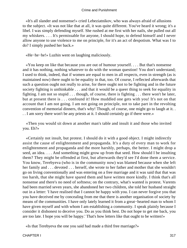«It's all slander and nonsense!» cried Lebeziatnikov, who was always afraid of allusions to the subject. «It was not like that at all, it was quite different. You've heard it wrong; it's a libel. I was simply defending myself. She rushed at me first with her nails, she pulled out all my whiskers. . . . It's permissable for anyone, I should hope, to defend himself and I never allow anyone to use violence to me on principle, for it's an act of despotism. What was I to do? I simply pushed her back.»

«He−he−he!» Luzhin went on laughing maliciously.

 «You keep on like that because you are out of humour yourself. . . . But that's nonsense and it has nothing, nothing whatever to do with the woman question! You don't understand; I used to think, indeed, that if women are equal to men in all respects, even in strength (as is maintained now) there ought to be equality in that, too. Of course, I reflected afterwards that such a question ought not really to arise, for there ought not to be fighting and in the future society fighting is unthinkable . . . and that it would be a queer thing to seek for equality in fighting. I am not so stupid . . . though, of course, there is fighting . . . there won't be later, but at present there is . . . confound it! How muddled one gets with you! It's not on that account that I am not going. I am not going on principle, not to take part in the revolting convention of memorial dinners, that's why! Though, of course, one might go to laugh at it. . . . I am sorry there won't be any priests at it. I should certainly go if there were.»

 «Then you would sit down at another man's table and insult it and those who invited you. Eh?»

 «Certainly not insult, but protest. I should do it with a good object. I might indirectly assist the cause of enlightenment and propaganda. It's a duty of every man to work for enlightenment and propaganda and the more harshly, perhaps, the better. I might drop a seed, an idea. . . . And something might grow up from that seed. How should I be insulting them? They might be offended at first, but afterwards they'd see I'd done them a service. You know, Terebyeva (who is in the community now) was blamed because when she left her family and . . . devoted . . . herself, she wrote to her father and mother that she wouldn't go on living conventionally and was entering on a free marriage and it was said that that was too harsh, that she might have spared them and have written more kindly. I think that's all nonsense and there's no need of softness; on the contrary, what's wanted is protest. Varents had been married seven years, she abandoned her two children, she told her husband straight out in a letter: 'I have realised that I cannot be happy with you. I can never forgive you that you have deceived me by concealing from me that there is another organisation of society by means of the communities. I have only lately learned it from a great−hearted man to whom I have given myself and with whom I am establishing a community. I speak plainly because I consider it dishonest to deceive you. Do as you think best. Do not hope to get me back, you are too late. I hope you will be happy.' That's how letters like that ought to be written!»

«Is that Terebyeva the one you said had made a third free marriage?»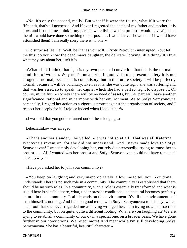«No, it's only the second, really! But what if it were the fourth, what if it were the fifteenth, that's all nonsense! And if ever I regretted the death of my father and mother, it is now, and I sometimes think if my parents were living what a protest I would have aimed at them! I would have done something on purpose . . . I would have shown them! I would have astonished them! I am really sorry there is no one!»

 «To surprise! He−he! Well, be that as you will,» Pyotr Petrovitch interrupted, «but tell me this; do you know the dead man's daughter, the delicate−looking little thing? It's true what they say about her, isn't it?»

 «What of it? I think, that is, it is my own personal conviction that this is the normal condition of women. Why not? I mean, /distinguons/. In our present society it is not altogether normal, because it is compulsory, but in the future society it will be perfectly normal, because it will be voluntary. Even as it is, she was quite right: she was suffering and that was her asset, so to speak, her capital which she had a perfect right to dispose of. Of course, in the future society there will be no need of assets, but her part will have another significance, rational and in harmony with her environment. As to Sofya Semyonovna personally, I regard her action as a vigorous protest against the organisation of society, and I respect her deeply for it; I rejoice indeed when I look at her!»

«I was told that you got her turned out of these lodgings.»

Lebeziatnikov was enraged.

 «That's another slander,» he yelled. «It was not so at all! That was all Katerina Ivanovna's invention, for she did not understand! And I never made love to Sofya Semyonovna! I was simply developing her, entirely disinterestedly, trying to rouse her to protest. . . . All I wanted was her protest and Sofya Semyonovna could not have remained here anyway!»

«Have you asked her to join your community?»

 «You keep on laughing and very inappropriately, allow me to tell you. You don't understand! There is no such role in a community. The community is established that there should be no such roles. In a community, such a role is essentially transformed and what is stupid here is sensible there, what, under present conditions, is unnatural becomes perfectly natural in the community. It all depends on the environment. It's all the environment and man himself is nothing. And I am on good terms with Sofya Semyonovna to this day, which is a proof that she never regarded me as having wronged her. I am trying now to attract her to the community, but on quite, quite a different footing. What are you laughing at? We are trying to establish a community of our own, a special one, on a broader basis. We have gone further in our convictions. We reject more! And meanwhile I'm still developing Sofya Semyonovna. She has a beautiful, beautiful character!»

CHAPTER I 318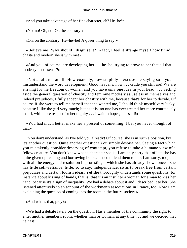«And you take advantage of her fine character, eh? He−he!»

«No, no! Oh, no! On the contrary.»

«Oh, on the contrary! He−he−he! A queer thing to say!»

 «Believe me! Why should I disguise it? In fact, I feel it strange myself how timid, chaste and modern she is with me!»

 «And you, of course, are developing her . . . he−he! trying to prove to her that all that modesty is nonsense?»

«Not at all, not at all! How coarsely, how stupidly – excuse me saying so – you misunderstand the word development! Good heavens, how . . . crude you still are! We are striving for the freedom of women and you have only one idea in your head. . . . Setting aside the general question of chastity and feminine modesty as useless in themselves and indeed prejudices, I fully accept her chastity with me, because that's for her to decide. Of course if she were to tell me herself that she wanted me, I should think myself very lucky, because I like the girl very much; but as it is, no one has ever treated her more courteously than I, with more respect for her dignity . . . I wait in hopes, that's all!»

 «You had much better make her a present of something. I bet you never thought of that.»

 «You don't understand, as I've told you already! Of course, she is in such a position, but it's another question. Quite another question! You simply despise her. Seeing a fact which you mistakenly consider deserving of contempt, you refuse to take a humane view of a fellow creature. You don't know what a character she is! I am only sorry that of late she has quite given up reading and borrowing books. I used to lend them to her. I am sorry, too, that with all the energy and resolution in protesting – which she has already shown once – she has little self−reliance, little, so to say, independence, so as to break free from certain prejudices and certain foolish ideas. Yet she thoroughly understands some questions, for instance about kissing of hands, that is, that it's an insult to a woman for a man to kiss her hand, because it's a sign of inequality. We had a debate about it and I described it to her. She listened attentively to an account of the workmen's associations in France, too. Now I am explaining the question of coming into the room in the future society.»

«And what's that, pray?»

 «We had a debate lately on the question: Has a member of the community the right to enter another member's room, whether man or woman, at any time . . . and we decided that he has!»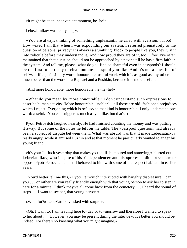«It might be at an inconvenient moment, he−he!»

Lebeziatnikov was really angry.

 «You are always thinking of something unpleasant,» he cried with aversion. «Tfoo! How vexed I am that when I was expounding our system, I referred prematurely to the question of personal privacy! It's always a stumbling−block to people like you, they turn it into ridicule before they understand it. And how proud they are of it, too! Tfoo! I've often maintained that that question should not be approached by a novice till he has a firm faith in the system. And tell me, please, what do you find so shameful even in cesspools? I should be the first to be ready to clean out any cesspool you like. And it's not a question of self−sacrifice, it's simply work, honourable, useful work which is as good as any other and much better than the work of a Raphael and a Pushkin, because it is more useful.»

«And more honourable, more honourable, he−he−he!»

 «What do you mean by 'more honourable'? I don't understand such expressions to describe human activity. 'More honourable,' 'nobler' – all those are old−fashioned prejudices which I reject. Everything which is /of use/ to mankind is honourable. I only understand one word: /useful/! You can snigger as much as you like, but that's so!»

 Pyotr Petrovitch laughed heartily. He had finished counting the money and was putting it away. But some of the notes he left on the table. The «cesspool question» had already been a subject of dispute between them. What was absurd was that it made Lebeziatnikov really angry, while it amused Luzhin and at that moment he particularly wanted to anger his young friend.

 «It's your ill−luck yesterday that makes you so ill−humoured and annoying,» blurted out Lebeziatnikov, who in spite of his «independence» and his «protests» did not venture to oppose Pyotr Petrovitch and still behaved to him with some of the respect habitual in earlier years.

 «You'd better tell me this,» Pyotr Petrovitch interrupted with haughty displeasure, «can you . . . or rather are you really friendly enough with that young person to ask her to step in here for a minute? I think they've all come back from the cemetery . . . I heard the sound of steps . . . I want to see her, that young person.»

«What for?» Lebeziatnikov asked with surprise.

 «Oh, I want to. I am leaving here to−day or to−morrow and therefore I wanted to speak to her about . . . However, you may be present during the interview. It's better you should be, indeed. For there's no knowing what you might imagine.»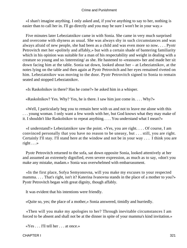«I shan't imagine anything. I only asked and, if you've anything to say to her, nothing is easier than to call her in. I'll go directly and you may be sure I won't be in your way.»

 Five minutes later Lebeziatnikov came in with Sonia. She came in very much surprised and overcome with shyness as usual. She was always shy in such circumstances and was always afraid of new people, she had been as a child and was even more so now. . . . Pyotr Petrovitch met her «politely and affably,» but with a certain shade of bantering familiarity which in his opinion was suitable for a man of his respectability and weight in dealing with a creature so young and so /interesting/ as she. He hastened to «reassure» her and made her sit down facing him at the table. Sonia sat down, looked about her – at Lebeziatnikov, at the notes lying on the table and then again at Pyotr Petrovitch and her eyes remained riveted on him. Lebeziatnikov was moving to the door. Pyotr Petrovitch signed to Sonia to remain seated and stopped Lebeziatnikov.

«Is Raskolnikov in there? Has he come?» he asked him in a whisper.

«Raskolnikov? Yes. Why? Yes, he is there. I saw him just come in. . . . Why?»

 «Well, I particularly beg you to remain here with us and not to leave me alone with this . . . young woman. I only want a few words with her, but God knows what they may make of it. I shouldn't like Raskolnikov to repeat anything. . . . You understand what I mean?»

 «I understand!» Lebeziatnikov saw the point. «Yes, you are right. . . . Of course, I am convinced personally that you have no reason to be uneasy, but . . . still, you are right. Certainly I'll stay. I'll stand here at the window and not be in your way . . . I think you are right  $\ldots$ 

 Pyotr Petrovitch returned to the sofa, sat down opposite Sonia, looked attentively at her and assumed an extremely dignified, even severe expression, as much as to say, «don't you make any mistake, madam.» Sonia was overwhelmed with embarrassment.

 «In the first place, Sofya Semyonovna, will you make my excuses to your respected mamma. . . . That's right, isn't it? Katerina Ivanovna stands in the place of a mother to you?» Pyotr Petrovitch began with great dignity, though affably.

It was evident that his intentions were friendly.

«Quite so, yes; the place of a mother,» Sonia answered, timidly and hurriedly.

 «Then will you make my apologies to her? Through inevitable circumstances I am forced to be absent and shall not be at the dinner in spite of your mamma's kind invitation.»

«Yes . . . I'll tell her . . . at once.»

CHAPTER I 321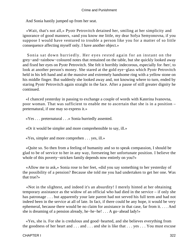And Sonia hastily jumped up from her seat.

 «Wait, that's not all,» Pyotr Petrovitch detained her, smiling at her simplicity and ignorance of good manners, «and you know me little, my dear Sofya Semyonovna, if you suppose I would have ventured to trouble a person like you for a matter of so little consequence affecting myself only. I have another object.»

 Sonia sat down hurriedly. Her eyes rested again for an instant on the grey−and−rainbow−coloured notes that remained on the table, but she quickly looked away and fixed her eyes on Pyotr Petrovitch. She felt it horribly indecorous, especially for /her/, to look at another person's money. She stared at the gold eye−glass which Pyotr Petrovitch held in his left hand and at the massive and extremely handsome ring with a yellow stone on his middle finger. But suddenly she looked away and, not knowing where to turn, ended by staring Pyotr Petrovitch again straight in the face. After a pause of still greater dignity he continued.

 «I chanced yesterday in passing to exchange a couple of words with Katerina Ivanovna, poor woman. That was sufficient to enable me to ascertain that she is in a position – preternatural, if one may so express it.»

«Yes . . . preternatural . . .» Sonia hurriedly assented.

«Or it would be simpler and more comprehensible to say, ill.»

«Yes, simpler and more comprehen . . . yes, ill.»

 «Quite so. So then from a feeling of humanity and so to speak compassion, I should be glad to be of service to her in any way, foreseeing her unfortunate position. I believe the whole of this poverty−stricken family depends now entirely on you?»

 «Allow me to ask,» Sonia rose to her feet, «did you say something to her yesterday of the possibility of a pension? Because she told me you had undertaken to get her one. Was that true?»

 «Not in the slightest, and indeed it's an absurdity! I merely hinted at her obtaining temporary assistance as the widow of an official who had died in the service – if only she has patronage . . . but apparently your late parent had not served his full term and had not indeed been in the service at all of late. In fact, if there could be any hope, it would be very ephemeral, because there would be no claim for assistance in that case, far from it. . . . And she is dreaming of a pension already, he−he−he! . . . A go−ahead lady!»

 «Yes, she is. For she is credulous and good−hearted, and she believes everything from the goodness of her heart and . . . and . . . and she is like that . . . yes . . . You must excuse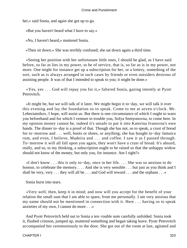her,» said Sonia, and again she got up to go.

«But you haven't heard what I have to say.»

«No, I haven't heard,» muttered Sonia.

«Then sit down.» She was terribly confused; she sat down again a third time.

 «Seeing her position with her unfortunate little ones, I should be glad, as I have said before, so far as lies in my power, to be of service, that is, so far as is in my power, not more. One might for instance get up a subscription for her, or a lottery, something of the sort, such as is always arranged in such cases by friends or even outsiders desirous of assisting people. It was of that I intended to speak to you; it might be done.»

 «Yes, yes . . . God will repay you for it,» faltered Sonia, gazing intently at Pyotr Petrovitch.

 «It might be, but we will talk of it later. We might begin it to−day, we will talk it over this evening and lay the foundation so to speak. Come to me at seven o'clock. Mr. Lebeziatnikov, I hope, will assist us. But there is one circumstance of which I ought to warn you beforehand and for which I venture to trouble you, Sofya Semyonovna, to come here. In my opinion money cannot be, indeed it's unsafe to put it into Katerina Ivanovna's own hands. The dinner to−day is a proof of that. Though she has not, so to speak, a crust of bread for to−morrow and . . . well, boots or shoes, or anything; she has bought to−day Jamaica rum, and even, I believe, Madeira and . . . and coffee. I saw it as I passed through. To−morrow it will all fall upon you again, they won't have a crust of bread. It's absurd, really, and so, to my thinking, a subscription ought to be raised so that the unhappy widow should not know of the money, but only you, for instance. Am I right?»

 «I don't know . . . this is only to−day, once in her life. . . . She was so anxious to do honour, to celebrate the memory. . . . And she is very sensible . . . but just as you think and I shall be very, very  $\dots$  they will all be  $\dots$  and God will reward  $\dots$  and the orphans  $\dots$ 

Sonia burst into tears.

 «Very well, then, keep it in mind; and now will you accept for the benefit of your relation the small sum that I am able to spare, from me personally. I am very anxious that my name should not be mentioned in connection with it. Here . . . having so to speak anxieties of my own, I cannot do more . . .»

 And Pyotr Petrovitch held out to Sonia a ten−rouble note carefully unfolded. Sonia took it, flushed crimson, jumped up, muttered something and began taking leave. Pyotr Petrovitch accompanied her ceremoniously to the door. She got out of the room at last, agitated and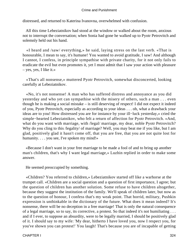distressed, and returned to Katerina Ivanovna, overwhelmed with confusion.

 All this time Lebeziatnikov had stood at the window or walked about the room, anxious not to interrupt the conversation; when Sonia had gone he walked up to Pyotr Petrovitch and solemnly held out his hand.

 «I heard and /saw/ everything,» he said, laying stress on the last verb. «That is honourable, I mean to say, it's humane! You wanted to avoid gratitude, I saw! And although I cannot, I confess, in principle sympathise with private charity, for it not only fails to eradicate the evil but even promotes it, yet I must admit that I saw your action with pleasure – yes, yes, I like it.»

 «That's all nonsense,» muttered Pyotr Petrovitch, somewhat disconcerted, looking carefully at Lebeziatnikov.

 «No, it's not nonsense! A man who has suffered distress and annoyance as you did yesterday and who yet can sympathise with the misery of others, such a man . . . even though he is making a social mistake – is still deserving of respect! I did not expect it indeed of you, Pyotr Petrovitch, especially as according to your ideas . . . oh, what a drawback your ideas are to you! How distressed you are for instance by your ill−luck yesterday,» cried the simple−hearted Lebeziatnikov, who felt a return of affection for Pyotr Petrovitch. «And, what do you want with marriage, with /legal/ marriage, my dear, noble Pyotr Petrovitch? Why do you cling to this /legality/ of marriage? Well, you may beat me if you like, but I am glad, positively glad it hasn't come off, that you are free, that you are not quite lost for humanity. . . . you see, I've spoken my mind!»

 «Because I don't want in your free marriage to be made a fool of and to bring up another man's children, that's why I want legal marriage,» Luzhin replied in order to make some answer.

He seemed preoccupied by something.

 «Children? You referred to children,» Lebeziatnikov started off like a warhorse at the trumpet call. «Children are a social question and a question of first importance, I agree; but the question of children has another solution. Some refuse to have children altogether, because they suggest the institution of the family. We'll speak of children later, but now as to the question of honour, I confess that's my weak point. That horrid, military, Pushkin expression is unthinkable in the dictionary of the future. What does it mean indeed? It's nonsense, there will be no deception in a free marriage! That is only the natural consequence of a legal marriage, so to say, its corrective, a protest. So that indeed it's not humiliating . . . and if I ever, to suppose an absurdity, were to be legally married, I should be positively glad of it. I should say to my wife: 'My dear, hitherto I have loved you, now I respect you, for you've shown you can protest!' You laugh! That's because you are of incapable of getting

CHAPTER I 324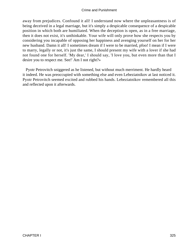away from prejudices. Confound it all! I understand now where the unpleasantness is of being deceived in a legal marriage, but it's simply a despicable consequence of a despicable position in which both are humiliated. When the deception is open, as in a free marriage, then it does not exist, it's unthinkable. Your wife will only prove how she respects you by considering you incapable of opposing her happiness and avenging yourself on her for her new husband. Damn it all! I sometimes dream if I were to be married, pfoo! I mean if I were to marry, legally or not, it's just the same, I should present my wife with a lover if she had not found one for herself. 'My dear,' I should say, 'I love you, but even more than that I desire you to respect me. See!' Am I not right?»

 Pyotr Petrovitch sniggered as he listened, but without much merriment. He hardly heard it indeed. He was preoccupied with something else and even Lebeziatnikov at last noticed it. Pyotr Petrovitch seemed excited and rubbed his hands. Lebeziatnikov remembered all this and reflected upon it afterwards.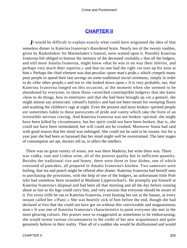## **[CHAPTER II](#page-466-0)**

*I*t would be difficult to explain exactly what could have originated the idea of that senseless dinner in Katerina Ivanovna's disordered brain. Nearly ten of the twenty roubles, given by Raskolnikov for Marmeladov's funeral, were wasted upon it. Possibly Katerina Ivanovna felt obliged to honour the memory of the deceased «suitably,» that all the lodgers, and still more Amalia Ivanovna, might know «that he was in no way their inferior, and perhaps very much their superior,» and that no one had the right «to turn up his nose at him.» Perhaps the chief element was that peculiar «poor man's pride,» which compels many poor people to spend their last savings on some traditional social ceremony, simply in order to do «like other people,» and not to «be looked down upon.» It is very probable, too, that Katerina Ivanovna longed on this occasion, at the moment when she seemed to be abandoned by everyone, to show those «wretched contemptible lodgers» that she knew «how to do things, how to entertain» and that she had been brought up «in a genteel, she might almost say aristocratic colonel's family» and had not been meant for sweeping floors and washing the children's rags at night. Even the poorest and most broken−spirited people are sometimes liable to these paroxysms of pride and vanity which take the form of an irresistible nervous craving. And Katerina Ivanovna was not broken−spirited; she might have been killed by circumstance, but her spirit could not have been broken, that is, she could not have been intimidated, her will could not be crushed. Moreover Sonia had said with good reason that her mind was unhinged. She could not be said to be insane, but for a year past she had been so harassed that her mind might well be overstrained. The later stages of consumption are apt, doctors tell us, to affect the intellect.

 There was no great variety of wines, nor was there Madeira; but wine there was. There was vodka, rum and Lisbon wine, all of the poorest quality but in sufficient quantity. Besides the traditional rice and honey, there were three or four dishes, one of which consisted of pancakes, all prepared in Amalia Ivanovna's kitchen. Two samovars were boiling, that tea and punch might be offered after dinner. Katerina Ivanovna had herself seen to purchasing the provisions, with the help of one of the lodgers, an unfortunate little Pole who had somehow been stranded at Madame Lippevechsel's. He promptly put himself at Katerina Ivanovna's disposal and had been all that morning and all the day before running about as fast as his legs could carry him, and very anxious that everyone should be aware of it. For every trifle he ran to Katerina Ivanovna, even hunting her out at the bazaar, at every instant called her «/Pani/.» She was heartily sick of him before the end, though she had declared at first that she could not have got on without this «serviceable and magnanimous man.» It was one of Katerina Ivanovna's characteristics to paint everyone she met in the most glowing colours. Her praises were so exaggerated as sometimes to be embarrassing; she would invent various circumstances to the credit of her new acquaintance and quite genuinely believe in their reality. Then all of a sudden she would be disillusioned and would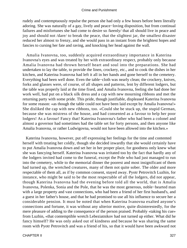rudely and contemptuously repulse the person she had only a few hours before been literally adoring. She was naturally of a gay, lively and peace−loving disposition, but from continual failures and misfortunes she had come to desire so /keenly/ that all should live in peace and joy and should not /dare/ to break the peace, that the slightest jar, the smallest disaster reduced her almost to frenzy, and she would pass in an instant from the brightest hopes and fancies to cursing her fate and raving, and knocking her head against the wall.

 Amalia Ivanovna, too, suddenly acquired extraordinary importance in Katerina Ivanovna's eyes and was treated by her with extraordinary respect, probably only because Amalia Ivanovna had thrown herself heart and soul into the preparations. She had undertaken to lay the table, to provide the linen, crockery, etc., and to cook the dishes in her kitchen, and Katerina Ivanovna had left it all in her hands and gone herself to the cemetery. Everything had been well done. Even the table−cloth was nearly clean; the crockery, knives, forks and glasses were, of course, of all shapes and patterns, lent by different lodgers, but the table was properly laid at the time fixed, and Amalia Ivanovna, feeling she had done her work well, had put on a black silk dress and a cap with new mourning ribbons and met the returning party with some pride. This pride, though justifiable, displeased Katerina Ivanovna for some reason: «as though the table could not have been laid except by Amalia Ivanovna!» She disliked the cap with new ribbons, too. «Could she be stuck up, the stupid German, because she was mistress of the house, and had consented as a favour to help her poor lodgers! As a favour! Fancy that! Katerina Ivanovna's father who had been a colonel and almost a governor had sometimes had the table set for forty persons, and then anyone like Amalia Ivanovna, or rather Ludwigovna, would not have been allowed into the kitchen.»

 Katerina Ivanovna, however, put off expressing her feelings for the time and contented herself with treating her coldly, though she decided inwardly that she would certainly have to put Amalia Ivanovna down and set her in her proper place, for goodness only knew what she was fancying herself. Katerina Ivanovna was irritated too by the fact that hardly any of the lodgers invited had come to the funeral, except the Pole who had just managed to run into the cemetery, while to the memorial dinner the poorest and most insignificant of them had turned up, the wretched creatures, many of them not quite sober. The older and more respectable of them all, as if by common consent, stayed away. Pyotr Petrovitch Luzhin, for instance, who might be said to be the most respectable of all the lodgers, did not appear, though Katerina Ivanovna had the evening before told all the world, that is Amalia Ivanovna, Polenka, Sonia and the Pole, that he was the most generous, noble−hearted man with a large property and vast connections, who had been a friend of her first husband's, and a guest in her father's house, and that he had promised to use all his influence to secure her a considerable pension. It must be noted that when Katerina Ivanovna exalted anyone's connections and fortune, it was without any ulterior motive, quite disinterestedly, for the mere pleasure of adding to the consequence of the person praised. Probably «taking his cue» from Luzhin, «that contemptible wretch Lebeziatnikov had not turned up either. What did he fancy himself? He was only asked out of kindness and because he was sharing the same room with Pyotr Petrovitch and was a friend of his, so that it would have been awkward not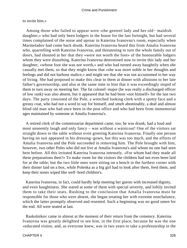## to invite him.»

 Among those who failed to appear were «the genteel lady and her old− maidish daughter,» who had only been lodgers in the house for the last fortnight, but had several times complained of the noise and uproar in Katerina Ivanovna's room, especially when Marmeladov had come back drunk. Katerina Ivanovna heard this from Amalia Ivanovna who, quarrelling with Katerina Ivanovna, and threatening to turn the whole family out of doors, had shouted at her that they «were not worth the foot» of the honourable lodgers whom they were disturbing. Katerina Ivanovna determined now to invite this lady and her daughter, «whose foot she was not worth,» and who had turned away haughtily when she casually met them, so that they might know that «she was more noble in her thoughts and feelings and did not harbour malice,» and might see that she was not accustomed to her way of living. She had proposed to make this clear to them at dinner with allusions to her late father's governorship, and also at the same time to hint that it was exceedingly stupid of them to turn away on meeting her. The fat colonel−major (he was really a discharged officer of low rank) was also absent, but it appeared that he had been «not himself» for the last two days. The party consisted of the Pole, a wretched looking clerk with a spotty face and a greasy coat, who had not a word to say for himself, and smelt abominably, a deaf and almost blind old man who had once been in the post office and who had been from immemorial ages maintained by someone at Amalia Ivanovna's.

 A retired clerk of the commissariat department came, too; he was drunk, had a loud and most unseemly laugh and only fancy – was without a waistcoat! One of the visitors sat straight down to the table without even greeting Katerina Ivanovna. Finally one person having no suit appeared in his dressing−gown, but this was too much, and the efforts of Amalia Ivanovna and the Pole succeeded in removing him. The Pole brought with him, however, two other Poles who did not live at Amalia Ivanovna's and whom no one had seen here before. All this irritated Katerina Ivanovna intensely. «For whom had they made all these preparations then?» To make room for the visitors the children had not even been laid for at the table; but the two little ones were sitting on a bench in the furthest corner with their dinner laid on a box, while Polenka as a big girl had to look after them, feed them, and keep their noses wiped like well−bred children's.

 Katerina Ivanovna, in fact, could hardly help meeting her guests with increased dignity, and even haughtiness. She stared at some of them with special severity, and loftily invited them to take their seats. Rushing to the conclusion that Amalia Ivanovna must be responsible for those who were absent, she began treating her with extreme nonchalance, which the latter promptly observed and resented. Such a beginning was no good omen for the end. All were seated at last.

 Raskolnikov came in almost at the moment of their return from the cemetery. Katerina Ivanovna was greatly delighted to see him, in the first place, because he was the one «educated visitor, and, as everyone knew, was in two years to take a professorship in the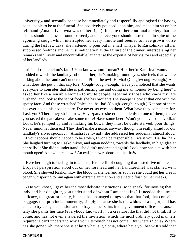university,» and secondly because he immediately and respectfully apologised for having been unable to be at the funeral. She positively pounced upon him, and made him sit on her left hand (Amalia Ivanovna was on her right). In spite of her continual anxiety that the dishes should be passed round correctly and that everyone should taste them, in spite of the agonising cough which interrupted her every minute and seemed to have grown worse during the last few days, she hastened to pour out in a half whisper to Raskolnikov all her suppressed feelings and her just indignation at the failure of the dinner, interspersing her remarks with lively and uncontrollable laughter at the expense of her visitors and especially of her landlady.

 «It's all that cuckoo's fault! You know whom I mean? Her, her!» Katerina Ivanovna nodded towards the landlady. «Look at her, she's making round eyes, she feels that we are talking about her and can't understand. Pfoo, the owl! Ha−ha! (Cough−cough−cough.) And what does she put on that cap for? (Cough−cough−cough.) Have you noticed that she wants everyone to consider that she is patronising me and doing me an honour by being here? I asked her like a sensible woman to invite people, especially those who knew my late husband, and look at the set of fools she has brought! The sweeps! Look at that one with the spotty face. And those wretched Poles, ha−ha−ha! (Cough−cough−cough.) Not one of them has ever poked his nose in here, I've never set eyes on them. What have they come here for, I ask you? There they sit in a row. Hey, /pan/!» she cried suddenly to one of them, «have you tasted the pancakes? Take some more! Have some beer! Won't you have some vodka? Look, he's jumped up and is making his bows, they must be quite starved, poor things. Never mind, let them eat! They don't make a noise, anyway, though I'm really afraid for our landlady's silver spoons . . . Amalia Ivanovna!» she addressed her suddenly, almost aloud, «if your spoons should happen to be stolen, I won't be responsible, I warn you! Ha−ha−ha!» She laughed turning to Raskolnikov, and again nodding towards the landlady, in high glee at her sally. «She didn't understand, she didn't understand again! Look how she sits with her mouth open! An owl, a real owl! An owl in new ribbons, ha−ha−ha!»

 Here her laugh turned again to an insufferable fit of coughing that lasted five minutes. Drops of perspiration stood out on her forehead and her handkerchief was stained with blood. She showed Raskolnikov the blood in silence, and as soon as she could get her breath began whispering to him again with extreme animation and a hectic flush on her cheeks.

 «Do you know, I gave her the most delicate instructions, so to speak, for inviting that lady and her daughter, you understand of whom I am speaking? It needed the utmost delicacy, the greatest nicety, but she has managed things so that that fool, that conceited baggage, that provincial nonentity, simply because she is the widow of a major, and has come to try and get a pension and to fray out her skirts in the government offices, because at fifty she paints her face (everybody knows it) . . . a creature like that did not think fit to come, and has not even answered the invitation, which the most ordinary good manners required! I can't understand why Pyotr Petrovitch has not come? But where's Sonia? Where has she gone? Ah, there she is at last! what is it, Sonia, where have you been? It's odd that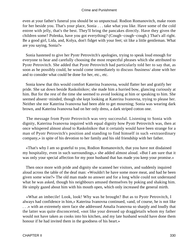even at your father's funeral you should be so unpunctual. Rodion Romanovitch, make room for her beside you. That's your place, Sonia . . . take what you like. Have some of the cold entree with jelly, that's the best. They'll bring the pancakes directly. Have they given the children some? Polenka, have you got everything? (Cough−cough−cough.) That's all right. Be a good girl, Lida, and, Kolya, don't fidget with your feet; sit like a little gentleman. What are you saying, Sonia?»

 Sonia hastened to give her Pyotr Petrovitch's apologies, trying to speak loud enough for everyone to hear and carefully choosing the most respectful phrases which she attributed to Pyotr Petrovitch. She added that Pyotr Petrovitch had particularly told her to say that, as soon as he possibly could, he would come immediately to discuss /business/ alone with her and to consider what could be done for her, etc., etc.

 Sonia knew that this would comfort Katerina Ivanovna, would flatter her and gratify her pride. She sat down beside Raskolnikov; she made him a hurried bow, glancing curiously at him. But for the rest of the time she seemed to avoid looking at him or speaking to him. She seemed absent−minded, though she kept looking at Katerina Ivanovna, trying to please her. Neither she nor Katerina Ivanovna had been able to get mourning; Sonia was wearing dark brown, and Katerina Ivanovna had on her only dress, a dark striped cotton one.

 The message from Pyotr Petrovitch was very successful. Listening to Sonia with dignity, Katerina Ivanovna inquired with equal dignity how Pyotr Petrovitch was, then at once whispered almost aloud to Raskolnikov that it certainly would have been strange for a man of Pyotr Petrovitch's position and standing to find himself in such «extraordinary company,» in spite of his devotion to her family and his old friendship with her father.

 «That's why I am so grateful to you, Rodion Romanovitch, that you have not disdained my hospitality, even in such surroundings,» she added almost aloud. «But I am sure that it was only your special affection for my poor husband that has made you keep your promise.»

 Then once more with pride and dignity she scanned her visitors, and suddenly inquired aloud across the table of the deaf man: «Wouldn't he have some more meat, and had he been given some wine?» The old man made no answer and for a long while could not understand what he was asked, though his neighbours amused themselves by poking and shaking him. He simply gazed about him with his mouth open, which only increased the general mirth.

 «What an imbecile! Look, look! Why was he brought? But as to Pyotr Petrovitch, I always had confidence in him,» Katerina Ivanovna continued, «and, of course, he is not like . . .» with an extremely stern face she addressed Amalia Ivanovna so sharply and loudly that the latter was quite disconcerted, «not like your dressed up draggletails whom my father would not have taken as cooks into his kitchen, and my late husband would have done them honour if he had invited them in the goodness of his heart.»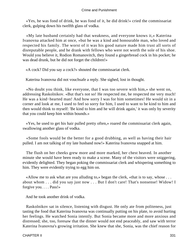«Yes, he was fond of drink, he was fond of it, he did drink!» cried the commissariat clerk, gulping down his twelfth glass of vodka.

 «My late husband certainly had that weakness, and everyone knows it,» Katerina Ivanovna attacked him at once, «but he was a kind and honourable man, who loved and respected his family. The worst of it was his good nature made him trust all sorts of disreputable people, and he drank with fellows who were not worth the sole of his shoe. Would you believe it, Rodion Romanovitch, they found a gingerbread cock in his pocket; he was dead drunk, but he did not forget the children!»

«A cock? Did you say a cock?» shouted the commissariat clerk.

Katerina Ivanovna did not vouchsafe a reply. She sighed, lost in thought.

 «No doubt you think, like everyone, that I was too severe with him,» she went on, addressing Raskolnikov. «But that's not so! He respected me, he respected me very much! He was a kind−hearted man! And how sorry I was for him sometimes! He would sit in a corner and look at me, I used to feel so sorry for him, I used to want to be kind to him and then would think to myself: 'Be kind to him and he will drink again,' it was only by severity that you could keep him within bounds.»

 «Yes, he used to get his hair pulled pretty often,» roared the commissariat clerk again, swallowing another glass of vodka.

 «Some fools would be the better for a good drubbing, as well as having their hair pulled. I am not talking of my late husband now!» Katerina Ivanovna snapped at him.

 The flush on her cheeks grew more and more marked, her chest heaved. In another minute she would have been ready to make a scene. Many of the visitors were sniggering, evidently delighted. They began poking the commissariat clerk and whispering something to him. They were evidently trying to egg him on.

 «Allow me to ask what are you alluding to,» began the clerk, «that is to say, whose . . . about whom . . . did you say just now . . . But I don't care! That's nonsense! Widow! I forgive you. . . . Pass!»

And he took another drink of vodka.

 Raskolnikov sat in silence, listening with disgust. He only ate from politeness, just tasting the food that Katerina Ivanovna was continually putting on his plate, to avoid hurting her feelings. He watched Sonia intently. But Sonia became more and more anxious and distressed; she, too, foresaw that the dinner would not end peaceably, and saw with terror Katerina Ivanovna's growing irritation. She knew that she, Sonia, was the chief reason for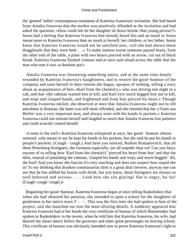the 'genteel' ladies' contemptuous treatment of Katerina Ivanovna's invitation. She had heard from Amalia Ivanovna that the mother was positively offended at the invitation and had asked the question: «How could she let her daughter sit down beside /that young person/?» Sonia had a feeling that Katerina Ivanovna had already heard this and an insult to Sonia meant more to Katerina Ivanovna than an insult to herself, her children, or her father, Sonia knew that Katerina Ivanovna would not be satisfied now, «till she had shown those draggletails that they were both . . .» To make matters worse someone passed Sonia, from the other end of the table, a plate with two hearts pierced with an arrow, cut out of black bread. Katerina Ivanovna flushed crimson and at once said aloud across the table that the man who sent it was «a drunken ass!»

 Amalia Ivanovna was foreseeing something amiss, and at the same time deeply wounded by Katerina Ivanovna's haughtiness, and to restore the good−humour of the company and raise herself in their esteem she began, apropos of nothing, telling a story about an acquaintance of hers «Karl from the chemist's,» who was driving one night in a cab, and that «the cabman wanted him to kill, and Karl very much begged him not to kill, and wept and clasped hands, and frightened and from fear pierced his heart.» Though Katerina Ivanovna smiled, she observed at once that Amalia Ivanovna ought not to tell anecdotes in Russian; the latter was still more offended, and she retorted that her «/Vater aus Berlin/ was a very important man, and always went with his hands in pockets.» Katerina Ivanovna could not restrain herself and laughed so much that Amalia Ivanovna lost patience and could scarcely control herself.

 «Listen to the owl!» Katerina Ivanovna whispered at once, her good− humour almost restored, «she meant to say he kept his hands in his pockets, but she said he put his hands in people's pockets. (Cough− cough.) And have you noticed, Rodion Romanovitch, that all these Petersburg foreigners, the Germans especially, are all stupider than we! Can you fancy anyone of us telling how 'Karl from the chemist's' 'pierced his heart from fear' and that the idiot, instead of punishing the cabman, 'clasped his hands and wept, and much begged.' Ah, the fool! And you know she fancies it's very touching and does not suspect how stupid she is! To my thinking that drunken commissariat clerk is a great deal cleverer, anyway one can see that he has addled his brains with drink, but you know, these foreigners are always so well behaved and serious. . . . Look how she sits glaring! She is angry, ha−ha! (Cough−cough−cough.)»

 Regaining her good−humour, Katerina Ivanovna began at once telling Raskolnikov that when she had obtained her pension, she intended to open a school for the daughters of gentlemen in her native town  $T - -$ . This was the first time she had spoken to him of the project, and she launched out into the most alluring details. It suddenly appeared that Katerina Ivanovna had in her hands the very certificate of honour of which Marmeladov had spoken to Raskolnikov in the tavern, when he told him that Katerina Ivanovna, his wife, had danced the shawl dance before the governor and other great personages on leaving school. This certificate of honour was obviously intended now to prove Katerina Ivanovna's right to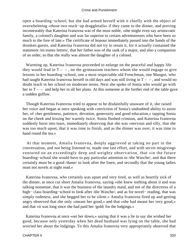open a boarding−school; but she had armed herself with it chiefly with the object of overwhelming «those two stuck−up draggletails» if they came to the dinner, and proving incontestably that Katerina Ivanovna was of the most noble, «she might even say aristocratic family, a colonel's daughter and was far superior to certain adventuresses who have been so much to the fore of late.» The certificate of honour immediately passed into the hands of the drunken guests, and Katerina Ivanovna did not try to retain it, for it actually contained the statement /en toutes lettres/, that her father was of the rank of a major, and also a companion of an order, so that she really was almost the daughter of a colonel.

 Warming up, Katerina Ivanovna proceeded to enlarge on the peaceful and happy life they would lead in  $T - -$ , on the gymnasium teachers whom she would engage to give lessons in her boarding−school, one a most respectable old Frenchman, one Mangot, who had taught Katerina Ivanovna herself in old days and was still living in  $T - -$ , and would no doubt teach in her school on moderate terms. Next she spoke of Sonia who would go with her to  $T - -$  and help her in all her plans. At this someone at the further end of the table gave a sudden guffaw.

 Though Katerina Ivanovna tried to appear to be disdainfully unaware of it, she raised her voice and began at once speaking with conviction of Sonia's undoubted ability to assist her, of «her gentleness, patience, devotion, generosity and good education,» tapping Sonia on the cheek and kissing her warmly twice. Sonia flushed crimson, and Katerina Ivanovna suddenly burst into tears, immediately observing that she was «nervous and silly, that she was too much upset, that it was time to finish, and as the dinner was over, it was time to hand round the tea.»

 At that moment, Amalia Ivanovna, deeply aggrieved at taking no part in the conversation, and not being listened to, made one last effort, and with secret misgivings ventured on an exceedingly deep and weighty observation, that «in the future boarding−school she would have to pay particular attention to /die Wasche/, and that there certainly must be a good /dame/ to look after the linen, and secondly that the young ladies must not novels at night read.»

 Katerina Ivanovna, who certainly was upset and very tired, as well as heartily sick of the dinner, at once cut short Amalia Ivanovna, saying «she knew nothing about it and was talking nonsense, that it was the business of the laundry maid, and not of the directress of a high− class boarding−school to look after /die Wasche/, and as for novel− reading, that was simply rudeness, and she begged her to be silent.» Amalia Ivanovna fired up and getting angry observed that she only «meant her good,» and that «she had meant her very good,» and that «it was long since she had paid her /gold/ for the lodgings.»

 Katerina Ivanovna at once «set her down,» saying that it was a lie to say she wished her good, because only yesterday when her dead husband was lying on the table, she had worried her about the lodgings. To this Amalia Ivanovna very appropriately observed that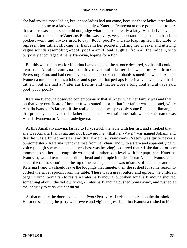she had invited those ladies, but «those ladies had not come, because those ladies /are/ ladies and cannot come to a lady who is not a lady.» Katerina Ivanovna at once pointed out to her, that as she was a slut she could not judge what made one really a lady. Amalia Ivanovna at once declared that her «/Vater aus Berlin/ was a very, very important man, and both hands in pockets went, and always used to say: 'Poof! poof!'» and she leapt up from the table to represent her father, sticking her hands in her pockets, puffing her cheeks, and uttering vague sounds resembling «poof! poof!» amid loud laughter from all the lodgers, who purposely encouraged Amalia Ivanovna, hoping for a fight.

 But this was too much for Katerina Ivanovna, and she at once declared, so that all could hear, that Amalia Ivanovna probably never had a father, but was simply a drunken Petersburg Finn, and had certainly once been a cook and probably something worse. Amalia Ivanovna turned as red as a lobster and squealed that perhaps Katerina Ivanovna never had a father, «but she had a /Vater aus Berlin/ and that he wore a long coat and always said poof−poof−poof!»

 Katerina Ivanovna observed contemptuously that all knew what her family was and that on that very certificate of honour it was stated in print that her father was a colonel, while Amalia Ivanovna's father – if she really had one – was probably some Finnish milkman, but that probably she never had a father at all, since it was still uncertain whether her name was Amalia Ivanovna or Amalia Ludwigovna.

 At this Amalia Ivanovna, lashed to fury, struck the table with her fist, and shrieked that she was Amalia Ivanovna, and not Ludwigovna, «that her /Vater/ was named Johann and that he was a burgomeister, and that Katerina Ivanovna's /Vater/ was quite never a burgomeister.» Katerina Ivanovna rose from her chair, and with a stern and apparently calm voice (though she was pale and her chest was heaving) observed that «if she dared for one moment to set her contemptible wretch of a father on a level with her papa, she, Katerina Ivanovna, would tear her cap off her head and trample it under foot.» Amalia Ivanovna ran about the room, shouting at the top of her voice, that she was mistress of the house and that Katerina Ivanovna should leave the lodgings that minute; then she rushed for some reason to collect the silver spoons from the table. There was a great outcry and uproar, the children began crying. Sonia ran to restrain Katerina Ivanovna, but when Amalia Ivanovna shouted something about «the yellow ticket,» Katerina Ivanovna pushed Sonia away, and rushed at the landlady to carry out her threat.

 At that minute the door opened, and Pyotr Petrovitch Luzhin appeared on the threshold. He stood scanning the party with severe and vigilant eyes. Katerina Ivanovna rushed to him.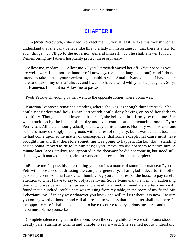# **[CHAPTER III](#page-466-0)**

 $\ll P$ yotr Petrovitch,» she cried, «protect me . . . you at least! Make this foolish woman understand that she can't behave like this to a lady in misfortune . . . that there is a law for such things. . . . I'll go to the governor–general himself. . . . She shall answer for it. . . . Remembering my father's hospitality protect these orphans.»

 «Allow me, madam. . . . Allow me.» Pyotr Petrovitch waved her off. «Your papa as you are well aware I had not the honour of knowing» (someone laughed aloud) «and I do not intend to take part in your everlasting squabbles with Amalia Ivanovna. . . . I have come here to speak of my own affairs . . . and I want to have a word with your stepdaughter, Sofya . . . Ivanovna, I think it is? Allow me to pass.»

Pyotr Petrovitch, edging by her, went to the opposite corner where Sonia was.

 Katerina Ivanovna remained standing where she was, as though thunderstruck. She could not understand how Pyotr Petrovitch could deny having enjoyed her father's hospitility. Though she had invented it herself, she believed in it firmly by this time. She was struck too by the businesslike, dry and even contemptuous menacing tone of Pyotr Petrovitch. All the clamour gradually died away at his entrance. Not only was this «serious business man» strikingly incongruous with the rest of the party, but it was evident, too, that he had come upon some matter of consequence, that some exceptional cause must have brought him and that therefore something was going to happen. Raskolnikov, standing beside Sonia, moved aside to let him pass; Pyotr Petrovitch did not seem to notice him. A minute later Lebeziatnikov, too, appeared in the doorway; he did not come in, but stood still, listening with marked interest, almost wonder, and seemed for a time perplexed.

 «Excuse me for possibly interrupting you, but it's a matter of some importance,» Pyotr Petrovitch observed, addressing the company generally. «I am glad indeed to find other persons present. Amalia Ivanovna, I humbly beg you as mistress of the house to pay careful attention to what I have to say to Sofya Ivanovna. Sofya Ivanovna,» he went on, addressing Sonia, who was very much surprised and already alarmed, «immediately after your visit I found that a hundred−rouble note was missing from my table, in the room of my friend Mr. Lebeziatnikov. If in any way whatever you know and will tell us where it is now, I assure you on my word of honour and call all present to witness that the matter shall end there. In the opposite case I shall be compelled to have recourse to very serious measures and then . . . you must blame yourself.»

 Complete silence reigned in the room. Even the crying children were still. Sonia stood deadly pale, staring at Luzhin and unable to say a word. She seemed not to understand.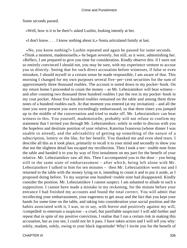Some seconds passed.

«Well, how is it to be then?» asked Luzhin, looking intently at her.

«I don't know. . . . I know nothing about it,» Sonia articulated faintly at last.

 «No, you know nothing?» Luzhin repeated and again he paused for some seconds. «Think a moment, mademoiselle,» he began severely, but still, as it were, admonishing her. «Reflect, I am prepared to give you time for consideration. Kindly observe this: if I were not so entirely convinced I should not, you may be sure, with my experience venture to accuse you so directly. Seeing that for such direct accusation before witnesses, if false or even mistaken, I should myself in a certain sense be made responsible, I am aware of that. This morning I changed for my own purposes several five−per−cent securities for the sum of approximately three thousand roubles. The account is noted down in my pocket−book. On my return home I proceeded to count the money – as Mr. Lebeziatnikov will bear witness – and after counting two thousand three hundred roubles I put the rest in my pocket−book in my coat pocket. About five hundred roubles remained on the table and among them three notes of a hundred roubles each. At that moment you entered (at my invitation) – and all the time you were present you were exceedingly embarrassed; so that three times you jumped up in the middle of the conversation and tried to make off. Mr. Lebeziatnikov can bear witness to this. You yourself, mademoiselle, probably will not refuse to confirm my statement that I invited you through Mr. Lebeziatnikov, solely in order to discuss with you the hopeless and destitute position of your relative, Katerina Ivanovna (whose dinner I was unable to attend), and the advisability of getting up something of the nature of a subscription, lottery or the like, for her benefit. You thanked me and even shed tears. I describe all this as it took place, primarily to recall it to your mind and secondly to show you that not the slightest detail has escaped my recollection. Then I took a ten− rouble note from the table and handed it to you by way of first instalment on my part for the benefit of your relative. Mr. Lebeziatnikov saw all this. Then I accompanied you to the door – you being still in the same state of embarrassment – after which, being left alone with Mr. Lebeziatnikov I talked to him for ten minutes – then Mr. Lebeziatnikov went out and I returned to the table with the money lying on it, intending to count it and to put it aside, as I proposed doing before. To my surprise one hundred−rouble note had disappeared. Kindly consider the position. Mr. Lebeziatnikov I cannot suspect. I am ashamed to allude to such a supposition. I cannot have made a mistake in my reckoning, for the minute before your entrance I had finished my accounts and found the total correct. You will admit that recollecting your embarrassment, your eagerness to get away and the fact that you kept your hands for some time on the table, and taking into consideration your social position and the habits associated with it, I was, so to say, with horror and positively against my will, /compelled/ to entertain a suspicion – a cruel, but justifiable suspicion! I will add further and repeat that in spite of my positive conviction, I realise that I run a certain risk in making this accusation, but as you see, I could not let it pass. I have taken action and I will tell you why: solely, madam, solely, owing to your black ingratitude! Why! I invite you for the benefit of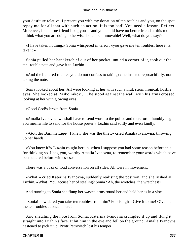your destitute relative, I present you with my donation of ten roubles and you, on the spot, repay me for all that with such an action. It is too bad! You need a lesson. Reflect! Moreover, like a true friend I beg you – and you could have no better friend at this moment – think what you are doing, otherwise I shall be immovable! Well, what do you say?»

 «I have taken nothing,» Sonia whispered in terror, «you gave me ten roubles, here it is, take it.»

 Sonia pulled her handkerchief out of her pocket, untied a corner of it, took out the ten−rouble note and gave it to Luzhin.

 «And the hundred roubles you do not confess to taking?» he insisted reproachfully, not taking the note.

 Sonia looked about her. All were looking at her with such awful, stern, ironical, hostile eyes. She looked at Raskolnikov . . . he stood against the wall, with his arms crossed, looking at her with glowing eyes.

«Good God!» broke from Sonia.

 «Amalia Ivanovna, we shall have to send word to the police and therefore I humbly beg you meanwhile to send for the house porter,» Luzhin said softly and even kindly.

 «/Gott der Barmherzige/! I knew she was the thief,» cried Amalia Ivanovna, throwing up her hands.

 «You knew it?» Luzhin caught her up, «then I suppose you had some reason before this for thinking so. I beg you, worthy Amalia Ivanovna, to remember your words which have been uttered before witnesses.»

There was a buzz of loud conversation on all sides. All were in movement.

 «What!» cried Katerina Ivanovna, suddenly realising the position, and she rushed at Luzhin. «What! You accuse her of stealing? Sonia? Ah, the wretches, the wretches!»

And running to Sonia she flung her wasted arms round her and held her as in a vise.

 "Sonia! how dared you take ten roubles from him? Foolish girl! Give it to me! Give me the ten roubles at once – here!

 And snatching the note from Sonia, Katerina Ivanovna crumpled it up and flung it straight into Luzhin's face. It hit him in the eye and fell on the ground. Amalia Ivanovna hastened to pick it up. Pyotr Petrovitch lost his temper.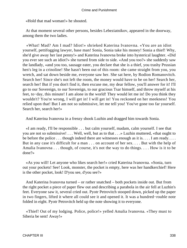«Hold that mad woman!» he shouted.

 At that moment several other persons, besides Lebeziatnikov, appeared in the doorway, among them the two ladies.

 «What! Mad? Am I mad? Idiot!» shrieked Katerina Ivanovna. «You are an idiot yourself, pettifogging lawyer, base man! Sonia, Sonia take his money! Sonia a thief! Why, she'd give away her last penny!» and Katerina Ivanovna broke into hysterical laughter. «Did you ever see such an idiot?» she turned from side to side. «And you too?» she suddenly saw the landlady, «and you too, sausage eater, you declare that she is a thief, you trashy Prussian hen's leg in a crinoline! She hasn't been out of this room: she came straight from you, you wretch, and sat down beside me, everyone saw her. She sat here, by Rodion Romanovitch. Search her! Since she's not left the room, the money would have to be on her! Search her, search her! But if you don't find it, then excuse me, my dear fellow, you'll answer for it! I'll go to our Sovereign, to our Sovereign, to our gracious Tsar himself, and throw myself at his feet, to−day, this minute! I am alone in the world! They would let me in! Do you think they wouldn't? You're wrong, I will get in! I will get in! You reckoned on her meekness! You relied upon that! But I am not so submissive, let me tell you! You've gone too far yourself. Search her, search her!»

And Katerina Ivanovna in a frenzy shook Luzhin and dragged him towards Sonia.

 «I am ready, I'll be responsible . . . but calm yourself, madam, calm yourself. I see that you are not so submissive! . . . Well, well, but as to that . . .» Luzhin muttered, «that ought to be before the police ... though indeed there are witnesses enough as it is... I am ready.... But in any case it's difficult for a man . . . on account of her sex. . . . But with the help of Amalia Ivanovna . . . though, of course, it's not the way to do things. . . . How is it to be done?»

 «As you will! Let anyone who likes search her!» cried Katerina Ivanovna. «Sonia, turn out your pockets! See! Look, monster, the pocket is empty, here was her handkerchief! Here is the other pocket, look! D'you see, d'you see?»

 And Katerina Ivanovna turned – or rather snatched – both pockets inside out. But from the right pocket a piece of paper flew out and describing a parabola in the air fell at Luzhin's feet. Everyone saw it, several cried out. Pyotr Petrovitch stooped down, picked up the paper in two fingers, lifted it where all could see it and opened it. It was a hundred−rouble note folded in eight. Pyotr Petrovitch held up the note showing it to everyone.

 «Thief! Out of my lodging. Police, police!» yelled Amalia Ivanovna. «They must to Siberia be sent! Away!»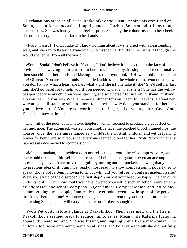Exclamations arose on all sides. Raskolnikov was silent, keeping his eyes fixed on Sonia, except for an occasional rapid glance at Luzhin. Sonia stood still, as though unconscious. She was hardly able to feel surprise. Suddenly the colour rushed to her cheeks; she uttered a cry and hid her face in her hands.

 «No, it wasn't I! I didn't take it! I know nothing about it,» she cried with a heartrending wail, and she ran to Katerina Ivanovna, who clasped her tightly in her arms, as though she would shelter her from all the world.

 «Sonia! Sonia! I don't believe it! You see, I don't believe it!» she cried in the face of the obvious fact, swaying her to and fro in her arms like a baby, kissing her face continually, then snatching at her hands and kissing them, too, «you took it! How stupid these people are! Oh dear! You are fools, fools,» she cried, addressing the whole room, «you don't know, you don't know what a heart she has, what a girl she is! She take it, she? She'd sell her last rag, she'd go barefoot to help you if you needed it, that's what she is! She has the yellow passport because my children were starving, she sold herself for us! Ah, husband, husband! Do you see? Do you see? What a memorial dinner for you! Merciful heavens! Defend her, why are you all standing still? Rodion Romanovitch, why don't you stand up for her? Do you believe it, too? You are not worth her little finger, all of you together! Good God! Defend her now, at least!»

 The wail of the poor, consumptive, helpless woman seemed to produce a great effect on her audience. The agonised, wasted, consumptive face, the parched blood−stained lips, the hoarse voice, the tears unrestrained as a child's, the trustful, childish and yet despairing prayer for help were so piteous that everyone seemed to feel for her. Pyotr Petrovitch at any rate was at once moved to /compassion/.

 «Madam, madam, this incident does not reflect upon you!» he cried impressively, «no one would take upon himself to accuse you of being an instigator or even an accomplice in it, especially as you have proved her guilt by turning out her pockets, showing that you had no previous idea of it. I am most ready, most ready to show compassion, if poverty, so to speak, drove Sofya Semyonovna to it, but why did you refuse to confess, mademoiselle? Were you afraid of the disgrace? The first step? You lost your head, perhaps? One can quite understand it. . . . But how could you have lowered yourself to such an action? Gentlemen,» he addressed the whole company, «gentlemen! Compassionate and, so to say, commiserating these people, I am ready to overlook it even now in spite of the personal insult lavished upon me! And may this disgrace be a lesson to you for the future,» he said, addressing Sonia, «and I will carry the matter no further. Enough!»

 Pyotr Petrovitch stole a glance at Raskolnikov. Their eyes met, and the fire in Raskolnikov's seemed ready to reduce him to ashes. Meanwhile Katerina Ivanovna apparently heard nothing. She was kissing and hugging Sonia like a madwoman. The children, too, were embracing Sonia on all sides, and Polenka – though she did not fully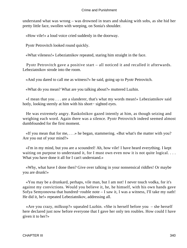understand what was wrong – was drowned in tears and shaking with sobs, as she hid her pretty little face, swollen with weeping, on Sonia's shoulder.

«How vile!» a loud voice cried suddenly in the doorway.

Pyotr Petrovitch looked round quickly.

«What vileness!» Lebeziatnikov repeated, staring him straight in the face.

 Pyotr Petrovitch gave a positive start – all noticed it and recalled it afterwards. Lebeziatnikov strode into the room.

«And you dared to call me as witness?» he said, going up to Pyotr Petrovitch.

«What do you mean? What are you talking about?» muttered Luzhin.

 «I mean that you . . . are a slanderer, that's what my words mean!» Lebeziatnikov said hotly, looking sternly at him with his short− sighted eyes.

 He was extremely angry. Raskolnikov gazed intently at him, as though seizing and weighing each word. Again there was a silence. Pyotr Petrovitch indeed seemed almost dumbfounded for the first moment.

 «If you mean that for me, . . .» he began, stammering. «But what's the matter with you? Are you out of your mind?»

 «I'm in my mind, but you are a scoundrel! Ah, how vile! I have heard everything. I kept waiting on purpose to understand it, for I must own even now it is not quite logical. ... What you have done it all for I can't understand.»

 «Why, what have I done then? Give over talking in your nonsensical riddles! Or maybe you are drunk!»

 «You may be a drunkard, perhaps, vile man, but I am not! I never touch vodka, for it's against my convictions. Would you believe it, he, he himself, with his own hands gave Sofya Semyonovna that hundred−rouble note – I saw it, I was a witness, I'll take my oath! He did it, he!» repeated Lebeziatnikov, addressing all.

 «Are you crazy, milksop?» squealed Luzhin. «She is herself before you – she herself here declared just now before everyone that I gave her only ten roubles. How could I have given it to her?»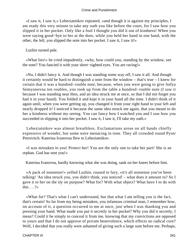«I saw it, I saw it,» Lebeziatnikov repeated, «and though it is against my principles, I am ready this very minute to take any oath you like before the court, for I saw how you slipped it in her pocket. Only like a fool I thought you did it out of kindness! When you were saying good−bye to her at the door, while you held her hand in one hand, with the other, the left, you slipped the note into her pocket. I saw it, I saw it!»

Luzhin turned pale.

 «What lies!» he cried impudently, «why, how could you, standing by the window, see the note? You fancied it with your short−sighted eyes. You are raving!»

 «No, I didn't fancy it. And though I was standing some way off, I saw it all. And though it certainly would be hard to distinguish a note from the window – that's true – I knew for certain that it was a hundred−rouble note, because, when you were going to give Sofya Semyonovna ten roubles, you took up from the table a hundred−rouble note (I saw it because I was standing near then, and an idea struck me at once, so that I did not forget you had it in your hand). You folded it and kept it in your hand all the time. I didn't think of it again until, when you were getting up, you changed it from your right hand to your left and nearly dropped it! I noticed it because the same idea struck me again, that you meant to do her a kindness without my seeing. You can fancy how I watched you and I saw how you succeeded in slipping it into her pocket. I saw it, I saw it, I'll take my oath.»

 Lebeziatnikov was almost breathless. Exclamations arose on all hands chiefly expressive of wonder, but some were menacing in tone. They all crowded round Pyotr Petrovitch. Katerina Ivanovna flew to Lebeziatnikov.

 «I was mistaken in you! Protect her! You are the only one to take her part! She is an orphan. God has sent you!»

Katerina Ivanovna, hardly knowing what she was doing, sank on her knees before him.

 «A pack of nonsense!» yelled Luzhin, roused to fury, «it's all nonsense you've been talking! 'An idea struck you, you didn't think, you noticed' – what does it amount to? So I gave it to her on the sly on purpose? What for? With what object? What have I to do with this  $. . . ? \times$ 

 «What for? That's what I can't understand, but that what I am telling you is the fact, that's certain! So far from my being mistaken, you infamous criminal man, I remember how, on account of it, a question occurred to me at once, just when I was thanking you and pressing your hand. What made you put it secretly in her pocket? Why you did it secretly, I mean? Could it be simply to conceal it from me, knowing that my convictions are opposed to yours and that I do not approve of private benevolence, which effects no radical cure? Well, I decided that you really were ashamed of giving such a large sum before me. Perhaps,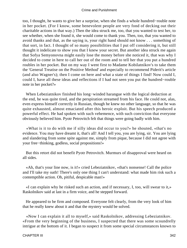too, I thought, he wants to give her a surprise, when she finds a whole hundred−rouble note in her pocket. (For I know, some benevolent people are very fond of decking out their charitable actions in that way.) Then the idea struck me, too, that you wanted to test her, to see whether, when she found it, she would come to thank you. Then, too, that you wanted to avoid thanks and that, as the saying is, your right hand should not know . . . something of that sort, in fact. I thought of so many possibilities that I put off considering it, but still thought it indelicate to show you that I knew your secret. But another idea struck me again that Sofya Semyonovna might easily lose the money before she noticed it, that was why I decided to come in here to call her out of the room and to tell her that you put a hundred roubles in her pocket. But on my way I went first to Madame Kobilatnikov's to take them the 'General Treatise on the Positive Method' and especially to recommend Piderit's article (and also Wagner's); then I come on here and what a state of things I find! Now could I, could I, have all these ideas and reflections if I had not seen you put the hundred−rouble note in her pocket?»

 When Lebeziatnikov finished his long−winded harangue with the logical deduction at the end, he was quite tired, and the perspiration streamed from his face. He could not, alas, even express himself correctly in Russian, though he knew no other language, so that he was quite exhausted, almost emaciated after this heroic exploit. But his speech produced a powerful effect. He had spoken with such vehemence, with such conviction that everyone obviously believed him. Pyotr Petrovitch felt that things were going badly with him.

 «What is it to do with me if silly ideas did occur to you?» he shouted, «that's no evidence. You may have dreamt it, that's all! And I tell you, you are lying, sir. You are lying and slandering from some spite against me, simply from pique, because I did not agree with your free−thinking, godless, social propositions!»

 But this retort did not benefit Pyotr Petrovitch. Murmurs of disapproval were heard on all sides.

 «Ah, that's your line now, is it!» cried Lebeziatnikov, «that's nonsense! Call the police and I'll take my oath! There's only one thing I can't understand: what made him risk such a contemptible action. Oh, pitiful, despicable man!»

 «I can explain why he risked such an action, and if necessary, I, too, will swear to it,» Raskolnikov said at last in a firm voice, and he stepped forward.

 He appeared to be firm and composed. Everyone felt clearly, from the very look of him that he really knew about it and that the mystery would be solved.

 «Now I can explain it all to myself,» said Raskolnikov, addressing Lebeziatnikov. «From the very beginning of the business, I suspected that there was some scoundrelly intrigue at the bottom of it. I began to suspect it from some special circumstances known to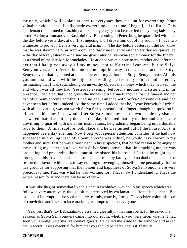me only, which I will explain at once to everyone: they account for everything. Your valuable evidence has finally made everything clear to me. I beg all, all to listen. This gentleman (he pointed to Luzhin) was recently engaged to be married to a young lady – my sister, Avdotya Romanovna Raskolnikov. But coming to Petersburg he quarrelled with me, the day before yesterday, at our first meeting and I drove him out of my room – I have two witnesses to prove it. He is a very spiteful man. . . . The day before yesterday I did not know that he was staying here, in your room, and that consequently on the very day we quarrelled – the day before yesterday – he saw me give Katerina Ivanovna some money for the funeral, as a friend of the late Mr. Marmeladov. He at once wrote a note to my mother and informed her that I had given away all my money, not to Katerina Ivanovna but to Sofya Semyonovna, and referred in a most contemptible way to the . . . character of Sofya Semyonovna, that is, hinted at the character of my attitude to Sofya Semyonovna. All this you understand was with the object of dividing me from my mother and sister, by insinuating that I was squandering on unworthy objects the money which they had sent me and which was all they had. Yesterday evening, before my mother and sister and in his presence, I declared that I had given the money to Katerina Ivanovna for the funeral and not to Sofya Semyonovna and that I had no acquaintance with Sofya Semyonovna and had never seen her before, indeed. At the same time I added that he, Pyotr Petrovitch Luzhin, with all his virtues, was not worth Sofya Semyonovna's little finger, though he spoke so ill of her. To his question – would I let Sofya Semyonovna sit down beside my sister, I answered that I had already done so that day. Irritated that my mother and sister were unwilling to quarrel with me at his insinuations, he gradually began being unpardonably rude to them. A final rupture took place and he was turned out of the house. All this happened yesterday evening. Now I beg your special attention: consider: if he had now succeeded in proving that Sofya Semyonovna was a thief, he would have shown to my mother and sister that he was almost right in his suspicions, that he had reason to be angry at my putting my sister on a level with Sofya Semyonovna, that, in attacking me, he was protecting and preserving the honour of my sister, his betrothed. In fact he might even, through all this, have been able to estrange me from my family, and no doubt he hoped to be restored to favour with them; to say nothing of revenging himself on me personally, for he has grounds for supposing that the honour and happiness of Sofya Semyonovna are very precious to me. That was what he was working for! That's how I understand it. That's the whole reason for it and there can be no other!»

 It was like this, or somewhat like this, that Raskolnikov wound up his speech which was followed very attentively, though often interrupted by exclamations from his audience. But in spite of interruptions he spoke clearly, calmly, exactly, firmly. His decisive voice, his tone of conviction and his stern face made a great impression on everyone.

 «Yes, yes, that's it,» Lebeziatnikov assented gleefully, «that must be it, for he asked me, as soon as Sofya Semyonovna came into our room, whether you were here, whether I had seen you among Katerina Ivanovna's guests. He called me aside to the window and asked me in secret. It was essential for him that you should be here! That's it, that's it!»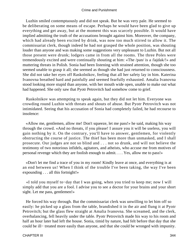Luzhin smiled contemptuously and did not speak. But he was very pale. He seemed to be deliberating on some means of escape. Perhaps he would have been glad to give up everything and get away, but at the moment this was scarcely possible. It would have implied admitting the truth of the accusations brought against him. Moreover, the company, which had already been excited by drink, was now too much stirred to allow it. The commissariat clerk, though indeed he had not grasped the whole position, was shouting louder than anyone and was making some suggestions very unpleasant to Luzhin. But not all those present were drunk; lodgers came in from all the rooms. The three Poles were tremendously excited and were continually shouting at him: «The /pan/ is a /lajdak/!» and muttering threats in Polish. Sonia had been listening with strained attention, though she too seemed unable to grasp it all; she seemed as though she had just returned to consciousness. She did not take her eyes off Raskolnikov, feeling that all her safety lay in him. Katerina Ivanovna breathed hard and painfully and seemed fearfully exhausted. Amalia Ivanovna stood looking more stupid than anyone, with her mouth wide open, unable to make out what had happened. She only saw that Pyotr Petrovitch had somehow come to grief.

 Raskolnikov was attempting to speak again, but they did not let him. Everyone was crowding round Luzhin with threats and shouts of abuse. But Pyotr Petrovitch was not intimidated. Seeing that his accusation of Sonia had completely failed, he had recourse to insolence:

 «Allow me, gentlemen, allow me! Don't squeeze, let me pass!» he said, making his way through the crowd. «And no threats, if you please! I assure you it will be useless, you will gain nothing by it. On the contrary, you'll have to answer, gentlemen, for violently obstructing the course of justice. The thief has been more than unmasked, and I shall prosecute. Our judges are not so blind and . . . not so drunk, and will not believe the testimony of two notorious infidels, agitators, and atheists, who accuse me from motives of personal revenge which they are foolish enough to admit. . . . Yes, allow me to pass!»

 «Don't let me find a trace of you in my room! Kindly leave at once, and everything is at an end between us! When I think of the trouble I've been taking, the way I've been expounding . . . all this fortnight!»

 «I told you myself to−day that I was going, when you tried to keep me; now I will simply add that you are a fool. I advise you to see a doctor for your brains and your short sight. Let me pass, gentlemen!»

 He forced his way through. But the commissariat clerk was unwilling to let him off so easily: he picked up a glass from the table, brandished it in the air and flung it at Pyotr Petrovitch; but the glass flew straight at Amalia Ivanovna. She screamed, and the clerk, overbalancing, fell heavily under the table. Pyotr Petrovitch made his way to his room and half an hour later had left the house. Sonia, timid by nature, had felt before that day that she could be ill− treated more easily than anyone, and that she could be wronged with impunity.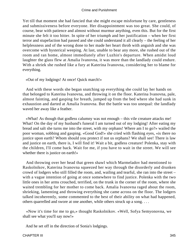Yet till that moment she had fancied that she might escape misfortune by care, gentleness and submissiveness before everyone. Her disappointment was too great. She could, of course, bear with patience and almost without murmur anything, even this. But for the first minute she felt it too bitter. In spite of her triumph and her justification – when her first terror and stupefaction had passed and she could understand it all clearly – the feeling of her helplessness and of the wrong done to her made her heart throb with anguish and she was overcome with hysterical weeping. At last, unable to bear any more, she rushed out of the room and ran home, almost immediately after Luzhin's departure. When amidst loud laughter the glass flew at Amalia Ivanovna, it was more than the landlady could endure. With a shriek she rushed like a fury at Katerina Ivanovna, considering her to blame for everything.

«Out of my lodgings! At once! Quick march!»

 And with these words she began snatching up everything she could lay her hands on that belonged to Katerina Ivanovna, and throwing it on the floor. Katerina Ivanovna, pale, almost fainting, and gasping for breath, jumped up from the bed where she had sunk in exhaustion and darted at Amalia Ivanovna. But the battle was too unequal: the landlady waved her away like a feather.

 «What! As though that godless calumny was not enough – this vile creature attacks me! What! On the day of my husband's funeral I am turned out of my lodging! After eating my bread and salt she turns me into the street, with my orphans! Where am I to go?» wailed the poor woman, sobbing and gasping. «Good God!» she cried with flashing eyes, «is there no justice upon earth? Whom should you protect if not us orphans? We shall see! There is law and justice on earth, there is, I will find it! Wait a bit, godless creature! Polenka, stay with the children, I'll come back. Wait for me, if you have to wait in the street. We will see whether there is justice on earth!»

 And throwing over her head that green shawl which Marmeladov had mentioned to Raskolnikov, Katerina Ivanovna squeezed her way through the disorderly and drunken crowd of lodgers who still filled the room, and, wailing and tearful, she ran into the street – with a vague intention of going at once somewhere to find justice. Polenka with the two little ones in her arms crouched, terrified, on the trunk in the corner of the room, where she waited trembling for her mother to come back. Amalia Ivanovna raged about the room, shrieking, lamenting and throwing everything she came across on the floor. The lodgers talked incoherently, some commented to the best of their ability on what had happened, others quarrelled and swore at one another, while others struck up a song. . . .

 «Now it's time for me to go,» thought Raskolnikov. «Well, Sofya Semyonovna, we shall see what you'll say now!»

And he set off in the direction of Sonia's lodgings.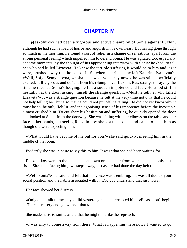## **[CHAPTER IV](#page-466-0)**

*R*askolnikov had been a vigorous and active champion of Sonia against Luzhin, although he had such a load of horror and anguish in his own heart. But having gone through so much in the morning, he found a sort of relief in a change of sensations, apart from the strong personal feeling which impelled him to defend Sonia. He was agitated too, especially at some moments, by the thought of his approaching interview with Sonia: he /had/ to tell her who had killed Lizaveta. He knew the terrible suffering it would be to him and, as it were, brushed away the thought of it. So when he cried as he left Katerina Ivanovna's, «Well, Sofya Semyonovna, we shall see what you'll say now!» he was still superficially excited, still vigorous and defiant from his triumph over Luzhin. But, strange to say, by the time he reached Sonia's lodging, he felt a sudden impotence and fear. He stood still in hesitation at the door, asking himself the strange question: «Must he tell her who killed Lizaveta?» It was a strange question because he felt at the very time not only that he could not help telling her, but also that he could not put off the telling. He did not yet know why it must be so, he only /felt/ it, and the agonising sense of his impotence before the inevitable almost crushed him. To cut short his hesitation and suffering, he quickly opened the door and looked at Sonia from the doorway. She was sitting with her elbows on the table and her face in her hands, but seeing Raskolnikov she got up at once and came to meet him as though she were expecting him.

 «What would have become of me but for you?» she said quickly, meeting him in the middle of the room.

Evidently she was in haste to say this to him. It was what she had been waiting for.

 Raskolnikov went to the table and sat down on the chair from which she had only just risen. She stood facing him, two steps away, just as she had done the day before.

 «Well, Sonia?» he said, and felt that his voice was trembling, «it was all due to 'your social position and the habits associated with it.' Did you understand that just now?»

Her face showed her distress.

 «Only don't talk to me as you did yesterday,» she interrupted him. «Please don't begin it. There is misery enough without that.»

She made haste to smile, afraid that he might not like the reproach.

«I was silly to come away from there. What is happening there now? I wanted to go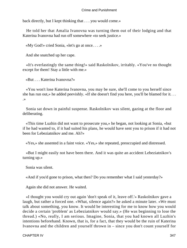back directly, but I kept thinking that . . . you would come.»

 He told her that Amalia Ivanovna was turning them out of their lodging and that Katerina Ivanovna had run off somewhere «to seek justice.»

«My God!» cried Sonia, «let's go at once. . . .»

And she snatched up her cape.

 «It's everlastingly the same thing!» said Raskolnikov, irritably. «You've no thought except for them! Stay a little with me.»

«But . . . Katerina Ivanovna?»

 «You won't lose Katerina Ivanovna, you may be sure, she'll come to you herself since she has run out,» he added peevishly. «If she doesn't find you here, you'll be blamed for it. . . .»

 Sonia sat down in painful suspense. Raskolnikov was silent, gazing at the floor and deliberating.

 «This time Luzhin did not want to prosecute you,» he began, not looking at Sonia, «but if he had wanted to, if it had suited his plans, he would have sent you to prison if it had not been for Lebeziatnikov and me. Ah?»

«Yes,» she assented in a faint voice. «Yes,» she repeated, preoccupied and distressed.

 «But I might easily not have been there. And it was quite an accident Lebeziatnikov's turning up.»

Sonia was silent.

«And if you'd gone to prison, what then? Do you remember what I said yesterday?»

Again she did not answer. He waited.

 «I thought you would cry out again 'don't speak of it, leave off.'» Raskolnikov gave a laugh, but rather a forced one. «What, silence again?» he asked a minute later. «We must talk about something, you know. It would be interesting for me to know how you would decide a certain 'problem' as Lebeziatnikov would say.» (He was beginning to lose the thread.) «No, really, I am serious. Imagine, Sonia, that you had known all Luzhin's intentions beforehand. Known, that is, for a fact, that they would be the ruin of Katerina Ivanovna and the children and yourself thrown in – since you don't count yourself for

CHAPTER IV 347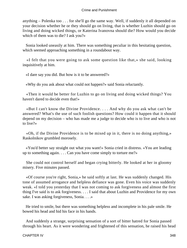anything – Polenka too . . . for she'll go the same way. Well, if suddenly it all depended on your decision whether he or they should go on living, that is whether Luzhin should go on living and doing wicked things, or Katerina Ivanovna should die? How would you decide which of them was to die? I ask you?»

 Sonia looked uneasily at him. There was something peculiar in this hesitating question, which seemed approaching something in a roundabout way.

 «I felt that you were going to ask some question like that,» she said, looking inquisitively at him.

«I dare say you did. But how is it to be answered?»

«Why do you ask about what could not happen?» said Sonia reluctantly.

 «Then it would be better for Luzhin to go on living and doing wicked things? You haven't dared to decide even that!»

 «But I can't know the Divine Providence. . . . And why do you ask what can't be answered? What's the use of such foolish questions? How could it happen that it should depend on my decision – who has made me a judge to decide who is to live and who is not to live?»

 «Oh, if the Divine Providence is to be mixed up in it, there is no doing anything,» Raskolnikov grumbled morosely.

 «You'd better say straight out what you want!» Sonia cried in distress. «You are leading up to something again. . . . Can you have come simply to torture me?»

 She could not control herself and began crying bitterly. He looked at her in gloomy misery. Five minutes passed.

 «Of course you're right, Sonia,» he said softly at last. He was suddenly changed. His tone of assumed arrogance and helpless defiance was gone. Even his voice was suddenly weak. «I told you yesterday that I was not coming to ask forgiveness and almost the first thing I've said is to ask forgiveness. . . . I said that about Luzhin and Providence for my own sake. I was asking forgiveness, Sonia. . . .»

 He tried to smile, but there was something helpless and incomplete in his pale smile. He bowed his head and hid his face in his hands.

 And suddenly a strange, surprising sensation of a sort of bitter hatred for Sonia passed through his heart. As it were wondering and frightened of this sensation, he raised his head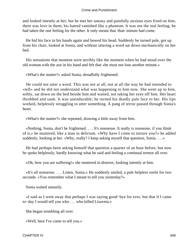and looked intently at her; but he met her uneasy and painfully anxious eyes fixed on him; there was love in them; his hatred vanished like a phantom. It was not the real feeling; he had taken the one feeling for the other. It only meant that /that/ minute had come.

 He hid his face in his hands again and bowed his head. Suddenly he turned pale, got up from his chair, looked at Sonia, and without uttering a word sat down mechanically on her bed.

 His sensations that moment were terribly like the moment when he had stood over the old woman with the axe in his hand and felt that «he must not lose another minute.»

«What's the matter?» asked Sonia, dreadfully frightened.

 He could not utter a word. This was not at all, not at all the way he had intended to «tell» and he did not understand what was happening to him now. She went up to him, softly, sat down on the bed beside him and waited, not taking her eyes off him. Her heart throbbed and sank. It was unendurable; he turned his deadly pale face to her. His lips worked, helplessly struggling to utter something. A pang of terror passed through Sonia's heart.

«What's the matter?» she repeated, drawing a little away from him.

 «Nothing, Sonia, don't be frightened. . . . It's nonsense. It really is nonsense, if you think of it,» he muttered, like a man in delirium. «Why have I come to torture you?» he added suddenly, looking at her. «Why, really? I keep asking myself that question, Sonia. . . .»

 He had perhaps been asking himself that question a quarter of an hour before, but now he spoke helplessly, hardly knowing what he said and feeling a continual tremor all over.

«Oh, how you are suffering!» she muttered in distress, looking intently at him.

 «It's all nonsense. . . . Listen, Sonia.» He suddenly smiled, a pale helpless smile for two seconds. «You remember what I meant to tell you yesterday?»

Sonia waited uneasily.

 «I said as I went away that perhaps I was saying good−bye for ever, but that if I came to−day I would tell you who . . . who killed Lizaveta.»

She began trembling all over.

«Well, here I've come to tell you.»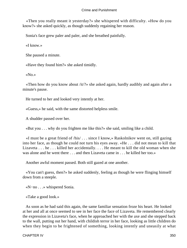«Then you really meant it yesterday?» she whispered with difficulty. «How do you know?» she asked quickly, as though suddenly regaining her reason.

Sonia's face grew paler and paler, and she breathed painfully.

«I know.»

She paused a minute.

«Have they found him?» she asked timidly.

«No.»

 «Then how do you know about /it/?» she asked again, hardly audibly and again after a minute's pause.

He turned to her and looked very intently at her.

«Guess,» he said, with the same distorted helpless smile.

A shudder passed over her.

«But you . . . why do you frighten me like this?» she said, smiling like a child.

 «I must be a great friend of /his/ . . . since I know,» Raskolnikov went on, still gazing into her face, as though he could not turn his eyes away. «He . . . did not mean to kill that Lizaveta . . . he . . . killed her accidentally. . . . He meant to kill the old woman when she was alone and he went there . . . and then Lizaveta came in . . . he killed her too.»

Another awful moment passed. Both still gazed at one another.

 «You can't guess, then?» he asked suddenly, feeling as though he were flinging himself down from a steeple.

«N−no . . .» whispered Sonia.

«Take a good look.»

 As soon as he had said this again, the same familiar sensation froze his heart. He looked at her and all at once seemed to see in her face the face of Lizaveta. He remembered clearly the expression in Lizaveta's face, when he approached her with the axe and she stepped back to the wall, putting out her hand, with childish terror in her face, looking as little children do when they begin to be frightened of something, looking intently and uneasily at what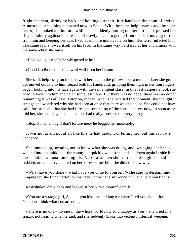frightens them, shrinking back and holding out their little hands on the point of crying. Almost the same thing happened now to Sonia. With the same helplessness and the same terror, she looked at him for a while and, suddenly putting out her left hand, pressed her fingers faintly against his breast and slowly began to get up from the bed, moving further from him and keeping her eyes fixed even more immovably on him. Her terror infected him. The same fear showed itself on his face. In the same way he stared at her and almost with the same /childish/ smile.

«Have you guessed?» he whispered at last.

«Good God!» broke in an awful wail from her bosom.

 She sank helplessly on the bed with her face in the pillows, but a moment later she got up, moved quickly to him, seized both his hands and, gripping them tight in her thin fingers, began looking into his face again with the same intent stare. In this last desperate look she tried to look into him and catch some last hope. But there was no hope; there was no doubt remaining; it was all true! Later on, indeed, when she recalled that moment, she thought it strange and wondered why she had seen at once that there was no doubt. She could not have said, for instance, that she had foreseen something of the sort – and yet now, as soon as he told her, she suddenly fancied that she had really foreseen this very thing.

«Stop, Sonia, enough! don't torture me,» he begged her miserably.

 It was not at all, not at all like this he had thought of telling her, but this is how it happened.

 She jumped up, seeming not to know what she was doing, and, wringing her hands, walked into the middle of the room; but quickly went back and sat down again beside him, her shoulder almost touching his. All of a sudden she started as though she had been stabbed, uttered a cry and fell on her knees before him, she did not know why.

 «What have you done – what have you done to yourself?» she said in despair, and, jumping up, she flung herself on his neck, threw her arms round him, and held him tightly.

Raskolnikov drew back and looked at her with a mournful smile.

«You are a strange girl, Sonia – you kiss me and hug me when I tell you about that... You don't think what you are doing.»

 «There is no one – no one in the whole world now so unhappy as you!» she cried in a frenzy, not hearing what he said, and she suddenly broke into violent hysterical weeping.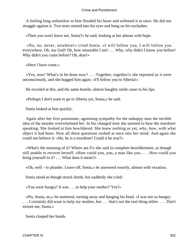A feeling long unfamiliar to him flooded his heart and softened it at once. He did not struggle against it. Two tears started into his eyes and hung on his eyelashes.

«Then you won't leave me, Sonia?» he said, looking at her almost with hope.

 «No, no, never, nowhere!» cried Sonia. «I will follow you, I will follow you everywhere. Oh, my God! Oh, how miserable I am! . . . Why, why didn't I know you before! Why didn't you come before? Oh, dear!»

«Here I have come.»

 «Yes, now! What's to be done now? . . . Together, together!» she repeated as it were unconsciously, and she hugged him again. «I'll follow you to Siberia!»

He recoiled at this, and the same hostile, almost haughty smile came to his lips.

«Perhaps I don't want to go to Siberia yet, Sonia,» he said.

Sonia looked at him quickly.

 Again after her first passionate, agonising sympathy for the unhappy man the terrible idea of the murder overwhelmed her. In his changed tone she seemed to hear the murderer speaking. She looked at him bewildered. She knew nothing as yet, why, how, with what object it had been. Now all these questions rushed at once into her mind. And again she could not believe it: «He, he is a murderer! Could it be true?»

 «What's the meaning of it? Where am I?» she said in complete bewilderment, as though still unable to recover herself. «How could you, you, a man like you. . . . How could you bring yourself to it? . . . What does it mean?»

«Oh, well – to plunder. Leave off, Sonia,» he answered wearily, almost with vexation.

Sonia stood as though struck dumb, but suddenly she cried:

«You were hungry! It was . . . to help your mother? Yes?»

 «No, Sonia, no,» he muttered, turning away and hanging his head. «I was not so hungry. . . . I certainly did want to help my mother, but . . . that's not the real thing either. . . . Don't torture me, Sonia.»

Sonia clasped her hands.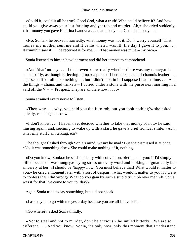«Could it, could it all be true? Good God, what a truth! Who could believe it? And how could you give away your last farthing and yet rob and murder! Ah,» she cried suddenly, «that money you gave Katerina Ivanovna . . . that money. . . . Can that money . . .»

 «No, Sonia,» he broke in hurriedly, «that money was not it. Don't worry yourself! That money my mother sent me and it came when I was ill, the day I gave it to you.... Razumihin saw it . . . he received it for me. . . . That money was mine – my own.»

Sonia listened to him in bewilderment and did her utmost to comprehend.

 «And /that/ money. . . . I don't even know really whether there was any money,» he added softly, as though reflecting. «I took a purse off her neck, made of chamois leather ... a purse stuffed full of something . . . but I didn't look in it; I suppose I hadn't time. . . . And the things – chains and trinkets – I buried under a stone with the purse next morning in a yard off the  $V -$  – Prospect. They are all there now......

Sonia strained every nerve to listen.

 «Then why . . . why, you said you did it to rob, but you took nothing?» she asked quickly, catching at a straw.

 «I don't know. . . . I haven't yet decided whether to take that money or not,» he said, musing again; and, seeming to wake up with a start, he gave a brief ironical smile. «Ach, what silly stuff I am talking, eh?»

 The thought flashed through Sonia's mind, wasn't he mad? But she dismissed it at once. «No, it was something else.» She could make nothing of it, nothing.

 «Do you know, Sonia,» he said suddenly with conviction, «let me tell you: if I'd simply killed because I was hungry,» laying stress on every word and looking enigmatically but sincerely at her, «I should be /happy/ now. You must believe that! What would it matter to you,» he cried a moment later with a sort of despair, «what would it matter to you if I were to confess that I did wrong? What do you gain by such a stupid triumph over me? Ah, Sonia, was it for that I've come to you to−day?»

Again Sonia tried to say something, but did not speak.

«I asked you to go with me yesterday because you are all I have left.»

«Go where?» asked Sonia timidly.

 «Not to steal and not to murder, don't be anxious,» he smiled bitterly. «We are so different. . . . And you know, Sonia, it's only now, only this moment that I understand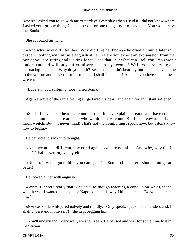/where/ I asked you to go with me yesterday! Yesterday when I said it I did not know where. I asked you for one thing, I came to you for one thing – not to leave me. You won't leave me, Sonia?»

She squeezed his hand.

 «And why, why did I tell her? Why did I let her know?» he cried a minute later in despair, looking with infinite anguish at her. «Here you expect an explanation from me, Sonia; you are sitting and waiting for it, I see that. But what can I tell you? You won't understand and will only suffer misery . . . on my account! Well, you are crying and embracing me again. Why do you do it? Because I couldn't bear my burden and have come to throw it on another: you suffer too, and I shall feel better! And can you love such a mean wretch?»

«But aren't you suffering, too?» cried Sonia.

 Again a wave of the same feeling surged into his heart, and again for an instant softened it.

 «Sonia, I have a bad heart, take note of that. It may explain a great deal. I have come because I am bad. There are men who wouldn't have come. But I am a coward and . . . a mean wretch. But . . . never mind! That's not the point. I must speak now, but I don't know how to begin.»

He paused and sank into thought.

 «Ach, we are so different,» he cried again, «we are not alike. And why, why did I come? I shall never forgive myself that.»

 «No, no, it was a good thing you came,» cried Sonia. «It's better I should know, far better!»

He looked at her with anguish.

 «What if it were really that?» he said, as though reaching a conclusion. «Yes, that's what it was! I wanted to become a Napoleon, that is why I killed her. . . . Do you understand now?»

 «N−no,» Sonia whispered naively and timidly. «Only speak, speak, I shall understand, I shall understand /in myself/!» she kept begging him.

 «You'll understand? Very well, we shall see!» He paused and was for some time lost in meditation.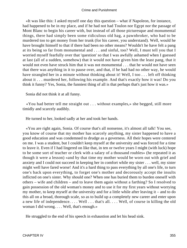«It was like this: I asked myself one day this question – what if Napoleon, for instance, had happened to be in my place, and if he had not had Toulon nor Egypt nor the passage of Mont Blanc to begin his career with, but instead of all those picturesque and monumental things, there had simply been some ridiculous old hag, a pawnbroker, who had to be murdered too to get money from her trunk (for his career, you understand). Well, would he have brought himself to that if there had been no other means? Wouldn't he have felt a pang at its being so far from monumental and . . . and sinful, too? Well, I must tell you that I worried myself fearfully over that 'question' so that I was awfully ashamed when I guessed at last (all of a sudden, somehow) that it would not have given him the least pang, that it would not even have struck him that it was not monumental . . . that he would not have seen that there was anything in it to pause over, and that, if he had had no other way, he would have strangled her in a minute without thinking about it! Well, I too . . . left off thinking about it . . . murdered her, following his example. And that's exactly how it was! Do you think it funny? Yes, Sonia, the funniest thing of all is that perhaps that's just how it was.»

Sonia did not think it at all funny.

 «You had better tell me straight out . . . without examples,» she begged, still more timidly and scarcely audibly.

He turned to her, looked sadly at her and took her hands.

 «You are right again, Sonia. Of course that's all nonsense, it's almost all talk! You see, you know of course that my mother has scarcely anything, my sister happened to have a good education and was condemned to drudge as a governess. All their hopes were centered on me. I was a student, but I couldn't keep myself at the university and was forced for a time to leave it. Even if I had lingered on like that, in ten or twelve years I might (with luck) hope to be some sort of teacher or clerk with a salary of a thousand roubles» (he repeated it as though it were a lesson) «and by that time my mother would be worn out with grief and anxiety and I could not succeed in keeping her in comfort while my sister . . . well, my sister might well have fared worse! And it's a hard thing to pass everything by all one's life, to turn one's back upon everything, to forget one's mother and decorously accept the insults inflicted on one's sister. Why should one? When one has buried them to burden oneself with others – wife and children – and to leave them again without a farthing? So I resolved to gain possession of the old woman's money and to use it for my first years without worrying my mother, to keep myself at the university and for a little while after leaving it – and to do this all on a broad, thorough scale, so as to build up a completely new career and enter upon a new life of independence. . . . Well . . . that's all. . . . Well, of course in killing the old woman I did wrong. . . . Well, that's enough.»

He struggled to the end of his speech in exhaustion and let his head sink.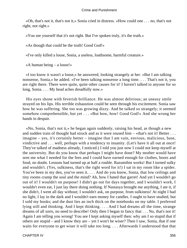«Oh, that's not it, that's not it,» Sonia cried in distress. «How could one . . . no, that's not right, not right.»

«You see yourself that it's not right. But I've spoken truly, it's the truth.»

«As though that could be the truth! Good God!»

«I've only killed a louse, Sonia, a useless, loathsome, harmful creature.»

«A human being – a louse!»

 «I too know it wasn't a louse,» he answered, looking strangely at her. «But I am talking nonsense, Sonia,» he added. «I've been talking nonsense a long time. . . . That's not it, you are right there. There were quite, quite other causes for it! I haven't talked to anyone for so long, Sonia. . . . My head aches dreadfully now.»

 His eyes shone with feverish brilliance. He was almost delirious; an uneasy smile strayed on his lips. His terrible exhaustion could be seen through his excitement. Sonia saw how he was suffering. She too was growing dizzy. And he talked so strangely; it seemed somehow comprehensible, but yet . . . «But how, how! Good God!» And she wrung her hands in despair.

 «No, Sonia, that's not it,» he began again suddenly, raising his head, as though a new and sudden train of thought had struck and as it were roused him – «that's not it! Better . . . imagine – yes, it's certainly better – imagine that I am vain, envious, malicious, base, vindictive and . . . well, perhaps with a tendency to insanity. (Let's have it all out at once! They've talked of madness already, I noticed.) I told you just now I could not keep myself at the university. But do you know that perhaps I might have done? My mother would have sent me what I needed for the fees and I could have earned enough for clothes, boots and food, no doubt. Lessons had turned up at half a rouble. Razumihin works! But I turned sulky and wouldn't. (Yes, sulkiness, that's the right word for it!) I sat in my room like a spider. You've been in my den, you've seen it. . . . And do you know, Sonia, that low ceilings and tiny rooms cramp the soul and the mind? Ah, how I hated that garret! And yet I wouldn't go out of it! I wouldn't on purpose! I didn't go out for days together, and I wouldn't work, I wouldn't even eat, I just lay there doing nothing. If Nastasya brought me anything, I ate it, if she didn't, I went all day without; I wouldn't ask, on purpose, from sulkiness! At night I had no light, I lay in the dark and I wouldn't earn money for candles. I ought to have studied, but I sold my books; and the dust lies an inch thick on the notebooks on my table. I preferred lying still and thinking. And I kept thinking. . . . And I had dreams all the time, strange dreams of all sorts, no need to describe! Only then I began to fancy that . . . No, that's not it! Again I am telling you wrong! You see I kept asking myself then: why am I so stupid that if others are stupid – and I know they are – yet I won't be wiser? Then I saw, Sonia, that if one waits for everyone to get wiser it will take too long. . . . Afterwards I understood that that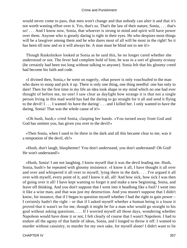would never come to pass, that men won't change and that nobody can alter it and that it's not worth wasting effort over it. Yes, that's so. That's the law of their nature, Sonia, . . . that's so! . . . And I know now, Sonia, that whoever is strong in mind and spirit will have power over them. Anyone who is greatly daring is right in their eyes. He who despises most things will be a lawgiver among them and he who dares most of all will be most in the right! So it has been till now and so it will always be. A man must be blind not to see it!»

 Though Raskolnikov looked at Sonia as he said this, he no longer cared whether she understood or not. The fever had complete hold of him; he was in a sort of gloomy ecstasy (he certainly had been too long without talking to anyone). Sonia felt that his gloomy creed had become his faith and code.

 «I divined then, Sonia,» he went on eagerly, «that power is only vouchsafed to the man who dares to stoop and pick it up. There is only one thing, one thing needful: one has only to dare! Then for the first time in my life an idea took shape in my mind which no one had ever thought of before me, no one! I saw clear as daylight how strange it is that not a single person living in this mad world has had the daring to go straight for it all and send it flying to the devil! I . . . I wanted /to have the daring/ . . . and I killed her. I only wanted to have the daring, Sonia! That was the whole cause of it!»

 «Oh hush, hush,» cried Sonia, clasping her hands. «You turned away from God and God has smitten you, has given you over to the devil!»

 «Then Sonia, when I used to lie there in the dark and all this became clear to me, was it a temptation of the devil, eh?»

 «Hush, don't laugh, blasphemer! You don't understand, you don't understand! Oh God! He won't understand!»

 «Hush, Sonia! I am not laughing. I know myself that it was the devil leading me. Hush, Sonia, hush!» he repeated with gloomy insistence. «I know it all, I have thought it all over and over and whispered it all over to myself, lying there in the dark. . . . I've argued it all over with myself, every point of it, and I know it all, all! And how sick, how sick I was then of going over it all! I have kept wanting to forget it and make a new beginning, Sonia, and leave off thinking. And you don't suppose that I went into it headlong like a fool? I went into it like a wise man, and that was just my destruction. And you mustn't suppose that I didn't know, for instance, that if I began to question myself whether I had the right to gain power – I certainly hadn't the right – or that if I asked myself whether a human being is a louse it proved that it wasn't so for me, though it might be for a man who would go straight to his goal without asking questions. . . . If I worried myself all those days, wondering whether Napoleon would have done it or not, I felt clearly of course that I wasn't Napoleon. I had to endure all the agony of that battle of ideas, Sonia, and I longed to throw it off: I wanted to murder without casuistry, to murder for my own sake, for myself alone! I didn't want to lie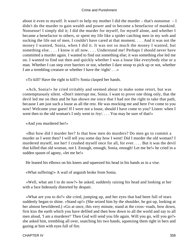about it even to myself. It wasn't to help my mother I did the murder – that's nonsense – I didn't do the murder to gain wealth and power and to become a benefactor of mankind. Nonsense! I simply did it; I did the murder for myself, for myself alone, and whether I became a benefactor to others, or spent my life like a spider catching men in my web and sucking the life out of men, I couldn't have cared at that moment. . . . And it was not the money I wanted, Sonia, when I did it. It was not so much the money I wanted, but something else. . . . I know it all now. . . . Understand me! Perhaps I should never have committed a murder again. I wanted to find out something else; it was something else led me on. I wanted to find out then and quickly whether I was a louse like everybody else or a man. Whether I can step over barriers or not, whether I dare stoop to pick up or not, whether I am a trembling creature or whether I have the /right/ . . .»

«To kill? Have the right to kill?» Sonia clasped her hands.

 «Ach, Sonia!» he cried irritably and seemed about to make some retort, but was contemptuously silent. «Don't interrupt me, Sonia. I want to prove one thing only, that the devil led me on then and he has shown me since that I had not the right to take that path, because I am just such a louse as all the rest. He was mocking me and here I've come to you now! Welcome your guest! If I were not a louse, should I have come to you? Listen: when I went then to the old woman's I only went to /try/.... You may be sure of that!»

«And you murdered her!»

 «But how did I murder her? Is that how men do murders? Do men go to commit a murder as I went then? I will tell you some day how I went! Did I murder the old woman? I murdered myself, not her! I crushed myself once for all, for ever. . . . But it was the devil that killed that old woman, not I. Enough, enough, Sonia, enough! Let me be!» he cried in a sudden spasm of agony, «let me be!»

He leaned his elbows on his knees and squeezed his head in his hands as in a vise.

«What suffering!» A wail of anguish broke from Sonia.

 «Well, what am I to do now?» he asked, suddenly raising his head and looking at her with a face hideously distorted by despair.

 «What are you to do?» she cried, jumping up, and her eyes that had been full of tears suddenly began to shine. «Stand up!» (She seized him by the shoulder, he got up, looking at her almost bewildered.) «Go at once, this very minute, stand at the cross−roads, bow down, first kiss the earth which you have defiled and then bow down to all the world and say to all men aloud, 'I am a murderer!' Then God will send you life again. Will you go, will you go?» she asked him, trembling all over, snatching his two hands, squeezing them tight in hers and gazing at him with eyes full of fire.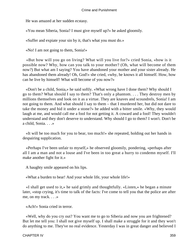He was amazed at her sudden ecstasy.

«You mean Siberia, Sonia? I must give myself up?» he asked gloomily.

«Suffer and expiate your sin by it, that's what you must do.»

«No! I am not going to them, Sonia!»

 «But how will you go on living? What will you live for?» cried Sonia, «how is it possible now? Why, how can you talk to your mother? (Oh, what will become of them now?) But what am I saying? You have abandoned your mother and your sister already. He has abandoned them already! Oh, God!» she cried, «why, he knows it all himself. How, how can he live by himself! What will become of you now?»

 «Don't be a child, Sonia,» he said softly. «What wrong have I done them? Why should I go to them? What should I say to them? That's only a phantom. . . . They destroy men by millions themselves and look on it as a virtue. They are knaves and scoundrels, Sonia! I am not going to them. And what should I say to them – that I murdered her, but did not dare to take the money and hid it under a stone?» he added with a bitter smile. «Why, they would laugh at me, and would call me a fool for not getting it. A coward and a fool! They wouldn't understand and they don't deserve to understand. Why should I go to them? I won't. Don't be a child, Sonia. . . .»

 «It will be too much for you to bear, too much!» she repeated, holding out her hands in despairing supplication.

 «Perhaps I've been unfair to myself,» he observed gloomily, pondering, «perhaps after all I am a man and not a louse and I've been in too great a hurry to condemn myself. I'll make another fight for it.»

A haughty smile appeared on his lips.

«What a burden to bear! And your whole life, your whole life!»

 «I shall get used to it,» he said grimly and thoughtfully. «Listen,» he began a minute later, «stop crying, it's time to talk of the facts: I've come to tell you that the police are after me, on my track. . . .»

«Ach!» Sonia cried in terror.

 «Well, why do you cry out? You want me to go to Siberia and now you are frightened? But let me tell you: I shall not give myself up. I shall make a struggle for it and they won't do anything to me. They've no real evidence. Yesterday I was in great danger and believed I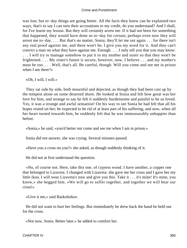was lost; but to−day things are going better. All the facts they know can be explained two ways, that's to say I can turn their accusations to my credit, do you understand? And I shall, for I've learnt my lesson. But they will certainly arrest me. If it had not been for something that happened, they would have done so to−day for certain; perhaps even now they will arrest me to−day. . . . But that's no matter, Sonia; they'll let me out again . . . for there isn't any real proof against me, and there won't be, I give you my word for it. And they can't convict a man on what they have against me. Enough. . . . I only tell you that you may know. . . . I will try to manage somehow to put it to my mother and sister so that they won't be frightened. . . . My sister's future is secure, however, now, I believe . . . and my mother's must be too. . . . Well, that's all. Be careful, though. Will you come and see me in prison when I am there?»

«Oh, I will, I will.»

 They sat side by side, both mournful and dejected, as though they had been cast up by the tempest alone on some deserted shore. He looked at Sonia and felt how great was her love for him, and strange to say he felt it suddenly burdensome and painful to be so loved. Yes, it was a strange and awful sensation! On his way to see Sonia he had felt that all his hopes rested on her; he expected to be rid of at least part of his suffering, and now, when all her heart turned towards him, he suddenly felt that he was immeasurably unhappier than before.

«Sonia,» he said, «you'd better not come and see me when I am in prison.»

Sonia did not answer, she was crying. Several minutes passed.

«Have you a cross on you?» she asked, as though suddenly thinking of it.

He did not at first understand the question.

 «No, of course not. Here, take this one, of cypress wood. I have another, a copper one that belonged to Lizaveta. I changed with Lizaveta: she gave me her cross and I gave her my little ikon. I will wear Lizaveta's now and give you this. Take it . . . it's mine! It's mine, you know,» she begged him. «We will go to suffer together, and together we will bear our cross!»

«Give it me,» said Raskolnikov.

 He did not want to hurt her feelings. But immediately he drew back the hand he held out for the cross.

«Not now, Sonia. Better later,» he added to comfort her.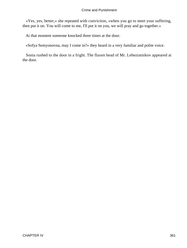«Yes, yes, better,» she repeated with conviction, «when you go to meet your suffering, then put it on. You will come to me, I'll put it on you, we will pray and go together.»

At that moment someone knocked three times at the door.

«Sofya Semyonovna, may I come in?» they heard in a very familiar and polite voice.

 Sonia rushed to the door in a fright. The flaxen head of Mr. Lebeziatnikov appeared at the door.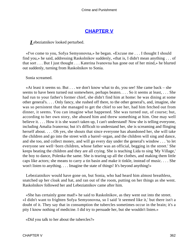# **[CHAPTER V](#page-466-0)**

# *L*ebeziatnikov looked perturbed.

 «I've come to you, Sofya Semyonovna,» he began. «Excuse me . . . I thought I should find you,» he said, addressing Raskolnikov suddenly, «that is, I didn't mean anything . . . of that sort . . . But I just thought . . . Katerina Ivanovna has gone out of her mind,» he blurted out suddenly, turning from Raskolnikov to Sonia.

Sonia screamed.

 «At least it seems so. But . . . we don't know what to do, you see! She came back – she seems to have been turned out somewhere, perhaps beaten. . . . So it seems at least, . . . She had run to your father's former chief, she didn't find him at home: he was dining at some other general's. . . . Only fancy, she rushed off there, to the other general's, and, imagine, she was so persistent that she managed to get the chief to see her, had him fetched out from dinner, it seems. You can imagine what happened. She was turned out, of course; but, according to her own story, she abused him and threw something at him. One may well believe it. . . . How it is she wasn't taken up, I can't understand! Now she is telling everyone, including Amalia Ivanovna; but it's difficult to understand her, she is screaming and flinging herself about. . . . Oh yes, she shouts that since everyone has abandoned her, she will take the children and go into the street with a barrel−organ, and the children will sing and dance, and she too, and collect money, and will go every day under the general's window . . . 'to let everyone see well−born children, whose father was an official, begging in the street.' She keeps beating the children and they are all crying. She is teaching Lida to sing 'My Village,' the boy to dance, Polenka the same. She is tearing up all the clothes, and making them little caps like actors; she means to carry a tin basin and make it tinkle, instead of music. . . . She won't listen to anything. . . . Imagine the state of things! It's beyond anything!»

 Lebeziatnikov would have gone on, but Sonia, who had heard him almost breathless, snatched up her cloak and hat, and ran out of the room, putting on her things as she went. Raskolnikov followed her and Lebeziatnikov came after him.

 «She has certainly gone mad!» he said to Raskolnikov, as they went out into the street. «I didn't want to frighten Sofya Semyonovna, so I said 'it seemed like it,' but there isn't a doubt of it. They say that in consumption the tubercles sometimes occur in the brain; it's a pity I know nothing of medicine. I did try to persuade her, but she wouldn't listen.»

«Did you talk to her about the tubercles?»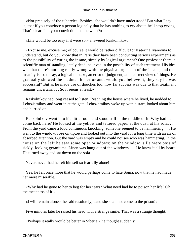«Not precisely of the tubercles. Besides, she wouldn't have understood! But what I say is, that if you convince a person logically that he has nothing to cry about, he'll stop crying. That's clear. Is it your conviction that he won't?»

«Life would be too easy if it were so,» answered Raskolnikov.

 «Excuse me, excuse me; of course it would be rather difficult for Katerina Ivanovna to understand, but do you know that in Paris they have been conducting serious experiments as to the possibility of curing the insane, simply by logical argument? One professor there, a scientific man of standing, lately dead, believed in the possibility of such treatment. His idea was that there's nothing really wrong with the physical organism of the insane, and that insanity is, so to say, a logical mistake, an error of judgment, an incorrect view of things. He gradually showed the madman his error and, would you believe it, they say he was successful? But as he made use of douches too, how far success was due to that treatment remains uncertain. . . . So it seems at least.»

 Raskolnikov had long ceased to listen. Reaching the house where he lived, he nodded to Lebeziatnikov and went in at the gate. Lebeziatnikov woke up with a start, looked about him and hurried on.

 Raskolnikov went into his little room and stood still in the middle of it. Why had he come back here? He looked at the yellow and tattered paper, at the dust, at his sofa. . . . From the yard came a loud continuous knocking; someone seemed to be hammering . . . He went to the window, rose on tiptoe and looked out into the yard for a long time with an air of absorbed attention. But the yard was empty and he could not see who was hammering. In the house on the left he saw some open windows; on the window−sills were pots of sickly−looking geraniums. Linen was hung out of the windows . . . He knew it all by heart. He turned away and sat down on the sofa.

Never, never had he felt himself so fearfully alone!

 Yes, he felt once more that he would perhaps come to hate Sonia, now that he had made her more miserable.

 «Why had he gone to her to beg for her tears? What need had he to poison her life? Oh, the meanness of it!»

«I will remain alone,» he said resolutely, «and she shall not come to the prison!»

Five minutes later he raised his head with a strange smile. That was a strange thought.

«Perhaps it really would be better in Siberia,» he thought suddenly.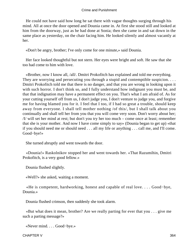He could not have said how long he sat there with vague thoughts surging through his mind. All at once the door opened and Dounia came in. At first she stood still and looked at him from the doorway, just as he had done at Sonia; then she came in and sat down in the same place as yesterday, on the chair facing him. He looked silently and almost vacantly at her.

«Don't be angry, brother; I've only come for one minute,» said Dounia.

 Her face looked thoughtful but not stern. Her eyes were bright and soft. He saw that she too had come to him with love.

 «Brother, now I know all, /all/. Dmitri Prokofitch has explained and told me everything. They are worrying and persecuting you through a stupid and contemptible suspicion. . . . Dmitri Prokofitch told me that there is no danger, and that you are wrong in looking upon it with such horror. I don't think so, and I fully understand how indignant you must be, and that that indignation may have a permanent effect on you. That's what I am afraid of. As for your cutting yourself off from us, I don't judge you, I don't venture to judge you, and forgive me for having blamed you for it. I feel that I too, if I had so great a trouble, should keep away from everyone. I shall tell mother nothing /of this/, but I shall talk about you continually and shall tell her from you that you will come very soon. Don't worry about her; /I/ will set her mind at rest; but don't you try her too much – come once at least; remember that she is your mother. And now I have come simply to say» (Dounia began to get up) «that if you should need me or should need . . . all my life or anything . . . call me, and I'll come. Good−bye!»

She turned abruptly and went towards the door.

 «Dounia!» Raskolnikov stopped her and went towards her. «That Razumihin, Dmitri Prokofitch, is a very good fellow.»

Dounia flushed slightly.

«Well?» she asked, waiting a moment.

 «He is competent, hardworking, honest and capable of real love. . . . Good−bye, Dounia.»

Dounia flushed crimson, then suddenly she took alarm.

 «But what does it mean, brother? Are we really parting for ever that you . . . give me such a parting message?»

«Never mind. . . . Good−bye.»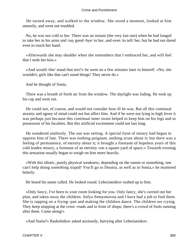He turned away, and walked to the window. She stood a moment, looked at him uneasily, and went out troubled.

 No, he was not cold to her. There was an instant (the very last one) when he had longed to take her in his arms and /say good−bye/ to her, and even /to tell/ her, but he had not dared even to touch her hand.

 «Afterwards she may shudder when she remembers that I embraced her, and will feel that I stole her kiss.»

 «And would /she/ stand that test?» he went on a few minutes later to himself. «No, she wouldn't; girls like that can't stand things! They never do.»

And he thought of Sonia.

 There was a breath of fresh air from the window. The daylight was fading. He took up his cap and went out.

 He could not, of course, and would not consider how ill he was. But all this continual anxiety and agony of mind could not but affect him. And if he were not lying in high fever it was perhaps just because this continual inner strain helped to keep him on his legs and in possession of his faculties. But this artificial excitement could not last long.

 He wandered aimlessly. The sun was setting. A special form of misery had begun to oppress him of late. There was nothing poignant, nothing acute about it; but there was a feeling of permanence, of eternity about it; it brought a foretaste of hopeless years of this cold leaden misery, a foretaste of an eternity «on a square yard of space.» Towards evening this sensation usually began to weigh on him more heavily.

 «With this idiotic, purely physical weakness, depending on the sunset or something, one can't help doing something stupid! You'll go to Dounia, as well as to Sonia,» he muttered bitterly.

He heard his name called. He looked round. Lebeziatnikov rushed up to him.

 «Only fancy, I've been to your room looking for you. Only fancy, she's carried out her plan, and taken away the children. Sofya Semyonovna and I have had a job to find them. She is rapping on a frying−pan and making the children dance. The children are crying. They keep stopping at the cross–roads and in front of shops; there's a crowd of fools running after them. Come along!»

«And Sonia?» Raskolnikov asked anxiously, hurrying after Lebeziatnikov.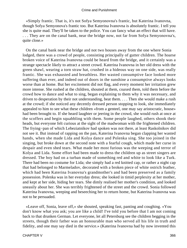«Simply frantic. That is, it's not Sofya Semyonovna's frantic, but Katerina Ivanovna, though Sofya Semyonova's frantic too. But Katerina Ivanovna is absolutely frantic. I tell you she is quite mad. They'll be taken to the police. You can fancy what an effect that will have. . . . They are on the canal bank, near the bridge now, not far from Sofya Semyonovna's, quite close.»

 On the canal bank near the bridge and not two houses away from the one where Sonia lodged, there was a crowd of people, consisting principally of gutter children. The hoarse broken voice of Katerina Ivanovna could be heard from the bridge, and it certainly was a strange spectacle likely to attract a street crowd. Katerina Ivanovna in her old dress with the green shawl, wearing a torn straw hat, crushed in a hideous way on one side, was really frantic. She was exhausted and breathless. Her wasted consumptive face looked more suffering than ever, and indeed out of doors in the sunshine a consumptive always looks worse than at home. But her excitement did not flag, and every moment her irritation grew more intense. She rushed at the children, shouted at them, coaxed them, told them before the crowd how to dance and what to sing, began explaining to them why it was necessary, and driven to desperation by their not understanding, beat them. . . . Then she would make a rush at the crowd; if she noticed any decently dressed person stopping to look, she immediately appealed to him to see what these children «from a genteel, one may say aristocratic, house» had been brought to. If she heard laughter or jeering in the crowd, she would rush at once at the scoffers and begin squabbling with them. Some people laughed, others shook their heads, but everyone felt curious at the sight of the madwoman with the frightened children. The frying−pan of which Lebeziatnikov had spoken was not there, at least Raskolnikov did not see it. But instead of rapping on the pan, Katerina Ivanovna began clapping her wasted hands, when she made Lida and Kolya dance and Polenka sing. She too joined in the singing, but broke down at the second note with a fearful cough, which made her curse in despair and even shed tears. What made her most furious was the weeping and terror of Kolya and Lida. Some effort had been made to dress the children up as street singers are dressed. The boy had on a turban made of something red and white to look like a Turk. There had been no costume for Lida; she simply had a red knitted cap, or rather a night cap that had belonged to Marmeladov, decorated with a broken piece of white ostrich feather, which had been Katerina Ivanovna's grandmother's and had been preserved as a family possession. Polenka was in her everyday dress; she looked in timid perplexity at her mother, and kept at her side, hiding her tears. She dimly realised her mother's condition, and looked uneasily about her. She was terribly frightened of the street and the crowd. Sonia followed Katerina Ivanovna, weeping and beseeching her to return home, but Katerina Ivanovna was not to be persuaded.

 «Leave off, Sonia, leave off,» she shouted, speaking fast, panting and coughing. «You don't know what you ask; you are like a child! I've told you before that I am not coming back to that drunken German. Let everyone, let all Petersburg see the children begging in the streets, though their father was an honourable man who served all his life in truth and fidelity, and one may say died in the service.» (Katerina Ivanovna had by now invented this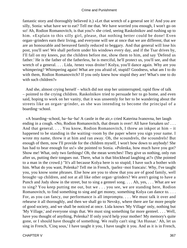fantastic story and thoroughly believed it.) «Let that wretch of a general see it! And you are silly, Sonia: what have we to eat? Tell me that. We have worried you enough, I won't go on so! Ah, Rodion Romanovitch, is that you?» she cried, seeing Raskolnikov and rushing up to him. «Explain to this silly girl, please, that nothing better could be done! Even organ−grinders earn their living, and everyone will see at once that we are different, that we are an honourable and bereaved family reduced to beggary. And that general will lose his post, you'll see! We shall perform under his windows every day, and if the Tsar drives by, I'll fall on my knees, put the children before me, show them to him, and say 'Defend us father.' He is the father of the fatherless, he is merciful, he'll protect us, you'll see, and that wretch of a general. . . . Lida, /tenez vous droite/! Kolya, you'll dance again. Why are you whimpering? Whimpering again! What are you afraid of, stupid? Goodness, what am I to do with them, Rodion Romanovitch? If you only knew how stupid they are! What's one to do with such children?»

 And she, almost crying herself – which did not stop her uninterrupted, rapid flow of talk – pointed to the crying children. Raskolnikov tried to persuade her to go home, and even said, hoping to work on her vanity, that it was unseemly for her to be wandering about the streets like an organ−grinder, as she was intending to become the principal of a boarding−school.

 «A boarding−school, ha−ha−ha! A castle in the air,» cried Katerina Ivanovna, her laugh ending in a cough. «No, Rodion Romanovitch, that dream is over! All have forsaken us!... And that general. . . . You know, Rodion Romanovitch, I threw an inkpot at him – it happened to be standing in the waiting−room by the paper where you sign your name. I wrote my name, threw it at him and ran away. Oh, the scoundrels, the scoundrels! But enough of them, now I'll provide for the children myself, I won't bow down to anybody! She has had to bear enough for us!» she pointed to Sonia. «Polenka, how much have you got? Show me! What, only two farthings! Oh, the mean wretches! They give us nothing, only run after us, putting their tongues out. There, what is that blockhead laughing at?» (She pointed to a man in the crowd.) "It's all because Kolya here is so stupid; I have such a bother with him. What do you want, Polenka? Tell me in French, /parlez−moi francais/. Why, I've taught you, you know some phrases. Else how are you to show that you are of good family, well brought−up children, and not at all like other organ−grinders? We aren't going to have a Punch and Judy show in the street, but to sing a genteel song. . . . Ah, yes, . . . What are we to sing? You keep putting me out, but we . . . you see, we are standing here, Rodion Romanovitch, to find something to sing and get money, something Kolya can dance to. . . . For, as you can fancy, our performance is all impromptu. . . . We must talk it over and rehearse it all thoroughly, and then we shall go to Nevsky, where there are far more people of good society, and we shall be noticed at once. Lida knows 'My Village' only, nothing but 'My Village,' and everyone sings that. We must sing something far more genteel. . . . Well, have you thought of anything, Polenka? If only you'd help your mother! My memory's quite gone, or I should have thought of something. We really can't sing 'An Hussar.' Ah, let us sing in French, 'Cinq sous,' I have taught it you, I have taught it you. And as it is in French,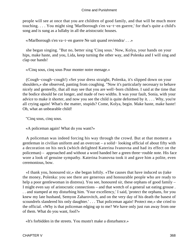people will see at once that you are children of good family, and that will be much more touching. . . . You might sing 'Marlborough s'en va−t−en guerre,' for that's quite a child's song and is sung as a lullaby in all the aristocratic houses.

«/Marlborough s'en va−t−en guerre Ne sait quand reviendra/ . . .»

 she began singing. "But no, better sing 'Cinq sous.' Now, Kolya, your hands on your hips, make haste, and you, Lida, keep turning the other way, and Polenka and I will sing and clap our hands!

«/Cinq sous, cinq sous Pour monter notre menage.»

 (Cough−cough−cough!) «Set your dress straight, Polenka, it's slipped down on your shoulders,» she observed, panting from coughing. "Now it's particularly necessary to behave nicely and genteelly, that all may see that you are well−born children. I said at the time that the bodice should be cut longer, and made of two widths. It was your fault, Sonia, with your advice to make it shorter, and now you see the child is quite deformed by it. . . . Why, you're all crying again! What's the matter, stupids? Come, Kolya, begin. Make haste, make haste! Oh, what an unbearable child!

"Cinq sous, cinq sous.

«A policeman again! What do you want?»

 A policeman was indeed forcing his way through the crowd. But at that moment a gentleman in civilian uniform and an overcoat – a solid− looking official of about fifty with a decoration on his neck (which delighted Katerina Ivanovna and had its effect on the policeman) – approached and without a word handed her a green three−rouble note. His face wore a look of genuine sympathy. Katerina Ivanovna took it and gave him a polite, even ceremonious, bow.

 «I thank you, honoured sir,» she began loftily. «The causes that have induced us (take the money, Polenka: you see there are generous and honourable people who are ready to help a poor gentlewoman in distress). You see, honoured sir, these orphans of good family – I might even say of aristocratic connections – and that wretch of a general sat eating grouse . . . and stamped at my disturbing him. 'Your excellency,' I said, 'protect the orphans, for you knew my late husband, Semyon Zaharovitch, and on the very day of his death the basest of scoundrels slandered his only daughter.' . . . That policeman again! Protect me,» she cried to the official. «Why is that policeman edging up to me? We have only just run away from one of them. What do you want, fool?»

«It's forbidden in the streets. You mustn't make a disturbance.»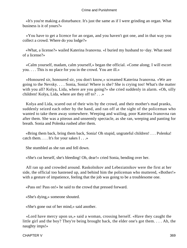«It's you're making a disturbance. It's just the same as if I were grinding an organ. What business is it of yours?»

 «You have to get a licence for an organ, and you haven't got one, and in that way you collect a crowd. Where do you lodge?»

 «What, a license?» wailed Katerina Ivanovna. «I buried my husband to−day. What need of a license?»

 «Calm yourself, madam, calm yourself,» began the official. «Come along; I will escort you. . . . This is no place for you in the crowd. You are ill.»

 «Honoured sir, honoured sir, you don't know,» screamed Katerina Ivanovna. «We are going to the Nevsky. . . . Sonia, Sonia! Where is she? She is crying too! What's the matter with you all? Kolya, Lida, where are you going?» she cried suddenly in alarm. «Oh, silly children! Kolya, Lida, where are they off to? . . .»

 Kolya and Lida, scared out of their wits by the crowd, and their mother's mad pranks, suddenly seized each other by the hand, and ran off at the sight of the policeman who wanted to take them away somewhere. Weeping and wailing, poor Katerina Ivanovna ran after them. She was a piteous and unseemly spectacle, as she ran, weeping and panting for breath. Sonia and Polenka rushed after them.

 «Bring them back, bring them back, Sonia! Oh stupid, ungrateful children! . . . Polenka! catch them. . . . It's for your sakes I . . .»

She stumbled as she ran and fell down.

«She's cut herself, she's bleeding! Oh, dear!» cried Sonia, bending over her.

 All ran up and crowded around. Raskolnikov and Lebeziatnikov were the first at her side, the official too hastened up, and behind him the policeman who muttered, «Bother!» with a gesture of impatience, feeling that the job was going to be a troublesome one.

«Pass on! Pass on!» he said to the crowd that pressed forward.

«She's dying,» someone shouted.

«She's gone out of her mind,» said another.

 «Lord have mercy upon us,» said a woman, crossing herself. «Have they caught the little girl and the boy? They're being brought back, the elder one's got them. . . . Ah, the naughty imps!»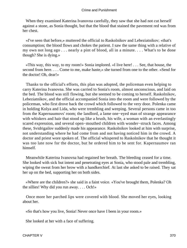When they examined Katerina Ivanovna carefully, they saw that she had not cut herself against a stone, as Sonia thought, but that the blood that stained the pavement red was from her chest.

 «I've seen that before,» muttered the official to Raskolnikov and Lebeziatnikov; «that's consumption; the blood flows and chokes the patient. I saw the same thing with a relative of my own not long ago . . . nearly a pint of blood, all in a minute. . . . What's to be done though? She is dying.»

 «This way, this way, to my room!» Sonia implored. «I live here! . . . See, that house, the second from here. . . . Come to me, make haste,» she turned from one to the other. «Send for the doctor! Oh, dear!»

 Thanks to the official's efforts, this plan was adopted, the policeman even helping to carry Katerina Ivanovna. She was carried to Sonia's room, almost unconscious, and laid on the bed. The blood was still flowing, but she seemed to be coming to herself. Raskolnikov, Lebeziatnikov, and the official accompanied Sonia into the room and were followed by the policeman, who first drove back the crowd which followed to the very door. Polenka came in holding Kolya and Lida, who were trembling and weeping. Several persons came in too from the Kapernaumovs' room; the landlord, a lame one−eyed man of strange appearance with whiskers and hair that stood up like a brush, his wife, a woman with an everlastingly scared expression, and several open−mouthed children with wonder−struck faces. Among these, Svidrigailov suddenly made his appearance. Raskolnikov looked at him with surprise, not understanding where he had come from and not having noticed him in the crowd. A doctor and priest wore spoken of. The official whispered to Raskolnikov that he thought it was too late now for the doctor, but he ordered him to be sent for. Kapernaumov ran himself.

 Meanwhile Katerina Ivanovna had regained her breath. The bleeding ceased for a time. She looked with sick but intent and penetrating eyes at Sonia, who stood pale and trembling, wiping the sweat from her brow with a handkerchief. At last she asked to be raised. They sat her up on the bed, supporting her on both sides.

 «Where are the children?» she said in a faint voice. «You've brought them, Polenka? Oh the sillies! Why did you run away. . . . Och!»

 Once more her parched lips were covered with blood. She moved her eyes, looking about her.

«So that's how you live, Sonia! Never once have I been in your room.»

She looked at her with a face of suffering.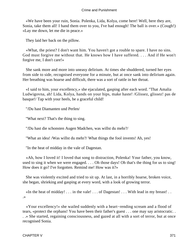«We have been your ruin, Sonia. Polenka, Lida, Kolya, come here! Well, here they are, Sonia, take them all! I hand them over to you, I've had enough! The ball is over.» (Cough!) «Lay me down, let me die in peace.»

They laid her back on the pillow.

 «What, the priest? I don't want him. You haven't got a rouble to spare. I have no sins. God must forgive me without that. He knows how I have suffered. . . . And if He won't forgive me, I don't care!»

 She sank more and more into uneasy delirium. At times she shuddered, turned her eyes from side to side, recognised everyone for a minute, but at once sank into delirium again. Her breathing was hoarse and difficult, there was a sort of rattle in her throat.

 «I said to him, your excellency,» she ejaculated, gasping after each word. "That Amalia Ludwigovna, ah! Lida, Kolya, hands on your hips, make haste! /Glissez, glissez! pas de basque!/ Tap with your heels, be a graceful child!

"/Du hast Diamanten und Perlen/

"What next? That's the thing to sing.

"/Du hast die schonsten Augen Madchen, was willst du mehr?/

"What an idea! /Was willst du mehr?/ What things the fool invents! Ah, yes!

"In the heat of midday in the vale of Dagestan.

 «Ah, how I loved it! I loved that song to distraction, Polenka! Your father, you know, used to sing it when we were engaged. . . . Oh those days! Oh that's the thing for us to sing! How does it go? I've forgotten. Remind me! How was it?»

 She was violently excited and tried to sit up. At last, in a horribly hoarse, broken voice, she began, shrieking and gasping at every word, with a look of growing terror.

 «In the heat of midday! . . . in the vale! . . . of Dagestan! . . . With lead in my breast! . . .»

 «Your excellency!» she wailed suddenly with a heart−rending scream and a flood of tears, «protect the orphans! You have been their father's guest . . . one may say aristocratic. . . .» She started, regaining consciousness, and gazed at all with a sort of terror, but at once recognised Sonia.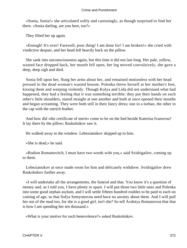«Sonia, Sonia!» she articulated softly and caressingly, as though surprised to find her there. «Sonia darling, are you here, too?»

They lifted her up again.

 «Enough! It's over! Farewell, poor thing! I am done for! I am broken!» she cried with vindictive despair, and her head fell heavily back on the pillow.

 She sank into unconsciousness again, but this time it did not last long. Her pale, yellow, wasted face dropped back, her mouth fell open, her leg moved convulsively, she gave a deep, deep sigh and died.

 Sonia fell upon her, flung her arms about her, and remained motionless with her head pressed to the dead woman's wasted bosom. Polenka threw herself at her mother's feet, kissing them and weeping violently. Though Kolya and Lida did not understand what had happened, they had a feeling that it was something terrible; they put their hands on each other's little shoulders, stared straight at one another and both at once opened their mouths and began screaming. They were both still in their fancy dress; one in a turban, the other in the cap with the ostrich feather.

 And how did «the certificate of merit» come to be on the bed beside Katerina Ivanovna? It lay there by the pillow; Raskolnikov saw it.

He walked away to the window. Lebeziatnikov skipped up to him.

«She is dead,» he said.

 «Rodion Romanovitch, I must have two words with you,» said Svidrigailov, coming up to them.

 Lebeziatnikov at once made room for him and delicately withdrew. Svidrigailov drew Raskolnikov further away.

 «I will undertake all the arrangements, the funeral and that. You know it's a question of money and, as I told you, I have plenty to spare. I will put those two little ones and Polenka into some good orphan asylum, and I will settle fifteen hundred roubles to be paid to each on coming of age, so that Sofya Semyonovna need have no anxiety about them. And I will pull her out of the mud too, for she is a good girl, isn't she? So tell Avdotya Romanovna that that is how I am spending her ten thousand.»

«What is your motive for such benevolence?» asked Raskolnikov.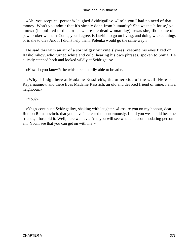«Ah! you sceptical person!» laughed Svidrigailov. «I told you I had no need of that money. Won't you admit that it's simply done from humanity? She wasn't 'a louse,' you know» (he pointed to the corner where the dead woman lay), «was she, like some old pawnbroker woman? Come, you'll agree, is Luzhin to go on living, and doing wicked things or is she to die? And if I didn't help them, Polenka would go the same way.»

 He said this with an air of a sort of gay winking slyness, keeping his eyes fixed on Raskolnikov, who turned white and cold, hearing his own phrases, spoken to Sonia. He quickly stepped back and looked wildly at Svidrigailov.

«How do you know?» he whispered, hardly able to breathe.

 «Why, I lodge here at Madame Resslich's, the other side of the wall. Here is Kapernaumov, and there lives Madame Resslich, an old and devoted friend of mine. I am a neighbour.»

# «You?»

 «Yes,» continued Svidrigailov, shaking with laughter. «I assure you on my honour, dear Rodion Romanovitch, that you have interested me enormously. I told you we should become friends, I foretold it. Well, here we have. And you will see what an accommodating person I am. You'll see that you can get on with me!»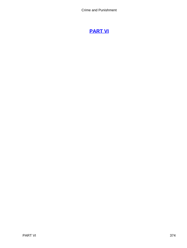# **[PART VI](#page-466-0)**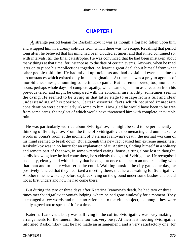# **[CHAPTER I](#page-466-0)**

*A* strange period began for Raskolnikov: it was as though a fog had fallen upon him and wrapped him in a dreary solitude from which there was no escape. Recalling that period long after, he believed that his mind had been clouded at times, and that it had continued so, with intervals, till the final catastrophe. He was convinced that he had been mistaken about many things at that time, for instance as to the date of certain events. Anyway, when he tried later on to piece his recollections together, he learnt a great deal about himself from what other people told him. He had mixed up incidents and had explained events as due to circumstances which existed only in his imagination. At times he was a prey to agonies of morbid uneasiness, amounting sometimes to panic. But he remembered, too, moments, hours, perhaps whole days, of complete apathy, which came upon him as a reaction from his previous terror and might be compared with the abnormal insensibility, sometimes seen in the dying. He seemed to be trying in that latter stage to escape from a full and clear understanding of his position. Certain essential facts which required immediate consideration were particularly irksome to him. How glad he would have been to be free from some cares, the neglect of which would have threatened him with complete, inevitable ruin.

 He was particularly worried about Svidrigailov, he might be said to be permanently thinking of Svidrigailov. From the time of Svidrigailov's too menacing and unmistakable words in Sonia's room at the moment of Katerina Ivanovna's death, the normal working of his mind seemed to break down. But although this new fact caused him extreme uneasiness, Raskolnikov was in no hurry for an explanation of it. At times, finding himself in a solitary and remote part of the town, in some wretched eating−house, sitting alone lost in thought, hardly knowing how he had come there, he suddenly thought of Svidrigailov. He recognised suddenly, clearly, and with dismay that he ought at once to come to an understanding with that man and to make what terms he could. Walking outside the city gates one day, he positively fancied that they had fixed a meeting there, that he was waiting for Svidrigailov. Another time he woke up before daybreak lying on the ground under some bushes and could not at first understand how he had come there.

 But during the two or three days after Katerina Ivanovna's death, he had two or three times met Svidrigailov at Sonia's lodging, where he had gone aimlessly for a moment. They exchanged a few words and made no reference to the vital subject, as though they were tacitly agreed not to speak of it for a time.

 Katerina Ivanovna's body was still lying in the coffin, Svidrigailov was busy making arrangements for the funeral. Sonia too was very busy. At their last meeting Svidrigailov informed Raskolnikov that he had made an arrangement, and a very satisfactory one, for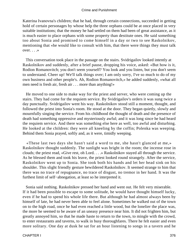Katerina Ivanovna's children; that he had, through certain connections, succeeded in getting hold of certain personages by whose help the three orphans could be at once placed in very suitable institutions; that the money he had settled on them had been of great assistance, as it is much easier to place orphans with some property than destitute ones. He said something too about Sonia and promised to come himself in a day or two to see Raskolnikov, mentioning that «he would like to consult with him, that there were things they must talk over.  $\ldots$   $\gg$ 

 This conversation took place in the passage on the stairs. Svidrigailov looked intently at Raskolnikov and suddenly, after a brief pause, dropping his voice, asked: «But how is it, Rodion Romanovitch; you don't seem yourself? You look and you listen, but you don't seem to understand. Cheer up! We'll talk things over; I am only sorry, I've so much to do of my own business and other people's. Ah, Rodion Romanovitch,» he added suddenly, «what all men need is fresh air, fresh air . . . more than anything!»

 He moved to one side to make way for the priest and server, who were coming up the stairs. They had come for the requiem service. By Svidrigailov's orders it was sung twice a day punctually. Svidrigailov went his way. Raskolnikov stood still a moment, thought, and followed the priest into Sonia's room. He stood at the door. They began quietly, slowly and mournfully singing the service. From his childhood the thought of death and the presence of death had something oppressive and mysteriously awful; and it was long since he had heard the requiem service. And there was something else here as well, too awful and disturbing. He looked at the children: they were all kneeling by the coffin; Polenka was weeping. Behind them Sonia prayed, softly and, as it were, timidly weeping.

 «These last two days she hasn't said a word to me, she hasn't glanced at me,» Raskolnikov thought suddenly. The sunlight was bright in the room; the incense rose in clouds; the priest read, «Give rest, oh Lord. . . .» Raskolnikov stayed all through the service. As he blessed them and took his leave, the priest looked round strangely. After the service, Raskolnikov went up to Sonia. She took both his hands and let her head sink on his shoulder. This slight friendly gesture bewildered Raskolnikov. It seemed strange to him that there was no trace of repugnance, no trace of disgust, no tremor in her hand. It was the furthest limit of self−abnegation, at least so he interpreted it.

 Sonia said nothing. Raskolnikov pressed her hand and went out. He felt very miserable. If it had been possible to escape to some solitude, he would have thought himself lucky, even if he had to spend his whole life there. But although he had almost always been by himself of late, he had never been able to feel alone. Sometimes he walked out of the town on to the high road, once he had even reached a little wood, but the lonelier the place was, the more he seemed to be aware of an uneasy presence near him. It did not frighten him, but greatly annoyed him, so that he made haste to return to the town, to mingle with the crowd, to enter restaurants and taverns, to walk in busy thoroughfares. There he felt easier and even more solitary. One day at dusk he sat for an hour listening to songs in a tavern and he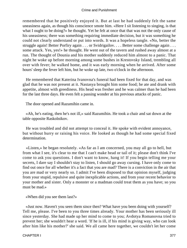remembered that he positively enjoyed it. But at last he had suddenly felt the same uneasiness again, as though his conscience smote him. «Here I sit listening to singing, is that what I ought to be doing?» he thought. Yet he felt at once that that was not the only cause of his uneasiness; there was something requiring immediate decision, but it was something he could not clearly understand or put into words. It was a hopeless tangle. «No, better the struggle again! Better Porfiry again . . . or Svidrigailov. . . . Better some challenge again . . . . some attack. Yes, yes!» he thought. He went out of the tavern and rushed away almost at a run. The thought of Dounia and his mother suddenly reduced him almost to a panic. That night he woke up before morning among some bushes in Krestovsky Island, trembling all over with fever; he walked home, and it was early morning when he arrived. After some hours' sleep the fever left him, but he woke up late, two o'clock in the afternoon.

 He remembered that Katerina Ivanovna's funeral had been fixed for that day, and was glad that he was not present at it. Nastasya brought him some food; he ate and drank with appetite, almost with greediness. His head was fresher and he was calmer than he had been for the last three days. He even felt a passing wonder at his previous attacks of panic.

The door opened and Razumihin came in.

 «Ah, he's eating, then he's not ill,» said Razumihin. He took a chair and sat down at the table opposite Raskolnikov.

 He was troubled and did not attempt to conceal it. He spoke with evident annoyance, but without hurry or raising his voice. He looked as though he had some special fixed determination.

 «Listen,» he began resolutely. «As far as I am concerned, you may all go to hell, but from what I see, it's clear to me that I can't make head or tail of it; please don't think I've come to ask you questions. I don't want to know, hang it! If you begin telling me your secrets, I dare say I shouldn't stay to listen, I should go away cursing. I have only come to find out once for all whether it's a fact that you are mad? There is a conviction in the air that you are mad or very nearly so. I admit I've been disposed to that opinion myself, judging from your stupid, repulsive and quite inexplicable actions, and from your recent behavior to your mother and sister. Only a monster or a madman could treat them as you have; so you must be mad.»

«When did you see them last?»

 «Just now. Haven't you seen them since then? What have you been doing with yourself? Tell me, please. I've been to you three times already. Your mother has been seriously ill since yesterday. She had made up her mind to come to you; Avdotya Romanovna tried to prevent her; she wouldn't hear a word. 'If he is ill, if his mind is giving way, who can look after him like his mother?' she said. We all came here together, we couldn't let her come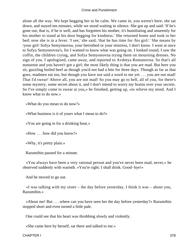alone all the way. We kept begging her to be calm. We came in, you weren't here; she sat down, and stayed ten minutes, while we stood waiting in silence. She got up and said: 'If he's gone out, that is, if he is well, and has forgotten his mother, it's humiliating and unseemly for his mother to stand at his door begging for kindness.' She returned home and took to her bed; now she is in a fever. 'I see,' she said, 'that he has time for /his girl/.' She means by /your girl/ Sofya Semyonovna, your betrothed or your mistress, I don't know. I went at once to Sofya Semyonovna's, for I wanted to know what was going on. I looked round, I saw the coffin, the children crying, and Sofya Semyonovna trying them on mourning dresses. No sign of you. I apologised, came away, and reported to Avdotya Romanovna. So that's all nonsense and you haven't got a girl; the most likely thing is that you are mad. But here you sit, guzzling boiled beef as though you'd not had a bite for three days. Though as far as that goes, madmen eat too, but though you have not said a word to me yet . . . you are not mad! That I'd swear! Above all, you are not mad! So you may go to hell, all of you, for there's some mystery, some secret about it, and I don't intend to worry my brains over your secrets. So I've simply come to swear at you,» he finished, getting up, «to relieve my mind. And I know what to do now.»

«What do you mean to do now?»

«What business is it of yours what I mean to do?»

«You are going in for a drinking bout.»

«How . . . how did you know?»

«Why, it's pretty plain.»

Razumihin paused for a minute.

 «You always have been a very rational person and you've never been mad, never,» he observed suddenly with warmth. «You're right: I shall drink. Good−bye!»

And he moved to go out.

 «I was talking with my sister – the day before yesterday, I think it was – about you, Razumihin.»

 «About me! But . . . where can you have seen her the day before yesterday?» Razumihin stopped short and even turned a little pale.

One could see that his heart was throbbing slowly and violently.

«She came here by herself, sat there and talked to me.»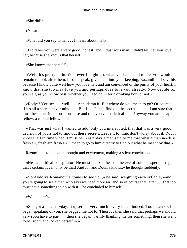«She did!»

«Yes.»

«What did you say to her . . . I mean, about me?»

 «I told her you were a very good, honest, and industrious man. I didn't tell her you love her, because she knows that herself.»

«She knows that herself?»

 «Well, it's pretty plain. Wherever I might go, whatever happened to me, you would remain to look after them. I, so to speak, give them into your keeping, Razumihin. I say this because I know quite well how you love her, and am convinced of the purity of your heart. I know that she too may love you and perhaps does love you already. Now decide for yourself, as you know best, whether you need go in for a drinking bout or not.»

 «Rodya! You see . . . well. . . . Ach, damn it! But where do you mean to go? Of course, if it's all a secret, never mind. . . . But I . . . I shall find out the secret . . . and I am sure that it must be some ridiculous nonsense and that you've made it all up. Anyway you are a capital fellow, a capital fellow! . . .»

 «That was just what I wanted to add, only you interrupted, that that was a very good decision of yours not to find out these secrets. Leave it to time, don't worry about it. You'll know it all in time when it must be. Yesterday a man said to me that what a man needs is fresh air, fresh air, fresh air. I mean to go to him directly to find out what he meant by that.»

Razumihin stood lost in thought and excitement, making a silent conclusion.

 «He's a political conspirator! He must be. And he's on the eve of some desperate step, that's certain. It can only be that! And . . . and Dounia knows,» he thought suddenly.

 «So Avdotya Romanovna comes to see you,» he said, weighing each syllable, «and you're going to see a man who says we need more air, and so of course that letter . . . that too must have something to do with it,» he concluded to himself.

«What letter?»

 «She got a letter to−day. It upset her very much – very much indeed. Too much so. I began speaking of you, she begged me not to. Then . . . then she said that perhaps we should very soon have to part . . . then she began warmly thanking me for something; then she went to her room and locked herself in.»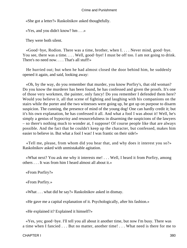«She got a letter?» Raskolnikov asked thoughtfully.

«Yes, and you didn't know? hm . . .»

They were both silent.

 «Good−bye, Rodion. There was a time, brother, when I. . . . Never mind, good−bye. You see, there was a time. . . . Well, good−bye! I must be off too. I am not going to drink. There's no need now. . . . That's all stuff!»

 He hurried out; but when he had almost closed the door behind him, he suddenly opened it again, and said, looking away:

 «Oh, by the way, do you remember that murder, you know Porfiry's, that old woman? Do you know the murderer has been found, he has confessed and given the proofs. It's one of those very workmen, the painter, only fancy! Do you remember I defended them here? Would you believe it, all that scene of fighting and laughing with his companions on the stairs while the porter and the two witnesses were going up, he got up on purpose to disarm suspicion. The cunning, the presence of mind of the young dog! One can hardly credit it; but it's his own explanation, he has confessed it all. And what a fool I was about it! Well, he's simply a genius of hypocrisy and resourcefulness in disarming the suspicions of the lawyers – so there's nothing much to wonder at, I suppose! Of course people like that are always possible. And the fact that he couldn't keep up the character, but confessed, makes him easier to believe in. But what a fool I was! I was frantic on their side!»

 «Tell me, please, from whom did you hear that, and why does it interest you so?» Raskolnikov asked with unmistakable agitation.

 «What next? You ask me why it interests me! . . . Well, I heard it from Porfiry, among others . . . It was from him I heard almost all about it.»

«From Porfiry?»

«From Porfiry.»

«What . . . what did he say?» Raskolnikov asked in dismay.

«He gave me a capital explanation of it. Psychologically, after his fashion.»

«He explained it? Explained it himself?»

 «Yes, yes; good−bye. I'll tell you all about it another time, but now I'm busy. There was a time when I fancied . . . But no matter, another time! . . . What need is there for me to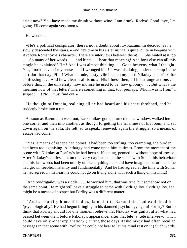drink now? You have made me drunk without wine. I am drunk, Rodya! Good−bye, I'm going. I'll come again very soon.»

He went out.

 «He's a political conspirator, there's not a doubt about it,» Razumihin decided, as he slowly descended the stairs. «And he's drawn his sister in; that's quite, quite in keeping with Avdotya Romanovna's character. There are interviews between them! . . . She hinted at it too . . . So many of her words. . . . and hints . . . bear that meaning! And how else can all this tangle be explained? Hm! And I was almost thinking . . . Good heavens, what I thought! Yes, I took leave of my senses and I wronged him! It was his doing, under the lamp in the corridor that day. Pfoo! What a crude, nasty, vile idea on my part! Nikolay is a brick, for confessing. . . . And how clear it all is now! His illness then, all his strange actions . . . before this, in the university, how morose he used to be, how gloomy. . . . But what's the meaning now of that letter? There's something in that, too, perhaps. Whom was it from? I suspect . . .! No, I must find out!»

 He thought of Dounia, realising all he had heard and his heart throbbed, and he suddenly broke into a run.

 As soon as Razumihin went out, Raskolnikov got up, turned to the window, walked into one corner and then into another, as though forgetting the smallness of his room, and sat down again on the sofa. He felt, so to speak, renewed; again the struggle, so a means of escape had come.

 "Yes, a means of escape had come! It had been too stifling, too cramping, the burden had been too agonising. A lethargy had come upon him at times. From the moment of the scene with Nikolay at Porfiry's he had been suffocating, penned in without hope of escape. After Nikolay's confession, on that very day had come the scene with Sonia; his behaviour and his last words had been utterly unlike anything he could have imagined beforehand; he had grown feebler, instantly and fundamentally! And he had agreed at the time with Sonia, he had agreed in his heart he could not go on living alone with such a thing on his mind!

 "And Svidrigailov was a riddle . . . He worried him, that was true, but somehow not on the same point. He might still have a struggle to come with Svidrigailov. Svidrigailov, too, might be a means of escape; but Porfiry was a different matter.

 "And so Porfiry himself had explained it to Razumihin, had explained it /psychologically/. He had begun bringing in his damned psychology again! Porfiry? But to think that Porfiry should for one moment believe that Nikolay was guilty, after what had passed between them before Nikolay's appearance, after that tete−a−tete interview, which could have only /one/ explanation? (During those days Raskolnikov had often recalled passages in that scene with Porfiry; he could not bear to let his mind rest on it.) Such words,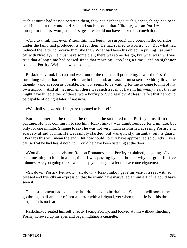such gestures had passed between them, they had exchanged such glances, things had been said in such a tone and had reached such a pass, that Nikolay, whom Porfiry had seen through at the first word, at the first gesture, could not have shaken his conviction.

 «And to think that even Razumihin had begun to suspect! The scene in the corridor under the lamp had produced its effect then. He had rushed to Porfiry. . . . But what had induced the latter to receive him like that? What had been his object in putting Razumihin off with Nikolay? He must have some plan; there was some design, but what was it? It was true that a long time had passed since that morning – too long a time – and no sight nor sound of Porfiry. Well, that was a bad sign. . . .»

 Raskolnikov took his cap and went out of the room, still pondering. It was the first time for a long while that he had felt clear in his mind, at least. «I must settle Svidrigailov,» he thought, «and as soon as possible; he, too, seems to be waiting for me to come to him of my own accord.» And at that moment there was such a rush of hate in his weary heart that he might have killed either of those two – Porfiry or Svidrigailov. At least he felt that he would be capable of doing it later, if not now.

«We shall see, we shall see,» he repeated to himself.

 But no sooner had he opened the door than he stumbled upon Porfiry himself in the passage. He was coming in to see him. Raskolnikov was dumbfounded for a minute, but only for one minute. Strange to say, he was not very much astonished at seeing Porfiry and scarcely afraid of him. He was simply startled, but was quickly, instantly, on his guard. «Perhaps this will mean the end? But how could Porfiry have approached so quietly, like a cat, so that he had heard nothing? Could he have been listening at the door?»

 «You didn't expect a visitor, Rodion Romanovitch,» Porfiry explained, laughing. «I've been meaning to look in a long time; I was passing by and thought why not go in for five minutes. Are you going out? I won't keep you long. Just let me have one cigarette.»

 «Sit down, Porfiry Petrovitch, sit down.» Raskolnikov gave his visitor a seat with so pleased and friendly an expression that he would have marvelled at himself, if he could have seen it.

 The last moment had come, the last drops had to be drained! So a man will sometimes go through half an hour of mortal terror with a brigand, yet when the knife is at his throat at last, he feels no fear.

 Raskolnikov seated himself directly facing Porfiry, and looked at him without flinching. Porfiry screwed up his eyes and began lighting a cigarette.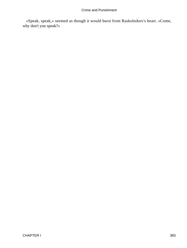«Speak, speak,» seemed as though it would burst from Raskolnikov's heart. «Come, why don't you speak?»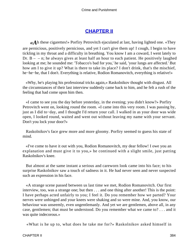# **[CHAPTER II](#page-466-0)**

*«A*h these cigarettes!» Porfiry Petrovitch ejaculated at last, having lighted one. «They are pernicious, positively pernicious, and yet I can't give them up! I cough, I begin to have tickling in my throat and a difficulty in breathing. You know I am a coward, I went lately to Dr.  $B - -n$ ; he always gives at least half an hour to each patient. He positively laughed looking at me; he sounded me: 'Tobacco's bad for you,' he said, 'your lungs are affected.' But how am I to give it up? What is there to take its place? I don't drink, that's the mischief, he−he−he, that I don't. Everything is relative, Rodion Romanovitch, everything is relative!»

 «Why, he's playing his professional tricks again,» Raskolnikov thought with disgust. All the circumstances of their last interview suddenly came back to him, and he felt a rush of the feeling that had come upon him then.

 «I came to see you the day before yesterday, in the evening; you didn't know?» Porfiry Petrovitch went on, looking round the room. «I came into this very room. I was passing by, just as I did to−day, and I thought I'd return your call. I walked in as your door was wide open, I looked round, waited and went out without leaving my name with your servant. Don't you lock your door?»

 Raskolnikov's face grew more and more gloomy. Porfiry seemed to guess his state of mind.

 «I've come to have it out with you, Rodion Romanovitch, my dear fellow! I owe you an explanation and must give it to you,» he continued with a slight smile, just patting Raskolnikov's knee.

 But almost at the same instant a serious and careworn look came into his face; to his surprise Raskolnikov saw a touch of sadness in it. He had never seen and never suspected such an expression in his face.

 «A strange scene passed between us last time we met, Rodion Romanovitch. Our first interview, too, was a strange one; but then . . . and one thing after another! This is the point: I have perhaps acted unfairly to you; I feel it. Do you remember how we parted? Your nerves were unhinged and your knees were shaking and so were mine. And, you know, our behaviour was unseemly, even ungentlemanly. And yet we are gentlemen, above all, in any case, gentlemen; that must be understood. Do you remember what we came to? . . . and it was quite indecorous.»

«What is he up to, what does he take me for?» Raskolnikov asked himself in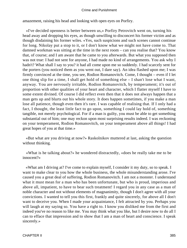amazement, raising his head and looking with open eyes on Porfiry.

 «I've decided openness is better between us,» Porfiry Petrovitch went on, turning his head away and dropping his eyes, as though unwilling to disconcert his former victim and as though disdaining his former wiles. «Yes, such suspicions and such scenes cannot continue for long. Nikolay put a stop to it, or I don't know what we might not have come to. That damned workman was sitting at the time in the next room – can you realise that? You know that, of course; and I am aware that he came to you afterwards. But what you supposed then was not true: I had not sent for anyone, I had made no kind of arrangements. You ask why I hadn't? What shall I say to you? it had all come upon me so suddenly. I had scarcely sent for the porters (you noticed them as you went out, I dare say). An idea flashed upon me; I was firmly convinced at the time, you see, Rodion Romanovitch. Come, I thought – even if I let one thing slip for a time, I shall get hold of something else – I shan't lose what I want, anyway. You are nervously irritable, Rodion Romanovitch, by temperament; it's out of proportion with other qualities of your heart and character, which I flatter myself I have to some extent divined. Of course I did reflect even then that it does not always happen that a man gets up and blurts out his whole story. It does happen sometimes, if you make a man lose all patience, though even then it's rare. I was capable of realising that. If I only had a fact, I thought, the least little fact to go upon, something I could lay hold of, something tangible, not merely psychological. For if a man is guilty, you must be able to get something substantial out of him; one may reckon upon most surprising results indeed. I was reckoning on your temperament, Rodion Romanovitch, on your temperament above all things! I had great hopes of you at that time.»

 «But what are you driving at now?» Raskolnikov muttered at last, asking the question without thinking.

 «What is he talking about?» he wondered distractedly, «does he really take me to be innocent?»

 «What am I driving at? I've come to explain myself, I consider it my duty, so to speak. I want to make clear to you how the whole business, the whole misunderstanding arose. I've caused you a great deal of suffering, Rodion Romanovitch. I am not a monster. I understand what it must mean for a man who has been unfortunate, but who is proud, imperious and above all, impatient, to have to bear such treatment! I regard you in any case as a man of noble character and not without elements of magnanimity, though I don't agree with all your convictions. I wanted to tell you this first, frankly and quite sincerely, for above all I don't want to deceive you. When I made your acquaintance, I felt attracted by you. Perhaps you will laugh at my saying so. You have a right to. I know you disliked me from the first and indeed you've no reason to like me. You may think what you like, but I desire now to do all I can to efface that impression and to show that I am a man of heart and conscience. I speak sincerely.»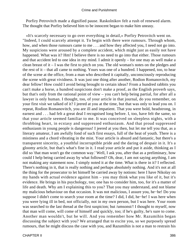Porfiry Petrovitch made a dignified pause. Raskolnikov felt a rush of renewed alarm. The thought that Porfiry believed him to be innocent began to make him uneasy.

 «It's scarcely necessary to go over everything in detail,» Porfiry Petrovitch went on. "Indeed, I could scarcely attempt it. To begin with there were rumours. Through whom, how, and when those rumours came to me . . . and how they affected you, I need not go into. My suspicions were aroused by a complete accident, which might just as easily not have happened. What was it? Hm! I believe there is no need to go into that either. Those rumours and that accident led to one idea in my mind. I admit it openly – for one may as well make a clean breast of it – I was the first to pitch on you. The old woman's notes on the pledges and the rest of it – that all came to nothing. Yours was one of a hundred. I happened, too, to hear of the scene at the office, from a man who described it capitally, unconsciously reproducing the scene with great vividness. It was just one thing after another, Rodion Romanovitch, my dear fellow! How could I avoid being brought to certain ideas? From a hundred rabbits you can't make a horse, a hundred suspicions don't make a proof, as the English proverb says, but that's only from the rational point of view – you can't help being partial, for after all a lawyer is only human. I thought, too, of your article in that journal, do you remember, on your first visit we talked of it? I jeered at you at the time, but that was only to lead you on. I repeat, Rodion Romanovitch, you are ill and impatient. That you were bold, headstrong, in earnest and . . . had felt a great deal I recognised long before. I, too, have felt the same, so that your article seemed familiar to me. It was conceived on sleepless nights, with a throbbing heart, in ecstasy and suppressed enthusiasm. And that proud suppressed enthusiasm in young people is dangerous! I jeered at you then, but let me tell you that, as a literary amateur, I am awfully fond of such first essays, full of the heat of youth. There is a mistiness and a chord vibrating in the mist. Your article is absurd and fantastic, but there's a transparent sincerity, a youthful incorruptible pride and the daring of despair in it. It's a gloomy article, but that's what's fine in it. I read your article and put it aside, thinking as I did so 'that man won't go the common way.' Well, I ask you, after that as a preliminary, how could I help being carried away by what followed? Oh, dear, I am not saying anything, I am not making any statement now. I simply noted it at the time. What is there in it? I reflected. There's nothing in it, that is really nothing and perhaps absolutely nothing. And it's not at all the thing for the prosecutor to let himself be carried away by notions: here I have Nikolay on my hands with actual evidence against him – you may think what you like of it, but it's evidence. He brings in his psychology, too; one has to consider him, too, for it's a matter of life and death. Why am I explaining this to you? That you may understand, and not blame my malicious behaviour on that occasion. It was not malicious, I assure you, he−he! Do you suppose I didn't come to search your room at the time? I did, I did, he−he! I was here when you were lying ill in bed, not officially, not in my own person, but I was here. Your room was searched to the last thread at the first suspicion; but /umsonst/! I thought to myself, now that man will come, will come of himself and quickly, too; if he's guilty, he's sure to come. Another man wouldn't, but he will. And you remember how Mr. Razumihin began discussing the subject with you? We arranged that to excite you, so we purposely spread rumours, that he might discuss the case with you, and Razumihin is not a man to restrain his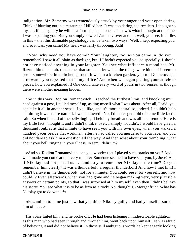indignation. Mr. Zametov was tremendously struck by your anger and your open daring. Think of blurting out in a restaurant 'I killed her.' It was too daring, too reckless. I thought so myself, if he is guilty he will be a formidable opponent. That was what I thought at the time. I was expecting you. But you simply bowled Zametov over and . . . well, you see, it all lies in this – that this damnable psychology can be taken two ways! Well, I kept expecting you, and so it was, you came! My heart was fairly throbbing. Ach!

 "Now, why need you have come? Your laughter, too, as you came in, do you remember? I saw it all plain as daylight, but if I hadn't expected you so specially, I should not have noticed anything in your laughter. You see what influence a mood has! Mr. Razumihin then – ah, that stone, that stone under which the things were hidden! I seem to see it somewhere in a kitchen garden. It was in a kitchen garden, you told Zametov and afterwards you repeated that in my office? And when we began picking your article to pieces, how you explained it! One could take every word of yours in two senses, as though there were another meaning hidden.

 "So in this way, Rodion Romanovitch, I reached the furthest limit, and knocking my head against a post, I pulled myself up, asking myself what I was about. After all, I said, you can take it all in another sense if you like, and it's more natural so, indeed. I couldn't help admitting it was more natural. I was bothered! 'No, I'd better get hold of some little fact' I said. So when I heard of the bell−ringing, I held my breath and was all in a tremor. 'Here is my little fact,' thought I, and I didn't think it over, I simply wouldn't. I would have given a thousand roubles at that minute to have seen you with my own eyes, when you walked a hundred paces beside that workman, after he had called you murderer to your face, and you did not dare to ask him a question all the way. And then what about your trembling, what about your bell−ringing in your illness, in semi−delirium?

 «And so, Rodion Romanovitch, can you wonder that I played such pranks on you? And what made you come at that very minute? Someone seemed to have sent you, by Jove! And if Nikolay had not parted us . . . and do you remember Nikolay at the time? Do you remember him clearly? It was a thunderbolt, a regular thunderbolt! And how I met him! I didn't believe in the thunderbolt, not for a minute. You could see it for yourself; and how could I? Even afterwards, when you had gone and he began making very, very plausible answers on certain points, so that I was surprised at him myself, even then I didn't believe his story! You see what it is to be as firm as a rock! No, thought I, /Morgenfruh/. What has Nikolay got to do with it!»

 «Razumihin told me just now that you think Nikolay guilty and had yourself assured him of it.  $\ldots$  »

 His voice failed him, and he broke off. He had been listening in indescribable agitation, as this man who had seen through and through him, went back upon himself. He was afraid of believing it and did not believe it. In those still ambiguous words he kept eagerly looking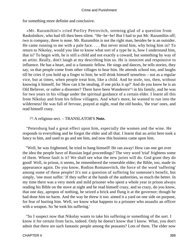for something more definite and conclusive.

 «Mr. Razumihin!» cried Porfiry Petrovitch, seeming glad of a question from Raskolnikov, who had till then been silent. "He−he−he! But I had to put Mr. Razumihin off; two is company, three is none. Mr. Razumihin is not the right man, besides he is an outsider. He came running to me with a pale face. . . . But never mind him, why bring him in? To return to Nikolay, would you like to know what sort of a type he is, how I understand him, that is? To begin with, he is still a child and not exactly a coward, but something by way of an artist. Really, don't laugh at my describing him so. He is innocent and responsive to influence. He has a heart, and is a fantastic fellow. He sings and dances, he tells stories, they say, so that people come from other villages to hear him. He attends school too, and laughs till he cries if you hold up a finger to him; he will drink himself senseless – not as a regular vice, but at times, when people treat him, like a child. And he stole, too, then, without knowing it himself, for 'How can it be stealing, if one picks it up?' And do you know he is an Old Believer, or rather a dissenter? There have been Wanderers[\*] in his family, and he was for two years in his village under the spiritual guidance of a certain elder. I learnt all this from Nikolay and from his fellow villagers. And what's more, he wanted to run into the wilderness! He was full of fervour, prayed at night, read the old books, 'the true' ones, and read himself crazy.

# [\*] A religious sect. – TRANSLATOR'S **Note.**

 "Petersburg had a great effect upon him, especially the women and the wine. He responds to everything and he forgot the elder and all that. I learnt that an artist here took a fancy to him, and used to go and see him, and now this business came upon him.

 "Well, he was frightened, he tried to hang himself! He ran away! How can one get over the idea the people have of Russian legal proceedings? The very word 'trial' frightens some of them. Whose fault is it? We shall see what the new juries will do. God grant they do good! Well, in prison, it seems, he remembered the venerable elder; the Bible, too, made its appearance again. Do you know, Rodion Romanovitch, the force of the word 'suffering' among some of these people! It's not a question of suffering for someone's benefit, but simply, 'one must suffer.' If they suffer at the hands of the authorities, so much the better. In my time there was a very meek and mild prisoner who spent a whole year in prison always reading his Bible on the stove at night and he read himself crazy, and so crazy, do you know, that one day, apropos of nothing, he seized a brick and flung it at the governor; though he had done him no harm. And the way he threw it too: aimed it a yard on one side on purpose, for fear of hurting him. Well, we know what happens to a prisoner who assaults an officer with a weapon. So 'he took his suffering.'

 "So I suspect now that Nikolay wants to take his suffering or something of the sort. I know it for certain from facts, indeed. Only he doesn't know that I know. What, you don't admit that there are such fantastic people among the peasants? Lots of them. The elder now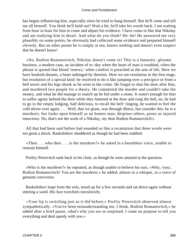has begun influencing him, especially since he tried to hang himself. But he'll come and tell me all himself. You think he'll hold out? Wait a bit, he'll take his words back. I am waiting from hour to hour for him to come and abjure his evidence. I have come to like that Nikolay and am studying him in detail. And what do you think? He−he! He answered me very plausibly on some points, he obviously had collected some evidence and prepared himself cleverly. But on other points he is simply at sea, knows nothing and doesn't even suspect that he doesn't know!

 «No, Rodion Romanovitch, Nikolay doesn't come in! This is a fantastic, gloomy business, a modern case, an incident of to−day when the heart of man is troubled, when the phrase is quoted that blood 'renews,' when comfort is preached as the aim of life. Here we have bookish dreams, a heart unhinged by theories. Here we see resolution in the first stage, but resolution of a special kind: he resolved to do it like jumping over a precipice or from a bell tower and his legs shook as he went to the crime. He forgot to shut the door after him, and murdered two people for a theory. He committed the murder and couldn't take the money, and what he did manage to snatch up he hid under a stone. It wasn't enough for him to suffer agony behind the door while they battered at the door and rung the bell, no, he had to go to the empty lodging, half delirious, to recall the bell−ringing, he wanted to feel the cold shiver over again. . . . Well, that we grant, was through illness, but consider this: he is a murderer, but looks upon himself as an honest man, despises others, poses as injured innocence. No, that's not the work of a Nikolay, my dear Rodion Romanovitch!»

 All that had been said before had sounded so like a recantation that these words were too great a shock. Raskolnikov shuddered as though he had been stabbed.

 «Then . . . who then . . . is the murderer?» he asked in a breathless voice, unable to restrain himself.

Porfiry Petrovitch sank back in his chair, as though he were amazed at the question.

 «Who is the murderer?» he repeated, as though unable to believe his ears. «Why, /you/, Rodion Romanovitch! You are the murderer,» he added, almost in a whisper, in a voice of genuine conviction.

 Raskolnikov leapt from the sofa, stood up for a few seconds and sat down again without uttering a word. His face twitched convulsively.

 «Your lip is twitching just as it did before,» Porfiry Petrovitch observed almost sympathetically. «You've been misunderstanding me, I think, Rodion Romanovitch,» he added after a brief pause, «that's why you are so surprised. I came on purpose to tell you everything and deal openly with you.»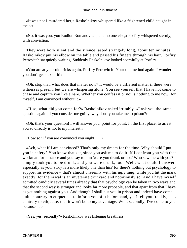«It was not I murdered her,» Raskolnikov whispered like a frightened child caught in the act.

 «No, it was you, you Rodion Romanovitch, and no one else,» Porfiry whispered sternly, with conviction.

 They were both silent and the silence lasted strangely long, about ten minutes. Raskolnikov put his elbow on the table and passed his fingers through his hair. Porfiry Petrovitch sat quietly waiting. Suddenly Raskolnikov looked scornfully at Porfiry.

 «You are at your old tricks again, Porfiry Petrovitch! Your old method again. I wonder you don't get sick of it!»

 «Oh, stop that, what does that matter now? It would be a different matter if there were witnesses present, but we are whispering alone. You see yourself that I have not come to chase and capture you like a hare. Whether you confess it or not is nothing to me now; for myself, I am convinced without it.»

 «If so, what did you come for?» Raskolnikov asked irritably. «I ask you the same question again: if you consider me guilty, why don't you take me to prison?»

 «Oh, that's your question! I will answer you, point for point. In the first place, to arrest you so directly is not to my interest.»

«How so? If you are convinced you ought. . . .»

 «Ach, what if I am convinced? That's only my dream for the time. Why should I put you in safety? You know that's it, since you ask me to do it. If I confront you with that workman for instance and you say to him 'were you drunk or not? Who saw me with you? I simply took you to be drunk, and you were drunk, too.' Well, what could I answer, especially as your story is a more likely one than his? for there's nothing but psychology to support his evidence – that's almost unseemly with his ugly mug, while you hit the mark exactly, for the rascal is an inveterate drunkard and notoriously so. And I have myself admitted candidly several times already that that psychology can be taken in two ways and that the second way is stronger and looks far more probable, and that apart from that I have as yet nothing against you. And though I shall put you in prison and indeed have come – quite contrary to etiquette – to inform you of it beforehand, yet I tell you frankly, also contrary to etiquette, that it won't be to my advantage. Well, secondly, I've come to you because . . .»

«Yes, yes, secondly?» Raskolnikov was listening breathless.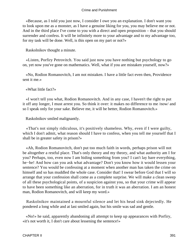«Because, as I told you just now, I consider I owe you an explanation. I don't want you to look upon me as a monster, as I have a genuine liking for you, you may believe me or not. And in the third place I've come to you with a direct and open proposition – that you should surrender and confess. It will be infinitely more to your advantage and to my advantage too, for my task will be done. Well, is this open on my part or not?»

Raskolnikov thought a minute.

 «Listen, Porfiry Petrovitch. You said just now you have nothing but psychology to go on, yet now you've gone on mathematics. Well, what if you are mistaken yourself, now?»

 «No, Rodion Romanovitch, I am not mistaken. I have a little fact even then, Providence sent it me.»

«What little fact?»

 «I won't tell you what, Rodion Romanovitch. And in any case, I haven't the right to put it off any longer, I must arrest you. So think it over: it makes no difference to me /now/ and so I speak only for your sake. Believe me, it will be better, Rodion Romanovitch.»

Raskolnikov smiled malignantly.

 «That's not simply ridiculous, it's positively shameless. Why, even if I were guilty, which I don't admit, what reason should I have to confess, when you tell me yourself that I shall be in greater safety in prison?»

 «Ah, Rodion Romanovitch, don't put too much faith in words, perhaps prison will not be altogether a restful place. That's only theory and my theory, and what authority am I for you? Perhaps, too, even now I am hiding something from you? I can't lay bare everything, he−he! And how can you ask what advantage? Don't you know how it would lessen your sentence? You would be confessing at a moment when another man has taken the crime on himself and so has muddled the whole case. Consider that! I swear before God that I will so arrange that your confession shall come as a complete surprise. We will make a clean sweep of all these psychological points, of a suspicion against you, so that your crime will appear to have been something like an aberration, for in truth it was an aberration. I am an honest man, Rodion Romanovitch, and will keep my word.»

 Raskolnikov maintained a mournful silence and let his head sink dejectedly. He pondered a long while and at last smiled again, but his smile was sad and gentle.

 «No!» he said, apparently abandoning all attempt to keep up appearances with Porfiry, «it's not worth it, I don't care about lessening the sentence!»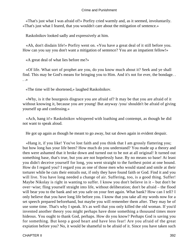«That's just what I was afraid of!» Porfiry cried warmly and, as it seemed, involuntarily. «That's just what I feared, that you wouldn't care about the mitigation of sentence.»

Raskolnikov looked sadly and expressively at him.

 «Ah, don't disdain life!» Porfiry went on. «You have a great deal of it still before you. How can you say you don't want a mitigation of sentence? You are an impatient fellow!»

«A great deal of what lies before me?»

 «Of life. What sort of prophet are you, do you know much about it? Seek and ye shall find. This may be God's means for bringing you to Him. And it's not for ever, the bondage. . . .»

«The time will be shortened,» laughed Raskolnikov.

 «Why, is it the bourgeois disgrace you are afraid of? It may be that you are afraid of it without knowing it, because you are young! But anyway /you/ shouldn't be afraid of giving yourself up and confessing.»

 «Ach, hang it!» Raskolnikov whispered with loathing and contempt, as though he did not want to speak aloud.

He got up again as though he meant to go away, but sat down again in evident despair.

 «Hang it, if you like! You've lost faith and you think that I am grossly flattering you; but how long has your life been? How much do you understand? You made up a theory and then were ashamed that it broke down and turned out to be not at all original! It turned out something base, that's true, but you are not hopelessly base. By no means so base! At least you didn't deceive yourself for long, you went straight to the furthest point at one bound. How do I regard you? I regard you as one of those men who would stand and smile at their torturer while he cuts their entrails out, if only they have found faith or God. Find it and you will live. You have long needed a change of air. Suffering, too, is a good thing. Suffer! Maybe Nikolay is right in wanting to suffer. I know you don't believe in it – but don't be over−wise; fling yourself straight into life, without deliberation; don't be afraid – the flood will bear you to the bank and set you safe on your feet again. What bank? How can I tell? I only believe that you have long life before you. I know that you take all my words now for a set speech prepared beforehand, but maybe you will remember them after. They may be of use some time. That's why I speak. It's as well that you only killed the old woman. If you'd invented another theory you might perhaps have done something a thousand times more hideous. You ought to thank God, perhaps. How do you know? Perhaps God is saving you for something. But keep a good heart and have less fear! Are you afraid of the great expiation before you? No, it would be shameful to be afraid of it. Since you have taken such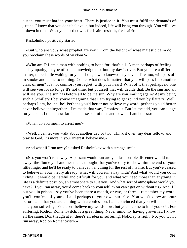a step, you must harden your heart. There is justice in it. You must fulfil the demands of justice. I know that you don't believe it, but indeed, life will bring you through. You will live it down in time. What you need now is fresh air, fresh air, fresh air!»

Raskolnikov positively started.

 «But who are you? what prophet are you? From the height of what majestic calm do you proclaim these words of wisdom?»

 «Who am I? I am a man with nothing to hope for, that's all. A man perhaps of feeling and sympathy, maybe of some knowledge too, but my day is over. But you are a different matter, there is life waiting for you. Though, who knows? maybe your life, too, will pass off in smoke and come to nothing. Come, what does it matter, that you will pass into another class of men? It's not comfort you regret, with your heart! What of it that perhaps no one will see you for so long? It's not time, but yourself that will decide that. Be the sun and all will see you. The sun has before all to be the sun. Why are you smiling again? At my being such a Schiller? I bet you're imagining that I am trying to get round you by flattery. Well, perhaps I am, he−he−he! Perhaps you'd better not believe my word, perhaps you'd better never believe it altogether – I'm made that way, I confess it. But let me add, you can judge for yourself, I think, how far I am a base sort of man and how far I am honest.»

«When do you mean to arrest me?»

 «Well, I can let you walk about another day or two. Think it over, my dear fellow, and pray to God. It's more in your interest, believe me.»

«And what if I run away?» asked Raskolnikov with a strange smile.

 «No, you won't run away. A peasant would run away, a fashionable dissenter would run away, the flunkey of another man's thought, for you've only to show him the end of your little finger and he'll be ready to believe in anything for the rest of his life. But you've ceased to believe in your theory already, what will you run away with? And what would you do in hiding? It would be hateful and difficult for you, and what you need more than anything in life is a definite position, an atmosphere to suit you. And what sort of atmosphere would you have? If you ran away, you'd come back to yourself. /You can't get on without us./ And if I put you in prison – say you've been there a month, or two, or three – remember my word, you'll confess of yourself and perhaps to your own surprise. You won't know an hour beforehand that you are coming with a confession. I am convinced that you will decide, 'to take your suffering.' You don't believe my words now, but you'll come to it of yourself. For suffering, Rodion Romanovitch, is a great thing. Never mind my having grown fat, I know all the same. Don't laugh at it, there's an idea in suffering, Nokolay is right. No, you won't run away, Rodion Romanovitch.»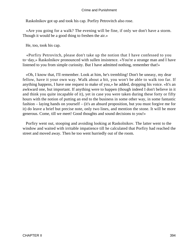Raskolnikov got up and took his cap. Porfiry Petrovitch also rose.

 «Are you going for a walk? The evening will be fine, if only we don't have a storm. Though it would be a good thing to freshen the air.»

He, too, took his cap.

 «Porfiry Petrovitch, please don't take up the notion that I have confessed to you to−day,» Raskolnikov pronounced with sullen insistence. «You're a strange man and I have listened to you from simple curiosity. But I have admitted nothing, remember that!»

 «Oh, I know that, I'll remember. Look at him, he's trembling! Don't be uneasy, my dear fellow, have it your own way. Walk about a bit, you won't be able to walk too far. If anything happens, I have one request to make of you,» he added, dropping his voice. «It's an awkward one, but important. If anything were to happen (though indeed I don't believe in it and think you quite incapable of it), yet in case you were taken during these forty or fifty hours with the notion of putting an end to the business in some other way, in some fantastic fashion – laying hands on yourself – (it's an absurd proposition, but you must forgive me for it) do leave a brief but precise note, only two lines, and mention the stone. It will be more generous. Come, till we meet! Good thoughts and sound decisions to you!»

 Porfiry went out, stooping and avoiding looking at Raskolnikov. The latter went to the window and waited with irritable impatience till he calculated that Porfiry had reached the street and moved away. Then he too went hurriedly out of the room.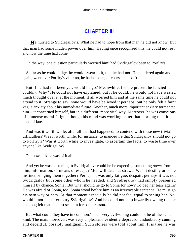# **[CHAPTER III](#page-466-0)**

*H*e hurried to Svidrigailov's. What he had to hope from that man he did not know. But that man had some hidden power over him. Having once recognised this, he could not rest, and now the time had come.

On the way, one question particularly worried him: had Svidrigailov been to Porfiry's?

 As far as he could judge, he would swear to it, that he had not. He pondered again and again, went over Porfiry's visit; no, he hadn't been, of course he hadn't.

 But if he had not been yet, would he go? Meanwhile, for the present he fancied he couldn't. Why? He could not have explained, but if he could, he would not have wasted much thought over it at the moment. It all worried him and at the same time he could not attend to it. Strange to say, none would have believed it perhaps, but he only felt a faint vague anxiety about his immediate future. Another, much more important anxiety tormented him – it concerned himself, but in a different, more vital way. Moreover, he was conscious of immense moral fatigue, though his mind was working better that morning than it had done of late.

 And was it worth while, after all that had happened, to contend with these new trivial difficulties? Was it worth while, for instance, to manoeuvre that Svidrigailov should not go to Porfiry's? Was it worth while to investigate, to ascertain the facts, to waste time over anyone like Svidrigailov?

Oh, how sick he was of it all!

 And yet he was hastening to Svidrigailov; could he be expecting something /new/ from him, information, or means of escape? Men will catch at straws! Was it destiny or some instinct bringing them together? Perhaps it was only fatigue, despair; perhaps it was not Svidrigailov but some other whom he needed, and Svidrigailov had simply presented himself by chance. Sonia? But what should he go to Sonia for now? To beg her tears again? He was afraid of Sonia, too. Sonia stood before him as an irrevocable sentence. He must go his own way or hers. At that moment especially he did not feel equal to seeing her. No, would it not be better to try Svidrigailov? And he could not help inwardly owning that he had long felt that he must see him for some reason.

 But what could they have in common? Their very evil−doing could not be of the same kind. The man, moreover, was very unpleasant, evidently depraved, undoubtedly cunning and deceitful, possibly malignant. Such stories were told about him. It is true he was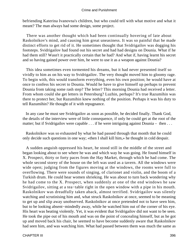befriending Katerina Ivanovna's children, but who could tell with what motive and what it meant? The man always had some design, some project.

 There was another thought which had been continually hovering of late about Raskolnikov's mind, and causing him great uneasiness. It was so painful that he made distinct efforts to get rid of it. He sometimes thought that Svidrigailov was dogging his footsteps. Svidrigailov had found out his secret and had had designs on Dounia. What if he had them still? Wasn't it practically certain that he had? And what if, having learnt his secret and so having gained power over him, he were to use it as a weapon against Dounia?

 This idea sometimes even tormented his dreams, but it had never presented itself so vividly to him as on his way to Svidrigailov. The very thought moved him to gloomy rage. To begin with, this would transform everything, even his own position; he would have at once to confess his secret to Dounia. Would he have to give himself up perhaps to prevent Dounia from taking some rash step? The letter? This morning Dounia had received a letter. From whom could she get letters in Petersburg? Luzhin, perhaps? It's true Razumihin was there to protect her, but Razumihin knew nothing of the position. Perhaps it was his duty to tell Razumihin? He thought of it with repugnance.

 In any case he must see Svidrigailov as soon as possible, he decided finally. Thank God, the details of the interview were of little consequence, if only he could get at the root of the matter; but if Svidrigailov were capable . . . if he were intriguing against Dounia – then . . .

 Raskolnikov was so exhausted by what he had passed through that month that he could only decide such questions in one way; «then I shall kill him,» he thought in cold despair.

 A sudden anguish oppressed his heart, he stood still in the middle of the street and began looking about to see where he was and which way he was going. He found himself in X. Prospect, thirty or forty paces from the Hay Market, through which he had come. The whole second storey of the house on the left was used as a tavern. All the windows were wide open; judging from the figures moving at the windows, the rooms were full to overflowing. There were sounds of singing, of clarionet and violin, and the boom of a Turkish drum. He could hear women shrieking. He was about to turn back wondering why he had come to the X. Prospect, when suddenly at one of the end windows he saw Svidrigailov, sitting at a tea−table right in the open window with a pipe in his mouth. Raskolnikov was dreadfully taken aback, almost terrified. Svidrigailov was silently watching and scrutinising him and, what struck Raskolnikov at once, seemed to be meaning to get up and slip away unobserved. Raskolnikov at once pretended not to have seen him, but to be looking absent−mindedly away, while he watched him out of the corner of his eye. His heart was beating violently. Yet, it was evident that Svidrigailov did not want to be seen. He took the pipe out of his mouth and was on the point of concealing himself, but as he got up and moved back his chair, he seemed to have become suddenly aware that Raskolnikov had seen him, and was watching him. What had passed between them was much the same as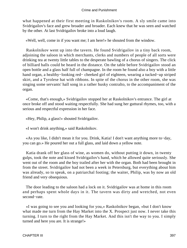what happened at their first meeting in Raskolnikov's room. A sly smile came into Svidrigailov's face and grew broader and broader. Each knew that he was seen and watched by the other. At last Svidrigailov broke into a loud laugh.

«Well, well, come in if you want me; I am here!» he shouted from the window.

 Raskolnikov went up into the tavern. He found Svidrigailov in a tiny back room, adjoining the saloon in which merchants, clerks and numbers of people of all sorts were drinking tea at twenty little tables to the desperate bawling of a chorus of singers. The click of billiard balls could be heard in the distance. On the table before Svidrigailov stood an open bottle and a glass half full of champagne. In the room he found also a boy with a little hand organ, a healthy−looking red− cheeked girl of eighteen, wearing a tucked−up striped skirt, and a Tyrolese hat with ribbons. In spite of the chorus in the other room, she was singing some servants' hall song in a rather husky contralto, to the accompaniment of the organ.

 «Come, that's enough,» Svidrigailov stopped her at Raskolnikov's entrance. The girl at once broke off and stood waiting respectfully. She had sung her guttural rhymes, too, with a serious and respectful expression in her face.

«Hey, Philip, a glass!» shouted Svidrigailov.

«I won't drink anything,» said Raskolnikov.

 «As you like, I didn't mean it for you. Drink, Katia! I don't want anything more to−day, you can go.» He poured her out a full glass, and laid down a yellow note.

 Katia drank off her glass of wine, as women do, without putting it down, in twenty gulps, took the note and kissed Svidrigailov's hand, which he allowed quite seriously. She went out of the room and the boy trailed after her with the organ. Both had been brought in from the street. Svidrigailov had not been a week in Petersburg, but everything about him was already, so to speak, on a patriarchal footing; the waiter, Philip, was by now an old friend and very obsequious.

 The door leading to the saloon had a lock on it. Svidrigailov was at home in this room and perhaps spent whole days in it. The tavern was dirty and wretched, not even second−rate.

 «I was going to see you and looking for you,» Raskolnikov began, «but I don't know what made me turn from the Hay Market into the X. Prospect just now. I never take this turning. I turn to the right from the Hay Market. And this isn't the way to you. I simply turned and here you are. It is strange!»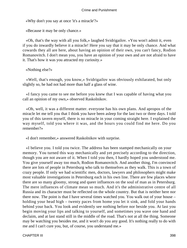«Why don't you say at once 'it's a miracle'?»

«Because it may be only chance.»

 «Oh, that's the way with all you folk,» laughed Svidrigailov. «You won't admit it, even if you do inwardly believe it a miracle! Here you say that it may be only chance. And what cowards they all are here, about having an opinion of their own, you can't fancy, Rodion Romanovitch. I don't mean you, you have an opinion of your own and are not afraid to have it. That's how it was you attracted my curiosity.»

«Nothing else?»

 «Well, that's enough, you know,» Svidrigailov was obviously exhilarated, but only slightly so, he had not had more than half a glass of wine.

 «I fancy you came to see me before you knew that I was capable of having what you call an opinion of my own,» observed Raskolnikov.

 «Oh, well, it was a different matter. everyone has his own plans. And apropos of the miracle let me tell you that I think you have been asleep for the last two or three days. I told you of this tavern myself, there is no miracle in your coming straight here. I explained the way myself, told you where it was, and the hours you could find me here. Do you remember?»

«I don't remember,» answered Raskolnikov with surprise.

 «I believe you. I told you twice. The address has been stamped mechanically on your memory. You turned this way mechanically and yet precisely according to the direction, though you are not aware of it. When I told you then, I hardly hoped you understood me. You give yourself away too much, Rodion Romanovitch. And another thing, I'm convinced there are lots of people in Petersburg who talk to themselves as they walk. This is a town of crazy people. If only we had scientific men, doctors, lawyers and philosophers might make most valuable investigations in Petersburg each in his own line. There are few places where there are so many gloomy, strong and queer influences on the soul of man as in Petersburg. The mere influences of climate mean so much. And it's the administrative centre of all Russia and its character must be reflected on the whole country. But that is neither here nor there now. The point is that I have several times watched you. You walk out of your house – holding your head high – twenty paces from home you let it sink, and fold your hands behind your back. You look and evidently see nothing before nor beside you. At last you begin moving your lips and talking to yourself, and sometimes you wave one hand and declaim, and at last stand still in the middle of the road. That's not at all the thing. Someone may be watching you besides me, and it won't do you any good. It's nothing really to do with me and I can't cure you, but, of course, you understand me.»

CHAPTER III 398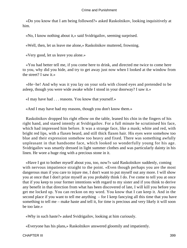«Do you know that I am being followed?» asked Raskolnikov, looking inquisitively at him.

«No, I know nothing about it,» said Svidrigailov, seeming surprised.

«Well, then, let us leave me alone,» Raskolnikov muttered, frowning.

«Very good, let us leave you alone.»

 «You had better tell me, if you come here to drink, and directed me twice to come here to you, why did you hide, and try to get away just now when I looked at the window from the street? I saw it.»

 «He−he! And why was it you lay on your sofa with closed eyes and pretended to be asleep, though you were wide awake while I stood in your doorway? I saw it.»

«I may have had . . . reasons. You know that yourself.»

«And I may have had my reasons, though you don't know them.»

 Raskolnikov dropped his right elbow on the table, leaned his chin in the fingers of his right hand, and stared intently at Svidrigailov. For a full minute he scrutinised his face, which had impressed him before. It was a strange face, like a mask; white and red, with bright red lips, with a flaxen beard, and still thick flaxen hair. His eyes were somehow too blue and their expression somehow too heavy and fixed. There was something awfully unpleasant in that handsome face, which looked so wonderfully young for his age. Svidrigailov was smartly dressed in light summer clothes and was particularly dainty in his linen. He wore a huge ring with a precious stone in it.

 «Have I got to bother myself about you, too, now?» said Raskolnikov suddenly, coming with nervous impatience straight to the point. «Even though perhaps you are the most dangerous man if you care to injure me, I don't want to put myself out any more. I will show you at once that I don't prize myself as you probably think I do. I've come to tell you at once that if you keep to your former intentions with regard to my sister and if you think to derive any benefit in that direction from what has been discovered of late, I will kill you before you get me locked up. You can reckon on my word. You know that I can keep it. And in the second place if you want to tell me anything – for I keep fancying all this time that you have something to tell me – make haste and tell it, for time is precious and very likely it will soon be too late.»

«Why in such haste?» asked Svidrigailov, looking at him curiously.

«Everyone has his plans,» Raskolnikov answered gloomily and impatiently.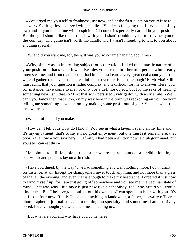«You urged me yourself to frankness just now, and at the first question you refuse to answer,» Svidrigailov observed with a smile. «You keep fancying that I have aims of my own and so you look at me with suspicion. Of course it's perfectly natural in your position. But though I should like to be friends with you, I shan't trouble myself to convince you of the contrary. The game isn't worth the candle and I wasn't intending to talk to you about anything special.»

«What did you want me, for, then? It was you who came hanging about me.»

 «Why, simply as an interesting subject for observation. I liked the fantastic nature of your position – that's what it was! Besides you are the brother of a person who greatly interested me, and from that person I had in the past heard a very great deal about you, from which I gathered that you had a great influence over her; isn't that enough? Ha−ha−ha! Still I must admit that your question is rather complex, and is difficult for me to answer. Here, you, for instance, have come to me not only for a definite object, but for the sake of hearing something new. Isn't that so? Isn't that so?» persisted Svidrigailov with a sly smile. «Well, can't you fancy then that I, too, on my way here in the train was reckoning on you, on your telling me something new, and on my making some profit out of you! You see what rich men we are!»

«What profit could you make?»

 «How can I tell you? How do I know? You see in what a tavern I spend all my time and it's my enjoyment, that's to say it's no great enjoyment, but one must sit somewhere; that poor Katia now – you saw her? . . . If only I had been a glutton now, a club gourmand, but you see I can eat this.»

 He pointed to a little table in the corner where the remnants of a terrible−looking beef−steak and potatoes lay on a tin dish.

 «Have you dined, by the way? I've had something and want nothing more. I don't drink, for instance, at all. Except for champagne I never touch anything, and not more than a glass of that all the evening, and even that is enough to make my head ache. I ordered it just now to wind myself up, for I am just going off somewhere and you see me in a peculiar state of mind. That was why I hid myself just now like a schoolboy, for I was afraid you would hinder me. But I believe,» he pulled out his watch, «I can spend an hour with you. It's half−past four now. If only I'd been something, a landowner, a father, a cavalry officer, a photographer, a journalist . . . I am nothing, no specialty, and sometimes I am positively bored. I really thought you would tell me something new.»

«But what are you, and why have you come here?»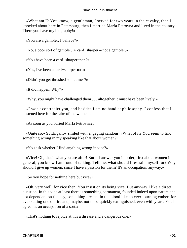«What am I? You know, a gentleman, I served for two years in the cavalry, then I knocked about here in Petersburg, then I married Marfa Petrovna and lived in the country. There you have my biography!»

«You are a gambler, I believe?»

«No, a poor sort of gambler. A card−sharper – not a gambler.»

«You have been a card−sharper then?»

«Yes, I've been a card−sharper too.»

«Didn't you get thrashed sometimes?»

«It did happen. Why?»

«Why, you might have challenged them . . . altogether it must have been lively.»

 «I won't contradict you, and besides I am no hand at philosophy. I confess that I hastened here for the sake of the women.»

«As soon as you buried Marfa Petrovna?»

 «Quite so,» Svidrigailov smiled with engaging candour. «What of it? You seem to find something wrong in my speaking like that about women?»

«You ask whether I find anything wrong in vice?»

 «Vice! Oh, that's what you are after! But I'll answer you in order, first about women in general; you know I am fond of talking. Tell me, what should I restrain myself for? Why should I give up women, since I have a passion for them? It's an occupation, anyway.»

«So you hope for nothing here but vice?»

 «Oh, very well, for vice then. You insist on its being vice. But anyway I like a direct question. In this vice at least there is something permanent, founded indeed upon nature and not dependent on fantasy, something present in the blood like an ever−burning ember, for ever setting one on fire and, maybe, not to be quickly extinguished, even with years. You'll agree it's an occupation of a sort.»

«That's nothing to rejoice at, it's a disease and a dangerous one.»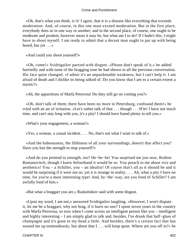«Oh, that's what you think, is it! I agree, that it is a disease like everything that exceeds moderation. And, of course, in this one must exceed moderation. But in the first place, everybody does so in one way or another, and in the second place, of course, one ought to be moderate and prudent, however mean it may be, but what am I to do? If I hadn't this, I might have to shoot myself. I am ready to admit that a decent man ought to put up with being bored, but yet . . .»

«And could you shoot yourself?»

 «Oh, come!» Svidrigailov parried with disgust. «Please don't speak of it,» he added hurriedly and with none of the bragging tone he had shown in all the previous conversation. His face quite changed. «I admit it's an unpardonable weakness, but I can't help it. I am afraid of death and I dislike its being talked of. Do you know that I am to a certain extent a mystic?»

«Ah, the apparitions of Marfa Petrovna! Do they still go on visiting you?»

 «Oh, don't talk of them; there have been no more in Petersburg, confound them!» he cried with an air of irritation. «Let's rather talk of that . . . though . . . H'm! I have not much time, and can't stay long with you, it's a pity! I should have found plenty to tell you.»

«What's your engagement, a woman?»

«Yes, a woman, a casual incident. . . . No, that's not what I want to talk of.»

 «And the hideousness, the filthiness of all your surroundings, doesn't that affect you? Have you lost the strength to stop yourself?»

 «And do you pretend to strength, too? He−he−he! You surprised me just now, Rodion Romanovitch, though I knew beforehand it would be so. You preach to me about vice and aesthetics! You – a Schiller, you – an idealist! Of course that's all as it should be and it would be surprising if it were not so, yet it is strange in reality. . . . Ah, what a pity I have no time, for you're a most interesting type! And, by−the−way, are you fond of Schiller? I am awfully fond of him.»

«But what a braggart you are,» Raskolnikov said with some disgust.

 «Upon my word, I am not,» answered Svidrigailov laughing. «However, I won't dispute it, let me be a braggart, why not brag, if it hurts no one? I spent seven years in the country with Marfa Petrovna, so now when I come across an intelligent person like you – intelligent and highly interesting – I am simply glad to talk and, besides, I've drunk that half−glass of champagne and it's gone to my head a little. And besides, there's a certain fact that has wound me up tremendously, but about that I . . . will keep quiet. Where are you off to?» he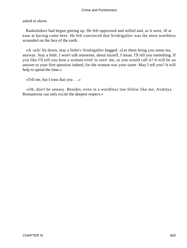asked in alarm.

 Raskolnikov had begun getting up. He felt oppressed and stifled and, as it were, ill at ease at having come here. He felt convinced that Svidrigailov was the most worthless scoundrel on the face of the earth.

 «A−ach! Sit down, stay a little!» Svidrigailov begged. «Let them bring you some tea, anyway. Stay a little, I won't talk nonsense, about myself, I mean. I'll tell you something. If you like I'll tell you how a woman tried 'to save' me, as you would call it? It will be an answer to your first question indeed, for the woman was your sister. May I tell you? It will help to spend the time.»

«Tell me, but I trust that you . . .»

 «Oh, don't be uneasy. Besides, even in a worthless low fellow like me, Avdotya Romanovna can only excite the deepest respect.»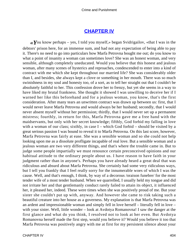# **[CHAPTER IV](#page-466-0)**

*«Y*ou know perhaps – yes, I told you myself,» began Svidrigailov, «that I was in the debtors' prison here, for an immense sum, and had not any expectation of being able to pay it. There's no need to go into particulars how Marfa Petrovna bought me out; do you know to what a point of insanity a woman can sometimes love? She was an honest woman, and very sensible, although completely uneducated. Would you believe that this honest and jealous woman, after many scenes of hysterics and reproaches, condescended to enter into a kind of contract with me which she kept throughout our married life? She was considerably older than I, and besides, she always kept a clove or something in her mouth. There was so much swinishness in my soul and honesty too, of a sort, as to tell her straight out that I couldn't be absolutely faithful to her. This confession drove her to frenzy, but yet she seems in a way to have liked my brutal frankness. She thought it showed I was unwilling to deceive her if I warned her like this beforehand and for a jealous woman, you know, that's the first consideration. After many tears an unwritten contract was drawn up between us: first, that I would never leave Marfa Petrovna and would always be her husband; secondly, that I would never absent myself without her permission; thirdly, that I would never set up a permanent mistress; fourthly, in return for this, Marfa Petrovna gave me a free hand with the maidservants, but only with her secret knowledge; fifthly, God forbid my falling in love with a woman of our class; sixthly, in case I – which God forbid – should be visited by a great serious passion I was bound to reveal it to Marfa Petrovna. On this last score, however, Marfa Petrovna was fairly at ease. She was a sensible woman and so she could not help looking upon me as a dissolute profligate incapable of real love. But a sensible woman and a jealous woman are two very different things, and that's where the trouble came in. But to judge some people impartially we must renounce certain preconceived opinions and our habitual attitude to the ordinary people about us. I have reason to have faith in your judgment rather than in anyone's. Perhaps you have already heard a great deal that was ridiculous and absurd about Marfa Petrovna. She certainly had some very ridiculous ways, but I tell you frankly that I feel really sorry for the innumerable woes of which I was the cause. Well, and that's enough, I think, by way of a decorous /oraison funebre/ for the most tender wife of a most tender husband. When we quarrelled, I usually held my tongue and did not irritate her and that gentlemanly conduct rarely failed to attain its object, it influenced her, it pleased her, indeed. These were times when she was positively proud of me. But your sister she couldn't put up with, anyway. And however she came to risk taking such a beautiful creature into her house as a governess. My explanation is that Marfa Petrovna was an ardent and impressionable woman and simply fell in love herself – literally fell in love – with your sister. Well, little wonder – look at Avdotya Romanovna! I saw the danger at the first glance and what do you think, I resolved not to look at her even. But Avdotya Romanovna herself made the first step, would you believe it? Would you believe it too that Marfa Petrovna was positively angry with me at first for my persistent silence about your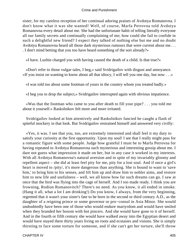sister, for my careless reception of her continual adoring praises of Avdotya Romanovna. I don't know what it was she wanted! Well, of course, Marfa Petrovna told Avdotya Romanovna every detail about me. She had the unfortunate habit of telling literally everyone all our family secrets and continually complaining of me; how could she fail to confide in such a delightful new friend? I expect they talked of nothing else but me and no doubt Avdotya Romanovna heard all those dark mysterious rumours that were current about me. . . . I don't mind betting that you too have heard something of the sort already?»

«I have. Luzhin charged you with having caused the death of a child. Is that true?»

 «Don't refer to those vulgar tales, I beg,» said Svidrigailov with disgust and annoyance. «If you insist on wanting to know about all that idiocy, I will tell you one day, but now . . .»

«I was told too about some footman of yours in the country whom you treated badly.»

«I beg you to drop the subject,» Svidrigailov interrupted again with obvious impatience.

 «Was that the footman who came to you after death to fill your pipe? . . . you told me about it yourself.» Raskolnikov felt more and more irritated.

 Svidrigailov looked at him attentively and Raskolnikov fancied he caught a flash of spiteful mockery in that look. But Svidrigailov restrained himself and answered very civilly:

 «Yes, it was. I see that you, too, are extremely interested and shall feel it my duty to satisfy your curiosity at the first opportunity. Upon my soul! I see that I really might pass for a romantic figure with some people. Judge how grateful I must be to Marfa Petrovna for having repeated to Avdotya Romanovna such mysterious and interesting gossip about me. I dare not guess what impression it made on her, but in any case it worked in my interests. With all Avdotya Romanovna's natural aversion and in spite of my invariably gloomy and repellent aspect – she did at least feel pity for me, pity for a lost soul. And if once a girl's heart is moved to /pity/, it's more dangerous than anything. She is bound to want to 'save him,' to bring him to his senses, and lift him up and draw him to nobler aims, and restore him to new life and usefulness – well, we all know how far such dreams can go. I saw at once that the bird was flying into the cage of herself. And I too made ready. I think you are frowning, Rodion Romanovitch? There's no need. As you know, it all ended in smoke. (Hang it all, what a lot I am drinking!) Do you know, I always, from the very beginning, regretted that it wasn't your sister's fate to be born in the second or third century A.D., as the daughter of a reigning prince or some governor or pro−consul in Asia Minor. She would undoubtedly have been one of those who would endure martyrdom and would have smiled when they branded her bosom with hot pincers. And she would have gone to it of herself. And in the fourth or fifth century she would have walked away into the Egyptian desert and would have stayed there thirty years living on roots and ecstasies and visions. She is simply thirsting to face some torture for someone, and if she can't get her torture, she'll throw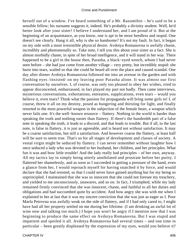herself out of a window. I've heard something of a Mr. Razumihin – he's said to be a sensible fellow; his surname suggests it, indeed. He's probably a divinity student. Well, he'd better look after your sister! I believe I understand her, and I am proud of it. But at the beginning of an acquaintance, as you know, one is apt to be more heedless and stupid. One doesn't see clearly. Hang it all, why is she so handsome? It's not my fault. In fact, it began on my side with a most irresistible physical desire. Avdotya Romanovna is awfully chaste, incredibly and phenomenally so. Take note, I tell you this about your sister as a fact. She is almost morbidly chaste, in spite of her broad intelligence, and it will stand in her way. There happened to be a girl in the house then, Parasha, a black−eyed wench, whom I had never seen before – she had just come from another village – very pretty, but incredibly stupid: she burst into tears, wailed so that she could be heard all over the place and caused scandal. One day after dinner Avdotya Romanovna followed me into an avenue in the garden and with flashing eyes /insisted/ on my leaving poor Parasha alone. It was almost our first conversation by ourselves. I, of course, was only too pleased to obey her wishes, tried to appear disconcerted, embarrassed, in fact played my part not badly. Then came interviews, mysterious conversations, exhortations, entreaties, supplications, even tears – would you believe it, even tears? Think what the passion for propaganda will bring some girls to! I, of course, threw it all on my destiny, posed as hungering and thirsting for light, and finally resorted to the most powerful weapon in the subjection of the female heart, a weapon which never fails one. It's the well−known resource – flattery. Nothing in the world is harder than speaking the truth and nothing easier than flattery. If there's the hundredth part of a false note in speaking the truth, it leads to a discord, and that leads to trouble. But if all, to the last note, is false in flattery, it is just as agreeable, and is heard not without satisfaction. It may be a coarse satisfaction, but still a satisfaction. And however coarse the flattery, at least half will be sure to seem true. That's so for all stages of development and classes of society. A vestal virgin might be seduced by flattery. I can never remember without laughter how I once seduced a lady who was devoted to her husband, her children, and her principles. What fun it was and how little trouble! And the lady really had principles – of her own, anyway. All my tactics lay in simply being utterly annihilated and prostrate before her purity. I flattered her shamelessly, and as soon as I succeeded in getting a pressure of the hand, even a glance from her, I would reproach myself for having snatched it by force, and would declare that she had resisted, so that I could never have gained anything but for my being so unprincipled. I maintained that she was so innocent that she could not foresee my treachery, and yielded to me unconsciously, unawares, and so on. In fact, I triumphed, while my lady remained firmly convinced that she was innocent, chaste, and faithful to all her duties and obligations and had succumbed quite by accident. And how angry she was with me when I explained to her at last that it was my sincere conviction that she was just as eager as I. Poor Marfa Petrovna was awfully weak on the side of flattery, and if I had only cared to, I might have had all her property settled on me during her lifetime. (I am drinking an awful lot of wine now and talking too much.) I hope you won't be angry if I mention now that I was beginning to produce the same effect on Avdotya Romanovna. But I was stupid and impatient and spoiled it all. Avdotya Romanovna had several times – and one time in particular – been greatly displeased by the expression of my eyes, would you believe it?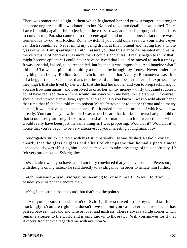There was sometimes a light in them which frightened her and grew stronger and stronger and more unguarded till it was hateful to her. No need to go into detail, but we parted. There I acted stupidly again. I fell to jeering in the coarsest way at all such propaganda and efforts to convert me; Parasha came on to the scene again, and not she alone; in fact there was a tremendous to−do. Ah, Rodion Romanovitch, if you could only see how your sister's eyes can flash sometimes! Never mind my being drunk at this moment and having had a whole glass of wine. I am speaking the truth. I assure you that this glance has haunted my dreams; the very rustle of her dress was more than I could stand at last. I really began to think that I might become epileptic. I could never have believed that I could be moved to such a frenzy. It was essential, indeed, to be reconciled, but by then it was impossible. And imagine what I did then! To what a pitch of stupidity a man can be brought by frenzy! Never undertake anything in a frenzy, Rodion Romanovitch. I reflected that Avdotya Romanovna was after all a beggar (ach, excuse me, that's not the word . . . but does it matter if it expresses the meaning?), that she lived by her work, that she had her mother and you to keep (ach, hang it, you are frowning again), and I resolved to offer her all my money – thirty thousand roubles I could have realised then – if she would run away with me here, to Petersburg. Of course I should have vowed eternal love, rapture, and so on. Do you know, I was so wild about her at that time that if she had told me to poison Marfa Petrovna or to cut her throat and to marry herself, it would have been done at once! But it ended in the catastrophe of which you know already. You can fancy how frantic I was when I heard that Marfa Petrovna had got hold of that scoundrelly attorney, Luzhin, and had almost made a match between them – which would really have been just the same thing as I was proposing. Wouldn't it? Wouldn't it? I notice that you've begun to be very attentive . . . you interesting young man. . . .»

 Svidrigailov struck the table with his fist impatiently. He was flushed. Raskolnikov saw clearly that the glass or glass and a half of champagne that he had sipped almost unconsciously was affecting him – and he resolved to take advantage of the opportunity. He felt very suspicious of Svidrigailov.

 «Well, after what you have said, I am fully convinced that you have come to Petersburg with designs on my sister,» he said directly to Svidrigailov, in order to irritate him further.

 «Oh, nonsense,» said Svidrigailov, seeming to rouse himself. «Why, I told you . . . besides your sister can't endure me.»

«Yes, I am certain that she can't, but that's not the point.»

 «Are you so sure that she can't?» Svidrigailov screwed up his eyes and smiled mockingly. «You are right, she doesn't love me, but you can never be sure of what has passed between husband and wife or lover and mistress. There's always a little corner which remains a secret to the world and is only known to those two. Will you answer for it that Avdotya Romanovna regarded me with aversion?»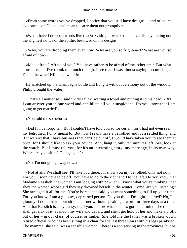«From some words you've dropped, I notice that you still have designs – and of course evil ones – on Dounia and mean to carry them out promptly.»

 «What, have I dropped words like that?» Svidrigailov asked in naive dismay, taking not the slightest notice of the epithet bestowed on his designs.

 «Why, you are dropping them even now. Why are you so frightened? What are you so afraid of now?»

 «Me – afraid? Afraid of you? You have rather to be afraid of me, /cher ami/. But what nonsense. . . . I've drunk too much though, I see that. I was almost saying too much again. Damn the wine! Hi! there, water!»

 He snatched up the champagne bottle and flung it without ceremony out of the window. Philip brought the water.

 «That's all nonsense!» said Svidrigailov, wetting a towel and putting it to his head. «But I can answer you in one word and annihilate all your suspicions. Do you know that I am going to get married?»

«You told me so before.»

 «Did I? I've forgotten. But I couldn't have told you so for certain for I had not even seen my betrothed; I only meant to. But now I really have a betrothed and it's a settled thing, and if it weren't that I have business that can't be put off, I would have taken you to see them at once, for I should like to ask your advice. Ach, hang it, only ten minutes left! See, look at the watch. But I must tell you, for it's an interesting story, my marriage, in its own way. Where are you off to? Going again?»

«No, I'm not going away now.»

 «Not at all? We shall see. I'll take you there, I'll show you my betrothed, only not now. For you'll soon have to be off. You have to go to the right and I to the left. Do you know that Madame Resslich, the woman I am lodging with now, eh? I know what you're thinking, that she's the woman whose girl they say drowned herself in the winter. Come, are you listening? She arranged it all for me. You're bored, she said, you want something to fill up your time. For, you know, I am a gloomy, depressed person. Do you think I'm light−hearted? No, I'm gloomy. I do no harm, but sit in a corner without speaking a word for three days at a time. And that Resslich is a sly hussy, I tell you. I know what she has got in her mind; she thinks I shall get sick of it, abandon my wife and depart, and she'll get hold of her and make a profit out of her – in our class, of course, or higher. She told me the father was a broken−down retired official, who has been sitting in a chair for the last three years with his legs paralysed. The mamma, she said, was a sensible woman. There is a son serving in the provinces, but he

CHAPTER IV 408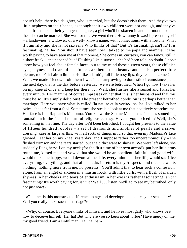doesn't help; there is a daughter, who is married, but she doesn't visit them. And they've two little nephews on their hands, as though their own children were not enough, and they've taken from school their youngest daughter, a girl who'll be sixteen in another month, so that then she can be married. She was for me. We went there. How funny it was! I present myself – a landowner, a widower, of a well− known name, with connections, with a fortune. What if I am fifty and she is not sixteen? Who thinks of that? But it's fascinating, isn't it? It is fascinating, ha−ha! You should have seen how I talked to the papa and mamma. It was worth paying to have seen me at that moment. She comes in, curtseys, you can fancy, still in a short frock – an unopened bud! Flushing like a sunset – she had been told, no doubt. I don't know how you feel about female faces, but to my mind these sixteen years, these childish eyes, shyness and tears of bashfulness are better than beauty; and she is a perfect little picture, too. Fair hair in little curls, like a lamb's, full little rosy lips, tiny feet, a charmer! . . . Well, we made friends. I told them I was in a hurry owing to domestic circumstances, and the next day, that is the day before yesterday, we were betrothed. When I go now I take her on my knee at once and keep her there. . . . Well, she flushes like a sunset and I kiss her every minute. Her mamma of course impresses on her that this is her husband and that this must be so. It's simply delicious! The present betrothed condition is perhaps better than marriage. Here you have what is called /la nature et la verite/, ha−ha! I've talked to her twice, she is far from a fool. Sometimes she steals a look at me that positively scorches me. Her face is like Raphael's Madonna. You know, the Sistine Madonna's face has something fantastic in it, the face of mournful religious ecstasy. Haven't you noticed it? Well, she's something in that line. The day after we'd been betrothed, I bought her presents to the value of fifteen hundred roubles – a set of diamonds and another of pearls and a silver dressing−case as large as this, with all sorts of things in it, so that even my Madonna's face glowed. I sat her on my knee, yesterday, and I suppose rather too unceremoniously – she flushed crimson and the tears started, but she didn't want to show it. We were left alone, she suddenly flung herself on my neck (for the first time of her own accord), put her little arms round me, kissed me, and vowed that she would be an obedient, faithful, and good wife, would make me happy, would devote all her life, every minute of her life, would sacrifice everything, everything, and that all she asks in return is my /respect/, and that she wants 'nothing, nothing more from me, no presents.' You'll admit that to hear such a confession, alone, from an angel of sixteen in a muslin frock, with little curls, with a flush of maiden shyness in her cheeks and tears of enthusiasm in her eyes is rather fascinating! Isn't it fascinating? It's worth paying for, isn't it? Well . . . listen, we'll go to see my betrothed, only not just now!»

 «The fact is this monstrous difference in age and development excites your sensuality! Will you really make such a marriage?»

 «Why, of course. Everyone thinks of himself, and he lives most gaily who knows best how to deceive himself. Ha−ha! But why are you so keen about virtue? Have mercy on me, my good friend. I am a sinful man. Ha− ha−ha!»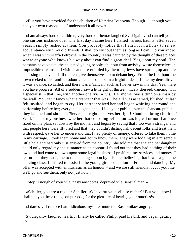«But you have provided for the children of Katerina Ivanovna. Though . . . though you had your own reasons. . . . I understand it all now.»

 «I am always fond of children, very fond of them,» laughed Svidrigailov. «I can tell you one curious instance of it. The first day I came here I visited various haunts, after seven years I simply rushed at them. You probably notice that I am not in a hurry to renew acquaintance with my old friends. I shall do without them as long as I can. Do you know, when I was with Marfa Petrovna in the country, I was haunted by the thought of these places where anyone who knows his way about can find a great deal. Yes, upon my soul! The peasants have vodka, the educated young people, shut out from activity, waste themselves in impossible dreams and visions and are crippled by theories; Jews have sprung up and are amassing money, and all the rest give themselves up to debauchery. From the first hour the town reeked of its familiar odours. I chanced to be in a frightful den – I like my dens dirty – it was a dance, so called, and there was a /cancan/ such as I never saw in my day. Yes, there you have progress. All of a sudden I saw a little girl of thirteen, nicely dressed, dancing with a specialist in that line, with another one /vis−a−vis/. Her mother was sitting on a chair by the wall. You can't fancy what a /cancan/ that was! The girl was ashamed, blushed, at last felt insulted, and began to cry. Her partner seized her and began whirling her round and performing before her; everyone laughed and – I like your public, even the /cancan/ public – they laughed and shouted, 'Serves her right – serves her right! Shouldn't bring children!' Well, it's not my business whether that consoling reflection was logical or not. I at once fixed on my plan, sat down by the mother, and began by saying that I too was a stranger and that people here were ill−bred and that they couldn't distinguish decent folks and treat them with respect, gave her to understand that I had plenty of money, offered to take them home in my carriage. I took them home and got to know them. They were lodging in a miserable little hole and had only just arrived from the country. She told me that she and her daughter could only regard my acquaintance as an honour. I found out that they had nothing of their own and had come to town upon some legal business. I proffered my services and money. I learnt that they had gone to the dancing saloon by mistake, believing that it was a genuine dancing class. I offered to assist in the young girl's education in French and dancing. My offer was accepted with enthusiasm as an honour – and we are still friendly. . . . If you like, we'll go and see them, only not just now.»

«Stop! Enough of your vile, nasty anecdotes, depraved vile, sensual man!»

 «Schiller, you are a regular Schiller! /O la vertu va−t−elle se nicher?/ But you know I shall tell you these things on purpose, for the pleasure of hearing your outcries!»

«I dare say. I can see I am ridiculous myself,» muttered Raskolnikov angrily.

 Svidrigailov laughed heartily; finally he called Philip, paid his bill, and began getting up.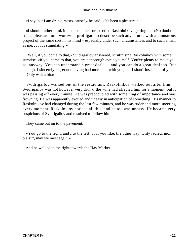«I say, but I am drunk, /assez cause/,» he said. «It's been a pleasure.»

 «I should rather think it must be a pleasure!» cried Raskolnikov, getting up. «No doubt it is a pleasure for a worn−out profligate to describe such adventures with a monstrous project of the same sort in his mind – especially under such circumstances and to such a man as me. . . . It's stimulating!»

 «Well, if you come to that,» Svidrigailov answered, scrutinising Raskolnikov with some surprise, «if you come to that, you are a thorough cynic yourself. You've plenty to make you so, anyway. You can understand a great deal . . . and you can do a great deal too. But enough. I sincerely regret not having had more talk with you, but I shan't lose sight of you. . . . Only wait a bit.»

 Svidrigailov walked out of the restaurant. Raskolnikov walked out after him. Svidrigailov was not however very drunk, the wine had affected him for a moment, but it was passing off every minute. He was preoccupied with something of importance and was frowning. He was apparently excited and uneasy in anticipation of something. His manner to Raskolnikov had changed during the last few minutes, and he was ruder and more sneering every moment. Raskolnikov noticed all this, and he too was uneasy. He became very suspicious of Svidrigailov and resolved to follow him.

They came out on to the pavement.

 «You go to the right, and I to the left, or if you like, the other way. Only /adieu, mon plaisir/, may we meet again.»

And he walked to the right towards the Hay Market.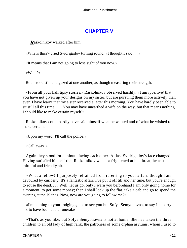# **[CHAPTER V](#page-467-0)**

*R*askolnikov walked after him.

«What's this?» cried Svidrigailov turning round, «I thought I said . . .»

«It means that I am not going to lose sight of you now.»

«What?»

Both stood still and gazed at one another, as though measuring their strength.

 «From all your half tipsy stories,» Raskolnikov observed harshly, «I am /positive/ that you have not given up your designs on my sister, but are pursuing them more actively than ever. I have learnt that my sister received a letter this morning. You have hardly been able to sit still all this time. . . . You may have unearthed a wife on the way, but that means nothing. I should like to make certain myself.»

 Raskolnikov could hardly have said himself what he wanted and of what he wished to make certain.

«Upon my word! I'll call the police!»

«Call away!»

 Again they stood for a minute facing each other. At last Svidrigailov's face changed. Having satisfied himself that Raskolnikov was not frightened at his threat, he assumed a mirthful and friendly air.

 «What a fellow! I purposely refrained from referring to your affair, though I am devoured by curiosity. It's a fantastic affair. I've put it off till another time, but you're enough to rouse the dead. . . . Well, let us go, only I warn you beforehand I am only going home for a moment, to get some money; then I shall lock up the flat, take a cab and go to spend the evening at the Islands. Now, now are you going to follow me?»

 «I'm coming to your lodgings, not to see you but Sofya Semyonovna, to say I'm sorry not to have been at the funeral.»

 «That's as you like, but Sofya Semyonovna is not at home. She has taken the three children to an old lady of high rank, the patroness of some orphan asylums, whom I used to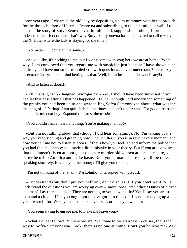know years ago. I charmed the old lady by depositing a sum of money with her to provide for the three children of Katerina Ivanovna and subscribing to the institution as well. I told her too the story of Sofya Semyonovna in full detail, suppressing nothing. It produced an indescribable effect on her. That's why Sofya Semyonovna has been invited to call to−day at the X. Hotel where the lady is staying for the time.»

«No matter, I'll come all the same.»

 «As you like, it's nothing to me, but I won't come with you; here we are at home. By the way, I am convinced that you regard me with suspicion just because I have shown such delicacy and have not so far troubled you with questions . . . you understand? It struck you as extraordinary; I don't mind betting it's that. Well, it teaches one to show delicacy!»

«And to listen at doors!»

 «Ah, that's it, is it?» laughed Svidrigailov. «Yes, I should have been surprised if you had let that pass after all that has happened. Ha−ha! Though I did understand something of the pranks you had been up to and were telling Sofya Semyonovna about, what was the meaning of it? Perhaps I am quite behind the times and can't understand. For goodness' sake, explain it, my dear boy. Expound the latest theories!»

«You couldn't have heard anything. You're making it all up!»

 «But I'm not talking about that (though I did hear something). No, I'm talking of the way you keep sighing and groaning now. The Schiller in you is in revolt every moment, and now you tell me not to listen at doors. If that's how you feel, go and inform the police that you had this mischance: you made a little mistake in your theory. But if you are convinced that one mustn't listen at doors, but one may murder old women at one's pleasure, you'd better be off to America and make haste. Run, young man! There may still be time. I'm speaking sincerely. Haven't you the money? I'll give you the fare.»

«I'm not thinking of that at all,» Raskolnikov interrupted with disgust.

 «I understand (but don't put yourself out, don't discuss it if you don't want to). I understand the questions you are worrying over – moral ones, aren't they? Duties of citizen and man? Lay them all aside. They are nothing to you now, ha−ha! You'll say you are still a man and a citizen. If so you ought not to have got into this coil. It's no use taking up a job you are not fit for. Well, you'd better shoot yourself, or don't you want to?»

«You seem trying to enrage me, to make me leave you.»

 «What a queer fellow! But here we are. Welcome to the staircase. You see, that's the way to Sofya Semyonovna. Look, there is no one at home. Don't you believe me? Ask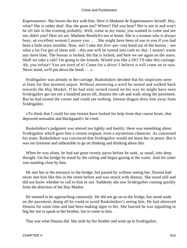Kapernaumov. She leaves the key with him. Here is Madame de Kapernaumov herself. Hey, what? She is rather deaf. Has she gone out? Where? Did you hear? She is not in and won't be till late in the evening probably. Well, come to my room; you wanted to come and see me, didn't you? Here we are. Madame Resslich's not at home. She is a woman who is always busy, an excellent woman I assure you. . . . She might have been of use to you if you had been a little more sensible. Now, see! I take this five−per−cent bond out of the bureau – see what a lot I've got of them still – this one will be turned into cash to−day. I mustn't waste any more time. The bureau is locked, the flat is locked, and here we are again on the stairs. Shall we take a cab? I'm going to the Islands. Would you like a lift? I'll take this carriage. Ah, you refuse? You are tired of it! Come for a drive! I believe it will come on to rain. Never mind, we'll put down the hood. . . .»

 Svidrigailov was already in the carriage. Raskolnikov decided that his suspicions were at least for that moment unjust. Without answering a word he turned and walked back towards the Hay Market. If he had only turned round on his way he might have seen Svidrigailov get out not a hundred paces off, dismiss the cab and walk along the pavement. But he had turned the corner and could see nothing. Intense disgust drew him away from Svidrigailov.

 «To think that I could for one instant have looked for help from that coarse brute, that depraved sensualist and blackguard!» he cried.

 Raskolnikov's judgment was uttered too lightly and hastily: there was something about Svidrigailov which gave him a certain original, even a mysterious character. As concerned his sister, Raskolnikov was convinced that Svidrigailov would not leave her in peace. But it was too tiresome and unbearable to go on thinking and thinking about this.

 When he was alone, he had not gone twenty paces before he sank, as usual, into deep thought. On the bridge he stood by the railing and began gazing at the water. And his sister was standing close by him.

 He met her at the entrance to the bridge, but passed by without seeing her. Dounia had never met him like this in the street before and was struck with dismay. She stood still and did not know whether to call to him or not. Suddenly she saw Svidrigailov coming quickly from the direction of the Hay Market.

 He seemed to be approaching cautiously. He did not go on to the bridge, but stood aside on the pavement, doing all he could to avoid Raskolnikov's seeing him. He had observed Dounia for some time and had been making signs to her. She fancied he was signalling to beg her not to speak to her brother, but to come to him.

That was what Dounia did. She stole by her brother and went up to Svidrigailov.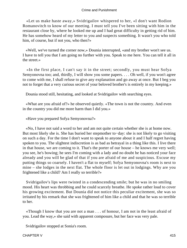«Let us make haste away,» Svidrigailov whispered to her, «I don't want Rodion Romanovitch to know of our meeting. I must tell you I've been sitting with him in the restaurant close by, where he looked me up and I had great difficulty in getting rid of him. He has somehow heard of my letter to you and suspects something. It wasn't you who told him, of course, but if not you, who then?»

 «Well, we've turned the corner now,» Dounia interrupted, «and my brother won't see us. I have to tell you that I am going no further with you. Speak to me here. You can tell it all in the street.»

 «In the first place, I can't say it in the street; secondly, you must hear Sofya Semyonovna too; and, thirdly, I will show you some papers. . . . Oh well, if you won't agree to come with me, I shall refuse to give any explanation and go away at once. But I beg you not to forget that a very curious secret of your beloved brother's is entirely in my keeping.»

Dounia stood still, hesitating, and looked at Svidrigailov with searching eyes.

 «What are you afraid of?» he observed quietly. «The town is not the country. And even in the country you did me more harm than I did you.»

«Have you prepared Sofya Semyonovna?»

 «No, I have not said a word to her and am not quite certain whether she is at home now. But most likely she is. She has buried her stepmother to−day: she is not likely to go visiting on such a day. For the time I don't want to speak to anyone about it and I half regret having spoken to you. The slightest indiscretion is as bad as betrayal in a thing like this. I live there in that house, we are coming to it. That's the porter of our house – he knows me very well; you see, he's bowing; he sees I'm coming with a lady and no doubt he has noticed your face already and you will be glad of that if you are afraid of me and suspicious. Excuse my putting things so coarsely. I haven't a flat to myself; Sofya Semyonovna's room is next to mine – she lodges in the next flat. The whole floor is let out in lodgings. Why are you frightened like a child? Am I really so terrible?»

 Svidrigailov's lips were twisted in a condescending smile; but he was in no smiling mood. His heart was throbbing and he could scarcely breathe. He spoke rather loud to cover his growing excitement. But Dounia did not notice this peculiar excitement, she was so irritated by his remark that she was frightened of him like a child and that he was so terrible to her.

 «Though I know that you are not a man . . . of honour, I am not in the least afraid of you. Lead the way,» she said with apparent composure, but her face was very pale.

Svidrigailov stopped at Sonia's room.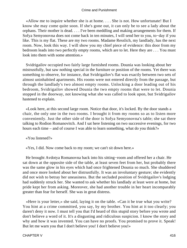«Allow me to inquire whether she is at home. . . . She is not. How unfortunate! But I know she may come quite soon. If she's gone out, it can only be to see a lady about the orphans. Their mother is dead. . . . I've been meddling and making arrangements for them. If Sofya Semyonovna does not come back in ten minutes, I will send her to you, to−day if you like. This is my flat. These are my two rooms. Madame Resslich, my landlady, has the next room. Now, look this way. I will show you my chief piece of evidence: this door from my bedroom leads into two perfectly empty rooms, which are to let. Here they are . . . You must look into them with some attention.»

 Svidrigailov occupied two fairly large furnished rooms. Dounia was looking about her mistrustfully, but saw nothing special in the furniture or position of the rooms. Yet there was something to observe, for instance, that Svidrigailov's flat was exactly between two sets of almost uninhabited apartments. His rooms were not entered directly from the passage, but through the landlady's two almost empty rooms. Unlocking a door leading out of his bedroom, Svidrigailov showed Dounia the two empty rooms that were to let. Dounia stopped in the doorway, not knowing what she was called to look upon, but Svidrigailov hastened to explain.

 «Look here, at this second large room. Notice that door, it's locked. By the door stands a chair, the only one in the two rooms. I brought it from my rooms so as to listen more conveniently. Just the other side of the door is Sofya Semyonovna's table; she sat there talking to Rodion Romanovitch. And I sat here listening on two successive evenings, for two hours each time – and of course I was able to learn something, what do you think?»

«You listened?»

«Yes, I did. Now come back to my room; we can't sit down here.»

 He brought Avdotya Romanovna back into his sitting−room and offered her a chair. He sat down at the opposite side of the table, at least seven feet from her, but probably there was the same glow in his eyes which had once frightened Dounia so much. She shuddered and once more looked about her distrustfully. It was an involuntary gesture; she evidently did not wish to betray her uneasiness. But the secluded position of Svidrigailov's lodging had suddenly struck her. She wanted to ask whether his landlady at least were at home, but pride kept her from asking. Moreover, she had another trouble in her heart incomparably greater than fear for herself. She was in great distress.

 «Here is your letter,» she said, laying it on the table. «Can it be true what you write? You hint at a crime committed, you say, by my brother. You hint at it too clearly; you daren't deny it now. I must tell you that I'd heard of this stupid story before you wrote and don't believe a word of it. It's a disgusting and ridiculous suspicion. I know the story and why and how it was invented. You can have no proofs. You promised to prove it. Speak! But let me warn you that I don't believe you! I don't believe you!»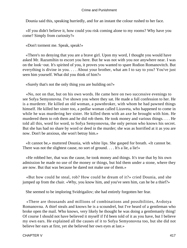Dounia said this, speaking hurriedly, and for an instant the colour rushed to her face.

 «If you didn't believe it, how could you risk coming alone to my rooms? Why have you come? Simply from curiosity?»

«Don't torment me. Speak, speak!»

 «There's no denying that you are a brave girl. Upon my word, I thought you would have asked Mr. Razumihin to escort you here. But he was not with you nor anywhere near. I was on the look−out. It's spirited of you, it proves you wanted to spare Rodion Romanovitch. But everything is divine in you. . . . About your brother, what am I to say to you? You've just seen him yourself. What did you think of him?»

«Surely that's not the only thing you are building on?»

 «No, not on that, but on his own words. He came here on two successive evenings to see Sofya Semyonovna. I've shown you where they sat. He made a full confession to her. He is a murderer. He killed an old woman, a pawnbroker, with whom he had pawned things himself. He killed her sister too, a pedlar woman called Lizaveta, who happened to come in while he was murdering her sister. He killed them with an axe he brought with him. He murdered them to rob them and he did rob them. He took money and various things. . . . He told all this, word for word, to Sofya Semyonovna, the only person who knows his secret. But she has had no share by word or deed in the murder; she was as horrified at it as you are now. Don't be anxious, she won't betray him.»

 «It cannot be,» muttered Dounia, with white lips. She gasped for breath. «It cannot be. There was not the slightest cause, no sort of ground. . . . It's a lie, a lie!»

 «He robbed her, that was the cause, he took money and things. It's true that by his own admission he made no use of the money or things, but hid them under a stone, where they are now. But that was because he dared not make use of them.»

 «But how could he steal, rob? How could he dream of it?» cried Dounia, and she jumped up from the chair. «Why, you know him, and you've seen him, can he be a thief?»

She seemed to be imploring Svidrigailov; she had entirely forgotten her fear.

 «There are thousands and millions of combinations and possibilities, Avdotya Romanovna. A thief steals and knows he is a scoundrel, but I've heard of a gentleman who broke open the mail. Who knows, very likely he thought he was doing a gentlemanly thing! Of course I should not have believed it myself if I'd been told of it as you have, but I believe my own ears. He explained all the causes of it to Sofya Semyonovna too, but she did not believe her ears at first, yet she believed her own eyes at last.»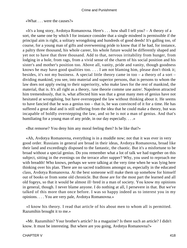«What . . . were the causes?»

 «It's a long story, Avdotya Romanovna. Here's . . . how shall I tell you? – A theory of a sort, the same one by which I for instance consider that a single misdeed is permissible if the principal aim is right, a solitary wrongdoing and hundreds of good deeds! It's galling too, of course, for a young man of gifts and overweening pride to know that if he had, for instance, a paltry three thousand, his whole career, his whole future would be differently shaped and yet not to have that three thousand. Add to that, nervous irritability from hunger, from lodging in a hole, from rags, from a vivid sense of the charm of his social position and his sister's and mother's position too. Above all, vanity, pride and vanity, though goodness knows he may have good qualities too. . . . I am not blaming him, please don't think it; besides, it's not my business. A special little theory came in too – a theory of a sort – dividing mankind, you see, into material and superior persons, that is persons to whom the law does not apply owing to their superiority, who make laws for the rest of mankind, the material, that is. It's all right as a theory, /une theorie comme une autre/. Napoleon attracted him tremendously, that is, what affected him was that a great many men of genius have not hesitated at wrongdoing, but have overstepped the law without thinking about it. He seems to have fancied that he was a genius too – that is, he was convinced of it for a time. He has suffered a great deal and is still suffering from the idea that he could make a theory, but was incapable of boldly overstepping the law, and so he is not a man of genius. And that's humiliating for a young man of any pride, in our day especially.  $\dots$ 

«But remorse? You deny him any moral feeling then? Is he like that?»

 «Ah, Avdotya Romanovna, everything is in a muddle now; not that it was ever in very good order. Russians in general are broad in their ideas, Avdotya Romanovna, broad like their land and exceedingly disposed to the fantastic, the chaotic. But it's a misfortune to be broad without a special genius. Do you remember what a lot of talk we had together on this subject, sitting in the evenings on the terrace after supper? Why, you used to reproach me with breadth! Who knows, perhaps we were talking at the very time when he was lying here thinking over his plan. There are no sacred traditions amongst us, especially in the educated class, Avdotya Romanovna. At the best someone will make them up somehow for himself out of books or from some old chronicle. But those are for the most part the learned and all old fogeys, so that it would be almost ill−bred in a man of society. You know my opinions in general, though. I never blame anyone. I do nothing at all, I persevere in that. But we've talked of this more than once before. I was so happy indeed as to interest you in my opinions. . . . You are very pale, Avdotya Romanovna.»

 «I know his theory. I read that article of his about men to whom all is permitted. Razumihin brought it to me.»

 «Mr. Razumihin? Your brother's article? In a magazine? Is there such an article? I didn't know. It must be interesting. But where are you going, Avdotya Romanovna?»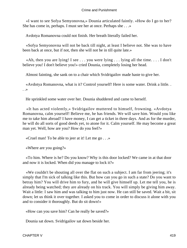«I want to see Sofya Semyonovna,» Dounia articulated faintly. «How do I go to her? She has come in, perhaps. I must see her at once. Perhaps she . . .»

Avdotya Romanovna could not finish. Her breath literally failed her.

 «Sofya Semyonovna will not be back till night, at least I believe not. She was to have been back at once, but if not, then she will not be in till quite late.»

«Ah, then you are lying! I see  $\dots$  you were lying  $\dots$  lying all the time.  $\dots$  I don't believe you! I don't believe you!» cried Dounia, completely losing her head.

Almost fainting, she sank on to a chair which Svidrigailov made haste to give her.

 «Avdotya Romanovna, what is it? Control yourself! Here is some water. Drink a little. . . .»

He sprinkled some water over her. Dounia shuddered and came to herself.

 «It has acted violently,» Svidrigailov muttered to himself, frowning. «Avdotya Romanovna, calm yourself! Believe me, he has friends. We will save him. Would you like me to take him abroad? I have money, I can get a ticket in three days. And as for the murder, he will do all sorts of good deeds yet, to atone for it. Calm yourself. He may become a great man yet. Well, how are you? How do you feel?»

«Cruel man! To be able to jeer at it! Let me go . . .»

«Where are you going?»

 «To him. Where is he? Do you know? Why is this door locked? We came in at that door and now it is locked. When did you manage to lock it?»

 «We couldn't be shouting all over the flat on such a subject. I am far from jeering; it's simply that I'm sick of talking like this. But how can you go in such a state? Do you want to betray him? You will drive him to fury, and he will give himself up. Let me tell you, he is already being watched; they are already on his track. You will simply be giving him away. Wait a little: I saw him and was talking to him just now. He can still be saved. Wait a bit, sit down; let us think it over together. I asked you to come in order to discuss it alone with you and to consider it thoroughly. But do sit down!»

«How can you save him? Can he really be saved?»

Dounia sat down. Svidrigailov sat down beside her.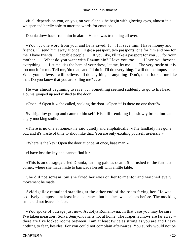«It all depends on you, on you, on you alone,» he begin with glowing eyes, almost in a whisper and hardly able to utter the words for emotion.

Dounia drew back from him in alarm. He too was trembling all over.

 «You . . . one word from you, and he is saved. I . . . I'll save him. I have money and friends. I'll send him away at once. I'll get a passport, two passports, one for him and one for me. I have friends . . . capable people. . . . If you like, I'll take a passport for you . . . for your mother. . . . What do you want with Razumihin? I love you too. . . . I love you beyond everything. . . . Let me kiss the hem of your dress, let me, let me. . . . The very rustle of it is too much for me. Tell me, 'do that,' and I'll do it. I'll do everything. I will do the impossible. What you believe, I will believe. I'll do anything – anything! Don't, don't look at me like that. Do you know that you are killing me? . . .»

 He was almost beginning to rave. . . . Something seemed suddenly to go to his head. Dounia jumped up and rushed to the door.

«Open it! Open it!» she called, shaking the door. «Open it! Is there no one there?»

 Svidrigailov got up and came to himself. His still trembling lips slowly broke into an angry mocking smile.

 «There is no one at home,» he said quietly and emphatically. «The landlady has gone out, and it's waste of time to shout like that. You are only exciting yourself uselessly.»

«Where is the key? Open the door at once, at once, base man!»

«I have lost the key and cannot find it.»

 «This is an outrage,» cried Dounia, turning pale as death. She rushed to the furthest corner, where she made haste to barricade herself with a little table.

 She did not scream, but she fixed her eyes on her tormentor and watched every movement he made.

 Svidrigailov remained standing at the other end of the room facing her. He was positively composed, at least in appearance, but his face was pale as before. The mocking smile did not leave his face.

 «You spoke of outrage just now, Avdotya Romanovna. In that case you may be sure I've taken measures. Sofya Semyonovna is not at home. The Kapernaumovs are far away – there are five locked rooms between. I am at least twice as strong as you are and I have nothing to fear, besides. For you could not complain afterwards. You surely would not be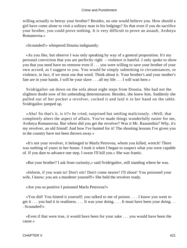willing actually to betray your brother? Besides, no one would believe you. How should a girl have come alone to visit a solitary man in his lodgings? So that even if you do sacrifice your brother, you could prove nothing. It is very difficult to prove an assault, Avdotya Romanovna.»

«Scoundrel!» whispered Dounia indignantly.

 «As you like, but observe I was only speaking by way of a general proposition. It's my personal conviction that you are perfectly right – violence is hateful. I only spoke to show you that you need have no remorse even if . . . you were willing to save your brother of your own accord, as I suggest to you. You would be simply submitting to circumstances, to violence, in fact, if we must use that word. Think about it. Your brother's and your mother's fate are in your hands. I will be your slave . . . all my life . . . I will wait here.»

 Svidrigailov sat down on the sofa about eight steps from Dounia. She had not the slightest doubt now of his unbending determination. Besides, she knew him. Suddenly she pulled out of her pocket a revolver, cocked it and laid it in her hand on the table. Svidrigailov jumped up.

 «Aha! So that's it, is it?» he cried, surprised but smiling maliciously. «Well, that completely alters the aspect of affairs. You've made things wonderfully easier for me, Avdotya Romanovna. But where did you get the revolver? Was it Mr. Razumihin? Why, it's my revolver, an old friend! And how I've hunted for it! The shooting lessons I've given you in the country have not been thrown away.»

 «It's not your revolver, it belonged to Marfa Petrovna, whom you killed, wretch! There was nothing of yours in her house. I took it when I began to suspect what you were capable of. If you dare to advance one step, I swear I'll kill you.» She was frantic.

«But your brother? I ask from curiosity,» said Svidrigailov, still standing where he was.

 «Inform, if you want to! Don't stir! Don't come nearer! I'll shoot! You poisoned your wife, I know; you are a murderer yourself!» She held the revolver ready.

«Are you so positive I poisoned Marfa Petrovna?»

 «You did! You hinted it yourself; you talked to me of poison. . . . I know you went to get it . . . you had it in readiness. . . . It was your doing. . . . It must have been your doing. . . . Scoundrel!»

 «Even if that were true, it would have been for your sake . . . you would have been the cause.»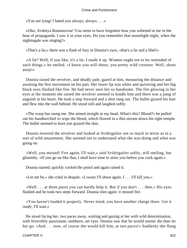«You are lying! I hated you always, always. . . .»

 «Oho, Avdotya Romanovna! You seem to have forgotten how you softened to me in the heat of propaganda. I saw it in your eyes. Do you remember that moonlight night, when the nightingale was singing?»

«That's a lie,» there was a flash of fury in Dounia's eyes, «that's a lie and a libel!»

 «A lie? Well, if you like, it's a lie. I made it up. Women ought not to be reminded of such things,» he smiled. «I know you will shoot, you pretty wild creature. Well, shoot away!»

 Dounia raised the revolver, and deadly pale, gazed at him, measuring the distance and awaiting the first movement on his part. Her lower lip was white and quivering and her big black eyes flashed like fire. He had never seen her so handsome. The fire glowing in her eyes at the moment she raised the revolver seemed to kindle him and there was a pang of anguish in his heart. He took a step forward and a shot rang out. The bullet grazed his hair and flew into the wall behind. He stood still and laughed softly.

 «The wasp has stung me. She aimed straight at my head. What's this? Blood?» he pulled out his handkerchief to wipe the blood, which flowed in a thin stream down his right temple. The bullet seemed to have just grazed the skin.

 Dounia lowered the revolver and looked at Svidrigailov not so much in terror as in a sort of wild amazement. She seemed not to understand what she was doing and what was going on.

 «Well, you missed! Fire again, I'll wait,» said Svidrigailov softly, still smiling, but gloomily. «If you go on like that, I shall have time to seize you before you cock again.»

Dounia started, quickly cocked the pistol and again raised it.

«Let me be,» she cried in despair. «I swear I'll shoot again. I . . . I'll kill you.»

 «Well . . . at three paces you can hardly help it. But if you don't . . . then.» His eyes flashed and he took two steps forward. Dounia shot again: it missed fire.

 «You haven't loaded it properly. Never mind, you have another charge there. Get it ready, I'll wait.»

 He stood facing her, two paces away, waiting and gazing at her with wild determination, with feverishly passionate, stubborn, set eyes. Dounia saw that he would sooner die than let her go. «And . . . now, of course she would kill him, at two paces!» Suddenly she flung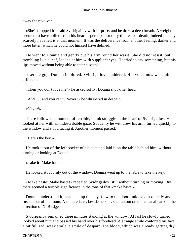away the revolver.

 «She's dropped it!» said Svidrigailov with surprise, and he drew a deep breath. A weight seemed to have rolled from his heart – perhaps not only the fear of death; indeed he may scarcely have felt it at that moment. It was the deliverance from another feeling, darker and more bitter, which he could not himself have defined.

 He went to Dounia and gently put his arm round her waist. She did not resist, but, trembling like a leaf, looked at him with suppliant eyes. He tried to say something, but his lips moved without being able to utter a sound.

 «Let me go,» Dounia implored. Svidrigailov shuddered. Her voice now was quite different.

«Then you don't love me?» he asked softly. Dounia shook her head.

«And . . . and you can't? Never?» he whispered in despair.

«Never!»

 There followed a moment of terrible, dumb struggle in the heart of Svidrigailov. He looked at her with an indescribable gaze. Suddenly he withdrew his arm, turned quickly to the window and stood facing it. Another moment passed.

«Here's the key.»

 He took it out of the left pocket of his coat and laid it on the table behind him, without turning or looking at Dounia.

«Take it! Make haste!»

He looked stubbornly out of the window. Dounia went up to the table to take the key.

 «Make haste! Make haste!» repeated Svidrigailov, still without turning or moving. But there seemed a terrible significance in the tone of that «make haste.»

 Dounia understood it, snatched up the key, flew to the door, unlocked it quickly and rushed out of the room. A minute later, beside herself, she ran out on to the canal bank in the direction of X. Bridge.

 Svidrigailov remained three minutes standing at the window. At last he slowly turned, looked about him and passed his hand over his forehead. A strange smile contorted his face, a pitiful, sad, weak smile, a smile of despair. The blood, which was already getting dry,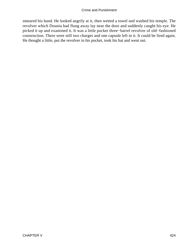smeared his hand. He looked angrily at it, then wetted a towel and washed his temple. The revolver which Dounia had flung away lay near the door and suddenly caught his eye. He picked it up and examined it. It was a little pocket three−barrel revolver of old−fashioned construction. There were still two charges and one capsule left in it. It could be fired again. He thought a little, put the revolver in his pocket, took his hat and went out.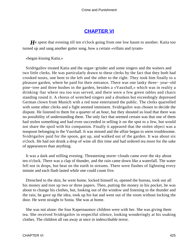# **[CHAPTER VI](#page-467-0)**

*H*e spent that evening till ten o'clock going from one low haunt to another. Katia too turned up and sang another gutter song, how a certain «villain and tyrant»

«began kissing Katia.»

 Svidrigailov treated Katia and the organ−grinder and some singers and the waiters and two little clerks. He was particularly drawn to these clerks by the fact that they both had crooked noses, one bent to the left and the other to the right. They took him finally to a pleasure garden, where he paid for their entrance. There was one lanky three− year−old pine−tree and three bushes in the garden, besides a «Vauxhall,» which was in reality a drinking−bar where tea too was served, and there were a few green tables and chairs standing round it. A chorus of wretched singers and a drunken but exceedingly depressed German clown from Munich with a red nose entertained the public. The clerks quarrelled with some other clerks and a fight seemed imminent. Svidrigailov was chosen to decide the dispute. He listened to them for a quarter of an hour, but they shouted so loud that there was no possibility of understanding them. The only fact that seemed certain was that one of them had stolen something and had even succeeded in selling it on the spot to a Jew, but would not share the spoil with his companion. Finally it appeared that the stolen object was a teaspoon belonging to the Vauxhall. It was missed and the affair began to seem troublesome. Svidrigailov paid for the spoon, got up, and walked out of the garden. It was about six o'clock. He had not drunk a drop of wine all this time and had ordered tea more for the sake of appearances than anything.

 It was a dark and stifling evening. Threatening storm−clouds came over the sky about ten o'clock. There was a clap of thunder, and the rain came down like a waterfall. The water fell not in drops, but beat on the earth in streams. There were flashes of lightning every minute and each flash lasted while one could count five.

 Drenched to the skin, he went home, locked himself in, opened the bureau, took out all his money and tore up two or three papers. Then, putting the money in his pocket, he was about to change his clothes, but, looking out of the window and listening to the thunder and the rain, he gave up the idea, took up his hat and went out of the room without locking the door. He went straight to Sonia. She was at home.

 She was not alone: the four Kapernaumov children were with her. She was giving them tea. She received Svidrigailov in respectful silence, looking wonderingly at his soaking clothes. The children all ran away at once in indescribable terror.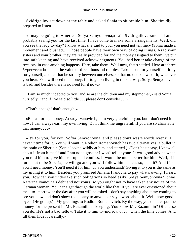Svidrigailov sat down at the table and asked Sonia to sit beside him. She timidly prepared to listen.

 «I may be going to America, Sofya Semyonovna,» said Svidrigailov, «and as I am probably seeing you for the last time, I have come to make some arrangements. Well, did you see the lady to−day? I know what she said to you, you need not tell me.» (Sonia made a movement and blushed.) «Those people have their own way of doing things. As to your sisters and your brother, they are really provided for and the money assigned to them I've put into safe keeping and have received acknowledgments. You had better take charge of the receipts, in case anything happens. Here, take them! Well now, that's settled. Here are three 5−per−cent bonds to the value of three thousand roubles. Take those for yourself, entirely for yourself, and let that be strictly between ourselves, so that no one knows of it, whatever you hear. You will need the money, for to go on living in the old way, Sofya Semyonovna, is bad, and besides there is no need for it now.»

 «I am so much indebted to you, and so are the children and my stepmother,» said Sonia hurriedly, «and if I've said so little . . . please don't consider . . .»

«That's enough! that's enough!»

 «But as for the money, Arkady Ivanovitch, I am very grateful to you, but I don't need it now. I can always earn my own living. Don't think me ungrateful. If you are so charitable, that money. . . .»

 «It's for you, for you, Sofya Semyonovna, and please don't waste words over it. I haven't time for it. You will want it. Rodion Romanovitch has two alternatives: a bullet in the brain or Siberia.» (Sonia looked wildly at him, and started.) «Don't be uneasy, I know all about it from himself and I am not a gossip; I won't tell anyone. It was good advice when you told him to give himself up and confess. It would be much better for him. Well, if it turns out to be Siberia, he will go and you will follow him. That's so, isn't it? And if so, you'll need money. You'll need it for him, do you understand? Giving it to you is the same as my giving it to him. Besides, you promised Amalia Ivanovna to pay what's owing. I heard you. How can you undertake such obligations so heedlessly, Sofya Semyonovna? It was Katerina Ivanovna's debt and not yours, so you ought not to have taken any notice of the German woman. You can't get through the world like that. If you are ever questioned about me – to−morrow or the day after you will be asked – don't say anything about my coming to see you now and don't show the money to anyone or say a word about it. Well, now good− bye.» (He got up.) «My greetings to Rodion Romanovitch. By the way, you'd better put the money for the present in Mr. Razumihin's keeping. You know Mr. Razumihin? Of course you do. He's not a bad fellow. Take it to him to−morrow or . . . when the time comes. And till then, hide it carefully.»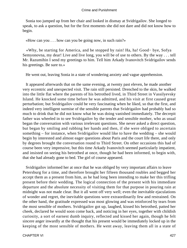Sonia too jumped up from her chair and looked in dismay at Svidrigailov. She longed to speak, to ask a question, but for the first moments she did not dare and did not know how to begin.

«How can you . . . how can you be going now, in such rain?»

 «Why, be starting for America, and be stopped by rain! Ha, ha! Good− bye, Sofya Semyonovna, my dear! Live and live long, you will be of use to others. By the way . . . tell Mr. Razumihin I send my greetings to him. Tell him Arkady Ivanovitch Svidrigailov sends his greetings. Be sure to.»

He went out, leaving Sonia in a state of wondering anxiety and vague apprehension.

 It appeared afterwards that on the same evening, at twenty past eleven, he made another very eccentric and unexpected visit. The rain still persisted. Drenched to the skin, he walked into the little flat where the parents of his betrothed lived, in Third Street in Vassilyevsky Island. He knocked some time before he was admitted, and his visit at first caused great perturbation; but Svidrigailov could be very fascinating when he liked, so that the first, and indeed very intelligent surmise of the sensible parents that Svidrigailov had probably had so much to drink that he did not know what he was doing vanished immediately. The decrepit father was wheeled in to see Svidrigailov by the tender and sensible mother, who as usual began the conversation with various irrelevant questions. She never asked a direct question, but began by smiling and rubbing her hands and then, if she were obliged to ascertain something – for instance, when Svidrigailov would like to have the wedding – she would begin by interested and almost eager questions about Paris and the court life there, and only by degrees brought the conversation round to Third Street. On other occasions this had of course been very impressive, but this time Arkady Ivanovitch seemed particularly impatient, and insisted on seeing his betrothed at once, though he had been informed, to begin with, that she had already gone to bed. The girl of course appeared.

 Svidrigailov informed her at once that he was obliged by very important affairs to leave Petersburg for a time, and therefore brought her fifteen thousand roubles and begged her accept them as a present from him, as he had long been intending to make her this trifling present before their wedding. The logical connection of the present with his immediate departure and the absolute necessity of visiting them for that purpose in pouring rain at midnight was not made clear. But it all went off very well; even the inevitable ejaculations of wonder and regret, the inevitable questions were extraordinarily few and restrained. On the other hand, the gratitude expressed was most glowing and was reinforced by tears from the most sensible of mothers. Svidrigailov got up, laughed, kissed his betrothed, patted her cheek, declared he would soon come back, and noticing in her eyes, together with childish curiosity, a sort of earnest dumb inquiry, reflected and kissed her again, though he felt sincere anger inwardly at the thought that his present would be immediately locked up in the keeping of the most sensible of mothers. He went away, leaving them all in a state of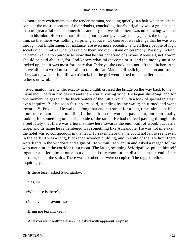extraordinary excitement, but the tender mamma, speaking quietly in a half whisper, settled some of the most important of their doubts, concluding that Svidrigailov was a great man, a man of great affairs and connections and of great wealth – there was no knowing what he had in his mind. He would start off on a journey and give away money just as the fancy took him, so that there was nothing surprising about it. Of course it was strange that he was wet through, but Englishmen, for instance, are even more eccentric, and all these people of high society didn't think of what was said of them and didn't stand on ceremony. Possibly, indeed, he came like that on purpose to show that he was not afraid of anyone. Above all, not a word should be said about it, for God knows what might come of it, and the money must be locked up, and it was most fortunate that Fedosya, the cook, had not left the kitchen. And above all not a word must be said to that old cat, Madame Resslich, and so on and so on. They sat up whispering till two o'clock, but the girl went to bed much earlier, amazed and rather sorrowful.

 Svidrigailov meanwhile, exactly at midnight, crossed the bridge on the way back to the mainland. The rain had ceased and there was a roaring wind. He began shivering, and for one moment he gazed at the black waters of the Little Neva with a look of special interest, even inquiry. But he soon felt it very cold, standing by the water; he turned and went towards Y. Prospect. He walked along that endless street for a long time, almost half an hour, more than once stumbling in the dark on the wooden pavement, but continually looking for something on the right side of the street. He had noticed passing through this street lately that there was a hotel somewhere towards the end, built of wood, but fairly large, and its name he remembered was something like Adrianople. He was not mistaken: the hotel was so conspicuous in that God−forsaken place that he could not fail to see it even in the dark. It was a long, blackened wooden building, and in spite of the late hour there were lights in the windows and signs of life within. He went in and asked a ragged fellow who met him in the corridor for a room. The latter, scanning Svidrigailov, pulled himself together and led him at once to a close and tiny room in the distance, at the end of the corridor, under the stairs. There was no other, all were occupied. The ragged fellow looked inquiringly.

«Is there tea?» asked Svidrigailov.

«Yes, sir.»

«What else is there?»

«Veal, vodka, savouries.»

«Bring me tea and veal.»

«And you want nothing else?» he asked with apparent surprise.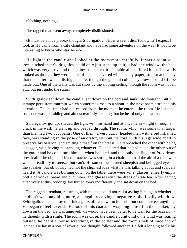«Nothing, nothing.»

The ragged man went away, completely disillusioned.

 «It must be a nice place,» thought Svidrigailov. «How was it I didn't know it? I expect I look as if I came from a cafe chantant and have had some adventure on the way. It would be interesting to know who stay here?»

 He lighted the candle and looked at the room more carefully. It was a room so low−pitched that Svidrigailov could only just stand up in it; it had one window; the bed, which was very dirty, and the plain− stained chair and table almost filled it up. The walls looked as though they were made of planks, covered with shabby paper, so torn and dusty that the pattern was indistinguishable, though the general colour – yellow – could still be made out. One of the walls was cut short by the sloping ceiling, though the room was not an attic but just under the stairs.

 Svidrigailov set down the candle, sat down on the bed and sank into thought. But a strange persistent murmur which sometimes rose to a shout in the next room attracted his attention. The murmur had not ceased from the moment he entered the room. He listened: someone was upbraiding and almost tearfully scolding, but he heard only one voice.

 Svidrigailov got up, shaded the light with his hand and at once he saw light through a crack in the wall; he went up and peeped through. The room, which was somewhat larger than his, had two occupants. One of them, a very curly−headed man with a red inflamed face, was standing in the pose of an orator, without his coat, with his legs wide apart to preserve his balance, and smiting himself on the breast. He reproached the other with being a beggar, with having no standing whatever. He declared that he had taken the other out of the gutter and he could turn him out when he liked, and that only the finger of Providence sees it all. The object of his reproaches was sitting in a chair, and had the air of a man who wants dreadfully to sneeze, but can't. He sometimes turned sheepish and befogged eyes on the speaker, but obviously had not the slightest idea what he was talking about and scarcely heard it. A candle was burning down on the table; there were wine−glasses, a nearly empty bottle of vodka, bread and cucumber, and glasses with the dregs of stale tea. After gazing attentively at this, Svidrigailov turned away indifferently and sat down on the bed.

 The ragged attendant, returning with the tea, could not resist asking him again whether he didn't want anything more, and again receiving a negative reply, finally withdrew. Svidrigailov made haste to drink a glass of tea to warm himself, but could not eat anything. He began to feel feverish. He took off his coat and, wrapping himself in the blanket, lay down on the bed. He was annoyed. «It would have been better to be well for the occasion,» he thought with a smile. The room was close, the candle burnt dimly, the wind was roaring outside, he heard a mouse scratching in the corner and the room smelt of mice and of leather. He lay in a sort of reverie: one thought followed another. He felt a longing to fix his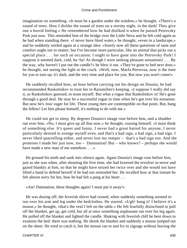imagination on something. «It must be a garden under the window,» he thought. «There's a sound of trees. How I dislike the sound of trees on a stormy night, in the dark! They give one a horrid feeling.» He remembered how he had disliked it when he passed Petrovsky Park just now. This reminded him of the bridge over the Little Neva and he felt cold again as he had when standing there. «I never have liked water,» he thought, «even in a landscape,» and he suddenly smiled again at a strange idea: «Surely now all these questions of taste and comfort ought not to matter, but I've become more particular, like an animal that picks out a special place . . . for such an occasion. I ought to have gone into the Petrovsky Park! I suppose it seemed dark, cold, ha−ha! As though I were seeking pleasant sensations! . . . By the way, why haven't I put out the candle?» he blew it out. «They've gone to bed next door,» he thought, not seeing the light at the crack. «Well, now, Marfa Petrovna, now is the time for you to turn up; it's dark, and the very time and place for you. But now you won't come!»

 He suddenly recalled how, an hour before carrying out his design on Dounia, he had recommended Raskolnikov to trust her to Razumihin's keeping. «I suppose I really did say it, as Raskolnikov guessed, to tease myself. But what a rogue that Raskolnikov is! He's gone through a good deal. He may be a successful rogue in time when he's got over his nonsense. But now he's /too/ eager for life. These young men are contemptible on that point. But, hang the fellow! Let him please himself, it's nothing to do with me.»

 He could not get to sleep. By degrees Dounia's image rose before him, and a shudder ran over him. «No, I must give up all that now,» he thought, rousing himself. «I must think of something else. It's queer and funny. I never had a great hatred for anyone, I never particularly desired to avenge myself even, and that's a bad sign, a bad sign, a bad sign. I never liked quarrelling either, and never lost my temper – that's a bad sign too. And the promises I made her just now, too – Damnation! But – who knows? – perhaps she would have made a new man of me somehow. . . . »

 He ground his teeth and sank into silence again. Again Dounia's image rose before him, just as she was when, after shooting the first time, she had lowered the revolver in terror and gazed blankly at him, so that he might have seized her twice over and she would not have lifted a hand to defend herself if he had not reminded her. He recalled how at that instant he felt almost sorry for her, how he had felt a pang at his heart . . .

«Aie! Damnation, these thoughts again! I must put it away!»

 He was dozing off; the feverish shiver had ceased, when suddenly something seemed to run over his arm and leg under the bedclothes. He started. «Ugh! hang it! I believe it's a mouse,» he thought, «that's the veal I left on the table.» He felt fearfully disinclined to pull off the blanket, get up, get cold, but all at once something unpleasant ran over his leg again. He pulled off the blanket and lighted the candle. Shaking with feverish chill he bent down to examine the bed: there was nothing. He shook the blanket and suddenly a mouse jumped out on the sheet. He tried to catch it, but the mouse ran to and fro in zigzags without leaving the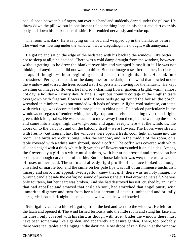bed, slipped between his fingers, ran over his hand and suddenly darted under the pillow. He threw down the pillow, but in one instant felt something leap on his chest and dart over his body and down his back under his shirt. He trembled nervously and woke up.

 The room was dark. He was lying on the bed and wrapped up in the blanket as before. The wind was howling under the window. «How disgusting,» he thought with annoyance.

 He got up and sat on the edge of the bedstead with his back to the window. «It's better not to sleep at all,» he decided. There was a cold damp draught from the window, however; without getting up he drew the blanket over him and wrapped himself in it. He was not thinking of anything and did not want to think. But one image rose after another, incoherent scraps of thought without beginning or end passed through his mind. He sank into drowsiness. Perhaps the cold, or the dampness, or the dark, or the wind that howled under the window and tossed the trees roused a sort of persistent craving for the fantastic. He kept dwelling on images of flowers, he fancied a charming flower garden, a bright, warm, almost hot day, a holiday – Trinity day. A fine, sumptuous country cottage in the English taste overgrown with fragrant flowers, with flower beds going round the house; the porch, wreathed in climbers, was surrounded with beds of roses. A light, cool staircase, carpeted with rich rugs, was decorated with rare plants in china pots. He noticed particularly in the windows nosegays of tender, white, heavily fragrant narcissus bending over their bright, green, thick long stalks. He was reluctant to move away from them, but he went up the stairs and came into a large, high drawing−room and again everywhere – at the windows, the doors on to the balcony, and on the balcony itself – were flowers. The floors were strewn with freshly−cut fragrant hay, the windows were open, a fresh, cool, light air came into the room. The birds were chirruping under the window, and in the middle of the room, on a table covered with a white satin shroud, stood a coffin. The coffin was covered with white silk and edged with a thick white frill; wreaths of flowers surrounded it on all sides. Among the flowers lay a girl in a white muslin dress, with her arms crossed and pressed on her bosom, as though carved out of marble. But her loose fair hair was wet; there was a wreath of roses on her head. The stern and already rigid profile of her face looked as though chiselled of marble too, and the smile on her pale lips was full of an immense unchildish misery and sorrowful appeal. Svidrigailov knew that girl; there was no holy image, no burning candle beside the coffin; no sound of prayers: the girl had drowned herself. She was only fourteen, but her heart was broken. And she had destroyed herself, crushed by an insult that had appalled and amazed that childish soul, had smirched that angel purity with unmerited disgrace and torn from her a last scream of despair, unheeded and brutally disregarded, on a dark night in the cold and wet while the wind howled. . . .

 Svidrigailov came to himself, got up from the bed and went to the window. He felt for the latch and opened it. The wind lashed furiously into the little room and stung his face and his chest, only covered with his shirt, as though with frost. Under the window there must have been something like a garden, and apparently a pleasure garden. There, too, probably there were tea−tables and singing in the daytime. Now drops of rain flew in at the window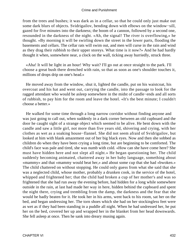from the trees and bushes; it was dark as in a cellar, so that he could only just make out some dark blurs of objects. Svidrigailov, bending down with elbows on the window−sill, gazed for five minutes into the darkness; the boom of a cannon, followed by a second one, resounded in the darkness of the night. «Ah, the signal! The river is overflowing,» he thought. «By morning it will be swirling down the street in the lower parts, flooding the basements and cellars. The cellar rats will swim out, and men will curse in the rain and wind as they drag their rubbish to their upper storeys. What time is it now?» And he had hardly thought it when, somewhere near, a clock on the wall, ticking away hurriedly, struck three.

 «Aha! It will be light in an hour! Why wait? I'll go out at once straight to the park. I'll choose a great bush there drenched with rain, so that as soon as one's shoulder touches it, millions of drops drip on one's head.»

 He moved away from the window, shut it, lighted the candle, put on his waistcoat, his overcoat and his hat and went out, carrying the candle, into the passage to look for the ragged attendant who would be asleep somewhere in the midst of candle−ends and all sorts of rubbish, to pay him for the room and leave the hotel. «It's the best minute; I couldn't choose a better.»

 He walked for some time through a long narrow corridor without finding anyone and was just going to call out, when suddenly in a dark corner between an old cupboard and the door he caught sight of a strange object which seemed to be alive. He bent down with the candle and saw a little girl, not more than five years old, shivering and crying, with her clothes as wet as a soaking house−flannel. She did not seem afraid of Svidrigailov, but looked at him with blank amazement out of her big black eyes. Now and then she sobbed as children do when they have been crying a long time, but are beginning to be comforted. The child's face was pale and tired, she was numb with cold. «How can she have come here? She must have hidden here and not slept all night.» He began questioning her. The child suddenly becoming animated, chattered away in her baby language, something about «mammy» and that «mammy would beat her,» and about some cup that she had «bwoken.» The child chattered on without stopping. He could only guess from what she said that she was a neglected child, whose mother, probably a drunken cook, in the service of the hotel, whipped and frightened her; that the child had broken a cup of her mother's and was so frightened that she had run away the evening before, had hidden for a long while somewhere outside in the rain, at last had made her way in here, hidden behind the cupboard and spent the night there, crying and trembling from the damp, the darkness and the fear that she would be badly beaten for it. He took her in his arms, went back to his room, sat her on the bed, and began undressing her. The torn shoes which she had on her stockingless feet were as wet as if they had been standing in a puddle all night. When he had undressed her, he put her on the bed, covered her up and wrapped her in the blanket from her head downwards. She fell asleep at once. Then he sank into dreary musing again.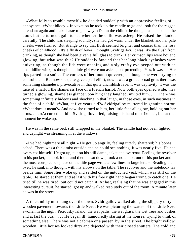«What folly to trouble myself,» he decided suddenly with an oppressive feeling of annoyance. «What idiocy!» In vexation he took up the candle to go and look for the ragged attendant again and make haste to go away. «Damn the child!» he thought as he opened the door, but he turned again to see whether the child was asleep. He raised the blanket carefully. The child was sleeping soundly, she had got warm under the blanket, and her pale cheeks were flushed. But strange to say that flush seemed brighter and coarser than the rosy cheeks of childhood. «It's a flush of fever,» thought Svidrigailov. It was like the flush from drinking, as though she had been given a full glass to drink. Her crimson lips were hot and glowing; but what was this? He suddenly fancied that her long black eyelashes were quivering, as though the lids were opening and a sly crafty eye peeped out with an unchildlike wink, as though the little girl were not asleep, but pretending. Yes, it was so. Her lips parted in a smile. The corners of her mouth quivered, as though she were trying to control them. But now she quite gave up all effort, now it was a grin, a broad grin; there was something shameless, provocative in that quite unchildish face; it was depravity, it was the face of a harlot, the shameless face of a French harlot. Now both eyes opened wide; they turned a glowing, shameless glance upon him; they laughed, invited him. . . . There was something infinitely hideous and shocking in that laugh, in those eyes, in such nastiness in the face of a child. «What, at five years old?» Svidrigailov muttered in genuine horror. «What does it mean?» And now she turned to him, her little face all aglow, holding out her arms. . . . «Accursed child!» Svidrigailov cried, raising his hand to strike her, but at that moment he woke up.

 He was in the same bed, still wrapped in the blanket. The candle had not been lighted, and daylight was streaming in at the windows.

 «I've had nightmare all night!» He got up angrily, feeling utterly shattered; his bones ached. There was a thick mist outside and he could see nothing. It was nearly five. He had overslept himself! He got up, put on his still damp jacket and overcoat. Feeling the revolver in his pocket, he took it out and then he sat down, took a notebook out of his pocket and in the most conspicuous place on the title page wrote a few lines in large letters. Reading them over, he sank into thought with his elbows on the table. The revolver and the notebook lay beside him. Some flies woke up and settled on the untouched veal, which was still on the table. He stared at them and at last with his free right hand began trying to catch one. He tried till he was tired, but could not catch it. At last, realising that he was engaged in this interesting pursuit, he started, got up and walked resolutely out of the room. A minute later he was in the street.

 A thick milky mist hung over the town. Svidrigailov walked along the slippery dirty wooden pavement towards the Little Neva. He was picturing the waters of the Little Neva swollen in the night, Petrovsky Island, the wet paths, the wet grass, the wet trees and bushes and at last the bush. . . . He began ill−humouredly staring at the houses, trying to think of something else. There was not a cabman or a passer−by in the street. The bright yellow, wooden, little houses looked dirty and dejected with their closed shutters. The cold and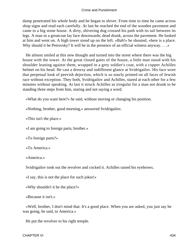damp penetrated his whole body and he began to shiver. From time to time he came across shop signs and read each carefully. At last he reached the end of the wooden pavement and came to a big stone house. A dirty, shivering dog crossed his path with its tail between its legs. A man in a greatcoat lay face downwards; dead drunk, across the pavement. He looked at him and went on. A high tower stood up on the left. «Bah!» he shouted, «here is a place. Why should it be Petrovsky? It will be in the presence of an official witness anyway....»

 He almost smiled at this new thought and turned into the street where there was the big house with the tower. At the great closed gates of the house, a little man stood with his shoulder leaning against them, wrapped in a grey soldier's coat, with a copper Achilles helmet on his head. He cast a drowsy and indifferent glance at Svidrigailov. His face wore that perpetual look of peevish dejection, which is so sourly printed on all faces of Jewish race without exception. They both, Svidrigailov and Achilles, stared at each other for a few minutes without speaking. At last it struck Achilles as irregular for a man not drunk to be standing three steps from him, staring and not saying a word.

«What do you want here?» he said, without moving or changing his position.

«Nothing, brother, good morning,» answered Svidrigailov.

«This isn't the place.»

«I am going to foreign parts, brother.»

«To foreign parts?»

«To America.»

«America.»

Svidrigailov took out the revolver and cocked it. Achilles raised his eyebrows.

«I say, this is not the place for such jokes!»

«Why shouldn't it be the place?»

«Because it isn't.»

 «Well, brother, I don't mind that. It's a good place. When you are asked, you just say he was going, he said, to America.»

He put the revolver to his right temple.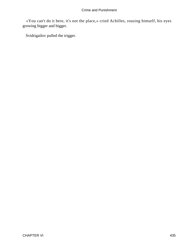«You can't do it here, it's not the place,» cried Achilles, rousing himself, his eyes growing bigger and bigger.

Svidrigailov pulled the trigger.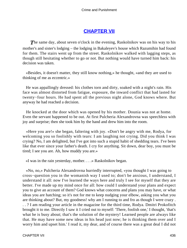# **[CHAPTER VII](#page-467-0)**

<span id="page-436-0"></span>**The same day, about seven o'clock in the evening, Raskolnikov was on his way to his** mother's and sister's lodging – the lodging in Bakaleyev's house which Razumihin had found for them. The stairs went up from the street. Raskolnikov walked with lagging steps, as though still hesitating whether to go or not. But nothing would have turned him back: his decision was taken.

 «Besides, it doesn't matter, they still know nothing,» he thought, «and they are used to thinking of me as eccentric.»

 He was appallingly dressed: his clothes torn and dirty, soaked with a night's rain. His face was almost distorted from fatigue, exposure, the inward conflict that had lasted for twenty−four hours. He had spent all the previous night alone, God knows where. But anyway he had reached a decision.

 He knocked at the door which was opened by his mother. Dounia was not at home. Even the servant happened to be out. At first Pulcheria Alexandrovna was speechless with joy and surprise; then she took him by the hand and drew him into the room.

 «Here you are!» she began, faltering with joy. «Don't be angry with me, Rodya, for welcoming you so foolishly with tears: I am laughing not crying. Did you think I was crying? No, I am delighted, but I've got into such a stupid habit of shedding tears. I've been like that ever since your father's death. I cry for anything. Sit down, dear boy, you must be tired; I see you are. Ah, how muddy you are.»

«I was in the rain yesterday, mother. . . .» Raskolnikov began.

 «No, no,» Pulcheria Alexandrovna hurriedly interrupted, «you thought I was going to cross−question you in the womanish way I used to; don't be anxious, I understand, I understand it all: now I've learned the ways here and truly I see for myself that they are better. I've made up my mind once for all: how could I understand your plans and expect you to give an account of them? God knows what concerns and plans you may have, or what ideas you are hatching; so it's not for me to keep nudging your elbow, asking you what you are thinking about? But, my goodness! why am I running to and fro as though I were crazy . . . ? I am reading your article in the magazine for the third time, Rodya. Dmitri Prokofitch brought it to me. Directly I saw it I cried out to myself: 'There, foolish one,' I thought, 'that's what he is busy about; that's the solution of the mystery! Learned people are always like that. He may have some new ideas in his head just now; he is thinking them over and I worry him and upset him.' I read it, my dear, and of course there was a great deal I did not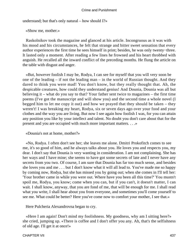understand; but that's only natural – how should I?»

«Show me, mother.»

 Raskolnikov took the magazine and glanced at his article. Incongruous as it was with his mood and his circumstances, he felt that strange and bitter sweet sensation that every author experiences the first time he sees himself in print; besides, he was only twenty−three. It lasted only a moment. After reading a few lines he frowned and his heart throbbed with anguish. He recalled all the inward conflict of the preceding months. He flung the article on the table with disgust and anger.

 «But, however foolish I may be, Rodya, I can see for myself that you will very soon be one of the leading – if not the leading man – in the world of Russian thought. And they dared to think you were mad! You don't know, but they really thought that. Ah, the despicable creatures, how could they understand genius! And Dounia, Dounia was all but believing it – what do you say to that? Your father sent twice to magazines – the first time poems (I've got the manuscript and will show you) and the second time a whole novel (I begged him to let me copy it out) and how we prayed that they should be taken – they weren't! I was breaking my heart, Rodya, six or seven days ago over your food and your clothes and the way you are living. But now I see again how foolish I was, for you can attain any position you like by your intellect and talent. No doubt you don't care about that for the present and you are occupied with much more important matters. . . .»

«Dounia's not at home, mother?»

 «No, Rodya. I often don't see her; she leaves me alone. Dmitri Prokofitch comes to see me, it's so good of him, and he always talks about you. He loves you and respects you, my dear. I don't say that Dounia is very wanting in consideration. I am not complaining. She has her ways and I have mine; she seems to have got some secrets of late and I never have any secrets from you two. Of course, I am sure that Dounia has far too much sense, and besides she loves you and me . . . but I don't know what it will all lead to. You've made me so happy by coming now, Rodya, but she has missed you by going out; when she comes in I'll tell her: 'Your brother came in while you were out. Where have you been all this time?' You mustn't spoil me, Rodya, you know; come when you can, but if you can't, it doesn't matter, I can wait. I shall know, anyway, that you are fond of me, that will be enough for me. I shall read what you write, I shall hear about you from everyone, and sometimes you'll come yourself to see me. What could be better? Here you've come now to comfort your mother, I see that.»

Here Pulcheria Alexandrovna began to cry.

 «Here I am again! Don't mind my foolishness. My goodness, why am I sitting here?» she cried, jumping up. «There is coffee and I don't offer you any. Ah, that's the selfishness of old age. I'll get it at once!»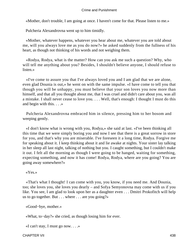«Mother, don't trouble, I am going at once. I haven't come for that. Please listen to me.»

Pulcheria Alexandrovna went up to him timidly.

 «Mother, whatever happens, whatever you hear about me, whatever you are told about me, will you always love me as you do now?» he asked suddenly from the fullness of his heart, as though not thinking of his words and not weighing them.

 «Rodya, Rodya, what is the matter? How can you ask me such a question? Why, who will tell me anything about you? Besides, I shouldn't believe anyone, I should refuse to listen.»

 «I've come to assure you that I've always loved you and I am glad that we are alone, even glad Dounia is out,» he went on with the same impulse. «I have come to tell you that though you will be unhappy, you must believe that your son loves you now more than himself, and that all you thought about me, that I was cruel and didn't care about you, was all a mistake. I shall never cease to love you. . . . Well, that's enough: I thought I must do this and begin with this. . . .»

 Pulcheria Alexandrovna embraced him in silence, pressing him to her bosom and weeping gently.

 «I don't know what is wrong with you, Rodya,» she said at last. «I've been thinking all this time that we were simply boring you and now I see that there is a great sorrow in store for you, and that's why you are miserable. I've foreseen it a long time, Rodya. Forgive me for speaking about it. I keep thinking about it and lie awake at nights. Your sister lay talking in her sleep all last night, talking of nothing but you. I caught something, but I couldn't make it out. I felt all the morning as though I were going to be hanged, waiting for something, expecting something, and now it has come! Rodya, Rodya, where are you going? You are going away somewhere?»

```
 «Yes.»
```
 «That's what I thought! I can come with you, you know, if you need me. And Dounia, too; she loves you, she loves you dearly – and Sofya Semyonovna may come with us if you like. You see, I am glad to look upon her as a daughter even . . . Dmitri Prokofitch will help us to go together. But  $\dots$  where  $\dots$  are you going?»

```
 «Good−bye, mother.»
```
«What, to−day?» she cried, as though losing him for ever.

«I can't stay, I must go now. . . .»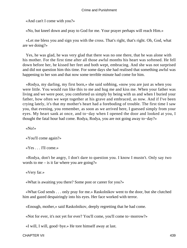«And can't I come with you?»

«No, but kneel down and pray to God for me. Your prayer perhaps will reach Him.»

 «Let me bless you and sign you with the cross. That's right, that's right. Oh, God, what are we doing?»

 Yes, he was glad, he was very glad that there was no one there, that he was alone with his mother. For the first time after all those awful months his heart was softened. He fell down before her, he kissed her feet and both wept, embracing. And she was not surprised and did not question him this time. For some days she had realised that something awful was happening to her son and that now some terrible minute had come for him.

 «Rodya, my darling, my first born,» she said sobbing, «now you are just as when you were little. You would run like this to me and hug me and kiss me. When your father was living and we were poor, you comforted us simply by being with us and when I buried your father, how often we wept together at his grave and embraced, as now. And if I've been crying lately, it's that my mother's heart had a foreboding of trouble. The first time I saw you, that evening, you remember, as soon as we arrived here, I guessed simply from your eyes. My heart sank at once, and to−day when I opened the door and looked at you, I thought the fatal hour had come. Rodya, Rodya, you are not going away to−day?»

«No!»

«You'll come again?»

«Yes . . . I'll come.»

 «Rodya, don't be angry, I don't dare to question you. I know I mustn't. Only say two words to me – is it far where you are going?»

«Very far.»

«What is awaiting you there? Some post or career for you?»

 «What God sends . . . only pray for me.» Raskolnikov went to the door, but she clutched him and gazed despairingly into his eyes. Her face worked with terror.

«Enough, mother,» said Raskolnikov, deeply regretting that he had come.

«Not for ever, it's not yet for ever? You'll come, you'll come to−morrow?»

«I will, I will, good−bye.» He tore himself away at last.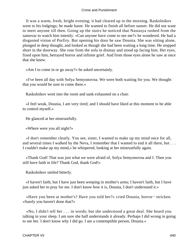It was a warm, fresh, bright evening; it had cleared up in the morning. Raskolnikov went to his lodgings; he made haste. He wanted to finish all before sunset. He did not want to meet anyone till then. Going up the stairs he noticed that Nastasya rushed from the samovar to watch him intently. «Can anyone have come to see me?» he wondered. He had a disgusted vision of Porfiry. But opening his door he saw Dounia. She was sitting alone, plunged in deep thought, and looked as though she had been waiting a long time. He stopped short in the doorway. She rose from the sofa in dismay and stood up facing him. Her eyes, fixed upon him, betrayed horror and infinite grief. And from those eyes alone he saw at once that she knew.

«Am I to come in or go away?» he asked uncertainly.

 «I've been all day with Sofya Semyonovna. We were both waiting for you. We thought that you would be sure to come there.»

Raskolnikov went into the room and sank exhausted on a chair.

 «I feel weak, Dounia, I am very tired; and I should have liked at this moment to be able to control myself.»

He glanced at her mistrustfully.

«Where were you all night?»

 «I don't remember clearly. You see, sister, I wanted to make up my mind once for all, and several times I walked by the Neva, I remember that I wanted to end it all there, but . . . I couldn't make up my mind,» he whispered, looking at her mistrustfully again.

 «Thank God! That was just what we were afraid of, Sofya Semyonovna and I. Then you still have faith in life? Thank God, thank God!»

Raskolnikov smiled bitterly.

 «I haven't faith, but I have just been weeping in mother's arms; I haven't faith, but I have just asked her to pray for me. I don't know how it is, Dounia, I don't understand it.»

 «Have you been at mother's? Have you told her?» cried Dounia, horror− stricken. «Surely you haven't done that?»

 «No, I didn't tell her . . . in words; but she understood a great deal. She heard you talking in your sleep. I am sure she half understands it already. Perhaps I did wrong in going to see her. I don't know why I did go. I am a contemptible person, Dounia.»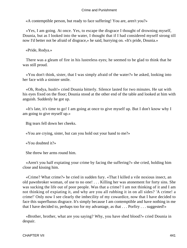«A contemptible person, but ready to face suffering! You are, aren't you?»

 «Yes, I am going. At once. Yes, to escape the disgrace I thought of drowning myself, Dounia, but as I looked into the water, I thought that if I had considered myself strong till now I'd better not be afraid of disgrace,» he said, hurrying on. «It's pride, Dounia.»

«Pride, Rodya.»

 There was a gleam of fire in his lustreless eyes; he seemed to be glad to think that he was still proud.

 «You don't think, sister, that I was simply afraid of the water?» he asked, looking into her face with a sinister smile.

 «Oh, Rodya, hush!» cried Dounia bitterly. Silence lasted for two minutes. He sat with his eyes fixed on the floor; Dounia stood at the other end of the table and looked at him with anguish. Suddenly he got up.

 «It's late, it's time to go! I am going at once to give myself up. But I don't know why I am going to give myself up.»

Big tears fell down her cheeks.

«You are crying, sister, but can you hold out your hand to me?»

«You doubted it?»

She threw her arms round him.

 «Aren't you half expiating your crime by facing the suffering?» she cried, holding him close and kissing him.

 «Crime? What crime?» he cried in sudden fury. «That I killed a vile noxious insect, an old pawnbroker woman, of use to no one! . . . Killing her was atonement for forty sins. She was sucking the life out of poor people. Was that a crime? I am not thinking of it and I am not thinking of expiating it, and why are you all rubbing it in on all sides? 'A crime! a crime!' Only now I see clearly the imbecility of my cowardice, now that I have decided to face this superfluous disgrace. It's simply because I am contemptible and have nothing in me that I have decided to, perhaps too for my advantage, as that . . . Porfiry . . . suggested!»

 «Brother, brother, what are you saying? Why, you have shed blood?» cried Dounia in despair.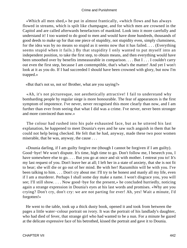«Which all men shed,» he put in almost frantically, «which flows and has always flowed in streams, which is spilt like champagne, and for which men are crowned in the Capitol and are called afterwards benefactors of mankind. Look into it more carefully and understand it! I too wanted to do good to men and would have done hundreds, thousands of good deeds to make up for that one piece of stupidity, not stupidity even, simply clumsiness, for the idea was by no means so stupid as it seems now that it has failed. . . . (Everything seems stupid when it fails.) By that stupidity I only wanted to put myself into an independent position, to take the first step, to obtain means, and then everything would have been smoothed over by benefits immeasurable in comparison. . . . But I . . . I couldn't carry out even the first step, because I am contemptible, that's what's the matter! And yet I won't look at it as you do. If I had succeeded I should have been crowned with glory, but now I'm trapped.»

«But that's not so, not so! Brother, what are you saying?»

 «Ah, it's not picturesque, not aesthetically attractive! I fail to understand why bombarding people by regular siege is more honourable. The fear of appearances is the first symptom of impotence. I've never, never recognised this more clearly than now, and I am further than ever from seeing that what I did was a crime. I've never, never been stronger and more convinced than now.»

 The colour had rushed into his pale exhausted face, but as he uttered his last explanation, he happened to meet Dounia's eyes and he saw such anguish in them that he could not help being checked. He felt that he had, anyway, made these two poor women miserable, that he was, anyway, the cause . . .

 «Dounia darling, if I am guilty forgive me (though I cannot be forgiven if I am guilty). Good−bye! We won't dispute. It's time, high time to go. Don't follow me, I beseech you, I have somewhere else to go. . . . But you go at once and sit with mother. I entreat you to! It's my last request of you. Don't leave her at all; I left her in a state of anxiety, that she is not fit to bear; she will die or go out of her mind. Be with her! Razumihin will be with you. I've been talking to him. . . . Don't cry about me: I'll try to be honest and manly all my life, even if I am a murderer. Perhaps I shall some day make a name. I won't disgrace you, you will see; I'll still show. . . . Now good–bye for the present,» he concluded hurriedly, noticing again a strange expression in Dounia's eyes at his last words and promises. «Why are you crying? Don't cry, don't cry: we are not parting for ever! Ah, yes! Wait a minute, I'd forgotten!»

 He went to the table, took up a thick dusty book, opened it and took from between the pages a little water−colour portrait on ivory. It was the portrait of his landlady's daughter, who had died of fever, that strange girl who had wanted to be a nun. For a minute he gazed at the delicate expressive face of his betrothed, kissed the portrait and gave it to Dounia.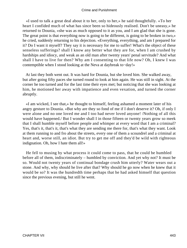«I used to talk a great deal about it to her, only to her,» he said thoughtfully. «To her heart I confided much of what has since been so hideously realised. Don't be uneasy,» he returned to Dounia, «she was as much opposed to it as you, and I am glad that she is gone. The great point is that everything now is going to be different, is going to be broken in two,» he cried, suddenly returning to his dejection. «Everything, everything, and am I prepared for it? Do I want it myself? They say it is necessary for me to suffer! What's the object of these senseless sufferings? shall I know any better what they are for, when I am crushed by hardships and idiocy, and weak as an old man after twenty years' penal servitude? And what shall I have to live for then? Why am I consenting to that life now? Oh, I knew I was contemptible when I stood looking at the Neva at daybreak to−day!»

 At last they both went out. It was hard for Dounia, but she loved him. She walked away, but after going fifty paces she turned round to look at him again. He was still in sight. At the corner he too turned and for the last time their eyes met; but noticing that she was looking at him, he motioned her away with impatience and even vexation, and turned the corner abruptly.

 «I am wicked, I see that,» he thought to himself, feeling ashamed a moment later of his angry gesture to Dounia. «But why are they so fond of me if I don't deserve it? Oh, if only I were alone and no one loved me and I too had never loved anyone! /Nothing of all this would have happened./ But I wonder shall I in those fifteen or twenty years grow so meek that I shall humble myself before people and whimper at every word that I am a criminal? Yes, that's it, that's it, that's what they are sending me there for, that's what they want. Look at them running to and fro about the streets, every one of them a scoundrel and a criminal at heart and, worse still, an idiot. But try to get me off and they'd be wild with righteous indignation. Oh, how I hate them all!»

 He fell to musing by what process it could come to pass, that he could be humbled before all of them, indiscriminately – humbled by conviction. And yet why not? It must be so. Would not twenty years of continual bondage crush him utterly? Water wears out a stone. And why, why should he live after that? Why should he go now when he knew that it would be so? It was the hundredth time perhaps that he had asked himself that question since the previous evening, but still he went.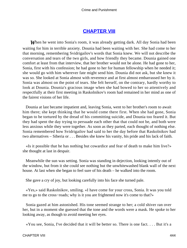# **[CHAPTER VIII](#page-467-0)**

<span id="page-444-0"></span>*W*hen he went into Sonia's room, it was already getting dark. All day Sonia had been waiting for him in terrible anxiety. Dounia had been waiting with her. She had come to her that morning, remembering Svidrigailov's words that Sonia knew. We will not describe the conversation and tears of the two girls, and how friendly they became. Dounia gained one comfort at least from that interview, that her brother would not be alone. He had gone to her, Sonia, first with his confession; he had gone to her for human fellowship when he needed it; she would go with him wherever fate might send him. Dounia did not ask, but she knew it was so. She looked at Sonia almost with reverence and at first almost embarrassed her by it. Sonia was almost on the point of tears. She felt herself, on the contrary, hardly worthy to look at Dounia. Dounia's gracious image when she had bowed to her so attentively and respectfully at their first meeting in Raskolnikov's room had remained in her mind as one of the fairest visions of her life.

 Dounia at last became impatient and, leaving Sonia, went to her brother's room to await him there; she kept thinking that he would come there first. When she had gone, Sonia began to be tortured by the dread of his committing suicide, and Dounia too feared it. But they had spent the day trying to persuade each other that that could not be, and both were less anxious while they were together. As soon as they parted, each thought of nothing else. Sonia remembered how Svidrigailov had said to her the day before that Raskolnikov had two alternatives – Siberia or . . . Besides she knew his vanity, his pride and his lack of faith.

 «Is it possible that he has nothing but cowardice and fear of death to make him live?» she thought at last in despair.

 Meanwhile the sun was setting. Sonia was standing in dejection, looking intently out of the window, but from it she could see nothing but the unwhitewashed blank wall of the next house. At last when she began to feel sure of his death – he walked into the room.

She gave a cry of joy, but looking carefully into his face she turned pale.

 «Yes,» said Raskolnikov, smiling. «I have come for your cross, Sonia. It was you told me to go to the cross−roads; why is it you are frightened now it's come to that?»

 Sonia gazed at him astonished. His tone seemed strange to her; a cold shiver ran over her, but in a moment she guessed that the tone and the words were a mask. He spoke to her looking away, as though to avoid meeting her eyes.

«You see, Sonia, I've decided that it will be better so. There is one fact. . . . But it's a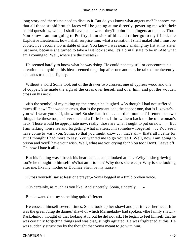long story and there's no need to discuss it. But do you know what angers me? It annoys me that all those stupid brutish faces will be gaping at me directly, pestering me with their stupid questions, which I shall have to answer – they'll point their fingers at me. . . . Tfoo! You know I am not going to Porfiry, I am sick of him. I'd rather go to my friend, the Explosive Lieutenant; how I shall surprise him, what a sensation I shall make! But I must be cooler; I've become too irritable of late. You know I was nearly shaking my fist at my sister just now, because she turned to take a last look at me. It's a brutal state to be in! Ah! what am I coming to! Well, where are the crosses?»

 He seemed hardly to know what he was doing. He could not stay still or concentrate his attention on anything; his ideas seemed to gallop after one another, he talked incoherently, his hands trembled slightly.

 Without a word Sonia took out of the drawer two crosses, one of cypress wood and one of copper. She made the sign of the cross over herself and over him, and put the wooden cross on his neck.

 «It's the symbol of my taking up the cross,» he laughed. «As though I had not suffered much till now! The wooden cross, that is the peasant one; the copper one, that is Lizaveta's – you will wear yourself, show me! So she had it on . . . at that moment? I remember two things like these too, a silver one and a little ikon. I threw them back on the old woman's neck. Those would be appropriate now, really, those are what I ought to put on now. . . . But I am talking nonsense and forgetting what matters; I'm somehow forgetful. . . . You see I have come to warn you, Sonia, so that you might know . . . that's all – that's all I came for. But I thought I had more to say. You wanted me to go yourself. Well, now I am going to prison and you'll have your wish. Well, what are you crying for? You too? Don't. Leave off! Oh, how I hate it all!»

 But his feeling was stirred; his heart ached, as he looked at her. «Why is she grieving too?» he thought to himself. «What am I to her? Why does she weep? Why is she looking after me, like my mother or Dounia? She'll be my nurse.»

«Cross yourself, say at least one prayer,» Sonia begged in a timid broken voice.

«Oh certainly, as much as you like! And sincerely, Sonia, sincerely. . . .»

But he wanted to say something quite different.

 He crossed himself several times. Sonia took up her shawl and put it over her head. It was the green /drap de dames/ shawl of which Marmeladov had spoken, «the family shawl.» Raskolnikov thought of that looking at it, but he did not ask. He began to feel himself that he was certainly forgetting things and was disgustingly agitated. He was frightened at this. He was suddenly struck too by the thought that Sonia meant to go with him.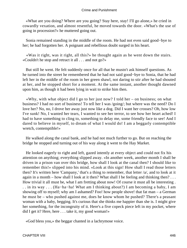«What are you doing? Where are you going? Stay here, stay! I'll go alone,» he cried in cowardly vexation, and almost resentful, he moved towards the door. «What's the use of going in procession?» he muttered going out.

 Sonia remained standing in the middle of the room. He had not even said good−bye to her; he had forgotten her. A poignant and rebellious doubt surged in his heart.

 «Was it right, was it right, all this?» he thought again as he went down the stairs. «Couldn't he stop and retract it all . . . and not go?»

 But still he went. He felt suddenly once for all that he mustn't ask himself questions. As he turned into the street he remembered that he had not said good−bye to Sonia, that he had left her in the middle of the room in her green shawl, not daring to stir after he had shouted at her, and he stopped short for a moment. At the same instant, another thought dawned upon him, as though it had been lying in wait to strike him then.

«Why, with what object did I go to her just now? I told her – on business; on what business? I had no sort of business! To tell her I was /going/; but where was the need? Do I love her? No, no, I drove her away just now like a dog. Did I want her crosses? Oh, how low I've sunk! No, I wanted her tears, I wanted to see her terror, to see how her heart ached! I had to have something to cling to, something to delay me, some friendly face to see! And I dared to believe in myself, to dream of what I would do! I am a beggarly contemptible wretch, contemptible!»

 He walked along the canal bank, and he had not much further to go. But on reaching the bridge he stopped and turning out of his way along it went to the Hay Market.

 He looked eagerly to right and left, gazed intently at every object and could not fix his attention on anything; everything slipped away. «In another week, another month I shall be driven in a prison van over this bridge, how shall I look at the canal then? I should like to remember this!» slipped into his mind. «Look at this sign! How shall I read those letters then? It's written here 'Campany,' that's a thing to remember, that letter /a/, and to look at it again in a month – how shall I look at it then? What shall I be feeling and thinking then?... How trivial it all must be, what I am fretting about now! Of course it must all be interesting . . . in its way . . . (Ha−ha−ha! What am I thinking about?) I am becoming a baby, I am showing off to myself; why am I ashamed? Foo! how people shove! that fat man  $-$  a German he must be – who pushed against me, does he know whom he pushed? There's a peasant woman with a baby, begging. It's curious that she thinks me happier than she is. I might give her something, for the incongruity of it. Here's a five copeck piece left in my pocket, where did I get it? Here, here . . . take it, my good woman!»

«God bless you,» the beggar chanted in a lachrymose voice.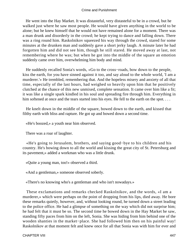He went into the Hay Market. It was distasteful, very distasteful to be in a crowd, but he walked just where he saw most people. He would have given anything in the world to be alone; but he knew himself that he would not have remained alone for a moment. There was a man drunk and disorderly in the crowd; he kept trying to dance and falling down. There was a ring round him. Raskolnikov squeezed his way through the crowd, stared for some minutes at the drunken man and suddenly gave a short jerky laugh. A minute later he had forgotten him and did not see him, though he still stared. He moved away at last, not remembering where he was; but when he got into the middle of the square an emotion suddenly came over him, overwhelming him body and mind.

 He suddenly recalled Sonia's words, «Go to the cross−roads, bow down to the people, kiss the earth, for you have sinned against it too, and say aloud to the whole world, 'I am a murderer.'» He trembled, remembering that. And the hopeless misery and anxiety of all that time, especially of the last hours, had weighed so heavily upon him that he positively clutched at the chance of this new unmixed, complete sensation. It came over him like a fit; it was like a single spark kindled in his soul and spreading fire through him. Everything in him softened at once and the tears started into his eyes. He fell to the earth on the spot....

 He knelt down in the middle of the square, bowed down to the earth, and kissed that filthy earth with bliss and rapture. He got up and bowed down a second time.

«He's boozed,» a youth near him observed.

There was a roar of laughter.

 «He's going to Jerusalem, brothers, and saying good−bye to his children and his country. He's bowing down to all the world and kissing the great city of St. Petersburg and its pavement,» added a workman who was a little drunk.

«Quite a young man, too!» observed a third.

«And a gentleman,» someone observed soberly.

«There's no knowing who's a gentleman and who isn't nowadays.»

 These exclamations and remarks checked Raskolnikov, and the words, «I am a murderer,» which were perhaps on the point of dropping from his lips, died away. He bore these remarks quietly, however, and, without looking round, he turned down a street leading to the police office. He had a glimpse of something on the way which did not surprise him; he had felt that it must be so. The second time he bowed down in the Hay Market he saw, standing fifty paces from him on the left, Sonia. She was hiding from him behind one of the wooden shanties in the market−place. She had followed him then on his painful way! Raskolnikov at that moment felt and knew once for all that Sonia was with him for ever and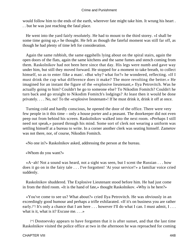would follow him to the ends of the earth, wherever fate might take him. It wrung his heart . . . but he was just reaching the fatal place.

 He went into the yard fairly resolutely. He had to mount to the third storey. «I shall be some time going up,» he thought. He felt as though the fateful moment was still far off, as though he had plenty of time left for consideration.

 Again the same rubbish, the same eggshells lying about on the spiral stairs, again the open doors of the flats, again the same kitchens and the same fumes and stench coming from them. Raskolnikov had not been here since that day. His legs were numb and gave way under him, but still they moved forward. He stopped for a moment to take breath, to collect himself, so as to enter /like a man/. «But why? what for?» he wondered, reflecting. «If I must drink the cup what difference does it make? The more revolting the better.» He imagined for an instant the figure of the «explosive lieutenant,» Ilya Petrovitch. Was he actually going to him? Couldn't he go to someone else? To Nikodim Fomitch? Couldn't he turn back and go straight to Nikodim Fomitch's lodgings? At least then it would be done privately. . . . No, no! To the «explosive lieutenant»! If he must drink it, drink it off at once.

 Turning cold and hardly conscious, he opened the door of the office. There were very few people in it this time – only a house porter and a peasant. The doorkeeper did not even peep out from behind his screen. Raskolnikov walked into the next room. «Perhaps I still need not speak,» passed through his mind. Some sort of clerk not wearing a uniform was settling himself at a bureau to write. In a corner another clerk was seating himself. Zametov was not there, nor, of course, Nikodim Fomitch.

«No one in?» Raskolnikov asked, addressing the person at the bureau.

«Whom do you want?»

 «A−ah! Not a sound was heard, not a sight was seen, but I scent the Russian . . . how does it go on in the fairy tale . . . I've forgotten! 'At your service!'» a familiar voice cried suddenly.

 Raskolnikov shuddered. The Explosive Lieutenant stood before him. He had just come in from the third room. «It is the hand of fate,» thought Raskolnikov. «Why is he here?»

 «You've come to see us? What about?» cried Ilya Petrovitch. He was obviously in an exceedingly good humour and perhaps a trifle exhilarated. «If it's on business you are rather early.<sup>[\*]</sup> It's only a chance that I am here . . . however I'll do what I can. I must admit, I . . . what is it, what is it? Excuse me. . . .»

[\*] Dostoevsky appears to have forgotten that it is after sunset, and that the last time Raskolnikov visited the police office at two in the afternoon he was reproached for coming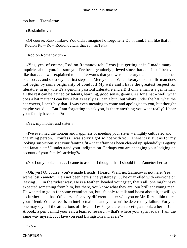## too late. – **Translator.**

«Raskolnikov.»

 «Of course, Raskolnikov. You didn't imagine I'd forgotten? Don't think I am like that . . . Rodion Ro – Ro – Rodionovitch, that's it, isn't it?»

«Rodion Romanovitch.»

 «Yes, yes, of course, Rodion Romanovitch! I was just getting at it. I made many inquiries about you. I assure you I've been genuinely grieved since that . . . since I behaved like that . . . it was explained to me afterwards that you were a literary man . . . and a learned one too . . . and so to say the first steps . . . Mercy on us! What literary or scientific man does not begin by some originality of conduct! My wife and I have the greatest respect for literature, in my wife it's a genuine passion! Literature and art! If only a man is a gentleman, all the rest can be gained by talents, learning, good sense, genius. As for a hat – well, what does a hat matter? I can buy a hat as easily as I can a bun; but what's under the hat, what the hat covers, I can't buy that! I was even meaning to come and apologise to you, but thought maybe you'd . . . But I am forgetting to ask you, is there anything you want really? I hear your family have come?»

«Yes, my mother and sister.»

 «I've even had the honour and happiness of meeting your sister – a highly cultivated and charming person. I confess I was sorry I got so hot with you. There it is! But as for my looking suspiciously at your fainting fit – that affair has been cleared up splendidly! Bigotry and fanaticism! I understand your indignation. Perhaps you are changing your lodging on account of your family's arriving?»

«No, I only looked in . . . I came to ask . . . I thought that I should find Zametov here.»

 «Oh, yes! Of course, you've made friends, I heard. Well, no, Zametov is not here. Yes, we've lost Zametov. He's not been here since yesterday . . . he quarrelled with everyone on leaving . . . in the rudest way. He is a feather−headed youngster, that's all; one might have expected something from him, but there, you know what they are, our brilliant young men. He wanted to go in for some examination, but it's only to talk and boast about it, it will go no further than that. Of course it's a very different matter with you or Mr. Razumihin there, your friend. Your career is an intellectual one and you won't be deterred by failure. For you, one may say, all the attractions of life /nihil est/ – you are an ascetic, a monk, a hermit! . . . A book, a pen behind your ear, a learned research – that's where your spirit soars! I am the same way myself. . . . Have you read Livingstone's Travels?»

«No.»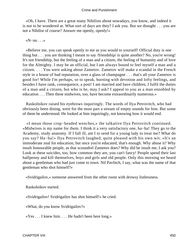«Oh, I have. There are a great many Nihilists about nowadays, you know, and indeed it is not to be wondered at. What sort of days are they? I ask you. But we thought . . . you are not a Nihilist of course? Answer me openly, openly!»

#### «N–no . . .»

 «Believe me, you can speak openly to me as you would to yourself! Official duty is one thing but . . . you are thinking I meant to say /friendship/ is quite another? No, you're wrong! It's not friendship, but the feeling of a man and a citizen, the feeling of humanity and of love for the Almighty. I may be an official, but I am always bound to feel myself a man and a citizen. . . . You were asking about Zametov. Zametov will make a scandal in the French style in a house of bad reputation, over a glass of champagne . . . that's all your Zametov is good for! While I'm perhaps, so to speak, burning with devotion and lofty feelings, and besides I have rank, consequence, a post! I am married and have children, I fulfil the duties of a man and a citizen, but who is he, may I ask? I appeal to you as a man ennobled by education . . . Then these midwives, too, have become extraordinarily numerous.»

 Raskolnikov raised his eyebrows inquiringly. The words of Ilya Petrovitch, who had obviously been dining, were for the most part a stream of empty sounds for him. But some of them he understood. He looked at him inquiringly, not knowing how it would end.

 «I mean those crop−headed wenches,» the talkative Ilya Petrovitch continued. «Midwives is my name for them. I think it a very satisfactory one, ha−ha! They go to the Academy, study anatomy. If I fall ill, am I to send for a young lady to treat me? What do you say? Ha−ha!» Ilya Petrovitch laughed, quite pleased with his own wit. «It's an immoderate zeal for education, but once you're educated, that's enough. Why abuse it? Why insult honourable people, as that scoundrel Zametov does? Why did he insult me, I ask you? Look at these suicides, too, how common they are, you can't fancy! People spend their last halfpenny and kill themselves, boys and girls and old people. Only this morning we heard about a gentleman who had just come to town. Nil Pavlitch, I say, what was the name of that gentleman who shot himself?»

«Svidrigailov,» someone answered from the other room with drowsy listlessness.

Raskolnikov started.

«Svidrigailov! Svidrigailov has shot himself!» he cried.

«What, do you know Svidrigailov?»

«Yes . . . I knew him. . . . He hadn't been here long.»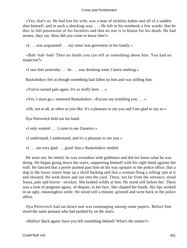«Yes, that's so. He had lost his wife, was a man of reckless habits and all of a sudden shot himself, and in such a shocking way. . . . He left in his notebook a few words: that he dies in full possession of his faculties and that no one is to blame for his death. He had money, they say. How did you come to know him?»

«I . . . was acquainted . . . my sister was governess in his family.»

 «Bah−bah−bah! Then no doubt you can tell us something about him. You had no suspicion?»

«I saw him yesterday . . . he . . . was drinking wine; I knew nothing.»

Raskolnikov felt as though something had fallen on him and was stifling him.

«You've turned pale again. It's so stuffy here . . .»

«Yes, I must go,» muttered Raskolnikov. «Excuse my troubling you. . . .»

«Oh, not at all, as often as you like. It's a pleasure to see you and I am glad to say so.»

Ilya Petrovitch held out his hand.

«I only wanted . . . I came to see Zametov.»

«I understand, I understand, and it's a pleasure to see you.»

«I . . . am very glad . . . good−bye,» Raskolnikov smiled.

 He went out; he reeled, he was overtaken with giddiness and did not know what he was doing. He began going down the stairs, supporting himself with his right hand against the wall. He fancied that a porter pushed past him on his way upstairs to the police office, that a dog in the lower storey kept up a shrill barking and that a woman flung a rolling−pin at it and shouted. He went down and out into the yard. There, not far from the entrance, stood Sonia, pale and horror− stricken. She looked wildly at him. He stood still before her. There was a look of poignant agony, of despair, in her face. She clasped her hands. His lips worked in an ugly, meaningless smile. He stood still a minute, grinned and went back to the police office.

 Ilya Petrovitch had sat down and was rummaging among some papers. Before him stood the same peasant who had pushed by on the stairs.

«Hulloa! Back again! have you left something behind? What's the matter?»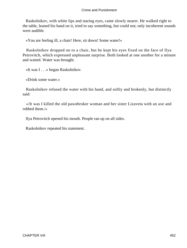Raskolnikov, with white lips and staring eyes, came slowly nearer. He walked right to the table, leaned his hand on it, tried to say something, but could not; only incoherent sounds were audible.

«You are feeling ill, a chair! Here, sit down! Some water!»

 Raskolnikov dropped on to a chair, but he kept his eyes fixed on the face of Ilya Petrovitch, which expressed unpleasant surprise. Both looked at one another for a minute and waited. Water was brought.

«It was I . . .» began Raskolnikov.

«Drink some water.»

 Raskolnikov refused the water with his hand, and softly and brokenly, but distinctly said:

 «/It was I killed the old pawnbroker woman and her sister Lizaveta with an axe and robbed them./»

Ilya Petrovitch opened his mouth. People ran up on all sides.

Raskolnikov repeated his statement.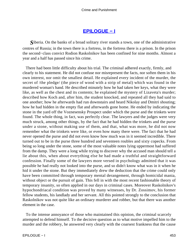# **[EPILOGUE − I](#page-467-0)**

<span id="page-453-0"></span>*S*iberia. On the banks of a broad solitary river stands a town, one of the administrative centres of Russia; in the town there is a fortress, in the fortress there is a prison. In the prison the second−class convict Rodion Raskolnikov has been confined for nine months. Almost a year and a half has passed since his crime.

 There had been little difficulty about his trial. The criminal adhered exactly, firmly, and clearly to his statement. He did not confuse nor misrepresent the facts, nor soften them in his own interest, nor omit the smallest detail. He explained every incident of the murder, the secret of /the pledge/ (the piece of wood with a strip of metal) which was found in the murdered woman's hand. He described minutely how he had taken her keys, what they were like, as well as the chest and its contents; he explained the mystery of Lizaveta's murder; described how Koch and, after him, the student knocked, and repeated all they had said to one another; how he afterwards had run downstairs and heard Nikolay and Dmitri shouting; how he had hidden in the empty flat and afterwards gone home. He ended by indicating the stone in the yard off the Voznesensky Prospect under which the purse and the trinkets were found. The whole thing, in fact, was perfectly clear. The lawyers and the judges were very much struck, among other things, by the fact that he had hidden the trinkets and the purse under a stone, without making use of them, and that, what was more, he did not now remember what the trinkets were like, or even how many there were. The fact that he had never opened the purse and did not even know how much was in it seemed incredible. There turned out to be in the purse three hundred and seventeen roubles and sixty copecks. From being so long under the stone, some of the most valuable notes lying uppermost had suffered from the damp. They were a long while trying to discover why the accused man should tell a lie about this, when about everything else he had made a truthful and straightforward confession. Finally some of the lawyers more versed in psychology admitted that it was possible he had really not looked into the purse, and so didn't know what was in it when he hid it under the stone. But they immediately drew the deduction that the crime could only have been committed through temporary mental derangement, through homicidal mania, without object or the pursuit of gain. This fell in with the most recent fashionable theory of temporary insanity, so often applied in our days in criminal cases. Moreover Raskolnikov's hypochondriacal condition was proved by many witnesses, by Dr. Zossimov, his former fellow students, his landlady and her servant. All this pointed strongly to the conclusion that Raskolnikov was not quite like an ordinary murderer and robber, but that there was another element in the case.

 To the intense annoyance of those who maintained this opinion, the criminal scarcely attempted to defend himself. To the decisive question as to what motive impelled him to the murder and the robbery, he answered very clearly with the coarsest frankness that the cause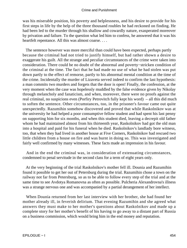was his miserable position, his poverty and helplessness, and his desire to provide for his first steps in life by the help of the three thousand roubles he had reckoned on finding. He had been led to the murder through his shallow and cowardly nature, exasperated moreover by privation and failure. To the question what led him to confess, he answered that it was his heartfelt repentance. All this was almost coarse. . . .

 The sentence however was more merciful than could have been expected, perhaps partly because the criminal had not tried to justify himself, but had rather shown a desire to exaggerate his guilt. All the strange and peculiar circumstances of the crime were taken into consideration. There could be no doubt of the abnormal and poverty−stricken condition of the criminal at the time. The fact that he had made no use of what he had stolen was put down partly to the effect of remorse, partly to his abnormal mental condition at the time of the crime. Incidentally the murder of Lizaveta served indeed to confirm the last hypothesis: a man commits two murders and forgets that the door is open! Finally, the confession, at the very moment when the case was hopelessly muddled by the false evidence given by Nikolay through melancholy and fanaticism, and when, moreover, there were no proofs against the real criminal, no suspicions even (Porfiry Petrovitch fully kept his word) – all this did much to soften the sentence. Other circumstances, too, in the prisoner's favour came out quite unexpectedly. Razumihin somehow discovered and proved that while Raskolnikov was at the university he had helped a poor consumptive fellow student and had spent his last penny on supporting him for six months, and when this student died, leaving a decrepit old father whom he had maintained almost from his thirteenth year, Raskolnikov had got the old man into a hospital and paid for his funeral when he died. Raskolnikov's landlady bore witness, too, that when they had lived in another house at Five Corners, Raskolnikov had rescued two little children from a house on fire and was burnt in doing so. This was investigated and fairly well confirmed by many witnesses. These facts made an impression in his favour.

 And in the end the criminal was, in consideration of extenuating circumstances, condemned to penal servitude in the second class for a term of eight years only.

 At the very beginning of the trial Raskolnikov's mother fell ill. Dounia and Razumihin found it possible to get her out of Petersburg during the trial. Razumihin chose a town on the railway not far from Petersburg, so as to be able to follow every step of the trial and at the same time to see Avdotya Romanovna as often as possible. Pulcheria Alexandrovna's illness was a strange nervous one and was accompanied by a partial derangement of her intellect.

 When Dounia returned from her last interview with her brother, she had found her mother already ill, in feverish delirium. That evening Razumihin and she agreed what answers they must make to her mother's questions about Raskolnikov and made up a complete story for her mother's benefit of his having to go away to a distant part of Russia on a business commission, which would bring him in the end money and reputation.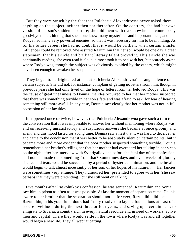But they were struck by the fact that Pulcheria Alexandrovna never asked them anything on the subject, neither then nor thereafter. On the contrary, she had her own version of her son's sudden departure; she told them with tears how he had come to say good−bye to her, hinting that she alone knew many mysterious and important facts, and that Rodya had many very powerful enemies, so that it was necessary for him to be in hiding. As for his future career, she had no doubt that it would be brilliant when certain sinister influences could be removed. She assured Razumihin that her son would be one day a great statesman, that his article and brilliant literary talent proved it. This article she was continually reading, she even read it aloud, almost took it to bed with her, but scarcely asked where Rodya was, though the subject was obviously avoided by the others, which might have been enough to awaken her suspicions.

 They began to be frightened at last at Pulcheria Alexandrovna's strange silence on certain subjects. She did not, for instance, complain of getting no letters from him, though in previous years she had only lived on the hope of letters from her beloved Rodya. This was the cause of great uneasiness to Dounia; the idea occurred to her that her mother suspected that there was something terrible in her son's fate and was afraid to ask, for fear of hearing something still more awful. In any case, Dounia saw clearly that her mother was not in full possession of her faculties.

 It happened once or twice, however, that Pulcheria Alexandrovna gave such a turn to the conversation that it was impossible to answer her without mentioning where Rodya was, and on receiving unsatisfactory and suspicious answers she became at once gloomy and silent, and this mood lasted for a long time. Dounia saw at last that it was hard to deceive her and came to the conclusion that it was better to be absolutely silent on certain points; but it became more and more evident that the poor mother suspected something terrible. Dounia remembered her brother's telling her that her mother had overheard her talking in her sleep on the night after her interview with Svidrigailov and before the fatal day of the confession: had not she made out something from that? Sometimes days and even weeks of gloomy silence and tears would be succeeded by a period of hysterical animation, and the invalid would begin to talk almost incessantly of her son, of her hopes of his future. . . . Her fancies were sometimes very strange. They humoured her, pretended to agree with her (she saw perhaps that they were pretending), but she still went on talking.

 Five months after Raskolnikov's confession, he was sentenced. Razumihin and Sonia saw him in prison as often as it was possible. At last the moment of separation came. Dounia swore to her brother that the separation should not be for ever, Razumihin did the same. Razumihin, in his youthful ardour, had firmly resolved to lay the foundations at least of a secure livelihood during the next three or four years, and saving up a certain sum, to emigrate to Siberia, a country rich in every natural resource and in need of workers, active men and capital. There they would settle in the town where Rodya was and all together would begin a new life. They all wept at parting.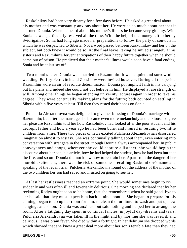Raskolnikov had been very dreamy for a few days before. He asked a great deal about his mother and was constantly anxious about her. He worried so much about her that it alarmed Dounia. When he heard about his mother's illness he became very gloomy. With Sonia he was particularly reserved all the time. With the help of the money left to her by Svidrigailov, Sonia had long ago made her preparations to follow the party of convicts in which he was despatched to Siberia. Not a word passed between Raskolnikov and her on the subject, but both knew it would be so. At the final leave−taking he smiled strangely at his sister's and Razumihin's fervent anticipations of their happy future together when he should come out of prison. He predicted that their mother's illness would soon have a fatal ending. Sonia and he at last set off.

 Two months later Dounia was married to Razumihin. It was a quiet and sorrowful wedding; Porfiry Petrovitch and Zossimov were invited however. During all this period Razumihin wore an air of resolute determination. Dounia put implicit faith in his carrying out his plans and indeed she could not but believe in him. He displayed a rare strength of will. Among other things he began attending university lectures again in order to take his degree. They were continually making plans for the future; both counted on settling in Siberia within five years at least. Till then they rested their hopes on Sonia.

 Pulcheria Alexandrovna was delighted to give her blessing to Dounia's marriage with Razumihin; but after the marriage she became even more melancholy and anxious. To give her pleasure Razumihin told her how Raskolnikov had looked after the poor student and his decrepit father and how a year ago he had been burnt and injured in rescuing two little children from a fire. These two pieces of news excited Pulcheria Alexandrovna's disordered imagination almost to ecstasy. She was continually talking about them, even entering into conversation with strangers in the street, though Dounia always accompanied her. In public conveyances and shops, wherever she could capture a listener, she would begin the discourse about her son, his article, how he had helped the student, how he had been burnt at the fire, and so on! Dounia did not know how to restrain her. Apart from the danger of her morbid excitement, there was the risk of someone's recalling Raskolnikov's name and speaking of the recent trial. Pulcheria Alexandrovna found out the address of the mother of the two children her son had saved and insisted on going to see her.

 At last her restlessness reached an extreme point. She would sometimes begin to cry suddenly and was often ill and feverishly delirious. One morning she declared that by her reckoning Rodya ought soon to be home, that she remembered when he said good−bye to her he said that they must expect him back in nine months. She began to prepare for his coming, began to do up her room for him, to clean the furniture, to wash and put up new hangings and so on. Dounia was anxious, but said nothing and helped her to arrange the room. After a fatiguing day spent in continual fancies, in joyful day−dreams and tears, Pulcheria Alexandrovna was taken ill in the night and by morning she was feverish and delirious. It was brain fever. She died within a fortnight. In her delirium she dropped words which showed that she knew a great deal more about her son's terrible fate than they had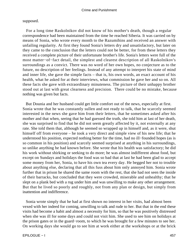## supposed.

 For a long time Raskolnikov did not know of his mother's death, though a regular correspondence had been maintained from the time he reached Siberia. It was carried on by means of Sonia, who wrote every month to the Razumihins and received an answer with unfailing regularity. At first they found Sonia's letters dry and unsatisfactory, but later on they came to the conclusion that the letters could not be better, for from these letters they received a complete picture of their unfortunate brother's life. Sonia's letters were full of the most matter−of−fact detail, the simplest and clearest description of all Raskolnikov's surroundings as a convict. There was no word of her own hopes, no conjecture as to the future, no description of her feelings. Instead of any attempt to interpret his state of mind and inner life, she gave the simple facts – that is, his own words, an exact account of his health, what he asked for at their interviews, what commission he gave her and so on. All these facts she gave with extraordinary minuteness. The picture of their unhappy brother stood out at last with great clearness and precision. There could be no mistake, because nothing was given but facts.

 But Dounia and her husband could get little comfort out of the news, especially at first. Sonia wrote that he was constantly sullen and not ready to talk, that he scarcely seemed interested in the news she gave him from their letters, that he sometimes asked after his mother and that when, seeing that he had guessed the truth, she told him at last of her death, she was surprised to find that he did not seem greatly affected by it, not externally at any rate. She told them that, although he seemed so wrapped up in himself and, as it were, shut himself off from everyone – he took a very direct and simple view of his new life; that he understood his position, expected nothing better for the time, had no ill−founded hopes (as is so common in his position) and scarcely seemed surprised at anything in his surroundings, so unlike anything he had known before. She wrote that his health was satisfactory; he did his work without shirking or seeking to do more; he was almost indifferent about food, but except on Sundays and holidays the food was so bad that at last he had been glad to accept some money from her, Sonia, to have his own tea every day. He begged her not to trouble about anything else, declaring that all this fuss about him only annoyed him. Sonia wrote further that in prison he shared the same room with the rest, that she had not seen the inside of their barracks, but concluded that they were crowded, miserable and unhealthy; that he slept on a plank bed with a rug under him and was unwilling to make any other arrangement. But that he lived so poorly and roughly, not from any plan or design, but simply from inattention and indifference.

 Sonia wrote simply that he had at first shown no interest in her visits, had almost been vexed with her indeed for coming, unwilling to talk and rude to her. But that in the end these visits had become a habit and almost a necessity for him, so that he was positively distressed when she was ill for some days and could not visit him. She used to see him on holidays at the prison gates or in the guard−room, to which he was brought for a few minutes to see her. On working days she would go to see him at work either at the workshops or at the brick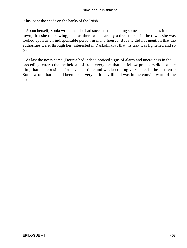kilns, or at the sheds on the banks of the Irtish.

 About herself, Sonia wrote that she had succeeded in making some acquaintances in the town, that she did sewing, and, as there was scarcely a dressmaker in the town, she was looked upon as an indispensable person in many houses. But she did not mention that the authorities were, through her, interested in Raskolnikov; that his task was lightened and so on.

 At last the news came (Dounia had indeed noticed signs of alarm and uneasiness in the preceding letters) that he held aloof from everyone, that his fellow prisoners did not like him, that he kept silent for days at a time and was becoming very pale. In the last letter Sonia wrote that he had been taken very seriously ill and was in the convict ward of the hospital.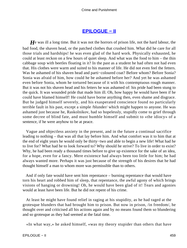# **[EPILOGUE − II](#page-467-0)**

<span id="page-459-0"></span>*H*e was ill a long time. But it was not the horrors of prison life, not the hard labour, the bad food, the shaven head, or the patched clothes that crushed him. What did he care for all those trials and hardships! he was even glad of the hard work. Physically exhausted, he could at least reckon on a few hours of quiet sleep. And what was the food to him – the thin cabbage soup with beetles floating in it? In the past as a student he had often not had even that. His clothes were warm and suited to his manner of life. He did not even feel the fetters. Was he ashamed of his shaven head and parti−coloured coat? Before whom? Before Sonia? Sonia was afraid of him, how could he be ashamed before her? And yet he was ashamed even before Sonia, whom he tortured because of it with his contemptuous rough manner. But it was not his shaven head and his fetters he was ashamed of: his pride had been stung to the quick. It was wounded pride that made him ill. Oh, how happy he would have been if he could have blamed himself! He could have borne anything then, even shame and disgrace. But he judged himself severely, and his exasperated conscience found no particularly terrible fault in his past, except a simple /blunder/ which might happen to anyone. He was ashamed just because he, Raskolnikov, had so hopelessly, stupidly come to grief through some decree of blind fate, and must humble himself and submit to «the idiocy» of a sentence, if he were anyhow to be at peace.

 Vague and objectless anxiety in the present, and in the future a continual sacrifice leading to nothing – that was all that lay before him. And what comfort was it to him that at the end of eight years he would only be thirty−two and able to begin a new life! What had he to live for? What had he to look forward to? Why should he strive? To live in order to exist? Why, he had been ready a thousand times before to give up existence for the sake of an idea, for a hope, even for a fancy. Mere existence had always been too little for him; he had always wanted more. Perhaps it was just because of the strength of his desires that he had thought himself a man to whom more was permissible than to others.

 And if only fate would have sent him repentance – burning repentance that would have torn his heart and robbed him of sleep, that repentance, the awful agony of which brings visions of hanging or drowning! Oh, he would have been glad of it! Tears and agonies would at least have been life. But he did not repent of his crime.

 At least he might have found relief in raging at his stupidity, as he had raged at the grotesque blunders that had brought him to prison. But now in prison, /in freedom/, he thought over and criticised all his actions again and by no means found them so blundering and so grotesque as they had seemed at the fatal time.

«In what way,» he asked himself, «was my theory stupider than others that have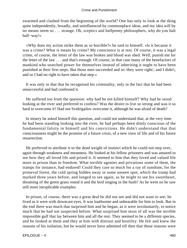swarmed and clashed from the beginning of the world? One has only to look at the thing quite independently, broadly, and uninfluenced by commonplace ideas, and my idea will by no means seem so . . . strange. Oh, sceptics and halfpenny philosophers, why do you halt half−way!»

 «Why does my action strike them as so horrible?» he said to himself. «Is it because it was a crime? What is meant by crime? My conscience is at rest. Of course, it was a legal crime, of course, the letter of the law was broken and blood was shed. Well, punish me for the letter of the law . . . and that's enough. Of course, in that case many of the benefactors of mankind who snatched power for themselves instead of inheriting it ought to have been punished at their first steps. But those men succeeded and so /they were right/, and I didn't, and so I had no right to have taken that step.»

 It was only in that that he recognised his criminality, only in the fact that he had been unsuccessful and had confessed it.

 He suffered too from the question: why had he not killed himself? Why had he stood looking at the river and preferred to confess? Was the desire to live so strong and was it so hard to overcome it? Had not Svidrigailov overcome it, although he was afraid of death?

 In misery he asked himself this question, and could not understand that, at the very time he had been standing looking into the river, he had perhaps been dimly conscious of the fundamental falsity in himself and his convictions. He didn't understand that that consciousness might be the promise of a future crisis, of a new view of life and of his future resurrection.

 He preferred to attribute it to the dead weight of instinct which he could not step over, again through weakness and meanness. He looked at his fellow prisoners and was amazed to see how they all loved life and prized it. It seemed to him that they loved and valued life more in prison than in freedom. What terrible agonies and privations some of them, the tramps for instance, had endured! Could they care so much for a ray of sunshine, for the primeval forest, the cold spring hidden away in some unseen spot, which the tramp had marked three years before, and longed to see again, as he might to see his sweetheart, dreaming of the green grass round it and the bird singing in the bush? As he went on he saw still more inexplicable examples.

In prison, of course, there was a great deal he did not see and did not want to see; he lived as it were with downcast eyes. It was loathsome and unbearable for him to look. But in the end there was much that surprised him and he began, as it were involuntarily, to notice much that he had not suspected before. What surprised him most of all was the terrible impossible gulf that lay between him and all the rest. They seemed to be a different species, and he looked at them and they at him with distrust and hostility. He felt and knew the reasons of his isolation, but he would never have admitted till then that those reasons were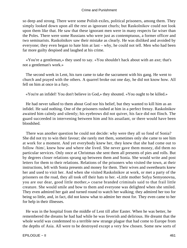so deep and strong. There were some Polish exiles, political prisoners, among them. They simply looked down upon all the rest as ignorant churls; but Raskolnikov could not look upon them like that. He saw that these ignorant men were in many respects far wiser than the Poles. There were some Russians who were just as contemptuous, a former officer and two seminarists. Raskolnikov saw their mistake as clearly. He was disliked and avoided by everyone; they even began to hate him at last – why, he could not tell. Men who had been far more guilty despised and laughed at his crime.

 «You're a gentleman,» they used to say. «You shouldn't hack about with an axe; that's not a gentleman's work.»

 The second week in Lent, his turn came to take the sacrament with his gang. He went to church and prayed with the others. A quarrel broke out one day, he did not know how. All fell on him at once in a fury.

«You're an infidel! You don't believe in God,» they shouted. «You ought to be killed.»

 He had never talked to them about God nor his belief, but they wanted to kill him as an infidel. He said nothing. One of the prisoners rushed at him in a perfect frenzy. Raskolnikov awaited him calmly and silently; his eyebrows did not quiver, his face did not flinch. The guard succeeded in intervening between him and his assailant, or there would have been bloodshed.

 There was another question he could not decide: why were they all so fond of Sonia? She did not try to win their favour; she rarely met them, sometimes only she came to see him at work for a moment. And yet everybody knew her, they knew that she had come out to follow /him/, knew how and where she lived. She never gave them money, did them no particular services. Only once at Christmas she sent them all presents of pies and rolls. But by degrees closer relations sprang up between them and Sonia. She would write and post letters for them to their relations. Relations of the prisoners who visited the town, at their instructions, left with Sonia presents and money for them. Their wives and sweethearts knew her and used to visit her. And when she visited Raskolnikov at work, or met a party of the prisoners on the road, they all took off their hats to her. «Little mother Sofya Semyonovna, you are our dear, good little mother,» coarse branded criminals said to that frail little creature. She would smile and bow to them and everyone was delighted when she smiled. They even admired her gait and turned round to watch her walking; they admired her too for being so little, and, in fact, did not know what to admire her most for. They even came to her for help in their illnesses.

 He was in the hospital from the middle of Lent till after Easter. When he was better, he remembered the dreams he had had while he was feverish and delirious. He dreamt that the whole world was condemned to a terrible new strange plague that had come to Europe from the depths of Asia. All were to be destroyed except a very few chosen. Some new sorts of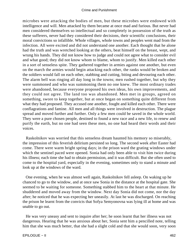microbes were attacking the bodies of men, but these microbes were endowed with intelligence and will. Men attacked by them became at once mad and furious. But never had men considered themselves so intellectual and so completely in possession of the truth as these sufferers, never had they considered their decisions, their scientific conclusions, their moral convictions so infallible. Whole villages, whole towns and peoples went mad from the infection. All were excited and did not understand one another. Each thought that he alone had the truth and was wretched looking at the others, beat himself on the breast, wept, and wrung his hands. They did not know how to judge and could not agree what to consider evil and what good; they did not know whom to blame, whom to justify. Men killed each other in a sort of senseless spite. They gathered together in armies against one another, but even on the march the armies would begin attacking each other, the ranks would be broken and the soldiers would fall on each other, stabbing and cutting, biting and devouring each other. The alarm bell was ringing all day long in the towns; men rushed together, but why they were summoned and who was summoning them no one knew. The most ordinary trades were abandoned, because everyone proposed his own ideas, his own improvements, and they could not agree. The land too was abandoned. Men met in groups, agreed on something, swore to keep together, but at once began on something quite different from what they had proposed. They accused one another, fought and killed each other. There were conflagrations and famine. All men and all things were involved in destruction. The plague spread and moved further and further. Only a few men could be saved in the whole world. They were a pure chosen people, destined to found a new race and a new life, to renew and purify the earth, but no one had seen these men, no one had heard their words and their voices.

 Raskolnikov was worried that this senseless dream haunted his memory so miserably, the impression of this feverish delirium persisted so long. The second week after Easter had come. There were warm bright spring days; in the prison ward the grating windows under which the sentinel paced were opened. Sonia had only been able to visit him twice during his illness; each time she had to obtain permission, and it was difficult. But she often used to come to the hospital yard, especially in the evening, sometimes only to stand a minute and look up at the windows of the ward.

 One evening, when he was almost well again, Raskolnikov fell asleep. On waking up he chanced to go to the window, and at once saw Sonia in the distance at the hospital gate. She seemed to be waiting for someone. Something stabbed him to the heart at that minute. He shuddered and moved away from the window. Next day Sonia did not come, nor the day after; he noticed that he was expecting her uneasily. At last he was discharged. On reaching the prison he learnt from the convicts that Sofya Semyonovna was lying ill at home and was unable to go out.

 He was very uneasy and sent to inquire after her; he soon learnt that her illness was not dangerous. Hearing that he was anxious about her, Sonia sent him a pencilled note, telling him that she was much better, that she had a slight cold and that she would soon, very soon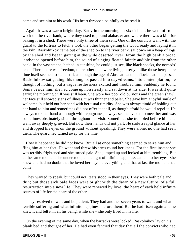come and see him at his work. His heart throbbed painfully as he read it.

 Again it was a warm bright day. Early in the morning, at six o'clock, he went off to work on the river bank, where they used to pound alabaster and where there was a kiln for baking it in a shed. There were only three of them sent. One of the convicts went with the guard to the fortress to fetch a tool; the other began getting the wood ready and laying it in the kiln. Raskolnikov came out of the shed on to the river bank, sat down on a heap of logs by the shed and began gazing at the wide deserted river. From the high bank a broad landscape opened before him, the sound of singing floated faintly audible from the other bank. In the vast steppe, bathed in sunshine, he could just see, like black specks, the nomads' tents. There there was freedom, there other men were living, utterly unlike those here; there time itself seemed to stand still, as though the age of Abraham and his flocks had not passed. Raskolnikov sat gazing, his thoughts passed into day−dreams, into contemplation; he thought of nothing, but a vague restlessness excited and troubled him. Suddenly he found Sonia beside him; she had come up noiselessly and sat down at his side. It was still quite early; the morning chill was still keen. She wore her poor old burnous and the green shawl; her face still showed signs of illness, it was thinner and paler. She gave him a joyful smile of welcome, but held out her hand with her usual timidity. She was always timid of holding out her hand to him and sometimes did not offer it at all, as though afraid he would repel it. He always took her hand as though with repugnance, always seemed vexed to meet her and was sometimes obstinately silent throughout her visit. Sometimes she trembled before him and went away deeply grieved. But now their hands did not part. He stole a rapid glance at her and dropped his eyes on the ground without speaking. They were alone, no one had seen them. The guard had turned away for the time.

 How it happened he did not know. But all at once something seemed to seize him and fling him at her feet. He wept and threw his arms round her knees. For the first instant she was terribly frightened and she turned pale. She jumped up and looked at him trembling. But at the same moment she understood, and a light of infinite happiness came into her eyes. She knew and had no doubt that he loved her beyond everything and that at last the moment had come. . . .

 They wanted to speak, but could not; tears stood in their eyes. They were both pale and thin; but those sick pale faces were bright with the dawn of a new future, of a full resurrection into a new life. They were renewed by love; the heart of each held infinite sources of life for the heart of the other.

 They resolved to wait and be patient. They had another seven years to wait, and what terrible suffering and what infinite happiness before them! But he had risen again and he knew it and felt it in all his being, while she – she only lived in his life.

 On the evening of the same day, when the barracks were locked, Raskolnikov lay on his plank bed and thought of her. He had even fancied that day that all the convicts who had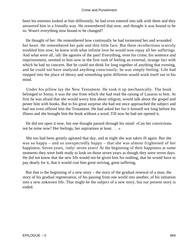been his enemies looked at him differently; he had even entered into talk with them and they answered him in a friendly way. He remembered that now, and thought it was bound to be so. Wasn't everything now bound to be changed?

 He thought of her. He remembered how continually he had tormented her and wounded her heart. He remembered her pale and thin little face. But these recollections scarcely troubled him now; he knew with what infinite love he would now repay all her sufferings. And what were all, /all/ the agonies of the past! Everything, even his crime, his sentence and imprisonment, seemed to him now in the first rush of feeling an external, strange fact with which he had no concern. But he could not think for long together of anything that evening, and he could not have analysed anything consciously; he was simply feeling. Life had stepped into the place of theory and something quite different would work itself out in his mind.

 Under his pillow lay the New Testament. He took it up mechanically. The book belonged to Sonia; it was the one from which she had read the raising of Lazarus to him. At first he was afraid that she would worry him about religion, would talk about the gospel and pester him with books. But to his great surprise she had not once approached the subject and had not even offered him the Testament. He had asked her for it himself not long before his illness and she brought him the book without a word. Till now he had not opened it.

 He did not open it now, but one thought passed through his mind: «Can her convictions not be mine now? Her feelings, her aspirations at least. . . .»

 She too had been greatly agitated that day, and at night she was taken ill again. But she was so happy – and so unexpectedly happy – that she was almost frightened of her happiness. Seven years, /only/ seven years! At the beginning of their happiness at some moments they were both ready to look on those seven years as though they were seven days. He did not know that the new life would not be given him for nothing, that he would have to pay dearly for it, that it would cost him great striving, great suffering.

 But that is the beginning of a new story – the story of the gradual renewal of a man, the story of his gradual regeneration, of his passing from one world into another, of his initiation into a new unknown life. That might be the subject of a new story, but our present story is ended.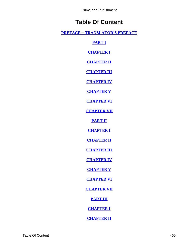# **Table Of Content**

**[PREFACE − TRANSLATOR'S PREFACE](#page-3-0)**

**[PART I](#page-5-0)**

**[CHAPTER I](#page-6-0)**

**[CHAPTER II](#page-13-0)**

**[CHAPTER III](#page-26-0)**

**[CHAPTER IV](#page-36-0)**

**[CHAPTER V](#page-46-0)**

**[CHAPTER VI](#page-55-0)**

**[CHAPTER VII](#page-65-0)**

**[PART II](#page-76-0)**

**[CHAPTER I](#page-77-0)**

**[CHAPTER II](#page-93-0)**

**[CHAPTER III](#page-102-0)**

**[CHAPTER IV](#page-115-0)**

**[CHAPTER V](#page-124-0)**

**[CHAPTER VI](#page-135-0)**

**[CHAPTER VII](#page-154-0)**

**[PART III](#page-170-0)**

**[CHAPTER I](#page-171-0)**

**[CHAPTER II](#page-182-0)**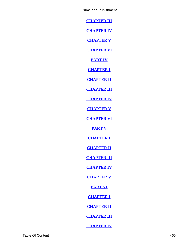**[CHAPTER III](#page-192-0)**

**[CHAPTER IV](#page-205-0)**

**[CHAPTER V](#page-216-0)**

**[CHAPTER VI](#page-233-0)**

**[PART IV](#page-242-0)**

**[CHAPTER I](#page-243-0)**

**[CHAPTER II](#page-255-0)**

**[CHAPTER III](#page-266-0)**

**[CHAPTER IV](#page-273-0)**

**[CHAPTER V](#page-290-0)**

**[CHAPTER VI](#page-304-0)**

**[PART V](#page-312-0)**

**[CHAPTER I](#page-313-0)**

**[CHAPTER II](#page-326-0)**

**[CHAPTER III](#page-335-0)**

**[CHAPTER IV](#page-346-0)**

**[CHAPTER V](#page-362-0)**

**[PART VI](#page-374-0)**

**[CHAPTER I](#page-375-0)**

**[CHAPTER II](#page-384-0)**

**[CHAPTER III](#page-395-0)**

**[CHAPTER IV](#page-404-0)**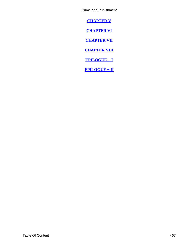<span id="page-467-0"></span>**[CHAPTER V](#page-412-0)**

**[CHAPTER VI](#page-425-0)**

**[CHAPTER VII](#page-436-0)**

**[CHAPTER VIII](#page-444-0)**

**[EPILOGUE − I](#page-453-0)**

**[EPILOGUE − II](#page-459-0)**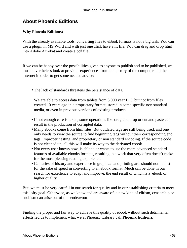# **About Phoenix Editions**

### **Why Phoenix Editions?**

With the already available tools, converting files to eBook formats is not a big task. You can use a plugin in MS Word and with just one click have a lit file. You can drag and drop html into Adobe Acrobat and create a pdf file.

If we can be happy over the possibilities given to anyone to publish and to be published, we must nevertheless look at previous experiences from the history of the computer and the internet in order to get some needed advice:

• The lack of standards threatens the persistance of data.

We are able to access data from tablets from 3.000 year B.C. but not from files created 10 years ago in a proprietary format, stored in some specific non standard media, or even in previous versions of existing products.

- If not enough care is taken, some operations like drag and drop or cut and paste can result in the production of corrupted data.
- Many ebooks come from html files. But outdated tags are still being used, and one only needs to view the source to find beginning tags without their corresponding end tags, improper nesting, and proprietary or non standard encoding. If the source code is not cleaned up, all this will make its way to the derivated ebook.
- Not every user knows how, is able to or wants to use the more advanced standard features of available ebooks formats, resulting in a work that very often doesn't make for the most pleasing reading experience.
- Centuries of history and experience in graphical and printing arts should not be lost for the sake of speed in converting to an ebook format. Much can be done in our search for excellence to adapt and improve, the end result of which is a ebook of higher quality.

But, we must be very careful in our search for quality and in our establishing criteria to meet this lofty goal. Otherwise, as we know and are aware of, a new kind of elitism, censorship or snobism can arise out of this endeavour.

Finding the proper and fair way to achieve this quality of ebook without such detrimental effects led us to implement what we at Phoenix−Library call **Phoenix Editions**.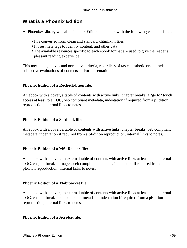# **What is a Phoenix Edition**

At Phoenix−Library we call a Phoenix Edition, an ebook with the following characteristics:

- It is converted from clean and standard xhtml/xml files
- It uses meta tags to identify content, and other data
- The available resources specific to each ebook format are used to give the reader a pleasant reading experience.

This means: objectives and normative criteria, regardless of taste, aesthetic or otherwise subjective evaluations of contents and/or presentation.

### **Phoenix Edition of a RocketEdition file:**

An ebook with a cover, a table of contents with active links, chapter breaks, a "go to" touch access at least to a TOC, oeb compliant metadata, indentation if required from a pEdition reproduction, internal links to notes.

### **Phoenix Edition of a Softbook file:**

An ebook with a cover, a table of contents with active links, chapter breaks, oeb compliant metadata, indentation if required from a pEdition reproduction, internal links to notes.

#### **Phoenix Edition of a MS−Reader file:**

An ebook with a cover, an external table of contents with active links at least to an internal TOC, chapter breaks, images, oeb compliant metadata, indentation if required from a pEditon reproduction, internal links to notes.

#### **Phoenix Edition of a Mobipocket file:**

An ebook with a cover, an external table of contents with active links at least to an internal TOC, chapter breaks, oeb compliant metadata, indentation if required from a pEdition reproduction, internal links to notes.

#### **Phoenix Edition of a Acrobat file:**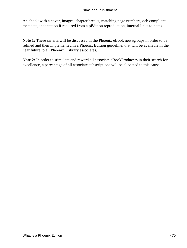An ebook with a cover, images, chapter breaks, matching page numbers, oeb compliant metadata, indentation if required from a pEdition reproduction, internal links to notes.

**Note 1:** These criteria will be discussed in the Phoenix eBook newsgroups in order to be refined and then implemented in a Phoenix Edition guideline, that will be available in the near future to all Phoenix−Library associates.

**Note 2:** In order to stimulate and reward all associate eBookProducers in their search for excellence, a percentage of all associate subscriptions will be allocated to this cause.